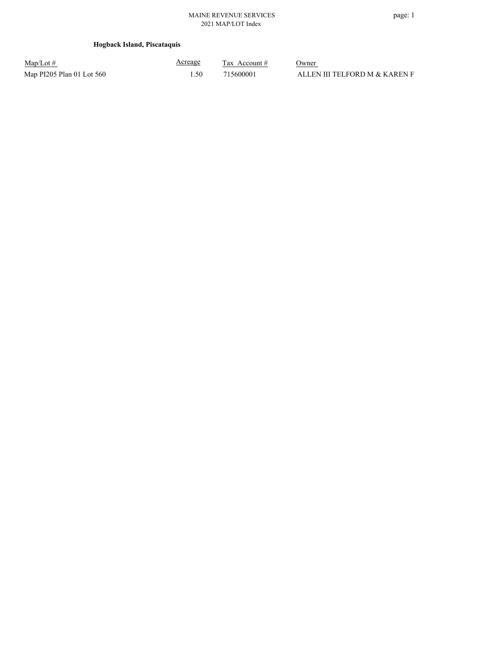### **Hogback Island, Piscataquis**

| $Map/Lot \#$              | <u>Acreage</u> | Tax Account # | Owner                         |
|---------------------------|----------------|---------------|-------------------------------|
| Map PI205 Plan 01 Lot 560 | 1.50.          | 715600001     | ALLEN III TELFORD M & KAREN F |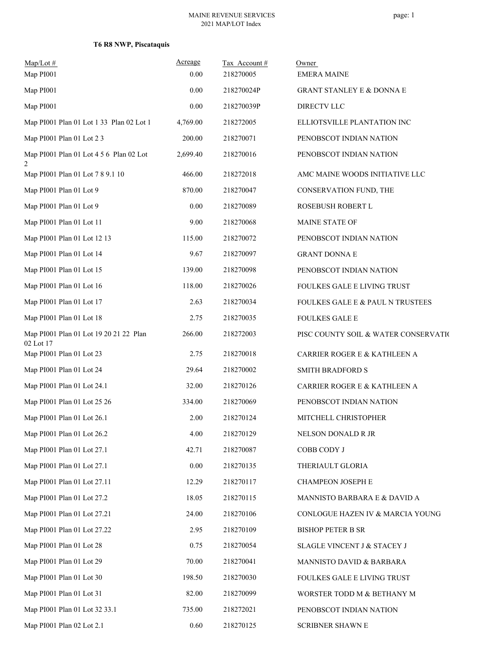# **T6 R8 NWP, Piscataquis**

| Map/Lot#<br>Map PI001                               | Acreage<br>0.00 | Tax Account#<br>218270005 | Owner<br><b>EMERA MAINE</b>                 |
|-----------------------------------------------------|-----------------|---------------------------|---------------------------------------------|
| Map PI001                                           | 0.00            | 218270024P                | <b>GRANT STANLEY E &amp; DONNA E</b>        |
| Map PI001                                           | 0.00            | 218270039P                | <b>DIRECTV LLC</b>                          |
| Map PI001 Plan 01 Lot 1 33 Plan 02 Lot 1            | 4,769.00        | 218272005                 | ELLIOTSVILLE PLANTATION INC                 |
| Map PI001 Plan 01 Lot 2 3                           | 200.00          | 218270071                 | PENOBSCOT INDIAN NATION                     |
| Map PI001 Plan 01 Lot 4 5 6 Plan 02 Lot<br>2        | 2,699.40        | 218270016                 | PENOBSCOT INDIAN NATION                     |
| Map PI001 Plan 01 Lot 7 8 9.1 10                    | 466.00          | 218272018                 | AMC MAINE WOODS INITIATIVE LLC              |
| Map PI001 Plan 01 Lot 9                             | 870.00          | 218270047                 | CONSERVATION FUND, THE                      |
| Map PI001 Plan 01 Lot 9                             | 0.00            | 218270089                 | ROSEBUSH ROBERT L                           |
| Map PI001 Plan 01 Lot 11                            | 9.00            | 218270068                 | MAINE STATE OF                              |
| Map PI001 Plan 01 Lot 12 13                         | 115.00          | 218270072                 | PENOBSCOT INDIAN NATION                     |
| Map PI001 Plan 01 Lot 14                            | 9.67            | 218270097                 | <b>GRANT DONNA E</b>                        |
| Map PI001 Plan 01 Lot 15                            | 139.00          | 218270098                 | PENOBSCOT INDIAN NATION                     |
| Map PI001 Plan 01 Lot 16                            | 118.00          | 218270026                 | FOULKES GALE E LIVING TRUST                 |
| Map PI001 Plan 01 Lot 17                            | 2.63            | 218270034                 | <b>FOULKES GALE E &amp; PAUL N TRUSTEES</b> |
| Map PI001 Plan 01 Lot 18                            | 2.75            | 218270035                 | <b>FOULKES GALE E</b>                       |
| Map PI001 Plan 01 Lot 19 20 21 22 Plan<br>02 Lot 17 | 266.00          | 218272003                 | PISC COUNTY SOIL & WATER CONSERVATIO        |
| Map PI001 Plan 01 Lot 23                            | 2.75            | 218270018                 | CARRIER ROGER E & KATHLEEN A                |
| Map PI001 Plan 01 Lot 24                            | 29.64           | 218270002                 | SMITH BRADFORD S                            |
| Map PI001 Plan 01 Lot 24.1                          | 32.00           | 218270126                 | CARRIER ROGER E & KATHLEEN A                |
| Map PI001 Plan 01 Lot 25 26                         | 334.00          | 218270069                 | PENOBSCOT INDIAN NATION                     |
| Map PI001 Plan 01 Lot 26.1                          | 2.00            | 218270124                 | MITCHELL CHRISTOPHER                        |
| Map PI001 Plan 01 Lot 26.2                          | 4.00            | 218270129                 | NELSON DONALD R JR                          |
| Map PI001 Plan 01 Lot 27.1                          | 42.71           | 218270087                 | COBB CODY J                                 |
| Map PI001 Plan 01 Lot 27.1                          | 0.00            | 218270135                 | THERIAULT GLORIA                            |
| Map PI001 Plan 01 Lot 27.11                         | 12.29           | 218270117                 | CHAMPEON JOSEPH E                           |
| Map PI001 Plan 01 Lot 27.2                          | 18.05           | 218270115                 | MANNISTO BARBARA E & DAVID A                |
| Map PI001 Plan 01 Lot 27.21                         | 24.00           | 218270106                 | CONLOGUE HAZEN IV & MARCIA YOUNG            |
| Map PI001 Plan 01 Lot 27.22                         | 2.95            | 218270109                 | <b>BISHOP PETER B SR</b>                    |
| Map PI001 Plan 01 Lot 28                            | 0.75            | 218270054                 | SLAGLE VINCENT J & STACEY J                 |
| Map PI001 Plan 01 Lot 29                            | 70.00           | 218270041                 | MANNISTO DAVID & BARBARA                    |
| Map PI001 Plan 01 Lot 30                            | 198.50          | 218270030                 | FOULKES GALE E LIVING TRUST                 |
| Map PI001 Plan 01 Lot 31                            | 82.00           | 218270099                 | WORSTER TODD M & BETHANY M                  |
| Map PI001 Plan 01 Lot 32 33.1                       | 735.00          | 218272021                 | PENOBSCOT INDIAN NATION                     |
| Map PI001 Plan 02 Lot 2.1                           | 0.60            | 218270125                 | SCRIBNER SHAWN E                            |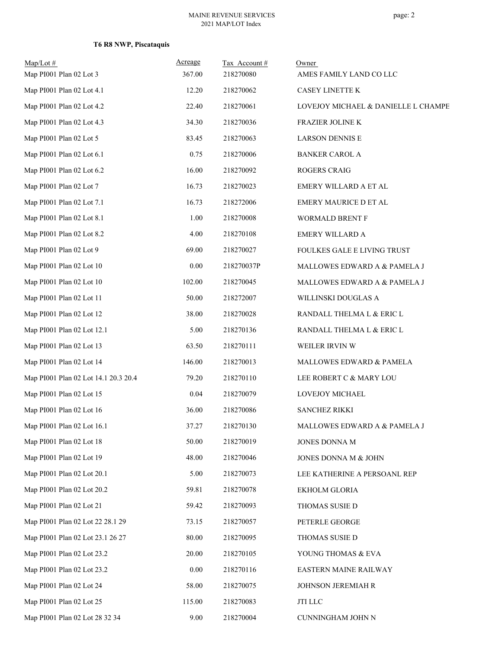# **T6 R8 NWP, Piscataquis**

| $Map/Lot \#$<br>Map PI001 Plan 02 Lot 3 | Acreage<br>367.00 | Tax Account#<br>218270080 | Owner<br>AMES FAMILY LAND CO LLC    |
|-----------------------------------------|-------------------|---------------------------|-------------------------------------|
| Map PI001 Plan 02 Lot 4.1               | 12.20             | 218270062                 | CASEY LINETTE K                     |
| Map PI001 Plan 02 Lot 4.2               | 22.40             | 218270061                 | LOVEJOY MICHAEL & DANIELLE L CHAMPE |
| Map PI001 Plan 02 Lot 4.3               | 34.30             | 218270036                 | FRAZIER JOLINE K                    |
| Map PI001 Plan 02 Lot 5                 | 83.45             | 218270063                 | <b>LARSON DENNIS E</b>              |
| Map PI001 Plan 02 Lot 6.1               | 0.75              | 218270006                 | <b>BANKER CAROL A</b>               |
| Map PI001 Plan 02 Lot 6.2               | 16.00             | 218270092                 | <b>ROGERS CRAIG</b>                 |
| Map PI001 Plan 02 Lot 7                 | 16.73             | 218270023                 | EMERY WILLARD A ET AL               |
| Map PI001 Plan 02 Lot 7.1               | 16.73             | 218272006                 | EMERY MAURICE D ET AL               |
| Map PI001 Plan 02 Lot 8.1               | 1.00              | 218270008                 | WORMALD BRENT F                     |
| Map PI001 Plan 02 Lot 8.2               | 4.00              | 218270108                 | EMERY WILLARD A                     |
| Map PI001 Plan 02 Lot 9                 | 69.00             | 218270027                 | FOULKES GALE E LIVING TRUST         |
| Map PI001 Plan 02 Lot 10                | 0.00              | 218270037P                | MALLOWES EDWARD A & PAMELA J        |
| Map PI001 Plan 02 Lot 10                | 102.00            | 218270045                 | MALLOWES EDWARD A & PAMELA J        |
| Map PI001 Plan 02 Lot 11                | 50.00             | 218272007                 | WILLINSKI DOUGLAS A                 |
| Map PI001 Plan 02 Lot 12                | 38.00             | 218270028                 | RANDALL THELMA L & ERIC L           |
| Map PI001 Plan 02 Lot 12.1              | 5.00              | 218270136                 | RANDALL THELMA L & ERIC L           |
| Map PI001 Plan 02 Lot 13                | 63.50             | 218270111                 | WEILER IRVIN W                      |
| Map PI001 Plan 02 Lot 14                | 146.00            | 218270013                 | MALLOWES EDWARD & PAMELA            |
| Map PI001 Plan 02 Lot 14.1 20.3 20.4    | 79.20             | 218270110                 | LEE ROBERT C & MARY LOU             |
| Map PI001 Plan 02 Lot 15                | 0.04              | 218270079                 | LOVEJOY MICHAEL                     |
| Map PI001 Plan 02 Lot 16                | 36.00             | 218270086                 | <b>SANCHEZ RIKKI</b>                |
| Map PI001 Plan 02 Lot 16.1              | 37.27             | 218270130                 | MALLOWES EDWARD A & PAMELA J        |
| Map PI001 Plan 02 Lot 18                | 50.00             | 218270019                 | JONES DONNA M                       |
| Map PI001 Plan 02 Lot 19                | 48.00             | 218270046                 | JONES DONNA M & JOHN                |
| Map PI001 Plan 02 Lot 20.1              | 5.00              | 218270073                 | LEE KATHERINE A PERSOANL REP        |
| Map PI001 Plan 02 Lot 20.2              | 59.81             | 218270078                 | EKHOLM GLORIA                       |
| Map PI001 Plan 02 Lot 21                | 59.42             | 218270093                 | THOMAS SUSIE D                      |
| Map PI001 Plan 02 Lot 22 28.1 29        | 73.15             | 218270057                 | PETERLE GEORGE                      |
| Map PI001 Plan 02 Lot 23.1 26 27        | 80.00             | 218270095                 | THOMAS SUSIE D                      |
| Map PI001 Plan 02 Lot 23.2              | 20.00             | 218270105                 | YOUNG THOMAS & EVA                  |
| Map PI001 Plan 02 Lot 23.2              | 0.00              | 218270116                 | EASTERN MAINE RAILWAY               |
| Map PI001 Plan 02 Lot 24                | 58.00             | 218270075                 | JOHNSON JEREMIAH R                  |
| Map PI001 Plan 02 Lot 25                | 115.00            | 218270083                 | $\operatorname{JTI}$ LLC            |
| Map PI001 Plan 02 Lot 28 32 34          | 9.00              | 218270004                 | CUNNINGHAM JOHN N                   |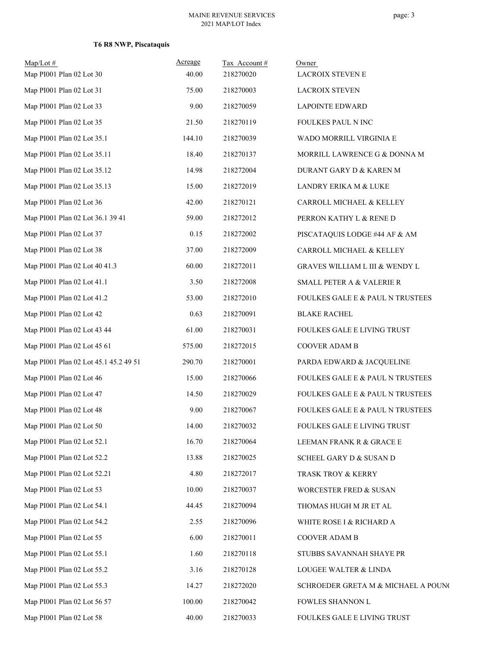| $Map/Lot$ #                           | Acreage | Tax Account# | Owner                                       |
|---------------------------------------|---------|--------------|---------------------------------------------|
| Map PI001 Plan 02 Lot 30              | 40.00   | 218270020    | <b>LACROIX STEVEN E</b>                     |
| Map PI001 Plan 02 Lot 31              | 75.00   | 218270003    | <b>LACROIX STEVEN</b>                       |
| Map PI001 Plan 02 Lot 33              | 9.00    | 218270059    | <b>LAPOINTE EDWARD</b>                      |
| Map PI001 Plan 02 Lot 35              | 21.50   | 218270119    | FOULKES PAUL N INC                          |
| Map PI001 Plan 02 Lot 35.1            | 144.10  | 218270039    | WADO MORRILL VIRGINIA E                     |
| Map PI001 Plan 02 Lot 35.11           | 18.40   | 218270137    | MORRILL LAWRENCE G & DONNA M                |
| Map PI001 Plan 02 Lot 35.12           | 14.98   | 218272004    | DURANT GARY D & KAREN M                     |
| Map PI001 Plan 02 Lot 35.13           | 15.00   | 218272019    | LANDRY ERIKA M & LUKE                       |
| Map PI001 Plan 02 Lot 36              | 42.00   | 218270121    | CARROLL MICHAEL & KELLEY                    |
| Map PI001 Plan 02 Lot 36.1 39 41      | 59.00   | 218272012    | PERRON KATHY L & RENE D                     |
| Map PI001 Plan 02 Lot 37              | 0.15    | 218272002    | PISCATAQUIS LODGE #44 AF & AM               |
| Map PI001 Plan 02 Lot 38              | 37.00   | 218272009    | CARROLL MICHAEL & KELLEY                    |
| Map PI001 Plan 02 Lot 40 41.3         | 60.00   | 218272011    | GRAVES WILLIAM L III & WENDY L              |
| Map PI001 Plan 02 Lot 41.1            | 3.50    | 218272008    | <b>SMALL PETER A &amp; VALERIE R</b>        |
| Map PI001 Plan 02 Lot 41.2            | 53.00   | 218272010    | FOULKES GALE E & PAUL N TRUSTEES            |
| Map PI001 Plan 02 Lot 42              | 0.63    | 218270091    | <b>BLAKE RACHEL</b>                         |
| Map PI001 Plan 02 Lot 43 44           | 61.00   | 218270031    | FOULKES GALE E LIVING TRUST                 |
| Map PI001 Plan 02 Lot 45 61           | 575.00  | 218272015    | COOVER ADAM B                               |
| Map PI001 Plan 02 Lot 45.1 45.2 49 51 | 290.70  | 218270001    | PARDA EDWARD & JACQUELINE                   |
| Map PI001 Plan 02 Lot 46              | 15.00   | 218270066    | <b>FOULKES GALE E &amp; PAUL N TRUSTEES</b> |
| Map PI001 Plan 02 Lot 47              | 14.50   | 218270029    | FOULKES GALE E & PAUL N TRUSTEES            |
| Map PI001 Plan 02 Lot 48              | 9.00    | 218270067    | <b>FOULKES GALE E &amp; PAUL N TRUSTEES</b> |
| Map PI001 Plan 02 Lot 50              | 14.00   | 218270032    | FOULKES GALE E LIVING TRUST                 |
| Map PI001 Plan 02 Lot 52.1            | 16.70   | 218270064    | LEEMAN FRANK R $\&$ GRACE E                 |
| Map PI001 Plan 02 Lot 52.2            | 13.88   | 218270025    | SCHEEL GARY D & SUSAN D                     |
| Map PI001 Plan 02 Lot 52.21           | 4.80    | 218272017    | TRASK TROY & KERRY                          |
| Map PI001 Plan 02 Lot 53              | 10.00   | 218270037    | WORCESTER FRED & SUSAN                      |
| Map PI001 Plan 02 Lot 54.1            | 44.45   | 218270094    | THOMAS HUGH M JR ET AL                      |
| Map PI001 Plan 02 Lot 54.2            | 2.55    | 218270096    | WHITE ROSE I & RICHARD A                    |
| Map PI001 Plan 02 Lot 55              | 6.00    | 218270011    | COOVER ADAM B                               |
| Map PI001 Plan 02 Lot 55.1            | 1.60    | 218270118    | STUBBS SAVANNAH SHAYE PR                    |
| Map PI001 Plan 02 Lot 55.2            | 3.16    | 218270128    | LOUGEE WALTER & LINDA                       |
| Map PI001 Plan 02 Lot 55.3            | 14.27   | 218272020    | SCHROEDER GRETA M & MICHAEL A POUNC         |
| Map PI001 Plan 02 Lot 56 57           | 100.00  | 218270042    | FOWLES SHANNON L                            |
| Map PI001 Plan 02 Lot 58              | 40.00   | 218270033    | FOULKES GALE E LIVING TRUST                 |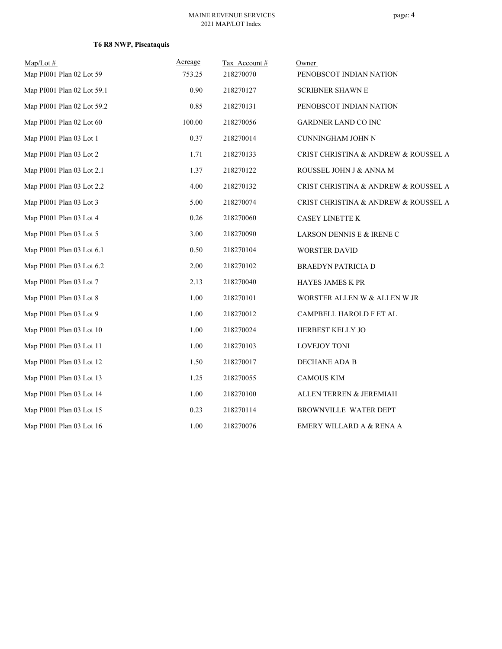# **T6 R8 NWP, Piscataquis**

| $Map/Lot \#$               | Acreage | Tax Account# | Owner                                |
|----------------------------|---------|--------------|--------------------------------------|
| Map PI001 Plan 02 Lot 59   | 753.25  | 218270070    | PENOBSCOT INDIAN NATION              |
| Map PI001 Plan 02 Lot 59.1 | 0.90    | 218270127    | <b>SCRIBNER SHAWN E</b>              |
| Map PI001 Plan 02 Lot 59.2 | 0.85    | 218270131    | PENOBSCOT INDIAN NATION              |
| Map PI001 Plan 02 Lot 60   | 100.00  | 218270056    | <b>GARDNER LAND CO INC</b>           |
| Map PI001 Plan 03 Lot 1    | 0.37    | 218270014    | CUNNINGHAM JOHN N                    |
| Map PI001 Plan 03 Lot 2    | 1.71    | 218270133    | CRIST CHRISTINA & ANDREW & ROUSSEL A |
| Map PI001 Plan 03 Lot 2.1  | 1.37    | 218270122    | ROUSSEL JOHN J & ANNA M              |
| Map PI001 Plan 03 Lot 2.2  | 4.00    | 218270132    | CRIST CHRISTINA & ANDREW & ROUSSEL A |
| Map PI001 Plan 03 Lot 3    | 5.00    | 218270074    | CRIST CHRISTINA & ANDREW & ROUSSEL A |
| Map PI001 Plan 03 Lot 4    | 0.26    | 218270060    | CASEY LINETTE K                      |
| Map PI001 Plan 03 Lot 5    | 3.00    | 218270090    | LARSON DENNIS E & IRENE C            |
| Map PI001 Plan 03 Lot 6.1  | 0.50    | 218270104    | <b>WORSTER DAVID</b>                 |
| Map PI001 Plan 03 Lot 6.2  | 2.00    | 218270102    | <b>BRAEDYN PATRICIA D</b>            |
| Map PI001 Plan 03 Lot 7    | 2.13    | 218270040    | HAYES JAMES K PR                     |
| Map PI001 Plan 03 Lot 8    | 1.00    | 218270101    | WORSTER ALLEN W & ALLEN W JR         |
| Map PI001 Plan 03 Lot 9    | 1.00    | 218270012    | CAMPBELL HAROLD F ET AL              |
| Map PI001 Plan 03 Lot 10   | 1.00    | 218270024    | HERBEST KELLY JO                     |
| Map PI001 Plan 03 Lot 11   | 1.00    | 218270103    | <b>LOVEJOY TONI</b>                  |
| Map PI001 Plan 03 Lot 12   | 1.50    | 218270017    | DECHANE ADA B                        |
| Map PI001 Plan 03 Lot 13   | 1.25    | 218270055    | <b>CAMOUS KIM</b>                    |
| Map PI001 Plan 03 Lot 14   | 1.00    | 218270100    | ALLEN TERREN & JEREMIAH              |
| Map PI001 Plan 03 Lot 15   | 0.23    | 218270114    | BROWNVILLE WATER DEPT                |
| Map PI001 Plan 03 Lot 16   | 1.00    | 218270076    | EMERY WILLARD A & RENA A             |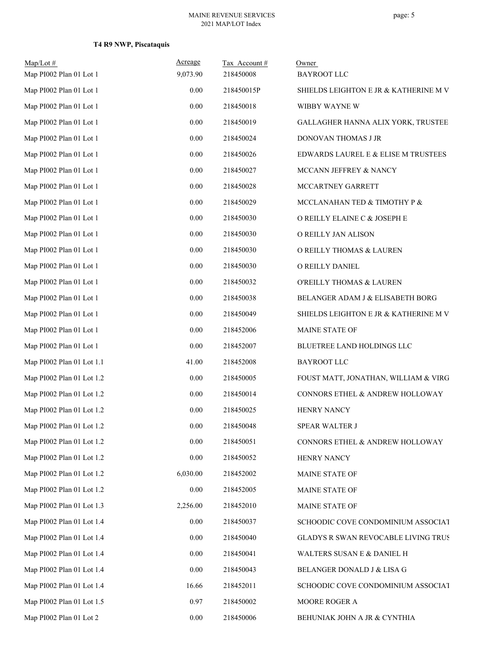# **T4 R9 NWP, Piscataquis**

| $Map/Lot$ #               | Acreage  | Tax Account# | Owner                                  |
|---------------------------|----------|--------------|----------------------------------------|
| Map PI002 Plan 01 Lot 1   | 9,073.90 | 218450008    | <b>BAYROOT LLC</b>                     |
| Map PI002 Plan 01 Lot 1   | 0.00     | 218450015P   | SHIELDS LEIGHTON E JR & KATHERINE M V. |
| Map PI002 Plan 01 Lot 1   | $0.00\,$ | 218450018    | WIBBY WAYNE W                          |
| Map PI002 Plan 01 Lot 1   | 0.00     | 218450019    | GALLAGHER HANNA ALIX YORK, TRUSTEE     |
| Map PI002 Plan 01 Lot 1   | 0.00     | 218450024    | DONOVAN THOMAS J JR                    |
| Map PI002 Plan 01 Lot 1   | $0.00\,$ | 218450026    | EDWARDS LAUREL E & ELISE M TRUSTEES    |
| Map PI002 Plan 01 Lot 1   | 0.00     | 218450027    | MCCANN JEFFREY & NANCY                 |
| Map PI002 Plan 01 Lot 1   | 0.00     | 218450028    | MCCARTNEY GARRETT                      |
| Map PI002 Plan 01 Lot 1   | 0.00     | 218450029    | MCCLANAHAN TED & TIMOTHY P &           |
| Map PI002 Plan 01 Lot 1   | 0.00     | 218450030    | O REILLY ELAINE C & JOSEPH E           |
| Map PI002 Plan 01 Lot 1   | $0.00\,$ | 218450030    | O REILLY JAN ALISON                    |
| Map PI002 Plan 01 Lot 1   | 0.00     | 218450030    | O REILLY THOMAS & LAUREN               |
| Map PI002 Plan 01 Lot 1   | 0.00     | 218450030    | O REILLY DANIEL                        |
| Map PI002 Plan 01 Lot 1   | $0.00\,$ | 218450032    | O'REILLY THOMAS & LAUREN               |
| Map PI002 Plan 01 Lot 1   | 0.00     | 218450038    | BELANGER ADAM J & ELISABETH BORG       |
| Map PI002 Plan 01 Lot 1   | 0.00     | 218450049    | SHIELDS LEIGHTON E JR & KATHERINE M V. |
| Map PI002 Plan 01 Lot 1   | 0.00     | 218452006    | MAINE STATE OF                         |
| Map PI002 Plan 01 Lot 1   | 0.00     | 218452007    | BLUETREE LAND HOLDINGS LLC             |
| Map PI002 Plan 01 Lot 1.1 | 41.00    | 218452008    | <b>BAYROOT LLC</b>                     |
| Map PI002 Plan 01 Lot 1.2 | 0.00     | 218450005    | FOUST MATT, JONATHAN, WILLIAM & VIRG   |
| Map PI002 Plan 01 Lot 1.2 | 0.00     | 218450014    | CONNORS ETHEL & ANDREW HOLLOWAY        |
| Map PI002 Plan 01 Lot 1.2 | $0.00\,$ | 218450025    | HENRY NANCY                            |
| Map PI002 Plan 01 Lot 1.2 | $0.00\,$ | 218450048    | SPEAR WALTER J                         |
| Map PI002 Plan 01 Lot 1.2 | 0.00     | 218450051    | CONNORS ETHEL & ANDREW HOLLOWAY        |
| Map PI002 Plan 01 Lot 1.2 | 0.00     | 218450052    | HENRY NANCY                            |
| Map PI002 Plan 01 Lot 1.2 | 6,030.00 | 218452002    | MAINE STATE OF                         |
| Map PI002 Plan 01 Lot 1.2 | 0.00     | 218452005    | MAINE STATE OF                         |
| Map PI002 Plan 01 Lot 1.3 | 2,256.00 | 218452010    | MAINE STATE OF                         |
| Map PI002 Plan 01 Lot 1.4 | 0.00     | 218450037    | SCHOODIC COVE CONDOMINIUM ASSOCIAT     |
| Map PI002 Plan 01 Lot 1.4 | 0.00     | 218450040    | GLADYS R SWAN REVOCABLE LIVING TRUS    |
| Map PI002 Plan 01 Lot 1.4 | 0.00     | 218450041    | WALTERS SUSAN E & DANIEL H             |
| Map PI002 Plan 01 Lot 1.4 | 0.00     | 218450043    | BELANGER DONALD J & LISA G             |
| Map PI002 Plan 01 Lot 1.4 | 16.66    | 218452011    | SCHOODIC COVE CONDOMINIUM ASSOCIAT     |
| Map PI002 Plan 01 Lot 1.5 | 0.97     | 218450002    | MOORE ROGER A                          |
| Map PI002 Plan 01 Lot 2   | $0.00\,$ | 218450006    | BEHUNIAK JOHN A JR & CYNTHIA           |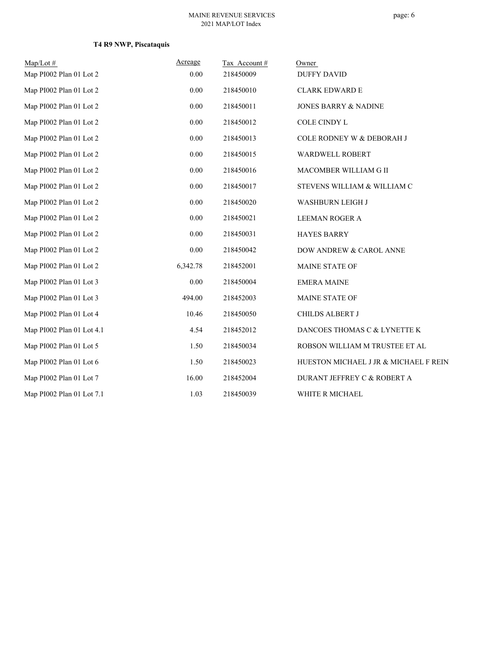# **T4 R9 NWP, Piscataquis**

| $Map/Lot \#$              | Acreage  | Tax Account # | Owner                                  |
|---------------------------|----------|---------------|----------------------------------------|
| Map PI002 Plan 01 Lot 2   | 0.00     | 218450009     | <b>DUFFY DAVID</b>                     |
| Map PI002 Plan 01 Lot 2   | $0.00\,$ | 218450010     | <b>CLARK EDWARD E</b>                  |
| Map PI002 Plan 01 Lot 2   | 0.00     | 218450011     | <b>JONES BARRY &amp; NADINE</b>        |
| Map PI002 Plan 01 Lot 2   | 0.00     | 218450012     | COLE CINDY L                           |
| Map PI002 Plan 01 Lot 2   | 0.00     | 218450013     | COLE RODNEY W & DEBORAH J              |
| Map PI002 Plan 01 Lot 2   | 0.00     | 218450015     | WARDWELL ROBERT                        |
| Map PI002 Plan 01 Lot 2   | $0.00\,$ | 218450016     | MACOMBER WILLIAM G II                  |
| Map PI002 Plan 01 Lot 2   | $0.00\,$ | 218450017     | STEVENS WILLIAM & WILLIAM C            |
| Map PI002 Plan 01 Lot 2   | 0.00     | 218450020     | WASHBURN LEIGH J                       |
| Map PI002 Plan 01 Lot 2   | 0.00     | 218450021     | <b>LEEMAN ROGER A</b>                  |
| Map PI002 Plan 01 Lot 2   | 0.00     | 218450031     | <b>HAYES BARRY</b>                     |
| Map PI002 Plan 01 Lot 2   | 0.00     | 218450042     | DOW ANDREW & CAROL ANNE                |
| Map PI002 Plan 01 Lot 2   | 6,342.78 | 218452001     | MAINE STATE OF                         |
| Map PI002 Plan 01 Lot 3   | 0.00     | 218450004     | <b>EMERA MAINE</b>                     |
| Map PI002 Plan 01 Lot 3   | 494.00   | 218452003     | MAINE STATE OF                         |
| Map PI002 Plan 01 Lot 4   | 10.46    | 218450050     | CHILDS ALBERT J                        |
| Map PI002 Plan 01 Lot 4.1 | 4.54     | 218452012     | DANCOES THOMAS C & LYNETTE K           |
| Map PI002 Plan 01 Lot 5   | 1.50     | 218450034     | ROBSON WILLIAM M TRUSTEE ET AL         |
| Map PI002 Plan 01 Lot 6   | 1.50     | 218450023     | HUESTON MICHAEL J JR & MICHAEL F REIN. |
| Map PI002 Plan 01 Lot 7   | 16.00    | 218452004     | DURANT JEFFREY C & ROBERT A            |
| Map PI002 Plan 01 Lot 7.1 | 1.03     | 218450039     | WHITE R MICHAEL                        |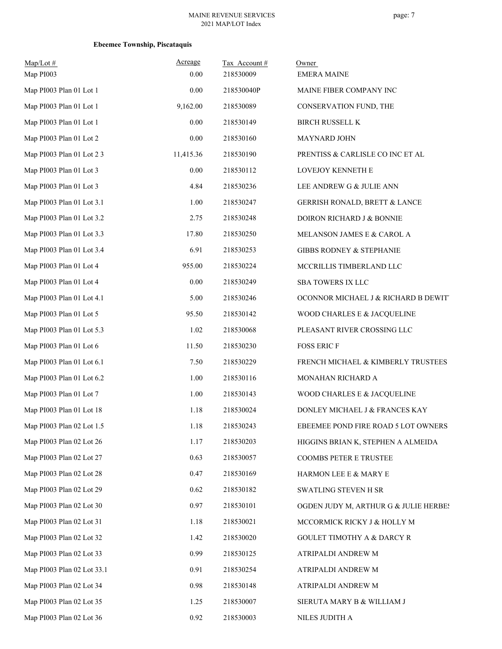| $Map/Lot$ #<br>Map PI003   | Acreage<br>0.00 | Tax Account#<br>218530009 | Owner<br><b>EMERA MAINE</b>           |
|----------------------------|-----------------|---------------------------|---------------------------------------|
| Map PI003 Plan 01 Lot 1    | 0.00            | 218530040P                | MAINE FIBER COMPANY INC               |
| Map PI003 Plan 01 Lot 1    | 9,162.00        | 218530089                 | CONSERVATION FUND, THE                |
| Map PI003 Plan 01 Lot 1    | 0.00            | 218530149                 | <b>BIRCH RUSSELL K</b>                |
| Map PI003 Plan 01 Lot 2    | $0.00\,$        | 218530160                 | <b>MAYNARD JOHN</b>                   |
| Map PI003 Plan 01 Lot 2 3  | 11,415.36       | 218530190                 | PRENTISS & CARLISLE CO INC ET AL      |
| Map PI003 Plan 01 Lot 3    | 0.00            | 218530112                 | LOVEJOY KENNETH E                     |
| Map PI003 Plan 01 Lot 3    | 4.84            | 218530236                 | LEE ANDREW G & JULIE ANN              |
| Map PI003 Plan 01 Lot 3.1  | 1.00            | 218530247                 | GERRISH RONALD, BRETT & LANCE         |
| Map PI003 Plan 01 Lot 3.2  | 2.75            | 218530248                 | DOIRON RICHARD J & BONNIE             |
| Map PI003 Plan 01 Lot 3.3  | 17.80           | 218530250                 | MELANSON JAMES E & CAROL A            |
| Map PI003 Plan 01 Lot 3.4  | 6.91            | 218530253                 | GIBBS RODNEY & STEPHANIE              |
| Map PI003 Plan 01 Lot 4    | 955.00          | 218530224                 | MCCRILLIS TIMBERLAND LLC              |
| Map PI003 Plan 01 Lot 4    | 0.00            | 218530249                 | SBA TOWERS IX LLC                     |
| Map PI003 Plan 01 Lot 4.1  | 5.00            | 218530246                 | OCONNOR MICHAEL J & RICHARD B DEWIT   |
| Map PI003 Plan 01 Lot 5    | 95.50           | 218530142                 | WOOD CHARLES E & JACQUELINE           |
| Map PI003 Plan 01 Lot 5.3  | 1.02            | 218530068                 | PLEASANT RIVER CROSSING LLC           |
| Map PI003 Plan 01 Lot 6    | 11.50           | 218530230                 | <b>FOSS ERIC F</b>                    |
| Map PI003 Plan 01 Lot 6.1  | 7.50            | 218530229                 | FRENCH MICHAEL & KIMBERLY TRUSTEES    |
| Map PI003 Plan 01 Lot 6.2  | 1.00            | 218530116                 | MONAHAN RICHARD A                     |
| Map PI003 Plan 01 Lot 7    | 1.00            | 218530143                 | WOOD CHARLES E & JACQUELINE           |
| Map PI003 Plan 01 Lot 18   | 1.18            | 218530024                 | DONLEY MICHAEL J & FRANCES KAY        |
| Map PI003 Plan 02 Lot 1.5  | 1.18            | 218530243                 | EBEEMEE POND FIRE ROAD 5 LOT OWNERS   |
| Map PI003 Plan 02 Lot 26   | 1.17            | 218530203                 | HIGGINS BRIAN K, STEPHEN A ALMEIDA    |
| Map PI003 Plan 02 Lot 27   | 0.63            | 218530057                 | COOMBS PETER E TRUSTEE                |
| Map PI003 Plan 02 Lot 28   | 0.47            | 218530169                 | HARMON LEE E & MARY E                 |
| Map PI003 Plan 02 Lot 29   | 0.62            | 218530182                 | SWATLING STEVEN H SR                  |
| Map PI003 Plan 02 Lot 30   | 0.97            | 218530101                 | OGDEN JUDY M, ARTHUR G & JULIE HERBES |
| Map PI003 Plan 02 Lot 31   | 1.18            | 218530021                 | MCCORMICK RICKY J & HOLLY M           |
| Map PI003 Plan 02 Lot 32   | 1.42            | 218530020                 | <b>GOULET TIMOTHY A &amp; DARCY R</b> |
| Map PI003 Plan 02 Lot 33   | 0.99            | 218530125                 | ATRIPALDI ANDREW M                    |
| Map PI003 Plan 02 Lot 33.1 | 0.91            | 218530254                 | ATRIPALDI ANDREW M                    |
| Map PI003 Plan 02 Lot 34   | 0.98            | 218530148                 | ATRIPALDI ANDREW M                    |
| Map PI003 Plan 02 Lot 35   | 1.25            | 218530007                 | SIERUTA MARY B & WILLIAM J            |
| Map PI003 Plan 02 Lot 36   | 0.92            | 218530003                 | NILES JUDITH A                        |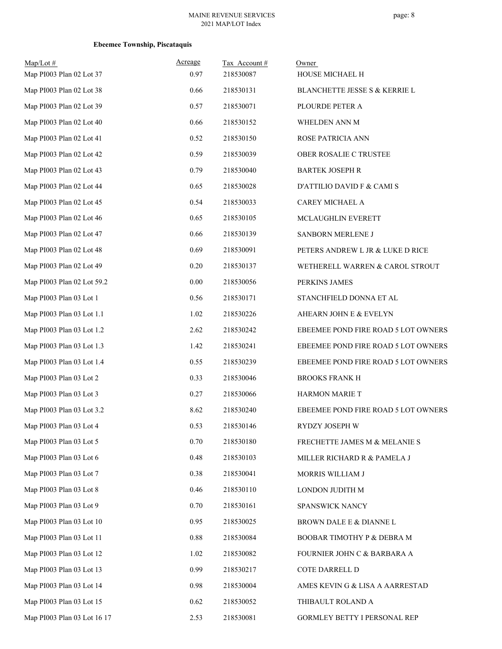| $Map/Lot$ #<br>Map PI003 Plan 02 Lot 37 | Acreage<br>0.97 | Tax Account#<br>218530087 | Owner<br>HOUSE MICHAEL H            |
|-----------------------------------------|-----------------|---------------------------|-------------------------------------|
| Map PI003 Plan 02 Lot 38                | 0.66            | 218530131                 | BLANCHETTE JESSE S & KERRIE L       |
| Map PI003 Plan 02 Lot 39                | 0.57            | 218530071                 | PLOURDE PETER A                     |
| Map PI003 Plan 02 Lot 40                | 0.66            | 218530152                 | WHELDEN ANN M                       |
| Map PI003 Plan 02 Lot 41                | 0.52            | 218530150                 | ROSE PATRICIA ANN                   |
| Map PI003 Plan 02 Lot 42                | 0.59            | 218530039                 | OBER ROSALIE C TRUSTEE              |
| Map PI003 Plan 02 Lot 43                | 0.79            | 218530040                 |                                     |
| Map PI003 Plan 02 Lot 44                | 0.65            | 218530028                 | <b>BARTEK JOSEPH R</b>              |
|                                         |                 |                           | D'ATTILIO DAVID F & CAMI S          |
| Map PI003 Plan 02 Lot 45                | 0.54            | 218530033                 | CAREY MICHAEL A                     |
| Map PI003 Plan 02 Lot 46                | 0.65            | 218530105                 | MCLAUGHLIN EVERETT                  |
| Map PI003 Plan 02 Lot 47                | 0.66            | 218530139                 | SANBORN MERLENE J                   |
| Map PI003 Plan 02 Lot 48                | 0.69            | 218530091                 | PETERS ANDREW L JR & LUKE D RICE    |
| Map PI003 Plan 02 Lot 49                | 0.20            | 218530137                 | WETHERELL WARREN & CAROL STROUT     |
| Map PI003 Plan 02 Lot 59.2              | $0.00\,$        | 218530056                 | PERKINS JAMES                       |
| Map PI003 Plan 03 Lot 1                 | 0.56            | 218530171                 | STANCHFIELD DONNA ET AL             |
| Map PI003 Plan 03 Lot 1.1               | 1.02            | 218530226                 | AHEARN JOHN E & EVELYN              |
| Map PI003 Plan 03 Lot 1.2               | 2.62            | 218530242                 | EBEEMEE POND FIRE ROAD 5 LOT OWNERS |
| Map PI003 Plan 03 Lot 1.3               | 1.42            | 218530241                 | EBEEMEE POND FIRE ROAD 5 LOT OWNERS |
| Map PI003 Plan 03 Lot 1.4               | 0.55            | 218530239                 | EBEEMEE POND FIRE ROAD 5 LOT OWNERS |
| Map PI003 Plan 03 Lot 2                 | 0.33            | 218530046                 | <b>BROOKS FRANK H</b>               |
| Map PI003 Plan 03 Lot 3                 | 0.27            | 218530066                 | HARMON MARIE T                      |
| Map PI003 Plan 03 Lot 3.2               | 8.62            | 218530240                 | EBEEMEE POND FIRE ROAD 5 LOT OWNERS |
| Map PI003 Plan 03 Lot 4                 | 0.53            | 218530146                 | RYDZY JOSEPH W                      |
| Map PI003 Plan 03 Lot 5                 | 0.70            | 218530180                 | FRECHETTE JAMES M & MELANIE S       |
| Map PI003 Plan 03 Lot 6                 | 0.48            | 218530103                 | MILLER RICHARD R & PAMELA J         |
| Map PI003 Plan 03 Lot 7                 | 0.38            | 218530041                 | MORRIS WILLIAM J                    |
| Map PI003 Plan 03 Lot 8                 | 0.46            | 218530110                 | LONDON JUDITH M                     |
| Map PI003 Plan 03 Lot 9                 | 0.70            | 218530161                 | SPANSWICK NANCY                     |
| Map PI003 Plan 03 Lot 10                | 0.95            | 218530025                 | BROWN DALE E & DIANNE L             |
| Map PI003 Plan 03 Lot 11                | 0.88            | 218530084                 | BOOBAR TIMOTHY P & DEBRA M          |
| Map PI003 Plan 03 Lot 12                | 1.02            | 218530082                 | FOURNIER JOHN C & BARBARA A         |
| Map PI003 Plan 03 Lot 13                | 0.99            | 218530217                 | COTE DARRELL D                      |
| Map PI003 Plan 03 Lot 14                | 0.98            | 218530004                 | AMES KEVIN G & LISA A AARRESTAD     |
| Map PI003 Plan 03 Lot 15                | 0.62            | 218530052                 | THIBAULT ROLAND A                   |
| Map PI003 Plan 03 Lot 16 17             | 2.53            | 218530081                 | GORMLEY BETTY I PERSONAL REP        |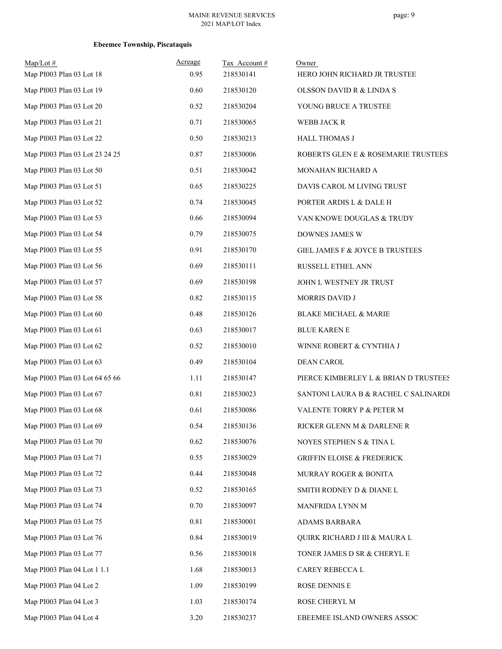| $Map/Lot \#$<br>Map PI003 Plan 03 Lot 18 | Acreage<br>0.95 | Tax Account#<br>218530141 | Owner<br>HERO JOHN RICHARD JR TRUSTEE |
|------------------------------------------|-----------------|---------------------------|---------------------------------------|
| Map PI003 Plan 03 Lot 19                 | 0.60            | 218530120                 | OLSSON DAVID R & LINDA S              |
| Map PI003 Plan 03 Lot 20                 | 0.52            | 218530204                 | YOUNG BRUCE A TRUSTEE                 |
| Map PI003 Plan 03 Lot 21                 | 0.71            | 218530065                 | WEBB JACK R                           |
| Map PI003 Plan 03 Lot 22                 | 0.50            | 218530213                 | <b>HALL THOMAS J</b>                  |
| Map PI003 Plan 03 Lot 23 24 25           | 0.87            | 218530006                 | ROBERTS GLEN E & ROSEMARIE TRUSTEES   |
| Map PI003 Plan 03 Lot 50                 | 0.51            | 218530042                 | MONAHAN RICHARD A                     |
| Map PI003 Plan 03 Lot 51                 | 0.65            | 218530225                 | DAVIS CAROL M LIVING TRUST            |
| Map PI003 Plan 03 Lot 52                 | 0.74            | 218530045                 | PORTER ARDIS L & DALE H               |
| Map PI003 Plan 03 Lot 53                 | 0.66            | 218530094                 | VAN KNOWE DOUGLAS & TRUDY             |
| Map PI003 Plan 03 Lot 54                 | 0.79            | 218530075                 | DOWNES JAMES W                        |
| Map PI003 Plan 03 Lot 55                 | 0.91            | 218530170                 | GIEL JAMES F & JOYCE B TRUSTEES       |
| Map PI003 Plan 03 Lot 56                 | 0.69            | 218530111                 | RUSSELL ETHEL ANN                     |
| Map PI003 Plan 03 Lot 57                 | 0.69            | 218530198                 | JOHN L WESTNEY JR TRUST               |
| Map PI003 Plan 03 Lot 58                 | 0.82            | 218530115                 | MORRIS DAVID J                        |
| Map PI003 Plan 03 Lot 60                 | 0.48            | 218530126                 | <b>BLAKE MICHAEL &amp; MARIE</b>      |
| Map PI003 Plan 03 Lot 61                 | 0.63            | 218530017                 | <b>BLUE KAREN E</b>                   |
| Map PI003 Plan 03 Lot 62                 | 0.52            | 218530010                 | WINNE ROBERT & CYNTHIA J              |
| Map PI003 Plan 03 Lot 63                 | 0.49            | 218530104                 | <b>DEAN CAROL</b>                     |
| Map PI003 Plan 03 Lot 64 65 66           | 1.11            | 218530147                 | PIERCE KIMBERLEY L & BRIAN D TRUSTEES |
| Map PI003 Plan 03 Lot 67                 | 0.81            | 218530023                 | SANTONI LAURA B & RACHEL C SALINARDI  |
| Map PI003 Plan 03 Lot 68                 | 0.61            | 218530086                 | VALENTE TORRY P & PETER M             |
| Map PI003 Plan 03 Lot 69                 | 0.54            | 218530136                 | RICKER GLENN M & DARLENE R            |
| Map PI003 Plan 03 Lot 70                 | 0.62            | 218530076                 | NOYES STEPHEN S & TINA L              |
| Map PI003 Plan 03 Lot 71                 | 0.55            | 218530029                 | <b>GRIFFIN ELOISE &amp; FREDERICK</b> |
| Map PI003 Plan 03 Lot 72                 | 0.44            | 218530048                 | MURRAY ROGER & BONITA                 |
| Map PI003 Plan 03 Lot 73                 | 0.52            | 218530165                 | SMITH RODNEY D & DIANE L              |
| Map PI003 Plan 03 Lot 74                 | 0.70            | 218530097                 | MANFRIDA LYNN M                       |
| Map PI003 Plan 03 Lot 75                 | 0.81            | 218530001                 | ADAMS BARBARA                         |
| Map PI003 Plan 03 Lot 76                 | 0.84            | 218530019                 | QUIRK RICHARD J III & MAURA L         |
| Map PI003 Plan 03 Lot 77                 | 0.56            | 218530018                 | TONER JAMES D SR & CHERYL E           |
| Map PI003 Plan 04 Lot 1 1.1              | 1.68            | 218530013                 | CAREY REBECCA L                       |
| Map PI003 Plan 04 Lot 2                  | 1.09            | 218530199                 | ROSE DENNIS E                         |
| Map PI003 Plan 04 Lot 3                  | 1.03            | 218530174                 | ROSE CHERYL M                         |
| Map PI003 Plan 04 Lot 4                  | 3.20            | 218530237                 | EBEEMEE ISLAND OWNERS ASSOC           |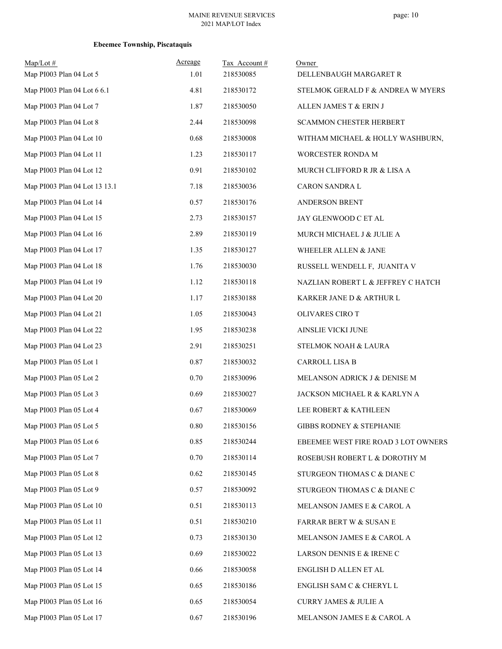| $Map/Lot$ #<br>Map PI003 Plan 04 Lot 5 | Acreage<br>1.01 | Tax Account#<br>218530085 | Owner<br>DELLENBAUGH MARGARET R     |
|----------------------------------------|-----------------|---------------------------|-------------------------------------|
| Map PI003 Plan 04 Lot 6 6.1            | 4.81            | 218530172                 | STELMOK GERALD F & ANDREA W MYERS   |
| Map PI003 Plan 04 Lot 7                | 1.87            | 218530050                 | ALLEN JAMES T & ERIN J              |
| Map PI003 Plan 04 Lot 8                | 2.44            | 218530098                 | <b>SCAMMON CHESTER HERBERT</b>      |
| Map PI003 Plan 04 Lot 10               | 0.68            | 218530008                 | WITHAM MICHAEL & HOLLY WASHBURN,    |
| Map PI003 Plan 04 Lot 11               | 1.23            | 218530117                 | WORCESTER RONDA M                   |
| Map PI003 Plan 04 Lot 12               | 0.91            | 218530102                 | MURCH CLIFFORD R JR & LISA A        |
| Map PI003 Plan 04 Lot 13 13.1          | 7.18            | 218530036                 | CARON SANDRA L                      |
| Map PI003 Plan 04 Lot 14               | 0.57            | 218530176                 | ANDERSON BRENT                      |
| Map PI003 Plan 04 Lot 15               | 2.73            | 218530157                 | JAY GLENWOOD C ET AL                |
| Map PI003 Plan 04 Lot 16               | 2.89            | 218530119                 | MURCH MICHAEL J & JULIE A           |
| Map PI003 Plan 04 Lot 17               | 1.35            | 218530127                 | WHEELER ALLEN & JANE                |
| Map PI003 Plan 04 Lot 18               | 1.76            | 218530030                 | RUSSELL WENDELL F, JUANITA V        |
| Map PI003 Plan 04 Lot 19               | 1.12            | 218530118                 | NAZLIAN ROBERT L & JEFFREY C HATCH  |
| Map PI003 Plan 04 Lot 20               | 1.17            | 218530188                 | KARKER JANE D & ARTHUR L            |
| Map PI003 Plan 04 Lot 21               | 1.05            | 218530043                 | OLIVARES CIRO T                     |
| Map PI003 Plan 04 Lot 22               | 1.95            | 218530238                 | AINSLIE VICKI JUNE                  |
| Map PI003 Plan 04 Lot 23               | 2.91            | 218530251                 | STELMOK NOAH & LAURA                |
| Map PI003 Plan 05 Lot 1                | 0.87            | 218530032                 | CARROLL LISA B                      |
| Map PI003 Plan 05 Lot 2                | 0.70            | 218530096                 | MELANSON ADRICK J & DENISE M        |
| Map PI003 Plan 05 Lot 3                | 0.69            | 218530027                 | JACKSON MICHAEL R & KARLYN A        |
| Map PI003 Plan 05 Lot 4                | 0.67            | 218530069                 | LEE ROBERT & KATHLEEN               |
| Map PI003 Plan 05 Lot 5                | $0.80\,$        | 218530156                 | <b>GIBBS RODNEY &amp; STEPHANIE</b> |
| Map PI003 Plan 05 Lot 6                | 0.85            | 218530244                 | EBEEMEE WEST FIRE ROAD 3 LOT OWNERS |
| Map PI003 Plan 05 Lot 7                | 0.70            | 218530114                 | ROSEBUSH ROBERT L & DOROTHY M       |
| Map PI003 Plan 05 Lot 8                | 0.62            | 218530145                 | STURGEON THOMAS C & DIANE C         |
| Map PI003 Plan 05 Lot 9                | 0.57            | 218530092                 | STURGEON THOMAS C & DIANE C         |
| Map PI003 Plan 05 Lot 10               | 0.51            | 218530113                 | MELANSON JAMES E & CAROL A          |
| Map PI003 Plan 05 Lot 11               | 0.51            | 218530210                 | <b>FARRAR BERT W &amp; SUSAN E</b>  |
| Map PI003 Plan 05 Lot 12               | 0.73            | 218530130                 | MELANSON JAMES E & CAROL A          |
| Map PI003 Plan 05 Lot 13               | 0.69            | 218530022                 | LARSON DENNIS E & IRENE C           |
| Map PI003 Plan 05 Lot 14               | 0.66            | 218530058                 | ENGLISH D ALLEN ET AL               |
| Map PI003 Plan 05 Lot 15               | 0.65            | 218530186                 | ENGLISH SAM C & CHERYL L            |
| Map PI003 Plan 05 Lot 16               | 0.65            | 218530054                 | <b>CURRY JAMES &amp; JULIE A</b>    |
| Map PI003 Plan 05 Lot 17               | 0.67            | 218530196                 | MELANSON JAMES E & CAROL A          |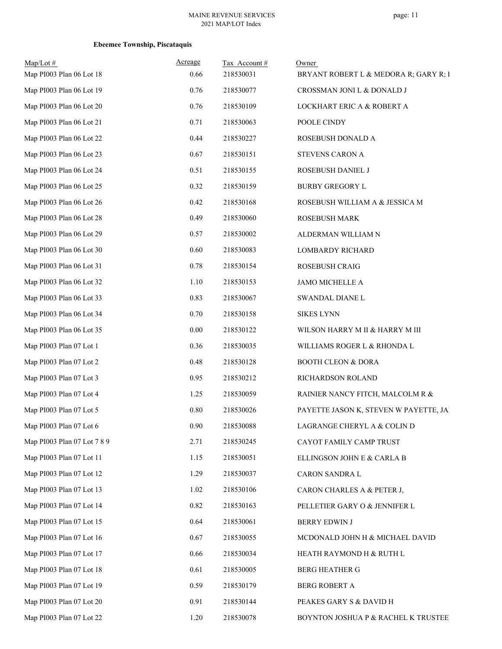| Map/Lot#<br>Map PI003 Plan 06 Lot 18 | Acreage<br>0.66 | Tax Account#<br>218530031 | Owner<br>BRYANT ROBERT L & MEDORA R; GARY R; I |
|--------------------------------------|-----------------|---------------------------|------------------------------------------------|
| Map PI003 Plan 06 Lot 19             | 0.76            | 218530077                 | CROSSMAN JONI L & DONALD J                     |
| Map PI003 Plan 06 Lot 20             | 0.76            | 218530109                 | LOCKHART ERIC A & ROBERT A                     |
| Map PI003 Plan 06 Lot 21             | 0.71            | 218530063                 | POOLE CINDY                                    |
| Map PI003 Plan 06 Lot 22             | 0.44            | 218530227                 | ROSEBUSH DONALD A                              |
| Map PI003 Plan 06 Lot 23             | 0.67            | 218530151                 | STEVENS CARON A                                |
| Map PI003 Plan 06 Lot 24             | 0.51            | 218530155                 | ROSEBUSH DANIEL J                              |
| Map PI003 Plan 06 Lot 25             | 0.32            | 218530159                 | <b>BURBY GREGORY L</b>                         |
| Map PI003 Plan 06 Lot 26             | 0.42            | 218530168                 | ROSEBUSH WILLIAM A & JESSICA M                 |
| Map PI003 Plan 06 Lot 28             | 0.49            | 218530060                 | <b>ROSEBUSH MARK</b>                           |
| Map PI003 Plan 06 Lot 29             | 0.57            | 218530002                 | ALDERMAN WILLIAM N                             |
| Map PI003 Plan 06 Lot 30             | 0.60            | 218530083                 | <b>LOMBARDY RICHARD</b>                        |
| Map PI003 Plan 06 Lot 31             | 0.78            | 218530154                 | ROSEBUSH CRAIG                                 |
| Map PI003 Plan 06 Lot 32             | 1.10            | 218530153                 | <b>JAMO MICHELLE A</b>                         |
| Map PI003 Plan 06 Lot 33             | 0.83            | 218530067                 | SWANDAL DIANE L                                |
| Map PI003 Plan 06 Lot 34             | 0.70            | 218530158                 | <b>SIKES LYNN</b>                              |
| Map PI003 Plan 06 Lot 35             | 0.00            | 218530122                 | WILSON HARRY M II & HARRY M III                |
| Map PI003 Plan 07 Lot 1              | 0.36            | 218530035                 | WILLIAMS ROGER L & RHONDA L                    |
| Map PI003 Plan 07 Lot 2              | 0.48            | 218530128                 | <b>BOOTH CLEON &amp; DORA</b>                  |
| Map PI003 Plan 07 Lot 3              | 0.95            | 218530212                 | RICHARDSON ROLAND                              |
| Map PI003 Plan 07 Lot 4              | 1.25            | 218530059                 | RAINIER NANCY FITCH, MALCOLM R &               |
| Map PI003 Plan 07 Lot 5              | 0.80            | 218530026                 | PAYETTE JASON K, STEVEN W PAYETTE, JAI         |
| Map PI003 Plan 07 Lot 6              | 0.90            | 218530088                 | LAGRANGE CHERYL A & COLIN D                    |
| Map PI003 Plan 07 Lot 7 8 9          | 2.71            | 218530245                 | CAYOT FAMILY CAMP TRUST                        |
| Map PI003 Plan 07 Lot 11             | 1.15            | 218530051                 | ELLINGSON JOHN E & CARLA B                     |
| Map PI003 Plan 07 Lot 12             | 1.29            | 218530037                 | CARON SANDRA L                                 |
| Map PI003 Plan 07 Lot 13             | 1.02            | 218530106                 | CARON CHARLES A & PETER J,                     |
| Map PI003 Plan 07 Lot 14             | 0.82            | 218530163                 | PELLETIER GARY O & JENNIFER L                  |
| Map PI003 Plan 07 Lot 15             | 0.64            | 218530061                 | <b>BERRY EDWIN J</b>                           |
| Map PI003 Plan 07 Lot 16             | 0.67            | 218530055                 | MCDONALD JOHN H & MICHAEL DAVID                |
| Map PI003 Plan 07 Lot 17             | 0.66            | 218530034                 | HEATH RAYMOND H & RUTH L                       |
| Map PI003 Plan 07 Lot 18             | 0.61            | 218530005                 | <b>BERG HEATHER G</b>                          |
| Map PI003 Plan 07 Lot 19             | 0.59            | 218530179                 | <b>BERG ROBERT A</b>                           |
| Map PI003 Plan 07 Lot 20             | 0.91            | 218530144                 | PEAKES GARY S & DAVID H                        |
| Map PI003 Plan 07 Lot 22             | 1.20            | 218530078                 | BOYNTON JOSHUA P & RACHEL K TRUSTEE            |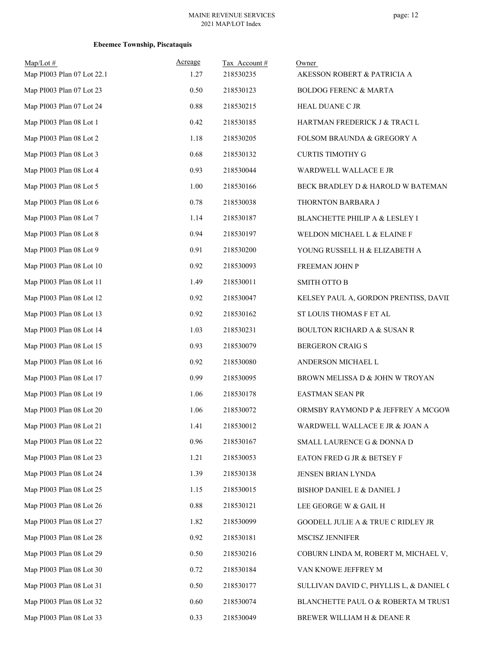| Map/Lot#<br>Map PI003 Plan 07 Lot 22.1 | Acreage<br>1.27 | Tax Account#<br>218530235 | Owner<br>AKESSON ROBERT & PATRICIA A    |
|----------------------------------------|-----------------|---------------------------|-----------------------------------------|
| Map PI003 Plan 07 Lot 23               | 0.50            | 218530123                 | <b>BOLDOG FERENC &amp; MARTA</b>        |
| Map PI003 Plan 07 Lot 24               | 0.88            | 218530215                 | HEAL DUANE C JR                         |
| Map PI003 Plan 08 Lot 1                | 0.42            | 218530185                 | HARTMAN FREDERICK J & TRACI L           |
| Map PI003 Plan 08 Lot 2                | 1.18            | 218530205                 | FOLSOM BRAUNDA & GREGORY A              |
| Map PI003 Plan 08 Lot 3                | 0.68            | 218530132                 | <b>CURTIS TIMOTHY G</b>                 |
| Map PI003 Plan 08 Lot 4                | 0.93            | 218530044                 | WARDWELL WALLACE E JR                   |
| Map PI003 Plan 08 Lot 5                | 1.00            | 218530166                 | BECK BRADLEY D & HAROLD W BATEMAN       |
| Map PI003 Plan 08 Lot 6                | 0.78            | 218530038                 | THORNTON BARBARA J                      |
| Map PI003 Plan 08 Lot 7                | 1.14            | 218530187                 | BLANCHETTE PHILIP A & LESLEY I          |
| Map PI003 Plan 08 Lot 8                | 0.94            | 218530197                 | WELDON MICHAEL L & ELAINE F             |
| Map PI003 Plan 08 Lot 9                | 0.91            | 218530200                 | YOUNG RUSSELL H & ELIZABETH A           |
| Map PI003 Plan 08 Lot 10               | 0.92            | 218530093                 | FREEMAN JOHN P                          |
| Map PI003 Plan 08 Lot 11               | 1.49            | 218530011                 | <b>SMITH OTTO B</b>                     |
| Map PI003 Plan 08 Lot 12               | 0.92            | 218530047                 | KELSEY PAUL A, GORDON PRENTISS, DAVII   |
| Map PI003 Plan 08 Lot 13               | 0.92            | 218530162                 | ST LOUIS THOMAS F ET AL                 |
| Map PI003 Plan 08 Lot 14               | 1.03            | 218530231                 | <b>BOULTON RICHARD A &amp; SUSAN R</b>  |
| Map PI003 Plan 08 Lot 15               | 0.93            | 218530079                 | BERGERON CRAIG S                        |
| Map PI003 Plan 08 Lot 16               | 0.92            | 218530080                 | ANDERSON MICHAEL L                      |
| Map PI003 Plan 08 Lot 17               | 0.99            | 218530095                 | BROWN MELISSA D & JOHN W TROYAN         |
| Map PI003 Plan 08 Lot 19               | 1.06            | 218530178                 | <b>EASTMAN SEAN PR</b>                  |
| Map PI003 Plan 08 Lot 20               | 1.06            | 218530072                 | ORMSBY RAYMOND P & JEFFREY A MCGOW      |
| Map PI003 Plan 08 Lot 21               | 1.41            | 218530012                 | WARDWELL WALLACE E JR & JOAN A          |
| Map PI003 Plan 08 Lot 22               | 0.96            | 218530167                 | SMALL LAURENCE G & DONNA D              |
| Map PI003 Plan 08 Lot 23               | 1.21            | 218530053                 | EATON FRED G JR & BETSEY F              |
| Map PI003 Plan 08 Lot 24               | 1.39            | 218530138                 | JENSEN BRIAN LYNDA                      |
| Map PI003 Plan 08 Lot 25               | 1.15            | 218530015                 | BISHOP DANIEL E & DANIEL J              |
| Map PI003 Plan 08 Lot 26               | 0.88            | 218530121                 | LEE GEORGE W & GAIL H                   |
| Map PI003 Plan 08 Lot 27               | 1.82            | 218530099                 | GOODELL JULIE A & TRUE C RIDLEY JR      |
| Map PI003 Plan 08 Lot 28               | 0.92            | 218530181                 | MSCISZ JENNIFER                         |
| Map PI003 Plan 08 Lot 29               | 0.50            | 218530216                 | COBURN LINDA M, ROBERT M, MICHAEL V,    |
| Map PI003 Plan 08 Lot 30               | 0.72            | 218530184                 | VAN KNOWE JEFFREY M                     |
| Map PI003 Plan 08 Lot 31               | 0.50            | 218530177                 | SULLIVAN DAVID C, PHYLLIS L, & DANIEL ( |
| Map PI003 Plan 08 Lot 32               | 0.60            | 218530074                 | BLANCHETTE PAUL O & ROBERTA M TRUST     |
| Map PI003 Plan 08 Lot 33               | 0.33            | 218530049                 | BREWER WILLIAM H & DEANE R              |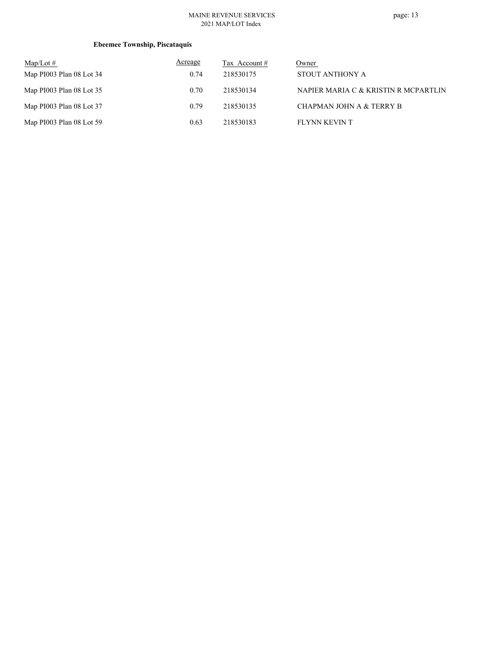#### MAINE REVENUE SERVICES 2021 MAP/LOT Index

page: 13

| $Map/Lot \#$             | Acreage | Tax Account # | Owner                                |
|--------------------------|---------|---------------|--------------------------------------|
| Map PI003 Plan 08 Lot 34 | 0.74    | 218530175     | STOUT ANTHONY A                      |
| Map PI003 Plan 08 Lot 35 | 0.70    | 218530134     | NAPIER MARIA C & KRISTIN R MCPARTLIN |
| Map PI003 Plan 08 Lot 37 | 0.79    | 218530135     | CHAPMAN JOHN A & TERRY B             |
| Map PI003 Plan 08 Lot 59 | 0.63    | 218530183     | FLYNN KEVIN T                        |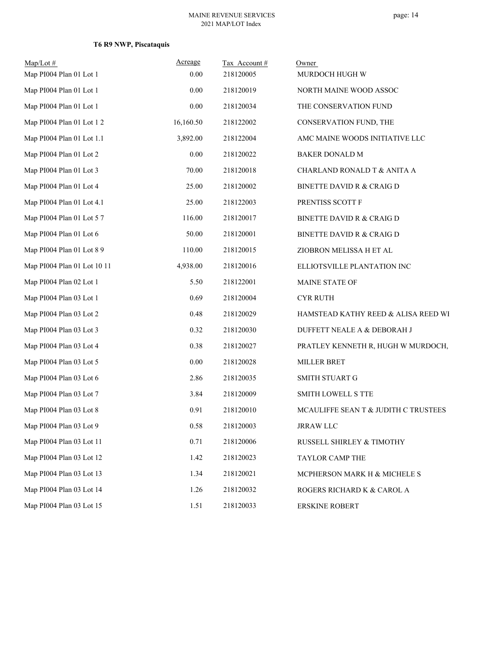# **T6 R9 NWP, Piscataquis**

| $Map/Lot \#$<br>Map PI004 Plan 01 Lot 1 | Acreage<br>0.00 | Tax Account#<br>218120005 | Owner<br>MURDOCH HUGH W              |
|-----------------------------------------|-----------------|---------------------------|--------------------------------------|
|                                         |                 |                           |                                      |
| Map PI004 Plan 01 Lot 1                 | 0.00            | 218120019                 | NORTH MAINE WOOD ASSOC               |
| Map PI004 Plan 01 Lot 1                 | 0.00            | 218120034                 | THE CONSERVATION FUND                |
| Map PI004 Plan 01 Lot 1 2               | 16,160.50       | 218122002                 | CONSERVATION FUND, THE               |
| Map PI004 Plan 01 Lot 1.1               | 3,892.00        | 218122004                 | AMC MAINE WOODS INITIATIVE LLC       |
| Map PI004 Plan 01 Lot 2                 | $0.00\,$        | 218120022                 | BAKER DONALD M                       |
| Map PI004 Plan 01 Lot 3                 | 70.00           | 218120018                 | CHARLAND RONALD T & ANITA A          |
| Map PI004 Plan 01 Lot 4                 | 25.00           | 218120002                 | BINETTE DAVID R & CRAIG D            |
| Map PI004 Plan 01 Lot 4.1               | 25.00           | 218122003                 | PRENTISS SCOTT F                     |
| Map PI004 Plan 01 Lot 57                | 116.00          | 218120017                 | <b>BINETTE DAVID R &amp; CRAIG D</b> |
| Map PI004 Plan 01 Lot 6                 | 50.00           | 218120001                 | BINETTE DAVID R & CRAIG D            |
| Map PI004 Plan 01 Lot 8 9               | 110.00          | 218120015                 | ZIOBRON MELISSA H ET AL              |
| Map PI004 Plan 01 Lot 10 11             | 4,938.00        | 218120016                 | ELLIOTSVILLE PLANTATION INC          |
| Map PI004 Plan 02 Lot 1                 | 5.50            | 218122001                 | MAINE STATE OF                       |
| Map PI004 Plan 03 Lot 1                 | 0.69            | 218120004                 | <b>CYR RUTH</b>                      |
| Map PI004 Plan 03 Lot 2                 | 0.48            | 218120029                 | HAMSTEAD KATHY REED & ALISA REED WI  |
| Map PI004 Plan 03 Lot 3                 | 0.32            | 218120030                 | DUFFETT NEALE A & DEBORAH J          |
| Map PI004 Plan 03 Lot 4                 | 0.38            | 218120027                 | PRATLEY KENNETH R, HUGH W MURDOCH,   |
| Map PI004 Plan 03 Lot 5                 | 0.00            | 218120028                 | MILLER BRET                          |
| Map PI004 Plan 03 Lot 6                 | 2.86            | 218120035                 | SMITH STUART G                       |
| Map PI004 Plan 03 Lot 7                 | 3.84            | 218120009                 | <b>SMITH LOWELL S TTE</b>            |
| Map PI004 Plan 03 Lot 8                 | 0.91            | 218120010                 | MCAULIFFE SEAN T & JUDITH C TRUSTEES |
| Map PI004 Plan 03 Lot 9                 | 0.58            | 218120003                 | JRRAW LLC                            |
| Map PI004 Plan 03 Lot 11                | 0.71            | 218120006                 | RUSSELL SHIRLEY & TIMOTHY            |
| Map PI004 Plan 03 Lot 12                | 1.42            | 218120023                 | TAYLOR CAMP THE                      |
| Map PI004 Plan 03 Lot 13                | 1.34            | 218120021                 | MCPHERSON MARK H & MICHELE S         |
| Map PI004 Plan 03 Lot 14                | 1.26            | 218120032                 | ROGERS RICHARD K & CAROL A           |
| Map PI004 Plan 03 Lot 15                | 1.51            | 218120033                 | <b>ERSKINE ROBERT</b>                |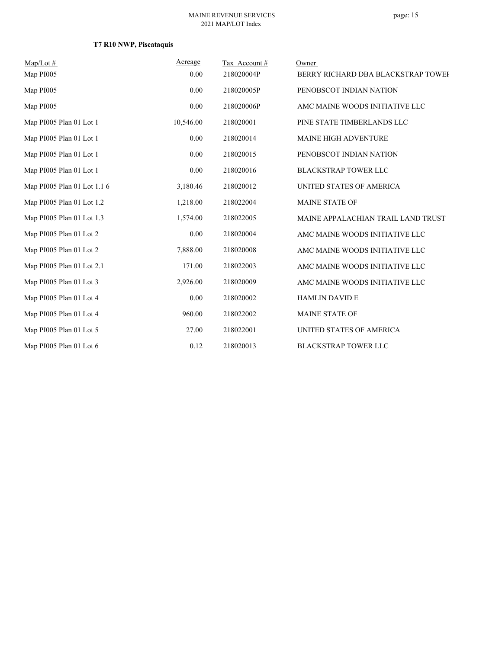# **T7 R10 NWP, Piscataquis**

| $Map/Lot \#$                | Acreage   | Tax Account# | Owner                              |
|-----------------------------|-----------|--------------|------------------------------------|
| Map PI005                   | 0.00      | 218020004P   | BERRY RICHARD DBA BLACKSTRAP TOWEF |
| Map PI005                   | 0.00      | 218020005P   | PENOBSCOT INDIAN NATION            |
| Map PI005                   | 0.00      | 218020006P   | AMC MAINE WOODS INITIATIVE LLC     |
| Map PI005 Plan 01 Lot 1     | 10,546.00 | 218020001    | PINE STATE TIMBERLANDS LLC         |
| Map PI005 Plan 01 Lot 1     | 0.00      | 218020014    | MAINE HIGH ADVENTURE               |
| Map PI005 Plan 01 Lot 1     | 0.00      | 218020015    | PENOBSCOT INDIAN NATION            |
| Map PI005 Plan 01 Lot 1     | 0.00      | 218020016    | <b>BLACKSTRAP TOWER LLC</b>        |
| Map PI005 Plan 01 Lot 1.1 6 | 3,180.46  | 218020012    | UNITED STATES OF AMERICA           |
| Map PI005 Plan 01 Lot 1.2   | 1,218.00  | 218022004    | <b>MAINE STATE OF</b>              |
| Map PI005 Plan 01 Lot 1.3   | 1,574.00  | 218022005    | MAINE APPALACHIAN TRAIL LAND TRUST |
| Map PI005 Plan 01 Lot 2     | 0.00      | 218020004    | AMC MAINE WOODS INITIATIVE LLC     |
| Map PI005 Plan 01 Lot 2     | 7,888.00  | 218020008    | AMC MAINE WOODS INITIATIVE LLC     |
| Map PI005 Plan 01 Lot 2.1   | 171.00    | 218022003    | AMC MAINE WOODS INITIATIVE LLC     |
| Map PI005 Plan 01 Lot 3     | 2,926.00  | 218020009    | AMC MAINE WOODS INITIATIVE LLC     |
| Map PI005 Plan 01 Lot 4     | 0.00      | 218020002    | <b>HAMLIN DAVID E</b>              |
| Map PI005 Plan 01 Lot 4     | 960.00    | 218022002    | <b>MAINE STATE OF</b>              |
| Map PI005 Plan 01 Lot 5     | 27.00     | 218022001    | UNITED STATES OF AMERICA           |
| Map PI005 Plan 01 Lot 6     | 0.12      | 218020013    | <b>BLACKSTRAP TOWER LLC</b>        |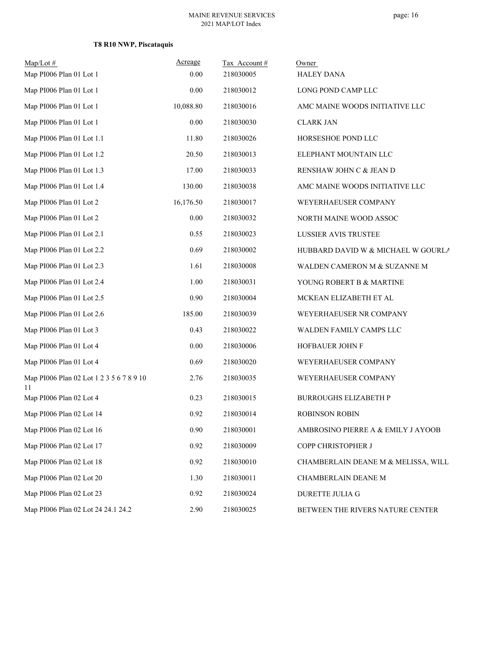# **T8 R10 NWP, Piscataquis**

| $Map/Lot \#$                                   | Acreage   | Tax Account# | Owner                               |
|------------------------------------------------|-----------|--------------|-------------------------------------|
| Map PI006 Plan 01 Lot 1                        | 0.00      | 218030005    | <b>HALEY DANA</b>                   |
| Map PI006 Plan 01 Lot 1                        | 0.00      | 218030012    | LONG POND CAMP LLC                  |
| Map PI006 Plan 01 Lot 1                        | 10,088.80 | 218030016    | AMC MAINE WOODS INITIATIVE LLC      |
| Map PI006 Plan 01 Lot 1                        | 0.00      | 218030030    | <b>CLARK JAN</b>                    |
| Map PI006 Plan 01 Lot 1.1                      | 11.80     | 218030026    | HORSESHOE POND LLC                  |
| Map PI006 Plan 01 Lot 1.2                      | 20.50     | 218030013    | ELEPHANT MOUNTAIN LLC               |
| Map PI006 Plan 01 Lot 1.3                      | 17.00     | 218030033    | RENSHAW JOHN C & JEAN D             |
| Map PI006 Plan 01 Lot 1.4                      | 130.00    | 218030038    | AMC MAINE WOODS INITIATIVE LLC      |
| Map PI006 Plan 01 Lot 2                        | 16,176.50 | 218030017    | WEYERHAEUSER COMPANY                |
| Map PI006 Plan 01 Lot 2                        | $0.00\,$  | 218030032    | NORTH MAINE WOOD ASSOC              |
| Map PI006 Plan 01 Lot 2.1                      | 0.55      | 218030023    | LUSSIER AVIS TRUSTEE                |
| Map PI006 Plan 01 Lot 2.2                      | 0.69      | 218030002    | HUBBARD DAVID W & MICHAEL W GOURLA  |
| Map PI006 Plan 01 Lot 2.3                      | 1.61      | 218030008    | WALDEN CAMERON M & SUZANNE M        |
| Map PI006 Plan 01 Lot 2.4                      | 1.00      | 218030031    | YOUNG ROBERT B & MARTINE            |
| Map PI006 Plan 01 Lot 2.5                      | 0.90      | 218030004    | MCKEAN ELIZABETH ET AL              |
| Map PI006 Plan 01 Lot 2.6                      | 185.00    | 218030039    | WEYERHAEUSER NR COMPANY             |
| Map PI006 Plan 01 Lot 3                        | 0.43      | 218030022    | WALDEN FAMILY CAMPS LLC             |
| Map PI006 Plan 01 Lot 4                        | 0.00      | 218030006    | HOFBAUER JOHN F                     |
| Map PI006 Plan 01 Lot 4                        | 0.69      | 218030020    | WEYERHAEUSER COMPANY                |
| Map PI006 Plan 02 Lot 1 2 3 5 6 7 8 9 10<br>11 | 2.76      | 218030035    | WEYERHAEUSER COMPANY                |
| Map PI006 Plan 02 Lot 4                        | 0.23      | 218030015    | <b>BURROUGHS ELIZABETH P</b>        |
| Map PI006 Plan 02 Lot 14                       | 0.92      | 218030014    | <b>ROBINSON ROBIN</b>               |
| Map PI006 Plan 02 Lot 16                       | 0.90      | 218030001    | AMBROSINO PIERRE A & EMILY J AYOOB  |
| Map PI006 Plan 02 Lot 17                       | 0.92      | 218030009    | COPP CHRISTOPHER J                  |
| Map PI006 Plan 02 Lot 18                       | 0.92      | 218030010    | CHAMBERLAIN DEANE M & MELISSA, WILL |
| Map PI006 Plan 02 Lot 20                       | 1.30      | 218030011    | CHAMBERLAIN DEANE M                 |
| Map PI006 Plan 02 Lot 23                       | 0.92      | 218030024    | DURETTE JULIA G                     |
| Map PI006 Plan 02 Lot 24 24.1 24.2             | 2.90      | 218030025    | BETWEEN THE RIVERS NATURE CENTER    |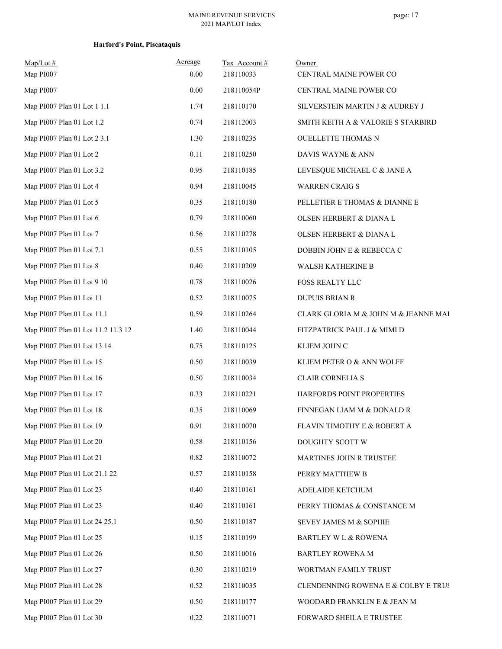| $Map/Lot \#$<br>Map PI007          | Acreage<br>0.00 | Tax Account#<br>218110033 | Owner<br>CENTRAL MAINE POWER CO      |
|------------------------------------|-----------------|---------------------------|--------------------------------------|
| Map PI007                          | $0.00\,$        | 218110054P                | CENTRAL MAINE POWER CO               |
| Map PI007 Plan 01 Lot 1 1.1        | 1.74            | 218110170                 | SILVERSTEIN MARTIN J & AUDREY J      |
| Map PI007 Plan 01 Lot 1.2          | 0.74            | 218112003                 | SMITH KEITH A & VALORIE S STARBIRD   |
| Map PI007 Plan 01 Lot 2 3.1        | 1.30            | 218110235                 | <b>OUELLETTE THOMAS N</b>            |
| Map PI007 Plan 01 Lot 2            | 0.11            | 218110250                 | DAVIS WAYNE & ANN                    |
| Map PI007 Plan 01 Lot 3.2          | 0.95            | 218110185                 | LEVESQUE MICHAEL C & JANE A          |
| Map PI007 Plan 01 Lot 4            | 0.94            | 218110045                 | <b>WARREN CRAIG S</b>                |
| Map PI007 Plan 01 Lot 5            | 0.35            | 218110180                 | PELLETIER E THOMAS & DIANNE E        |
| Map PI007 Plan 01 Lot 6            | 0.79            | 218110060                 | OLSEN HERBERT & DIANA L              |
| Map PI007 Plan 01 Lot 7            | 0.56            | 218110278                 | OLSEN HERBERT & DIANA L              |
| Map PI007 Plan 01 Lot 7.1          | 0.55            | 218110105                 | DOBBIN JOHN E & REBECCA C            |
| Map PI007 Plan 01 Lot 8            | 0.40            | 218110209                 | WALSH KATHERINE B                    |
| Map PI007 Plan 01 Lot 9 10         | 0.78            | 218110026                 | FOSS REALTY LLC                      |
| Map PI007 Plan 01 Lot 11           | 0.52            | 218110075                 | <b>DUPUIS BRIAN R</b>                |
| Map PI007 Plan 01 Lot 11.1         | 0.59            | 218110264                 | CLARK GLORIA M & JOHN M & JEANNE MAI |
| Map PI007 Plan 01 Lot 11.2 11.3 12 | 1.40            | 218110044                 | FITZPATRICK PAUL J & MIMI D          |
| Map PI007 Plan 01 Lot 13 14        | 0.75            | 218110125                 | KLIEM JOHN C                         |
| Map PI007 Plan 01 Lot 15           | 0.50            | 218110039                 | KLIEM PETER O & ANN WOLFF            |
| Map PI007 Plan 01 Lot 16           | 0.50            | 218110034                 | CLAIR CORNELIA S                     |
| Map PI007 Plan 01 Lot 17           | 0.33            | 218110221                 | HARFORDS POINT PROPERTIES            |
| Map PI007 Plan 01 Lot 18           | 0.35            | 218110069                 | FINNEGAN LIAM M & DONALD R           |
| Map PI007 Plan 01 Lot 19           | 0.91            | 218110070                 | FLAVIN TIMOTHY E & ROBERT A          |
| Map PI007 Plan 01 Lot 20           | 0.58            | 218110156                 | DOUGHTY SCOTT W                      |
| Map PI007 Plan 01 Lot 21           | 0.82            | 218110072                 | MARTINES JOHN R TRUSTEE              |
| Map PI007 Plan 01 Lot 21.1 22      | 0.57            | 218110158                 | PERRY MATTHEW B                      |
| Map PI007 Plan 01 Lot 23           | 0.40            | 218110161                 | ADELAIDE KETCHUM                     |
| Map PI007 Plan 01 Lot 23           | 0.40            | 218110161                 | PERRY THOMAS & CONSTANCE M           |
| Map PI007 Plan 01 Lot 24 25.1      | 0.50            | 218110187                 | SEVEY JAMES M & SOPHIE               |
| Map PI007 Plan 01 Lot 25           | 0.15            | 218110199                 | BARTLEY W L & ROWENA                 |
| Map PI007 Plan 01 Lot 26           | 0.50            | 218110016                 | <b>BARTLEY ROWENA M</b>              |
| Map PI007 Plan 01 Lot 27           | 0.30            | 218110219                 | WORTMAN FAMILY TRUST                 |
| Map PI007 Plan 01 Lot 28           | 0.52            | 218110035                 | CLENDENNING ROWENA E & COLBY E TRUS  |
| Map PI007 Plan 01 Lot 29           | 0.50            | 218110177                 | WOODARD FRANKLIN E & JEAN M          |
| Map PI007 Plan 01 Lot 30           | 0.22            | 218110071                 | FORWARD SHEILA E TRUSTEE             |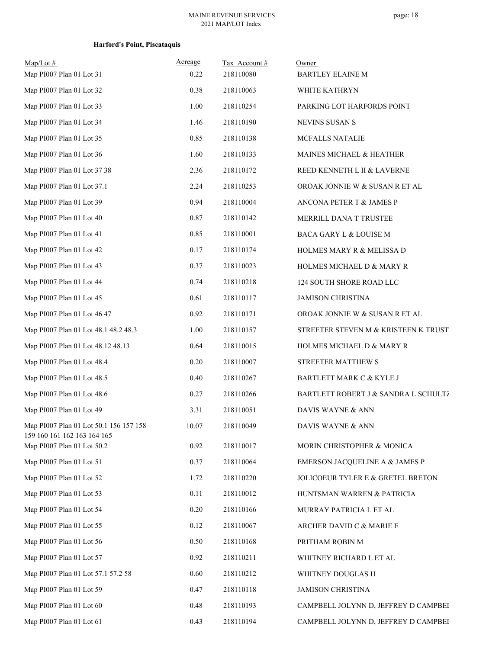| $Map/Lot \#$                                                          | Acreage  | Tax Account# | Owner                                |
|-----------------------------------------------------------------------|----------|--------------|--------------------------------------|
| Map PI007 Plan 01 Lot 31                                              | 0.22     | 218110080    | <b>BARTLEY ELAINE M</b>              |
| Map PI007 Plan 01 Lot 32                                              | $0.38\,$ | 218110063    | WHITE KATHRYN                        |
| Map PI007 Plan 01 Lot 33                                              | 1.00     | 218110254    | PARKING LOT HARFORDS POINT           |
| Map PI007 Plan 01 Lot 34                                              | 1.46     | 218110190    | <b>NEVINS SUSAN S</b>                |
| Map PI007 Plan 01 Lot 35                                              | 0.85     | 218110138    | MCFALLS NATALIE                      |
| Map PI007 Plan 01 Lot 36                                              | 1.60     | 218110133    | MAINES MICHAEL & HEATHER             |
| Map PI007 Plan 01 Lot 37 38                                           | 2.36     | 218110172    | REED KENNETH L II & LAVERNE          |
| Map PI007 Plan 01 Lot 37.1                                            | 2.24     | 218110253    | OROAK JONNIE W & SUSAN R ET AL       |
| Map PI007 Plan 01 Lot 39                                              | 0.94     | 218110004    | ANCONA PETER T & JAMES P             |
| Map PI007 Plan 01 Lot 40                                              | 0.87     | 218110142    | MERRILL DANA T TRUSTEE               |
| Map PI007 Plan 01 Lot 41                                              | 0.85     | 218110001    | BACA GARY L & LOUISE M               |
| Map PI007 Plan 01 Lot 42                                              | 0.17     | 218110174    | HOLMES MARY R & MELISSA D            |
| Map PI007 Plan 01 Lot 43                                              | 0.37     | 218110023    | HOLMES MICHAEL D & MARY R            |
| Map PI007 Plan 01 Lot 44                                              | 0.74     | 218110218    | 124 SOUTH SHORE ROAD LLC             |
| Map PI007 Plan 01 Lot 45                                              | 0.61     | 218110117    | <b>JAMISON CHRISTINA</b>             |
| Map PI007 Plan 01 Lot 46 47                                           | 0.92     | 218110171    | OROAK JONNIE W & SUSAN R ET AL       |
| Map PI007 Plan 01 Lot 48.1 48.2 48.3                                  | 1.00     | 218110157    | STREETER STEVEN M & KRISTEEN K TRUST |
| Map PI007 Plan 01 Lot 48.12 48.13                                     | 0.64     | 218110015    | HOLMES MICHAEL D & MARY R            |
| Map PI007 Plan 01 Lot 48.4                                            | 0.20     | 218110007    | STREETER MATTHEW S                   |
| Map PI007 Plan 01 Lot 48.5                                            | 0.40     | 218110267    | BARTLETT MARK C & KYLE J             |
| Map PI007 Plan 01 Lot 48.6                                            | 0.27     | 218110266    | BARTLETT ROBERT J & SANDRA L SCHULTZ |
| Map PI007 Plan 01 Lot 49                                              | 3.31     | 218110051    | DAVIS WAYNE & ANN                    |
| Map PI007 Plan 01 Lot 50.1 156 157 158<br>159 160 161 162 163 164 165 | 10.07    | 218110049    | DAVIS WAYNE & ANN                    |
| Map PI007 Plan 01 Lot 50.2                                            | 0.92     | 218110017    | MORIN CHRISTOPHER & MONICA           |
| Map PI007 Plan 01 Lot 51                                              | 0.37     | 218110064    | EMERSON JACQUELINE A & JAMES P       |
| Map PI007 Plan 01 Lot 52                                              | 1.72     | 218110220    | JOLICOEUR TYLER E & GRETEL BRETON    |
| Map PI007 Plan 01 Lot 53                                              | 0.11     | 218110012    | HUNTSMAN WARREN & PATRICIA           |
| Map PI007 Plan 01 Lot 54                                              | 0.20     | 218110166    | MURRAY PATRICIA L ET AL              |
| Map PI007 Plan 01 Lot 55                                              | 0.12     | 218110067    | ARCHER DAVID C & MARIE E             |
| Map PI007 Plan 01 Lot 56                                              | 0.50     | 218110168    | PRITHAM ROBIN M                      |
| Map PI007 Plan 01 Lot 57                                              | 0.92     | 218110211    | WHITNEY RICHARD L ET AL              |
| Map PI007 Plan 01 Lot 57.1 57.2 58                                    | 0.60     | 218110212    | WHITNEY DOUGLAS H                    |
| Map PI007 Plan 01 Lot 59                                              | 0.47     | 218110118    | <b>JAMISON CHRISTINA</b>             |
| Map PI007 Plan 01 Lot 60                                              | 0.48     | 218110193    | CAMPBELL JOLYNN D, JEFFREY D CAMPBEI |
| Map PI007 Plan 01 Lot 61                                              | 0.43     | 218110194    | CAMPBELL JOLYNN D, JEFFREY D CAMPBEI |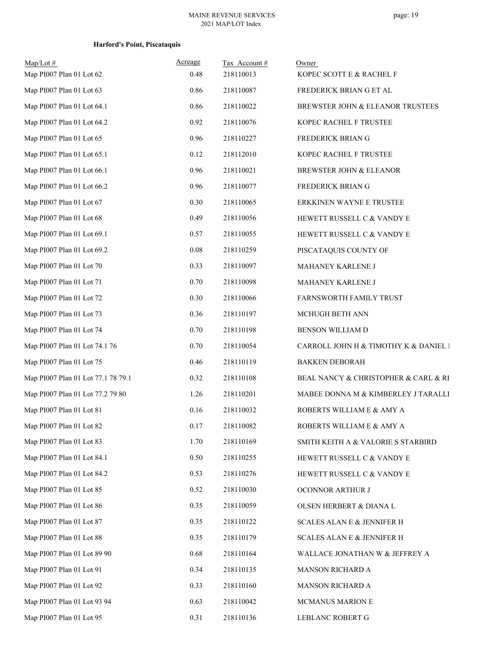| $Map/Lot \#$<br>Map PI007 Plan 01 Lot 62 | Acreage<br>0.48 | Tax Account#<br>218110013 | Owner<br>KOPEC SCOTT E & RACHEL F     |
|------------------------------------------|-----------------|---------------------------|---------------------------------------|
| Map PI007 Plan 01 Lot 63                 | 0.86            | 218110087                 | FREDERICK BRIAN G ET AL               |
| Map PI007 Plan 01 Lot 64.1               | 0.86            | 218110022                 | BREWSTER JOHN & ELEANOR TRUSTEES      |
| Map PI007 Plan 01 Lot 64.2               | 0.92            | 218110076                 | KOPEC RACHEL F TRUSTEE                |
| Map PI007 Plan 01 Lot 65                 | 0.96            | 218110227                 | FREDERICK BRIAN G                     |
| Map PI007 Plan 01 Lot 65.1               | 0.12            | 218112010                 | KOPEC RACHEL F TRUSTEE                |
| Map PI007 Plan 01 Lot 66.1               | 0.96            | 218110021                 | BREWSTER JOHN & ELEANOR               |
| Map PI007 Plan 01 Lot 66.2               | 0.96            | 218110077                 |                                       |
| Map PI007 Plan 01 Lot 67                 |                 |                           | FREDERICK BRIAN G                     |
|                                          | 0.30            | 218110065                 | ERKKINEN WAYNE E TRUSTEE              |
| Map PI007 Plan 01 Lot 68                 | 0.49            | 218110056                 | HEWETT RUSSELL C & VANDY E            |
| Map PI007 Plan 01 Lot 69.1               | 0.57            | 218110055                 | HEWETT RUSSELL C & VANDY E            |
| Map PI007 Plan 01 Lot 69.2               | 0.08            | 218110259                 | PISCATAQUIS COUNTY OF                 |
| Map PI007 Plan 01 Lot 70                 | 0.33            | 218110097                 | MAHANEY KARLENE J                     |
| Map PI007 Plan 01 Lot 71                 | 0.70            | 218110098                 | MAHANEY KARLENE J                     |
| Map PI007 Plan 01 Lot 72                 | 0.30            | 218110066                 | FARNSWORTH FAMILY TRUST               |
| Map PI007 Plan 01 Lot 73                 | 0.36            | 218110197                 | MCHUGH BETH ANN                       |
| Map PI007 Plan 01 Lot 74                 | 0.70            | 218110198                 | BENSON WILLIAM D                      |
| Map PI007 Plan 01 Lot 74.1 76            | 0.70            | 218110054                 | CARROLL JOHN H & TIMOTHY K & DANIEL I |
| Map PI007 Plan 01 Lot 75                 | 0.46            | 218110119                 | <b>BAKKEN DEBORAH</b>                 |
| Map PI007 Plan 01 Lot 77.1 78 79.1       | 0.32            | 218110108                 | BEAL NANCY & CHRISTOPHER & CARL & RI  |
| Map PI007 Plan 01 Lot 77.2 79 80         | 1.26            | 218110201                 | MABEE DONNA M & KIMBERLEY J TARALLI   |
| Map PI007 Plan 01 Lot 81                 | 0.16            | 218110032                 | ROBERTS WILLIAM E & AMY A             |
| Map PI007 Plan 01 Lot 82                 | 0.17            | 218110082                 | ROBERTS WILLIAM E & AMY A             |
| Map PI007 Plan 01 Lot 83                 | 1.70            | 218110169                 | SMITH KEITH A & VALORIE S STARBIRD    |
| Map PI007 Plan 01 Lot 84.1               | 0.50            | 218110255                 | HEWETT RUSSELL C & VANDY E            |
| Map PI007 Plan 01 Lot 84.2               | 0.53            | 218110276                 | HEWETT RUSSELL C & VANDY E            |
| Map PI007 Plan 01 Lot 85                 | 0.52            | 218110030                 | OCONNOR ARTHUR J                      |
| Map PI007 Plan 01 Lot 86                 | 0.35            | 218110059                 | OLSEN HERBERT & DIANA L               |
| Map PI007 Plan 01 Lot 87                 | 0.35            | 218110122                 | <b>SCALES ALAN E &amp; JENNIFER H</b> |
| Map PI007 Plan 01 Lot 88                 | 0.35            | 218110179                 | SCALES ALAN E & JENNIFER H            |
| Map PI007 Plan 01 Lot 89 90              | 0.68            | 218110164                 | WALLACE JONATHAN W & JEFFREY A        |
| Map PI007 Plan 01 Lot 91                 | 0.34            | 218110135                 | MANSON RICHARD A                      |
| Map PI007 Plan 01 Lot 92                 | 0.33            | 218110160                 | MANSON RICHARD A                      |
| Map PI007 Plan 01 Lot 93 94              | 0.63            | 218110042                 | MCMANUS MARION E                      |
| Map PI007 Plan 01 Lot 95                 | 0.31            | 218110136                 | LEBLANC ROBERT G                      |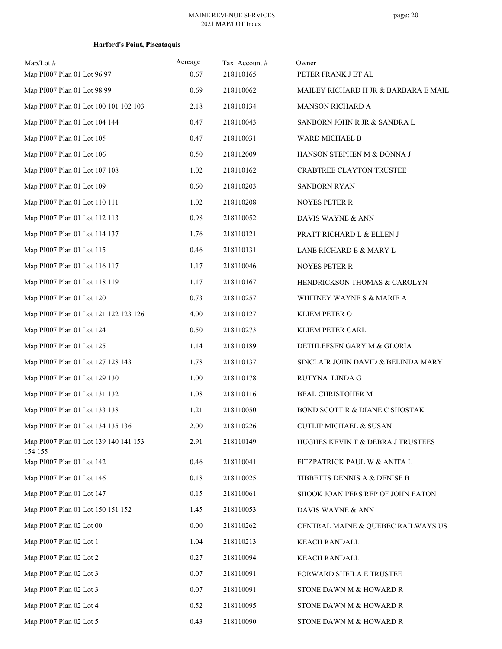| $Map/Lot$ #                                      | Acreage | Tax Account# | Owner                                |
|--------------------------------------------------|---------|--------------|--------------------------------------|
| Map PI007 Plan 01 Lot 96 97                      | 0.67    | 218110165    | PETER FRANK J ET AL                  |
| Map PI007 Plan 01 Lot 98 99                      | 0.69    | 218110062    | MAILEY RICHARD H JR & BARBARA E MAIL |
| Map PI007 Plan 01 Lot 100 101 102 103            | 2.18    | 218110134    | MANSON RICHARD A                     |
| Map PI007 Plan 01 Lot 104 144                    | 0.47    | 218110043    | SANBORN JOHN R JR & SANDRA L         |
| Map PI007 Plan 01 Lot 105                        | 0.47    | 218110031    | WARD MICHAEL B                       |
| Map PI007 Plan 01 Lot 106                        | 0.50    | 218112009    | HANSON STEPHEN M & DONNA J           |
| Map PI007 Plan 01 Lot 107 108                    | 1.02    | 218110162    | <b>CRABTREE CLAYTON TRUSTEE</b>      |
| Map PI007 Plan 01 Lot 109                        | 0.60    | 218110203    | <b>SANBORN RYAN</b>                  |
| Map PI007 Plan 01 Lot 110 111                    | 1.02    | 218110208    | <b>NOYES PETER R</b>                 |
| Map PI007 Plan 01 Lot 112 113                    | 0.98    | 218110052    | DAVIS WAYNE & ANN                    |
| Map PI007 Plan 01 Lot 114 137                    | 1.76    | 218110121    | PRATT RICHARD L & ELLEN J            |
| Map PI007 Plan 01 Lot 115                        | 0.46    | 218110131    | LANE RICHARD E & MARY L              |
| Map PI007 Plan 01 Lot 116 117                    | 1.17    | 218110046    | <b>NOYES PETER R</b>                 |
| Map PI007 Plan 01 Lot 118 119                    | 1.17    | 218110167    | HENDRICKSON THOMAS & CAROLYN         |
| Map PI007 Plan 01 Lot 120                        | 0.73    | 218110257    | WHITNEY WAYNE S & MARIE A            |
| Map PI007 Plan 01 Lot 121 122 123 126            | 4.00    | 218110127    | KLIEM PETER O                        |
| Map PI007 Plan 01 Lot 124                        | 0.50    | 218110273    | KLIEM PETER CARL                     |
| Map PI007 Plan 01 Lot 125                        | 1.14    | 218110189    | DETHLEFSEN GARY M & GLORIA           |
| Map PI007 Plan 01 Lot 127 128 143                | 1.78    | 218110137    | SINCLAIR JOHN DAVID & BELINDA MARY   |
| Map PI007 Plan 01 Lot 129 130                    | 1.00    | 218110178    | RUTYNA LINDA G                       |
| Map PI007 Plan 01 Lot 131 132                    | 1.08    | 218110116    | BEAL CHRISTOHER M                    |
| Map PI007 Plan 01 Lot 133 138                    | 1.21    | 218110050    | BOND SCOTT R & DIANE C SHOSTAK       |
| Map PI007 Plan 01 Lot 134 135 136                | 2.00    | 218110226    | CUTLIP MICHAEL & SUSAN               |
| Map PI007 Plan 01 Lot 139 140 141 153<br>154 155 | 2.91    | 218110149    | HUGHES KEVIN T & DEBRA J TRUSTEES    |
| Map PI007 Plan 01 Lot 142                        | 0.46    | 218110041    | FITZPATRICK PAUL W & ANITA L         |
| Map PI007 Plan 01 Lot 146                        | 0.18    | 218110025    | TIBBETTS DENNIS A & DENISE B         |
| Map PI007 Plan 01 Lot 147                        | 0.15    | 218110061    | SHOOK JOAN PERS REP OF JOHN EATON    |
| Map PI007 Plan 01 Lot 150 151 152                | 1.45    | 218110053    | DAVIS WAYNE & ANN                    |
| Map PI007 Plan 02 Lot 00                         | 0.00    | 218110262    | CENTRAL MAINE & QUEBEC RAILWAYS US   |
| Map PI007 Plan 02 Lot 1                          | 1.04    | 218110213    | KEACH RANDALL                        |
| Map PI007 Plan 02 Lot 2                          | 0.27    | 218110094    | <b>KEACH RANDALL</b>                 |
| Map PI007 Plan 02 Lot 3                          | 0.07    | 218110091    | FORWARD SHEILA E TRUSTEE             |
| Map PI007 Plan 02 Lot 3                          | 0.07    | 218110091    | STONE DAWN M & HOWARD R              |
| Map PI007 Plan 02 Lot 4                          | 0.52    | 218110095    | STONE DAWN M & HOWARD R              |
| Map PI007 Plan 02 Lot 5                          | 0.43    | 218110090    | STONE DAWN M & HOWARD R              |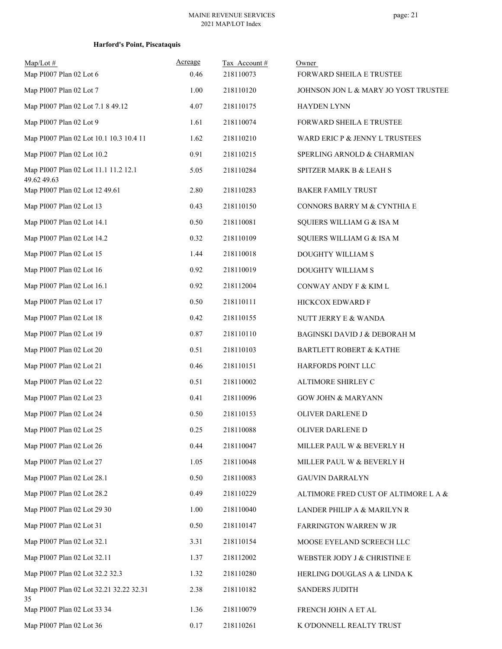| $Map/Lot$ #<br>Map PI007 Plan 02 Lot 6              | Acreage<br>0.46 | Tax Account#<br>218110073 | Owner<br>FORWARD SHEILA E TRUSTEE     |
|-----------------------------------------------------|-----------------|---------------------------|---------------------------------------|
| Map PI007 Plan 02 Lot 7                             | 1.00            | 218110120                 | JOHNSON JON L & MARY JO YOST TRUSTEE: |
| Map PI007 Plan 02 Lot 7.1 8 49.12                   | 4.07            | 218110175                 | HAYDEN LYNN                           |
| Map PI007 Plan 02 Lot 9                             | 1.61            | 218110074                 | FORWARD SHEILA E TRUSTEE              |
| Map PI007 Plan 02 Lot 10.1 10.3 10.4 11             | 1.62            | 218110210                 | WARD ERIC P & JENNY L TRUSTEES        |
| Map PI007 Plan 02 Lot 10.2                          | 0.91            | 218110215                 | SPERLING ARNOLD & CHARMIAN            |
| Map PI007 Plan 02 Lot 11.1 11.2 12.1<br>49.62 49.63 | 5.05            | 218110284                 | SPITZER MARK B & LEAH S               |
| Map PI007 Plan 02 Lot 12 49.61                      | 2.80            | 218110283                 | <b>BAKER FAMILY TRUST</b>             |
| Map PI007 Plan 02 Lot 13                            | 0.43            | 218110150                 | CONNORS BARRY M & CYNTHIA E           |
| Map PI007 Plan 02 Lot 14.1                          | 0.50            | 218110081                 | SQUIERS WILLIAM G & ISA M             |
| Map PI007 Plan 02 Lot 14.2                          | 0.32            | 218110109                 | SQUIERS WILLIAM G & ISA M             |
| Map PI007 Plan 02 Lot 15                            | 1.44            | 218110018                 | DOUGHTY WILLIAM S                     |
| Map PI007 Plan 02 Lot 16                            | 0.92            | 218110019                 | DOUGHTY WILLIAM S                     |
| Map PI007 Plan 02 Lot 16.1                          | 0.92            | 218112004                 | CONWAY ANDY F & KIM L                 |
| Map PI007 Plan 02 Lot 17                            | 0.50            | 218110111                 | HICKCOX EDWARD F                      |
| Map PI007 Plan 02 Lot 18                            | 0.42            | 218110155                 | NUTT JERRY E & WANDA                  |
| Map PI007 Plan 02 Lot 19                            | 0.87            | 218110110                 | BAGINSKI DAVID J & DEBORAH M          |
| Map PI007 Plan 02 Lot 20                            | 0.51            | 218110103                 | <b>BARTLETT ROBERT &amp; KATHE</b>    |
| Map PI007 Plan 02 Lot 21                            | 0.46            | 218110151                 | HARFORDS POINT LLC                    |
| Map PI007 Plan 02 Lot 22                            | 0.51            | 218110002                 | ALTIMORE SHIRLEY C                    |
| Map PI007 Plan 02 Lot 23                            | 0.41            | 218110096                 | <b>GOW JOHN &amp; MARYANN</b>         |
| Map PI007 Plan 02 Lot 24                            | 0.50            | 218110153                 | OLIVER DARLENE D                      |
| Map PI007 Plan 02 Lot 25                            | 0.25            | 218110088                 | OLIVER DARLENE D                      |
| Map PI007 Plan 02 Lot 26                            | 0.44            | 218110047                 | MILLER PAUL W & BEVERLY H             |
| Map PI007 Plan 02 Lot 27                            | 1.05            | 218110048                 | MILLER PAUL W & BEVERLY H             |
| Map PI007 Plan 02 Lot 28.1                          | 0.50            | 218110083                 | <b>GAUVIN DARRALYN</b>                |
| Map PI007 Plan 02 Lot 28.2                          | 0.49            | 218110229                 | ALTIMORE FRED CUST OF ALTIMORE L A &  |
| Map PI007 Plan 02 Lot 29 30                         | 1.00            | 218110040                 | LANDER PHILIP A & MARILYN R           |
| Map PI007 Plan 02 Lot 31                            | 0.50            | 218110147                 | FARRINGTON WARREN W JR                |
| Map PI007 Plan 02 Lot 32.1                          | 3.31            | 218110154                 | MOOSE EYELAND SCREECH LLC             |
| Map PI007 Plan 02 Lot 32.11                         | 1.37            | 218112002                 | WEBSTER JODY J & CHRISTINE E          |
| Map PI007 Plan 02 Lot 32.2 32.3                     | 1.32            | 218110280                 | HERLING DOUGLAS A & LINDA K           |
| Map PI007 Plan 02 Lot 32.21 32.22 32.31<br>35       | 2.38            | 218110182                 | <b>SANDERS JUDITH</b>                 |
| Map PI007 Plan 02 Lot 33 34                         | 1.36            | 218110079                 | FRENCH JOHN A ET AL                   |
| Map PI007 Plan 02 Lot 36                            | $0.17\,$        | 218110261                 | K O'DONNELL REALTY TRUST              |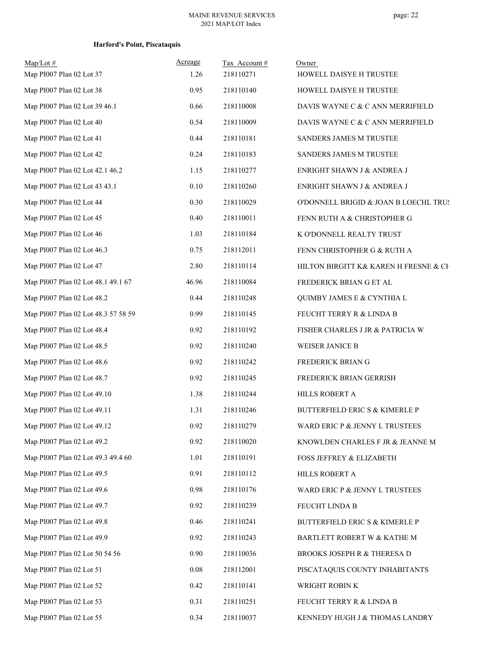| $Map/Lot$ #<br>Map PI007 Plan 02 Lot 37 | Acreage<br>1.26 | Tax Account#<br>218110271 | Owner<br>HOWELL DAISYE H TRUSTEE          |
|-----------------------------------------|-----------------|---------------------------|-------------------------------------------|
| Map PI007 Plan 02 Lot 38                | 0.95            | 218110140                 | HOWELL DAISYE H TRUSTEE                   |
| Map PI007 Plan 02 Lot 39 46.1           | 0.66            | 218110008                 | DAVIS WAYNE C & C ANN MERRIFIELD          |
| Map PI007 Plan 02 Lot 40                | 0.54            | 218110009                 | DAVIS WAYNE C & C ANN MERRIFIELD          |
| Map PI007 Plan 02 Lot 41                | 0.44            | 218110181                 | SANDERS JAMES M TRUSTEE                   |
| Map PI007 Plan 02 Lot 42                | 0.24            | 218110183                 | SANDERS JAMES M TRUSTEE                   |
| Map PI007 Plan 02 Lot 42.1 46.2         | 1.15            | 218110277                 | ENRIGHT SHAWN J & ANDREA J                |
| Map PI007 Plan 02 Lot 43 43.1           | 0.10            | 218110260                 | ENRIGHT SHAWN J & ANDREA J                |
| Map PI007 Plan 02 Lot 44                | 0.30            | 218110029                 | O'DONNELL BRIGID & JOAN B LOECHL TRUS     |
| Map PI007 Plan 02 Lot 45                | 0.40            | 218110011                 | FENN RUTH A & CHRISTOPHER G               |
| Map PI007 Plan 02 Lot 46                | 1.03            | 218110184                 | K O'DONNELL REALTY TRUST                  |
| Map PI007 Plan 02 Lot 46.3              | 0.75            | 218112011                 | FENN CHRISTOPHER G & RUTH A               |
| Map PI007 Plan 02 Lot 47                | 2.80            | 218110114                 | HILTON BIRGITT K& KAREN H FRESNE & CE     |
| Map PI007 Plan 02 Lot 48.1 49.1 67      | 46.96           | 218110084                 | FREDERICK BRIAN G ET AL                   |
| Map PI007 Plan 02 Lot 48.2              | 0.44            | 218110248                 | QUIMBY JAMES E & CYNTHIA L                |
| Map PI007 Plan 02 Lot 48.3 57 58 59     | 0.99            | 218110145                 | FEUCHT TERRY R & LINDA B                  |
| Map PI007 Plan 02 Lot 48.4              | 0.92            | 218110192                 | FISHER CHARLES J JR & PATRICIA W          |
| Map PI007 Plan 02 Lot 48.5              | 0.92            | 218110240                 | WEISER JANICE B                           |
| Map PI007 Plan 02 Lot 48.6              | 0.92            | 218110242                 | FREDERICK BRIAN G                         |
| Map PI007 Plan 02 Lot 48.7              | 0.92            | 218110245                 | FREDERICK BRIAN GERRISH                   |
| Map PI007 Plan 02 Lot 49.10             | 1.38            | 218110244                 | HILLS ROBERT A                            |
| Map PI007 Plan 02 Lot 49.11             | 1.31            | 218110246                 | <b>BUTTERFIELD ERIC S &amp; KIMERLE P</b> |
| Map PI007 Plan 02 Lot 49.12             | 0.92            | 218110279                 | WARD ERIC P & JENNY L TRUSTEES            |
| Map PI007 Plan 02 Lot 49.2              | 0.92            | 218110020                 | KNOWLDEN CHARLES F JR & JEANNE M          |
| Map PI007 Plan 02 Lot 49.3 49.4 60      | 1.01            | 218110191                 | FOSS JEFFREY & ELIZABETH                  |
| Map PI007 Plan 02 Lot 49.5              | 0.91            | 218110112                 | HILLS ROBERT A                            |
| Map PI007 Plan 02 Lot 49.6              | 0.98            | 218110176                 | WARD ERIC P & JENNY L TRUSTEES            |
| Map PI007 Plan 02 Lot 49.7              | 0.92            | 218110239                 | FEUCHT LINDA B                            |
| Map PI007 Plan 02 Lot 49.8              | 0.46            | 218110241                 | BUTTERFIELD ERIC S & KIMERLE P            |
| Map PI007 Plan 02 Lot 49.9              | 0.92            | 218110243                 | BARTLETT ROBERT W & KATHE M               |
| Map PI007 Plan 02 Lot 50 54 56          | 0.90            | 218110036                 | BROOKS JOSEPH R & THERESA D               |
| Map PI007 Plan 02 Lot 51                | 0.08            | 218112001                 | PISCATAQUIS COUNTY INHABITANTS            |
| Map PI007 Plan 02 Lot 52                | 0.42            | 218110141                 | WRIGHT ROBIN K                            |
| Map PI007 Plan 02 Lot 53                | 0.31            | 218110251                 | FEUCHT TERRY R & LINDA B                  |
| Map PI007 Plan 02 Lot 55                | 0.34            | 218110037                 | KENNEDY HUGH J & THOMAS LANDRY            |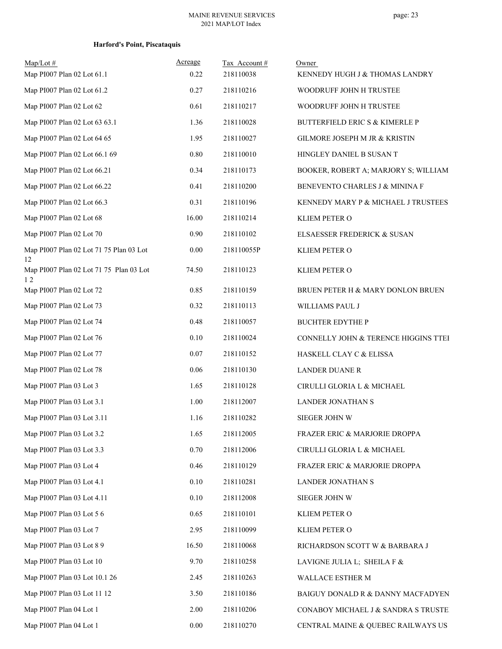| $Map/Lot \#$                                  | Acreage<br>0.22 | Tax Account#<br>218110038 | Owner                                     |
|-----------------------------------------------|-----------------|---------------------------|-------------------------------------------|
| Map PI007 Plan 02 Lot 61.1                    |                 |                           | KENNEDY HUGH J & THOMAS LANDRY            |
| Map PI007 Plan 02 Lot 61.2                    | 0.27            | 218110216                 | WOODRUFF JOHN H TRUSTEE                   |
| Map PI007 Plan 02 Lot 62                      | 0.61            | 218110217                 | WOODRUFF JOHN H TRUSTEE                   |
| Map PI007 Plan 02 Lot 63 63.1                 | 1.36            | 218110028                 | <b>BUTTERFIELD ERIC S &amp; KIMERLE P</b> |
| Map PI007 Plan 02 Lot 64 65                   | 1.95            | 218110027                 | GILMORE JOSEPH M JR & KRISTIN             |
| Map PI007 Plan 02 Lot 66.1 69                 | 0.80            | 218110010                 | HINGLEY DANIEL B SUSAN T                  |
| Map PI007 Plan 02 Lot 66.21                   | 0.34            | 218110173                 | BOOKER, ROBERT A; MARJORY S; WILLIAM      |
| Map PI007 Plan 02 Lot 66.22                   | 0.41            | 218110200                 | BENEVENTO CHARLES J & MININA F            |
| Map PI007 Plan 02 Lot 66.3                    | 0.31            | 218110196                 | KENNEDY MARY P & MICHAEL J TRUSTEES       |
| Map PI007 Plan 02 Lot 68                      | 16.00           | 218110214                 | KLIEM PETER O                             |
| Map PI007 Plan 02 Lot 70                      | 0.90            | 218110102                 | ELSAESSER FREDERICK & SUSAN               |
| Map PI007 Plan 02 Lot 71 75 Plan 03 Lot<br>12 | 0.00            | 218110055P                | KLIEM PETER O                             |
| Map PI007 Plan 02 Lot 71 75 Plan 03 Lot<br>12 | 74.50           | 218110123                 | KLIEM PETER O                             |
| Map PI007 Plan 02 Lot 72                      | 0.85            | 218110159                 | BRUEN PETER H & MARY DONLON BRUEN         |
| Map PI007 Plan 02 Lot 73                      | 0.32            | 218110113                 | WILLIAMS PAUL J                           |
| Map PI007 Plan 02 Lot 74                      | 0.48            | 218110057                 | <b>BUCHTER EDYTHE P</b>                   |
| Map PI007 Plan 02 Lot 76                      | 0.10            | 218110024                 | CONNELLY JOHN & TERENCE HIGGINS TTEI      |
| Map PI007 Plan 02 Lot 77                      | 0.07            | 218110152                 | HASKELL CLAY C & ELISSA                   |
| Map PI007 Plan 02 Lot 78                      | 0.06            | 218110130                 | <b>LANDER DUANE R</b>                     |
| Map PI007 Plan 03 Lot 3                       | 1.65            | 218110128                 | CIRULLI GLORIA L & MICHAEL                |
| Map PI007 Plan 03 Lot 3.1                     | 1.00            | 218112007                 | LANDER JONATHAN S                         |
| Map PI007 Plan 03 Lot 3.11                    | 1.16            | 218110282                 | SIEGER JOHN W                             |
| Map PI007 Plan 03 Lot 3.2                     | 1.65            | 218112005                 | FRAZER ERIC & MARJORIE DROPPA             |
| Map PI007 Plan 03 Lot 3.3                     | 0.70            | 218112006                 | CIRULLI GLORIA L & MICHAEL                |
| Map PI007 Plan 03 Lot 4                       | 0.46            | 218110129                 | FRAZER ERIC & MARJORIE DROPPA             |
| Map PI007 Plan 03 Lot 4.1                     | 0.10            | 218110281                 | <b>LANDER JONATHAN S</b>                  |
| Map PI007 Plan 03 Lot 4.11                    | 0.10            | 218112008                 | SIEGER JOHN W                             |
| Map PI007 Plan 03 Lot 5 6                     | 0.65            | 218110101                 | KLIEM PETER O                             |
| Map PI007 Plan 03 Lot 7                       | 2.95            | 218110099                 | KLIEM PETER O                             |
| Map PI007 Plan 03 Lot 8 9                     | 16.50           | 218110068                 | RICHARDSON SCOTT W & BARBARA J            |
| Map PI007 Plan 03 Lot 10                      | 9.70            | 218110258                 | LAVIGNE JULIA L; SHEILA F &               |
| Map PI007 Plan 03 Lot 10.1 26                 | 2.45            | 218110263                 | WALLACE ESTHER M                          |
| Map PI007 Plan 03 Lot 11 12                   | 3.50            | 218110186                 | BAIGUY DONALD R & DANNY MACFADYEN         |
| Map PI007 Plan 04 Lot 1                       | 2.00            | 218110206                 | CONABOY MICHAEL J & SANDRA S TRUSTE!      |
| Map PI007 Plan 04 Lot 1                       | 0.00            | 218110270                 | CENTRAL MAINE & QUEBEC RAILWAYS US        |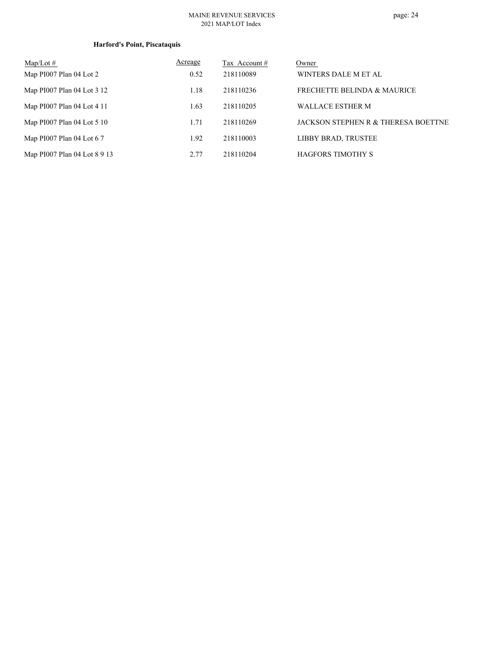#### MAINE REVENUE SERVICES 2021 MAP/LOT Index

| $Map/Lot \#$                 | Acreage | Tax Account # | Owner                                  |
|------------------------------|---------|---------------|----------------------------------------|
| Map PI007 Plan 04 Lot 2      | 0.52    | 218110089     | WINTERS DALE M ET AL                   |
| Map PI007 Plan 04 Lot 3 12   | 1.18    | 218110236     | <b>FRECHETTE BELINDA &amp; MAURICE</b> |
| Map PI007 Plan 04 Lot 4 11   | 1.63    | 218110205     | <b>WALLACE ESTHER M</b>                |
| Map PI007 Plan 04 Lot 5 10   | 1.71    | 218110269     | JACKSON STEPHEN R & THERESA BOETTNE    |
| Map PI007 Plan 04 Lot 67     | 1.92    | 218110003     | LIBBY BRAD, TRUSTEE                    |
| Map PI007 Plan 04 Lot 8 9 13 | 2.77    | 218110204     | <b>HAGFORS TIMOTHY S</b>               |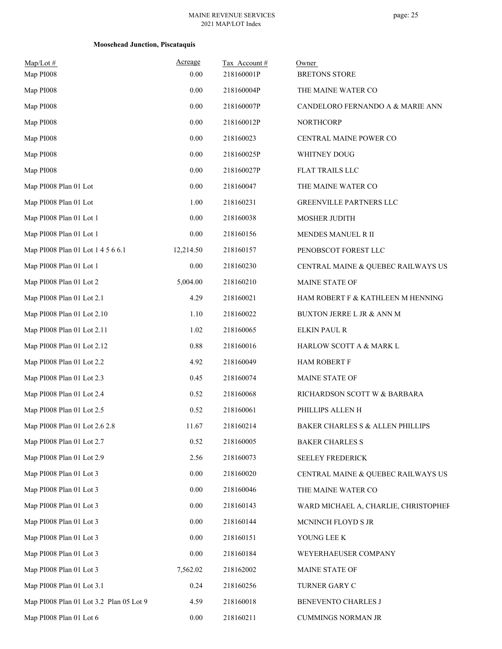| $Map/Lot$ #<br>Map PI008                | Acreage<br>0.00 | Tax Account#<br>218160001P | Owner<br><b>BRETONS STORE</b>        |
|-----------------------------------------|-----------------|----------------------------|--------------------------------------|
| Map PI008                               | 0.00            | 218160004P                 | THE MAINE WATER CO                   |
| Map PI008                               | 0.00            | 218160007P                 | CANDELORO FERNANDO A & MARIE ANN     |
| Map PI008                               | 0.00            | 218160012P                 | NORTHCORP                            |
| Map PI008                               | 0.00            | 218160023                  | CENTRAL MAINE POWER CO               |
| Map PI008                               | 0.00            | 218160025P                 | WHITNEY DOUG                         |
| Map PI008                               | 0.00            | 218160027P                 | FLAT TRAILS LLC                      |
| Map PI008 Plan 01 Lot                   | 0.00            | 218160047                  | THE MAINE WATER CO                   |
| Map PI008 Plan 01 Lot                   | 1.00            | 218160231                  | GREENVILLE PARTNERS LLC              |
| Map PI008 Plan 01 Lot 1                 | 0.00            | 218160038                  | MOSHER JUDITH                        |
| Map PI008 Plan 01 Lot 1                 | 0.00            | 218160156                  | MENDES MANUEL R II                   |
| Map PI008 Plan 01 Lot 1 4 5 6 6.1       | 12,214.50       | 218160157                  | PENOBSCOT FOREST LLC                 |
| Map PI008 Plan 01 Lot 1                 | 0.00            | 218160230                  | CENTRAL MAINE & QUEBEC RAILWAYS US   |
| Map PI008 Plan 01 Lot 2                 | 5,004.00        | 218160210                  | MAINE STATE OF                       |
| Map PI008 Plan 01 Lot 2.1               | 4.29            | 218160021                  | HAM ROBERT F & KATHLEEN M HENNING    |
| Map PI008 Plan 01 Lot 2.10              | 1.10            | 218160022                  | BUXTON JERRE L JR & ANN M            |
| Map PI008 Plan 01 Lot 2.11              | 1.02            | 218160065                  | <b>ELKIN PAUL R</b>                  |
| Map PI008 Plan 01 Lot 2.12              | 0.88            | 218160016                  | HARLOW SCOTT A & MARK L              |
| Map PI008 Plan 01 Lot 2.2               | 4.92            | 218160049                  | <b>HAM ROBERT F</b>                  |
| Map PI008 Plan 01 Lot 2.3               | 0.45            | 218160074                  | MAINE STATE OF                       |
| Map PI008 Plan 01 Lot 2.4               | 0.52            | 218160068                  | RICHARDSON SCOTT W & BARBARA         |
| Map PI008 Plan 01 Lot 2.5               | 0.52            | 218160061                  | PHILLIPS ALLEN H                     |
| Map PI008 Plan 01 Lot 2.6 2.8           | 11.67           | 218160214                  | BAKER CHARLES S & ALLEN PHILLIPS     |
| Map PI008 Plan 01 Lot 2.7               | 0.52            | 218160005                  | <b>BAKER CHARLES S</b>               |
| Map PI008 Plan 01 Lot 2.9               | 2.56            | 218160073                  | SEELEY FREDERICK                     |
| Map PI008 Plan 01 Lot 3                 | 0.00            | 218160020                  | CENTRAL MAINE & QUEBEC RAILWAYS US   |
| Map PI008 Plan 01 Lot 3                 | 0.00            | 218160046                  | THE MAINE WATER CO                   |
| Map PI008 Plan 01 Lot 3                 | 0.00            | 218160143                  | WARD MICHAEL A, CHARLIE, CHRISTOPHEF |
| Map PI008 Plan 01 Lot 3                 | 0.00            | 218160144                  | MCNINCH FLOYD S JR                   |
| Map PI008 Plan 01 Lot 3                 | 0.00            | 218160151                  | YOUNG LEE K                          |
| Map PI008 Plan 01 Lot 3                 | 0.00            | 218160184                  | WEYERHAEUSER COMPANY                 |
| Map PI008 Plan 01 Lot 3                 | 7,562.02        | 218162002                  | MAINE STATE OF                       |
| Map PI008 Plan 01 Lot 3.1               | 0.24            | 218160256                  | TURNER GARY C                        |
| Map PI008 Plan 01 Lot 3.2 Plan 05 Lot 9 | 4.59            | 218160018                  | BENEVENTO CHARLES J                  |
| Map PI008 Plan 01 Lot 6                 | 0.00            | 218160211                  | <b>CUMMINGS NORMAN JR</b>            |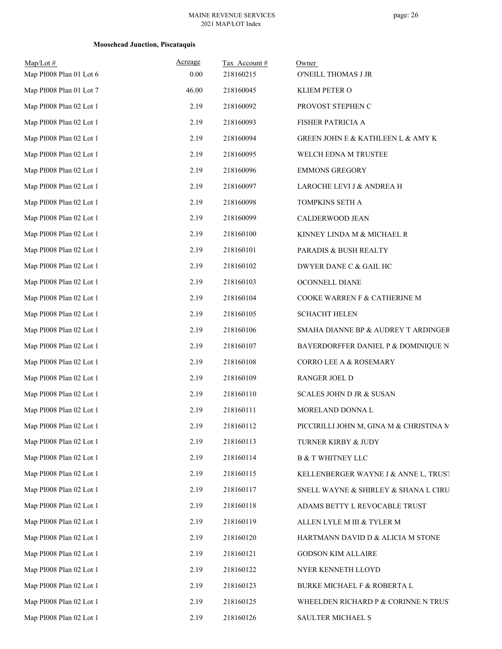| $Map/Lot$ #<br>Map PI008 Plan 01 Lot 6 | Acreage<br>0.00 | Tax Account#<br>218160215 | Owner<br>O'NEILL THOMAS J JR                     |
|----------------------------------------|-----------------|---------------------------|--------------------------------------------------|
| Map PI008 Plan 01 Lot 7                | 46.00           | 218160045                 | KLIEM PETER O                                    |
| Map PI008 Plan 02 Lot 1                | 2.19            | 218160092                 | PROVOST STEPHEN C                                |
| Map PI008 Plan 02 Lot 1                | 2.19            | 218160093                 | FISHER PATRICIA A                                |
| Map PI008 Plan 02 Lot 1                | 2.19            | 218160094                 | <b>GREEN JOHN E &amp; KATHLEEN L &amp; AMY K</b> |
| Map PI008 Plan 02 Lot 1                | 2.19            | 218160095                 | WELCH EDNA M TRUSTEE                             |
| Map PI008 Plan 02 Lot 1                | 2.19            | 218160096                 | <b>EMMONS GREGORY</b>                            |
| Map PI008 Plan 02 Lot 1                | 2.19            | 218160097                 | LAROCHE LEVI J & ANDREA H                        |
| Map PI008 Plan 02 Lot 1                | 2.19            | 218160098                 | TOMPKINS SETH A                                  |
| Map PI008 Plan 02 Lot 1                | 2.19            | 218160099                 | CALDERWOOD JEAN                                  |
| Map PI008 Plan 02 Lot 1                | 2.19            | 218160100                 | KINNEY LINDA M & MICHAEL R                       |
| Map PI008 Plan 02 Lot 1                | 2.19            | 218160101                 | PARADIS & BUSH REALTY                            |
| Map PI008 Plan 02 Lot 1                | 2.19            | 218160102                 | DWYER DANE C & GAIL HC                           |
| Map PI008 Plan 02 Lot 1                | 2.19            | 218160103                 | OCONNELL DIANE                                   |
| Map PI008 Plan 02 Lot 1                | 2.19            | 218160104                 | COOKE WARREN F & CATHERINE M                     |
| Map PI008 Plan 02 Lot 1                | 2.19            | 218160105                 | <b>SCHACHT HELEN</b>                             |
| Map PI008 Plan 02 Lot 1                | 2.19            | 218160106                 | SMAHA DIANNE BP & AUDREY T ARDINGER              |
| Map PI008 Plan 02 Lot 1                | 2.19            | 218160107                 | BAYERDORFFER DANIEL P & DOMINIQUE N              |
| Map PI008 Plan 02 Lot 1                | 2.19            | 218160108                 | CORRO LEE A & ROSEMARY                           |
| Map PI008 Plan 02 Lot 1                | 2.19            | 218160109                 | RANGER JOEL D                                    |
| Map PI008 Plan 02 Lot 1                | 2.19            | 218160110                 | <b>SCALES JOHN D JR &amp; SUSAN</b>              |
| Map PI008 Plan 02 Lot 1                | 2.19            | 218160111                 | MORELAND DONNA L                                 |
| Map PI008 Plan 02 Lot 1                | 2.19            | 218160112                 | PICCIRILLI JOHN M, GINA M & CHRISTINA M          |
| Map PI008 Plan 02 Lot 1                | 2.19            | 218160113                 | TURNER KIRBY & JUDY                              |
| Map PI008 Plan 02 Lot 1                | 2.19            | 218160114                 | <b>B &amp; T WHITNEY LLC</b>                     |
| Map PI008 Plan 02 Lot 1                | 2.19            | 218160115                 | KELLENBERGER WAYNE J & ANNE L, TRUST             |
| Map PI008 Plan 02 Lot 1                | 2.19            | 218160117                 | SNELL WAYNE & SHIRLEY & SHANA L CIRU             |
| Map PI008 Plan 02 Lot 1                | 2.19            | 218160118                 | ADAMS BETTY L REVOCABLE TRUST                    |
| Map PI008 Plan 02 Lot 1                | 2.19            | 218160119                 | ALLEN LYLE M III & TYLER M                       |
| Map PI008 Plan 02 Lot 1                | 2.19            | 218160120                 | HARTMANN DAVID D & ALICIA M STONE                |
| Map PI008 Plan 02 Lot 1                | 2.19            | 218160121                 | <b>GODSON KIM ALLAIRE</b>                        |
| Map PI008 Plan 02 Lot 1                | 2.19            | 218160122                 | NYER KENNETH LLOYD                               |
| Map PI008 Plan 02 Lot 1                | 2.19            | 218160123                 | BURKE MICHAEL F & ROBERTA L                      |
| Map PI008 Plan 02 Lot 1                | 2.19            | 218160125                 | WHEELDEN RICHARD P & CORINNE N TRUS'             |
| Map PI008 Plan 02 Lot 1                | 2.19            | 218160126                 | SAULTER MICHAEL S                                |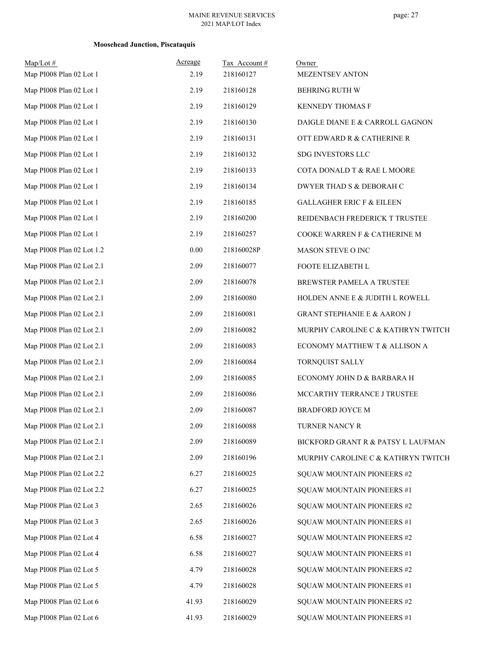#### MAINE REVENUE SERVICES 2021 MAP/LOT Index

## page: 27

| $Map/Lot$ #<br>Map PI008 Plan 02 Lot 1 | Acreage<br>2.19 | Tax Account#<br>218160127 | Owner<br>MEZENTSEV ANTON               |
|----------------------------------------|-----------------|---------------------------|----------------------------------------|
| Map PI008 Plan 02 Lot 1                | 2.19            | 218160128                 | <b>BEHRING RUTH W</b>                  |
| Map PI008 Plan 02 Lot 1                | 2.19            | 218160129                 | KENNEDY THOMAS F                       |
| Map PI008 Plan 02 Lot 1                | 2.19            | 218160130                 | DAIGLE DIANE E & CARROLL GAGNON        |
| Map PI008 Plan 02 Lot 1                | 2.19            | 218160131                 | OTT EDWARD R & CATHERINE R             |
| Map PI008 Plan 02 Lot 1                | 2.19            | 218160132                 | SDG INVESTORS LLC                      |
| Map PI008 Plan 02 Lot 1                | 2.19            | 218160133                 | COTA DONALD T & RAE L MOORE            |
| Map PI008 Plan 02 Lot 1                | 2.19            | 218160134                 | DWYER THAD S & DEBORAH C               |
| Map PI008 Plan 02 Lot 1                | 2.19            | 218160185                 | <b>GALLAGHER ERIC F &amp; EILEEN</b>   |
| Map PI008 Plan 02 Lot 1                | 2.19            | 218160200                 | REIDENBACH FREDERICK T TRUSTEE         |
| Map PI008 Plan 02 Lot 1                | 2.19            | 218160257                 | COOKE WARREN F & CATHERINE M           |
| Map PI008 Plan 02 Lot 1.2              | 0.00            | 218160028P                | MASON STEVE O INC                      |
| Map PI008 Plan 02 Lot 2.1              | 2.09            | 218160077                 | FOOTE ELIZABETH L                      |
| Map PI008 Plan 02 Lot 2.1              | 2.09            | 218160078                 | BREWSTER PAMELA A TRUSTEE              |
| Map PI008 Plan 02 Lot 2.1              | 2.09            | 218160080                 | HOLDEN ANNE E & JUDITH L ROWELL        |
| Map PI008 Plan 02 Lot 2.1              | 2.09            | 218160081                 | <b>GRANT STEPHANIE E &amp; AARON J</b> |
| Map PI008 Plan 02 Lot 2.1              | 2.09            | 218160082                 | MURPHY CAROLINE C & KATHRYN TWITCH     |
| Map PI008 Plan 02 Lot 2.1              | 2.09            | 218160083                 | ECONOMY MATTHEW T & ALLISON A          |
| Map PI008 Plan 02 Lot 2.1              | 2.09            | 218160084                 | TORNQUIST SALLY                        |
| Map PI008 Plan 02 Lot 2.1              | 2.09            | 218160085                 | ECONOMY JOHN D & BARBARA H             |
| Map PI008 Plan 02 Lot 2.1              | 2.09            | 218160086                 | MCCARTHY TERRANCE J TRUSTEE            |
| Map PI008 Plan 02 Lot 2.1              | 2.09            | 218160087                 | <b>BRADFORD JOYCE M</b>                |
| Map PI008 Plan 02 Lot 2.1              | 2.09            | 218160088                 | TURNER NANCY R                         |
| Map PI008 Plan 02 Lot 2.1              | 2.09            | 218160089                 | BICKFORD GRANT R & PATSY L LAUFMAN     |
| Map PI008 Plan 02 Lot 2.1              | 2.09            | 218160196                 | MURPHY CAROLINE C & KATHRYN TWITCH     |
| Map PI008 Plan 02 Lot 2.2              | 6.27            | 218160025                 | SQUAW MOUNTAIN PIONEERS #2             |
| Map PI008 Plan 02 Lot 2.2              | 6.27            | 218160025                 | SQUAW MOUNTAIN PIONEERS #1             |
| Map PI008 Plan 02 Lot 3                | 2.65            | 218160026                 | SQUAW MOUNTAIN PIONEERS #2             |
| Map PI008 Plan 02 Lot 3                | 2.65            | 218160026                 | SQUAW MOUNTAIN PIONEERS #1             |
| Map PI008 Plan 02 Lot 4                | 6.58            | 218160027                 | SQUAW MOUNTAIN PIONEERS #2             |
| Map PI008 Plan 02 Lot 4                | 6.58            | 218160027                 | SQUAW MOUNTAIN PIONEERS #1             |
| Map PI008 Plan 02 Lot 5                | 4.79            | 218160028                 | SQUAW MOUNTAIN PIONEERS #2             |
| Map PI008 Plan 02 Lot 5                | 4.79            | 218160028                 | SQUAW MOUNTAIN PIONEERS #1             |
| Map PI008 Plan 02 Lot 6                | 41.93           | 218160029                 | SQUAW MOUNTAIN PIONEERS #2             |
| Map PI008 Plan 02 Lot 6                | 41.93           | 218160029                 | SQUAW MOUNTAIN PIONEERS #1             |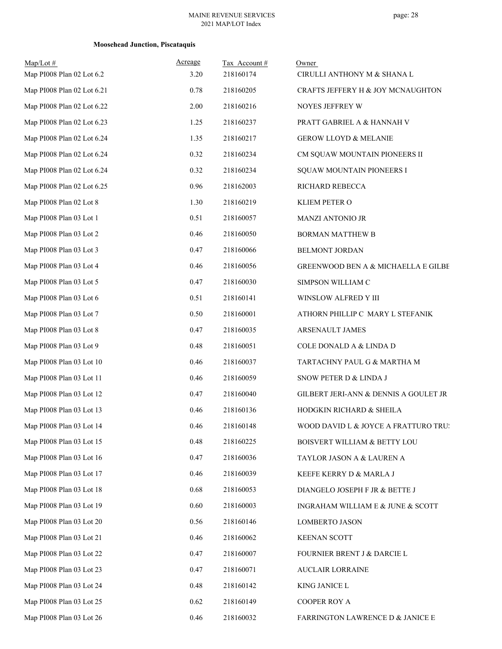| $Map/Lot$ #<br>Map PI008 Plan 02 Lot 6.2 | Acreage<br>3.20 | Tax Account#<br>218160174 | Owner                                   |
|------------------------------------------|-----------------|---------------------------|-----------------------------------------|
|                                          | 0.78            |                           | CIRULLI ANTHONY M & SHANA L             |
| Map PI008 Plan 02 Lot 6.21               |                 | 218160205                 | CRAFTS JEFFERY H & JOY MCNAUGHTON       |
| Map PI008 Plan 02 Lot 6.22               | 2.00            | 218160216                 | NOYES JEFFREY W                         |
| Map PI008 Plan 02 Lot 6.23               | 1.25            | 218160237                 | PRATT GABRIEL A & HANNAH V              |
| Map PI008 Plan 02 Lot 6.24               | 1.35            | 218160217                 | <b>GEROW LLOYD &amp; MELANIE</b>        |
| Map PI008 Plan 02 Lot 6.24               | 0.32            | 218160234                 | CM SQUAW MOUNTAIN PIONEERS II           |
| Map PI008 Plan 02 Lot 6.24               | 0.32            | 218160234                 | SQUAW MOUNTAIN PIONEERS I               |
| Map PI008 Plan 02 Lot 6.25               | 0.96            | 218162003                 | RICHARD REBECCA                         |
| Map PI008 Plan 02 Lot 8                  | 1.30            | 218160219                 | KLIEM PETER O                           |
| Map PI008 Plan 03 Lot 1                  | 0.51            | 218160057                 | <b>MANZI ANTONIO JR</b>                 |
| Map PI008 Plan 03 Lot 2                  | 0.46            | 218160050                 | <b>BORMAN MATTHEW B</b>                 |
| Map PI008 Plan 03 Lot 3                  | 0.47            | 218160066                 | <b>BELMONT JORDAN</b>                   |
| Map PI008 Plan 03 Lot 4                  | 0.46            | 218160056                 | GREENWOOD BEN A & MICHAELLA E GILBE     |
| Map PI008 Plan 03 Lot 5                  | 0.47            | 218160030                 | SIMPSON WILLIAM C                       |
| Map PI008 Plan 03 Lot 6                  | 0.51            | 218160141                 | WINSLOW ALFRED Y III                    |
| Map PI008 Plan 03 Lot 7                  | 0.50            | 218160001                 | ATHORN PHILLIP C MARY L STEFANIK        |
| Map PI008 Plan 03 Lot 8                  | 0.47            | 218160035                 | ARSENAULT JAMES                         |
| Map PI008 Plan 03 Lot 9                  | 0.48            | 218160051                 | COLE DONALD A & LINDA D                 |
| Map PI008 Plan 03 Lot 10                 | 0.46            | 218160037                 | TARTACHNY PAUL G & MARTHA M             |
| Map PI008 Plan 03 Lot 11                 | 0.46            | 218160059                 | SNOW PETER D & LINDA J                  |
| Map PI008 Plan 03 Lot 12                 | 0.47            | 218160040                 | GILBERT JERI-ANN & DENNIS A GOULET JR   |
| Map PI008 Plan 03 Lot 13                 | 0.46            | 218160136                 | HODGKIN RICHARD & SHEILA                |
| Map PI008 Plan 03 Lot 14                 | 0.46            | 218160148                 | WOOD DAVID L & JOYCE A FRATTURO TRUS    |
| Map PI008 Plan 03 Lot 15                 | 0.48            | 218160225                 | <b>BOISVERT WILLIAM &amp; BETTY LOU</b> |
| Map PI008 Plan 03 Lot 16                 | 0.47            | 218160036                 | TAYLOR JASON A & LAUREN A               |
| Map PI008 Plan 03 Lot 17                 | 0.46            | 218160039                 | KEEFE KERRY D & MARLA J                 |
| Map PI008 Plan 03 Lot 18                 | 0.68            | 218160053                 | DIANGELO JOSEPH F JR & BETTE J          |
| Map PI008 Plan 03 Lot 19                 | 0.60            | 218160003                 | INGRAHAM WILLIAM E & JUNE & SCOTT       |
| Map PI008 Plan 03 Lot 20                 | 0.56            | 218160146                 | <b>LOMBERTO JASON</b>                   |
| Map PI008 Plan 03 Lot 21                 | 0.46            | 218160062                 | <b>KEENAN SCOTT</b>                     |
| Map PI008 Plan 03 Lot 22                 | 0.47            | 218160007                 | FOURNIER BRENT J & DARCIE L             |
| Map PI008 Plan 03 Lot 23                 | 0.47            | 218160071                 | <b>AUCLAIR LORRAINE</b>                 |
| Map PI008 Plan 03 Lot 24                 | 0.48            | 218160142                 | KING JANICE L                           |
| Map PI008 Plan 03 Lot 25                 | 0.62            | 218160149                 | COOPER ROY A                            |
| Map PI008 Plan 03 Lot 26                 | 0.46            | 218160032                 | FARRINGTON LAWRENCE D & JANICE E        |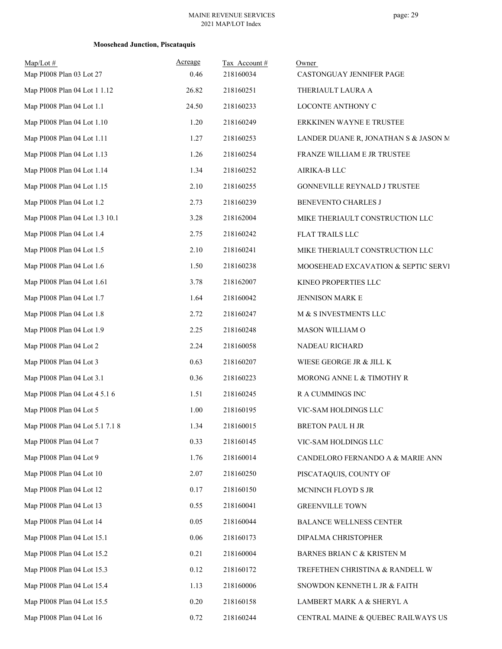#### MAINE REVENUE SERVICES 2021 MAP/LOT Index

| $Map/Lot$ #                     | Acreage | Tax Account# | Owner                                |
|---------------------------------|---------|--------------|--------------------------------------|
| Map PI008 Plan 03 Lot 27        | 0.46    | 218160034    | CASTONGUAY JENNIFER PAGE             |
| Map PI008 Plan 04 Lot 1 1.12    | 26.82   | 218160251    | THERIAULT LAURA A                    |
| Map PI008 Plan 04 Lot 1.1       | 24.50   | 218160233    | LOCONTE ANTHONY C                    |
| Map PI008 Plan 04 Lot 1.10      | 1.20    | 218160249    | ERKKINEN WAYNE E TRUSTEE             |
| Map PI008 Plan 04 Lot 1.11      | 1.27    | 218160253    | LANDER DUANE R, JONATHAN S & JASON M |
| Map PI008 Plan 04 Lot 1.13      | 1.26    | 218160254    | FRANZE WILLIAM E JR TRUSTEE          |
| Map PI008 Plan 04 Lot 1.14      | 1.34    | 218160252    | AIRIKA-B LLC                         |
| Map PI008 Plan 04 Lot 1.15      | 2.10    | 218160255    | GONNEVILLE REYNALD J TRUSTEE         |
| Map PI008 Plan 04 Lot 1.2       | 2.73    | 218160239    | BENEVENTO CHARLES J                  |
| Map PI008 Plan 04 Lot 1.3 10.1  | 3.28    | 218162004    | MIKE THERIAULT CONSTRUCTION LLC      |
| Map PI008 Plan 04 Lot 1.4       | 2.75    | 218160242    | <b>FLAT TRAILS LLC</b>               |
| Map PI008 Plan 04 Lot 1.5       | 2.10    | 218160241    | MIKE THERIAULT CONSTRUCTION LLC      |
| Map PI008 Plan 04 Lot 1.6       | 1.50    | 218160238    | MOOSEHEAD EXCAVATION & SEPTIC SERVI  |
| Map PI008 Plan 04 Lot 1.61      | 3.78    | 218162007    | KINEO PROPERTIES LLC                 |
| Map PI008 Plan 04 Lot 1.7       | 1.64    | 218160042    | JENNISON MARK E                      |
| Map PI008 Plan 04 Lot 1.8       | 2.72    | 218160247    | M & S INVESTMENTS LLC                |
| Map PI008 Plan 04 Lot 1.9       | 2.25    | 218160248    | MASON WILLIAM O                      |
| Map PI008 Plan 04 Lot 2         | 2.24    | 218160058    | NADEAU RICHARD                       |
| Map PI008 Plan 04 Lot 3         | 0.63    | 218160207    | WIESE GEORGE JR & JILL K             |
| Map PI008 Plan 04 Lot 3.1       | 0.36    | 218160223    | MORONG ANNE L & TIMOTHY R            |
| Map PI008 Plan 04 Lot 4 5.1 6   | 1.51    | 218160245    | R A CUMMINGS INC                     |
| Map PI008 Plan 04 Lot 5         | 1.00    | 218160195    | VIC-SAM HOLDINGS LLC                 |
| Map PI008 Plan 04 Lot 5.1 7.1 8 | 1.34    | 218160015    | BRETON PAUL H JR                     |
| Map PI008 Plan 04 Lot 7         | 0.33    | 218160145    | VIC-SAM HOLDINGS LLC                 |
| Map PI008 Plan 04 Lot 9         | 1.76    | 218160014    | CANDELORO FERNANDO A & MARIE ANN     |
| Map PI008 Plan 04 Lot 10        | 2.07    | 218160250    | PISCATAQUIS, COUNTY OF               |
| Map PI008 Plan 04 Lot 12        | 0.17    | 218160150    | MCNINCH FLOYD S JR                   |
| Map PI008 Plan 04 Lot 13        | 0.55    | 218160041    | <b>GREENVILLE TOWN</b>               |
| Map PI008 Plan 04 Lot 14        | 0.05    | 218160044    | <b>BALANCE WELLNESS CENTER</b>       |
| Map PI008 Plan 04 Lot 15.1      | 0.06    | 218160173    | DIPALMA CHRISTOPHER                  |
| Map PI008 Plan 04 Lot 15.2      | 0.21    | 218160004    | BARNES BRIAN C & KRISTEN M           |
| Map PI008 Plan 04 Lot 15.3      | 0.12    | 218160172    | TREFETHEN CHRISTINA & RANDELL W      |
| Map PI008 Plan 04 Lot 15.4      | 1.13    | 218160006    | SNOWDON KENNETH L JR & FAITH         |
| Map PI008 Plan 04 Lot 15.5      | 0.20    | 218160158    | LAMBERT MARK A & SHERYL A            |
| Map PI008 Plan 04 Lot 16        | 0.72    | 218160244    | CENTRAL MAINE & QUEBEC RAILWAYS US   |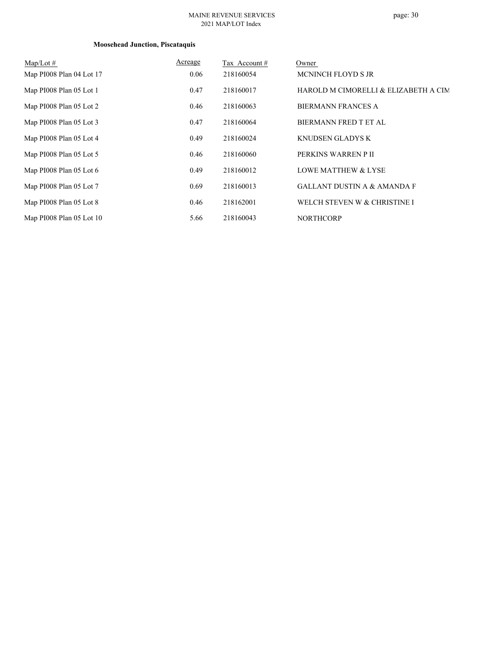#### MAINE REVENUE SERVICES 2021 MAP/LOT Index

# page: 30

| Map/Lot $#$              | Acreage | Tax Account # | Owner                                  |
|--------------------------|---------|---------------|----------------------------------------|
| Map PI008 Plan 04 Lot 17 | 0.06    | 218160054     | MCNINCH FLOYD S JR                     |
| Map PI008 Plan 05 Lot 1  | 0.47    | 218160017     | HAROLD M CIMORELLI & ELIZABETH A CIM   |
| Map PI008 Plan 05 Lot 2  | 0.46    | 218160063     | <b>BIERMANN FRANCES A</b>              |
| Map PI008 Plan 05 Lot 3  | 0.47    | 218160064     | <b>BIERMANN FRED T ET AL</b>           |
| Map PI008 Plan 05 Lot 4  | 0.49    | 218160024     | KNUDSEN GLADYS K                       |
| Map PI008 Plan 05 Lot 5  | 0.46    | 218160060     | PERKINS WARREN P II                    |
| Map PI008 Plan 05 Lot 6  | 0.49    | 218160012     | <b>LOWE MATTHEW &amp; LYSE</b>         |
| Map PI008 Plan 05 Lot 7  | 0.69    | 218160013     | <b>GALLANT DUSTIN A &amp; AMANDA F</b> |
| Map PI008 Plan 05 Lot 8  | 0.46    | 218162001     | WELCH STEVEN W & CHRISTINE I           |
| Map PI008 Plan 05 Lot 10 | 5.66    | 218160043     | <b>NORTHCORP</b>                       |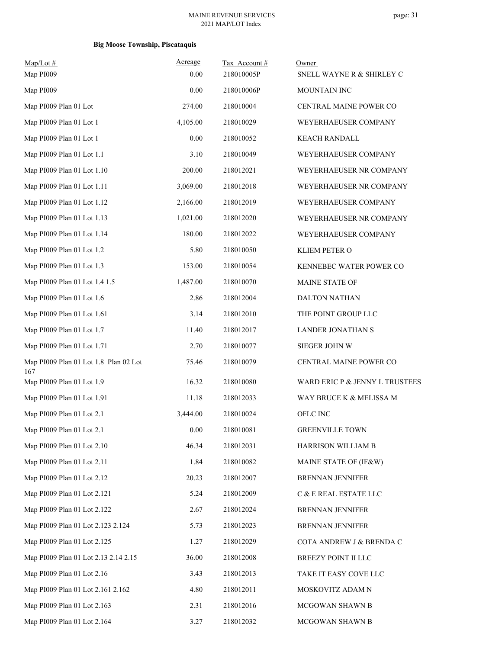### **Big Moose Township, Piscataquis**

| $Map/Lot$ #<br>Map PI009                     | Acreage<br>0.00 | Tax Account#<br>218010005P | Owner<br>SNELL WAYNE R & SHIRLEY C      |
|----------------------------------------------|-----------------|----------------------------|-----------------------------------------|
| Map PI009                                    | 0.00            | 218010006P                 |                                         |
| Map PI009 Plan 01 Lot                        | 274.00          | 218010004                  | MOUNTAIN INC<br>CENTRAL MAINE POWER CO  |
| Map PI009 Plan 01 Lot 1                      | 4,105.00        | 218010029                  |                                         |
|                                              | 0.00            |                            | WEYERHAEUSER COMPANY                    |
| Map PI009 Plan 01 Lot 1                      |                 | 218010052                  | <b>KEACH RANDALL</b>                    |
| Map PI009 Plan 01 Lot 1.1                    | 3.10            | 218010049                  | WEYERHAEUSER COMPANY                    |
| Map PI009 Plan 01 Lot 1.10                   | 200.00          | 218012021                  | WEYERHAEUSER NR COMPANY                 |
| Map PI009 Plan 01 Lot 1.11                   | 3,069.00        | 218012018                  | WEYERHAEUSER NR COMPANY                 |
| Map PI009 Plan 01 Lot 1.12                   | 2,166.00        | 218012019                  | WEYERHAEUSER COMPANY                    |
| Map PI009 Plan 01 Lot 1.13                   | 1,021.00        | 218012020                  | WEYERHAEUSER NR COMPANY                 |
| Map PI009 Plan 01 Lot 1.14                   | 180.00          | 218012022                  | WEYERHAEUSER COMPANY                    |
| Map PI009 Plan 01 Lot 1.2                    | 5.80            | 218010050                  | KLIEM PETER O                           |
| Map PI009 Plan 01 Lot 1.3                    | 153.00          | 218010054                  | KENNEBEC WATER POWER CO                 |
| Map PI009 Plan 01 Lot 1.4 1.5                | 1,487.00        | 218010070                  | MAINE STATE OF                          |
| Map PI009 Plan 01 Lot 1.6                    | 2.86            | 218012004                  | DALTON NATHAN                           |
| Map PI009 Plan 01 Lot 1.61                   | 3.14            | 218012010                  | THE POINT GROUP LLC                     |
| Map PI009 Plan 01 Lot 1.7                    | 11.40           | 218012017                  | LANDER JONATHAN S                       |
| Map PI009 Plan 01 Lot 1.71                   | 2.70            | 218010077                  | SIEGER JOHN W                           |
| Map PI009 Plan 01 Lot 1.8 Plan 02 Lot<br>167 | 75.46           | 218010079                  | CENTRAL MAINE POWER CO                  |
| Map PI009 Plan 01 Lot 1.9                    | 16.32           | 218010080                  | WARD ERIC P & JENNY L TRUSTEES          |
| Map PI009 Plan 01 Lot 1.91                   | 11.18           | 218012033                  | WAY BRUCE K & MELISSA M                 |
| Map PI009 Plan 01 Lot 2.1                    | 3,444.00        | 218010024                  | OFLC INC                                |
| Map PI009 Plan 01 Lot 2.1                    | $0.00\,$        | 218010081                  | <b>GREENVILLE TOWN</b>                  |
| Map PI009 Plan 01 Lot 2.10                   | 46.34           | 218012031                  | HARRISON WILLIAM B                      |
| Map PI009 Plan 01 Lot 2.11                   | 1.84            | 218010082                  | MAINE STATE OF (IF&W)                   |
| Map PI009 Plan 01 Lot 2.12                   | 20.23           | 218012007                  | <b>BRENNAN JENNIFER</b>                 |
| Map PI009 Plan 01 Lot 2.121                  | 5.24            | 218012009                  | $\hbox{C}$ & $\hbox{E}$ REAL ESTATE LLC |
| Map PI009 Plan 01 Lot 2.122                  | 2.67            | 218012024                  | BRENNAN JENNIFER                        |
| Map PI009 Plan 01 Lot 2.123 2.124            | 5.73            | 218012023                  | <b>BRENNAN JENNIFER</b>                 |
| Map PI009 Plan 01 Lot 2.125                  | 1.27            | 218012029                  | COTA ANDREW J & BRENDA C                |
| Map PI009 Plan 01 Lot 2.13 2.14 2.15         | 36.00           | 218012008                  | BREEZY POINT II LLC                     |
| Map PI009 Plan 01 Lot 2.16                   | 3.43            | 218012013                  | TAKE IT EASY COVE LLC                   |
| Map PI009 Plan 01 Lot 2.161 2.162            | 4.80            | 218012011                  | MOSKOVITZ ADAM N                        |
| Map PI009 Plan 01 Lot 2.163                  | 2.31            | 218012016                  | MCGOWAN SHAWN B                         |
| Map PI009 Plan 01 Lot 2.164                  | 3.27            | 218012032                  | MCGOWAN SHAWN B                         |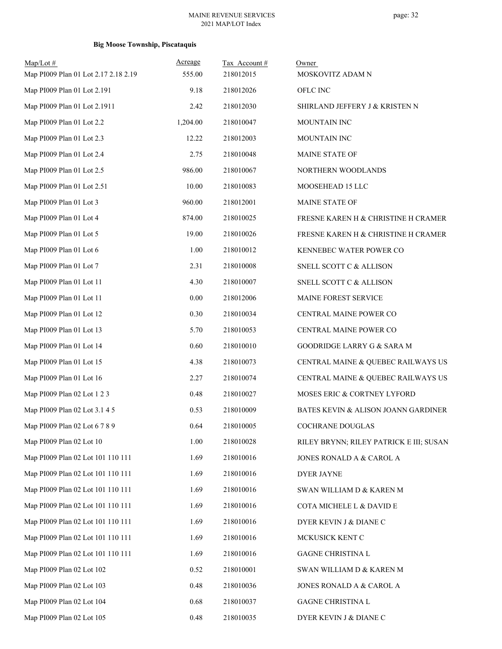### **Big Moose Township, Piscataquis**

| $Map/Lot$ #                          | Acreage  | Tax Account# | Owner                                   |
|--------------------------------------|----------|--------------|-----------------------------------------|
| Map PI009 Plan 01 Lot 2.17 2.18 2.19 | 555.00   | 218012015    | MOSKOVITZ ADAM N                        |
| Map PI009 Plan 01 Lot 2.191          | 9.18     | 218012026    | OFLC INC                                |
| Map PI009 Plan 01 Lot 2.1911         | 2.42     | 218012030    | SHIRLAND JEFFERY J & KRISTEN N          |
| Map PI009 Plan 01 Lot 2.2            | 1,204.00 | 218010047    | MOUNTAIN INC                            |
| Map PI009 Plan 01 Lot 2.3            | 12.22    | 218012003    | MOUNTAIN INC                            |
| Map PI009 Plan 01 Lot 2.4            | 2.75     | 218010048    | MAINE STATE OF                          |
| Map PI009 Plan 01 Lot 2.5            | 986.00   | 218010067    | NORTHERN WOODLANDS                      |
| Map PI009 Plan 01 Lot 2.51           | 10.00    | 218010083    | MOOSEHEAD 15 LLC                        |
| Map PI009 Plan 01 Lot 3              | 960.00   | 218012001    | MAINE STATE OF                          |
| Map PI009 Plan 01 Lot 4              | 874.00   | 218010025    | FRESNE KAREN H & CHRISTINE H CRAMER     |
| Map PI009 Plan 01 Lot 5              | 19.00    | 218010026    | FRESNE KAREN H & CHRISTINE H CRAMER     |
| Map PI009 Plan 01 Lot 6              | 1.00     | 218010012    | KENNEBEC WATER POWER CO                 |
| Map PI009 Plan 01 Lot 7              | 2.31     | 218010008    | SNELL SCOTT C & ALLISON                 |
| Map PI009 Plan 01 Lot 11             | 4.30     | 218010007    | SNELL SCOTT C & ALLISON                 |
| Map PI009 Plan 01 Lot 11             | 0.00     | 218012006    | MAINE FOREST SERVICE                    |
| Map PI009 Plan 01 Lot 12             | 0.30     | 218010034    | CENTRAL MAINE POWER CO                  |
| Map PI009 Plan 01 Lot 13             | 5.70     | 218010053    | CENTRAL MAINE POWER CO                  |
| Map PI009 Plan 01 Lot 14             | 0.60     | 218010010    | GOODRIDGE LARRY G & SARA M              |
| Map PI009 Plan 01 Lot 15             | 4.38     | 218010073    | CENTRAL MAINE & QUEBEC RAILWAYS US      |
| Map PI009 Plan 01 Lot 16             | 2.27     | 218010074    | CENTRAL MAINE & QUEBEC RAILWAYS US      |
| Map PI009 Plan 02 Lot 1 2 3          | 0.48     | 218010027    | MOSES ERIC & CORTNEY LYFORD             |
| Map PI009 Plan 02 Lot 3.1 4 5        | 0.53     | 218010009    | BATES KEVIN & ALISON JOANN GARDINER     |
| Map PI009 Plan 02 Lot 6 7 8 9        | 0.64     | 218010005    | COCHRANE DOUGLAS                        |
| Map PI009 Plan 02 Lot 10             | 1.00     | 218010028    | RILEY BRYNN; RILEY PATRICK E III; SUSAN |
| Map PI009 Plan 02 Lot 101 110 111    | 1.69     | 218010016    | JONES RONALD A & CAROL A                |
| Map PI009 Plan 02 Lot 101 110 111    | 1.69     | 218010016    | DYER JAYNE                              |
| Map PI009 Plan 02 Lot 101 110 111    | 1.69     | 218010016    | SWAN WILLIAM D & KAREN M                |
| Map PI009 Plan 02 Lot 101 110 111    | 1.69     | 218010016    | COTA MICHELE L & DAVID E                |
| Map PI009 Plan 02 Lot 101 110 111    | 1.69     | 218010016    | DYER KEVIN J & DIANE C                  |
| Map PI009 Plan 02 Lot 101 110 111    | 1.69     | 218010016    | MCKUSICK KENT C                         |
| Map PI009 Plan 02 Lot 101 110 111    | 1.69     | 218010016    | GAGNE CHRISTINA L                       |
| Map PI009 Plan 02 Lot 102            | 0.52     | 218010001    | SWAN WILLIAM D & KAREN M                |
| Map PI009 Plan 02 Lot 103            | 0.48     | 218010036    | JONES RONALD A & CAROL A                |
| Map PI009 Plan 02 Lot 104            | 0.68     | 218010037    | GAGNE CHRISTINA L                       |
| Map PI009 Plan 02 Lot 105            | 0.48     | 218010035    | DYER KEVIN J & DIANE C                  |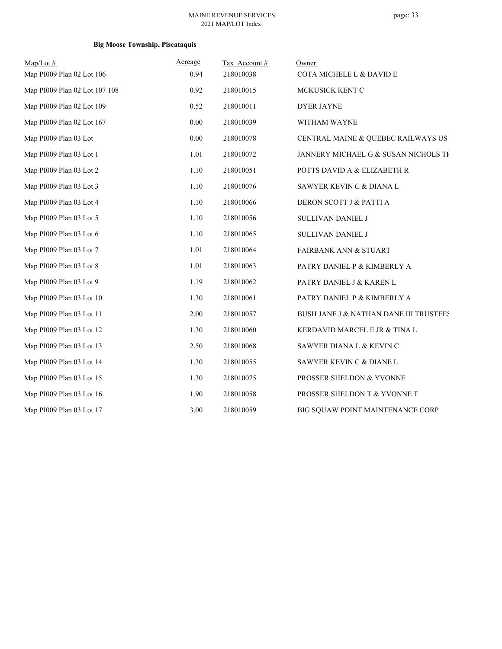# page: 33

### **Big Moose Township, Piscataquis**

| Map/Lot#                      | Acreage | Tax Account# | Owner                                  |
|-------------------------------|---------|--------------|----------------------------------------|
| Map PI009 Plan 02 Lot 106     | 0.94    | 218010038    | COTA MICHELE L & DAVID E               |
| Map PI009 Plan 02 Lot 107 108 | 0.92    | 218010015    | MCKUSICK KENT C                        |
| Map PI009 Plan 02 Lot 109     | 0.52    | 218010011    | <b>DYER JAYNE</b>                      |
| Map PI009 Plan 02 Lot 167     | 0.00    | 218010039    | WITHAM WAYNE                           |
| Map PI009 Plan 03 Lot         | 0.00    | 218010078    | CENTRAL MAINE & QUEBEC RAILWAYS US     |
| Map PI009 Plan 03 Lot 1       | 1.01    | 218010072    | JANNERY MICHAEL G & SUSAN NICHOLS TF   |
| Map PI009 Plan 03 Lot 2       | 1.10    | 218010051    | POTTS DAVID A & ELIZABETH R            |
| Map PI009 Plan 03 Lot 3       | 1.10    | 218010076    | SAWYER KEVIN C & DIANA L               |
| Map PI009 Plan 03 Lot 4       | 1.10    | 218010066    | DERON SCOTT J & PATTI A                |
| Map PI009 Plan 03 Lot 5       | 1.10    | 218010056    | SULLIVAN DANIEL J                      |
| Map PI009 Plan 03 Lot 6       | 1.10    | 218010065    | SULLIVAN DANIEL J                      |
| Map PI009 Plan 03 Lot 7       | 1.01    | 218010064    | <b>FAIRBANK ANN &amp; STUART</b>       |
| Map PI009 Plan 03 Lot 8       | 1.01    | 218010063    | PATRY DANIEL P & KIMBERLY A            |
| Map PI009 Plan 03 Lot 9       | 1.19    | 218010062    | PATRY DANIEL J & KAREN L               |
| Map PI009 Plan 03 Lot 10      | 1.30    | 218010061    | PATRY DANIEL P & KIMBERLY A            |
| Map PI009 Plan 03 Lot 11      | 2.00    | 218010057    | BUSH JANE J & NATHAN DANE III TRUSTEES |
| Map PI009 Plan 03 Lot 12      | 1.30    | 218010060    | KERDAVID MARCEL E JR & TINA L          |
| Map PI009 Plan 03 Lot 13      | 2.50    | 218010068    | SAWYER DIANA L & KEVIN C               |
| Map PI009 Plan 03 Lot 14      | 1.30    | 218010055    | SAWYER KEVIN C & DIANE L               |
| Map PI009 Plan 03 Lot 15      | 1.30    | 218010075    | PROSSER SHELDON & YVONNE               |
| Map PI009 Plan 03 Lot 16      | 1.90    | 218010058    | PROSSER SHELDON T & YVONNE T           |
| Map PI009 Plan 03 Lot 17      | 3.00    | 218010059    | BIG SQUAW POINT MAINTENANCE CORP       |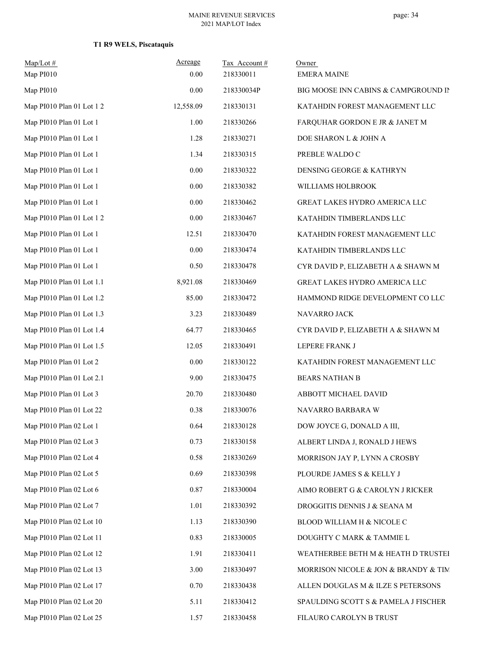# **T1 R9 WELS, Piscataquis**

| $Map/Lot$ #<br>Map PI010  | Acreage<br>0.00 | Tax Account#<br>218330011 | Owner<br><b>EMERA MAINE</b>          |
|---------------------------|-----------------|---------------------------|--------------------------------------|
| Map PI010                 | 0.00            | 218330034P                | BIG MOOSE INN CABINS & CAMPGROUND IN |
| Map PI010 Plan 01 Lot 1 2 | 12,558.09       | 218330131                 | KATAHDIN FOREST MANAGEMENT LLC       |
| Map PI010 Plan 01 Lot 1   | 1.00            | 218330266                 | FARQUHAR GORDON E JR & JANET M       |
| Map PI010 Plan 01 Lot 1   | 1.28            | 218330271                 | DOE SHARON L & JOHN A                |
| Map PI010 Plan 01 Lot 1   | 1.34            | 218330315                 | PREBLE WALDO C                       |
| Map PI010 Plan 01 Lot 1   | $0.00\,$        | 218330322                 | DENSING GEORGE & KATHRYN             |
| Map PI010 Plan 01 Lot 1   | $0.00\,$        | 218330382                 | WILLIAMS HOLBROOK                    |
| Map PI010 Plan 01 Lot 1   | $0.00\,$        | 218330462                 | GREAT LAKES HYDRO AMERICA LLC        |
| Map PI010 Plan 01 Lot 1 2 | $0.00\,$        | 218330467                 | KATAHDIN TIMBERLANDS LLC             |
| Map PI010 Plan 01 Lot 1   | 12.51           | 218330470                 | KATAHDIN FOREST MANAGEMENT LLC       |
| Map PI010 Plan 01 Lot 1   | 0.00            | 218330474                 | KATAHDIN TIMBERLANDS LLC             |
| Map PI010 Plan 01 Lot 1   | 0.50            | 218330478                 | CYR DAVID P, ELIZABETH A & SHAWN M   |
| Map PI010 Plan 01 Lot 1.1 | 8,921.08        | 218330469                 | GREAT LAKES HYDRO AMERICA LLC        |
| Map PI010 Plan 01 Lot 1.2 | 85.00           | 218330472                 | HAMMOND RIDGE DEVELOPMENT CO LLC     |
| Map PI010 Plan 01 Lot 1.3 | 3.23            | 218330489                 | NAVARRO JACK                         |
| Map PI010 Plan 01 Lot 1.4 | 64.77           | 218330465                 | CYR DAVID P, ELIZABETH A & SHAWN M   |
| Map PI010 Plan 01 Lot 1.5 | 12.05           | 218330491                 | LEPERE FRANK J                       |
| Map PI010 Plan 01 Lot 2   | $0.00\,$        | 218330122                 | KATAHDIN FOREST MANAGEMENT LLC       |
| Map PI010 Plan 01 Lot 2.1 | 9.00            | 218330475                 | <b>BEARS NATHAN B</b>                |
| Map PI010 Plan 01 Lot 3   | 20.70           | 218330480                 | ABBOTT MICHAEL DAVID                 |
| Map PI010 Plan 01 Lot 22  | 0.38            | 218330076                 | NAVARRO BARBARA W                    |
| Map PI010 Plan 02 Lot 1   | 0.64            | 218330128                 | DOW JOYCE G, DONALD A III,           |
| Map PI010 Plan 02 Lot 3   | 0.73            | 218330158                 | ALBERT LINDA J, RONALD J HEWS        |
| Map PI010 Plan 02 Lot 4   | 0.58            | 218330269                 | MORRISON JAY P, LYNN A CROSBY        |
| Map PI010 Plan 02 Lot 5   | 0.69            | 218330398                 | PLOURDE JAMES S & KELLY J            |
| Map PI010 Plan 02 Lot 6   | 0.87            | 218330004                 | AIMO ROBERT G & CAROLYN J RICKER     |
| Map PI010 Plan 02 Lot 7   | 1.01            | 218330392                 | DROGGITIS DENNIS J & SEANA M         |
| Map PI010 Plan 02 Lot 10  | 1.13            | 218330390                 | BLOOD WILLIAM H & NICOLE C           |
| Map PI010 Plan 02 Lot 11  | 0.83            | 218330005                 | DOUGHTY C MARK & TAMMIE L            |
| Map PI010 Plan 02 Lot 12  | 1.91            | 218330411                 | WEATHERBEE BETH M & HEATH D TRUSTEI  |
| Map PI010 Plan 02 Lot 13  | 3.00            | 218330497                 | MORRISON NICOLE & JON & BRANDY & TIM |
| Map PI010 Plan 02 Lot 17  | 0.70            | 218330438                 | ALLEN DOUGLAS M & ILZE S PETERSONS   |
| Map PI010 Plan 02 Lot 20  | 5.11            | 218330412                 | SPAULDING SCOTT S & PAMELA J FISCHER |
| Map PI010 Plan 02 Lot 25  | 1.57            | 218330458                 | FILAURO CAROLYN B TRUST              |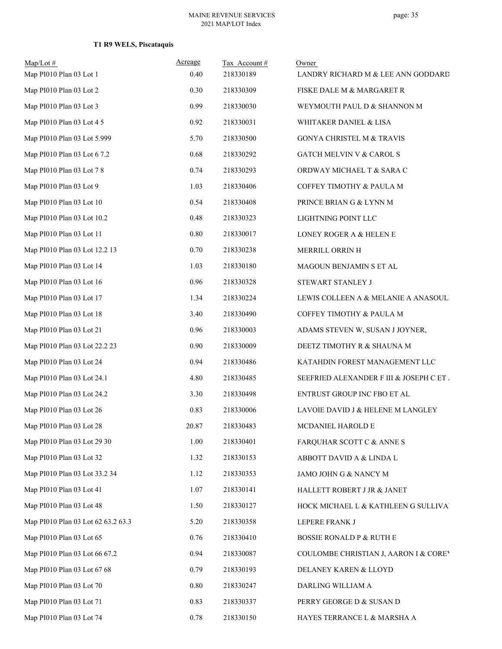# **T1 R9 WELS, Piscataquis**

| $Map/Lot$ #<br>Map PI010 Plan 03 Lot 1 | Acreage<br>0.40 | Tax Account#<br>218330189 | Owner<br>LANDRY RICHARD M & LEE ANN GODDARD |
|----------------------------------------|-----------------|---------------------------|---------------------------------------------|
| Map PI010 Plan 03 Lot 2                | 0.30            | 218330309                 | FISKE DALE M & MARGARET R                   |
| Map PI010 Plan 03 Lot 3                | 0.99            | 218330030                 | WEYMOUTH PAUL D & SHANNON M                 |
| Map PI010 Plan 03 Lot 4 5              | 0.92            | 218330031                 | WHITAKER DANIEL & LISA                      |
| Map PI010 Plan 03 Lot 5.999            | 5.70            | 218330500                 | <b>GONYA CHRISTEL M &amp; TRAVIS</b>        |
| Map PI010 Plan 03 Lot 6 7.2            | 0.68            | 218330292                 | GATCH MELVIN V & CAROL S                    |
| Map PI010 Plan 03 Lot 7 8              | 0.74            | 218330293                 | ORDWAY MICHAEL T & SARA C                   |
| Map PI010 Plan 03 Lot 9                | 1.03            | 218330406                 | COFFEY TIMOTHY & PAULA M                    |
| Map PI010 Plan 03 Lot 10               | 0.54            | 218330408                 | PRINCE BRIAN G & LYNN M                     |
| Map PI010 Plan 03 Lot 10.2             | 0.48            | 218330323                 | LIGHTNING POINT LLC                         |
| Map PI010 Plan 03 Lot 11               | $0.80\,$        | 218330017                 | LONEY ROGER A & HELEN E                     |
| Map PI010 Plan 03 Lot 12.2 13          | 0.70            | 218330238                 | MERRILL ORRIN H                             |
| Map PI010 Plan 03 Lot 14               | 1.03            | 218330180                 | MAGOUN BENJAMIN S ET AL                     |
| Map PI010 Plan 03 Lot 16               | 0.96            | 218330328                 | STEWART STANLEY J                           |
| Map PI010 Plan 03 Lot 17               | 1.34            | 218330224                 | LEWIS COLLEEN A & MELANIE A ANASOUL!        |
| Map PI010 Plan 03 Lot 18               | 3.40            | 218330490                 | COFFEY TIMOTHY & PAULA M                    |
| Map PI010 Plan 03 Lot 21               | 0.96            | 218330003                 | ADAMS STEVEN W, SUSAN J JOYNER,             |
| Map PI010 Plan 03 Lot 22.2 23          | 0.90            | 218330009                 | DEETZ TIMOTHY R & SHAUNA M                  |
| Map PI010 Plan 03 Lot 24               | 0.94            | 218330486                 | KATAHDIN FOREST MANAGEMENT LLC              |
| Map PI010 Plan 03 Lot 24.1             | 4.80            | 218330485                 | SEEFRIED ALEXANDER F III & JOSEPH C ET.     |
| Map PI010 Plan 03 Lot 24.2             | 3.30            | 218330498                 | ENTRUST GROUP INC FBO ET AL                 |
| Map PI010 Plan 03 Lot 26               | 0.83            | 218330006                 | LAVOIE DAVID J & HELENE M LANGLEY           |
| Map PI010 Plan 03 Lot 28               | 20.87           | 218330483                 | MCDANIEL HAROLD E                           |
| Map PI010 Plan 03 Lot 29 30            | 1.00            | 218330401                 | FARQUHAR SCOTT C & ANNE S                   |
| Map PI010 Plan 03 Lot 32               | 1.32            | 218330153                 | ABBOTT DAVID A & LINDA L                    |
| Map PI010 Plan 03 Lot 33.2 34          | 1.12            | 218330353                 | JAMO JOHN G & NANCY M                       |
| Map PI010 Plan 03 Lot 41               | 1.07            | 218330141                 | HALLETT ROBERT J JR & JANET                 |
| Map PI010 Plan 03 Lot 48               | 1.50            | 218330127                 | HOCK MICHAEL L & KATHLEEN G SULLIVAL        |
| Map PI010 Plan 03 Lot 62 63.2 63.3     | 5.20            | 218330358                 | LEPERE FRANK J                              |
| Map PI010 Plan 03 Lot 65               | 0.76            | 218330410                 | <b>BOSSIE RONALD P &amp; RUTH E</b>         |
| Map PI010 Plan 03 Lot 66 67.2          | 0.94            | 218330087                 | COULOMBE CHRISTIAN J, AARON I & COREY       |
| Map PI010 Plan 03 Lot 67 68            | 0.79            | 218330193                 | DELANEY KAREN & LLOYD                       |
| Map PI010 Plan 03 Lot 70               | 0.80            | 218330247                 | DARLING WILLIAM A                           |
| Map PI010 Plan 03 Lot 71               | 0.83            | 218330337                 | PERRY GEORGE D & SUSAN D                    |
| Map PI010 Plan 03 Lot 74               | 0.78            | 218330150                 | HAYES TERRANCE L & MARSHA A                 |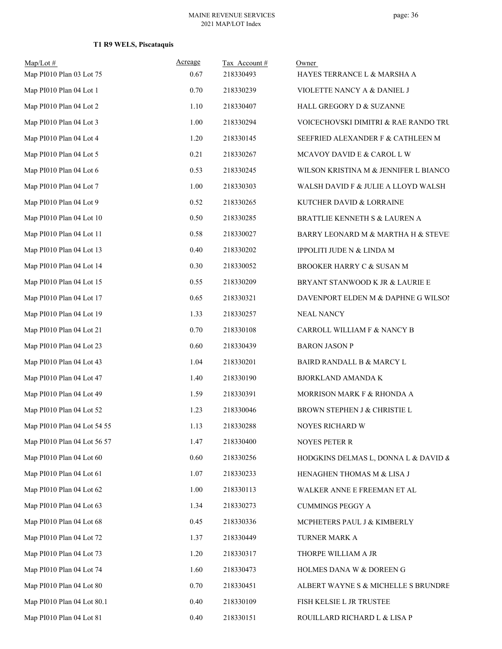| $Map/Lot$ #<br>Map PI010 Plan 03 Lot 75 | Acreage<br>0.67 | Tax Account#<br>218330493 | Owner<br>HAYES TERRANCE L & MARSHA A  |
|-----------------------------------------|-----------------|---------------------------|---------------------------------------|
| Map PI010 Plan 04 Lot 1                 | 0.70            | 218330239                 | VIOLETTE NANCY A & DANIEL J           |
| Map PI010 Plan 04 Lot 2                 | 1.10            | 218330407                 | HALL GREGORY D & SUZANNE              |
| Map PI010 Plan 04 Lot 3                 | 1.00            | 218330294                 | VOICECHOVSKI DIMITRI & RAE RANDO TRU  |
| Map PI010 Plan 04 Lot 4                 | 1.20            | 218330145                 | SEEFRIED ALEXANDER F & CATHLEEN M     |
| Map PI010 Plan 04 Lot 5                 | 0.21            | 218330267                 | MCAVOY DAVID E & CAROL L W            |
| Map PI010 Plan 04 Lot 6                 | 0.53            | 218330245                 | WILSON KRISTINA M & JENNIFER L BIANCO |
| Map PI010 Plan 04 Lot 7                 | 1.00            | 218330303                 | WALSH DAVID F & JULIE A LLOYD WALSH   |
| Map PI010 Plan 04 Lot 9                 | 0.52            | 218330265                 | KUTCHER DAVID & LORRAINE              |
| Map PI010 Plan 04 Lot 10                | 0.50            | 218330285                 | BRATTLIE KENNETH S & LAUREN A         |
| Map PI010 Plan 04 Lot 11                | 0.58            | 218330027                 | BARRY LEONARD M & MARTHA H & STEVEI   |
| Map PI010 Plan 04 Lot 13                | 0.40            | 218330202                 | IPPOLITI JUDE N & LINDA M             |
| Map PI010 Plan 04 Lot 14                | 0.30            | 218330052                 | BROOKER HARRY C & SUSAN M             |
| Map PI010 Plan 04 Lot 15                | 0.55            | 218330209                 | BRYANT STANWOOD K JR & LAURIE E       |
| Map PI010 Plan 04 Lot 17                | 0.65            | 218330321                 | DAVENPORT ELDEN M & DAPHNE G WILSO!   |
| Map PI010 Plan 04 Lot 19                | 1.33            | 218330257                 | <b>NEAL NANCY</b>                     |
| Map PI010 Plan 04 Lot 21                | 0.70            | 218330108                 | CARROLL WILLIAM F & NANCY B           |
| Map PI010 Plan 04 Lot 23                | 0.60            | 218330439                 | <b>BARON JASON P</b>                  |
| Map PI010 Plan 04 Lot 43                | 1.04            | 218330201                 | BAIRD RANDALL B & MARCY L             |
| Map PI010 Plan 04 Lot 47                | 1.40            | 218330190                 | <b>BJORKLAND AMANDA K</b>             |
| Map PI010 Plan 04 Lot 49                | 1.59            | 218330391                 | MORRISON MARK F & RHONDA A            |
| Map PI010 Plan 04 Lot 52                | 1.23            | 218330046                 | BROWN STEPHEN J & CHRISTIE L          |
| Map PI010 Plan 04 Lot 54 55             | 1.13            | 218330288                 | NOYES RICHARD W                       |
| Map PI010 Plan 04 Lot 56 57             | 1.47            | 218330400                 | NOYES PETER R                         |
| Map PI010 Plan 04 Lot 60                | 0.60            | 218330256                 | HODGKINS DELMAS L, DONNA L & DAVID &  |
| Map PI010 Plan 04 Lot 61                | 1.07            | 218330233                 | HENAGHEN THOMAS M & LISA J            |
| Map PI010 Plan 04 Lot 62                | 1.00            | 218330113                 | WALKER ANNE E FREEMAN ET AL           |
| Map PI010 Plan 04 Lot 63                | 1.34            | 218330273                 | <b>CUMMINGS PEGGY A</b>               |
| Map PI010 Plan 04 Lot 68                | 0.45            | 218330336                 | MCPHETERS PAUL J & KIMBERLY           |
| Map PI010 Plan 04 Lot 72                | 1.37            | 218330449                 | TURNER MARK A                         |
| Map PI010 Plan 04 Lot 73                | 1.20            | 218330317                 | THORPE WILLIAM A JR                   |
| Map PI010 Plan 04 Lot 74                | 1.60            | 218330473                 | HOLMES DANA W & DOREEN G              |
| Map PI010 Plan 04 Lot 80                | 0.70            | 218330451                 | ALBERT WAYNE S & MICHELLE S BRUNDRE   |
| Map PI010 Plan 04 Lot 80.1              | 0.40            | 218330109                 | FISH KELSIE L JR TRUSTEE              |
| Map PI010 Plan 04 Lot 81                | 0.40            | 218330151                 | ROUILLARD RICHARD L & LISA P          |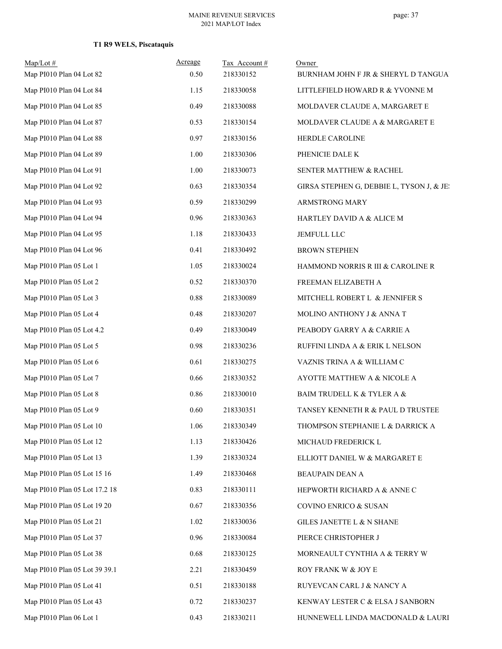| $Map/Lot \#$<br>Map PI010 Plan 04 Lot 82 | Acreage<br>0.50 | Tax Account#<br>218330152 | Owner<br>BURNHAM JOHN F JR & SHERYL D TANGUA |
|------------------------------------------|-----------------|---------------------------|----------------------------------------------|
| Map PI010 Plan 04 Lot 84                 | 1.15            | 218330058                 | LITTLEFIELD HOWARD R & YVONNE M              |
| Map PI010 Plan 04 Lot 85                 | 0.49            | 218330088                 | MOLDAVER CLAUDE A, MARGARET E                |
| Map PI010 Plan 04 Lot 87                 | 0.53            | 218330154                 | MOLDAVER CLAUDE A & MARGARET E               |
| Map PI010 Plan 04 Lot 88                 | 0.97            | 218330156                 | HERDLE CAROLINE                              |
| Map PI010 Plan 04 Lot 89                 | 1.00            | 218330306                 | PHENICIE DALE K                              |
| Map PI010 Plan 04 Lot 91                 | 1.00            | 218330073                 | SENTER MATTHEW & RACHEL                      |
| Map PI010 Plan 04 Lot 92                 | 0.63            | 218330354                 | GIRSA STEPHEN G, DEBBIE L, TYSON J, & JE:    |
| Map PI010 Plan 04 Lot 93                 | 0.59            | 218330299                 | ARMSTRONG MARY                               |
| Map PI010 Plan 04 Lot 94                 | 0.96            | 218330363                 | HARTLEY DAVID A & ALICE M                    |
| Map PI010 Plan 04 Lot 95                 | 1.18            | 218330433                 | JEMFULL LLC                                  |
| Map PI010 Plan 04 Lot 96                 | 0.41            | 218330492                 | <b>BROWN STEPHEN</b>                         |
| Map PI010 Plan 05 Lot 1                  | 1.05            | 218330024                 | HAMMOND NORRIS R III & CAROLINE R            |
| Map PI010 Plan 05 Lot 2                  | 0.52            | 218330370                 | FREEMAN ELIZABETH A                          |
| Map PI010 Plan 05 Lot 3                  | 0.88            | 218330089                 | MITCHELL ROBERT L & JENNIFER S               |
| Map PI010 Plan 05 Lot 4                  | 0.48            | 218330207                 | MOLINO ANTHONY J & ANNA T                    |
| Map PI010 Plan 05 Lot 4.2                | 0.49            | 218330049                 | PEABODY GARRY A & CARRIE A                   |
| Map PI010 Plan 05 Lot 5                  | 0.98            | 218330236                 | RUFFINI LINDA A & ERIK L NELSON              |
| Map PI010 Plan 05 Lot 6                  | 0.61            | 218330275                 | VAZNIS TRINA A & WILLIAM C                   |
| Map PI010 Plan 05 Lot 7                  | 0.66            | 218330352                 | AYOTTE MATTHEW A & NICOLE A                  |
| Map PI010 Plan 05 Lot 8                  | 0.86            | 218330010                 | BAIM TRUDELL K & TYLER A &                   |
| Map PI010 Plan 05 Lot 9                  | 0.60            | 218330351                 | TANSEY KENNETH R & PAUL D TRUSTEE            |
| Map PI010 Plan 05 Lot 10                 | 1.06            | 218330349                 | THOMPSON STEPHANIE L & DARRICK A             |
| Map PI010 Plan 05 Lot 12                 | 1.13            | 218330426                 | MICHAUD FREDERICK L                          |
| Map PI010 Plan 05 Lot 13                 | 1.39            | 218330324                 | ELLIOTT DANIEL W & MARGARET E                |
| Map PI010 Plan 05 Lot 15 16              | 1.49            | 218330468                 | BEAUPAIN DEAN A                              |
| Map PI010 Plan 05 Lot 17.2 18            | 0.83            | 218330111                 | HEPWORTH RICHARD A & ANNE C                  |
| Map PI010 Plan 05 Lot 19 20              | 0.67            | 218330356                 | COVINO ENRICO & SUSAN                        |
| Map PI010 Plan 05 Lot 21                 | 1.02            | 218330036                 | GILES JANETTE L & N SHANE                    |
| Map PI010 Plan 05 Lot 37                 | 0.96            | 218330084                 | PIERCE CHRISTOPHER J                         |
| Map PI010 Plan 05 Lot 38                 | 0.68            | 218330125                 | MORNEAULT CYNTHIA A & TERRY W                |
| Map PI010 Plan 05 Lot 39 39.1            | 2.21            | 218330459                 | ROY FRANK W & JOY E                          |
| Map PI010 Plan 05 Lot 41                 | 0.51            | 218330188                 | RUYEVCAN CARL J & NANCY A                    |
| Map PI010 Plan 05 Lot 43                 | 0.72            | 218330237                 | KENWAY LESTER C & ELSA J SANBORN             |
| Map PI010 Plan 06 Lot 1                  | 0.43            | 218330211                 | HUNNEWELL LINDA MACDONALD & LAURI            |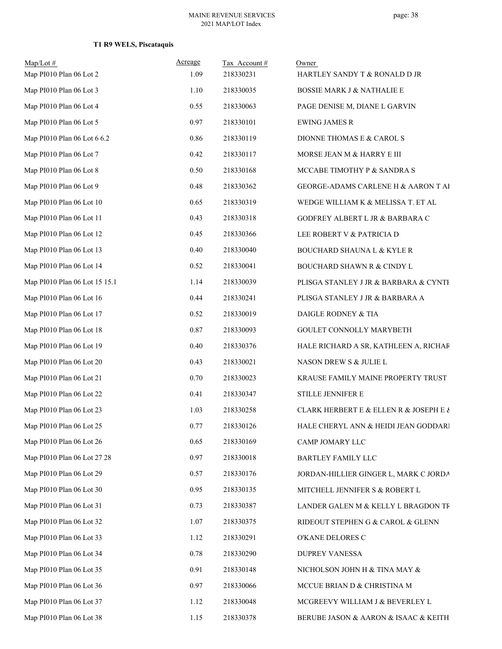| $Map/Lot$ #<br>Map PI010 Plan 06 Lot 2 | Acreage<br>1.09 | Tax Account#<br>218330231 | Owner<br>HARTLEY SANDY T & RONALD D JR        |
|----------------------------------------|-----------------|---------------------------|-----------------------------------------------|
| Map PI010 Plan 06 Lot 3                | 1.10            | 218330035                 | <b>BOSSIE MARK J &amp; NATHALIE E</b>         |
| Map PI010 Plan 06 Lot 4                | 0.55            | 218330063                 | PAGE DENISE M, DIANE L GARVIN                 |
| Map PI010 Plan 06 Lot 5                | 0.97            | 218330101                 | <b>EWING JAMES R</b>                          |
| Map PI010 Plan 06 Lot 6 6.2            | 0.86            | 218330119                 | DIONNE THOMAS E & CAROL S                     |
| Map PI010 Plan 06 Lot 7                | 0.42            | 218330117                 | MORSE JEAN M & HARRY E III                    |
| Map PI010 Plan 06 Lot 8                | 0.50            | 218330168                 | MCCABE TIMOTHY P & SANDRA S                   |
| Map PI010 Plan 06 Lot 9                | 0.48            | 218330362                 | GEORGE-ADAMS CARLENE H & AARON T AI           |
| Map PI010 Plan 06 Lot 10               | 0.65            | 218330319                 | WEDGE WILLIAM K & MELISSA T. ET AL            |
| Map PI010 Plan 06 Lot 11               | 0.43            | 218330318                 | GODFREY ALBERT L JR & BARBARA C               |
| Map PI010 Plan 06 Lot 12               | 0.45            | 218330366                 | LEE ROBERT V & PATRICIA D                     |
| Map PI010 Plan 06 Lot 13               | 0.40            | 218330040                 | <b>BOUCHARD SHAUNA L &amp; KYLE R</b>         |
| Map PI010 Plan 06 Lot 14               | 0.52            | 218330041                 | <b>BOUCHARD SHAWN R &amp; CINDY L</b>         |
| Map PI010 Plan 06 Lot 15 15.1          | 1.14            | 218330039                 | PLISGA STANLEY J JR & BARBARA & CYNTH         |
| Map PI010 Plan 06 Lot 16               | 0.44            | 218330241                 | PLISGA STANLEY J JR & BARBARA A               |
| Map PI010 Plan 06 Lot 17               | 0.52            | 218330019                 | DAIGLE RODNEY & TIA                           |
| Map PI010 Plan 06 Lot 18               | 0.87            | 218330093                 | GOULET CONNOLLY MARYBETH                      |
| Map PI010 Plan 06 Lot 19               | 0.40            | 218330376                 | HALE RICHARD A SR, KATHLEEN A, RICHAR         |
| Map PI010 Plan 06 Lot 20               | 0.43            | 218330021                 | NASON DREW S & JULIE L                        |
| Map PI010 Plan 06 Lot 21               | 0.70            | 218330023                 | KRAUSE FAMILY MAINE PROPERTY TRUST            |
| Map PI010 Plan 06 Lot 22               | 0.41            | 218330347                 | STILLE JENNIFER E                             |
| Map PI010 Plan 06 Lot 23               | 1.03            | 218330258                 | CLARK HERBERT E & ELLEN R & JOSEPH E $\delta$ |
| Map PI010 Plan 06 Lot 25               | 0.77            | 218330126                 | HALE CHERYL ANN & HEIDI JEAN GODDARI          |
| Map PI010 Plan 06 Lot 26               | 0.65            | 218330169                 | CAMP JOMARY LLC                               |
| Map PI010 Plan 06 Lot 27 28            | 0.97            | 218330018                 | BARTLEY FAMILY LLC                            |
| Map PI010 Plan 06 Lot 29               | 0.57            | 218330176                 | JORDAN-HILLIER GINGER L, MARK C JORDA         |
| Map PI010 Plan 06 Lot 30               | 0.95            | 218330135                 | MITCHELL JENNIFER S & ROBERT L                |
| Map PI010 Plan 06 Lot 31               | 0.73            | 218330387                 | LANDER GALEN M & KELLY L BRAGDON TF           |
| Map PI010 Plan 06 Lot 32               | 1.07            | 218330375                 | RIDEOUT STEPHEN G & CAROL & GLENN             |
| Map PI010 Plan 06 Lot 33               | 1.12            | 218330291                 | O'KANE DELORES C                              |
| Map PI010 Plan 06 Lot 34               | 0.78            | 218330290                 | DUPREY VANESSA                                |
| Map PI010 Plan 06 Lot 35               | 0.91            | 218330148                 | NICHOLSON JOHN H & TINA MAY &                 |
| Map PI010 Plan 06 Lot 36               | 0.97            | 218330066                 | MCCUE BRIAN D & CHRISTINA M                   |
| Map PI010 Plan 06 Lot 37               | 1.12            | 218330048                 | MCGREEVY WILLIAM J & BEVERLEY L               |
| Map PI010 Plan 06 Lot 38               | 1.15            | 218330378                 | BERUBE JASON & AARON & ISAAC & KEITH          |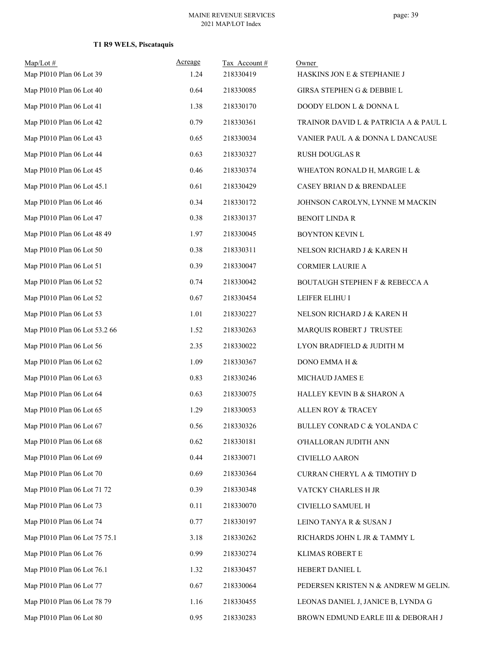| $Map/Lot \#$<br>Map PI010 Plan 06 Lot 39 | Acreage<br>1.24 | Tax Account#<br>218330419 | Owner<br>HASKINS JON E & STEPHANIE J  |
|------------------------------------------|-----------------|---------------------------|---------------------------------------|
| Map PI010 Plan 06 Lot 40                 | 0.64            | 218330085                 | <b>GIRSA STEPHEN G &amp; DEBBIE L</b> |
| Map PI010 Plan 06 Lot 41                 | 1.38            | 218330170                 | DOODY ELDON L & DONNA L               |
| Map PI010 Plan 06 Lot 42                 | 0.79            | 218330361                 | TRAINOR DAVID L & PATRICIA A & PAUL L |
| Map PI010 Plan 06 Lot 43                 | 0.65            | 218330034                 | VANIER PAUL A & DONNA L DANCAUSE      |
| Map PI010 Plan 06 Lot 44                 | 0.63            | 218330327                 | <b>RUSH DOUGLAS R</b>                 |
| Map PI010 Plan 06 Lot 45                 | 0.46            | 218330374                 | WHEATON RONALD H, MARGIE L &          |
| Map PI010 Plan 06 Lot 45.1               | 0.61            | 218330429                 | CASEY BRIAN D & BRENDALEE             |
| Map PI010 Plan 06 Lot 46                 | 0.34            | 218330172                 | JOHNSON CAROLYN, LYNNE M MACKIN       |
| Map PI010 Plan 06 Lot 47                 | 0.38            | 218330137                 | <b>BENOIT LINDA R</b>                 |
| Map PI010 Plan 06 Lot 48 49              | 1.97            | 218330045                 | BOYNTON KEVIN L                       |
| Map PI010 Plan 06 Lot 50                 | $0.38\,$        | 218330311                 | NELSON RICHARD J & KAREN H            |
| Map PI010 Plan 06 Lot 51                 | 0.39            | 218330047                 | <b>CORMIER LAURIE A</b>               |
| Map PI010 Plan 06 Lot 52                 | 0.74            | 218330042                 | BOUTAUGH STEPHEN F & REBECCA A        |
| Map PI010 Plan 06 Lot 52                 | 0.67            | 218330454                 | LEIFER ELIHU I                        |
| Map PI010 Plan 06 Lot 53                 | 1.01            | 218330227                 | NELSON RICHARD J & KAREN H            |
| Map PI010 Plan 06 Lot 53.2 66            | 1.52            | 218330263                 | MARQUIS ROBERT J TRUSTEE              |
| Map PI010 Plan 06 Lot 56                 | 2.35            | 218330022                 | LYON BRADFIELD & JUDITH M             |
| Map PI010 Plan 06 Lot 62                 | 1.09            | 218330367                 | DONO EMMA H &                         |
| Map PI010 Plan 06 Lot 63                 | 0.83            | 218330246                 | MICHAUD JAMES E                       |
| Map PI010 Plan 06 Lot 64                 | 0.63            | 218330075                 | HALLEY KEVIN B & SHARON A             |
| Map PI010 Plan 06 Lot 65                 | 1.29            | 218330053                 | <b>ALLEN ROY &amp; TRACEY</b>         |
| Map PI010 Plan 06 Lot 67                 | 0.56            | 218330326                 | BULLEY CONRAD C & YOLANDA C           |
| Map PI010 Plan 06 Lot 68                 | 0.62            | 218330181                 | O'HALLORAN JUDITH ANN                 |
| Map PI010 Plan 06 Lot 69                 | 0.44            | 218330071                 | <b>CIVIELLO AARON</b>                 |
| Map PI010 Plan 06 Lot 70                 | 0.69            | 218330364                 | CURRAN CHERYL A & TIMOTHY D           |
| Map PI010 Plan 06 Lot 71 72              | 0.39            | 218330348                 | VATCKY CHARLES H JR                   |
| Map PI010 Plan 06 Lot 73                 | 0.11            | 218330070                 | CIVIELLO SAMUEL H                     |
| Map PI010 Plan 06 Lot 74                 | 0.77            | 218330197                 | LEINO TANYA R & SUSAN J               |
| Map PI010 Plan 06 Lot 75 75.1            | 3.18            | 218330262                 | RICHARDS JOHN L JR & TAMMY L          |
| Map PI010 Plan 06 Lot 76                 | 0.99            | 218330274                 | KLIMAS ROBERT E                       |
| Map PI010 Plan 06 Lot 76.1               | 1.32            | 218330457                 | HEBERT DANIEL L                       |
| Map PI010 Plan 06 Lot 77                 | 0.67            | 218330064                 | PEDERSEN KRISTEN N & ANDREW M GELIN.  |
| Map PI010 Plan 06 Lot 78 79              | 1.16            | 218330455                 | LEONAS DANIEL J, JANICE B, LYNDA G    |
| Map PI010 Plan 06 Lot 80                 | 0.95            | 218330283                 | BROWN EDMUND EARLE III & DEBORAH J    |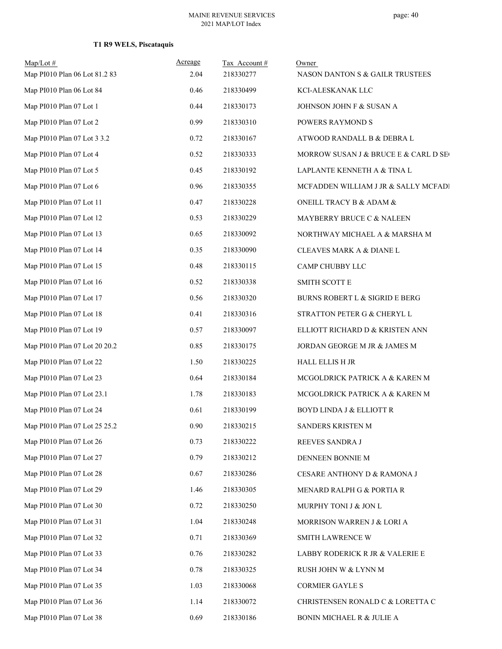| $Map/Lot$ #<br>Map PI010 Plan 06 Lot 81.2 83 | Acreage<br>2.04 | Tax Account#<br>218330277 | Owner<br>NASON DANTON S & GAILR TRUSTEES |
|----------------------------------------------|-----------------|---------------------------|------------------------------------------|
| Map PI010 Plan 06 Lot 84                     | 0.46            | 218330499                 | KCI-ALESKANAK LLC                        |
| Map PI010 Plan 07 Lot 1                      | 0.44            | 218330173                 | JOHNSON JOHN F & SUSAN A                 |
| Map PI010 Plan 07 Lot 2                      | 0.99            | 218330310                 | POWERS RAYMOND S                         |
| Map PI010 Plan 07 Lot 3 3.2                  | 0.72            | 218330167                 | ATWOOD RANDALL B & DEBRA L               |
| Map PI010 Plan 07 Lot 4                      | 0.52            | 218330333                 | MORROW SUSAN J & BRUCE E & CARL D SE     |
| Map PI010 Plan 07 Lot 5                      | 0.45            | 218330192                 | LAPLANTE KENNETH A & TINA L              |
| Map PI010 Plan 07 Lot 6                      | 0.96            | 218330355                 | MCFADDEN WILLIAM J JR & SALLY MCFADI     |
| Map PI010 Plan 07 Lot 11                     | 0.47            | 218330228                 | ONEILL TRACY B & ADAM &                  |
| Map PI010 Plan 07 Lot 12                     | 0.53            | 218330229                 | MAYBERRY BRUCE C & NALEEN                |
| Map PI010 Plan 07 Lot 13                     | 0.65            | 218330092                 | NORTHWAY MICHAEL A & MARSHA M            |
| Map PI010 Plan 07 Lot 14                     | 0.35            | 218330090                 | CLEAVES MARK A & DIANE L                 |
| Map PI010 Plan 07 Lot 15                     | 0.48            | 218330115                 | CAMP CHUBBY LLC                          |
| Map PI010 Plan 07 Lot 16                     | 0.52            | 218330338                 | <b>SMITH SCOTT E</b>                     |
| Map PI010 Plan 07 Lot 17                     | 0.56            | 218330320                 | BURNS ROBERT L & SIGRID E BERG           |
| Map PI010 Plan 07 Lot 18                     | 0.41            | 218330316                 | STRATTON PETER G & CHERYL L              |
| Map PI010 Plan 07 Lot 19                     | 0.57            | 218330097                 | ELLIOTT RICHARD D & KRISTEN ANN          |
| Map PI010 Plan 07 Lot 20 20.2                | 0.85            | 218330175                 | JORDAN GEORGE M JR & JAMES M             |
| Map PI010 Plan 07 Lot 22                     | 1.50            | 218330225                 | HALL ELLIS H JR                          |
| Map PI010 Plan 07 Lot 23                     | 0.64            | 218330184                 | MCGOLDRICK PATRICK A & KAREN M           |
| Map PI010 Plan 07 Lot 23.1                   | 1.78            | 218330183                 | MCGOLDRICK PATRICK A & KAREN M           |
| Map PI010 Plan 07 Lot 24                     | 0.61            | 218330199                 | <b>BOYD LINDA J &amp; ELLIOTT R</b>      |
| Map PI010 Plan 07 Lot 25 25.2                | 0.90            | 218330215                 | SANDERS KRISTEN M                        |
| Map PI010 Plan 07 Lot 26                     | 0.73            | 218330222                 | REEVES SANDRA J                          |
| Map PI010 Plan 07 Lot 27                     | 0.79            | 218330212                 | DENNEEN BONNIE M                         |
| Map PI010 Plan 07 Lot 28                     | 0.67            | 218330286                 | CESARE ANTHONY D & RAMONA J              |
| Map PI010 Plan 07 Lot 29                     | 1.46            | 218330305                 | MENARD RALPH G & PORTIA R                |
| Map PI010 Plan 07 Lot 30                     | 0.72            | 218330250                 | MURPHY TONI J & JON L                    |
| Map PI010 Plan 07 Lot 31                     | 1.04            | 218330248                 | MORRISON WARREN J & LORI A               |
| Map PI010 Plan 07 Lot 32                     | 0.71            | 218330369                 | SMITH LAWRENCE W                         |
| Map PI010 Plan 07 Lot 33                     | 0.76            | 218330282                 | LABBY RODERICK R JR & VALERIE E          |
| Map PI010 Plan 07 Lot 34                     | 0.78            | 218330325                 | RUSH JOHN W & LYNN M                     |
| Map PI010 Plan 07 Lot 35                     | 1.03            | 218330068                 | <b>CORMIER GAYLE S</b>                   |
| Map PI010 Plan 07 Lot 36                     | 1.14            | 218330072                 | CHRISTENSEN RONALD C & LORETTA C         |
| Map PI010 Plan 07 Lot 38                     | 0.69            | 218330186                 | BONIN MICHAEL R & JULIE A                |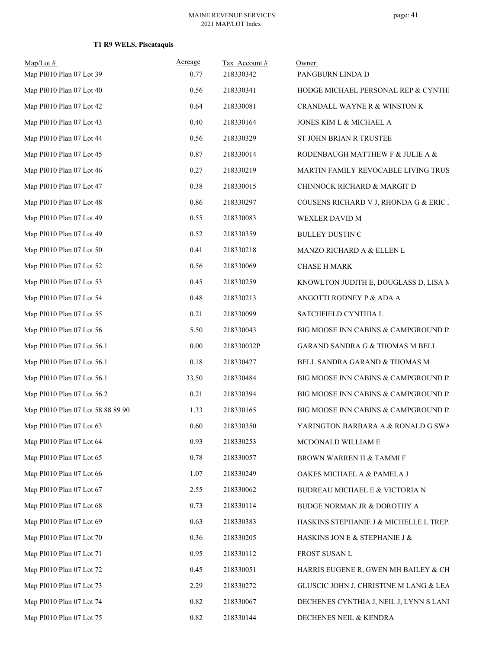| $Map/Lot$ #<br>Map PI010 Plan 07 Lot 39 | Acreage<br>0.77 | Tax Account#<br>218330342 | Owner<br>PANGBURN LINDA D               |
|-----------------------------------------|-----------------|---------------------------|-----------------------------------------|
| Map PI010 Plan 07 Lot 40                | 0.56            | 218330341                 | HODGE MICHAEL PERSONAL REP & CYNTHI     |
| Map PI010 Plan 07 Lot 42                | 0.64            | 218330081                 | CRANDALL WAYNE R & WINSTON K            |
| Map PI010 Plan 07 Lot 43                | 0.40            | 218330164                 | JONES KIM L & MICHAEL A                 |
| Map PI010 Plan 07 Lot 44                | 0.56            | 218330329                 | ST JOHN BRIAN R TRUSTEE                 |
| Map PI010 Plan 07 Lot 45                | 0.87            | 218330014                 | RODENBAUGH MATTHEW F & JULIE A &        |
| Map PI010 Plan 07 Lot 46                | 0.27            | 218330219                 | MARTIN FAMILY REVOCABLE LIVING TRUS     |
| Map PI010 Plan 07 Lot 47                | 0.38            | 218330015                 | CHINNOCK RICHARD & MARGIT D             |
| Map PI010 Plan 07 Lot 48                | 0.86            | 218330297                 | COUSENS RICHARD V J, RHONDA G & ERIC J  |
| Map PI010 Plan 07 Lot 49                | 0.55            | 218330083                 | WEXLER DAVID M                          |
| Map PI010 Plan 07 Lot 49                | 0.52            | 218330359                 | BULLEY DUSTIN C                         |
| Map PI010 Plan 07 Lot 50                | 0.41            | 218330218                 | MANZO RICHARD A & ELLEN L               |
| Map PI010 Plan 07 Lot 52                | 0.56            | 218330069                 | <b>CHASE H MARK</b>                     |
| Map PI010 Plan 07 Lot 53                | 0.45            | 218330259                 | KNOWLTON JUDITH E, DOUGLASS D, LISA M   |
| Map PI010 Plan 07 Lot 54                | 0.48            | 218330213                 | ANGOTTI RODNEY P & ADA A                |
| Map PI010 Plan 07 Lot 55                | 0.21            | 218330099                 | SATCHFIELD CYNTHIA L                    |
| Map PI010 Plan 07 Lot 56                | 5.50            | 218330043                 | BIG MOOSE INN CABINS & CAMPGROUND IN    |
| Map PI010 Plan 07 Lot 56.1              | 0.00            | 218330032P                | GARAND SANDRA G & THOMAS M BELL         |
| Map PI010 Plan 07 Lot 56.1              | 0.18            | 218330427                 | BELL SANDRA GARAND & THOMAS M           |
| Map PI010 Plan 07 Lot 56.1              | 33.50           | 218330484                 | BIG MOOSE INN CABINS & CAMPGROUND IN    |
| Map PI010 Plan 07 Lot 56.2              | 0.21            | 218330394                 | BIG MOOSE INN CABINS & CAMPGROUND IN    |
| Map PI010 Plan 07 Lot 58 88 89 90       | 1.33            | 218330165                 | BIG MOOSE INN CABINS & CAMPGROUND IN    |
| Map PI010 Plan 07 Lot 63                | $0.60\,$        | 218330350                 | YARINGTON BARBARA A & RONALD G SWA      |
| Map PI010 Plan 07 Lot 64                | 0.93            | 218330253                 | MCDONALD WILLIAM E                      |
| Map PI010 Plan 07 Lot 65                | 0.78            | 218330057                 | BROWN WARREN H & TAMMI F                |
| Map PI010 Plan 07 Lot 66                | 1.07            | 218330249                 | OAKES MICHAEL A & PAMELA J              |
| Map PI010 Plan 07 Lot 67                | 2.55            | 218330062                 | BUDREAU MICHAEL E & VICTORIA N          |
| Map PI010 Plan 07 Lot 68                | 0.73            | 218330114                 | BUDGE NORMAN JR & DOROTHY A             |
| Map PI010 Plan 07 Lot 69                | 0.63            | 218330383                 | HASKINS STEPHANIE J & MICHELLE L TREP.  |
| Map PI010 Plan 07 Lot 70                | 0.36            | 218330205                 | HASKINS JON E & STEPHANIE J &           |
| Map PI010 Plan 07 Lot 71                | 0.95            | 218330112                 | FROST SUSAN L                           |
| Map PI010 Plan 07 Lot 72                | 0.45            | 218330051                 | HARRIS EUGENE R, GWEN MH BAILEY & CH    |
| Map PI010 Plan 07 Lot 73                | 2.29            | 218330272                 | GLUSCIC JOHN J, CHRISTINE M LANG & LEA  |
| Map PI010 Plan 07 Lot 74                | 0.82            | 218330067                 | DECHENES CYNTHIA J, NEIL J, LYNN S LANI |
| Map PI010 Plan 07 Lot 75                | 0.82            | 218330144                 | DECHENES NEIL & KENDRA                  |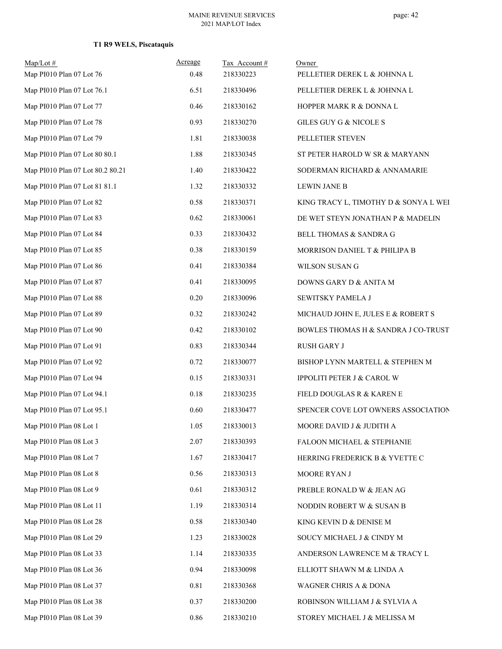| $Map/Lot$ #<br>Map PI010 Plan 07 Lot 76 | Acreage<br>0.48 | Tax Account#<br>218330223 | Owner<br>PELLETIER DEREK L & JOHNNA L |
|-----------------------------------------|-----------------|---------------------------|---------------------------------------|
| Map PI010 Plan 07 Lot 76.1              | 6.51            | 218330496                 | PELLETIER DEREK L & JOHNNA L          |
| Map PI010 Plan 07 Lot 77                | 0.46            | 218330162                 | HOPPER MARK R & DONNA L               |
| Map PI010 Plan 07 Lot 78                | 0.93            | 218330270                 | GILES GUY G & NICOLE S                |
| Map PI010 Plan 07 Lot 79                | 1.81            | 218330038                 | PELLETIER STEVEN                      |
| Map PI010 Plan 07 Lot 80 80.1           | 1.88            | 218330345                 | ST PETER HAROLD W SR & MARYANN        |
| Map PI010 Plan 07 Lot 80.2 80.21        | 1.40            | 218330422                 | SODERMAN RICHARD & ANNAMARIE          |
| Map PI010 Plan 07 Lot 81 81.1           | 1.32            | 218330332                 | <b>LEWIN JANE B</b>                   |
| Map PI010 Plan 07 Lot 82                | 0.58            | 218330371                 | KING TRACY L, TIMOTHY D & SONYA L WEI |
| Map PI010 Plan 07 Lot 83                | 0.62            | 218330061                 | DE WET STEYN JONATHAN P & MADELIN     |
| Map PI010 Plan 07 Lot 84                | 0.33            | 218330432                 | BELL THOMAS & SANDRA G                |
| Map PI010 Plan 07 Lot 85                | 0.38            | 218330159                 | MORRISON DANIEL T & PHILIPA B         |
| Map PI010 Plan 07 Lot 86                | 0.41            | 218330384                 | WILSON SUSAN G                        |
| Map PI010 Plan 07 Lot 87                | 0.41            | 218330095                 | DOWNS GARY D & ANITA M                |
| Map PI010 Plan 07 Lot 88                | 0.20            | 218330096                 | SEWITSKY PAMELA J                     |
| Map PI010 Plan 07 Lot 89                | 0.32            | 218330242                 | MICHAUD JOHN E, JULES E & ROBERT S    |
| Map PI010 Plan 07 Lot 90                | 0.42            | 218330102                 | BOWLES THOMAS H & SANDRA J CO-TRUST   |
| Map PI010 Plan 07 Lot 91                | 0.83            | 218330344                 | <b>RUSH GARY J</b>                    |
| Map PI010 Plan 07 Lot 92                | 0.72            | 218330077                 | BISHOP LYNN MARTELL & STEPHEN M       |
| Map PI010 Plan 07 Lot 94                | 0.15            | 218330331                 | IPPOLITI PETER J & CAROL W            |
| Map PI010 Plan 07 Lot 94.1              | 0.18            | 218330235                 | FIELD DOUGLAS R & KAREN E             |
| Map PI010 Plan 07 Lot 95.1              | 0.60            | 218330477                 | SPENCER COVE LOT OWNERS ASSOCIATION   |
| Map PI010 Plan 08 Lot 1                 | 1.05            | 218330013                 | MOORE DAVID J & JUDITH A              |
| Map PI010 Plan 08 Lot 3                 | 2.07            | 218330393                 | FALOON MICHAEL & STEPHANIE            |
| Map PI010 Plan 08 Lot 7                 | 1.67            | 218330417                 | HERRING FREDERICK B & YVETTE C        |
| Map PI010 Plan 08 Lot 8                 | 0.56            | 218330313                 | MOORE RYAN J                          |
| Map PI010 Plan 08 Lot 9                 | 0.61            | 218330312                 | PREBLE RONALD W & JEAN AG             |
| Map PI010 Plan 08 Lot 11                | 1.19            | 218330314                 | NODDIN ROBERT W & SUSAN B             |
| Map PI010 Plan 08 Lot 28                | 0.58            | 218330340                 | KING KEVIN D & DENISE M               |
| Map PI010 Plan 08 Lot 29                | 1.23            | 218330028                 | SOUCY MICHAEL J & CINDY M             |
| Map PI010 Plan 08 Lot 33                | 1.14            | 218330335                 | ANDERSON LAWRENCE M & TRACY L         |
| Map PI010 Plan 08 Lot 36                | 0.94            | 218330098                 | ELLIOTT SHAWN M & LINDA A             |
| Map PI010 Plan 08 Lot 37                | 0.81            | 218330368                 | WAGNER CHRIS A & DONA                 |
| Map PI010 Plan 08 Lot 38                | 0.37            | 218330200                 | ROBINSON WILLIAM J & SYLVIA A         |
| Map PI010 Plan 08 Lot 39                | $0.86\,$        | 218330210                 | STOREY MICHAEL J & MELISSA M          |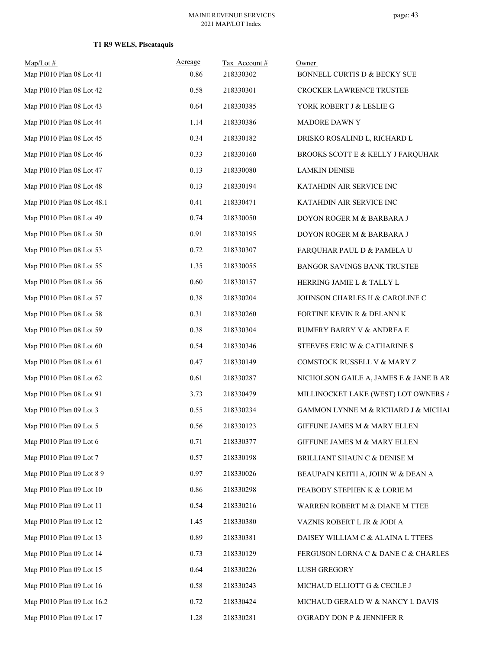| $Map/Lot \#$               | Acreage | Tax Account# | Owner                                  |
|----------------------------|---------|--------------|----------------------------------------|
| Map PI010 Plan 08 Lot 41   | 0.86    | 218330302    | BONNELL CURTIS D & BECKY SUE           |
| Map PI010 Plan 08 Lot 42   | 0.58    | 218330301    | CROCKER LAWRENCE TRUSTEE               |
| Map PI010 Plan 08 Lot 43   | 0.64    | 218330385    | YORK ROBERT J & LESLIE G               |
| Map PI010 Plan 08 Lot 44   | 1.14    | 218330386    | MADORE DAWN Y                          |
| Map PI010 Plan 08 Lot 45   | 0.34    | 218330182    | DRISKO ROSALIND L, RICHARD L           |
| Map PI010 Plan 08 Lot 46   | 0.33    | 218330160    | BROOKS SCOTT E & KELLY J FARQUHAR      |
| Map PI010 Plan 08 Lot 47   | 0.13    | 218330080    | <b>LAMKIN DENISE</b>                   |
| Map PI010 Plan 08 Lot 48   | 0.13    | 218330194    | KATAHDIN AIR SERVICE INC               |
| Map PI010 Plan 08 Lot 48.1 | 0.41    | 218330471    | KATAHDIN AIR SERVICE INC               |
| Map PI010 Plan 08 Lot 49   | 0.74    | 218330050    | DOYON ROGER M & BARBARA J              |
| Map PI010 Plan 08 Lot 50   | 0.91    | 218330195    | DOYON ROGER M & BARBARA J              |
| Map PI010 Plan 08 Lot 53   | 0.72    | 218330307    | FARQUHAR PAUL D & PAMELA U             |
| Map PI010 Plan 08 Lot 55   | 1.35    | 218330055    | BANGOR SAVINGS BANK TRUSTEE            |
| Map PI010 Plan 08 Lot 56   | 0.60    | 218330157    | HERRING JAMIE L & TALLY L              |
| Map PI010 Plan 08 Lot 57   | 0.38    | 218330204    | JOHNSON CHARLES H & CAROLINE C         |
| Map PI010 Plan 08 Lot 58   | 0.31    | 218330260    | FORTINE KEVIN R & DELANN K             |
| Map PI010 Plan 08 Lot 59   | 0.38    | 218330304    | RUMERY BARRY V & ANDREA E              |
| Map PI010 Plan 08 Lot 60   | 0.54    | 218330346    | STEEVES ERIC W & CATHARINE S           |
| Map PI010 Plan 08 Lot 61   | 0.47    | 218330149    | COMSTOCK RUSSELL V & MARY Z            |
| Map PI010 Plan 08 Lot 62   | 0.61    | 218330287    | NICHOLSON GAILE A, JAMES E & JANE B AR |
| Map PI010 Plan 08 Lot 91   | 3.73    | 218330479    | MILLINOCKET LAKE (WEST) LOT OWNERS A   |
| Map PI010 Plan 09 Lot 3    | 0.55    | 218330234    | GAMMON LYNNE M & RICHARD J & MICHAI    |
| Map PI010 Plan 09 Lot 5    | 0.56    | 218330123    | GIFFUNE JAMES M & MARY ELLEN           |
| Map PI010 Plan 09 Lot 6    | 0.71    | 218330377    | GIFFUNE JAMES M & MARY ELLEN           |
| Map PI010 Plan 09 Lot 7    | 0.57    | 218330198    | BRILLIANT SHAUN C & DENISE M           |
| Map PI010 Plan 09 Lot 8 9  | 0.97    | 218330026    | BEAUPAIN KEITH A, JOHN W & DEAN A      |
| Map PI010 Plan 09 Lot 10   | 0.86    | 218330298    | PEABODY STEPHEN K & LORIE M            |
| Map PI010 Plan 09 Lot 11   | 0.54    | 218330216    | WARREN ROBERT M & DIANE M TTEE         |
| Map PI010 Plan 09 Lot 12   | 1.45    | 218330380    | VAZNIS ROBERT L JR & JODI A            |
| Map PI010 Plan 09 Lot 13   | 0.89    | 218330381    | DAISEY WILLIAM C & ALAINA L TTEES      |
| Map PI010 Plan 09 Lot 14   | 0.73    | 218330129    | FERGUSON LORNA C & DANE C & CHARLES    |
| Map PI010 Plan 09 Lot 15   | 0.64    | 218330226    | LUSH GREGORY                           |
| Map PI010 Plan 09 Lot 16   | 0.58    | 218330243    | MICHAUD ELLIOTT G & CECILE J           |
| Map PI010 Plan 09 Lot 16.2 | 0.72    | 218330424    | MICHAUD GERALD W & NANCY L DAVIS       |
| Map PI010 Plan 09 Lot 17   | 1.28    | 218330281    | O'GRADY DON P & JENNIFER R             |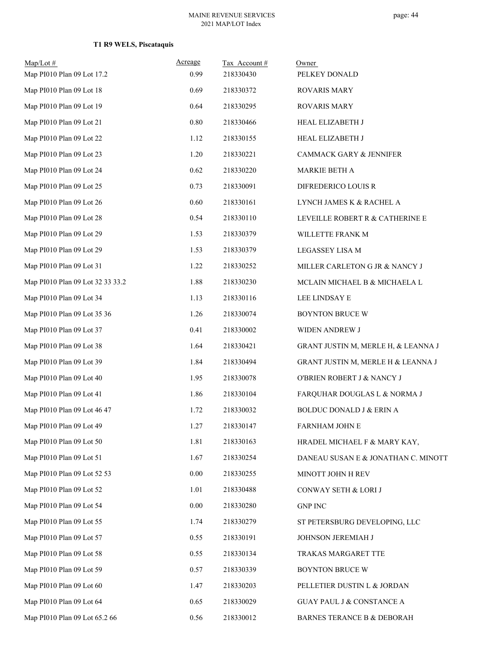| $Map/Lot \#$                     | Acreage  | Tax Account# | Owner                                |
|----------------------------------|----------|--------------|--------------------------------------|
| Map PI010 Plan 09 Lot 17.2       | 0.99     | 218330430    | PELKEY DONALD                        |
| Map PI010 Plan 09 Lot 18         | 0.69     | 218330372    | <b>ROVARIS MARY</b>                  |
| Map PI010 Plan 09 Lot 19         | 0.64     | 218330295    | ROVARIS MARY                         |
| Map PI010 Plan 09 Lot 21         | 0.80     | 218330466    | HEAL ELIZABETH J                     |
| Map PI010 Plan 09 Lot 22         | 1.12     | 218330155    | HEAL ELIZABETH J                     |
| Map PI010 Plan 09 Lot 23         | 1.20     | 218330221    | CAMMACK GARY & JENNIFER              |
| Map PI010 Plan 09 Lot 24         | 0.62     | 218330220    | MARKIE BETH A                        |
| Map PI010 Plan 09 Lot 25         | 0.73     | 218330091    | DIFREDERICO LOUIS R                  |
| Map PI010 Plan 09 Lot 26         | 0.60     | 218330161    | LYNCH JAMES K & RACHEL A             |
| Map PI010 Plan 09 Lot 28         | 0.54     | 218330110    | LEVEILLE ROBERT R & CATHERINE E      |
| Map PI010 Plan 09 Lot 29         | 1.53     | 218330379    | WILLETTE FRANK M                     |
| Map PI010 Plan 09 Lot 29         | 1.53     | 218330379    | LEGASSEY LISA M                      |
| Map PI010 Plan 09 Lot 31         | 1.22     | 218330252    | MILLER CARLETON G JR & NANCY J       |
| Map PI010 Plan 09 Lot 32 33 33.2 | 1.88     | 218330230    | MCLAIN MICHAEL B & MICHAELA L        |
| Map PI010 Plan 09 Lot 34         | 1.13     | 218330116    | LEE LINDSAY E                        |
| Map PI010 Plan 09 Lot 35 36      | 1.26     | 218330074    | BOYNTON BRUCE W                      |
| Map PI010 Plan 09 Lot 37         | 0.41     | 218330002    | WIDEN ANDREW J                       |
| Map PI010 Plan 09 Lot 38         | 1.64     | 218330421    | GRANT JUSTIN M, MERLE H, & LEANNA J  |
| Map PI010 Plan 09 Lot 39         | 1.84     | 218330494    | GRANT JUSTIN M, MERLE H & LEANNA J   |
| Map PI010 Plan 09 Lot 40         | 1.95     | 218330078    | O'BRIEN ROBERT J & NANCY J           |
| Map PI010 Plan 09 Lot 41         | 1.86     | 218330104    | FARQUHAR DOUGLAS L & NORMA J         |
| Map PI010 Plan 09 Lot 46 47      | 1.72     | 218330032    | <b>BOLDUC DONALD J &amp; ERIN A</b>  |
| Map PI010 Plan 09 Lot 49         | 1.27     | 218330147    | FARNHAM JOHN E                       |
| Map PI010 Plan 09 Lot 50         | 1.81     | 218330163    | HRADEL MICHAEL F & MARY KAY,         |
| Map PI010 Plan 09 Lot 51         | 1.67     | 218330254    | DANEAU SUSAN E & JONATHAN C. MINOTT  |
| Map PI010 Plan 09 Lot 52 53      | 0.00     | 218330255    | MINOTT JOHN H REV                    |
| Map PI010 Plan 09 Lot 52         | 1.01     | 218330488    | CONWAY SETH & LORI J                 |
| Map PI010 Plan 09 Lot 54         | $0.00\,$ | 218330280    | <b>GNP INC</b>                       |
| Map PI010 Plan 09 Lot 55         | 1.74     | 218330279    | ST PETERSBURG DEVELOPING, LLC        |
| Map PI010 Plan 09 Lot 57         | 0.55     | 218330191    | JOHNSON JEREMIAH J                   |
| Map PI010 Plan 09 Lot 58         | 0.55     | 218330134    | TRAKAS MARGARET TTE                  |
| Map PI010 Plan 09 Lot 59         | 0.57     | 218330339    | BOYNTON BRUCE W                      |
| Map PI010 Plan 09 Lot 60         | 1.47     | 218330203    | PELLETIER DUSTIN L & JORDAN          |
| Map PI010 Plan 09 Lot 64         | 0.65     | 218330029    | <b>GUAY PAUL J &amp; CONSTANCE A</b> |
| Map PI010 Plan 09 Lot 65.2 66    | 0.56     | 218330012    | BARNES TERANCE B & DEBORAH           |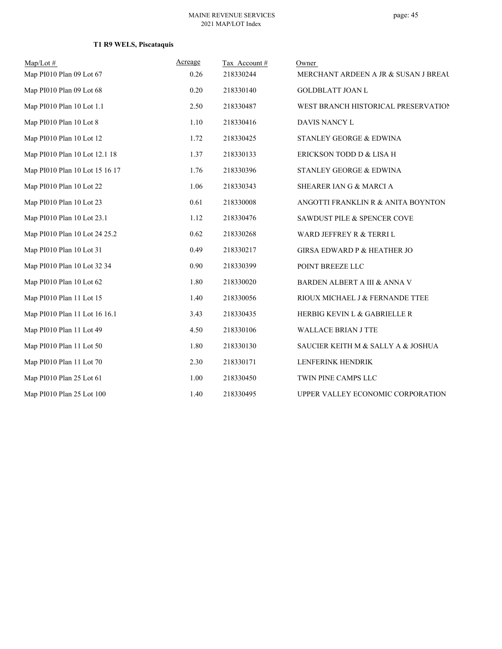| $Map/Lot \#$                   | Acreage | Tax Account# | Owner                                  |
|--------------------------------|---------|--------------|----------------------------------------|
| Map PI010 Plan 09 Lot 67       | 0.26    | 218330244    | MERCHANT ARDEEN A JR & SUSAN J BREAL   |
| Map PI010 Plan 09 Lot 68       | 0.20    | 218330140    | <b>GOLDBLATT JOAN L</b>                |
| Map PI010 Plan 10 Lot 1.1      | 2.50    | 218330487    | WEST BRANCH HISTORICAL PRESERVATION    |
| Map PI010 Plan 10 Lot 8        | 1.10    | 218330416    | DAVIS NANCY L                          |
| Map PI010 Plan 10 Lot 12       | 1.72    | 218330425    | STANLEY GEORGE & EDWINA                |
| Map PI010 Plan 10 Lot 12.1 18  | 1.37    | 218330133    | ERICKSON TODD D & LISA H               |
| Map PI010 Plan 10 Lot 15 16 17 | 1.76    | 218330396    | STANLEY GEORGE & EDWINA                |
| Map PI010 Plan 10 Lot 22       | 1.06    | 218330343    | SHEARER IAN G & MARCI A                |
| Map PI010 Plan 10 Lot 23       | 0.61    | 218330008    | ANGOTTI FRANKLIN R & ANITA BOYNTON     |
| Map PI010 Plan 10 Lot 23.1     | 1.12    | 218330476    | SAWDUST PILE & SPENCER COVE            |
| Map PI010 Plan 10 Lot 24 25.2  | 0.62    | 218330268    | WARD JEFFREY R & TERRI L               |
| Map PI010 Plan 10 Lot 31       | 0.49    | 218330217    | <b>GIRSA EDWARD P &amp; HEATHER JO</b> |
| Map PI010 Plan 10 Lot 32 34    | 0.90    | 218330399    | POINT BREEZE LLC                       |
| Map PI010 Plan 10 Lot 62       | 1.80    | 218330020    | BARDEN ALBERT A III & ANNA V           |
| Map PI010 Plan 11 Lot 15       | 1.40    | 218330056    | RIOUX MICHAEL J & FERNANDE TTEE        |
| Map PI010 Plan 11 Lot 16 16.1  | 3.43    | 218330435    | HERBIG KEVIN L & GABRIELLE R           |
| Map PI010 Plan 11 Lot 49       | 4.50    | 218330106    | WALLACE BRIAN J TTE                    |
| Map PI010 Plan 11 Lot 50       | 1.80    | 218330130    | SAUCIER KEITH M & SALLY A & JOSHUA     |
| Map PI010 Plan 11 Lot 70       | 2.30    | 218330171    | LENFERINK HENDRIK                      |
| Map PI010 Plan 25 Lot 61       | 1.00    | 218330450    | TWIN PINE CAMPS LLC                    |
| Map PI010 Plan 25 Lot 100      | 1.40    | 218330495    | UPPER VALLEY ECONOMIC CORPORATION      |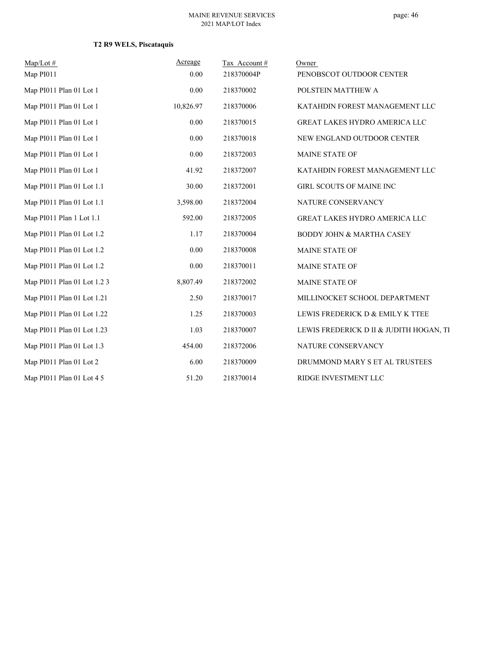| $Map/Lot \#$                | Acreage   | Tax Account# | Owner                                   |
|-----------------------------|-----------|--------------|-----------------------------------------|
| Map PI011                   | 0.00      | 218370004P   | PENOBSCOT OUTDOOR CENTER                |
| Map PI011 Plan 01 Lot 1     | 0.00      | 218370002    | POLSTEIN MATTHEW A                      |
| Map PI011 Plan 01 Lot 1     | 10,826.97 | 218370006    | KATAHDIN FOREST MANAGEMENT LLC          |
| Map PI011 Plan 01 Lot 1     | 0.00      | 218370015    | GREAT LAKES HYDRO AMERICA LLC           |
| Map PI011 Plan 01 Lot 1     | 0.00      | 218370018    | NEW ENGLAND OUTDOOR CENTER              |
| Map PI011 Plan 01 Lot 1     | 0.00      | 218372003    | <b>MAINE STATE OF</b>                   |
| Map PI011 Plan 01 Lot 1     | 41.92     | 218372007    | KATAHDIN FOREST MANAGEMENT LLC          |
| Map PI011 Plan 01 Lot 1.1   | 30.00     | 218372001    | GIRL SCOUTS OF MAINE INC                |
| Map PI011 Plan 01 Lot 1.1   | 3,598.00  | 218372004    | NATURE CONSERVANCY                      |
| Map PI011 Plan 1 Lot 1.1    | 592.00    | 218372005    | GREAT LAKES HYDRO AMERICA LLC           |
| Map PI011 Plan 01 Lot 1.2   | 1.17      | 218370004    | <b>BODDY JOHN &amp; MARTHA CASEY</b>    |
| Map PI011 Plan 01 Lot 1.2   | 0.00      | 218370008    | MAINE STATE OF                          |
| Map PI011 Plan 01 Lot 1.2   | 0.00      | 218370011    | MAINE STATE OF                          |
| Map PI011 Plan 01 Lot 1.2 3 | 8,807.49  | 218372002    | MAINE STATE OF                          |
| Map PI011 Plan 01 Lot 1.21  | 2.50      | 218370017    | MILLINOCKET SCHOOL DEPARTMENT           |
| Map PI011 Plan 01 Lot 1.22  | 1.25      | 218370003    | LEWIS FREDERICK D & EMILY K TTEE        |
| Map PI011 Plan 01 Lot 1.23  | 1.03      | 218370007    | LEWIS FREDERICK D II & JUDITH HOGAN, TI |
| Map PI011 Plan 01 Lot 1.3   | 454.00    | 218372006    | NATURE CONSERVANCY                      |
| Map PI011 Plan 01 Lot 2     | 6.00      | 218370009    | DRUMMOND MARY S ET AL TRUSTEES          |
| Map PI011 Plan 01 Lot 4 5   | 51.20     | 218370014    | RIDGE INVESTMENT LLC                    |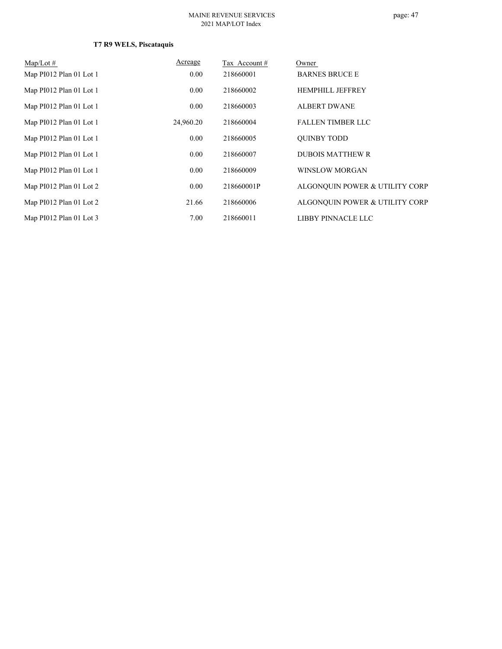| $Map/Lot \#$            | Acreage   | Tax Account # | Owner                          |
|-------------------------|-----------|---------------|--------------------------------|
| Map PI012 Plan 01 Lot 1 | 0.00      | 218660001     | <b>BARNES BRUCE E</b>          |
| Map PI012 Plan 01 Lot 1 | 0.00      | 218660002     | <b>HEMPHILL JEFFREY</b>        |
| Map PI012 Plan 01 Lot 1 | 0.00      | 218660003     | <b>ALBERT DWANE</b>            |
| Map PI012 Plan 01 Lot 1 | 24,960.20 | 218660004     | <b>FALLEN TIMBER LLC</b>       |
| Map PI012 Plan 01 Lot 1 | 0.00      | 218660005     | <b>OUINBY TODD</b>             |
| Map PI012 Plan 01 Lot 1 | 0.00      | 218660007     | <b>DUBOIS MATTHEW R</b>        |
| Map PI012 Plan 01 Lot 1 | 0.00      | 218660009     | WINSLOW MORGAN                 |
| Map PI012 Plan 01 Lot 2 | 0.00      | 218660001P    | ALGONQUIN POWER & UTILITY CORP |
| Map PI012 Plan 01 Lot 2 | 21.66     | 218660006     | ALGONQUIN POWER & UTILITY CORP |
| Map PI012 Plan 01 Lot 3 | 7.00      | 218660011     | LIBBY PINNACLE LLC             |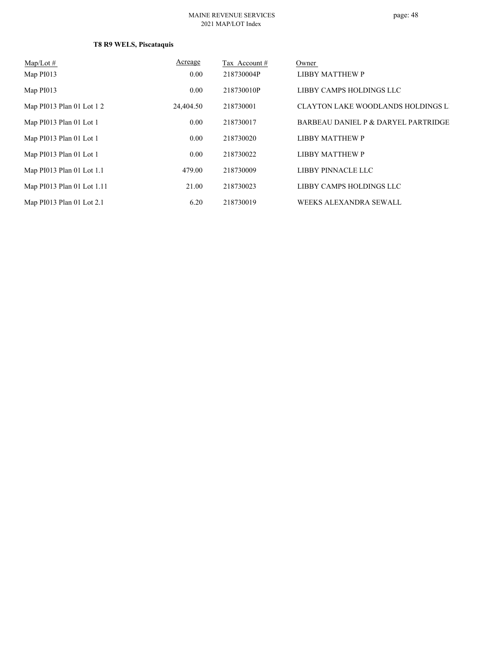| $Map/Lot \#$               | Acreage   | Tax Account # | Owner                               |
|----------------------------|-----------|---------------|-------------------------------------|
| Map PI013                  | 0.00      | 218730004P    | LIBBY MATTHEW P                     |
| Map PI013                  | 0.00      | 218730010P    | LIBBY CAMPS HOLDINGS LLC            |
| Map PI013 Plan 01 Lot 1 2  | 24,404.50 | 218730001     | CLAYTON LAKE WOODLANDS HOLDINGS LI  |
| Map PI013 Plan 01 Lot 1    | 0.00      | 218730017     | BARBEAU DANIEL P & DARYEL PARTRIDGE |
| Map PI013 Plan 01 Lot 1    | 0.00      | 218730020     | <b>LIBBY MATTHEW P</b>              |
| Map PI013 Plan 01 Lot 1    | 0.00      | 218730022     | <b>LIBBY MATTHEW P</b>              |
| Map PI013 Plan 01 Lot 1.1  | 479.00    | 218730009     | LIBBY PINNACLE LLC                  |
| Map PI013 Plan 01 Lot 1.11 | 21.00     | 218730023     | LIBBY CAMPS HOLDINGS LLC            |
| Map PI013 Plan 01 Lot 2.1  | 6.20      | 218730019     | WEEKS ALEXANDRA SEWALL              |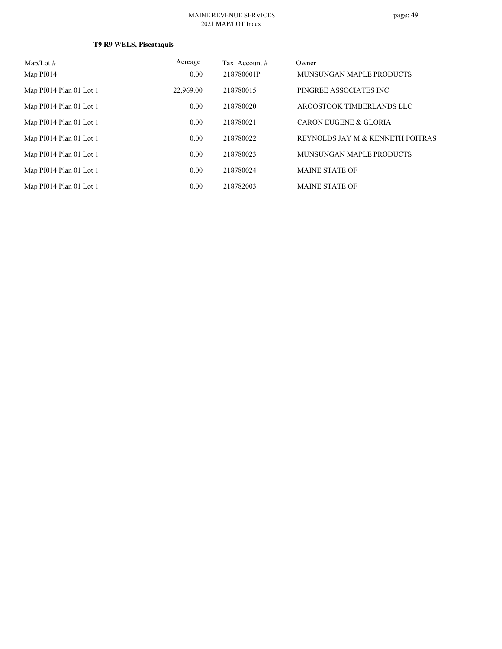| $Map/Lot \#$            | Acreage   | Tax Account# | Owner                            |
|-------------------------|-----------|--------------|----------------------------------|
| Map PI014               | 0.00      | 218780001P   | MUNSUNGAN MAPLE PRODUCTS         |
| Map PI014 Plan 01 Lot 1 | 22,969.00 | 218780015    | PINGREE ASSOCIATES INC           |
| Map PI014 Plan 01 Lot 1 | 0.00      | 218780020    | AROOSTOOK TIMBERLANDS LLC        |
| Map PI014 Plan 01 Lot 1 | 0.00      | 218780021    | <b>CARON EUGENE &amp; GLORIA</b> |
| Map PI014 Plan 01 Lot 1 | 0.00      | 218780022    | REYNOLDS JAY M & KENNETH POITRAS |
| Map PI014 Plan 01 Lot 1 | 0.00      | 218780023    | MUNSUNGAN MAPLE PRODUCTS         |
| Map PI014 Plan 01 Lot 1 | 0.00      | 218780024    | <b>MAINE STATE OF</b>            |
| Map PI014 Plan 01 Lot 1 | 0.00      | 218782003    | <b>MAINE STATE OF</b>            |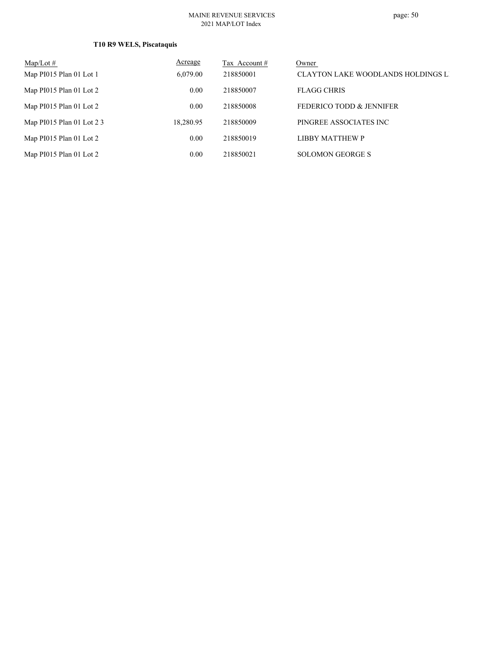| Map/Lot $#$               | Acreage   | Tax Account # | Owner                              |
|---------------------------|-----------|---------------|------------------------------------|
| Map PI015 Plan 01 Lot 1   | 6,079.00  | 218850001     | CLAYTON LAKE WOODLANDS HOLDINGS LI |
| Map PI015 Plan 01 Lot 2   | 0.00      | 218850007     | <b>FLAGG CHRIS</b>                 |
| Map PI015 Plan 01 Lot 2   | 0.00      | 218850008     | FEDERICO TODD & JENNIFER           |
| Map PI015 Plan 01 Lot 2 3 | 18,280.95 | 218850009     | PINGREE ASSOCIATES INC             |
| Map PI015 Plan 01 Lot 2   | 0.00      | 218850019     | LIBBY MATTHEW P                    |
| Map PI015 Plan 01 Lot 2   | 0.00      | 218850021     | <b>SOLOMON GEORGE S</b>            |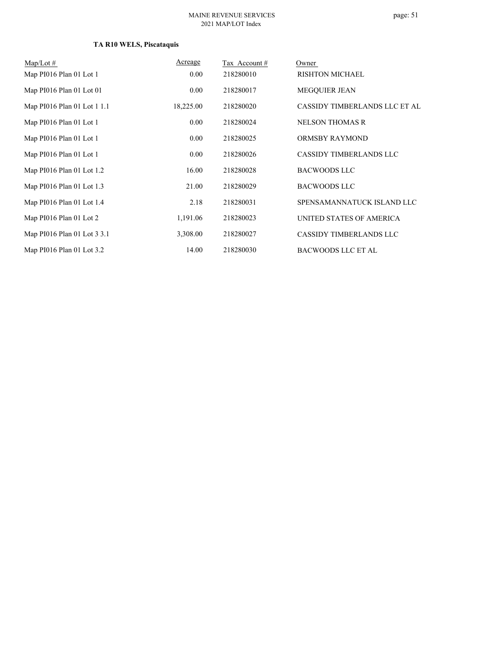# **TA R10 WELS, Piscataquis**

| $Map/Lot \#$                | Acreage   | Tax Account# | Owner                          |
|-----------------------------|-----------|--------------|--------------------------------|
| Map PI016 Plan 01 Lot 1     | $0.00\,$  | 218280010    | <b>RISHTON MICHAEL</b>         |
| Map PI016 Plan 01 Lot 01    | 0.00      | 218280017    | <b>MEGQUIER JEAN</b>           |
| Map PI016 Plan 01 Lot 1 1.1 | 18,225.00 | 218280020    | CASSIDY TIMBERLANDS LLC ET AL  |
| Map PI016 Plan 01 Lot 1     | $0.00\,$  | 218280024    | <b>NELSON THOMAS R</b>         |
| Map PI016 Plan 01 Lot 1     | $0.00\,$  | 218280025    | <b>ORMSBY RAYMOND</b>          |
| Map PI016 Plan 01 Lot 1     | $0.00\,$  | 218280026    | <b>CASSIDY TIMBERLANDS LLC</b> |
| Map PI016 Plan 01 Lot 1.2   | 16.00     | 218280028    | <b>BACWOODS LLC</b>            |
| Map PI016 Plan 01 Lot 1.3   | 21.00     | 218280029    | <b>BACWOODS LLC</b>            |
| Map PI016 Plan 01 Lot 1.4   | 2.18      | 218280031    | SPENSAMANNATUCK ISLAND LLC     |
| Map PI016 Plan 01 Lot 2     | 1,191.06  | 218280023    | UNITED STATES OF AMERICA       |
| Map PI016 Plan 01 Lot 3 3.1 | 3,308.00  | 218280027    | CASSIDY TIMBERLANDS LLC        |
| Map PI016 Plan 01 Lot 3.2   | 14.00     | 218280030    | <b>BACWOODS LLC ET AL</b>      |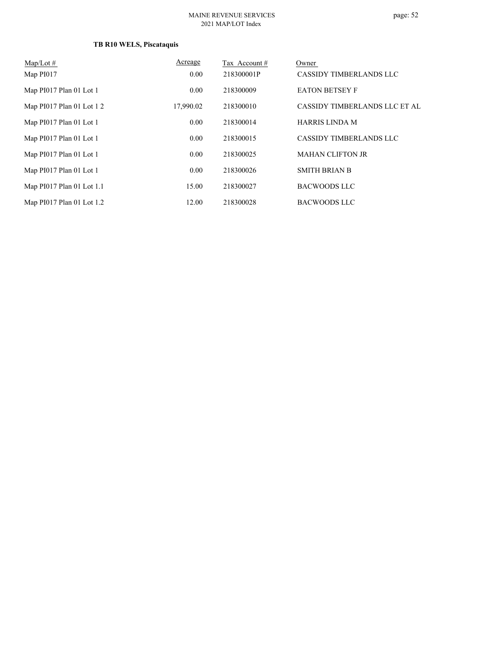#### **TB R10 WELS, Piscataquis**

| $Map/Lot \#$<br>Map PI017   | Acreage<br>0.00 | Tax Account#<br>218300001P | Owner<br>CASSIDY TIMBERLANDS LLC |
|-----------------------------|-----------------|----------------------------|----------------------------------|
| Map PI017 Plan 01 Lot 1     | 0.00            | 218300009                  | <b>EATON BETSEY F</b>            |
| Map $P1017$ Plan 01 Lot 1 2 | 17,990.02       | 218300010                  | CASSIDY TIMBERLANDS LLC ET AL    |
| Map PI017 Plan 01 Lot 1     | 0.00            | 218300014                  | <b>HARRIS LINDA M</b>            |
| Map PI017 Plan 01 Lot 1     | 0.00            | 218300015                  | CASSIDY TIMBERLANDS LLC          |
| Map PI017 Plan 01 Lot 1     | 0.00            | 218300025                  | <b>MAHAN CLIFTON JR</b>          |
| Map PI017 Plan 01 Lot 1     | 0.00            | 218300026                  | <b>SMITH BRIAN B</b>             |
| Map PI017 Plan 01 Lot 1.1   | 15.00           | 218300027                  | <b>BACWOODS LLC</b>              |
| Map PI017 Plan 01 Lot 1.2   | 12.00           | 218300028                  | <b>BACWOODS LLC</b>              |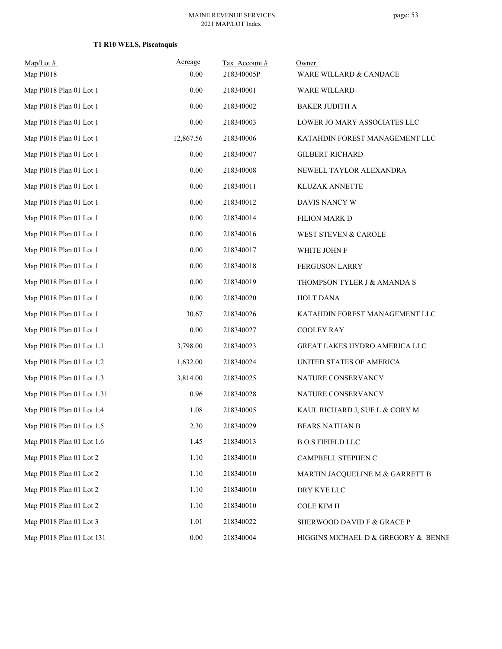| $Map/Lot \#$<br>Map PI018  | Acreage<br>0.00 | Tax Account#<br>218340005P | Owner<br>WARE WILLARD & CANDACE     |
|----------------------------|-----------------|----------------------------|-------------------------------------|
| Map PI018 Plan 01 Lot 1    | 0.00            | 218340001                  | WARE WILLARD                        |
| Map PI018 Plan 01 Lot 1    | $0.00\,$        | 218340002                  | <b>BAKER JUDITH A</b>               |
| Map PI018 Plan 01 Lot 1    | 0.00            | 218340003                  | LOWER JO MARY ASSOCIATES LLC        |
| Map PI018 Plan 01 Lot 1    | 12,867.56       | 218340006                  | KATAHDIN FOREST MANAGEMENT LLC      |
| Map PI018 Plan 01 Lot 1    | 0.00            | 218340007                  | <b>GILBERT RICHARD</b>              |
| Map PI018 Plan 01 Lot 1    | 0.00            | 218340008                  | NEWELL TAYLOR ALEXANDRA             |
| Map PI018 Plan 01 Lot 1    | 0.00            | 218340011                  | KLUZAK ANNETTE                      |
| Map PI018 Plan 01 Lot 1    | 0.00            | 218340012                  | DAVIS NANCY W                       |
| Map PI018 Plan 01 Lot 1    | 0.00            | 218340014                  | FILION MARK D                       |
| Map PI018 Plan 01 Lot 1    | 0.00            | 218340016                  | WEST STEVEN & CAROLE                |
| Map PI018 Plan 01 Lot 1    | 0.00            | 218340017                  | WHITE JOHN F                        |
| Map PI018 Plan 01 Lot 1    | 0.00            | 218340018                  | FERGUSON LARRY                      |
| Map PI018 Plan 01 Lot 1    | 0.00            | 218340019                  | THOMPSON TYLER J & AMANDA S         |
| Map PI018 Plan 01 Lot 1    | 0.00            | 218340020                  | HOLT DANA                           |
| Map PI018 Plan 01 Lot 1    | 30.67           | 218340026                  | KATAHDIN FOREST MANAGEMENT LLC      |
| Map PI018 Plan 01 Lot 1    | 0.00            | 218340027                  | <b>COOLEY RAY</b>                   |
| Map PI018 Plan 01 Lot 1.1  | 3,798.00        | 218340023                  | GREAT LAKES HYDRO AMERICA LLC       |
| Map PI018 Plan 01 Lot 1.2  | 1,632.00        | 218340024                  | UNITED STATES OF AMERICA            |
| Map PI018 Plan 01 Lot 1.3  | 3,814.00        | 218340025                  | NATURE CONSERVANCY                  |
| Map PI018 Plan 01 Lot 1.31 | 0.96            | 218340028                  | NATURE CONSERVANCY                  |
| Map PI018 Plan 01 Lot 1.4  | 1.08            | 218340005                  | KAUL RICHARD J, SUE L & CORY M      |
| Map PI018 Plan 01 Lot 1.5  | 2.30            | 218340029                  | <b>BEARS NATHAN B</b>               |
| Map PI018 Plan 01 Lot 1.6  | 1.45            | 218340013                  | <b>B.O.S FIFIELD LLC</b>            |
| Map PI018 Plan 01 Lot 2    | $1.10$          | 218340010                  | CAMPBELL STEPHEN C                  |
| Map PI018 Plan 01 Lot 2    | 1.10            | 218340010                  | MARTIN JACQUELINE M & GARRETT B     |
| Map PI018 Plan 01 Lot 2    | 1.10            | 218340010                  | DRY KYE LLC                         |
| Map PI018 Plan 01 Lot 2    | 1.10            | 218340010                  | <b>COLE KIM H</b>                   |
| Map PI018 Plan 01 Lot 3    | 1.01            | 218340022                  | SHERWOOD DAVID F & GRACE P          |
| Map PI018 Plan 01 Lot 131  | $0.00\,$        | 218340004                  | HIGGINS MICHAEL D & GREGORY & BENNE |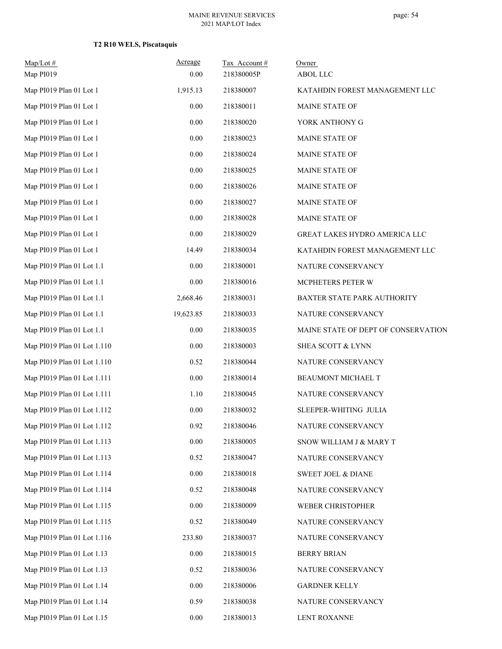# **T2 R10 WELS, Piscataquis**

| $Map/Lot$ #<br>Map PI019    | Acreage<br>0.00 | Tax Account#<br>218380005P | Owner<br><b>ABOL LLC</b>            |
|-----------------------------|-----------------|----------------------------|-------------------------------------|
| Map PI019 Plan 01 Lot 1     | 1,915.13        | 218380007                  | KATAHDIN FOREST MANAGEMENT LLC      |
| Map PI019 Plan 01 Lot 1     | 0.00            | 218380011                  | <b>MAINE STATE OF</b>               |
| Map PI019 Plan 01 Lot 1     | 0.00            | 218380020                  | YORK ANTHONY G                      |
| Map PI019 Plan 01 Lot 1     | 0.00            | 218380023                  | MAINE STATE OF                      |
| Map PI019 Plan 01 Lot 1     | 0.00            | 218380024                  | MAINE STATE OF                      |
| Map PI019 Plan 01 Lot 1     | 0.00            | 218380025                  | MAINE STATE OF                      |
| Map PI019 Plan 01 Lot 1     | 0.00            | 218380026                  | MAINE STATE OF                      |
| Map PI019 Plan 01 Lot 1     | 0.00            | 218380027                  | MAINE STATE OF                      |
| Map PI019 Plan 01 Lot 1     | 0.00            | 218380028                  | MAINE STATE OF                      |
| Map PI019 Plan 01 Lot 1     | 0.00            | 218380029                  | GREAT LAKES HYDRO AMERICA LLC       |
|                             |                 |                            |                                     |
| Map PI019 Plan 01 Lot 1     | 14.49           | 218380034                  | KATAHDIN FOREST MANAGEMENT LLC      |
| Map PI019 Plan 01 Lot 1.1   | 0.00            | 218380001                  | NATURE CONSERVANCY                  |
| Map PI019 Plan 01 Lot 1.1   | $0.00\,$        | 218380016                  | MCPHETERS PETER W                   |
| Map PI019 Plan 01 Lot 1.1   | 2,668.46        | 218380031                  | BAXTER STATE PARK AUTHORITY         |
| Map PI019 Plan 01 Lot 1.1   | 19,623.85       | 218380033                  | NATURE CONSERVANCY                  |
| Map PI019 Plan 01 Lot 1.1   | $0.00\,$        | 218380035                  | MAINE STATE OF DEPT OF CONSERVATION |
| Map PI019 Plan 01 Lot 1.110 | 0.00            | 218380003                  | SHEA SCOTT & LYNN                   |
| Map PI019 Plan 01 Lot 1.110 | 0.52            | 218380044                  | NATURE CONSERVANCY                  |
| Map PI019 Plan 01 Lot 1.111 | $0.00\,$        | 218380014                  | BEAUMONT MICHAEL T                  |
| Map PI019 Plan 01 Lot 1.111 | 1.10            | 218380045                  | NATURE CONSERVANCY                  |
| Map PI019 Plan 01 Lot 1.112 | 0.00            | 218380032                  | SLEEPER-WHITING JULIA               |
| Map PI019 Plan 01 Lot 1.112 | 0.92            | 218380046                  | NATURE CONSERVANCY                  |
| Map PI019 Plan 01 Lot 1.113 | $0.00\,$        | 218380005                  | SNOW WILLIAM J & MARY T             |
| Map PI019 Plan 01 Lot 1.113 | 0.52            | 218380047                  | NATURE CONSERVANCY                  |
| Map PI019 Plan 01 Lot 1.114 | $0.00\,$        | 218380018                  | SWEET JOEL & DIANE                  |
| Map PI019 Plan 01 Lot 1.114 | 0.52            | 218380048                  | NATURE CONSERVANCY                  |
| Map PI019 Plan 01 Lot 1.115 | 0.00            | 218380009                  | WEBER CHRISTOPHER                   |
| Map PI019 Plan 01 Lot 1.115 | 0.52            | 218380049                  | NATURE CONSERVANCY                  |
| Map PI019 Plan 01 Lot 1.116 | 233.80          | 218380037                  | NATURE CONSERVANCY                  |
| Map PI019 Plan 01 Lot 1.13  | 0.00            | 218380015                  | <b>BERRY BRIAN</b>                  |
| Map PI019 Plan 01 Lot 1.13  | 0.52            | 218380036                  | NATURE CONSERVANCY                  |
| Map PI019 Plan 01 Lot 1.14  | 0.00            | 218380006                  | <b>GARDNER KELLY</b>                |
| Map PI019 Plan 01 Lot 1.14  | 0.59            | 218380038                  | NATURE CONSERVANCY                  |
| Map PI019 Plan 01 Lot 1.15  | $0.00\,$        | 218380013                  | LENT ROXANNE                        |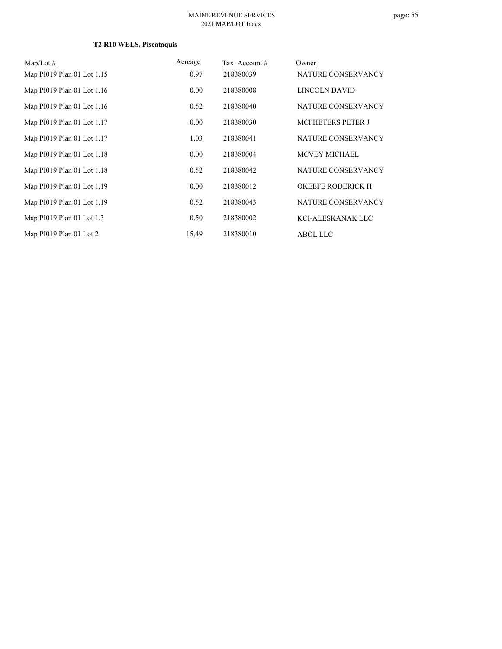# **T2 R10 WELS, Piscataquis**

| $Map/Lot \#$               | Acreage | Tax Account# | Owner                    |
|----------------------------|---------|--------------|--------------------------|
| Map PI019 Plan 01 Lot 1.15 | 0.97    | 218380039    | NATURE CONSERVANCY       |
| Map PI019 Plan 01 Lot 1.16 | 0.00    | 218380008    | LINCOLN DAVID            |
| Map PI019 Plan 01 Lot 1.16 | 0.52    | 218380040    | NATURE CONSERVANCY       |
| Map PI019 Plan 01 Lot 1.17 | 0.00    | 218380030    | <b>MCPHETERS PETER J</b> |
| Map PI019 Plan 01 Lot 1.17 | 1.03    | 218380041    | NATURE CONSERVANCY       |
| Map PI019 Plan 01 Lot 1.18 | 0.00    | 218380004    | <b>MCVEY MICHAEL</b>     |
| Map PI019 Plan 01 Lot 1.18 | 0.52    | 218380042    | NATURE CONSERVANCY       |
| Map PI019 Plan 01 Lot 1.19 | 0.00    | 218380012    | <b>OKEEFE RODERICK H</b> |
| Map PI019 Plan 01 Lot 1.19 | 0.52    | 218380043    | NATURE CONSERVANCY       |
| Map PI019 Plan 01 Lot 1.3  | 0.50    | 218380002    | KCI-ALESKANAK LLC        |
| Map PI019 Plan 01 Lot 2    | 15.49   | 218380010    | <b>ABOL LLC</b>          |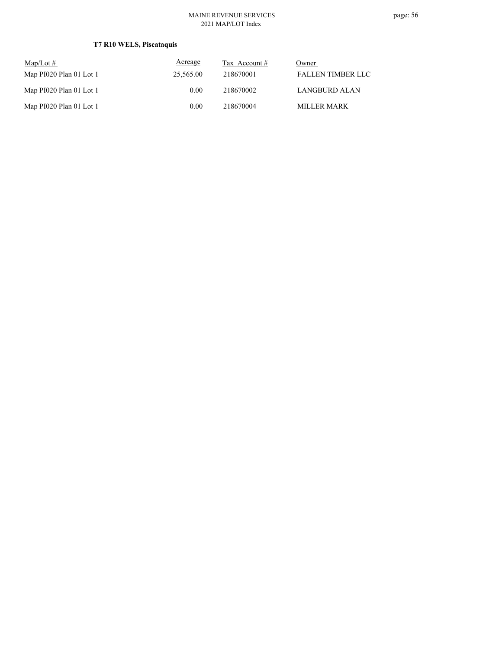# **T7 R10 WELS, Piscataquis**

| Map/Lot $#$             | Acreage   | Tax Account # | Owner                    |
|-------------------------|-----------|---------------|--------------------------|
| Map PI020 Plan 01 Lot 1 | 25,565.00 | 218670001     | <b>FALLEN TIMBER LLC</b> |
| Map PI020 Plan 01 Lot 1 | 0.00      | 218670002     | LANGBURD ALAN            |
| Map PI020 Plan 01 Lot 1 | 0.00      | 218670004     | <b>MILLER MARK</b>       |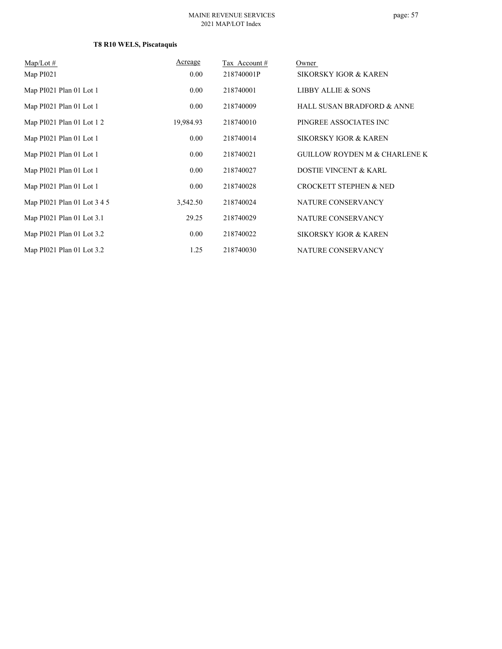# **T8 R10 WELS, Piscataquis**

| $Map/Lot \#$                | Acreage   | Tax Account# | Owner                                    |
|-----------------------------|-----------|--------------|------------------------------------------|
| Map PI021                   | 0.00      | 218740001P   | SIKORSKY IGOR & KAREN                    |
| Map PI021 Plan 01 Lot 1     | 0.00      | 218740001    | <b>LIBBY ALLIE &amp; SONS</b>            |
| Map PI021 Plan 01 Lot 1     | 0.00      | 218740009    | HALL SUSAN BRADFORD & ANNE               |
| Map $PI021$ Plan 01 Lot 1 2 | 19,984.93 | 218740010    | PINGREE ASSOCIATES INC                   |
| Map PI021 Plan 01 Lot 1     | 0.00      | 218740014    | SIKORSKY IGOR & KAREN                    |
| Map PI021 Plan 01 Lot 1     | 0.00      | 218740021    | <b>GUILLOW ROYDEN M &amp; CHARLENE K</b> |
| Map PI021 Plan 01 Lot 1     | 0.00      | 218740027    | <b>DOSTIE VINCENT &amp; KARL</b>         |
| Map PI021 Plan 01 Lot 1     | 0.00      | 218740028    | <b>CROCKETT STEPHEN &amp; NED</b>        |
| Map PI021 Plan 01 Lot 3 4 5 | 3,542.50  | 218740024    | NATURE CONSERVANCY                       |
| Map PI021 Plan 01 Lot 3.1   | 29.25     | 218740029    | NATURE CONSERVANCY                       |
| Map PI021 Plan 01 Lot 3.2   | 0.00      | 218740022    | SIKORSKY IGOR & KAREN                    |
| Map PI021 Plan 01 Lot 3.2   | 1.25      | 218740030    | NATURE CONSERVANCY                       |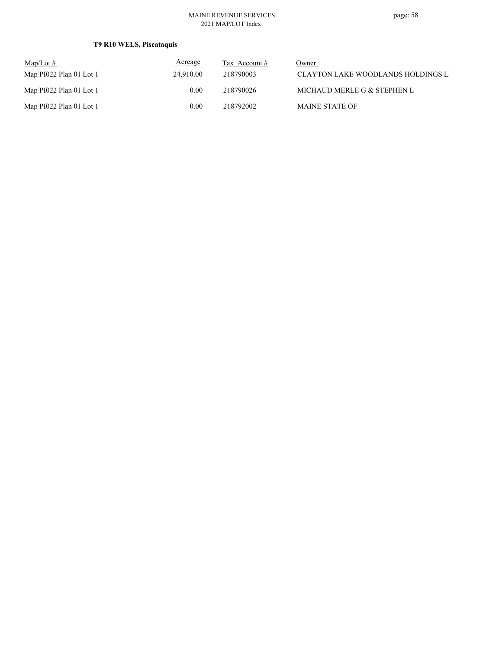# **T9 R10 WELS, Piscataquis**

| $Map/Lot \#$            | Acreage   | Tax Account $#$ | Owner                              |
|-------------------------|-----------|-----------------|------------------------------------|
| Map PI022 Plan 01 Lot 1 | 24,910.00 | 218790003       | CLAYTON LAKE WOODLANDS HOLDINGS LI |
| Map PI022 Plan 01 Lot 1 | 0.00      | 218790026       | MICHAUD MERLE G & STEPHEN L        |
| Map PI022 Plan 01 Lot 1 | 0.00      | 218792002       | <b>MAINE STATE OF</b>              |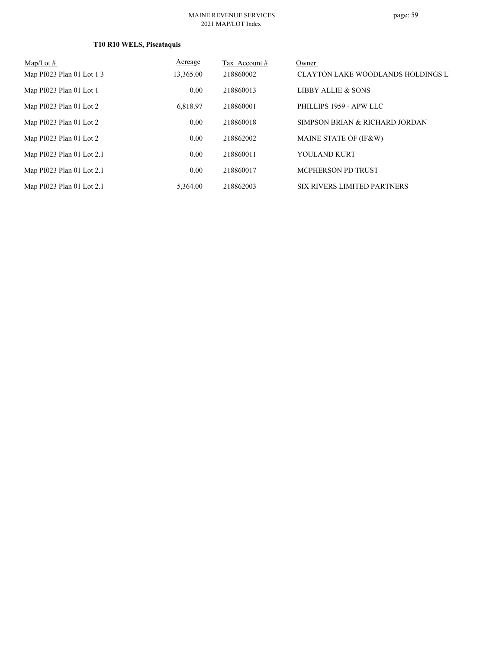| Map/Lot $#$               | Acreage   | Tax Account # | Owner                              |
|---------------------------|-----------|---------------|------------------------------------|
| Map PI023 Plan 01 Lot 1 3 | 13,365.00 | 218860002     | CLAYTON LAKE WOODLANDS HOLDINGS LI |
| Map PI023 Plan 01 Lot 1   | 0.00      | 218860013     | LIBBY ALLIE & SONS                 |
| Map PI023 Plan 01 Lot 2   | 6.818.97  | 218860001     | PHILLIPS 1959 - APW LLC            |
| Map PI023 Plan 01 Lot 2   | 0.00      | 218860018     | SIMPSON BRIAN & RICHARD JORDAN     |
| Map PI023 Plan 01 Lot 2   | 0.00      | 218862002     | MAINE STATE OF (IF&W)              |
| Map PI023 Plan 01 Lot 2.1 | 0.00      | 218860011     | YOULAND KURT                       |
| Map PI023 Plan 01 Lot 2.1 | 0.00      | 218860017     | MCPHERSON PD TRUST                 |
| Map PI023 Plan 01 Lot 2.1 | 5,364.00  | 218862003     | SIX RIVERS LIMITED PARTNERS        |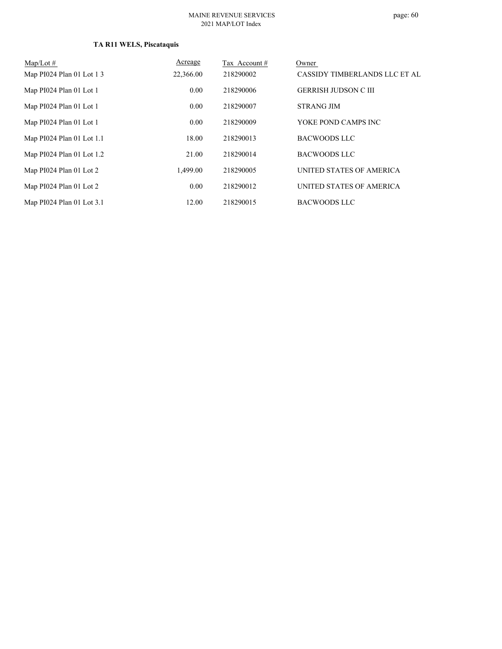# **TA R11 WELS, Piscataquis**

| Map/Lot $#$               | Acreage   | Tax Account # | Owner                         |
|---------------------------|-----------|---------------|-------------------------------|
| Map PI024 Plan 01 Lot 1 3 | 22,366.00 | 218290002     | CASSIDY TIMBERLANDS LLC ET AL |
| Map PI024 Plan 01 Lot 1   | 0.00      | 218290006     | <b>GERRISH JUDSON C III</b>   |
| Map PI024 Plan 01 Lot 1   | 0.00      | 218290007     | <b>STRANG JIM</b>             |
| Map PI024 Plan 01 Lot 1   | 0.00      | 218290009     | YOKE POND CAMPS INC           |
| Map PI024 Plan 01 Lot 1.1 | 18.00     | 218290013     | BACWOODS LLC                  |
| Map PI024 Plan 01 Lot 1.2 | 21.00     | 218290014     | BACWOODS LLC                  |
| Map PI024 Plan 01 Lot 2   | 1,499.00  | 218290005     | UNITED STATES OF AMERICA      |
| Map PI024 Plan 01 Lot 2   | 0.00      | 218290012     | UNITED STATES OF AMERICA      |
| Map PI024 Plan 01 Lot 3.1 | 12.00     | 218290015     | BACWOODS LLC                  |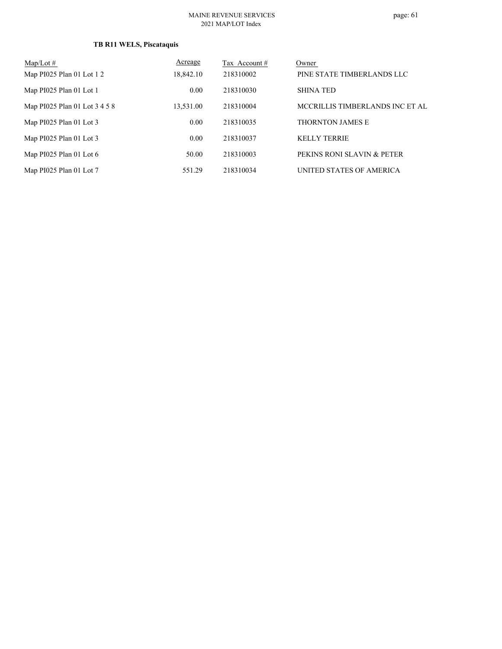#### **TB R11 WELS, Piscataquis**

| $Map/Lot \#$                  | Acreage   | Tax Account # | Owner                           |
|-------------------------------|-----------|---------------|---------------------------------|
| Map PI025 Plan 01 Lot 1 2     | 18,842.10 | 218310002     | PINE STATE TIMBERLANDS LLC      |
| Map PI025 Plan 01 Lot 1       | 0.00      | 218310030     | <b>SHINA TED</b>                |
| Map PI025 Plan 01 Lot 3 4 5 8 | 13,531.00 | 218310004     | MCCRILLIS TIMBERLANDS INC ET AL |
| Map PI025 Plan 01 Lot 3       | 0.00      | 218310035     | <b>THORNTON JAMES E</b>         |
| Map PI025 Plan 01 Lot 3       | 0.00      | 218310037     | <b>KELLY TERRIE</b>             |
| Map PI025 Plan 01 Lot 6       | 50.00     | 218310003     | PEKINS RONI SLAVIN & PETER      |
| Map PI025 Plan 01 Lot 7       | 551.29    | 218310034     | UNITED STATES OF AMERICA        |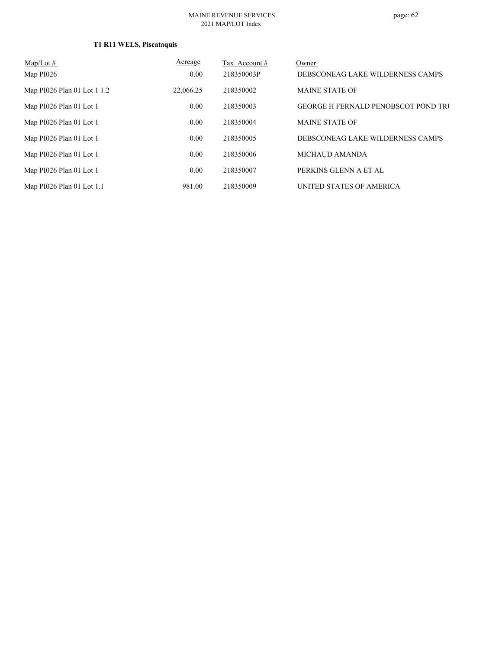| $Map/Lot \#$                | Acreage   | Tax Account # | Owner                                      |
|-----------------------------|-----------|---------------|--------------------------------------------|
| Map PI026                   | 0.00      | 218350003P    | DEBSCONEAG LAKE WILDERNESS CAMPS           |
| Map PI026 Plan 01 Lot 1 1.2 | 22,066.25 | 218350002     | <b>MAINE STATE OF</b>                      |
| Map PI026 Plan 01 Lot 1     | 0.00      | 218350003     | <b>GEORGE H FERNALD PENOBSCOT POND TRU</b> |
| Map PI026 Plan 01 Lot 1     | 0.00      | 218350004     | <b>MAINE STATE OF</b>                      |
| Map PI026 Plan 01 Lot 1     | 0.00      | 218350005     | DEBSCONEAG LAKE WILDERNESS CAMPS           |
| Map PI026 Plan 01 Lot 1     | 0.00      | 218350006     | <b>MICHAUD AMANDA</b>                      |
| Map PI026 Plan 01 Lot 1     | 0.00      | 218350007     | PERKINS GLENN A ET AL                      |
| Map PI026 Plan 01 Lot 1.1   | 981.00    | 218350009     | UNITED STATES OF AMERICA                   |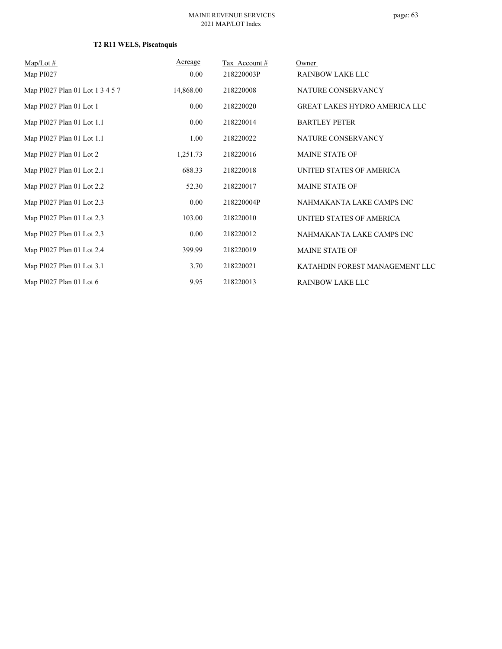# **T2 R11 WELS, Piscataquis**

| $Map/Lot \#$                    | Acreage   | Tax Account# | Owner                                |
|---------------------------------|-----------|--------------|--------------------------------------|
| Map PI027                       | 0.00      | 218220003P   | <b>RAINBOW LAKE LLC</b>              |
| Map PI027 Plan 01 Lot 1 3 4 5 7 | 14,868.00 | 218220008    | NATURE CONSERVANCY                   |
| Map PI027 Plan 01 Lot 1         | 0.00      | 218220020    | <b>GREAT LAKES HYDRO AMERICA LLC</b> |
| Map PI027 Plan 01 Lot 1.1       | 0.00      | 218220014    | <b>BARTLEY PETER</b>                 |
| Map PI027 Plan 01 Lot 1.1       | 1.00      | 218220022    | NATURE CONSERVANCY                   |
| Map PI027 Plan 01 Lot 2         | 1,251.73  | 218220016    | <b>MAINE STATE OF</b>                |
| Map PI027 Plan 01 Lot 2.1       | 688.33    | 218220018    | UNITED STATES OF AMERICA             |
| Map PI027 Plan 01 Lot 2.2       | 52.30     | 218220017    | <b>MAINE STATE OF</b>                |
| Map PI027 Plan 01 Lot 2.3       | 0.00      | 218220004P   | NAHMAKANTA LAKE CAMPS INC            |
| Map PI027 Plan 01 Lot 2.3       | 103.00    | 218220010    | UNITED STATES OF AMERICA             |
| Map PI027 Plan 01 Lot 2.3       | 0.00      | 218220012    | NAHMAKANTA LAKE CAMPS INC            |
| Map PI027 Plan 01 Lot 2.4       | 399.99    | 218220019    | <b>MAINE STATE OF</b>                |
| Map PI027 Plan 01 Lot 3.1       | 3.70      | 218220021    | KATAHDIN FOREST MANAGEMENT LLC       |
| Map PI027 Plan 01 Lot 6         | 9.95      | 218220013    | <b>RAINBOW LAKE LLC</b>              |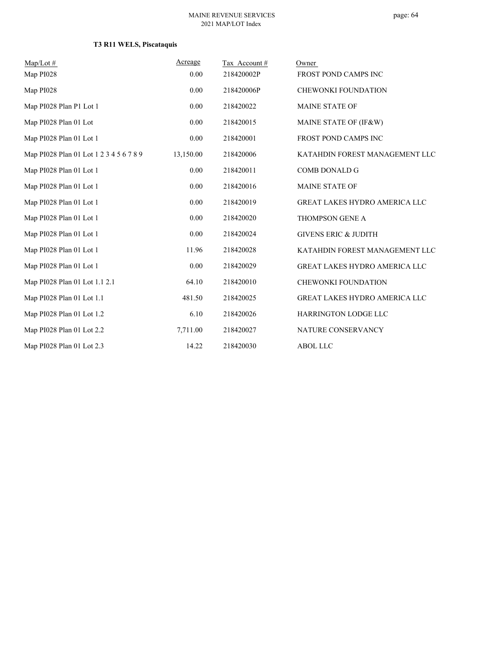# **T3 R11 WELS, Piscataquis**

| $Map/Lot \#$                            | Acreage   | Tax Account# | Owner                                |
|-----------------------------------------|-----------|--------------|--------------------------------------|
| Map PI028                               | 0.00      | 218420002P   | FROST POND CAMPS INC                 |
| Map PI028                               | 0.00      | 218420006P   | CHEWONKI FOUNDATION                  |
| Map PI028 Plan P1 Lot 1                 | 0.00      | 218420022    | <b>MAINE STATE OF</b>                |
| Map PI028 Plan 01 Lot                   | 0.00      | 218420015    | MAINE STATE OF (IF&W)                |
| Map PI028 Plan 01 Lot 1                 | 0.00      | 218420001    | FROST POND CAMPS INC                 |
| Map PI028 Plan 01 Lot 1 2 3 4 5 6 7 8 9 | 13,150.00 | 218420006    | KATAHDIN FOREST MANAGEMENT LLC       |
| Map PI028 Plan 01 Lot 1                 | 0.00      | 218420011    | <b>COMB DONALD G</b>                 |
| Map PI028 Plan 01 Lot 1                 | 0.00      | 218420016    | <b>MAINE STATE OF</b>                |
| Map PI028 Plan 01 Lot 1                 | 0.00      | 218420019    | <b>GREAT LAKES HYDRO AMERICA LLC</b> |
| Map PI028 Plan 01 Lot 1                 | 0.00      | 218420020    | THOMPSON GENE A                      |
| Map PI028 Plan 01 Lot 1                 | 0.00      | 218420024    | <b>GIVENS ERIC &amp; JUDITH</b>      |
| Map PI028 Plan 01 Lot 1                 | 11.96     | 218420028    | KATAHDIN FOREST MANAGEMENT LLC       |
| Map PI028 Plan 01 Lot 1                 | 0.00      | 218420029    | <b>GREAT LAKES HYDRO AMERICA LLC</b> |
| Map PI028 Plan 01 Lot 1.1 2.1           | 64.10     | 218420010    | <b>CHEWONKI FOUNDATION</b>           |
| Map PI028 Plan 01 Lot 1.1               | 481.50    | 218420025    | <b>GREAT LAKES HYDRO AMERICA LLC</b> |
| Map PI028 Plan 01 Lot 1.2               | 6.10      | 218420026    | <b>HARRINGTON LODGE LLC</b>          |
| Map PI028 Plan 01 Lot 2.2               | 7,711.00  | 218420027    | NATURE CONSERVANCY                   |
| Map PI028 Plan 01 Lot 2.3               | 14.22     | 218420030    | <b>ABOL LLC</b>                      |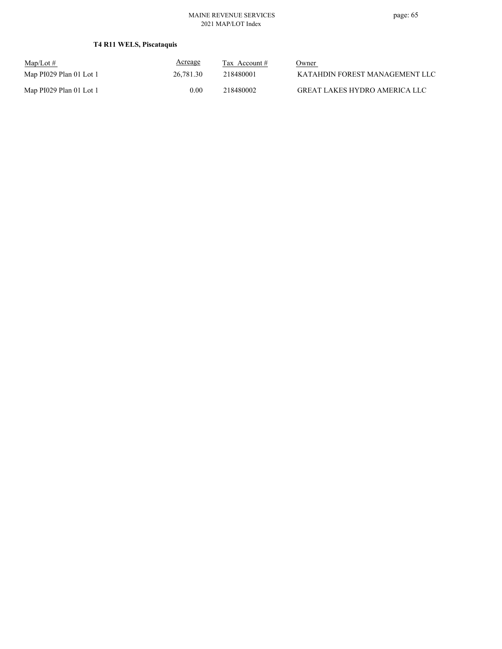# **T4 R11 WELS, Piscataquis**

| $Map/Lot \#$            | Acreage   | Tax Account # | <u>Owner</u>                   |
|-------------------------|-----------|---------------|--------------------------------|
| Map PI029 Plan 01 Lot 1 | 26,781.30 | 218480001     | KATAHDIN FOREST MANAGEMENT LLC |
| Map PI029 Plan 01 Lot 1 | 0.00      | 218480002     | GREAT LAKES HYDRO AMERICA LLC  |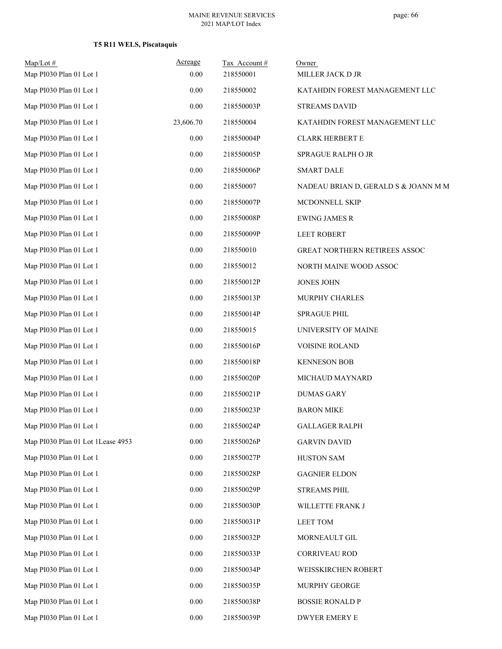# **T5 R11 WELS, Piscataquis**

| $Map/Lot \#$<br>Map PI030 Plan 01 Lot 1 | Acreage<br>0.00 | Tax Account#<br>218550001 | Owner<br>MILLER JACK D JR            |
|-----------------------------------------|-----------------|---------------------------|--------------------------------------|
| Map PI030 Plan 01 Lot 1                 | 0.00            | 218550002                 | KATAHDIN FOREST MANAGEMENT LLC       |
| Map PI030 Plan 01 Lot 1                 | 0.00            | 218550003P                | <b>STREAMS DAVID</b>                 |
| Map PI030 Plan 01 Lot 1                 | 23,606.70       | 218550004                 | KATAHDIN FOREST MANAGEMENT LLC       |
| Map PI030 Plan 01 Lot 1                 | 0.00            | 218550004P                | <b>CLARK HERBERT E</b>               |
| Map PI030 Plan 01 Lot 1                 | 0.00            | 218550005P                | SPRAGUE RALPH O JR                   |
| Map PI030 Plan 01 Lot 1                 | 0.00            | 218550006P                | <b>SMART DALE</b>                    |
| Map PI030 Plan 01 Lot 1                 | 0.00            | 218550007                 | NADEAU BRIAN D, GERALD S & JOANN M M |
| Map PI030 Plan 01 Lot 1                 | 0.00            | 218550007P                | MCDONNELL SKIP                       |
| Map PI030 Plan 01 Lot 1                 | 0.00            | 218550008P                | <b>EWING JAMES R</b>                 |
| Map PI030 Plan 01 Lot 1                 | 0.00            | 218550009P                | <b>LEET ROBERT</b>                   |
| Map PI030 Plan 01 Lot 1                 | 0.00            | 218550010                 | GREAT NORTHERN RETIREES ASSOC        |
| Map PI030 Plan 01 Lot 1                 | 0.00            | 218550012                 | NORTH MAINE WOOD ASSOC               |
| Map PI030 Plan 01 Lot 1                 | 0.00            | 218550012P                | <b>JONES JOHN</b>                    |
| Map PI030 Plan 01 Lot 1                 | 0.00            | 218550013P                | MURPHY CHARLES                       |
| Map PI030 Plan 01 Lot 1                 | 0.00            | 218550014P                | <b>SPRAGUE PHIL</b>                  |
| Map PI030 Plan 01 Lot 1                 | 0.00            | 218550015                 | UNIVERSITY OF MAINE                  |
| Map PI030 Plan 01 Lot 1                 | 0.00            | 218550016P                | <b>VOISINE ROLAND</b>                |
| Map PI030 Plan 01 Lot 1                 | 0.00            | 218550018P                | <b>KENNESON BOB</b>                  |
| Map PI030 Plan 01 Lot 1                 | 0.00            | 218550020P                | MICHAUD MAYNARD                      |
| Map PI030 Plan 01 Lot 1                 | 0.00            | 218550021P                | <b>DUMAS GARY</b>                    |
| Map PI030 Plan 01 Lot 1                 | 0.00            | 218550023P                | <b>BARON MIKE</b>                    |
| Map PI030 Plan 01 Lot 1                 | $0.00\,$        | 218550024P                | <b>GALLAGER RALPH</b>                |
| Map PI030 Plan 01 Lot 1Lease 4953       | 0.00            | 218550026P                | <b>GARVIN DAVID</b>                  |
| Map PI030 Plan 01 Lot 1                 | 0.00            | 218550027P                | <b>HUSTON SAM</b>                    |
| Map PI030 Plan 01 Lot 1                 | 0.00            | 218550028P                | <b>GAGNIER ELDON</b>                 |
| Map PI030 Plan 01 Lot 1                 | 0.00            | 218550029P                | <b>STREAMS PHIL</b>                  |
| Map PI030 Plan 01 Lot 1                 | 0.00            | 218550030P                | WILLETTE FRANK J                     |
| Map PI030 Plan 01 Lot 1                 | 0.00            | 218550031P                | LEET TOM                             |
| Map PI030 Plan 01 Lot 1                 | 0.00            | 218550032P                | MORNEAULT GIL                        |
| Map PI030 Plan 01 Lot 1                 | 0.00            | 218550033P                | <b>CORRIVEAU ROD</b>                 |
| Map PI030 Plan 01 Lot 1                 | 0.00            | 218550034P                | WEISSKIRCHEN ROBERT                  |
| Map PI030 Plan 01 Lot 1                 | 0.00            | 218550035P                | MURPHY GEORGE                        |
| Map PI030 Plan 01 Lot 1                 | 0.00            | 218550038P                | <b>BOSSIE RONALD P</b>               |
| Map PI030 Plan 01 Lot 1                 | 0.00            | 218550039P                | DWYER EMERY E                        |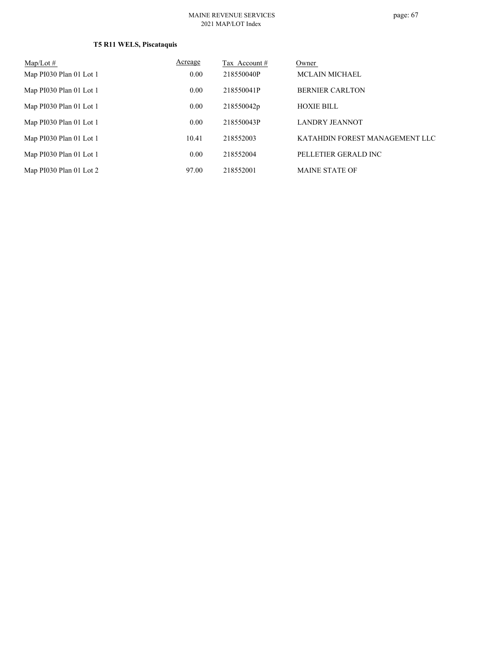# **T5 R11 WELS, Piscataquis**

| $Map/Lot \#$            | Acreage | Tax Account # | Owner                          |
|-------------------------|---------|---------------|--------------------------------|
| Map PI030 Plan 01 Lot 1 | 0.00    | 218550040P    | <b>MCLAIN MICHAEL</b>          |
| Map PI030 Plan 01 Lot 1 | 0.00    | 218550041P    | <b>BERNIER CARLTON</b>         |
| Map PI030 Plan 01 Lot 1 | 0.00    | 218550042p    | <b>HOXIE BILL</b>              |
| Map PI030 Plan 01 Lot 1 | 0.00    | 218550043P    | <b>LANDRY JEANNOT</b>          |
| Map PI030 Plan 01 Lot 1 | 10.41   | 218552003     | KATAHDIN FOREST MANAGEMENT LLC |
| Map PI030 Plan 01 Lot 1 | 0.00    | 218552004     | PELLETIER GERALD INC           |
| Map PI030 Plan 01 Lot 2 | 97.00   | 218552001     | <b>MAINE STATE OF</b>          |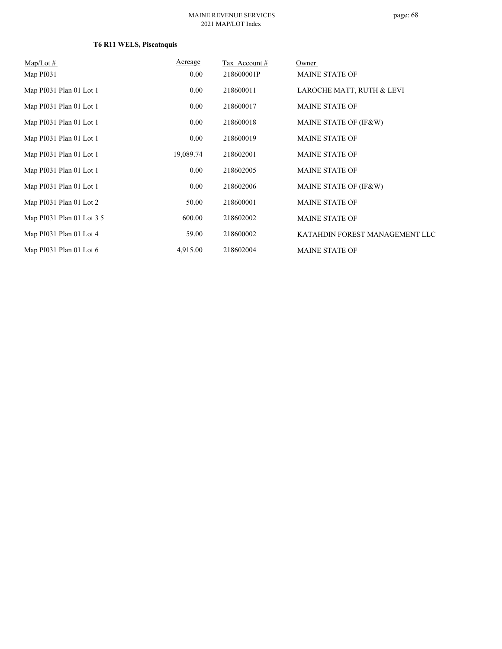# **T6 R11 WELS, Piscataquis**

| $Map/Lot \#$              | Acreage   | Tax Account# | Owner                          |
|---------------------------|-----------|--------------|--------------------------------|
| Map PI031                 | 0.00      | 218600001P   | <b>MAINE STATE OF</b>          |
| Map PI031 Plan 01 Lot 1   | 0.00      | 218600011    | LAROCHE MATT, RUTH & LEVI      |
| Map PI031 Plan 01 Lot 1   | 0.00      | 218600017    | <b>MAINE STATE OF</b>          |
| Map PI031 Plan 01 Lot 1   | 0.00      | 218600018    | MAINE STATE OF (IF&W)          |
| Map PI031 Plan 01 Lot 1   | 0.00      | 218600019    | <b>MAINE STATE OF</b>          |
| Map PI031 Plan 01 Lot 1   | 19,089.74 | 218602001    | <b>MAINE STATE OF</b>          |
| Map PI031 Plan 01 Lot 1   | 0.00      | 218602005    | <b>MAINE STATE OF</b>          |
| Map PI031 Plan 01 Lot 1   | 0.00      | 218602006    | MAINE STATE OF (IF&W)          |
| Map PI031 Plan 01 Lot 2   | 50.00     | 218600001    | <b>MAINE STATE OF</b>          |
| Map PI031 Plan 01 Lot 3 5 | 600.00    | 218602002    | <b>MAINE STATE OF</b>          |
| Map PI031 Plan 01 Lot 4   | 59.00     | 218600002    | KATAHDIN FOREST MANAGEMENT LLC |
| Map PI031 Plan 01 Lot 6   | 4,915.00  | 218602004    | <b>MAINE STATE OF</b>          |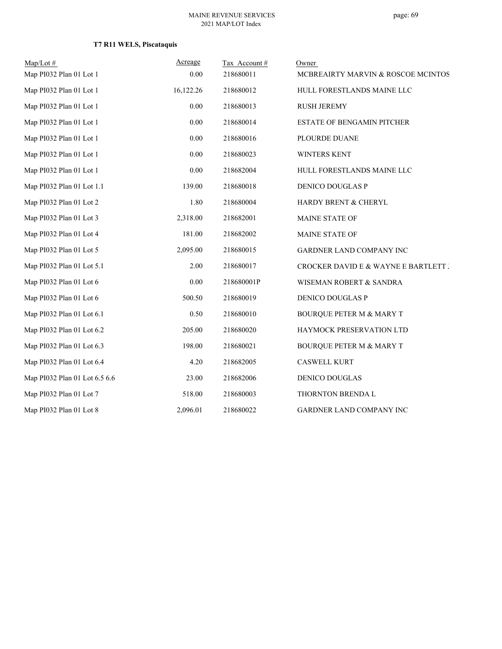# **T7 R11 WELS, Piscataquis**

| $Map/Lot \#$                  | Acreage   | Tax Account# | Owner                                |
|-------------------------------|-----------|--------------|--------------------------------------|
| Map PI032 Plan 01 Lot 1       | 0.00      | 218680011    | MCBREAIRTY MARVIN & ROSCOE MCINTOS   |
| Map PI032 Plan 01 Lot 1       | 16,122.26 | 218680012    | HULL FORESTLANDS MAINE LLC           |
| Map PI032 Plan 01 Lot 1       | 0.00      | 218680013    | <b>RUSH JEREMY</b>                   |
| Map PI032 Plan 01 Lot 1       | 0.00      | 218680014    | <b>ESTATE OF BENGAMIN PITCHER</b>    |
| Map PI032 Plan 01 Lot 1       | 0.00      | 218680016    | PLOURDE DUANE                        |
| Map PI032 Plan 01 Lot 1       | 0.00      | 218680023    | <b>WINTERS KENT</b>                  |
| Map PI032 Plan 01 Lot 1       | 0.00      | 218682004    | HULL FORESTLANDS MAINE LLC           |
| Map PI032 Plan 01 Lot 1.1     | 139.00    | 218680018    | DENICO DOUGLAS P                     |
| Map PI032 Plan 01 Lot 2       | 1.80      | 218680004    | HARDY BRENT & CHERYL                 |
| Map PI032 Plan 01 Lot 3       | 2,318.00  | 218682001    | MAINE STATE OF                       |
| Map PI032 Plan 01 Lot 4       | 181.00    | 218682002    | MAINE STATE OF                       |
| Map PI032 Plan 01 Lot 5       | 2,095.00  | 218680015    | GARDNER LAND COMPANY INC             |
| Map PI032 Plan 01 Lot 5.1     | 2.00      | 218680017    | CROCKER DAVID E & WAYNE E BARTLETT J |
| Map PI032 Plan 01 Lot 6       | 0.00      | 218680001P   | WISEMAN ROBERT & SANDRA              |
| Map PI032 Plan 01 Lot 6       | 500.50    | 218680019    | DENICO DOUGLAS P                     |
| Map PI032 Plan 01 Lot 6.1     | 0.50      | 218680010    | <b>BOURQUE PETER M &amp; MARY T</b>  |
| Map PI032 Plan 01 Lot 6.2     | 205.00    | 218680020    | HAYMOCK PRESERVATION LTD             |
| Map PI032 Plan 01 Lot 6.3     | 198.00    | 218680021    | <b>BOURQUE PETER M &amp; MARY T</b>  |
| Map PI032 Plan 01 Lot 6.4     | 4.20      | 218682005    | <b>CASWELL KURT</b>                  |
| Map PI032 Plan 01 Lot 6.5 6.6 | 23.00     | 218682006    | DENICO DOUGLAS                       |
| Map PI032 Plan 01 Lot 7       | 518.00    | 218680003    | THORNTON BRENDA L                    |
| Map PI032 Plan 01 Lot 8       | 2,096.01  | 218680022    | GARDNER LAND COMPANY INC             |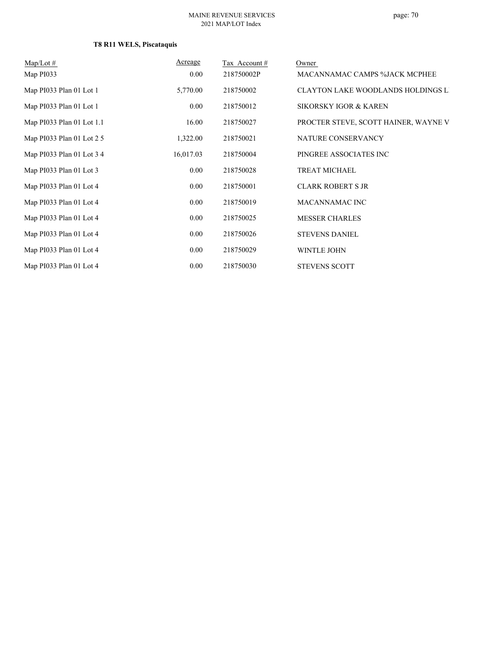# **T8 R11 WELS, Piscataquis**

| $Map/Lot \#$<br>Map PI033 | Acreage<br>0.00 | Tax Account #<br>218750002P | Owner<br>MACANNAMAC CAMPS %JACK MCPHEE    |
|---------------------------|-----------------|-----------------------------|-------------------------------------------|
| Map PI033 Plan 01 Lot 1   | 5,770.00        | 218750002                   | <b>CLAYTON LAKE WOODLANDS HOLDINGS LI</b> |
| Map PI033 Plan 01 Lot 1   | $0.00\,$        | 218750012                   | <b>SIKORSKY IGOR &amp; KAREN</b>          |
| Map PI033 Plan 01 Lot 1.1 | 16.00           | 218750027                   | PROCTER STEVE, SCOTT HAINER, WAYNE V      |
| Map PI033 Plan 01 Lot 2 5 | 1,322.00        | 218750021                   | NATURE CONSERVANCY                        |
| Map PI033 Plan 01 Lot 3 4 | 16,017.03       | 218750004                   | PINGREE ASSOCIATES INC                    |
| Map PI033 Plan 01 Lot 3   | $0.00\,$        | 218750028                   | TREAT MICHAEL                             |
| Map PI033 Plan 01 Lot 4   | $0.00\,$        | 218750001                   | <b>CLARK ROBERT S JR</b>                  |
| Map PI033 Plan 01 Lot 4   | $0.00\,$        | 218750019                   | MACANNAMAC INC                            |
| Map PI033 Plan 01 Lot 4   | 0.00            | 218750025                   | <b>MESSER CHARLES</b>                     |
| Map PI033 Plan 01 Lot 4   | $0.00\,$        | 218750026                   | <b>STEVENS DANIEL</b>                     |
| Map PI033 Plan 01 Lot 4   | $0.00\,$        | 218750029                   | <b>WINTLE JOHN</b>                        |
| Map PI033 Plan 01 Lot 4   | $0.00\,$        | 218750030                   | <b>STEVENS SCOTT</b>                      |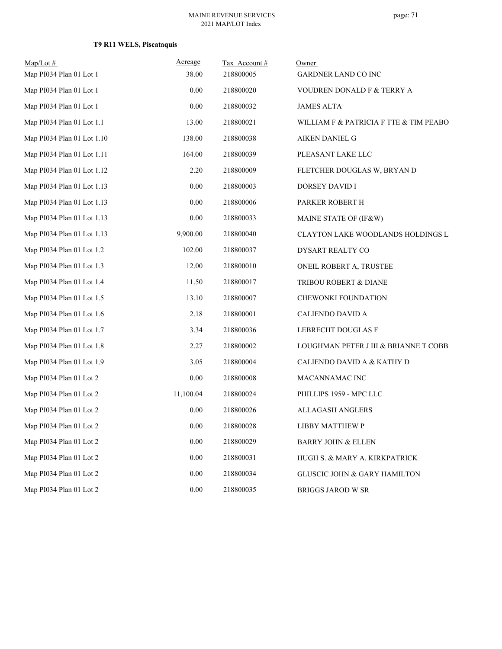# **T9 R11 WELS, Piscataquis**

| $Map/Lot$ #<br>Map PI034 Plan 01 Lot 1 | Acreage<br>38.00 | Tax Account#<br>218800005 | Owner<br>GARDNER LAND CO INC            |
|----------------------------------------|------------------|---------------------------|-----------------------------------------|
| Map PI034 Plan 01 Lot 1                | 0.00             | 218800020                 | VOUDREN DONALD F & TERRY A              |
| Map PI034 Plan 01 Lot 1                | 0.00             | 218800032                 | <b>JAMES ALTA</b>                       |
| Map PI034 Plan 01 Lot 1.1              | 13.00            | 218800021                 | WILLIAM F & PATRICIA F TTE & TIM PEABO. |
| Map PI034 Plan 01 Lot 1.10             | 138.00           | 218800038                 | AIKEN DANIEL G                          |
| Map PI034 Plan 01 Lot 1.11             | 164.00           | 218800039                 | PLEASANT LAKE LLC                       |
| Map PI034 Plan 01 Lot 1.12             | 2.20             | 218800009                 | FLETCHER DOUGLAS W, BRYAN D             |
| Map PI034 Plan 01 Lot 1.13             | 0.00             | 218800003                 | DORSEY DAVID I                          |
| Map PI034 Plan 01 Lot 1.13             | 0.00             | 218800006                 | PARKER ROBERT H                         |
| Map PI034 Plan 01 Lot 1.13             | 0.00             | 218800033                 | MAINE STATE OF (IF&W)                   |
| Map PI034 Plan 01 Lot 1.13             | 9,900.00         | 218800040                 | CLAYTON LAKE WOODLANDS HOLDINGS LI      |
| Map PI034 Plan 01 Lot 1.2              | 102.00           | 218800037                 | DYSART REALTY CO                        |
| Map PI034 Plan 01 Lot 1.3              | 12.00            | 218800010                 | ONEIL ROBERT A, TRUSTEE                 |
| Map PI034 Plan 01 Lot 1.4              | 11.50            | 218800017                 | TRIBOU ROBERT & DIANE                   |
| Map PI034 Plan 01 Lot 1.5              | 13.10            | 218800007                 | CHEWONKI FOUNDATION                     |
| Map PI034 Plan 01 Lot 1.6              | 2.18             | 218800001                 | CALIENDO DAVID A                        |
| Map PI034 Plan 01 Lot 1.7              | 3.34             | 218800036                 | LEBRECHT DOUGLAS F                      |
| Map PI034 Plan 01 Lot 1.8              | 2.27             | 218800002                 | LOUGHMAN PETER J III & BRIANNE T COBB   |
| Map PI034 Plan 01 Lot 1.9              | 3.05             | 218800004                 | CALIENDO DAVID A & KATHY D              |
| Map PI034 Plan 01 Lot 2                | 0.00             | 218800008                 | MACANNAMAC INC                          |
| Map PI034 Plan 01 Lot 2                | 11,100.04        | 218800024                 | PHILLIPS 1959 - MPC LLC                 |
| Map PI034 Plan 01 Lot 2                | 0.00             | 218800026                 | <b>ALLAGASH ANGLERS</b>                 |
| Map PI034 Plan 01 Lot 2                | 0.00             | 218800028                 | <b>LIBBY MATTHEW P</b>                  |
| Map PI034 Plan 01 Lot 2                | 0.00             | 218800029                 | <b>BARRY JOHN &amp; ELLEN</b>           |
| Map PI034 Plan 01 Lot 2                | $0.00\,$         | 218800031                 | HUGH S. & MARY A. KIRKPATRICK           |
| Map PI034 Plan 01 Lot 2                | $0.00\,$         | 218800034                 | GLUSCIC JOHN & GARY HAMILTON            |
| Map PI034 Plan 01 Lot 2                | $0.00\,$         | 218800035                 | <b>BRIGGS JAROD W SR</b>                |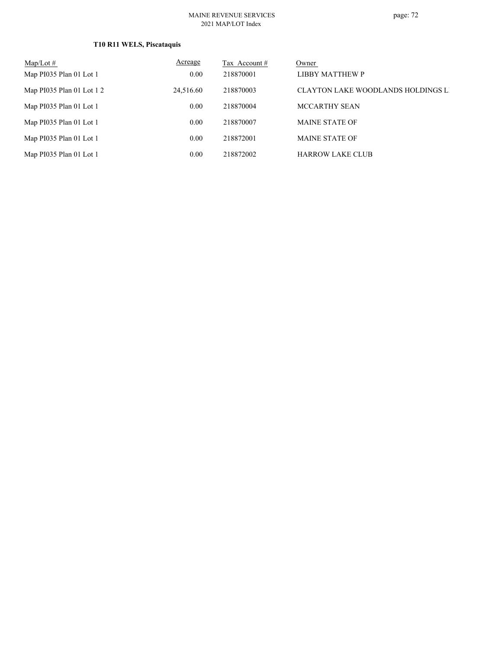## **T10 R11 WELS, Piscataquis**

| $Map/Lot \#$              | Acreage   | Tax Account # | Owner                                     |
|---------------------------|-----------|---------------|-------------------------------------------|
| Map PI035 Plan 01 Lot 1   | 0.00      | 218870001     | LIBBY MATTHEW P                           |
| Map PI035 Plan 01 Lot 1 2 | 24,516.60 | 218870003     | <b>CLAYTON LAKE WOODLANDS HOLDINGS LI</b> |
| Map PI035 Plan 01 Lot 1   | 0.00      | 218870004     | MCCARTHY SEAN                             |
| Map PI035 Plan 01 Lot 1   | 0.00      | 218870007     | <b>MAINE STATE OF</b>                     |
| Map PI035 Plan 01 Lot 1   | 0.00      | 218872001     | <b>MAINE STATE OF</b>                     |
| Map PI035 Plan 01 Lot 1   | 0.00      | 218872002     | <b>HARROW LAKE CLUB</b>                   |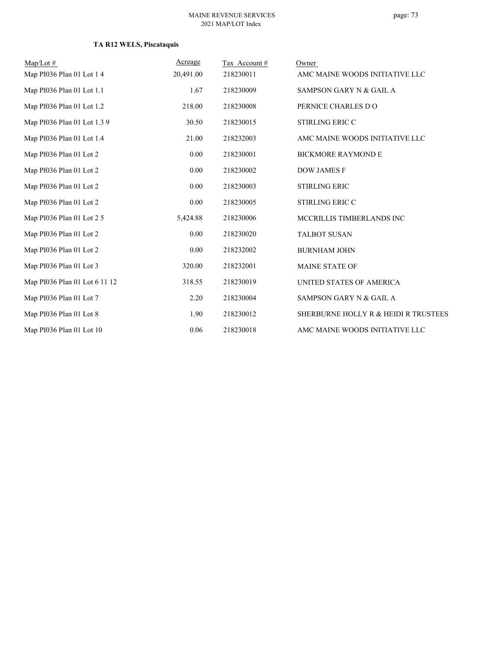| $Map/Lot \#$                  | Acreage   | Tax Account# | Owner                                |
|-------------------------------|-----------|--------------|--------------------------------------|
| Map PI036 Plan 01 Lot 1 4     | 20,491.00 | 218230011    | AMC MAINE WOODS INITIATIVE LLC       |
| Map PI036 Plan 01 Lot 1.1     | 1.67      | 218230009    | SAMPSON GARY N & GAIL A              |
| Map PI036 Plan 01 Lot 1.2     | 218.00    | 218230008    | PERNICE CHARLES DO                   |
| Map PI036 Plan 01 Lot 1.3 9   | 30.50     | 218230015    | <b>STIRLING ERIC C</b>               |
| Map PI036 Plan 01 Lot 1.4     | 21.00     | 218232003    | AMC MAINE WOODS INITIATIVE LLC       |
| Map PI036 Plan 01 Lot 2       | 0.00      | 218230001    | <b>BICKMORE RAYMOND E</b>            |
| Map PI036 Plan 01 Lot 2       | 0.00      | 218230002    | <b>DOW JAMES F</b>                   |
| Map PI036 Plan 01 Lot 2       | 0.00      | 218230003    | <b>STIRLING ERIC</b>                 |
| Map PI036 Plan 01 Lot 2       | 0.00      | 218230005    | <b>STIRLING ERIC C</b>               |
| Map PI036 Plan 01 Lot 2 5     | 5,424.88  | 218230006    | MCCRILLIS TIMBERLANDS INC            |
| Map PI036 Plan 01 Lot 2       | 0.00      | 218230020    | <b>TALBOT SUSAN</b>                  |
| Map PI036 Plan 01 Lot 2       | 0.00      | 218232002    | <b>BURNHAM JOHN</b>                  |
| Map PI036 Plan 01 Lot 3       | 320.00    | 218232001    | <b>MAINE STATE OF</b>                |
| Map PI036 Plan 01 Lot 6 11 12 | 318.55    | 218230019    | UNITED STATES OF AMERICA             |
| Map PI036 Plan 01 Lot 7       | 2.20      | 218230004    | SAMPSON GARY N & GAIL A              |
| Map PI036 Plan 01 Lot 8       | 1.90      | 218230012    | SHERBURNE HOLLY R & HEIDI R TRUSTEES |
| Map PI036 Plan 01 Lot 10      | 0.06      | 218230018    | AMC MAINE WOODS INITIATIVE LLC       |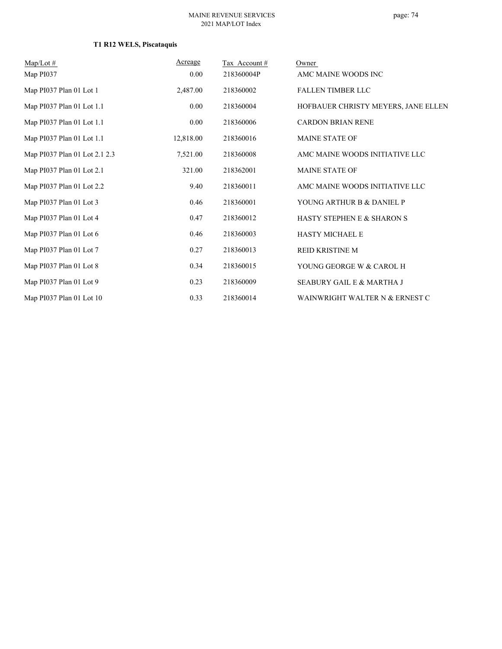| $Map/Lot \#$                  | Acreage   | Tax Account # | Owner                               |
|-------------------------------|-----------|---------------|-------------------------------------|
| Map PI037                     | $0.00\,$  | 218360004P    | AMC MAINE WOODS INC                 |
| Map PI037 Plan 01 Lot 1       | 2,487.00  | 218360002     | <b>FALLEN TIMBER LLC</b>            |
| Map PI037 Plan 01 Lot 1.1     | $0.00\,$  | 218360004     | HOFBAUER CHRISTY MEYERS, JANE ELLEN |
| Map PI037 Plan 01 Lot 1.1     | 0.00      | 218360006     | <b>CARDON BRIAN RENE</b>            |
| Map PI037 Plan 01 Lot 1.1     | 12,818.00 | 218360016     | MAINE STATE OF                      |
| Map PI037 Plan 01 Lot 2.1 2.3 | 7,521.00  | 218360008     | AMC MAINE WOODS INITIATIVE LLC      |
| Map PI037 Plan 01 Lot 2.1     | 321.00    | 218362001     | <b>MAINE STATE OF</b>               |
| Map PI037 Plan 01 Lot 2.2     | 9.40      | 218360011     | AMC MAINE WOODS INITIATIVE LLC      |
| Map PI037 Plan 01 Lot 3       | 0.46      | 218360001     | YOUNG ARTHUR B & DANIEL P           |
| Map PI037 Plan 01 Lot 4       | 0.47      | 218360012     | HASTY STEPHEN E & SHARON S          |
| Map PI037 Plan 01 Lot 6       | 0.46      | 218360003     | <b>HASTY MICHAEL E</b>              |
| Map PI037 Plan 01 Lot 7       | 0.27      | 218360013     | <b>REID KRISTINE M</b>              |
| Map PI037 Plan 01 Lot 8       | 0.34      | 218360015     | YOUNG GEORGE W & CAROL H            |
| Map PI037 Plan 01 Lot 9       | 0.23      | 218360009     | SEABURY GAIL E & MARTHA J           |
| Map PI037 Plan 01 Lot 10      | 0.33      | 218360014     | WAINWRIGHT WALTER N & ERNEST C      |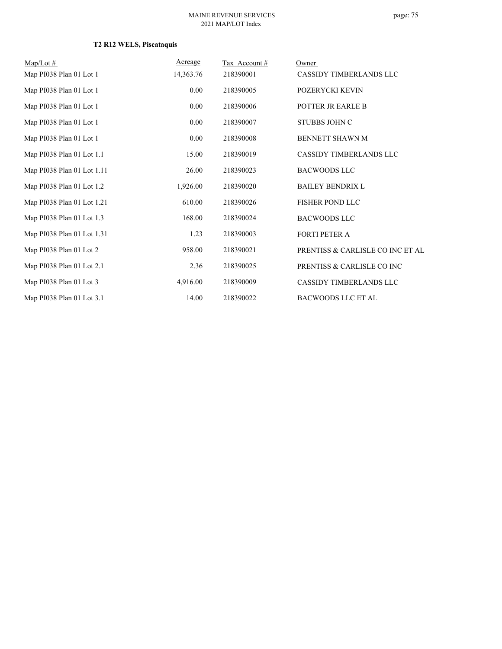| $Map/Lot \#$               | Acreage   | Tax Account# | Owner                            |
|----------------------------|-----------|--------------|----------------------------------|
| Map PI038 Plan 01 Lot 1    | 14,363.76 | 218390001    | CASSIDY TIMBERLANDS LLC          |
| Map PI038 Plan 01 Lot 1    | 0.00      | 218390005    | POZERYCKI KEVIN                  |
| Map PI038 Plan 01 Lot 1    | 0.00      | 218390006    | POTTER JR EARLE B                |
| Map PI038 Plan 01 Lot 1    | 0.00      | 218390007    | <b>STUBBS JOHN C</b>             |
| Map PI038 Plan 01 Lot 1    | 0.00      | 218390008    | BENNETT SHAWN M                  |
| Map PI038 Plan 01 Lot 1.1  | 15.00     | 218390019    | CASSIDY TIMBERLANDS LLC          |
| Map PI038 Plan 01 Lot 1.11 | 26.00     | 218390023    | <b>BACWOODS LLC</b>              |
| Map PI038 Plan 01 Lot 1.2  | 1,926.00  | 218390020    | <b>BAILEY BENDRIX L</b>          |
| Map PI038 Plan 01 Lot 1.21 | 610.00    | 218390026    | <b>FISHER POND LLC</b>           |
| Map PI038 Plan 01 Lot 1.3  | 168.00    | 218390024    | <b>BACWOODS LLC</b>              |
| Map PI038 Plan 01 Lot 1.31 | 1.23      | 218390003    | <b>FORTI PETER A</b>             |
| Map PI038 Plan 01 Lot 2    | 958.00    | 218390021    | PRENTISS & CARLISLE CO INC ET AL |
| Map PI038 Plan 01 Lot 2.1  | 2.36      | 218390025    | PRENTISS & CARLISLE CO INC       |
| Map PI038 Plan 01 Lot 3    | 4,916.00  | 218390009    | CASSIDY TIMBERLANDS LLC          |
| Map PI038 Plan 01 Lot 3.1  | 14.00     | 218390022    | <b>BACWOODS LLC ET AL</b>        |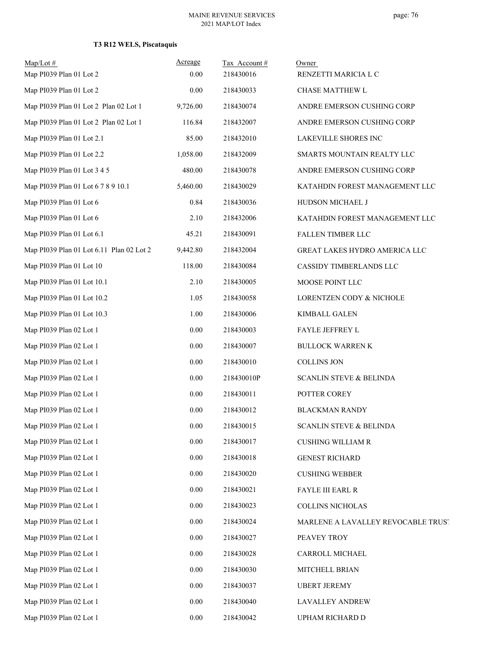| $Map/Lot \#$<br>Map PI039 Plan 01 Lot 2  | Acreage<br>0.00 | Tax Account#<br>218430016 | Owner<br>RENZETTI MARICIA L C      |
|------------------------------------------|-----------------|---------------------------|------------------------------------|
| Map PI039 Plan 01 Lot 2                  | 0.00            | 218430033                 | CHASE MATTHEW L                    |
| Map PI039 Plan 01 Lot 2 Plan 02 Lot 1    | 9,726.00        | 218430074                 | ANDRE EMERSON CUSHING CORP         |
| Map PI039 Plan 01 Lot 2 Plan 02 Lot 1    | 116.84          | 218432007                 |                                    |
| Map PI039 Plan 01 Lot 2.1                |                 |                           | ANDRE EMERSON CUSHING CORP         |
|                                          | 85.00           | 218432010                 | LAKEVILLE SHORES INC               |
| Map PI039 Plan 01 Lot 2.2                | 1,058.00        | 218432009                 | SMARTS MOUNTAIN REALTY LLC         |
| Map PI039 Plan 01 Lot 3 4 5              | 480.00          | 218430078                 | ANDRE EMERSON CUSHING CORP         |
| Map PI039 Plan 01 Lot 6 7 8 9 10.1       | 5,460.00        | 218430029                 | KATAHDIN FOREST MANAGEMENT LLC     |
| Map PI039 Plan 01 Lot 6                  | 0.84            | 218430036                 | HUDSON MICHAEL J                   |
| Map PI039 Plan 01 Lot 6                  | 2.10            | 218432006                 | KATAHDIN FOREST MANAGEMENT LLC     |
| Map PI039 Plan 01 Lot 6.1                | 45.21           | 218430091                 | FALLEN TIMBER LLC                  |
| Map PI039 Plan 01 Lot 6.11 Plan 02 Lot 2 | 9,442.80        | 218432004                 | GREAT LAKES HYDRO AMERICA LLC      |
| Map PI039 Plan 01 Lot 10                 | 118.00          | 218430084                 | CASSIDY TIMBERLANDS LLC            |
| Map PI039 Plan 01 Lot 10.1               | 2.10            | 218430005                 | MOOSE POINT LLC                    |
| Map PI039 Plan 01 Lot 10.2               | 1.05            | 218430058                 | LORENTZEN CODY & NICHOLE           |
| Map PI039 Plan 01 Lot 10.3               | 1.00            | 218430006                 | KIMBALL GALEN                      |
| Map PI039 Plan 02 Lot 1                  | 0.00            | 218430003                 | FAYLE JEFFREY L                    |
| Map PI039 Plan 02 Lot 1                  | 0.00            | 218430007                 | <b>BULLOCK WARREN K</b>            |
| Map PI039 Plan 02 Lot 1                  | $0.00\,$        | 218430010                 | <b>COLLINS JON</b>                 |
| Map PI039 Plan 02 Lot 1                  | 0.00            | 218430010P                | <b>SCANLIN STEVE &amp; BELINDA</b> |
| Map PI039 Plan 02 Lot 1                  | 0.00            | 218430011                 | POTTER COREY                       |
| Map PI039 Plan 02 Lot 1                  | 0.00            | 218430012                 | <b>BLACKMAN RANDY</b>              |
| Map PI039 Plan 02 Lot 1                  | 0.00            | 218430015                 | SCANLIN STEVE & BELINDA            |
| Map PI039 Plan 02 Lot 1                  | 0.00            | 218430017                 | <b>CUSHING WILLIAM R</b>           |
| Map PI039 Plan 02 Lot 1                  | $0.00\,$        | 218430018                 | <b>GENEST RICHARD</b>              |
| Map PI039 Plan 02 Lot 1                  | $0.00\,$        | 218430020                 | <b>CUSHING WEBBER</b>              |
| Map PI039 Plan 02 Lot 1                  | 0.00            | 218430021                 | <b>FAYLE III EARL R</b>            |
| Map PI039 Plan 02 Lot 1                  | $0.00\,$        | 218430023                 | <b>COLLINS NICHOLAS</b>            |
| Map PI039 Plan 02 Lot 1                  | 0.00            | 218430024                 | MARLENE A LAVALLEY REVOCABLE TRUST |
| Map PI039 Plan 02 Lot 1                  | 0.00            | 218430027                 | PEAVEY TROY                        |
| Map PI039 Plan 02 Lot 1                  | 0.00            | 218430028                 | CARROLL MICHAEL                    |
| Map PI039 Plan 02 Lot 1                  | 0.00            | 218430030                 | MITCHELL BRIAN                     |
| Map PI039 Plan 02 Lot 1                  | 0.00            | 218430037                 | <b>UBERT JEREMY</b>                |
| Map PI039 Plan 02 Lot 1                  | $0.00\,$        | 218430040                 | LAVALLEY ANDREW                    |
| Map PI039 Plan 02 Lot 1                  | 0.00            | 218430042                 | UPHAM RICHARD D                    |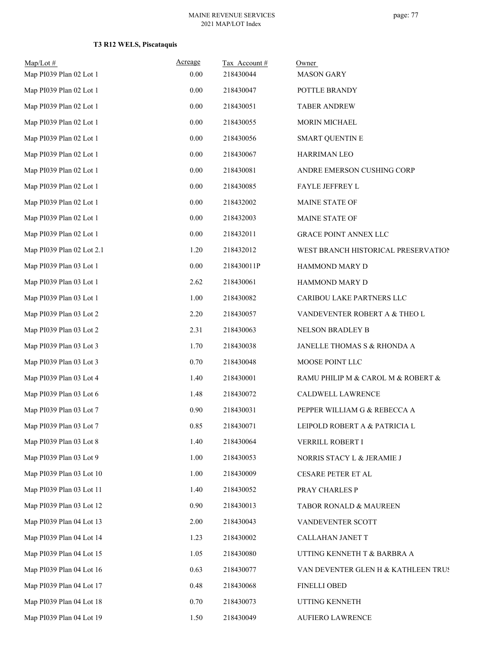| $Map/Lot \#$<br>Map PI039 Plan 02 Lot 1 | Acreage<br>0.00 | Tax Account#<br>218430044 | Owner<br><b>MASON GARY</b>          |
|-----------------------------------------|-----------------|---------------------------|-------------------------------------|
| Map PI039 Plan 02 Lot 1                 | 0.00            | 218430047                 | POTTLE BRANDY                       |
| Map PI039 Plan 02 Lot 1                 | 0.00            | 218430051                 | <b>TABER ANDREW</b>                 |
| Map PI039 Plan 02 Lot 1                 | 0.00            | 218430055                 | <b>MORIN MICHAEL</b>                |
| Map PI039 Plan 02 Lot 1                 | 0.00            | 218430056                 | <b>SMART QUENTIN E</b>              |
| Map PI039 Plan 02 Lot 1                 | 0.00            | 218430067                 | HARRIMAN LEO                        |
| Map PI039 Plan 02 Lot 1                 | 0.00            | 218430081                 | ANDRE EMERSON CUSHING CORP          |
| Map PI039 Plan 02 Lot 1                 | 0.00            | 218430085                 | FAYLE JEFFREY L                     |
| Map PI039 Plan 02 Lot 1                 | 0.00            | 218432002                 | MAINE STATE OF                      |
| Map PI039 Plan 02 Lot 1                 | 0.00            | 218432003                 | MAINE STATE OF                      |
| Map PI039 Plan 02 Lot 1                 | 0.00            | 218432011                 | <b>GRACE POINT ANNEX LLC</b>        |
| Map PI039 Plan 02 Lot 2.1               | 1.20            | 218432012                 | WEST BRANCH HISTORICAL PRESERVATION |
| Map PI039 Plan 03 Lot 1                 | 0.00            | 218430011P                | HAMMOND MARY D                      |
| Map PI039 Plan 03 Lot 1                 | 2.62            | 218430061                 | HAMMOND MARY D                      |
| Map PI039 Plan 03 Lot 1                 | 1.00            | 218430082                 | CARIBOU LAKE PARTNERS LLC           |
| Map PI039 Plan 03 Lot 2                 | 2.20            | 218430057                 | VANDEVENTER ROBERT A & THEO L       |
| Map PI039 Plan 03 Lot 2                 | 2.31            | 218430063                 | NELSON BRADLEY B                    |
| Map PI039 Plan 03 Lot 3                 | 1.70            | 218430038                 | JANELLE THOMAS S & RHONDA A         |
| Map PI039 Plan 03 Lot 3                 | 0.70            | 218430048                 | MOOSE POINT LLC                     |
| Map PI039 Plan 03 Lot 4                 | 1.40            | 218430001                 | RAMU PHILIP M & CAROL M & ROBERT &  |
| Map PI039 Plan 03 Lot 6                 | 1.48            | 218430072                 | CALDWELL LAWRENCE                   |
| Map PI039 Plan 03 Lot 7                 | 0.90            | 218430031                 | PEPPER WILLIAM G & REBECCA A        |
| Map PI039 Plan 03 Lot 7                 | 0.85            | 218430071                 | LEIPOLD ROBERT A & PATRICIA L       |
| Map PI039 Plan 03 Lot 8                 | 1.40            | 218430064                 | VERRILL ROBERT I                    |
| Map PI039 Plan 03 Lot 9                 | 1.00            | 218430053                 | NORRIS STACY L & JERAMIE J          |
| Map PI039 Plan 03 Lot 10                | 1.00            | 218430009                 | CESARE PETER ET AL                  |
| Map PI039 Plan 03 Lot 11                | 1.40            | 218430052                 | PRAY CHARLES P                      |
| Map PI039 Plan 03 Lot 12                | 0.90            | 218430013                 | TABOR RONALD & MAUREEN              |
| Map PI039 Plan 04 Lot 13                | 2.00            | 218430043                 | VANDEVENTER SCOTT                   |
| Map PI039 Plan 04 Lot 14                | 1.23            | 218430002                 | CALLAHAN JANET T                    |
| Map PI039 Plan 04 Lot 15                | 1.05            | 218430080                 | UTTING KENNETH T & BARBRA A         |
| Map PI039 Plan 04 Lot 16                | 0.63            | 218430077                 | VAN DEVENTER GLEN H & KATHLEEN TRUS |
| Map PI039 Plan 04 Lot 17                | 0.48            | 218430068                 | <b>FINELLI OBED</b>                 |
| Map PI039 Plan 04 Lot 18                | 0.70            | 218430073                 | UTTING KENNETH                      |
| Map PI039 Plan 04 Lot 19                | 1.50            | 218430049                 | AUFIERO LAWRENCE                    |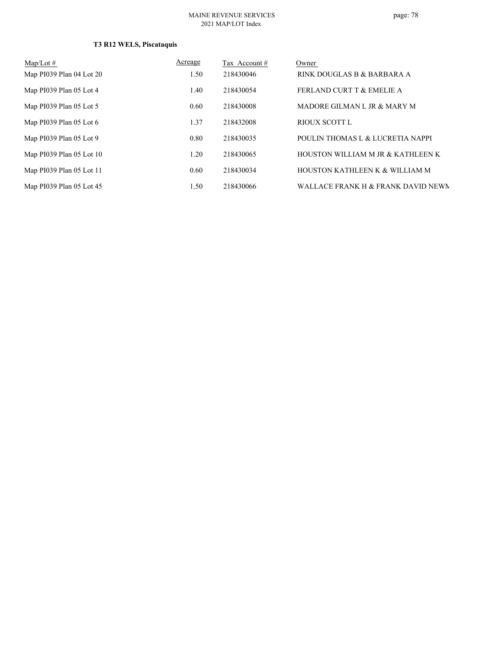| Map/Lot $#$                | Acreage | Tax Account# | Owner                                |
|----------------------------|---------|--------------|--------------------------------------|
| Map $PI039$ Plan 04 Lot 20 | 1.50    | 218430046    | RINK DOUGLAS B & BARBARA A           |
| Map PI039 Plan 05 Lot 4    | 1.40    | 218430054    | <b>FERLAND CURT T &amp; EMELIE A</b> |
| Map PI039 Plan 05 Lot 5    | 0.60    | 218430008    | MADORE GILMAN L JR & MARY M          |
| Map PI039 Plan 05 Lot 6    | 1.37    | 218432008    | RIOUX SCOTT L                        |
| Map PI039 Plan 05 Lot 9    | 0.80    | 218430035    | POULIN THOMAS L & LUCRETIA NAPPI     |
| Map PI039 Plan 05 Lot 10   | 1.20    | 218430065    | HOUSTON WILLIAM M JR & KATHLEEN K    |
| Map PI039 Plan 05 Lot 11   | 0.60    | 218430034    | HOUSTON KATHLEEN K & WILLIAM M       |
| Map PI039 Plan 05 Lot 45   | 1.50    | 218430066    | WALLACE FRANK H & FRANK DAVID NEWN   |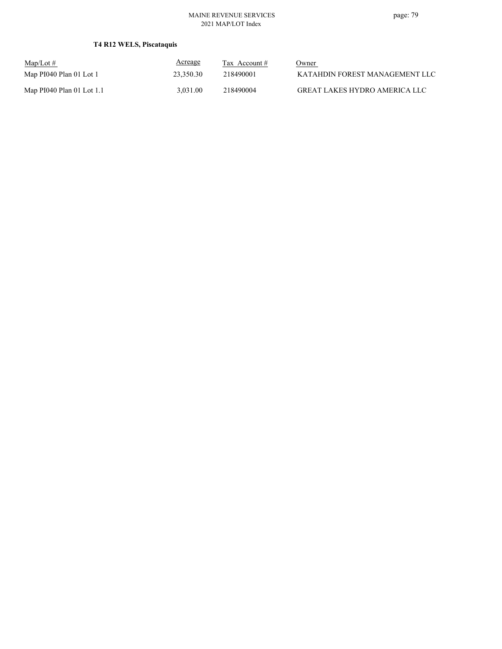| $Map/Lot \#$              | Acreage   | Tax Account $#$ | Owner                          |
|---------------------------|-----------|-----------------|--------------------------------|
| Map PI040 Plan 01 Lot 1   | 23,350.30 | 218490001       | KATAHDIN FOREST MANAGEMENT LLC |
| Map PI040 Plan 01 Lot 1.1 | 3.031.00  | 218490004       | GREAT LAKES HYDRO AMERICA LLC  |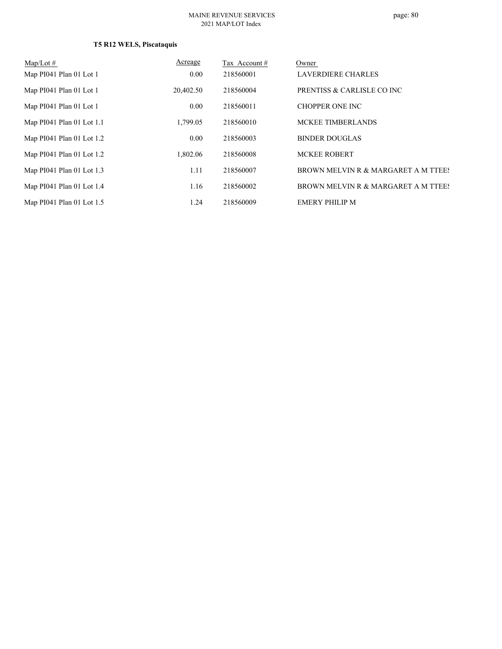| Map/Lot $#$                 | Acreage   | Tax Account# | Owner                               |
|-----------------------------|-----------|--------------|-------------------------------------|
| Map PI041 Plan 01 Lot 1     | 0.00      | 218560001    | <b>LAVERDIERE CHARLES</b>           |
| Map PI041 Plan 01 Lot 1     | 20,402.50 | 218560004    | PRENTISS & CARLISLE CO INC          |
| Map PI041 Plan 01 Lot 1     | 0.00      | 218560011    | <b>CHOPPER ONE INC</b>              |
| Map $PI041$ Plan 01 Lot 1.1 | 1,799.05  | 218560010    | MCKEE TIMBERLANDS                   |
| Map PI041 Plan 01 Lot 1.2   | 0.00      | 218560003    | <b>BINDER DOUGLAS</b>               |
| Map PI041 Plan 01 Lot 1.2   | 1,802.06  | 218560008    | <b>MCKEE ROBERT</b>                 |
| Map PI041 Plan 01 Lot 1.3   | 1.11      | 218560007    | BROWN MELVIN R & MARGARET A M TTEES |
| Map PI041 Plan 01 Lot 1.4   | 1.16      | 218560002    | BROWN MELVIN R & MARGARET A M TTEES |
| Map PI041 Plan 01 Lot 1.5   | 1.24      | 218560009    | <b>EMERY PHILIP M</b>               |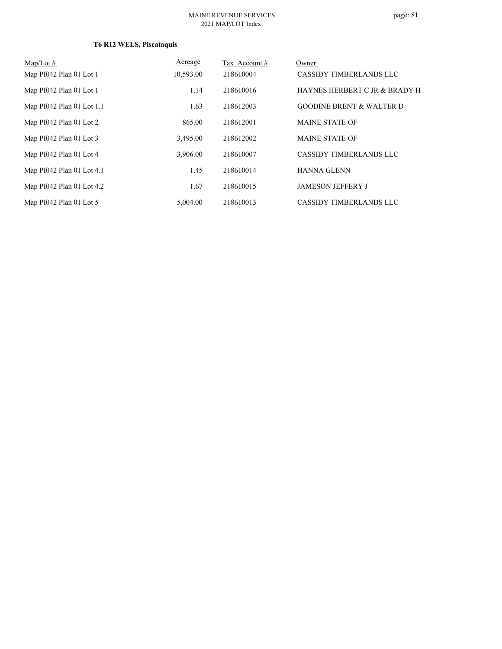# page: 81

| $Map/Lot \#$              | Acreage   | Tax Account # | Owner                               |
|---------------------------|-----------|---------------|-------------------------------------|
| Map PI042 Plan 01 Lot 1   | 10,593.00 | 218610004     | CASSIDY TIMBERLANDS LLC             |
| Map PI042 Plan 01 Lot 1   | 1.14      | 218610016     | HAYNES HERBERT C JR & BRADY H       |
| Map PI042 Plan 01 Lot 1.1 | 1.63      | 218612003     | <b>GOODINE BRENT &amp; WALTER D</b> |
| Map PI042 Plan 01 Lot 2   | 865.00    | 218612001     | <b>MAINE STATE OF</b>               |
| Map PI042 Plan 01 Lot 3   | 3,495.00  | 218612002     | <b>MAINE STATE OF</b>               |
| Map PI042 Plan 01 Lot 4   | 3,906.00  | 218610007     | <b>CASSIDY TIMBERLANDS LLC</b>      |
| Map PI042 Plan 01 Lot 4.1 | 1.45      | 218610014     | <b>HANNA GLENN</b>                  |
| Map PI042 Plan 01 Lot 4.2 | 1.67      | 218610015     | <b>JAMESON JEFFERY J</b>            |
| Map PI042 Plan 01 Lot 5   | 5,004.00  | 218610013     | <b>CASSIDY TIMBERLANDS LLC</b>      |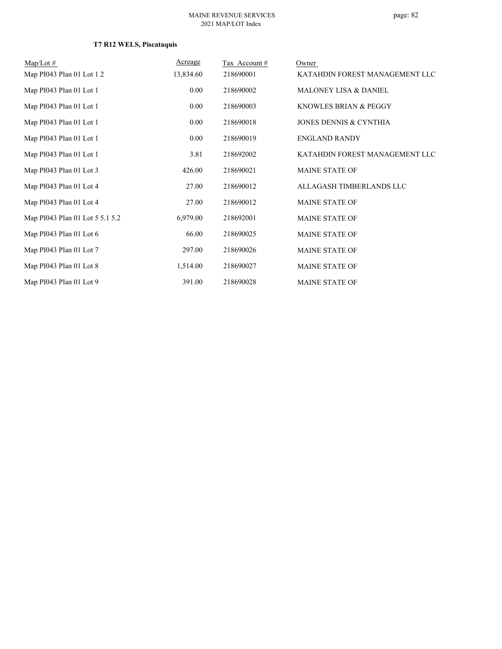| $Map/Lot \#$                    | Acreage   | Tax Account# | Owner                            |
|---------------------------------|-----------|--------------|----------------------------------|
| Map PI043 Plan 01 Lot 1 2       | 13,834.60 | 218690001    | KATAHDIN FOREST MANAGEMENT LLC   |
| Map PI043 Plan 01 Lot 1         | 0.00      | 218690002    | <b>MALONEY LISA &amp; DANIEL</b> |
| Map PI043 Plan 01 Lot 1         | $0.00\,$  | 218690003    | KNOWLES BRIAN & PEGGY            |
| Map PI043 Plan 01 Lot 1         | $0.00\,$  | 218690018    | JONES DENNIS & CYNTHIA           |
| Map PI043 Plan 01 Lot 1         | $0.00\,$  | 218690019    | <b>ENGLAND RANDY</b>             |
| Map PI043 Plan 01 Lot 1         | 3.81      | 218692002    | KATAHDIN FOREST MANAGEMENT LLC   |
| Map PI043 Plan 01 Lot 3         | 426.00    | 218690021    | <b>MAINE STATE OF</b>            |
| Map PI043 Plan 01 Lot 4         | 27.00     | 218690012    | ALLAGASH TIMBERLANDS LLC         |
| Map PI043 Plan 01 Lot 4         | 27.00     | 218690012    | <b>MAINE STATE OF</b>            |
| Map PI043 Plan 01 Lot 5 5.1 5.2 | 6,979.00  | 218692001    | <b>MAINE STATE OF</b>            |
| Map PI043 Plan 01 Lot 6         | 66.00     | 218690025    | <b>MAINE STATE OF</b>            |
| Map PI043 Plan 01 Lot 7         | 297.00    | 218690026    | <b>MAINE STATE OF</b>            |
| Map PI043 Plan 01 Lot 8         | 1,514.00  | 218690027    | MAINE STATE OF                   |
| Map PI043 Plan 01 Lot 9         | 391.00    | 218690028    | <b>MAINE STATE OF</b>            |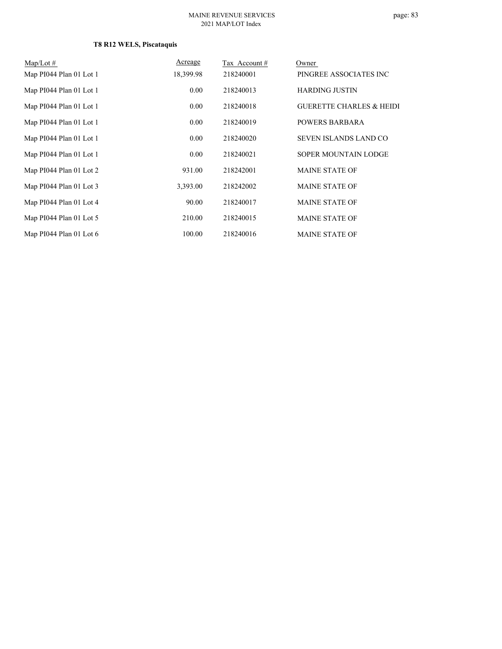| $Map/Lot \#$            | Acreage   | Tax Account # | Owner                               |
|-------------------------|-----------|---------------|-------------------------------------|
| Map PI044 Plan 01 Lot 1 | 18,399.98 | 218240001     | PINGREE ASSOCIATES INC              |
| Map PI044 Plan 01 Lot 1 | 0.00      | 218240013     | <b>HARDING JUSTIN</b>               |
| Map PI044 Plan 01 Lot 1 | 0.00      | 218240018     | <b>GUERETTE CHARLES &amp; HEIDI</b> |
| Map PI044 Plan 01 Lot 1 | 0.00      | 218240019     | <b>POWERS BARBARA</b>               |
| Map PI044 Plan 01 Lot 1 | 0.00      | 218240020     | <b>SEVEN ISLANDS LAND CO</b>        |
| Map PI044 Plan 01 Lot 1 | 0.00      | 218240021     | SOPER MOUNTAIN LODGE                |
| Map PI044 Plan 01 Lot 2 | 931.00    | 218242001     | <b>MAINE STATE OF</b>               |
| Map PI044 Plan 01 Lot 3 | 3,393.00  | 218242002     | <b>MAINE STATE OF</b>               |
| Map PI044 Plan 01 Lot 4 | 90.00     | 218240017     | <b>MAINE STATE OF</b>               |
| Map PI044 Plan 01 Lot 5 | 210.00    | 218240015     | <b>MAINE STATE OF</b>               |
| Map PI044 Plan 01 Lot 6 | 100.00    | 218240016     | <b>MAINE STATE OF</b>               |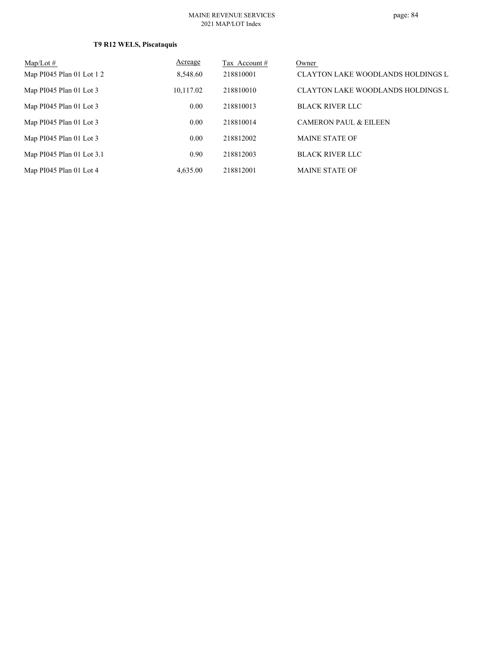| $Map/Lot \#$              | Acreage   | Tax Account # | Owner                                     |
|---------------------------|-----------|---------------|-------------------------------------------|
| Map PI045 Plan 01 Lot 1 2 | 8,548.60  | 218810001     | <b>CLAYTON LAKE WOODLANDS HOLDINGS LI</b> |
| Map PI045 Plan 01 Lot 3   | 10,117.02 | 218810010     | <b>CLAYTON LAKE WOODLANDS HOLDINGS LI</b> |
| Map PI045 Plan 01 Lot 3   | 0.00      | 218810013     | <b>BLACK RIVER LLC</b>                    |
| Map PI045 Plan 01 Lot 3   | 0.00      | 218810014     | <b>CAMERON PAUL &amp; EILEEN</b>          |
| Map PI045 Plan 01 Lot 3   | 0.00      | 218812002     | <b>MAINE STATE OF</b>                     |
| Map PI045 Plan 01 Lot 3.1 | 0.90      | 218812003     | <b>BLACK RIVER LLC</b>                    |
| Map PI045 Plan 01 Lot 4   | 4,635.00  | 218812001     | <b>MAINE STATE OF</b>                     |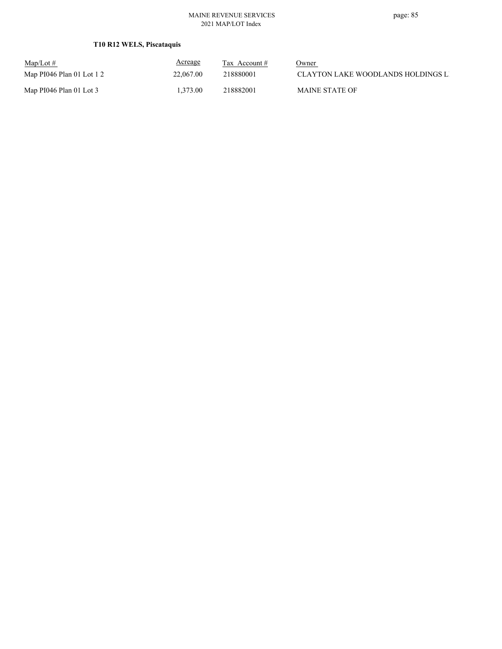## **T10 R12 WELS, Piscataquis**

| $\text{Map/Lot} \#$       | Acreage   | Tax Account $#$ | Owner                                |
|---------------------------|-----------|-----------------|--------------------------------------|
| Map PI046 Plan 01 Lot 1 2 | 22,067.00 | 218880001       | - CLAYTON LAKE WOODLANDS HOLDINGS LI |
| Map PI046 Plan 01 Lot 3   | 1.373.00  | 218882001       | <b>MAINE STATE OF</b>                |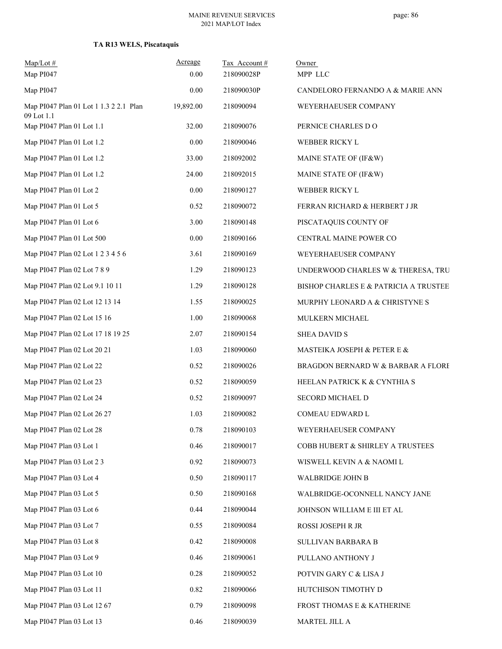| $Map/Lot \#$<br>Map PI047                            | Acreage<br>0.00 | Tax Account#<br>218090028P | Owner<br>MPP LLC                      |
|------------------------------------------------------|-----------------|----------------------------|---------------------------------------|
| Map PI047                                            | 0.00            | 218090030P                 | CANDELORO FERNANDO A & MARIE ANN      |
| Map PI047 Plan 01 Lot 1 1.3 2 2.1 Plan<br>09 Lot 1.1 | 19,892.00       | 218090094                  | WEYERHAEUSER COMPANY                  |
| Map PI047 Plan 01 Lot 1.1                            | 32.00           | 218090076                  | PERNICE CHARLES DO                    |
| Map PI047 Plan 01 Lot 1.2                            | 0.00            | 218090046                  | WEBBER RICKY L                        |
| Map PI047 Plan 01 Lot 1.2                            | 33.00           | 218092002                  | MAINE STATE OF (IF&W)                 |
| Map PI047 Plan 01 Lot 1.2                            | 24.00           | 218092015                  | MAINE STATE OF (IF&W)                 |
| Map PI047 Plan 01 Lot 2                              | 0.00            | 218090127                  | WEBBER RICKY L                        |
| Map PI047 Plan 01 Lot 5                              | 0.52            | 218090072                  | FERRAN RICHARD & HERBERT J JR         |
| Map PI047 Plan 01 Lot 6                              | 3.00            | 218090148                  | PISCATAQUIS COUNTY OF                 |
| Map PI047 Plan 01 Lot 500                            | 0.00            | 218090166                  | CENTRAL MAINE POWER CO                |
| Map PI047 Plan 02 Lot 1 2 3 4 5 6                    | 3.61            | 218090169                  | WEYERHAEUSER COMPANY                  |
| Map PI047 Plan 02 Lot 7 8 9                          | 1.29            | 218090123                  | UNDERWOOD CHARLES W & THERESA, TRU    |
| Map PI047 Plan 02 Lot 9.1 10 11                      | 1.29            | 218090128                  | BISHOP CHARLES E & PATRICIA A TRUSTEE |
| Map PI047 Plan 02 Lot 12 13 14                       | 1.55            | 218090025                  | MURPHY LEONARD A & CHRISTYNE S        |
| Map PI047 Plan 02 Lot 15 16                          | 1.00            | 218090068                  | MULKERN MICHAEL                       |
| Map PI047 Plan 02 Lot 17 18 19 25                    | 2.07            | 218090154                  | <b>SHEA DAVID S</b>                   |
| Map PI047 Plan 02 Lot 20 21                          | 1.03            | 218090060                  | MASTEIKA JOSEPH & PETER E &           |
| Map PI047 Plan 02 Lot 22                             | 0.52            | 218090026                  | BRAGDON BERNARD W & BARBAR A FLORE    |
| Map PI047 Plan 02 Lot 23                             | 0.52            | 218090059                  | HEELAN PATRICK K & CYNTHIA S          |
| Map PI047 Plan 02 Lot 24                             | 0.52            | 218090097                  | SECORD MICHAEL D                      |
| Map PI047 Plan 02 Lot 26 27                          | 1.03            | 218090082                  | COMEAU EDWARD L                       |
| Map PI047 Plan 02 Lot 28                             | 0.78            | 218090103                  | WEYERHAEUSER COMPANY                  |
| Map PI047 Plan 03 Lot 1                              | 0.46            | 218090017                  | COBB HUBERT & SHIRLEY A TRUSTEES      |
| Map PI047 Plan 03 Lot 2 3                            | 0.92            | 218090073                  | WISWELL KEVIN A & NAOMI L             |
| Map PI047 Plan 03 Lot 4                              | 0.50            | 218090117                  | WALBRIDGE JOHN B                      |
| Map PI047 Plan 03 Lot 5                              | 0.50            | 218090168                  | WALBRIDGE-OCONNELL NANCY JANE         |
| Map PI047 Plan 03 Lot 6                              | 0.44            | 218090044                  | JOHNSON WILLIAM E III ET AL           |
| Map PI047 Plan 03 Lot 7                              | 0.55            | 218090084                  | ROSSI JOSEPH R JR                     |
| Map PI047 Plan 03 Lot 8                              | 0.42            | 218090008                  | SULLIVAN BARBARA B                    |
| Map PI047 Plan 03 Lot 9                              | 0.46            | 218090061                  | PULLANO ANTHONY J                     |
| Map PI047 Plan 03 Lot 10                             | 0.28            | 218090052                  | POTVIN GARY C & LISA J                |
| Map PI047 Plan 03 Lot 11                             | 0.82            | 218090066                  | HUTCHISON TIMOTHY D                   |
| Map PI047 Plan 03 Lot 12 67                          | 0.79            | 218090098                  | FROST THOMAS E & KATHERINE            |
| Map PI047 Plan 03 Lot 13                             | 0.46            | 218090039                  | MARTEL JILL A                         |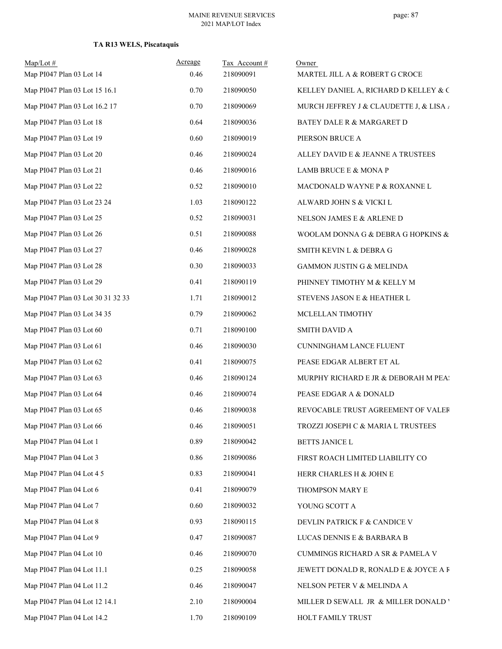| $Map/Lot$ #<br>Map PI047 Plan 03 Lot 14 | Acreage<br>0.46 | Tax Account#<br>218090091 | Owner<br>MARTEL JILL A & ROBERT G CROCE |
|-----------------------------------------|-----------------|---------------------------|-----------------------------------------|
| Map PI047 Plan 03 Lot 15 16.1           | 0.70            | 218090050                 | KELLEY DANIEL A, RICHARD D KELLEY & C   |
| Map PI047 Plan 03 Lot 16.2 17           | 0.70            | 218090069                 | MURCH JEFFREY J & CLAUDETTE J, & LISA / |
| Map PI047 Plan 03 Lot 18                | 0.64            | 218090036                 | BATEY DALE R & MARGARET D               |
| Map PI047 Plan 03 Lot 19                | 0.60            | 218090019                 | PIERSON BRUCE A                         |
| Map PI047 Plan 03 Lot 20                | 0.46            | 218090024                 | ALLEY DAVID E & JEANNE A TRUSTEES       |
| Map PI047 Plan 03 Lot 21                | 0.46            | 218090016                 | LAMB BRUCE E & MONA P                   |
| Map PI047 Plan 03 Lot 22                | 0.52            | 218090010                 | MACDONALD WAYNE P & ROXANNE L           |
| Map PI047 Plan 03 Lot 23 24             | 1.03            | 218090122                 | ALWARD JOHN S & VICKI L                 |
| Map PI047 Plan 03 Lot 25                | 0.52            | 218090031                 | NELSON JAMES E & ARLENE D               |
| Map PI047 Plan 03 Lot 26                | 0.51            | 218090088                 | WOOLAM DONNA G & DEBRA G HOPKINS &      |
| Map PI047 Plan 03 Lot 27                | 0.46            | 218090028                 | SMITH KEVIN L & DEBRA G                 |
| Map PI047 Plan 03 Lot 28                | 0.30            | 218090033                 | GAMMON JUSTIN G & MELINDA               |
| Map PI047 Plan 03 Lot 29                | 0.41            | 218090119                 | PHINNEY TIMOTHY M & KELLY M             |
| Map PI047 Plan 03 Lot 30 31 32 33       | 1.71            | 218090012                 | STEVENS JASON E & HEATHER L             |
| Map PI047 Plan 03 Lot 34 35             | 0.79            | 218090062                 | MCLELLAN TIMOTHY                        |
| Map PI047 Plan 03 Lot 60                | 0.71            | 218090100                 | <b>SMITH DAVID A</b>                    |
| Map PI047 Plan 03 Lot 61                | 0.46            | 218090030                 | CUNNINGHAM LANCE FLUENT                 |
| Map PI047 Plan 03 Lot 62                | 0.41            | 218090075                 | PEASE EDGAR ALBERT ET AL                |
| Map PI047 Plan 03 Lot 63                | 0.46            | 218090124                 | MURPHY RICHARD E JR & DEBORAH M PEA:    |
| Map PI047 Plan 03 Lot 64                | 0.46            | 218090074                 | PEASE EDGAR A & DONALD                  |
| Map PI047 Plan 03 Lot 65                | 0.46            | 218090038                 | REVOCABLE TRUST AGREEMENT OF VALER      |
| Map PI047 Plan 03 Lot 66                | 0.46            | 218090051                 | TROZZI JOSEPH C & MARIA L TRUSTEES      |
| Map PI047 Plan 04 Lot 1                 | 0.89            | 218090042                 | BETTS JANICE L                          |
| Map PI047 Plan 04 Lot 3                 | 0.86            | 218090086                 | FIRST ROACH LIMITED LIABILITY CO        |
| Map PI047 Plan 04 Lot 4 5               | 0.83            | 218090041                 | HERR CHARLES H & JOHN E                 |
| Map PI047 Plan 04 Lot 6                 | 0.41            | 218090079                 | THOMPSON MARY E                         |
| Map PI047 Plan 04 Lot 7                 | 0.60            | 218090032                 | YOUNG SCOTT A                           |
| Map PI047 Plan 04 Lot 8                 | 0.93            | 218090115                 | DEVLIN PATRICK F & CANDICE V            |
| Map PI047 Plan 04 Lot 9                 | 0.47            | 218090087                 | LUCAS DENNIS E & BARBARA B              |
| Map PI047 Plan 04 Lot 10                | 0.46            | 218090070                 | CUMMINGS RICHARD A SR & PAMELA V        |
| Map PI047 Plan 04 Lot 11.1              | 0.25            | 218090058                 | JEWETT DONALD R, RONALD E & JOYCE A F   |
| Map PI047 Plan 04 Lot 11.2              | 0.46            | 218090047                 | NELSON PETER V & MELINDA A              |
| Map PI047 Plan 04 Lot 12 14.1           | 2.10            | 218090004                 | MILLER D SEWALL JR & MILLER DONALD '    |
| Map PI047 Plan 04 Lot 14.2              | 1.70            | 218090109                 | HOLT FAMILY TRUST                       |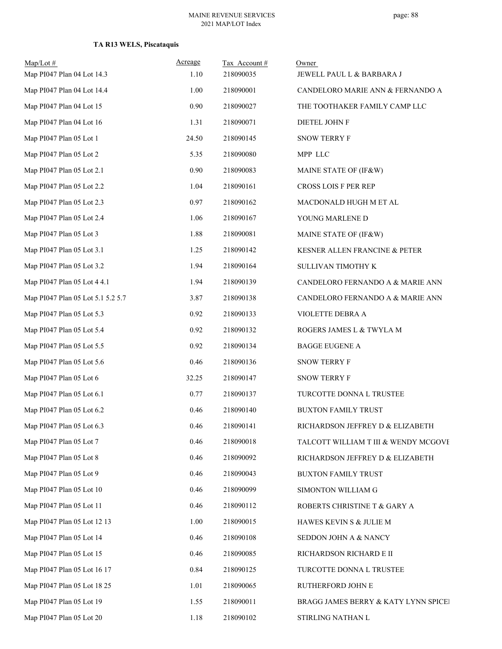| $Map/Lot$ #<br>Map PI047 Plan 04 Lot 14.3 | Acreage<br>1.10 | Tax Account#<br>218090035 | Owner<br>JEWELL PAUL L & BARBARA J   |
|-------------------------------------------|-----------------|---------------------------|--------------------------------------|
| Map PI047 Plan 04 Lot 14.4                | 1.00            | 218090001                 | CANDELORO MARIE ANN & FERNANDO A     |
| Map PI047 Plan 04 Lot 15                  | 0.90            | 218090027                 | THE TOOTHAKER FAMILY CAMP LLC        |
| Map PI047 Plan 04 Lot 16                  | 1.31            | 218090071                 | DIETEL JOHN F                        |
| Map PI047 Plan 05 Lot 1                   | 24.50           | 218090145                 | SNOW TERRY F                         |
| Map PI047 Plan 05 Lot 2                   | 5.35            | 218090080                 | MPP LLC                              |
| Map PI047 Plan 05 Lot 2.1                 | 0.90            | 218090083                 | MAINE STATE OF (IF&W)                |
| Map PI047 Plan 05 Lot 2.2                 | 1.04            | 218090161                 | CROSS LOIS F PER REP                 |
| Map PI047 Plan 05 Lot 2.3                 | 0.97            | 218090162                 | MACDONALD HUGH M ET AL               |
| Map PI047 Plan 05 Lot 2.4                 | 1.06            | 218090167                 | YOUNG MARLENE D                      |
| Map PI047 Plan 05 Lot 3                   | 1.88            | 218090081                 | MAINE STATE OF (IF&W)                |
| Map PI047 Plan 05 Lot 3.1                 | 1.25            | 218090142                 | KESNER ALLEN FRANCINE & PETER        |
| Map PI047 Plan 05 Lot 3.2                 | 1.94            | 218090164                 | SULLIVAN TIMOTHY K                   |
| Map PI047 Plan 05 Lot 4 4.1               | 1.94            | 218090139                 | CANDELORO FERNANDO A & MARIE ANN     |
| Map PI047 Plan 05 Lot 5.1 5.2 5.7         | 3.87            | 218090138                 | CANDELORO FERNANDO A & MARIE ANN     |
| Map PI047 Plan 05 Lot 5.3                 | 0.92            | 218090133                 | VIOLETTE DEBRA A                     |
| Map PI047 Plan 05 Lot 5.4                 | 0.92            | 218090132                 | ROGERS JAMES L & TWYLA M             |
| Map PI047 Plan 05 Lot 5.5                 | 0.92            | 218090134                 | <b>BAGGE EUGENE A</b>                |
| Map PI047 Plan 05 Lot 5.6                 | 0.46            | 218090136                 | SNOW TERRY F                         |
| Map PI047 Plan 05 Lot 6                   | 32.25           | 218090147                 | <b>SNOW TERRY F</b>                  |
| Map PI047 Plan 05 Lot 6.1                 | 0.77            | 218090137                 | TURCOTTE DONNA L TRUSTEE             |
| Map PI047 Plan 05 Lot 6.2                 | 0.46            | 218090140                 | <b>BUXTON FAMILY TRUST</b>           |
| Map PI047 Plan 05 Lot 6.3                 | 0.46            | 218090141                 | RICHARDSON JEFFREY D & ELIZABETH     |
| Map PI047 Plan 05 Lot 7                   | 0.46            | 218090018                 | TALCOTT WILLIAM T III & WENDY MCGOVE |
| Map PI047 Plan 05 Lot 8                   | 0.46            | 218090092                 | RICHARDSON JEFFREY D & ELIZABETH     |
| Map PI047 Plan 05 Lot 9                   | 0.46            | 218090043                 | <b>BUXTON FAMILY TRUST</b>           |
| Map PI047 Plan 05 Lot 10                  | 0.46            | 218090099                 | SIMONTON WILLIAM G                   |
| Map PI047 Plan 05 Lot 11                  | 0.46            | 218090112                 | ROBERTS CHRISTINE T & GARY A         |
| Map PI047 Plan 05 Lot 12 13               | 1.00            | 218090015                 | HAWES KEVIN S & JULIE M              |
| Map PI047 Plan 05 Lot 14                  | 0.46            | 218090108                 | SEDDON JOHN A & NANCY                |
| Map PI047 Plan 05 Lot 15                  | 0.46            | 218090085                 | RICHARDSON RICHARD E II              |
| Map PI047 Plan 05 Lot 16 17               | 0.84            | 218090125                 | TURCOTTE DONNA L TRUSTEE             |
| Map PI047 Plan 05 Lot 18 25               | 1.01            | 218090065                 | RUTHERFORD JOHN E                    |
| Map PI047 Plan 05 Lot 19                  | 1.55            | 218090011                 | BRAGG JAMES BERRY & KATY LYNN SPICEI |
| Map PI047 Plan 05 Lot 20                  | 1.18            | 218090102                 | STIRLING NATHAN L                    |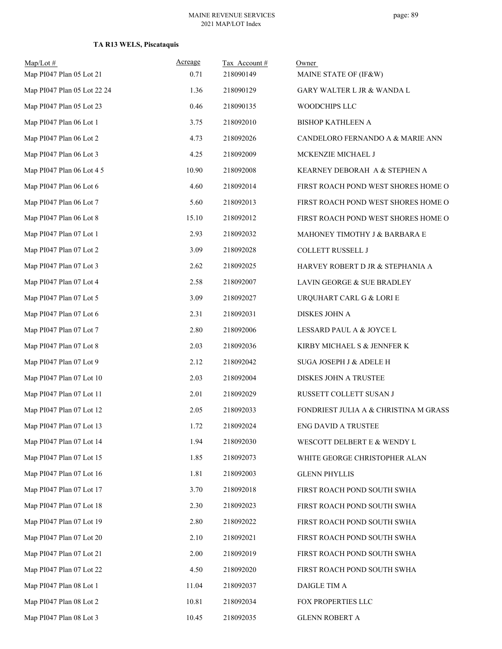| $Map/Lot$ #<br>Map PI047 Plan 05 Lot 21 | Acreage<br>0.71 | Tax Account#<br>218090149 | Owner<br>MAINE STATE OF (IF&W)        |
|-----------------------------------------|-----------------|---------------------------|---------------------------------------|
| Map PI047 Plan 05 Lot 22 24             |                 |                           |                                       |
|                                         | 1.36            | 218090129                 | GARY WALTER L JR & WANDA L            |
| Map PI047 Plan 05 Lot 23                | 0.46            | 218090135                 | WOODCHIPS LLC                         |
| Map PI047 Plan 06 Lot 1                 | 3.75            | 218092010                 | <b>BISHOP KATHLEEN A</b>              |
| Map PI047 Plan 06 Lot 2                 | 4.73            | 218092026                 | CANDELORO FERNANDO A & MARIE ANN      |
| Map PI047 Plan 06 Lot 3                 | 4.25            | 218092009                 | MCKENZIE MICHAEL J                    |
| Map PI047 Plan 06 Lot 4 5               | 10.90           | 218092008                 | KEARNEY DEBORAH A & STEPHEN A         |
| Map PI047 Plan 06 Lot 6                 | 4.60            | 218092014                 | FIRST ROACH POND WEST SHORES HOME O   |
| Map PI047 Plan 06 Lot 7                 | 5.60            | 218092013                 | FIRST ROACH POND WEST SHORES HOME O   |
| Map PI047 Plan 06 Lot 8                 | 15.10           | 218092012                 | FIRST ROACH POND WEST SHORES HOME O   |
| Map PI047 Plan 07 Lot 1                 | 2.93            | 218092032                 | MAHONEY TIMOTHY J & BARBARA E         |
| Map PI047 Plan 07 Lot 2                 | 3.09            | 218092028                 | COLLETT RUSSELL J                     |
| Map PI047 Plan 07 Lot 3                 | 2.62            | 218092025                 | HARVEY ROBERT D JR & STEPHANIA A      |
| Map PI047 Plan 07 Lot 4                 | 2.58            | 218092007                 | LAVIN GEORGE & SUE BRADLEY            |
| Map PI047 Plan 07 Lot 5                 | 3.09            | 218092027                 | URQUHART CARL G & LORI E              |
| Map PI047 Plan 07 Lot 6                 | 2.31            | 218092031                 | DISKES JOHN A                         |
| Map PI047 Plan 07 Lot 7                 | 2.80            | 218092006                 | LESSARD PAUL A & JOYCE L              |
| Map PI047 Plan 07 Lot 8                 | 2.03            | 218092036                 | KIRBY MICHAEL S & JENNFER K           |
| Map PI047 Plan 07 Lot 9                 | 2.12            | 218092042                 | SUGA JOSEPH J & ADELE H               |
| Map PI047 Plan 07 Lot 10                | 2.03            | 218092004                 | DISKES JOHN A TRUSTEE                 |
| Map PI047 Plan 07 Lot 11                | 2.01            | 218092029                 | RUSSETT COLLETT SUSAN J               |
| Map PI047 Plan 07 Lot 12                | 2.05            | 218092033                 | FONDRIEST JULIA A & CHRISTINA M GRASS |
| Map PI047 Plan 07 Lot 13                | 1.72            | 218092024                 | ENG DAVID A TRUSTEE                   |
| Map PI047 Plan 07 Lot 14                | 1.94            | 218092030                 | WESCOTT DELBERT E & WENDY L           |
| Map PI047 Plan 07 Lot 15                | 1.85            | 218092073                 | WHITE GEORGE CHRISTOPHER ALAN         |
| Map PI047 Plan 07 Lot 16                | 1.81            | 218092003                 | <b>GLENN PHYLLIS</b>                  |
| Map PI047 Plan 07 Lot 17                | 3.70            | 218092018                 | FIRST ROACH POND SOUTH SWHA           |
| Map PI047 Plan 07 Lot 18                | 2.30            | 218092023                 | FIRST ROACH POND SOUTH SWHA           |
| Map PI047 Plan 07 Lot 19                | 2.80            | 218092022                 | FIRST ROACH POND SOUTH SWHA           |
| Map PI047 Plan 07 Lot 20                | 2.10            | 218092021                 | FIRST ROACH POND SOUTH SWHA           |
| Map PI047 Plan 07 Lot 21                | 2.00            | 218092019                 | FIRST ROACH POND SOUTH SWHA           |
| Map PI047 Plan 07 Lot 22                | 4.50            | 218092020                 | FIRST ROACH POND SOUTH SWHA           |
| Map PI047 Plan 08 Lot 1                 | 11.04           | 218092037                 | DAIGLE TIM A                          |
| Map PI047 Plan 08 Lot 2                 | 10.81           | 218092034                 | FOX PROPERTIES LLC                    |
| Map PI047 Plan 08 Lot 3                 | 10.45           | 218092035                 | <b>GLENN ROBERT A</b>                 |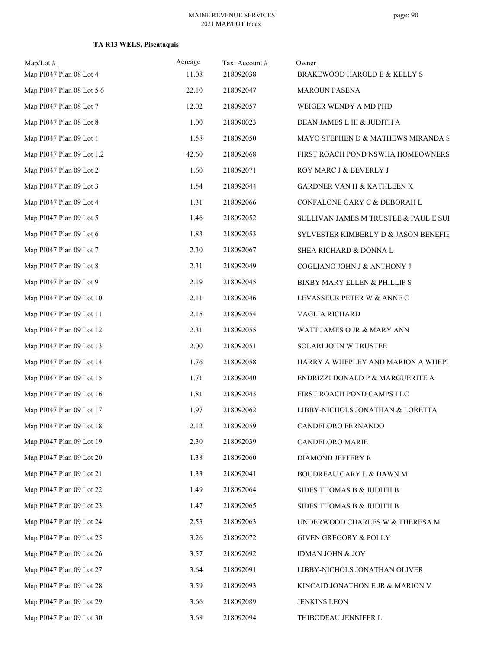| $Map/Lot$ #<br>Map PI047 Plan 08 Lot 4 | Acreage<br>11.08 | Tax Account#<br>218092038 | Owner<br>BRAKEWOOD HAROLD E & KELLY S |
|----------------------------------------|------------------|---------------------------|---------------------------------------|
| Map PI047 Plan 08 Lot 5 6              | 22.10            | 218092047                 | <b>MAROUN PASENA</b>                  |
| Map PI047 Plan 08 Lot 7                | 12.02            | 218092057                 | WEIGER WENDY A MD PHD                 |
| Map PI047 Plan 08 Lot 8                | 1.00             | 218090023                 | DEAN JAMES L III & JUDITH A           |
| Map PI047 Plan 09 Lot 1                | 1.58             | 218092050                 | MAYO STEPHEN D & MATHEWS MIRANDA S    |
| Map PI047 Plan 09 Lot 1.2              | 42.60            | 218092068                 | FIRST ROACH POND NSWHA HOMEOWNERS     |
| Map PI047 Plan 09 Lot 2                | 1.60             | 218092071                 | ROY MARC J & BEVERLY J                |
| Map PI047 Plan 09 Lot 3                | 1.54             | 218092044                 | GARDNER VAN H & KATHLEEN K            |
| Map PI047 Plan 09 Lot 4                | 1.31             | 218092066                 | CONFALONE GARY C & DEBORAH L          |
| Map PI047 Plan 09 Lot 5                | 1.46             | 218092052                 | SULLIVAN JAMES M TRUSTEE & PAUL E SUI |
| Map PI047 Plan 09 Lot 6                | 1.83             | 218092053                 | SYLVESTER KIMBERLY D & JASON BENEFIE  |
| Map PI047 Plan 09 Lot 7                | 2.30             | 218092067                 | SHEA RICHARD & DONNA L                |
| Map PI047 Plan 09 Lot 8                | 2.31             | 218092049                 | COGLIANO JOHN J & ANTHONY J           |
| Map PI047 Plan 09 Lot 9                | 2.19             | 218092045                 | BIXBY MARY ELLEN & PHILLIP S          |
| Map PI047 Plan 09 Lot 10               | 2.11             | 218092046                 | LEVASSEUR PETER W & ANNE C            |
| Map PI047 Plan 09 Lot 11               | 2.15             | 218092054                 | VAGLIA RICHARD                        |
| Map PI047 Plan 09 Lot 12               | 2.31             | 218092055                 | WATT JAMES O JR & MARY ANN            |
| Map PI047 Plan 09 Lot 13               | 2.00             | 218092051                 | SOLARI JOHN W TRUSTEE                 |
| Map PI047 Plan 09 Lot 14               | 1.76             | 218092058                 | HARRY A WHEPLEY AND MARION A WHEPL    |
| Map PI047 Plan 09 Lot 15               | 1.71             | 218092040                 | ENDRIZZI DONALD P & MARGUERITE A      |
| Map PI047 Plan 09 Lot 16               | 1.81             | 218092043                 | FIRST ROACH POND CAMPS LLC            |
| Map PI047 Plan 09 Lot 17               | 1.97             | 218092062                 | LIBBY-NICHOLS JONATHAN & LORETTA      |
| Map PI047 Plan 09 Lot 18               | 2.12             | 218092059                 | CANDELORO FERNANDO                    |
| Map PI047 Plan 09 Lot 19               | 2.30             | 218092039                 | CANDELORO MARIE                       |
| Map PI047 Plan 09 Lot 20               | 1.38             | 218092060                 | DIAMOND JEFFERY R                     |
| Map PI047 Plan 09 Lot 21               | 1.33             | 218092041                 | BOUDREAU GARY L & DAWN M              |
| Map PI047 Plan 09 Lot 22               | 1.49             | 218092064                 | SIDES THOMAS B & JUDITH B             |
| Map PI047 Plan 09 Lot 23               | 1.47             | 218092065                 | SIDES THOMAS B & JUDITH B             |
| Map PI047 Plan 09 Lot 24               | 2.53             | 218092063                 | UNDERWOOD CHARLES W & THERESA M       |
| Map PI047 Plan 09 Lot 25               | 3.26             | 218092072                 | GIVEN GREGORY & POLLY                 |
| Map PI047 Plan 09 Lot 26               | 3.57             | 218092092                 | IDMAN JOHN & JOY                      |
| Map PI047 Plan 09 Lot 27               | 3.64             | 218092091                 | LIBBY-NICHOLS JONATHAN OLIVER         |
| Map PI047 Plan 09 Lot 28               | 3.59             | 218092093                 | KINCAID JONATHON E JR & MARION V      |
| Map PI047 Plan 09 Lot 29               | 3.66             | 218092089                 | <b>JENKINS LEON</b>                   |
| Map PI047 Plan 09 Lot 30               | 3.68             | 218092094                 | THIBODEAU JENNIFER L                  |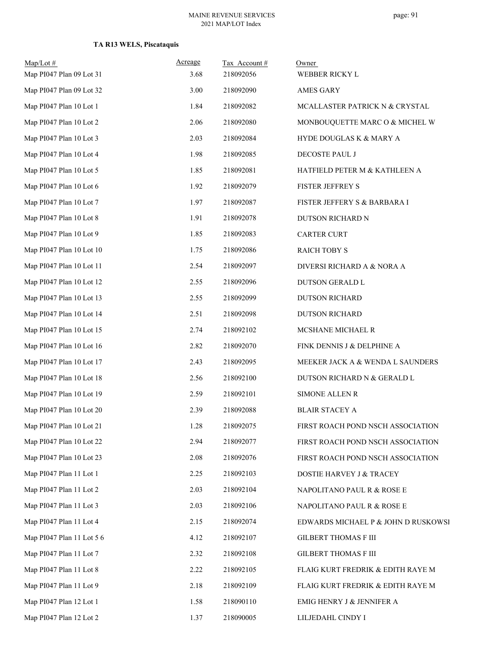| $Map/Lot \#$<br>Map PI047 Plan 09 Lot 31 | Acreage<br>3.68 | Tax Account#<br>218092056 | Owner<br>WEBBER RICKY L             |
|------------------------------------------|-----------------|---------------------------|-------------------------------------|
| Map PI047 Plan 09 Lot 32                 | 3.00            | 218092090                 | <b>AMES GARY</b>                    |
| Map PI047 Plan 10 Lot 1                  | 1.84            | 218092082                 | MCALLASTER PATRICK N & CRYSTAL      |
| Map PI047 Plan 10 Lot 2                  | 2.06            | 218092080                 | MONBOUQUETTE MARC O & MICHEL W      |
| Map PI047 Plan 10 Lot 3                  | 2.03            | 218092084                 | HYDE DOUGLAS K & MARY A             |
| Map PI047 Plan 10 Lot 4                  | 1.98            | 218092085                 | DECOSTE PAUL J                      |
| Map PI047 Plan 10 Lot 5                  | 1.85            | 218092081                 | HATFIELD PETER M & KATHLEEN A       |
| Map PI047 Plan 10 Lot 6                  | 1.92            | 218092079                 | FISTER JEFFREY S                    |
| Map PI047 Plan 10 Lot 7                  | 1.97            | 218092087                 | FISTER JEFFERY S & BARBARA I        |
| Map PI047 Plan 10 Lot 8                  | 1.91            | 218092078                 | DUTSON RICHARD N                    |
| Map PI047 Plan 10 Lot 9                  | 1.85            | 218092083                 | CARTER CURT                         |
| Map PI047 Plan 10 Lot 10                 | 1.75            | 218092086                 | <b>RAICH TOBY S</b>                 |
| Map PI047 Plan 10 Lot 11                 | 2.54            | 218092097                 | DIVERSI RICHARD A & NORA A          |
| Map PI047 Plan 10 Lot 12                 | 2.55            | 218092096                 | DUTSON GERALD L                     |
| Map PI047 Plan 10 Lot 13                 | 2.55            | 218092099                 | <b>DUTSON RICHARD</b>               |
| Map PI047 Plan 10 Lot 14                 | 2.51            | 218092098                 | <b>DUTSON RICHARD</b>               |
| Map PI047 Plan 10 Lot 15                 | 2.74            | 218092102                 | MCSHANE MICHAEL R                   |
| Map PI047 Plan 10 Lot 16                 | 2.82            | 218092070                 | FINK DENNIS J & DELPHINE A          |
| Map PI047 Plan 10 Lot 17                 | 2.43            | 218092095                 | MEEKER JACK A & WENDA L SAUNDERS    |
| Map PI047 Plan 10 Lot 18                 | 2.56            | 218092100                 | DUTSON RICHARD N & GERALD L         |
| Map PI047 Plan 10 Lot 19                 | 2.59            | 218092101                 | <b>SIMONE ALLEN R</b>               |
| Map PI047 Plan 10 Lot 20                 | 2.39            | 218092088                 | <b>BLAIR STACEY A</b>               |
| Map PI047 Plan 10 Lot 21                 | 1.28            | 218092075                 | FIRST ROACH POND NSCH ASSOCIATION   |
| Map PI047 Plan 10 Lot 22                 | 2.94            | 218092077                 | FIRST ROACH POND NSCH ASSOCIATION   |
| Map PI047 Plan 10 Lot 23                 | 2.08            | 218092076                 | FIRST ROACH POND NSCH ASSOCIATION   |
| Map PI047 Plan 11 Lot 1                  | 2.25            | 218092103                 | DOSTIE HARVEY J & TRACEY            |
| Map PI047 Plan 11 Lot 2                  | 2.03            | 218092104                 | NAPOLITANO PAUL R & ROSE E          |
| Map PI047 Plan 11 Lot 3                  | 2.03            | 218092106                 | NAPOLITANO PAUL R & ROSE E          |
| Map PI047 Plan 11 Lot 4                  | 2.15            | 218092074                 | EDWARDS MICHAEL P & JOHN D RUSKOWSI |
| Map PI047 Plan 11 Lot 5 6                | 4.12            | 218092107                 | <b>GILBERT THOMAS F III</b>         |
| Map PI047 Plan 11 Lot 7                  | 2.32            | 218092108                 | <b>GILBERT THOMAS F III</b>         |
| Map PI047 Plan 11 Lot 8                  | 2.22            | 218092105                 | FLAIG KURT FREDRIK & EDITH RAYE M   |
| Map PI047 Plan 11 Lot 9                  | 2.18            | 218092109                 | FLAIG KURT FREDRIK & EDITH RAYE M   |
| Map PI047 Plan 12 Lot 1                  | 1.58            | 218090110                 | EMIG HENRY J & JENNIFER A           |
| Map PI047 Plan 12 Lot 2                  | 1.37            | 218090005                 | LILJEDAHL CINDY I                   |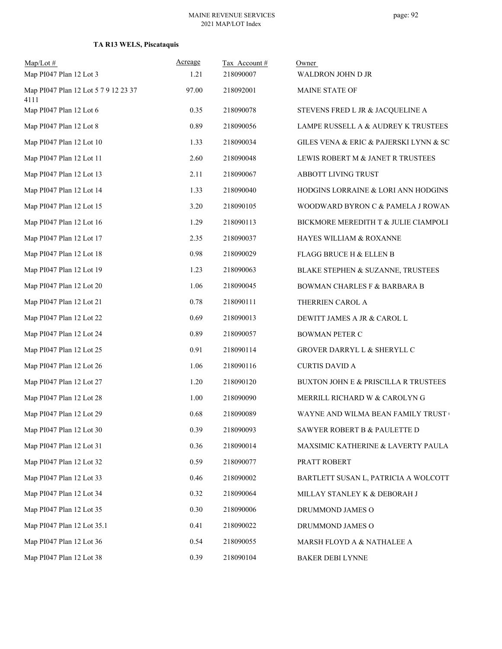| $Map/Lot \#$<br>Map PI047 Plan 12 Lot 3 | Acreage<br>1.21 | Tax Account#<br>218090007 | Owner<br>WALDRON JOHN D JR             |
|-----------------------------------------|-----------------|---------------------------|----------------------------------------|
| Map PI047 Plan 12 Lot 5 7 9 12 23 37    | 97.00           | 218092001                 | MAINE STATE OF                         |
| 4111<br>Map PI047 Plan 12 Lot 6         | 0.35            | 218090078                 | STEVENS FRED L JR & JACQUELINE A       |
| Map PI047 Plan 12 Lot 8                 | 0.89            | 218090056                 | LAMPE RUSSELL A & AUDREY K TRUSTEES    |
| Map PI047 Plan 12 Lot 10                | 1.33            | 218090034                 | GILES VENA & ERIC & PAJERSKI LYNN & SC |
| Map PI047 Plan 12 Lot 11                | 2.60            | 218090048                 | LEWIS ROBERT M & JANET R TRUSTEES      |
| Map PI047 Plan 12 Lot 13                | 2.11            | 218090067                 | ABBOTT LIVING TRUST                    |
| Map PI047 Plan 12 Lot 14                | 1.33            | 218090040                 | HODGINS LORRAINE & LORI ANN HODGINS    |
| Map PI047 Plan 12 Lot 15                | 3.20            | 218090105                 | WOODWARD BYRON C & PAMELA J ROWAN      |
| Map PI047 Plan 12 Lot 16                | 1.29            | 218090113                 | BICKMORE MEREDITH T & JULIE CIAMPOLI   |
| Map PI047 Plan 12 Lot 17                | 2.35            | 218090037                 | HAYES WILLIAM & ROXANNE                |
| Map PI047 Plan 12 Lot 18                | 0.98            | 218090029                 | FLAGG BRUCE H & ELLEN B                |
| Map PI047 Plan 12 Lot 19                | 1.23            | 218090063                 | BLAKE STEPHEN & SUZANNE, TRUSTEES      |
| Map PI047 Plan 12 Lot 20                | 1.06            | 218090045                 | BOWMAN CHARLES F & BARBARA B           |
| Map PI047 Plan 12 Lot 21                | 0.78            | 218090111                 | THERRIEN CAROL A                       |
| Map PI047 Plan 12 Lot 22                | 0.69            | 218090013                 | DEWITT JAMES A JR & CAROL L            |
| Map PI047 Plan 12 Lot 24                | 0.89            | 218090057                 | <b>BOWMAN PETER C</b>                  |
| Map PI047 Plan 12 Lot 25                | 0.91            | 218090114                 | GROVER DARRYL L & SHERYLL C            |
| Map PI047 Plan 12 Lot 26                | 1.06            | 218090116                 | <b>CURTIS DAVID A</b>                  |
| Map PI047 Plan 12 Lot 27                | 1.20            | 218090120                 | BUXTON JOHN E & PRISCILLA R TRUSTEES   |
| Map PI047 Plan 12 Lot 28                | 1.00            | 218090090                 | MERRILL RICHARD W & CAROLYN G          |
| Map PI047 Plan 12 Lot 29                | 0.68            | 218090089                 | WAYNE AND WILMA BEAN FAMILY TRUST      |
| Map PI047 Plan 12 Lot 30                | 0.39            | 218090093                 | SAWYER ROBERT B & PAULETTE D           |
| Map PI047 Plan 12 Lot 31                | 0.36            | 218090014                 | MAXSIMIC KATHERINE & LAVERTY PAULA     |
| Map PI047 Plan 12 Lot 32                | 0.59            | 218090077                 | PRATT ROBERT                           |
| Map PI047 Plan 12 Lot 33                | 0.46            | 218090002                 | BARTLETT SUSAN L, PATRICIA A WOLCOTT   |
| Map PI047 Plan 12 Lot 34                | 0.32            | 218090064                 | MILLAY STANLEY K & DEBORAH J           |
| Map PI047 Plan 12 Lot 35                | 0.30            | 218090006                 | DRUMMOND JAMES O                       |
| Map PI047 Plan 12 Lot 35.1              | 0.41            | 218090022                 | DRUMMOND JAMES O                       |
| Map PI047 Plan 12 Lot 36                | 0.54            | 218090055                 | MARSH FLOYD A & NATHALEE A             |
| Map PI047 Plan 12 Lot 38                | 0.39            | 218090104                 | BAKER DEBI LYNNE                       |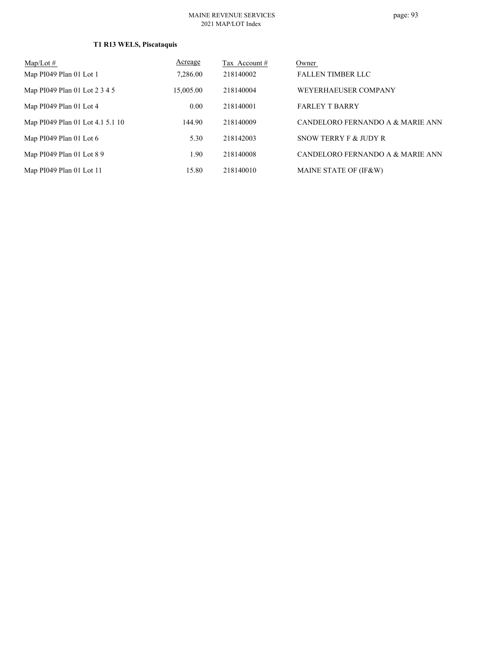| $Map/Lot \#$                     | Acreage   | Tax Account# | Owner                            |
|----------------------------------|-----------|--------------|----------------------------------|
| Map PI049 Plan 01 Lot 1          | 7,286.00  | 218140002    | <b>FALLEN TIMBER LLC</b>         |
| Map PI049 Plan 01 Lot 2 3 4 5    | 15,005.00 | 218140004    | WEYERHAEUSER COMPANY             |
| Map PI049 Plan 01 Lot 4          | 0.00      | 218140001    | <b>FARLEY T BARRY</b>            |
| Map PI049 Plan 01 Lot 4.1 5.1 10 | 144.90    | 218140009    | CANDELORO FERNANDO A & MARIE ANN |
| Map $PI049$ Plan 01 Lot 6        | 5.30      | 218142003    | SNOW TERRY F & JUDY R            |
| Map PI049 Plan 01 Lot 8 9        | 1.90      | 218140008    | CANDELORO FERNANDO A & MARIE ANN |
| Map PI049 Plan 01 Lot 11         | 15.80     | 218140010    | MAINE STATE OF (IF&W)            |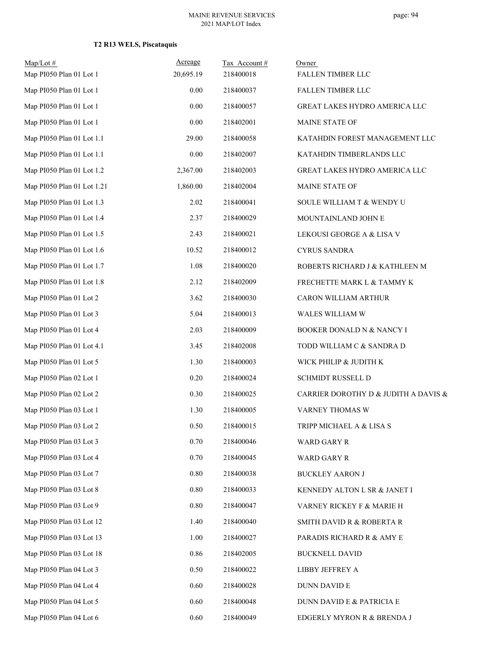| Map/Lot#<br>Map PI050 Plan 01 Lot 1 | Acreage<br>20,695.19 | Tax Account#<br>218400018 | Owner<br>FALLEN TIMBER LLC           |
|-------------------------------------|----------------------|---------------------------|--------------------------------------|
| Map PI050 Plan 01 Lot 1             | 0.00                 | 218400037                 | FALLEN TIMBER LLC                    |
| Map PI050 Plan 01 Lot 1             | $0.00\,$             | 218400057                 | GREAT LAKES HYDRO AMERICA LLC        |
| Map PI050 Plan 01 Lot 1             | 0.00                 | 218402001                 | MAINE STATE OF                       |
| Map PI050 Plan 01 Lot 1.1           | 29.00                | 218400058                 | KATAHDIN FOREST MANAGEMENT LLC       |
| Map PI050 Plan 01 Lot 1.1           | 0.00                 | 218402007                 | KATAHDIN TIMBERLANDS LLC             |
| Map PI050 Plan 01 Lot 1.2           | 2,367.00             | 218402003                 | GREAT LAKES HYDRO AMERICA LLC        |
| Map PI050 Plan 01 Lot 1.21          | 1,860.00             | 218402004                 | MAINE STATE OF                       |
| Map PI050 Plan 01 Lot 1.3           | 2.02                 | 218400041                 | SOULE WILLIAM T & WENDY U            |
| Map PI050 Plan 01 Lot 1.4           | 2.37                 | 218400029                 | MOUNTAINLAND JOHN E                  |
| Map PI050 Plan 01 Lot 1.5           | 2.43                 | 218400021                 | LEKOUSI GEORGE A & LISA V            |
| Map PI050 Plan 01 Lot 1.6           | 10.52                | 218400012                 | <b>CYRUS SANDRA</b>                  |
| Map PI050 Plan 01 Lot 1.7           | 1.08                 | 218400020                 | ROBERTS RICHARD J & KATHLEEN M       |
| Map PI050 Plan 01 Lot 1.8           | 2.12                 | 218402009                 | FRECHETTE MARK L & TAMMY K           |
| Map PI050 Plan 01 Lot 2             | 3.62                 | 218400030                 | CARON WILLIAM ARTHUR                 |
| Map PI050 Plan 01 Lot 3             | 5.04                 | 218400013                 | WALES WILLIAM W                      |
| Map PI050 Plan 01 Lot 4             | 2.03                 | 218400009                 | BOOKER DONALD N & NANCY I            |
| Map PI050 Plan 01 Lot 4.1           | 3.45                 | 218402008                 | TODD WILLIAM C & SANDRA D            |
| Map PI050 Plan 01 Lot 5             | 1.30                 | 218400003                 | WICK PHILIP & JUDITH K               |
| Map PI050 Plan 02 Lot 1             | 0.20                 | 218400024                 | SCHMIDT RUSSELL D                    |
| Map PI050 Plan 02 Lot 2             | 0.30                 | 218400025                 | CARRIER DOROTHY D & JUDITH A DAVIS & |
| Map PI050 Plan 03 Lot 1             | 1.30                 | 218400005                 | VARNEY THOMAS W                      |
| Map PI050 Plan 03 Lot 2             | 0.50                 | 218400015                 | TRIPP MICHAEL A & LISA S             |
| Map PI050 Plan 03 Lot 3             | 0.70                 | 218400046                 | WARD GARY R                          |
| Map PI050 Plan 03 Lot 4             | 0.70                 | 218400045                 | WARD GARY R                          |
| Map PI050 Plan 03 Lot 7             | $0.80\,$             | 218400038                 | <b>BUCKLEY AARON J</b>               |
| Map PI050 Plan 03 Lot 8             | 0.80                 | 218400033                 | KENNEDY ALTON L SR & JANET I         |
| Map PI050 Plan 03 Lot 9             | 0.80                 | 218400047                 | VARNEY RICKEY F & MARIE H            |
| Map PI050 Plan 03 Lot 12            | 1.40                 | 218400040                 | SMITH DAVID R & ROBERTA R            |
| Map PI050 Plan 03 Lot 13            | 1.00                 | 218400027                 | PARADIS RICHARD R & AMY E            |
| Map PI050 Plan 03 Lot 18            | 0.86                 | 218402005                 | <b>BUCKNELL DAVID</b>                |
| Map PI050 Plan 04 Lot 3             | 0.50                 | 218400022                 | LIBBY JEFFREY A                      |
| Map PI050 Plan 04 Lot 4             | 0.60                 | 218400028                 | DUNN DAVID E                         |
| Map PI050 Plan 04 Lot 5             | 0.60                 | 218400048                 | DUNN DAVID E & PATRICIA E            |
| Map PI050 Plan 04 Lot 6             | 0.60                 | 218400049                 | EDGERLY MYRON R & BRENDA J           |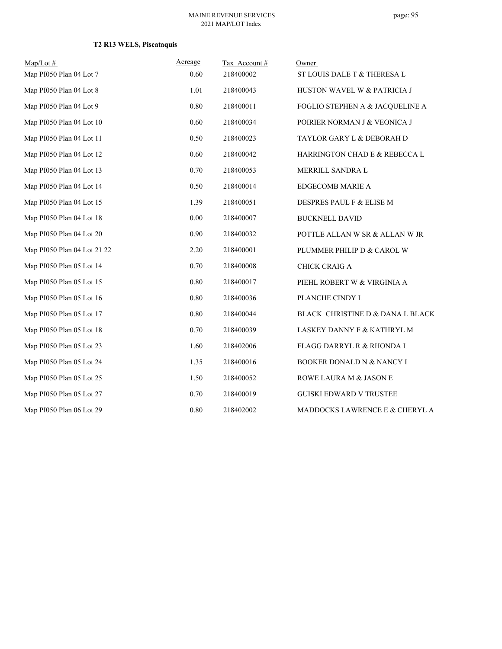| $Map/Lot \#$                | Acreage | Tax Account# | Owner                                |
|-----------------------------|---------|--------------|--------------------------------------|
| Map PI050 Plan 04 Lot 7     | 0.60    | 218400002    | ST LOUIS DALE T & THERESA L          |
| Map PI050 Plan 04 Lot 8     | 1.01    | 218400043    | HUSTON WAVEL W & PATRICIA J          |
| Map PI050 Plan 04 Lot 9     | 0.80    | 218400011    | FOGLIO STEPHEN A & JACQUELINE A      |
| Map PI050 Plan 04 Lot 10    | 0.60    | 218400034    | POIRIER NORMAN J & VEONICA J         |
| Map PI050 Plan 04 Lot 11    | 0.50    | 218400023    | TAYLOR GARY L & DEBORAH D            |
| Map PI050 Plan 04 Lot 12    | 0.60    | 218400042    | HARRINGTON CHAD E & REBECCA L        |
| Map PI050 Plan 04 Lot 13    | 0.70    | 218400053    | MERRILL SANDRA L                     |
| Map PI050 Plan 04 Lot 14    | 0.50    | 218400014    | <b>EDGECOMB MARIE A</b>              |
| Map PI050 Plan 04 Lot 15    | 1.39    | 218400051    | DESPRES PAUL F & ELISE M             |
| Map PI050 Plan 04 Lot 18    | 0.00    | 218400007    | <b>BUCKNELL DAVID</b>                |
| Map PI050 Plan 04 Lot 20    | 0.90    | 218400032    | POTTLE ALLAN W SR & ALLAN W JR       |
| Map PI050 Plan 04 Lot 21 22 | 2.20    | 218400001    | PLUMMER PHILIP D & CAROL W           |
| Map PI050 Plan 05 Lot 14    | 0.70    | 218400008    | CHICK CRAIG A                        |
| Map PI050 Plan 05 Lot 15    | 0.80    | 218400017    | PIEHL ROBERT W & VIRGINIA A          |
| Map PI050 Plan 05 Lot 16    | 0.80    | 218400036    | PLANCHE CINDY L                      |
| Map PI050 Plan 05 Lot 17    | 0.80    | 218400044    | BLACK CHRISTINE D & DANA L BLACK     |
| Map PI050 Plan 05 Lot 18    | 0.70    | 218400039    | LASKEY DANNY F & KATHRYL M           |
| Map PI050 Plan 05 Lot 23    | 1.60    | 218402006    | <b>FLAGG DARRYL R &amp; RHONDA L</b> |
| Map PI050 Plan 05 Lot 24    | 1.35    | 218400016    | BOOKER DONALD N & NANCY I            |
| Map PI050 Plan 05 Lot 25    | 1.50    | 218400052    | ROWE LAURA M & JASON E               |
| Map PI050 Plan 05 Lot 27    | 0.70    | 218400019    | <b>GUISKI EDWARD V TRUSTEE</b>       |
| Map PI050 Plan 06 Lot 29    | 0.80    | 218402002    | MADDOCKS LAWRENCE E & CHERYL A       |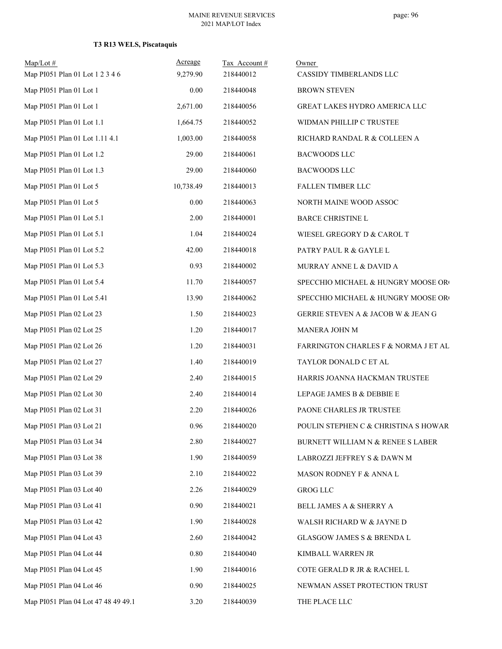| $Map/Lot \#$<br>Map PI051 Plan 01 Lot 1 2 3 4 6 | Acreage<br>9,279.90 | Tax Account#<br>218440012 | Owner<br>CASSIDY TIMBERLANDS LLC     |
|-------------------------------------------------|---------------------|---------------------------|--------------------------------------|
| Map PI051 Plan 01 Lot 1                         | 0.00                | 218440048                 | <b>BROWN STEVEN</b>                  |
| Map PI051 Plan 01 Lot 1                         | 2,671.00            | 218440056                 | GREAT LAKES HYDRO AMERICA LLC        |
| Map PI051 Plan 01 Lot 1.1                       | 1,664.75            | 218440052                 | WIDMAN PHILLIP C TRUSTEE             |
| Map PI051 Plan 01 Lot 1.11 4.1                  | 1,003.00            | 218440058                 | RICHARD RANDAL R & COLLEEN A         |
| Map PI051 Plan 01 Lot 1.2                       | 29.00               | 218440061                 | <b>BACWOODS LLC</b>                  |
| Map PI051 Plan 01 Lot 1.3                       | 29.00               | 218440060                 | <b>BACWOODS LLC</b>                  |
| Map PI051 Plan 01 Lot 5                         | 10,738.49           | 218440013                 | FALLEN TIMBER LLC                    |
| Map PI051 Plan 01 Lot 5                         | 0.00                | 218440063                 | NORTH MAINE WOOD ASSOC               |
| Map PI051 Plan 01 Lot 5.1                       | 2.00                | 218440001                 | BARCE CHRISTINE L                    |
| Map PI051 Plan 01 Lot 5.1                       | 1.04                | 218440024                 | WIESEL GREGORY D & CAROL T           |
| Map PI051 Plan 01 Lot 5.2                       | 42.00               | 218440018                 | PATRY PAUL R & GAYLE L               |
| Map PI051 Plan 01 Lot 5.3                       | 0.93                | 218440002                 | MURRAY ANNE L & DAVID A              |
| Map PI051 Plan 01 Lot 5.4                       | 11.70               | 218440057                 | SPECCHIO MICHAEL & HUNGRY MOOSE OR   |
| Map PI051 Plan 01 Lot 5.41                      | 13.90               | 218440062                 | SPECCHIO MICHAEL & HUNGRY MOOSE OR   |
| Map PI051 Plan 02 Lot 23                        | 1.50                | 218440023                 | GERRIE STEVEN A & JACOB W & JEAN G   |
| Map PI051 Plan 02 Lot 25                        | 1.20                | 218440017                 | MANERA JOHN M                        |
| Map PI051 Plan 02 Lot 26                        | 1.20                | 218440031                 | FARRINGTON CHARLES F & NORMA J ET AL |
| Map PI051 Plan 02 Lot 27                        | 1.40                | 218440019                 | TAYLOR DONALD C ET AL                |
| Map PI051 Plan 02 Lot 29                        | 2.40                | 218440015                 | HARRIS JOANNA HACKMAN TRUSTEE        |
| Map PI051 Plan 02 Lot 30                        | 2.40                | 218440014                 | LEPAGE JAMES B & DEBBIE E            |
| Map PI051 Plan 02 Lot 31                        | 2.20                | 218440026                 | PAONE CHARLES JR TRUSTEE             |
| Map PI051 Plan 03 Lot 21                        | 0.96                | 218440020                 | POULIN STEPHEN C & CHRISTINA S HOWAR |
| Map PI051 Plan 03 Lot 34                        | 2.80                | 218440027                 | BURNETT WILLIAM N & RENEE S LABER    |
| Map PI051 Plan 03 Lot 38                        | 1.90                | 218440059                 | LABROZZI JEFFREY S & DAWN M          |
| Map PI051 Plan 03 Lot 39                        | 2.10                | 218440022                 | MASON RODNEY F & ANNA L              |
| Map PI051 Plan 03 Lot 40                        | 2.26                | 218440029                 | <b>GROG LLC</b>                      |
| Map PI051 Plan 03 Lot 41                        | 0.90                | 218440021                 | BELL JAMES A & SHERRY A              |
| Map PI051 Plan 03 Lot 42                        | 1.90                | 218440028                 | WALSH RICHARD W & JAYNE D            |
| Map PI051 Plan 04 Lot 43                        | 2.60                | 218440042                 | GLASGOW JAMES S & BRENDA L           |
| Map PI051 Plan 04 Lot 44                        | 0.80                | 218440040                 | KIMBALL WARREN JR                    |
| Map PI051 Plan 04 Lot 45                        | 1.90                | 218440016                 | COTE GERALD R JR & RACHEL L          |
| Map PI051 Plan 04 Lot 46                        | 0.90                | 218440025                 | NEWMAN ASSET PROTECTION TRUST        |
| Map PI051 Plan 04 Lot 47 48 49 49.1             | 3.20                | 218440039                 | THE PLACE LLC                        |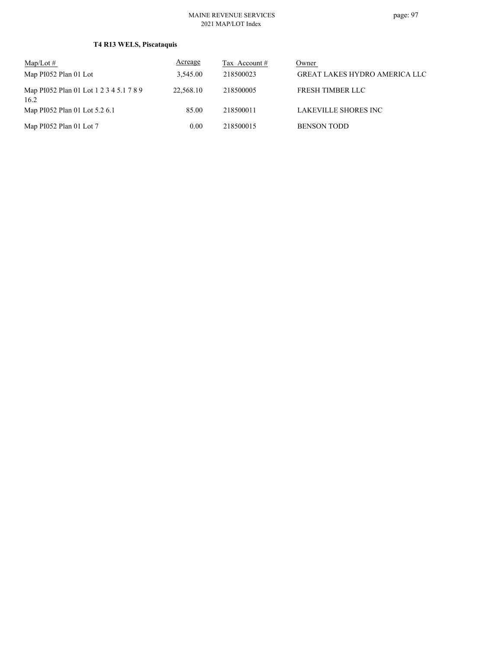| $Map/Lot \#$                                    | <u>Acreage</u> | Tax Account # | Owner                                |
|-------------------------------------------------|----------------|---------------|--------------------------------------|
| Map PI052 Plan 01 Lot                           | 3.545.00       | 218500023     | <b>GREAT LAKES HYDRO AMERICA LLC</b> |
| Map PI052 Plan 01 Lot 1 2 3 4 5.1 7 8 9<br>16.2 | 22,568.10      | 218500005     | FRESH TIMBER LLC                     |
| Map PI052 Plan 01 Lot 5.2 6.1                   | 85.00          | 218500011     | LAKEVILLE SHORES INC                 |
| Map PI052 Plan 01 Lot 7                         | 0.00           | 218500015     | <b>BENSON TODD</b>                   |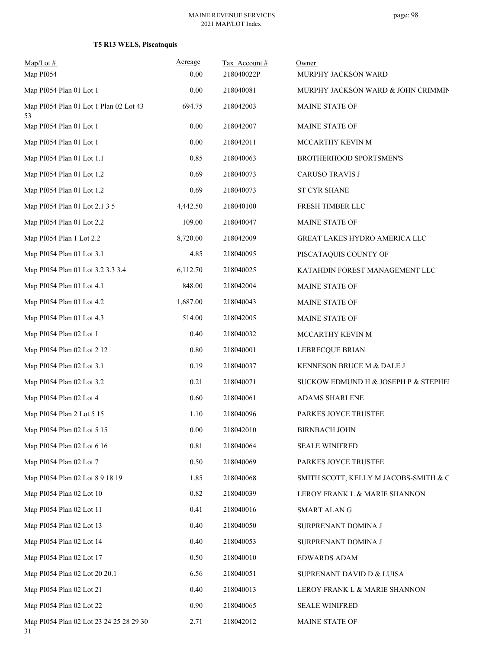| $Map/Lot$ #<br>Map PI054                      | Acreage<br>0.00 | Tax Account#<br>218040022P | Owner<br>MURPHY JACKSON WARD          |
|-----------------------------------------------|-----------------|----------------------------|---------------------------------------|
| Map PI054 Plan 01 Lot 1                       | 0.00            | 218040081                  | MURPHY JACKSON WARD & JOHN CRIMMIN    |
| Map PI054 Plan 01 Lot 1 Plan 02 Lot 43<br>53  | 694.75          | 218042003                  | MAINE STATE OF                        |
| Map PI054 Plan 01 Lot 1                       | $0.00\,$        | 218042007                  | MAINE STATE OF                        |
| Map PI054 Plan 01 Lot 1                       | 0.00            | 218042011                  | MCCARTHY KEVIN M                      |
| Map PI054 Plan 01 Lot 1.1                     | 0.85            | 218040063                  | BROTHERHOOD SPORTSMEN'S               |
| Map PI054 Plan 01 Lot 1.2                     | 0.69            | 218040073                  | <b>CARUSO TRAVIS J</b>                |
| Map PI054 Plan 01 Lot 1.2                     | 0.69            | 218040073                  | <b>ST CYR SHANE</b>                   |
| Map PI054 Plan 01 Lot 2.1 3 5                 | 4,442.50        | 218040100                  | FRESH TIMBER LLC                      |
| Map PI054 Plan 01 Lot 2.2                     | 109.00          | 218040047                  | MAINE STATE OF                        |
| Map PI054 Plan 1 Lot 2.2                      | 8,720.00        | 218042009                  | GREAT LAKES HYDRO AMERICA LLC         |
| Map PI054 Plan 01 Lot 3.1                     | 4.85            | 218040095                  | PISCATAQUIS COUNTY OF                 |
| Map PI054 Plan 01 Lot 3.2 3.3 3.4             | 6,112.70        | 218040025                  | KATAHDIN FOREST MANAGEMENT LLC        |
| Map PI054 Plan 01 Lot 4.1                     | 848.00          | 218042004                  | MAINE STATE OF                        |
| Map PI054 Plan 01 Lot 4.2                     | 1,687.00        | 218040043                  | MAINE STATE OF                        |
| Map PI054 Plan 01 Lot 4.3                     | 514.00          | 218042005                  | MAINE STATE OF                        |
| Map PI054 Plan 02 Lot 1                       | 0.40            | 218040032                  | MCCARTHY KEVIN M                      |
| Map PI054 Plan 02 Lot 2 12                    | $0.80\,$        | 218040001                  | LEBRECQUE BRIAN                       |
| Map PI054 Plan 02 Lot 3.1                     | 0.19            | 218040037                  | KENNESON BRUCE M & DALE J             |
| Map PI054 Plan 02 Lot 3.2                     | 0.21            | 218040071                  | SUCKOW EDMUND H & JOSEPH P & STEPHEI  |
| Map PI054 Plan 02 Lot 4                       | 0.60            | 218040061                  | ADAMS SHARLENE                        |
| Map PI054 Plan 2 Lot 5 15                     | 1.10            | 218040096                  | PARKES JOYCE TRUSTEE                  |
| Map PI054 Plan 02 Lot 5 15                    | $0.00\,$        | 218042010                  | <b>BIRNBACH JOHN</b>                  |
| Map PI054 Plan 02 Lot 6 16                    | 0.81            | 218040064                  | <b>SEALE WINIFRED</b>                 |
| Map PI054 Plan 02 Lot 7                       | 0.50            | 218040069                  | PARKES JOYCE TRUSTEE                  |
| Map PI054 Plan 02 Lot 8 9 18 19               | 1.85            | 218040068                  | SMITH SCOTT, KELLY M JACOBS-SMITH & C |
| Map PI054 Plan 02 Lot 10                      | 0.82            | 218040039                  | LEROY FRANK L & MARIE SHANNON         |
| Map PI054 Plan 02 Lot 11                      | 0.41            | 218040016                  | SMART ALAN G                          |
| Map PI054 Plan 02 Lot 13                      | 0.40            | 218040050                  | SURPRENANT DOMINA J                   |
| Map PI054 Plan 02 Lot 14                      | 0.40            | 218040053                  | SURPRENANT DOMINA J                   |
| Map PI054 Plan 02 Lot 17                      | 0.50            | 218040010                  | <b>EDWARDS ADAM</b>                   |
| Map PI054 Plan 02 Lot 20 20.1                 | 6.56            | 218040051                  | SUPRENANT DAVID D & LUISA             |
| Map PI054 Plan 02 Lot 21                      | 0.40            | 218040013                  | LEROY FRANK L & MARIE SHANNON         |
| Map PI054 Plan 02 Lot 22                      | 0.90            | 218040065                  | <b>SEALE WINIFRED</b>                 |
| Map PI054 Plan 02 Lot 23 24 25 28 29 30<br>31 | 2.71            | 218042012                  | MAINE STATE OF                        |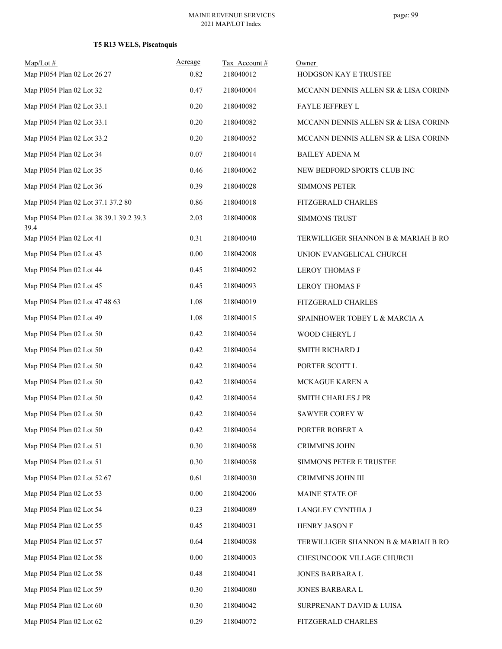| $Map/Lot \#$<br>Map PI054 Plan 02 Lot 26 27     | Acreage<br>0.82 | Tax Account#<br>218040012 | Owner<br>HODGSON KAY E TRUSTEE       |
|-------------------------------------------------|-----------------|---------------------------|--------------------------------------|
| Map PI054 Plan 02 Lot 32                        | 0.47            | 218040004                 | MCCANN DENNIS ALLEN SR & LISA CORINN |
| Map PI054 Plan 02 Lot 33.1                      | 0.20            | 218040082                 | FAYLE JEFFREY L                      |
| Map PI054 Plan 02 Lot 33.1                      | 0.20            | 218040082                 | MCCANN DENNIS ALLEN SR & LISA CORINN |
| Map PI054 Plan 02 Lot 33.2                      | 0.20            | 218040052                 | MCCANN DENNIS ALLEN SR & LISA CORINN |
| Map PI054 Plan 02 Lot 34                        | 0.07            | 218040014                 | <b>BAILEY ADENA M</b>                |
| Map PI054 Plan 02 Lot 35                        | 0.46            | 218040062                 | NEW BEDFORD SPORTS CLUB INC          |
| Map PI054 Plan 02 Lot 36                        | 0.39            | 218040028                 | <b>SIMMONS PETER</b>                 |
| Map PI054 Plan 02 Lot 37.1 37.2 80              | 0.86            | 218040018                 | FITZGERALD CHARLES                   |
| Map PI054 Plan 02 Lot 38 39.1 39.2 39.3<br>39.4 | 2.03            | 218040008                 | <b>SIMMONS TRUST</b>                 |
| Map PI054 Plan 02 Lot 41                        | 0.31            | 218040040                 | TERWILLIGER SHANNON B & MARIAH B RO  |
| Map PI054 Plan 02 Lot 43                        | 0.00            | 218042008                 | UNION EVANGELICAL CHURCH             |
| Map PI054 Plan 02 Lot 44                        | 0.45            | 218040092                 | <b>LEROY THOMAS F</b>                |
| Map PI054 Plan 02 Lot 45                        | 0.45            | 218040093                 | <b>LEROY THOMAS F</b>                |
| Map PI054 Plan 02 Lot 47 48 63                  | 1.08            | 218040019                 | FITZGERALD CHARLES                   |
| Map PI054 Plan 02 Lot 49                        | 1.08            | 218040015                 | SPAINHOWER TOBEY L & MARCIA A        |
| Map PI054 Plan 02 Lot 50                        | 0.42            | 218040054                 | WOOD CHERYL J                        |
| Map PI054 Plan 02 Lot 50                        | 0.42            | 218040054                 | SMITH RICHARD J                      |
| Map PI054 Plan 02 Lot 50                        | 0.42            | 218040054                 | PORTER SCOTT L                       |
| Map PI054 Plan 02 Lot 50                        | 0.42            | 218040054                 | MCKAGUE KAREN A                      |
| Map PI054 Plan 02 Lot 50                        | 0.42            | 218040054                 | <b>SMITH CHARLES J PR</b>            |
| Map PI054 Plan 02 Lot 50                        | 0.42            | 218040054                 | SAWYER COREY W                       |
| Map PI054 Plan 02 Lot 50                        | 0.42            | 218040054                 | PORTER ROBERT A                      |
| Map PI054 Plan 02 Lot 51                        | 0.30            | 218040058                 | <b>CRIMMINS JOHN</b>                 |
| Map PI054 Plan 02 Lot 51                        | 0.30            | 218040058                 | SIMMONS PETER E TRUSTEE              |
| Map PI054 Plan 02 Lot 52 67                     | 0.61            | 218040030                 | CRIMMINS JOHN III                    |
| Map PI054 Plan 02 Lot 53                        | 0.00            | 218042006                 | MAINE STATE OF                       |
| Map PI054 Plan 02 Lot 54                        | 0.23            | 218040089                 | LANGLEY CYNTHIA J                    |
| Map PI054 Plan 02 Lot 55                        | 0.45            | 218040031                 | HENRY JASON F                        |
| Map PI054 Plan 02 Lot 57                        | 0.64            | 218040038                 | TERWILLIGER SHANNON B & MARIAH B RO  |
| Map PI054 Plan 02 Lot 58                        | $0.00\,$        | 218040003                 | CHESUNCOOK VILLAGE CHURCH            |
| Map PI054 Plan 02 Lot 58                        | 0.48            | 218040041                 | JONES BARBARA L                      |
| Map PI054 Plan 02 Lot 59                        | 0.30            | 218040080                 | JONES BARBARA L                      |
| Map PI054 Plan 02 Lot 60                        | 0.30            | 218040042                 | SURPRENANT DAVID & LUISA             |
| Map PI054 Plan 02 Lot 62                        | 0.29            | 218040072                 | FITZGERALD CHARLES                   |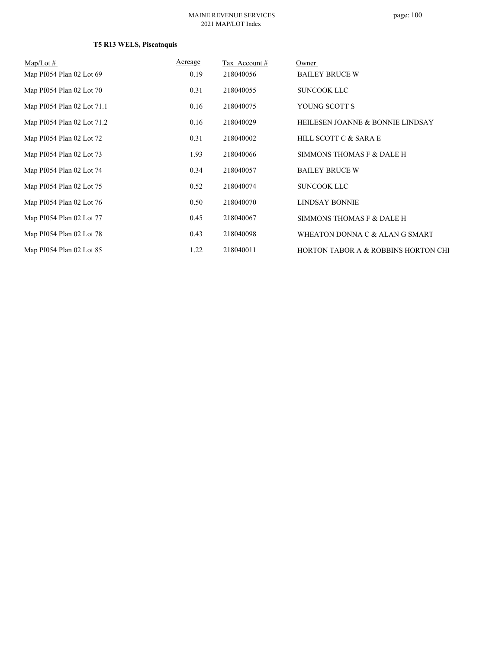| Map/Lot $#$                | Acreage | Tax Account# | Owner                               |
|----------------------------|---------|--------------|-------------------------------------|
| Map PI054 Plan 02 Lot 69   | 0.19    | 218040056    | <b>BAILEY BRUCE W</b>               |
| Map PI054 Plan 02 Lot 70   | 0.31    | 218040055    | <b>SUNCOOK LLC</b>                  |
| Map PI054 Plan 02 Lot 71.1 | 0.16    | 218040075    | YOUNG SCOTT S                       |
| Map PI054 Plan 02 Lot 71.2 | 0.16    | 218040029    | HEILESEN JOANNE & BONNIE LINDSAY    |
| Map PI054 Plan 02 Lot 72   | 0.31    | 218040002    | HILL SCOTT C & SARA E               |
| Map PI054 Plan 02 Lot 73   | 1.93    | 218040066    | SIMMONS THOMAS F & DALE H           |
| Map PI054 Plan 02 Lot 74   | 0.34    | 218040057    | <b>BAILEY BRUCE W</b>               |
| Map PI054 Plan 02 Lot 75   | 0.52    | 218040074    | <b>SUNCOOK LLC</b>                  |
| Map PI054 Plan 02 Lot 76   | 0.50    | 218040070    | <b>LINDSAY BONNIE</b>               |
| Map PI054 Plan 02 Lot 77   | 0.45    | 218040067    | SIMMONS THOMAS F & DALE H           |
| Map PI054 Plan 02 Lot 78   | 0.43    | 218040098    | WHEATON DONNA C & ALAN G SMART      |
| Map PI054 Plan 02 Lot 85   | 1.22    | 218040011    | HORTON TABOR A & ROBBINS HORTON CHI |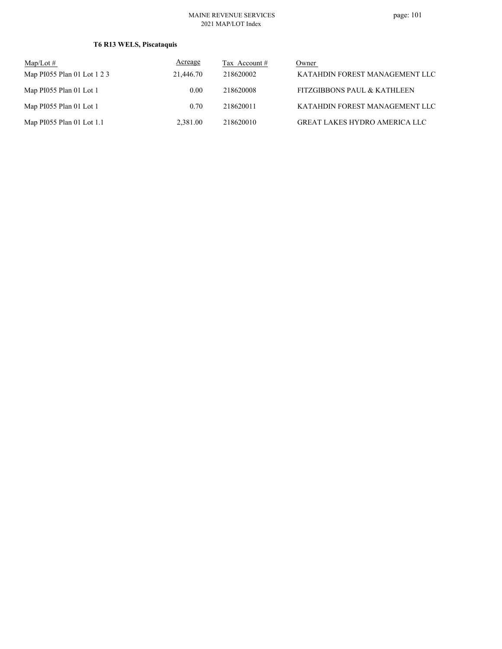| $\text{Map/Lot} \#$         | Acreage   | Tax Account # | Owner                                  |
|-----------------------------|-----------|---------------|----------------------------------------|
| Map PI055 Plan 01 Lot 1 2 3 | 21,446.70 | 218620002     | KATAHDIN FOREST MANAGEMENT LLC         |
| Map PI055 Plan 01 Lot 1     | 0.00      | 218620008     | <b>FITZGIBBONS PAUL &amp; KATHLEEN</b> |
| Map PI055 Plan 01 Lot 1     | 0.70      | 218620011     | KATAHDIN FOREST MANAGEMENT LLC         |
| Map PI055 Plan 01 Lot 1.1   | 2.381.00  | 218620010     | <b>GREAT LAKES HYDRO AMERICA LLC</b>   |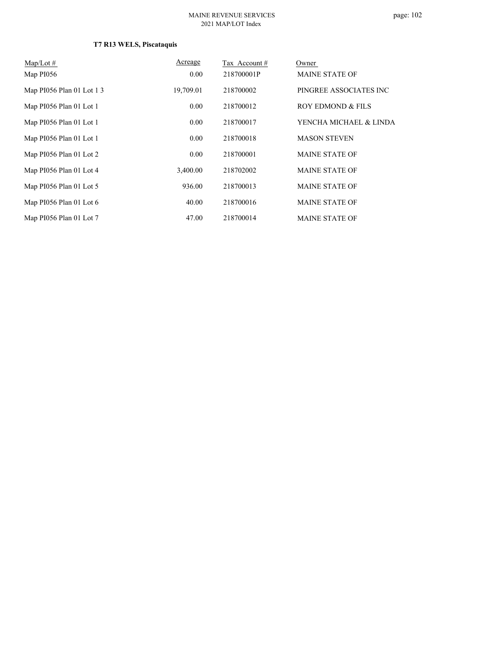| $Map/Lot \#$              | Acreage   | Tax Account# | Owner                  |
|---------------------------|-----------|--------------|------------------------|
| Map PI056                 | 0.00      | 218700001P   | <b>MAINE STATE OF</b>  |
| Map PI056 Plan 01 Lot 1 3 | 19,709.01 | 218700002    | PINGREE ASSOCIATES INC |
| Map PI056 Plan 01 Lot 1   | 0.00      | 218700012    | ROY EDMOND & FILS      |
| Map PI056 Plan 01 Lot 1   | 0.00      | 218700017    | YENCHA MICHAEL & LINDA |
| Map PI056 Plan 01 Lot 1   | 0.00      | 218700018    | <b>MASON STEVEN</b>    |
| Map PI056 Plan 01 Lot 2   | 0.00      | 218700001    | <b>MAINE STATE OF</b>  |
| Map PI056 Plan 01 Lot 4   | 3.400.00  | 218702002    | <b>MAINE STATE OF</b>  |
| Map PI056 Plan 01 Lot 5   | 936.00    | 218700013    | <b>MAINE STATE OF</b>  |
| Map PI056 Plan 01 Lot 6   | 40.00     | 218700016    | <b>MAINE STATE OF</b>  |
| Map PI056 Plan 01 Lot 7   | 47.00     | 218700014    | <b>MAINE STATE OF</b>  |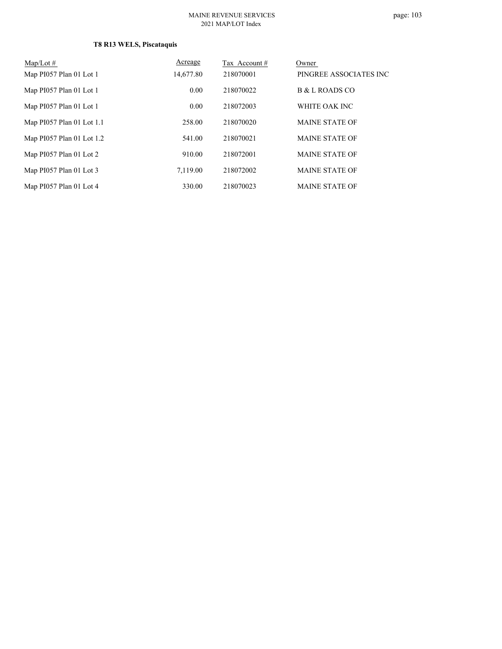| Map/Lot $#$               | <b>Acreage</b> | Tax Account # | Owner                  |
|---------------------------|----------------|---------------|------------------------|
| Map PI057 Plan 01 Lot 1   | 14,677.80      | 218070001     | PINGREE ASSOCIATES INC |
| Map PI057 Plan 01 Lot 1   | 0.00           | 218070022     | B & L ROADS CO         |
| Map PI057 Plan 01 Lot 1   | 0.00           | 218072003     | WHITE OAK INC          |
| Map PI057 Plan 01 Lot 1.1 | 258.00         | 218070020     | <b>MAINE STATE OF</b>  |
| Map PI057 Plan 01 Lot 1.2 | 541.00         | 218070021     | <b>MAINE STATE OF</b>  |
| Map PI057 Plan 01 Lot 2   | 910.00         | 218072001     | <b>MAINE STATE OF</b>  |
| Map PI057 Plan 01 Lot 3   | 7.119.00       | 218072002     | <b>MAINE STATE OF</b>  |
| Map PI057 Plan 01 Lot 4   | 330.00         | 218070023     | <b>MAINE STATE OF</b>  |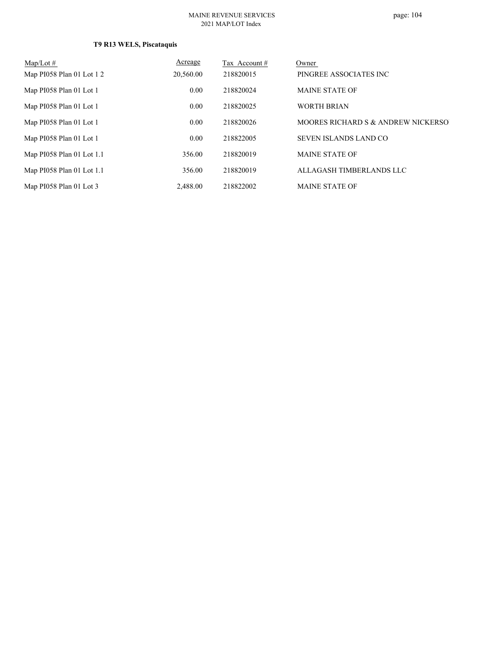| Map/Lot $#$               | Acreage   | Tax Account# | Owner                               |
|---------------------------|-----------|--------------|-------------------------------------|
| Map PI058 Plan 01 Lot 1 2 | 20,560.00 | 218820015    | PINGREE ASSOCIATES INC              |
| Map PI058 Plan 01 Lot 1   | 0.00      | 218820024    | <b>MAINE STATE OF</b>               |
| Map PI058 Plan 01 Lot 1   | 0.00      | 218820025    | <b>WORTH BRIAN</b>                  |
| Map PI058 Plan 01 Lot 1   | 0.00      | 218820026    | MOORES RICHARD S & ANDREW NICKERSO. |
| Map PI058 Plan 01 Lot 1   | 0.00      | 218822005    | <b>SEVEN ISLANDS LAND CO</b>        |
| Map PI058 Plan 01 Lot 1.1 | 356.00    | 218820019    | <b>MAINE STATE OF</b>               |
| Map PI058 Plan 01 Lot 1.1 | 356.00    | 218820019    | ALLAGASH TIMBERLANDS LLC            |
| Map PI058 Plan 01 Lot 3   | 2.488.00  | 218822002    | <b>MAINE STATE OF</b>               |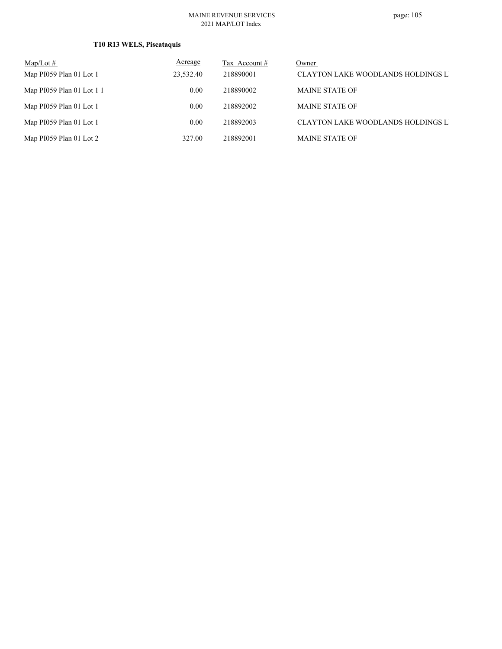| $\text{Map/Lot} \#$       | <b>Acreage</b> | Tax Account # | Owner                              |
|---------------------------|----------------|---------------|------------------------------------|
| Map PI059 Plan 01 Lot 1   | 23.532.40      | 218890001     | CLAYTON LAKE WOODLANDS HOLDINGS LI |
| Map PI059 Plan 01 Lot 1 1 | $0.00^{\circ}$ | 218890002     | <b>MAINE STATE OF</b>              |
| Map PI059 Plan 01 Lot 1   | 0.00           | 218892002     | <b>MAINE STATE OF</b>              |
| Map PI059 Plan 01 Lot 1   | 0.00           | 218892003     | CLAYTON LAKE WOODLANDS HOLDINGS LI |
| Map PI059 Plan 01 Lot 2   | 327.00         | 218892001     | <b>MAINE STATE OF</b>              |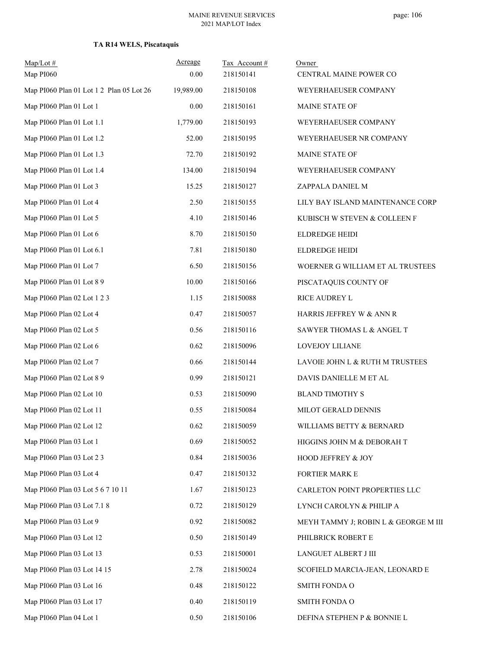| $Map/Lot$ #<br>Map PI060                 | Acreage<br>0.00 | Tax Account#<br>218150141 | Owner<br>CENTRAL MAINE POWER CO      |
|------------------------------------------|-----------------|---------------------------|--------------------------------------|
| Map PI060 Plan 01 Lot 1 2 Plan 05 Lot 26 | 19,989.00       | 218150108                 | WEYERHAEUSER COMPANY                 |
| Map PI060 Plan 01 Lot 1                  | 0.00            | 218150161                 | MAINE STATE OF                       |
| Map PI060 Plan 01 Lot 1.1                | 1,779.00        | 218150193                 | WEYERHAEUSER COMPANY                 |
| Map PI060 Plan 01 Lot 1.2                | 52.00           | 218150195                 | WEYERHAEUSER NR COMPANY              |
| Map PI060 Plan 01 Lot 1.3                | 72.70           | 218150192                 | MAINE STATE OF                       |
| Map PI060 Plan 01 Lot 1.4                | 134.00          | 218150194                 | WEYERHAEUSER COMPANY                 |
| Map PI060 Plan 01 Lot 3                  | 15.25           | 218150127                 | ZAPPALA DANIEL M                     |
| Map PI060 Plan 01 Lot 4                  | 2.50            | 218150155                 | LILY BAY ISLAND MAINTENANCE CORP     |
| Map PI060 Plan 01 Lot 5                  | 4.10            | 218150146                 | KUBISCH W STEVEN & COLLEEN F         |
| Map PI060 Plan 01 Lot 6                  | 8.70            | 218150150                 | ELDREDGE HEIDI                       |
| Map PI060 Plan 01 Lot 6.1                | 7.81            | 218150180                 | ELDREDGE HEIDI                       |
| Map PI060 Plan 01 Lot 7                  | 6.50            | 218150156                 | WOERNER G WILLIAM ET AL TRUSTEES     |
| Map PI060 Plan 01 Lot 8 9                | 10.00           | 218150166                 | PISCATAQUIS COUNTY OF                |
| Map PI060 Plan 02 Lot 1 2 3              | 1.15            | 218150088                 | RICE AUDREY L                        |
| Map PI060 Plan 02 Lot 4                  | 0.47            | 218150057                 | HARRIS JEFFREY W & ANN R             |
| Map PI060 Plan 02 Lot 5                  | 0.56            | 218150116                 | SAWYER THOMAS L & ANGEL T            |
| Map PI060 Plan 02 Lot 6                  | 0.62            | 218150096                 | LOVEJOY LILIANE                      |
| Map PI060 Plan 02 Lot 7                  | 0.66            | 218150144                 | LAVOIE JOHN L & RUTH M TRUSTEES      |
| Map PI060 Plan 02 Lot 8 9                | 0.99            | 218150121                 | DAVIS DANIELLE M ET AL               |
| Map PI060 Plan 02 Lot 10                 | 0.53            | 218150090                 | <b>BLAND TIMOTHY S</b>               |
| Map PI060 Plan 02 Lot 11                 | 0.55            | 218150084                 | MILOT GERALD DENNIS                  |
| Map PI060 Plan 02 Lot 12                 | 0.62            | 218150059                 | WILLIAMS BETTY & BERNARD             |
| Map PI060 Plan 03 Lot 1                  | 0.69            | 218150052                 | HIGGINS JOHN M & DEBORAH T           |
| Map PI060 Plan 03 Lot 2 3                | 0.84            | 218150036                 | HOOD JEFFREY & JOY                   |
| Map PI060 Plan 03 Lot 4                  | 0.47            | 218150132                 | FORTIER MARK E                       |
| Map PI060 Plan 03 Lot 5 6 7 10 11        | 1.67            | 218150123                 | CARLETON POINT PROPERTIES LLC        |
| Map PI060 Plan 03 Lot 7.1 8              | 0.72            | 218150129                 | LYNCH CAROLYN & PHILIP A             |
| Map PI060 Plan 03 Lot 9                  | 0.92            | 218150082                 | MEYH TAMMY J; ROBIN L & GEORGE M III |
| Map PI060 Plan 03 Lot 12                 | 0.50            | 218150149                 | PHILBRICK ROBERT E                   |
| Map PI060 Plan 03 Lot 13                 | 0.53            | 218150001                 | LANGUET ALBERT J III                 |
| Map PI060 Plan 03 Lot 14 15              | 2.78            | 218150024                 | SCOFIELD MARCIA-JEAN, LEONARD E      |
| Map PI060 Plan 03 Lot 16                 | 0.48            | 218150122                 | <b>SMITH FONDA O</b>                 |
| Map PI060 Plan 03 Lot 17                 | 0.40            | 218150119                 | <b>SMITH FONDA O</b>                 |
| Map PI060 Plan 04 Lot 1                  | 0.50            | 218150106                 | DEFINA STEPHEN P & BONNIE L          |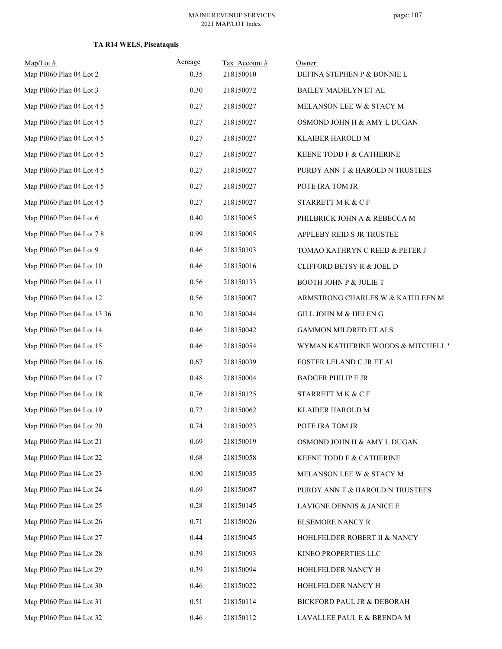| $Map/Lot \#$<br>Map PI060 Plan 04 Lot 2 | Acreage<br>0.35 | Tax Account#<br>218150010 | Owner<br>DEFINA STEPHEN P & BONNIE L |
|-----------------------------------------|-----------------|---------------------------|--------------------------------------|
| Map PI060 Plan 04 Lot 3                 | 0.30            | 218150072                 | BAILEY MADELYN ET AL                 |
| Map PI060 Plan 04 Lot 4 5               | 0.27            | 218150027                 | MELANSON LEE W & STACY M             |
| Map PI060 Plan 04 Lot 4 5               | 0.27            | 218150027                 | OSMOND JOHN H & AMY L DUGAN          |
| Map PI060 Plan 04 Lot 4 5               | 0.27            | 218150027                 | KLAIBER HAROLD M                     |
| Map PI060 Plan 04 Lot 4 5               | 0.27            | 218150027                 | KEENE TODD F & CATHERINE             |
| Map PI060 Plan 04 Lot 4 5               | 0.27            | 218150027                 | PURDY ANN T & HAROLD N TRUSTEES      |
| Map PI060 Plan 04 Lot 4 5               | 0.27            | 218150027                 | POTE IRA TOM JR                      |
| Map PI060 Plan 04 Lot 4 5               | 0.27            | 218150027                 | STARRETT M K & C F                   |
| Map PI060 Plan 04 Lot 6                 | 0.40            | 218150065                 | PHILBRICK JOHN A & REBECCA M         |
| Map PI060 Plan 04 Lot 7 8               | 0.99            | 218150005                 | APPLEBY REID S JR TRUSTEE            |
| Map PI060 Plan 04 Lot 9                 | 0.46            | 218150103                 | TOMAO KATHRYN C REED & PETER J       |
| Map PI060 Plan 04 Lot 10                | 0.46            | 218150016                 | CLIFFORD BETSY R & JOEL D            |
| Map PI060 Plan 04 Lot 11                | 0.56            | 218150133                 | <b>BOOTH JOHN P &amp; JULIE T</b>    |
| Map PI060 Plan 04 Lot 12                | 0.56            | 218150007                 | ARMSTRONG CHARLES W & KATHLEEN M     |
| Map PI060 Plan 04 Lot 13 36             | 0.30            | 218150044                 | GILL JOHN M & HELEN G                |
| Map PI060 Plan 04 Lot 14                | 0.46            | 218150042                 | GAMMON MILDRED ET ALS                |
| Map PI060 Plan 04 Lot 15                | 0.46            | 218150054                 | WYMAN KATHERINE WOODS & MITCHELL V   |
| Map PI060 Plan 04 Lot 16                | 0.67            | 218150039                 | FOSTER LELAND C JR ET AL             |
| Map PI060 Plan 04 Lot 17                | 0.48            | 218150004                 | <b>BADGER PHILIP E JR</b>            |
| Map PI060 Plan 04 Lot 18                | 0.76            | 218150125                 | STARRETT M K & C F                   |
| Map PI060 Plan 04 Lot 19                | 0.72            | 218150062                 | <b>KLAIBER HAROLD M</b>              |
| Map PI060 Plan 04 Lot 20                | 0.74            | 218150023                 | POTE IRA TOM JR                      |
| Map PI060 Plan 04 Lot 21                | 0.69            | 218150019                 | OSMOND JOHN H & AMY L DUGAN          |
| Map PI060 Plan 04 Lot 22                | 0.68            | 218150058                 | KEENE TODD F & CATHERINE             |
| Map PI060 Plan 04 Lot 23                | 0.90            | 218150035                 | MELANSON LEE W & STACY M             |
| Map PI060 Plan 04 Lot 24                | 0.69            | 218150087                 | PURDY ANN T & HAROLD N TRUSTEES      |
| Map PI060 Plan 04 Lot 25                | 0.28            | 218150145                 | LAVIGNE DENNIS & JANICE E            |
| Map PI060 Plan 04 Lot 26                | 0.71            | 218150026                 | <b>ELSEMORE NANCY R</b>              |
| Map PI060 Plan 04 Lot 27                | 0.44            | 218150045                 | HOHLFELDER ROBERT II & NANCY         |
| Map PI060 Plan 04 Lot 28                | 0.39            | 218150093                 | KINEO PROPERTIES LLC                 |
| Map PI060 Plan 04 Lot 29                | 0.39            | 218150094                 | HOHLFELDER NANCY H                   |
| Map PI060 Plan 04 Lot 30                | 0.46            | 218150022                 | HOHLFELDER NANCY H                   |
| Map PI060 Plan 04 Lot 31                | 0.51            | 218150114                 | BICKFORD PAUL JR & DEBORAH           |
| Map PI060 Plan 04 Lot 32                | 0.46            | 218150112                 | LAVALLEE PAUL E & BRENDA M           |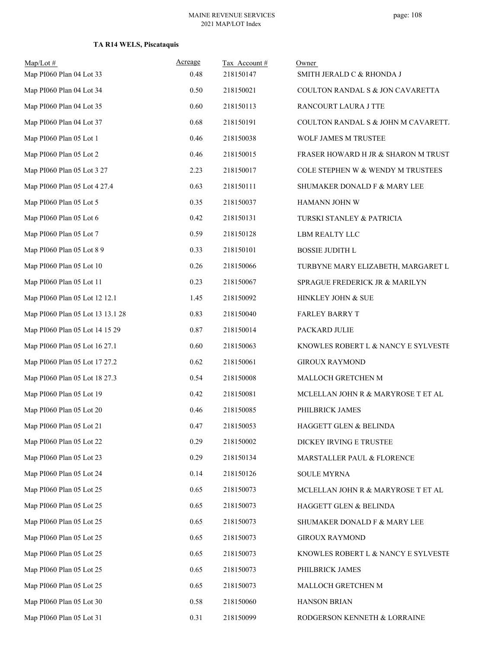### **TA R14 WELS, Piscataquis**

| $Map/Lot \#$<br>Map PI060 Plan 04 Lot 33 | Acreage<br>0.48 | Tax Account#<br>218150147 | Owner<br>SMITH JERALD C & RHONDA J  |
|------------------------------------------|-----------------|---------------------------|-------------------------------------|
| Map PI060 Plan 04 Lot 34                 | 0.50            | 218150021                 | COULTON RANDAL S & JON CAVARETTA    |
| Map PI060 Plan 04 Lot 35                 | 0.60            | 218150113                 | RANCOURT LAURA J TTE                |
| Map PI060 Plan 04 Lot 37                 | 0.68            | 218150191                 | COULTON RANDAL S & JOHN M CAVARETT. |
| Map PI060 Plan 05 Lot 1                  | 0.46            | 218150038                 | WOLF JAMES M TRUSTEE                |
| Map PI060 Plan 05 Lot 2                  | 0.46            | 218150015                 | FRASER HOWARD H JR & SHARON M TRUST |
| Map PI060 Plan 05 Lot 3 27               | 2.23            | 218150017                 | COLE STEPHEN W & WENDY M TRUSTEES   |
| Map PI060 Plan 05 Lot 4 27.4             | 0.63            | 218150111                 | SHUMAKER DONALD F & MARY LEE        |
| Map PI060 Plan 05 Lot 5                  | 0.35            | 218150037                 | HAMANN JOHN W                       |
| Map PI060 Plan 05 Lot 6                  | 0.42            | 218150131                 | TURSKI STANLEY & PATRICIA           |
| Map PI060 Plan 05 Lot 7                  | 0.59            | 218150128                 | LBM REALTY LLC                      |
| Map PI060 Plan 05 Lot 8 9                | 0.33            | 218150101                 | <b>BOSSIE JUDITH L</b>              |
| Map PI060 Plan 05 Lot 10                 | 0.26            | 218150066                 | TURBYNE MARY ELIZABETH, MARGARET L  |
| Map PI060 Plan 05 Lot 11                 | 0.23            | 218150067                 | SPRAGUE FREDERICK JR & MARILYN      |
| Map PI060 Plan 05 Lot 12 12.1            | 1.45            | 218150092                 | HINKLEY JOHN & SUE                  |
| Map PI060 Plan 05 Lot 13 13.1 28         | 0.83            | 218150040                 | <b>FARLEY BARRY T</b>               |
| Map PI060 Plan 05 Lot 14 15 29           | 0.87            | 218150014                 | PACKARD JULIE                       |
| Map PI060 Plan 05 Lot 16 27.1            | 0.60            | 218150063                 | KNOWLES ROBERT L & NANCY E SYLVESTE |
| Map PI060 Plan 05 Lot 17 27.2            | 0.62            | 218150061                 | <b>GIROUX RAYMOND</b>               |
| Map PI060 Plan 05 Lot 18 27.3            | 0.54            | 218150008                 | MALLOCH GRETCHEN M                  |
| Map PI060 Plan 05 Lot 19                 | 0.42            | 218150081                 | MCLELLAN JOHN R & MARYROSE T ET AL  |
| Map PI060 Plan 05 Lot 20                 | 0.46            | 218150085                 | PHILBRICK JAMES                     |
| Map PI060 Plan 05 Lot 21                 | 0.47            | 218150053                 | HAGGETT GLEN & BELINDA              |
| Map PI060 Plan 05 Lot 22                 | 0.29            | 218150002                 | DICKEY IRVING E TRUSTEE             |
| Map PI060 Plan 05 Lot 23                 | 0.29            | 218150134                 | MARSTALLER PAUL & FLORENCE          |
| Map PI060 Plan 05 Lot 24                 | 0.14            | 218150126                 | <b>SOULE MYRNA</b>                  |
| Map PI060 Plan 05 Lot 25                 | 0.65            | 218150073                 | MCLELLAN JOHN R & MARYROSE T ET AL  |
| Map PI060 Plan 05 Lot 25                 | 0.65            | 218150073                 | HAGGETT GLEN & BELINDA              |
| Map PI060 Plan 05 Lot 25                 | 0.65            | 218150073                 | SHUMAKER DONALD F & MARY LEE        |
| Map PI060 Plan 05 Lot 25                 | 0.65            | 218150073                 | <b>GIROUX RAYMOND</b>               |
| Map PI060 Plan 05 Lot 25                 | 0.65            | 218150073                 | KNOWLES ROBERT L & NANCY E SYLVESTE |
| Map PI060 Plan 05 Lot 25                 | 0.65            | 218150073                 | PHILBRICK JAMES                     |
| Map PI060 Plan 05 Lot 25                 | 0.65            | 218150073                 | MALLOCH GRETCHEN M                  |
| Map PI060 Plan 05 Lot 30                 | 0.58            | 218150060                 | HANSON BRIAN                        |
| Map PI060 Plan 05 Lot 31                 | 0.31            | 218150099                 | RODGERSON KENNETH & LORRAINE        |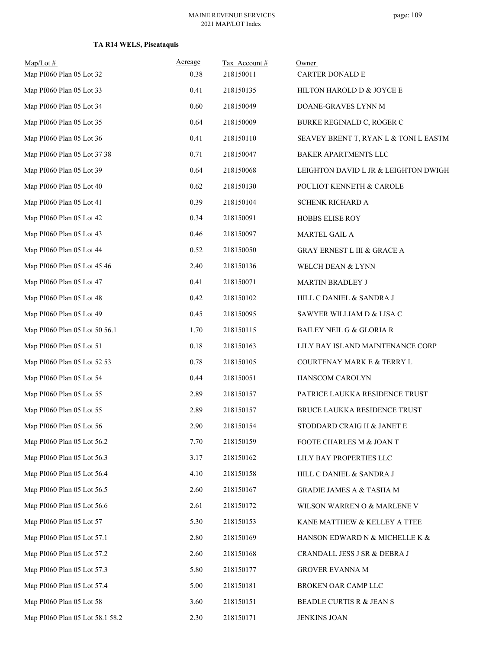### **TA R14 WELS, Piscataquis**

| $Map/Lot$ #                     | Acreage | Tax Account# | Owner                                  |
|---------------------------------|---------|--------------|----------------------------------------|
| Map PI060 Plan 05 Lot 32        | 0.38    | 218150011    | <b>CARTER DONALD E</b>                 |
| Map PI060 Plan 05 Lot 33        | 0.41    | 218150135    | HILTON HAROLD D & JOYCE E              |
| Map PI060 Plan 05 Lot 34        | 0.60    | 218150049    | DOANE-GRAVES LYNN M                    |
| Map PI060 Plan 05 Lot 35        | 0.64    | 218150009    | BURKE REGINALD C, ROGER C              |
| Map PI060 Plan 05 Lot 36        | 0.41    | 218150110    | SEAVEY BRENT T, RYAN L & TONI L EASTM  |
| Map PI060 Plan 05 Lot 37 38     | 0.71    | 218150047    | BAKER APARTMENTS LLC                   |
| Map PI060 Plan 05 Lot 39        | 0.64    | 218150068    | LEIGHTON DAVID L JR & LEIGHTON DWIGH   |
| Map PI060 Plan 05 Lot 40        | 0.62    | 218150130    | POULIOT KENNETH & CAROLE               |
| Map PI060 Plan 05 Lot 41        | 0.39    | 218150104    | SCHENK RICHARD A                       |
| Map PI060 Plan 05 Lot 42        | 0.34    | 218150091    | <b>HOBBS ELISE ROY</b>                 |
| Map PI060 Plan 05 Lot 43        | 0.46    | 218150097    | MARTEL GAIL A                          |
| Map PI060 Plan 05 Lot 44        | 0.52    | 218150050    | <b>GRAY ERNEST L III &amp; GRACE A</b> |
| Map PI060 Plan 05 Lot 45 46     | 2.40    | 218150136    | WELCH DEAN & LYNN                      |
| Map PI060 Plan 05 Lot 47        | 0.41    | 218150071    | MARTIN BRADLEY J                       |
| Map PI060 Plan 05 Lot 48        | 0.42    | 218150102    | HILL C DANIEL & SANDRA J               |
| Map PI060 Plan 05 Lot 49        | 0.45    | 218150095    | SAWYER WILLIAM D & LISA C              |
| Map PI060 Plan 05 Lot 50 56.1   | 1.70    | 218150115    | <b>BAILEY NEIL G &amp; GLORIA R</b>    |
| Map PI060 Plan 05 Lot 51        | 0.18    | 218150163    | LILY BAY ISLAND MAINTENANCE CORP       |
| Map PI060 Plan 05 Lot 52 53     | 0.78    | 218150105    | COURTENAY MARK E & TERRY L             |
| Map PI060 Plan 05 Lot 54        | 0.44    | 218150051    | HANSCOM CAROLYN                        |
| Map PI060 Plan 05 Lot 55        | 2.89    | 218150157    | PATRICE LAUKKA RESIDENCE TRUST         |
| Map PI060 Plan 05 Lot 55        | 2.89    | 218150157    | BRUCE LAUKKA RESIDENCE TRUST           |
| Map PI060 Plan $05$ Lot $56\,$  | 2.90    | 218150154    | STODDARD CRAIG H $\&$ JANET E          |
| Map PI060 Plan 05 Lot 56.2      | 7.70    | 218150159    | FOOTE CHARLES M & JOAN T               |
| Map PI060 Plan 05 Lot 56.3      | 3.17    | 218150162    | LILY BAY PROPERTIES LLC                |
| Map PI060 Plan 05 Lot 56.4      | 4.10    | 218150158    | HILL C DANIEL & SANDRA J               |
| Map PI060 Plan 05 Lot 56.5      | 2.60    | 218150167    | GRADIE JAMES A & TASHA M               |
| Map PI060 Plan 05 Lot 56.6      | 2.61    | 218150172    | WILSON WARREN O & MARLENE V            |
| Map PI060 Plan 05 Lot 57        | 5.30    | 218150153    | KANE MATTHEW & KELLEY A TTEE           |
| Map PI060 Plan 05 Lot 57.1      | 2.80    | 218150169    | HANSON EDWARD N & MICHELLE K &         |
| Map PI060 Plan 05 Lot 57.2      | 2.60    | 218150168    | CRANDALL JESS J SR & DEBRA J           |
| Map PI060 Plan 05 Lot 57.3      | 5.80    | 218150177    | GROVER EVANNA M                        |
| Map PI060 Plan 05 Lot 57.4      | 5.00    | 218150181    | BROKEN OAR CAMP LLC                    |
| Map PI060 Plan 05 Lot 58        | 3.60    | 218150151    | BEADLE CURTIS R & JEAN S               |
| Map PI060 Plan 05 Lot 58.1 58.2 | 2.30    | 218150171    | <b>JENKINS JOAN</b>                    |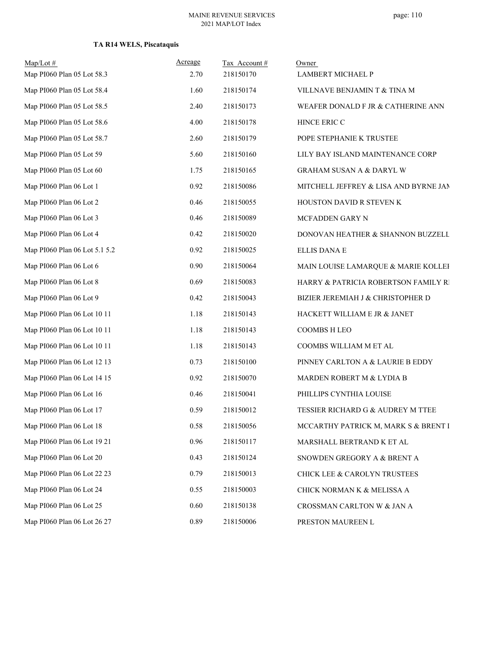### **TA R14 WELS, Piscataquis**

| $Map/Lot$ #<br>Map PI060 Plan 05 Lot 58.3 | Acreage<br>2.70 | Tax Account#<br>218150170 | Owner<br><b>LAMBERT MICHAEL P</b>     |
|-------------------------------------------|-----------------|---------------------------|---------------------------------------|
| Map PI060 Plan 05 Lot 58.4                | 1.60            | 218150174                 | VILLNAVE BENJAMIN T & TINA M          |
| Map PI060 Plan 05 Lot 58.5                | 2.40            | 218150173                 | WEAFER DONALD F JR & CATHERINE ANN    |
| Map PI060 Plan 05 Lot 58.6                | 4.00            | 218150178                 | HINCE ERIC C                          |
| Map PI060 Plan 05 Lot 58.7                | 2.60            | 218150179                 | POPE STEPHANIE K TRUSTEE              |
| Map PI060 Plan 05 Lot 59                  | 5.60            | 218150160                 | LILY BAY ISLAND MAINTENANCE CORP      |
| Map PI060 Plan 05 Lot 60                  | 1.75            | 218150165                 | <b>GRAHAM SUSAN A &amp; DARYL W</b>   |
| Map PI060 Plan 06 Lot 1                   | 0.92            | 218150086                 | MITCHELL JEFFREY & LISA AND BYRNE JAN |
| Map PI060 Plan 06 Lot 2                   | 0.46            | 218150055                 | HOUSTON DAVID R STEVEN K              |
| Map PI060 Plan 06 Lot 3                   | 0.46            | 218150089                 | MCFADDEN GARY N                       |
| Map PI060 Plan 06 Lot 4                   | 0.42            | 218150020                 | DONOVAN HEATHER & SHANNON BUZZELL     |
| Map PI060 Plan 06 Lot 5.1 5.2             | 0.92            | 218150025                 | <b>ELLIS DANA E</b>                   |
| Map PI060 Plan 06 Lot 6                   | 0.90            | 218150064                 | MAIN LOUISE LAMARQUE & MARIE KOLLEH   |
| Map PI060 Plan 06 Lot 8                   | 0.69            | 218150083                 | HARRY & PATRICIA ROBERTSON FAMILY RI  |
| Map PI060 Plan 06 Lot 9                   | 0.42            | 218150043                 | BIZIER JEREMIAH J & CHRISTOPHER D     |
| Map PI060 Plan 06 Lot 10 11               | 1.18            | 218150143                 | HACKETT WILLIAM E JR & JANET          |
| Map PI060 Plan 06 Lot 10 11               | 1.18            | 218150143                 | <b>COOMBS H LEO</b>                   |
| Map PI060 Plan 06 Lot 10 11               | 1.18            | 218150143                 | COOMBS WILLIAM M ET AL                |
| Map PI060 Plan 06 Lot 12 13               | 0.73            | 218150100                 | PINNEY CARLTON A & LAURIE B EDDY      |
| Map PI060 Plan 06 Lot 14 15               | 0.92            | 218150070                 | MARDEN ROBERT M & LYDIA B             |
| Map PI060 Plan 06 Lot 16                  | 0.46            | 218150041                 | PHILLIPS CYNTHIA LOUISE               |
| Map PI060 Plan 06 Lot 17                  | 0.59            | 218150012                 | TESSIER RICHARD G & AUDREY M TTEE     |
| Map PI060 Plan 06 Lot 18                  | $0.58\,$        | 218150056                 | MCCARTHY PATRICK M, MARK S & BRENT I  |
| Map PI060 Plan 06 Lot 19 21               | 0.96            | 218150117                 | MARSHALL BERTRAND K ET AL             |
| Map PI060 Plan 06 Lot 20                  | 0.43            | 218150124                 | SNOWDEN GREGORY A & BRENT A           |
| Map PI060 Plan 06 Lot 22 23               | 0.79            | 218150013                 | CHICK LEE & CAROLYN TRUSTEES          |
| Map PI060 Plan 06 Lot 24                  | 0.55            | 218150003                 | CHICK NORMAN K & MELISSA A            |
| Map PI060 Plan 06 Lot 25                  | 0.60            | 218150138                 | CROSSMAN CARLTON W & JAN A            |
| Map PI060 Plan 06 Lot 26 27               | 0.89            | 218150006                 | PRESTON MAUREEN L                     |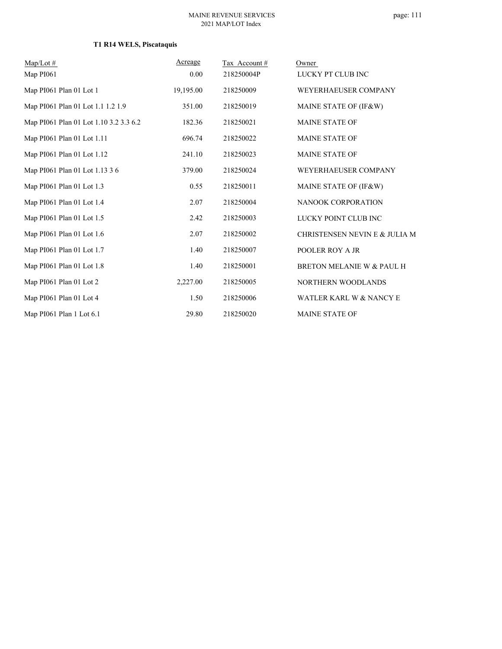# **T1 R14 WELS, Piscataquis**

| $Map/Lot \#$                           | Acreage   | Tax Account# | Owner                         |
|----------------------------------------|-----------|--------------|-------------------------------|
| Map PI061                              | 0.00      | 218250004P   | LUCKY PT CLUB INC             |
| Map PI061 Plan 01 Lot 1                | 19,195.00 | 218250009    | WEYERHAEUSER COMPANY          |
| Map PI061 Plan 01 Lot 1.1 1.2 1.9      | 351.00    | 218250019    | MAINE STATE OF (IF&W)         |
| Map PI061 Plan 01 Lot 1.10 3.2 3.3 6.2 | 182.36    | 218250021    | <b>MAINE STATE OF</b>         |
| Map PI061 Plan 01 Lot 1.11             | 696.74    | 218250022    | <b>MAINE STATE OF</b>         |
| Map PI061 Plan 01 Lot 1.12             | 241.10    | 218250023    | <b>MAINE STATE OF</b>         |
| Map PI061 Plan 01 Lot 1.13 3 6         | 379.00    | 218250024    | WEYERHAEUSER COMPANY          |
| Map PI061 Plan 01 Lot 1.3              | 0.55      | 218250011    | MAINE STATE OF (IF&W)         |
| Map PI061 Plan 01 Lot 1.4              | 2.07      | 218250004    | NANOOK CORPORATION            |
| Map PI061 Plan 01 Lot 1.5              | 2.42      | 218250003    | LUCKY POINT CLUB INC          |
| Map PI061 Plan 01 Lot 1.6              | 2.07      | 218250002    | CHRISTENSEN NEVIN E & JULIA M |
| Map PI061 Plan 01 Lot 1.7              | 1.40      | 218250007    | POOLER ROY A JR               |
| Map PI061 Plan 01 Lot 1.8              | 1.40      | 218250001    | BRETON MELANIE W & PAUL H     |
| Map PI061 Plan 01 Lot 2                | 2,227.00  | 218250005    | NORTHERN WOODLANDS            |
| Map PI061 Plan 01 Lot 4                | 1.50      | 218250006    | WATLER KARL W & NANCY E       |
| Map PI061 Plan 1 Lot 6.1               | 29.80     | 218250020    | <b>MAINE STATE OF</b>         |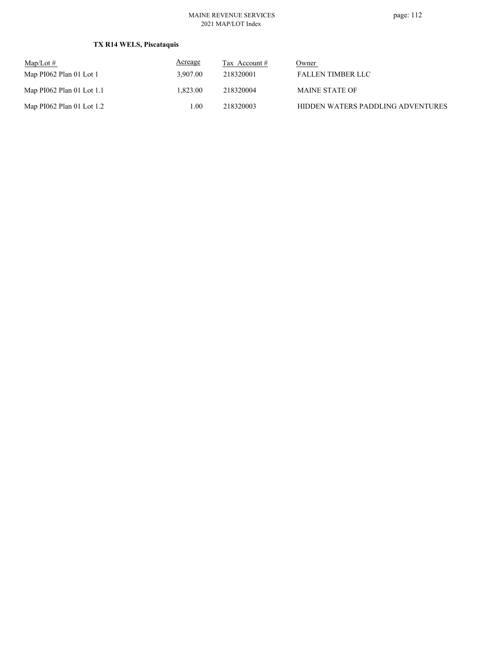### **TX R14 WELS, Piscataquis**

| $\text{Map/Lot} \#$         | Acreage  | Tax Account # | Owner                             |
|-----------------------------|----------|---------------|-----------------------------------|
| Map $PI062$ Plan 01 Lot 1   | 3.907.00 | 218320001     | <b>FALLEN TIMBER LLC</b>          |
| Map $PI062$ Plan 01 Lot 1.1 | 1.823.00 | 218320004     | <b>MAINE STATE OF</b>             |
| Map $PI062$ Plan 01 Lot 1.2 | 00.1     | 218320003     | HIDDEN WATERS PADDLING ADVENTURES |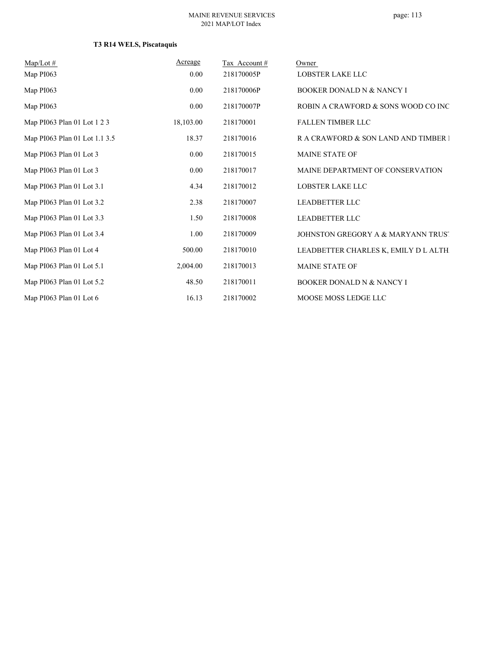# **T3 R14 WELS, Piscataquis**

| $Map/Lot \#$                  | Acreage   | Tax Account# | Owner                                 |
|-------------------------------|-----------|--------------|---------------------------------------|
| Map PI063                     | 0.00      | 218170005P   | LOBSTER LAKE LLC                      |
| Map PI063                     | 0.00      | 218170006P   | <b>BOOKER DONALD N &amp; NANCY I</b>  |
| Map PI063                     | 0.00      | 218170007P   | ROBIN A CRAWFORD & SONS WOOD CO INC   |
| Map PI063 Plan 01 Lot 1 2 3   | 18,103.00 | 218170001    | <b>FALLEN TIMBER LLC</b>              |
| Map PI063 Plan 01 Lot 1.1 3.5 | 18.37     | 218170016    | R A CRAWFORD & SON LAND AND TIMBER I  |
| Map PI063 Plan 01 Lot 3       | 0.00      | 218170015    | <b>MAINE STATE OF</b>                 |
| Map PI063 Plan 01 Lot 3       | 0.00      | 218170017    | MAINE DEPARTMENT OF CONSERVATION      |
| Map PI063 Plan 01 Lot 3.1     | 4.34      | 218170012    | <b>LOBSTER LAKE LLC</b>               |
| Map PI063 Plan 01 Lot 3.2     | 2.38      | 218170007    | <b>LEADBETTER LLC</b>                 |
| Map PI063 Plan 01 Lot 3.3     | 1.50      | 218170008    | <b>LEADBETTER LLC</b>                 |
| Map PI063 Plan 01 Lot 3.4     | 1.00      | 218170009    | JOHNSTON GREGORY A & MARYANN TRUST    |
| Map PI063 Plan 01 Lot 4       | 500.00    | 218170010    | LEADBETTER CHARLES K, EMILY D L ALTH. |
| Map PI063 Plan 01 Lot 5.1     | 2,004.00  | 218170013    | <b>MAINE STATE OF</b>                 |
| Map PI063 Plan 01 Lot 5.2     | 48.50     | 218170011    | <b>BOOKER DONALD N &amp; NANCY I</b>  |
| Map PI063 Plan 01 Lot 6       | 16.13     | 218170002    | MOOSE MOSS LEDGE LLC                  |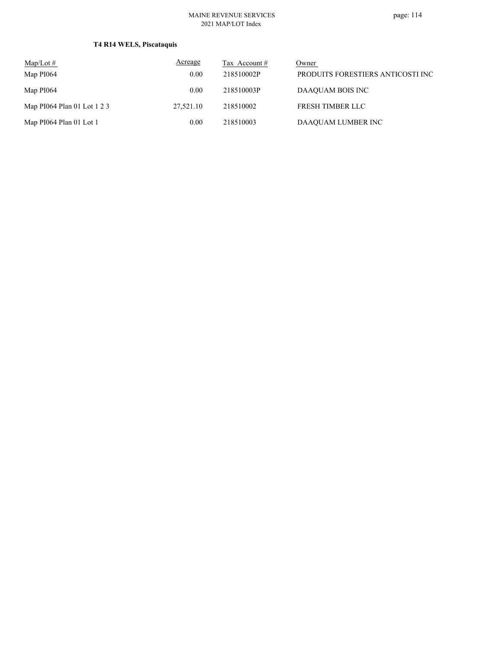# **T4 R14 WELS, Piscataquis**

| $\text{Map/Lot} \#$         | Acreage   | Tax Account # | Owner                             |
|-----------------------------|-----------|---------------|-----------------------------------|
| Map PI064                   | 0.00      | 218510002P    | PRODUITS FORESTIERS ANTICOSTI INC |
| Map PI064                   | 0.00      | 218510003P    | DAAQUAM BOIS INC                  |
| Map PI064 Plan 01 Lot 1 2 3 | 27,521.10 | 218510002     | <b>FRESH TIMBER LLC</b>           |
| Map PI064 Plan 01 Lot 1     | 0.00      | 218510003     | DAAQUAM LUMBER INC                |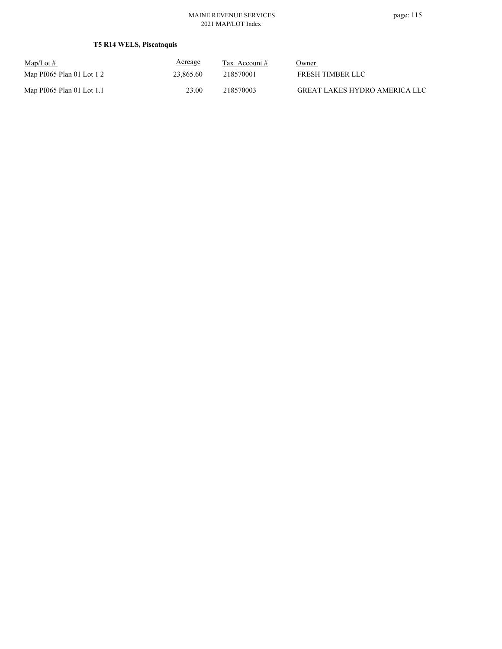# **T5 R14 WELS, Piscataquis**

| $Map/Lot \#$              | <b>Acreage</b> | Tax Account $#$ | Owner                                |
|---------------------------|----------------|-----------------|--------------------------------------|
| Map PI065 Plan 01 Lot 1 2 | 23,865.60      | 218570001       | FRESH TIMBER LLC                     |
| Map PI065 Plan 01 Lot 1.1 | 23.00          | 218570003       | <b>GREAT LAKES HYDRO AMERICA LLC</b> |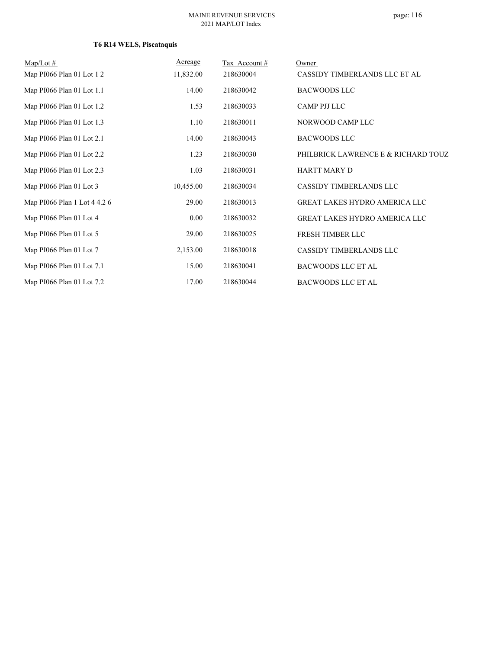# **T6 R14 WELS, Piscataquis**

| $Map/Lot \#$                 | Acreage   | Tax Account # | Owner                                |
|------------------------------|-----------|---------------|--------------------------------------|
| Map PI066 Plan 01 Lot 1 2    | 11,832.00 | 218630004     | CASSIDY TIMBERLANDS LLC ET AL        |
| Map PI066 Plan 01 Lot 1.1    | 14.00     | 218630042     | <b>BACWOODS LLC</b>                  |
| Map PI066 Plan 01 Lot 1.2    | 1.53      | 218630033     | <b>CAMP PJJ LLC</b>                  |
| Map PI066 Plan 01 Lot 1.3    | 1.10      | 218630011     | NORWOOD CAMP LLC                     |
| Map PI066 Plan 01 Lot 2.1    | 14.00     | 218630043     | <b>BACWOODS LLC</b>                  |
| Map PI066 Plan 01 Lot 2.2    | 1.23      | 218630030     | PHILBRICK LAWRENCE E & RICHARD TOUZ  |
| Map PI066 Plan 01 Lot 2.3    | 1.03      | 218630031     | <b>HARTT MARY D</b>                  |
| Map PI066 Plan 01 Lot 3      | 10,455.00 | 218630034     | CASSIDY TIMBERLANDS LLC              |
| Map PI066 Plan 1 Lot 4 4.2 6 | 29.00     | 218630013     | <b>GREAT LAKES HYDRO AMERICA LLC</b> |
| Map PI066 Plan 01 Lot 4      | 0.00      | 218630032     | GREAT LAKES HYDRO AMERICA LLC        |
| Map PI066 Plan 01 Lot 5      | 29.00     | 218630025     | FRESH TIMBER LLC                     |
| Map PI066 Plan 01 Lot 7      | 2,153.00  | 218630018     | <b>CASSIDY TIMBERLANDS LLC</b>       |
| Map PI066 Plan 01 Lot 7.1    | 15.00     | 218630041     | <b>BACWOODS LLC ET AL</b>            |
| Map PI066 Plan 01 Lot 7.2    | 17.00     | 218630044     | <b>BACWOODS LLC ET AL</b>            |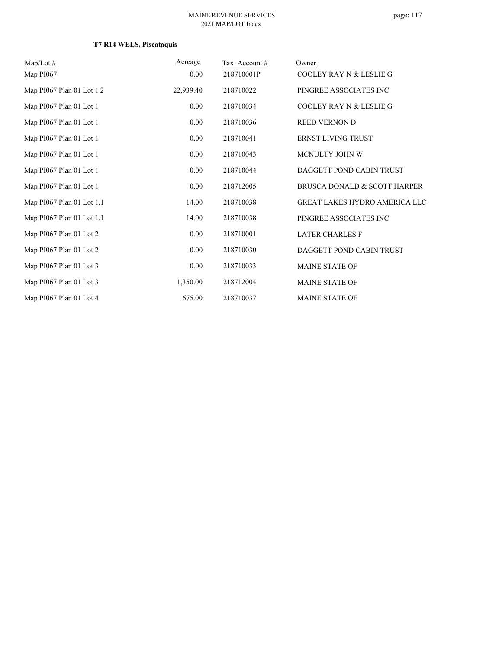# **T7 R14 WELS, Piscataquis**

| $Map/Lot \#$              | Acreage   | Tax Account# | Owner                                |
|---------------------------|-----------|--------------|--------------------------------------|
| Map PI067                 | 0.00      | 218710001P   | <b>COOLEY RAY N &amp; LESLIE G</b>   |
| Map PI067 Plan 01 Lot 1 2 | 22,939.40 | 218710022    | PINGREE ASSOCIATES INC               |
| Map PI067 Plan 01 Lot 1   | 0.00      | 218710034    | <b>COOLEY RAY N &amp; LESLIE G</b>   |
| Map PI067 Plan 01 Lot 1   | 0.00      | 218710036    | <b>REED VERNON D</b>                 |
| Map PI067 Plan 01 Lot 1   | 0.00      | 218710041    | <b>ERNST LIVING TRUST</b>            |
| Map PI067 Plan 01 Lot 1   | 0.00      | 218710043    | MCNULTY JOHN W                       |
| Map PI067 Plan 01 Lot 1   | 0.00      | 218710044    | DAGGETT POND CABIN TRUST             |
| Map PI067 Plan 01 Lot 1   | 0.00      | 218712005    | BRUSCA DONALD & SCOTT HARPER         |
| Map PI067 Plan 01 Lot 1.1 | 14.00     | 218710038    | <b>GREAT LAKES HYDRO AMERICA LLC</b> |
| Map PI067 Plan 01 Lot 1.1 | 14.00     | 218710038    | PINGREE ASSOCIATES INC               |
| Map PI067 Plan 01 Lot 2   | 0.00      | 218710001    | <b>LATER CHARLES F</b>               |
| Map PI067 Plan 01 Lot 2   | 0.00      | 218710030    | DAGGETT POND CABIN TRUST             |
| Map PI067 Plan 01 Lot 3   | 0.00      | 218710033    | <b>MAINE STATE OF</b>                |
| Map PI067 Plan 01 Lot 3   | 1,350.00  | 218712004    | <b>MAINE STATE OF</b>                |
| Map PI067 Plan 01 Lot 4   | 675.00    | 218710037    | <b>MAINE STATE OF</b>                |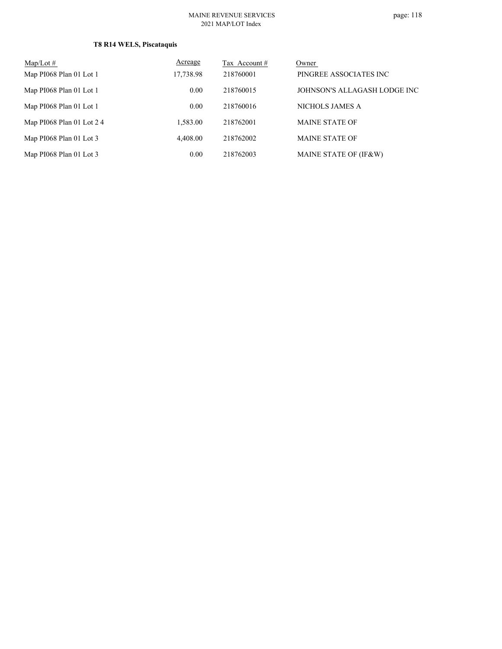# **T8 R14 WELS, Piscataquis**

| $Map/Lot \#$               | Acreage   | Tax Account # | Owner                        |
|----------------------------|-----------|---------------|------------------------------|
| Map PI068 Plan 01 Lot 1    | 17,738.98 | 218760001     | PINGREE ASSOCIATES INC       |
| Map PI068 Plan 01 Lot 1    | 0.00      | 218760015     | JOHNSON'S ALLAGASH LODGE INC |
| Map PI068 Plan 01 Lot 1    | 0.00      | 218760016     | NICHOLS JAMES A              |
| Map PI068 Plan 01 Lot $24$ | 1.583.00  | 218762001     | <b>MAINE STATE OF</b>        |
| Map PI068 Plan 01 Lot 3    | 4.408.00  | 218762002     | <b>MAINE STATE OF</b>        |
| Map PI068 Plan 01 Lot 3    | 0.00      | 218762003     | MAINE STATE OF (IF&W)        |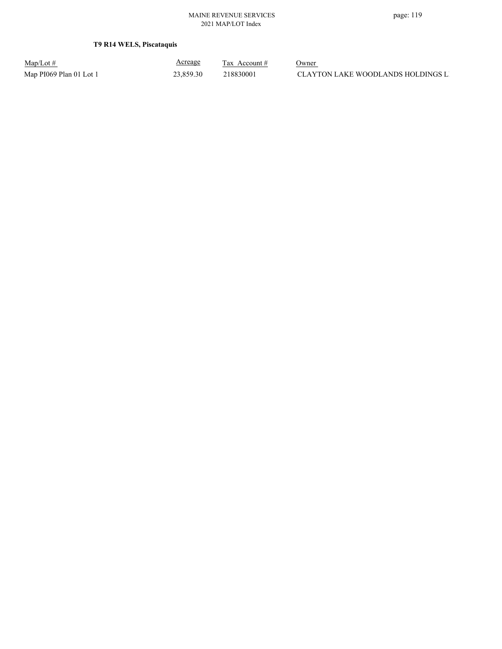### **T9 R14 WELS, Piscataquis**

| $Map/Lot \#$            |  |
|-------------------------|--|
| Map PI069 Plan 01 Lot 1 |  |

Acreage

 $\frac{\text{Tax} \text{ Account #}}{}$  Owner

op PI069 Plan 01 Lot 1 23,859.30 218830001 CLAYTON LAKE WOODLANDS HOLDINGS L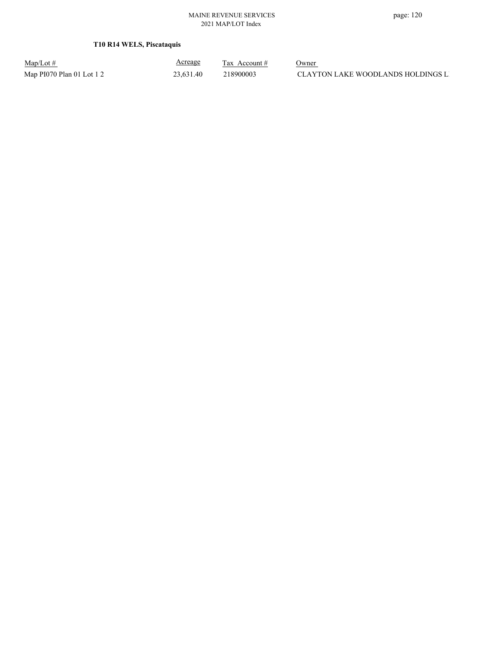### **T10 R14 WELS, Piscataquis**

Map/Lot #  $\frac{\text{Areage}}{\text{2x} + \text{Account}}$  0wner

Acreage

Map PI070 Plan 01 Lot 1 2 23,631.40 218900003 CLAYTON LAKE WOODLANDS HOLDINGS LI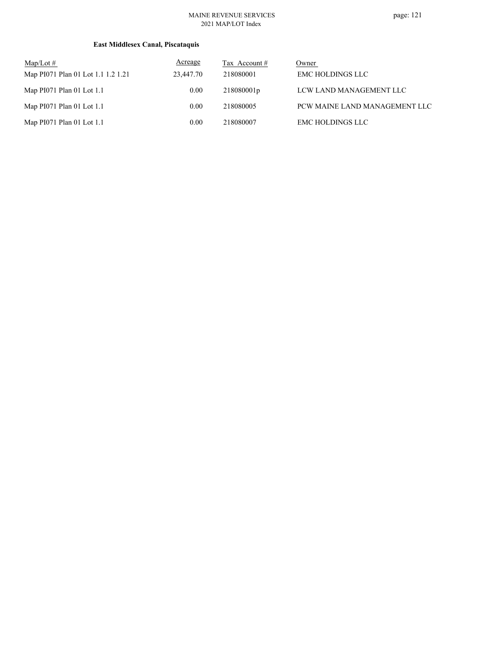### **East Middlesex Canal, Piscataquis**

| $Map/Lot \#$<br>Map PI071 Plan 01 Lot 1.1 1.2 1.21 | Acreage<br>23,447.70 | Tax Account #<br>218080001 | Owner<br><b>EMC HOLDINGS LLC</b> |
|----------------------------------------------------|----------------------|----------------------------|----------------------------------|
| Map PI071 Plan 01 Lot 1.1                          | 0.00                 | 218080001p                 | LCW LAND MANAGEMENT LLC          |
| Map PI071 Plan 01 Lot 1.1                          | 0.00                 | 218080005                  | PCW MAINE LAND MANAGEMENT LLC    |
| Map PI071 Plan 01 Lot 1.1                          | 0.00                 | 218080007                  | <b>EMC HOLDINGS LLC</b>          |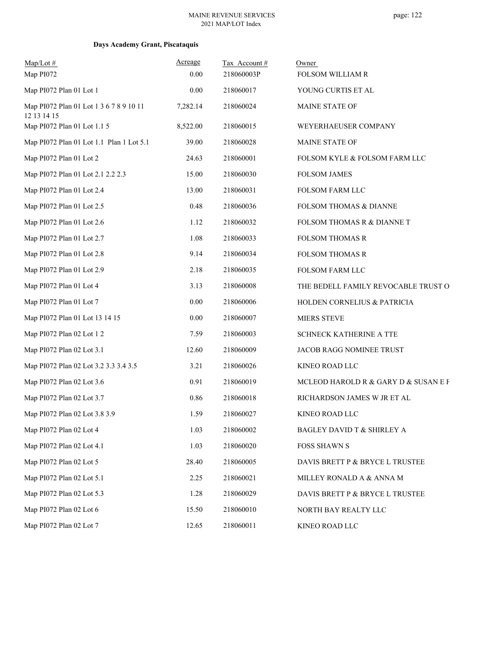### **Days Academy Grant, Piscataquis**

| $Map/Lot$ #<br>Map PI072                               | Acreage<br>0.00 | Tax Account#<br>218060003P | Owner<br>FOLSOM WILLIAM R             |
|--------------------------------------------------------|-----------------|----------------------------|---------------------------------------|
| Map PI072 Plan 01 Lot 1                                | 0.00            | 218060017                  | YOUNG CURTIS ET AL                    |
| Map PI072 Plan 01 Lot 1 3 6 7 8 9 10 11<br>12 13 14 15 | 7,282.14        | 218060024                  | MAINE STATE OF                        |
| Map PI072 Plan 01 Lot 1.1 5                            | 8,522.00        | 218060015                  | WEYERHAEUSER COMPANY                  |
| Map PI072 Plan 01 Lot 1.1 Plan 1 Lot 5.1               | 39.00           | 218060028                  | MAINE STATE OF                        |
| Map PI072 Plan 01 Lot 2                                | 24.63           | 218060001                  | FOLSOM KYLE & FOLSOM FARM LLC         |
| Map PI072 Plan 01 Lot 2.1 2.2 2.3                      | 15.00           | 218060030                  | <b>FOLSOM JAMES</b>                   |
| Map PI072 Plan 01 Lot 2.4                              | 13.00           | 218060031                  | <b>FOLSOM FARM LLC</b>                |
| Map PI072 Plan 01 Lot 2.5                              | 0.48            | 218060036                  | FOLSOM THOMAS & DIANNE                |
| Map PI072 Plan 01 Lot 2.6                              | 1.12            | 218060032                  | FOLSOM THOMAS R & DIANNE T            |
| Map PI072 Plan 01 Lot 2.7                              | 1.08            | 218060033                  | <b>FOLSOM THOMAS R</b>                |
| Map PI072 Plan 01 Lot 2.8                              | 9.14            | 218060034                  | <b>FOLSOM THOMAS R</b>                |
| Map PI072 Plan 01 Lot 2.9                              | 2.18            | 218060035                  | FOLSOM FARM LLC                       |
| Map PI072 Plan 01 Lot 4                                | 3.13            | 218060008                  | THE BEDELL FAMILY REVOCABLE TRUST O   |
| Map PI072 Plan 01 Lot 7                                | $0.00\,$        | 218060006                  | HOLDEN CORNELIUS & PATRICIA           |
| Map PI072 Plan 01 Lot 13 14 15                         | 0.00            | 218060007                  | <b>MIERS STEVE</b>                    |
| Map PI072 Plan 02 Lot 1 2                              | 7.59            | 218060003                  | SCHNECK KATHERINE A TTE               |
| Map PI072 Plan 02 Lot 3.1                              | 12.60           | 218060009                  | JACOB RAGG NOMINEE TRUST              |
| Map PI072 Plan 02 Lot 3.2 3.3 3.4 3.5                  | 3.21            | 218060026                  | KINEO ROAD LLC                        |
| Map PI072 Plan 02 Lot 3.6                              | 0.91            | 218060019                  | MCLEOD HAROLD R & GARY D & SUSAN E F  |
| Map PI072 Plan 02 Lot 3.7                              | 0.86            | 218060018                  | RICHARDSON JAMES W JR ET AL           |
| Map PI072 Plan 02 Lot 3.8 3.9                          | 1.59            | 218060027                  | KINEO ROAD LLC                        |
| Map PI072 Plan 02 Lot 4                                | 1.03            | 218060002                  | <b>BAGLEY DAVID T &amp; SHIRLEY A</b> |
| Map PI072 Plan 02 Lot 4.1                              | 1.03            | 218060020                  | FOSS SHAWN S                          |
| Map PI072 Plan 02 Lot 5                                | 28.40           | 218060005                  | DAVIS BRETT P & BRYCE L TRUSTEE       |
| Map PI072 Plan 02 Lot 5.1                              | 2.25            | 218060021                  | MILLEY RONALD A & ANNA M              |
| Map PI072 Plan 02 Lot 5.3                              | 1.28            | 218060029                  | DAVIS BRETT P & BRYCE L TRUSTEE       |
| Map PI072 Plan 02 Lot 6                                | 15.50           | 218060010                  | NORTH BAY REALTY LLC                  |
| Map PI072 Plan 02 Lot 7                                | 12.65           | 218060011                  | KINEO ROAD LLC                        |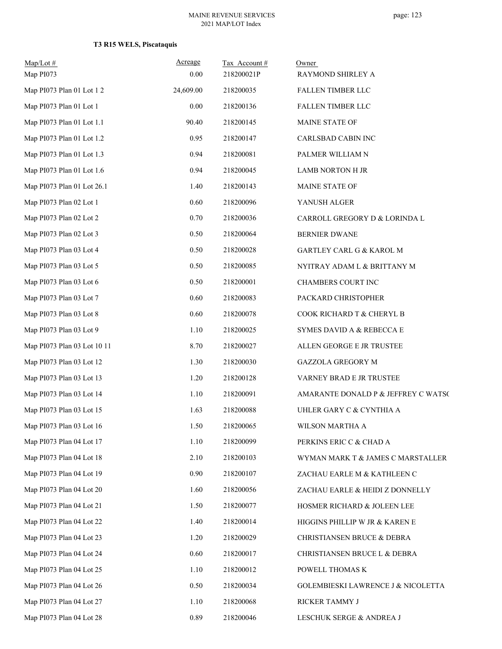| $Map/Lot$ #<br>Map PI073    | Acreage<br>0.00 | Tax Account#<br>218200021P | Owner<br>RAYMOND SHIRLEY A          |
|-----------------------------|-----------------|----------------------------|-------------------------------------|
| Map PI073 Plan 01 Lot 1 2   | 24,609.00       | 218200035                  | FALLEN TIMBER LLC                   |
| Map PI073 Plan 01 Lot 1     | 0.00            | 218200136                  | FALLEN TIMBER LLC                   |
| Map PI073 Plan 01 Lot 1.1   | 90.40           | 218200145                  | MAINE STATE OF                      |
| Map PI073 Plan 01 Lot 1.2   | 0.95            | 218200147                  | CARLSBAD CABIN INC                  |
| Map PI073 Plan 01 Lot 1.3   | 0.94            | 218200081                  | PALMER WILLIAM N                    |
| Map PI073 Plan 01 Lot 1.6   | 0.94            | 218200045                  | <b>LAMB NORTON H JR</b>             |
| Map PI073 Plan 01 Lot 26.1  | 1.40            | 218200143                  | MAINE STATE OF                      |
| Map PI073 Plan 02 Lot 1     | 0.60            | 218200096                  | YANUSH ALGER                        |
| Map PI073 Plan 02 Lot 2     | 0.70            | 218200036                  | CARROLL GREGORY D & LORINDA L       |
| Map PI073 Plan 02 Lot 3     | 0.50            | 218200064                  | <b>BERNIER DWANE</b>                |
| Map PI073 Plan 03 Lot 4     | 0.50            | 218200028                  | GARTLEY CARL G & KAROL M            |
| Map PI073 Plan 03 Lot 5     | 0.50            | 218200085                  | NYITRAY ADAM L & BRITTANY M         |
| Map PI073 Plan 03 Lot 6     | 0.50            | 218200001                  | CHAMBERS COURT INC                  |
| Map PI073 Plan 03 Lot 7     | 0.60            | 218200083                  | PACKARD CHRISTOPHER                 |
| Map PI073 Plan 03 Lot 8     | 0.60            | 218200078                  | COOK RICHARD T & CHERYL B           |
| Map PI073 Plan 03 Lot 9     | 1.10            | 218200025                  | SYMES DAVID A & REBECCA E           |
| Map PI073 Plan 03 Lot 10 11 | 8.70            | 218200027                  | ALLEN GEORGE E JR TRUSTEE           |
| Map PI073 Plan 03 Lot 12    | 1.30            | 218200030                  | GAZZOLA GREGORY M                   |
| Map PI073 Plan 03 Lot 13    | 1.20            | 218200128                  | VARNEY BRAD E JR TRUSTEE            |
| Map PI073 Plan 03 Lot 14    | 1.10            | 218200091                  | AMARANTE DONALD P & JEFFREY C WATSC |
| Map PI073 Plan 03 Lot 15    | 1.63            | 218200088                  | UHLER GARY C & CYNTHIA A            |
| Map PI073 Plan 03 Lot 16    | 1.50            | 218200065                  | WILSON MARTHA A                     |
| Map PI073 Plan 04 Lot 17    | 1.10            | 218200099                  | PERKINS ERIC C & CHAD A             |
| Map PI073 Plan 04 Lot 18    | 2.10            | 218200103                  | WYMAN MARK T & JAMES C MARSTALLER   |
| Map PI073 Plan 04 Lot 19    | 0.90            | 218200107                  | ZACHAU EARLE M & KATHLEEN C         |
| Map PI073 Plan 04 Lot 20    | 1.60            | 218200056                  | ZACHAU EARLE & HEIDI Z DONNELLY     |
| Map PI073 Plan 04 Lot 21    | 1.50            | 218200077                  | HOSMER RICHARD & JOLEEN LEE         |
| Map PI073 Plan 04 Lot 22    | 1.40            | 218200014                  | HIGGINS PHILLIP W JR & KAREN E      |
| Map PI073 Plan 04 Lot 23    | 1.20            | 218200029                  | CHRISTIANSEN BRUCE & DEBRA          |
| Map PI073 Plan 04 Lot 24    | 0.60            | 218200017                  | CHRISTIANSEN BRUCE L & DEBRA        |
| Map PI073 Plan 04 Lot 25    | 1.10            | 218200012                  | POWELL THOMAS K                     |
| Map PI073 Plan 04 Lot 26    | 0.50            | 218200034                  | GOLEMBIESKI LAWRENCE J & NICOLETTA  |
| Map PI073 Plan 04 Lot 27    | 1.10            | 218200068                  | RICKER TAMMY J                      |
| Map PI073 Plan 04 Lot 28    | 0.89            | 218200046                  | LESCHUK SERGE & ANDREA J            |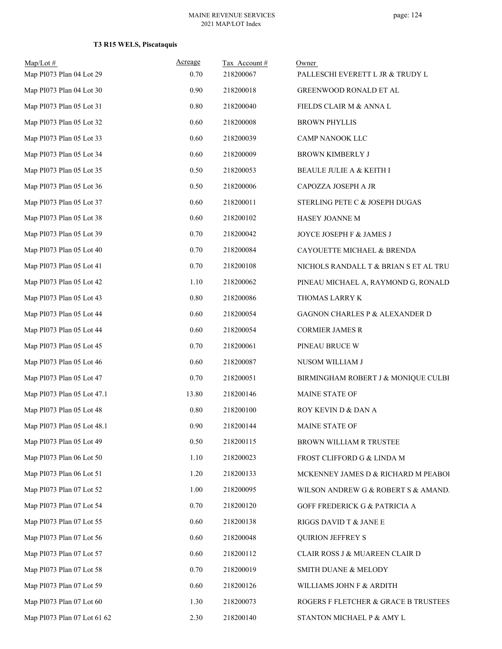# **T3 R15 WELS, Piscataquis**

| Map/Lot#<br>Map PI073 Plan 04 Lot 29 | Acreage<br>0.70 | Tax Account#<br>218200067 | Owner<br>PALLESCHI EVERETT L JR & TRUDY L |
|--------------------------------------|-----------------|---------------------------|-------------------------------------------|
| Map PI073 Plan 04 Lot 30             | 0.90            | 218200018                 | GREENWOOD RONALD ET AL                    |
| Map PI073 Plan 05 Lot 31             | 0.80            | 218200040                 | FIELDS CLAIR M & ANNA L                   |
| Map PI073 Plan 05 Lot 32             | 0.60            | 218200008                 | <b>BROWN PHYLLIS</b>                      |
| Map PI073 Plan 05 Lot 33             | 0.60            | 218200039                 | CAMP NANOOK LLC                           |
| Map PI073 Plan 05 Lot 34             | 0.60            | 218200009                 | BROWN KIMBERLY J                          |
| Map PI073 Plan 05 Lot 35             | 0.50            | 218200053                 | BEAULE JULIE A & KEITH I                  |
| Map PI073 Plan 05 Lot 36             | 0.50            | 218200006                 | CAPOZZA JOSEPH A JR                       |
| Map PI073 Plan 05 Lot 37             | 0.60            | 218200011                 | STERLING PETE C & JOSEPH DUGAS            |
| Map PI073 Plan 05 Lot 38             | 0.60            | 218200102                 | HASEY JOANNE M                            |
| Map PI073 Plan 05 Lot 39             | 0.70            | 218200042                 | JOYCE JOSEPH F & JAMES J                  |
| Map PI073 Plan 05 Lot 40             | 0.70            | 218200084                 | CAYOUETTE MICHAEL & BRENDA                |
| Map PI073 Plan 05 Lot 41             | 0.70            | 218200108                 | NICHOLS RANDALL T & BRIAN S ET AL TRU     |
| Map PI073 Plan 05 Lot 42             | 1.10            | 218200062                 | PINEAU MICHAEL A, RAYMOND G, RONALD       |
| Map PI073 Plan 05 Lot 43             | 0.80            | 218200086                 | THOMAS LARRY K                            |
| Map PI073 Plan 05 Lot 44             | 0.60            | 218200054                 | GAGNON CHARLES P & ALEXANDER D            |
| Map PI073 Plan 05 Lot 44             | 0.60            | 218200054                 | <b>CORMIER JAMES R</b>                    |
| Map PI073 Plan 05 Lot 45             | 0.70            | 218200061                 | PINEAU BRUCE W                            |
| Map PI073 Plan 05 Lot 46             | 0.60            | 218200087                 | NUSOM WILLIAM J                           |
| Map PI073 Plan 05 Lot 47             | 0.70            | 218200051                 | BIRMINGHAM ROBERT J & MONIQUE CULBI       |
| Map PI073 Plan 05 Lot 47.1           | 13.80           | 218200146                 | MAINE STATE OF                            |
| Map PI073 Plan 05 Lot 48             | 0.80            | 218200100                 | ROY KEVIN D & DAN A                       |
| Map PI073 Plan 05 Lot 48.1           | 0.90            | 218200144                 | MAINE STATE OF                            |
| Map PI073 Plan 05 Lot 49             | 0.50            | 218200115                 | BROWN WILLIAM R TRUSTEE                   |
| Map PI073 Plan 06 Lot 50             | 1.10            | 218200023                 | FROST CLIFFORD G & LINDA M                |
| Map PI073 Plan 06 Lot 51             | 1.20            | 218200133                 | MCKENNEY JAMES D & RICHARD M PEABOI       |
| Map PI073 Plan 07 Lot 52             | 1.00            | 218200095                 | WILSON ANDREW G & ROBERT S & AMAND.       |
| Map PI073 Plan 07 Lot 54             | 0.70            | 218200120                 | GOFF FREDERICK G & PATRICIA A             |
| Map PI073 Plan 07 Lot 55             | 0.60            | 218200138                 | RIGGS DAVID T & JANE E                    |
| Map PI073 Plan 07 Lot 56             | 0.60            | 218200048                 | <b>QUIRION JEFFREY S</b>                  |
| Map PI073 Plan 07 Lot 57             | 0.60            | 218200112                 | CLAIR ROSS J & MUAREEN CLAIR D            |
| Map PI073 Plan 07 Lot 58             | 0.70            | 218200019                 | SMITH DUANE & MELODY                      |
| Map PI073 Plan 07 Lot 59             | 0.60            | 218200126                 | WILLIAMS JOHN F & ARDITH                  |
| Map PI073 Plan 07 Lot 60             | 1.30            | 218200073                 | ROGERS F FLETCHER & GRACE B TRUSTEES      |
| Map PI073 Plan 07 Lot 61 62          | 2.30            | 218200140                 | STANTON MICHAEL P & AMY L                 |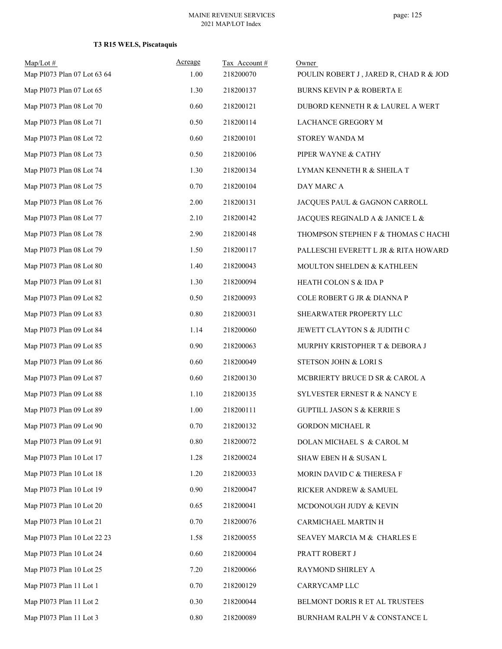# **T3 R15 WELS, Piscataquis**

| Map/Lot#                    | Acreage  | Tax Account# | Owner                                   |
|-----------------------------|----------|--------------|-----------------------------------------|
| Map PI073 Plan 07 Lot 63 64 | 1.00     | 218200070    | POULIN ROBERT J, JARED R, CHAD R & JOD. |
| Map PI073 Plan 07 Lot 65    | 1.30     | 218200137    | <b>BURNS KEVIN P &amp; ROBERTA E</b>    |
| Map PI073 Plan 08 Lot 70    | 0.60     | 218200121    | DUBORD KENNETH R & LAUREL A WERT        |
| Map PI073 Plan 08 Lot 71    | 0.50     | 218200114    | LACHANCE GREGORY M                      |
| Map PI073 Plan 08 Lot 72    | 0.60     | 218200101    | STOREY WANDA M                          |
| Map PI073 Plan 08 Lot 73    | 0.50     | 218200106    | PIPER WAYNE & CATHY                     |
| Map PI073 Plan 08 Lot 74    | 1.30     | 218200134    | LYMAN KENNETH R & SHEILA T              |
| Map PI073 Plan 08 Lot 75    | 0.70     | 218200104    | DAY MARC A                              |
| Map PI073 Plan 08 Lot 76    | 2.00     | 218200131    | JACQUES PAUL & GAGNON CARROLL           |
| Map PI073 Plan 08 Lot 77    | 2.10     | 218200142    | JACQUES REGINALD A & JANICE L &         |
| Map PI073 Plan 08 Lot 78    | 2.90     | 218200148    | THOMPSON STEPHEN F & THOMAS C HACHI     |
| Map PI073 Plan 08 Lot 79    | 1.50     | 218200117    | PALLESCHI EVERETT L JR & RITA HOWARD    |
| Map PI073 Plan 08 Lot 80    | 1.40     | 218200043    | MOULTON SHELDEN & KATHLEEN              |
| Map PI073 Plan 09 Lot 81    | 1.30     | 218200094    | HEATH COLON S & IDA P                   |
| Map PI073 Plan 09 Lot 82    | 0.50     | 218200093    | COLE ROBERT G JR & DIANNA P             |
| Map PI073 Plan 09 Lot 83    | 0.80     | 218200031    | SHEARWATER PROPERTY LLC                 |
| Map PI073 Plan 09 Lot 84    | 1.14     | 218200060    | JEWETT CLAYTON S & JUDITH C             |
| Map PI073 Plan 09 Lot 85    | 0.90     | 218200063    | MURPHY KRISTOPHER T & DEBORA J          |
| Map PI073 Plan 09 Lot 86    | 0.60     | 218200049    | STETSON JOHN & LORI S                   |
| Map PI073 Plan 09 Lot 87    | 0.60     | 218200130    | MCBRIERTY BRUCE D SR & CAROL A          |
| Map PI073 Plan 09 Lot 88    | 1.10     | 218200135    | SYLVESTER ERNEST R & NANCY E            |
| Map PI073 Plan 09 Lot 89    | 1.00     | 218200111    | <b>GUPTILL JASON S &amp; KERRIE S</b>   |
| Map PI073 Plan 09 Lot 90    | 0.70     | 218200132    | <b>GORDON MICHAEL R</b>                 |
| Map PI073 Plan 09 Lot 91    | 0.80     | 218200072    | DOLAN MICHAEL S & CAROL M               |
| Map PI073 Plan 10 Lot 17    | 1.28     | 218200024    | SHAW EBEN H & SUSAN L                   |
| Map PI073 Plan 10 Lot 18    | 1.20     | 218200033    | MORIN DAVID C & THERESA F               |
| Map PI073 Plan 10 Lot 19    | 0.90     | 218200047    | RICKER ANDREW & SAMUEL                  |
| Map PI073 Plan 10 Lot 20    | 0.65     | 218200041    | MCDONOUGH JUDY & KEVIN                  |
| Map PI073 Plan 10 Lot 21    | 0.70     | 218200076    | CARMICHAEL MARTIN H                     |
| Map PI073 Plan 10 Lot 22 23 | 1.58     | 218200055    | SEAVEY MARCIA M & CHARLES E             |
| Map PI073 Plan 10 Lot 24    | 0.60     | 218200004    | PRATT ROBERT J                          |
| Map PI073 Plan 10 Lot 25    | 7.20     | 218200066    | RAYMOND SHIRLEY A                       |
| Map PI073 Plan 11 Lot 1     | 0.70     | 218200129    | CARRYCAMP LLC                           |
| Map PI073 Plan 11 Lot 2     | 0.30     | 218200044    | BELMONT DORIS R ET AL TRUSTEES          |
| Map PI073 Plan 11 Lot 3     | $0.80\,$ | 218200089    | BURNHAM RALPH V & CONSTANCE L           |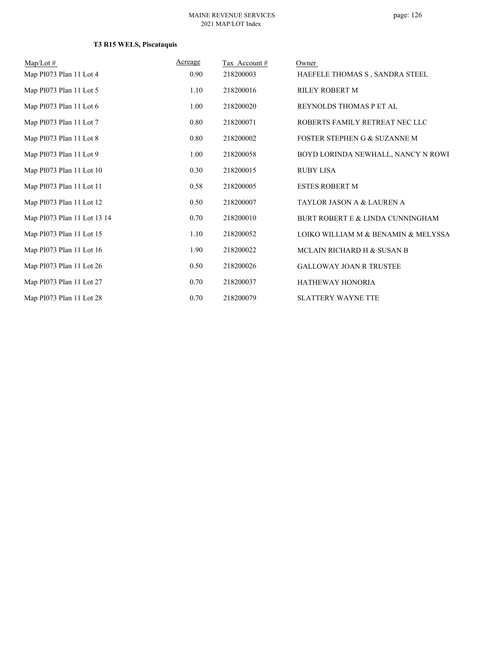# **T3 R15 WELS, Piscataquis**

| $Map/Lot \#$                | Acreage | Tax Account # | Owner                               |
|-----------------------------|---------|---------------|-------------------------------------|
| Map PI073 Plan 11 Lot 4     | 0.90    | 218200003     | HAEFELE THOMAS S, SANDRA STEEL      |
| Map PI073 Plan 11 Lot 5     | 1.10    | 218200016     | <b>RILEY ROBERT M</b>               |
| Map PI073 Plan 11 Lot 6     | 1.00    | 218200020     | REYNOLDS THOMAS P ET AL             |
| Map PI073 Plan 11 Lot 7     | 0.80    | 218200071     | ROBERTS FAMILY RETREAT NEC LLC      |
| Map PI073 Plan 11 Lot 8     | 0.80    | 218200002     | FOSTER STEPHEN G & SUZANNE M        |
| Map PI073 Plan 11 Lot 9     | 1.00    | 218200058     | BOYD LORINDA NEWHALL, NANCY N ROWI  |
| Map PI073 Plan 11 Lot 10    | 0.30    | 218200015     | <b>RUBY LISA</b>                    |
| Map PI073 Plan 11 Lot 11    | 0.58    | 218200005     | ESTES ROBERT M                      |
| Map PI073 Plan 11 Lot 12    | 0.50    | 218200007     | TAYLOR JASON A & LAUREN A           |
| Map PI073 Plan 11 Lot 13 14 | 0.70    | 218200010     | BURT ROBERT E & LINDA CUNNINGHAM    |
| Map PI073 Plan 11 Lot 15    | 1.10    | 218200052     | LOIKO WILLIAM M & BENAMIN & MELYSSA |
| Map PI073 Plan 11 Lot 16    | 1.90    | 218200022     | MCLAIN RICHARD H & SUSAN B          |
| Map PI073 Plan 11 Lot 26    | 0.50    | 218200026     | <b>GALLOWAY JOAN R TRUSTEE</b>      |
| Map PI073 Plan 11 Lot 27    | 0.70    | 218200037     | <b>HATHEWAY HONORIA</b>             |
| Map PI073 Plan 11 Lot 28    | 0.70    | 218200079     | <b>SLATTERY WAYNE TTE</b>           |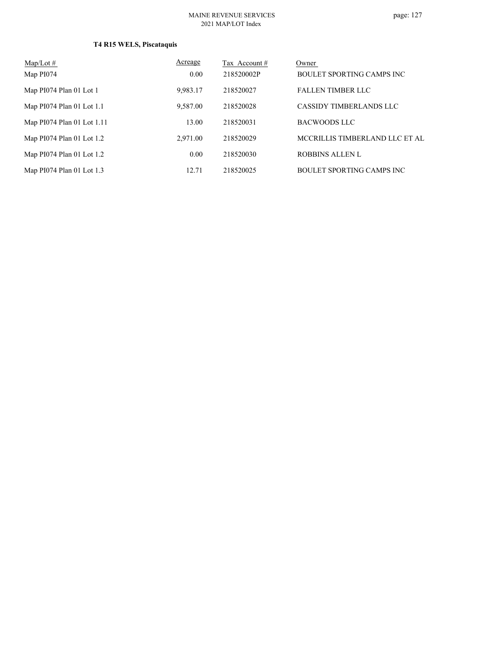# **T4 R15 WELS, Piscataquis**

| $Map/Lot \#$               | Acreage  | Tax Account # | Owner                            |
|----------------------------|----------|---------------|----------------------------------|
| Map PI074                  | 0.00     | 218520002P    | BOULET SPORTING CAMPS INC        |
| Map PI074 Plan 01 Lot 1    | 9.983.17 | 218520027     | <b>FALLEN TIMBER LLC</b>         |
| Map PI074 Plan 01 Lot 1.1  | 9,587.00 | 218520028     | CASSIDY TIMBERLANDS LLC          |
| Map PI074 Plan 01 Lot 1.11 | 13.00    | 218520031     | BACWOODS LLC                     |
| Map PI074 Plan 01 Lot 1.2  | 2.971.00 | 218520029     | MCCRILLIS TIMBERLAND LLC ET AL   |
| Map PI074 Plan 01 Lot 1.2  | 0.00     | 218520030     | <b>ROBBINS ALLEN L</b>           |
| Map PI074 Plan 01 Lot 1.3  | 12.71    | 218520025     | <b>BOULET SPORTING CAMPS INC</b> |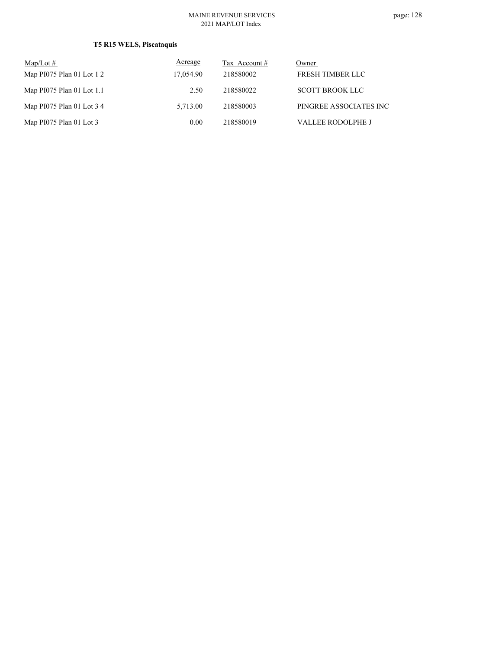# **T5 R15 WELS, Piscataquis**

| $Map/Lot \#$               | Acreage   | Tax Account # | Owner                    |
|----------------------------|-----------|---------------|--------------------------|
| Map $PI075$ Plan 01 Lot 12 | 17,054.90 | 218580002     | FRESH TIMBER LLC         |
| Map PI075 Plan 01 Lot 1.1  | 2.50      | 218580022     | <b>SCOTT BROOK LLC</b>   |
| Map PI075 Plan 01 Lot 3 4  | 5.713.00  | 218580003     | PINGREE ASSOCIATES INC   |
| Map $PI075$ Plan 01 Lot 3  | 0.00      | 218580019     | <b>VALLEE RODOLPHE J</b> |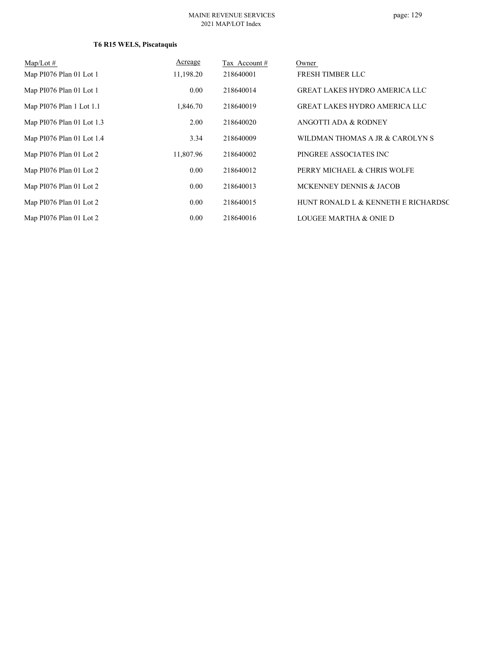# **T6 R15 WELS, Piscataquis**

| $Map/Lot \#$              | Acreage   | Tax Account # | Owner                                |
|---------------------------|-----------|---------------|--------------------------------------|
| Map PI076 Plan 01 Lot 1   | 11,198.20 | 218640001     | <b>FRESH TIMBER LLC</b>              |
| Map PI076 Plan 01 Lot 1   | 0.00      | 218640014     | <b>GREAT LAKES HYDRO AMERICA LLC</b> |
| Map PI076 Plan 1 Lot 1.1  | 1,846.70  | 218640019     | <b>GREAT LAKES HYDRO AMERICA LLC</b> |
| Map PI076 Plan 01 Lot 1.3 | 2.00      | 218640020     | ANGOTTI ADA & RODNEY                 |
| Map PI076 Plan 01 Lot 1.4 | 3.34      | 218640009     | WILDMAN THOMAS A JR & CAROLYN S      |
| Map PI076 Plan 01 Lot 2   | 11,807.96 | 218640002     | PINGREE ASSOCIATES INC               |
| Map PI076 Plan 01 Lot 2   | 0.00      | 218640012     | PERRY MICHAEL & CHRIS WOLFE          |
| Map PI076 Plan 01 Lot 2   | 0.00      | 218640013     | MCKENNEY DENNIS & JACOB              |
| Map PI076 Plan 01 Lot 2   | 0.00      | 218640015     | HUNT RONALD L & KENNETH E RICHARDSC  |
| Map PI076 Plan 01 Lot 2   | 0.00      | 218640016     | LOUGEE MARTHA & ONIE D               |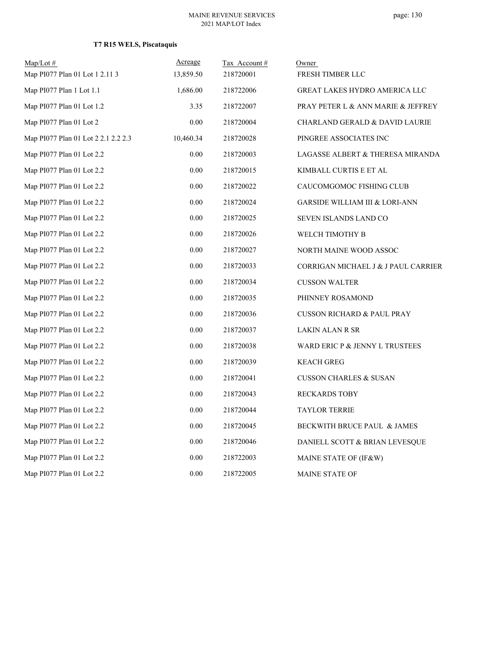# **T7 R15 WELS, Piscataquis**

| $Map/Lot$ #                         | Acreage   | Tax Account# | Owner                                     |
|-------------------------------------|-----------|--------------|-------------------------------------------|
| Map PI077 Plan 01 Lot 1 2.11 3      | 13,859.50 | 218720001    | FRESH TIMBER LLC                          |
| Map PI077 Plan 1 Lot 1.1            | 1,686.00  | 218722006    | <b>GREAT LAKES HYDRO AMERICA LLC</b>      |
| Map PI077 Plan 01 Lot 1.2           | 3.35      | 218722007    | PRAY PETER L & ANN MARIE & JEFFREY        |
| Map PI077 Plan 01 Lot 2             | 0.00      | 218720004    | <b>CHARLAND GERALD &amp; DAVID LAURIE</b> |
| Map PI077 Plan 01 Lot 2 2.1 2.2 2.3 | 10,460.34 | 218720028    | PINGREE ASSOCIATES INC                    |
| Map PI077 Plan 01 Lot 2.2           | 0.00      | 218720003    | LAGASSE ALBERT & THERESA MIRANDA          |
| Map PI077 Plan 01 Lot 2.2           | 0.00      | 218720015    | KIMBALL CURTIS E ET AL                    |
| Map PI077 Plan 01 Lot 2.2           | 0.00      | 218720022    | CAUCOMGOMOC FISHING CLUB                  |
| Map PI077 Plan 01 Lot 2.2           | 0.00      | 218720024    | <b>GARSIDE WILLIAM III &amp; LORI-ANN</b> |
| Map PI077 Plan 01 Lot 2.2           | 0.00      | 218720025    | SEVEN ISLANDS LAND CO                     |
| Map PI077 Plan 01 Lot 2.2           | 0.00      | 218720026    | WELCH TIMOTHY B                           |
| Map PI077 Plan 01 Lot 2.2           | 0.00      | 218720027    | NORTH MAINE WOOD ASSOC                    |
| Map PI077 Plan 01 Lot 2.2           | 0.00      | 218720033    | CORRIGAN MICHAEL J & J PAUL CARRIER       |
| Map PI077 Plan 01 Lot 2.2           | 0.00      | 218720034    | <b>CUSSON WALTER</b>                      |
| Map PI077 Plan 01 Lot 2.2           | 0.00      | 218720035    | PHINNEY ROSAMOND                          |
| Map PI077 Plan 01 Lot 2.2           | 0.00      | 218720036    | <b>CUSSON RICHARD &amp; PAUL PRAY</b>     |
| Map PI077 Plan 01 Lot 2.2           | 0.00      | 218720037    | LAKIN ALAN R SR                           |
| Map PI077 Plan 01 Lot 2.2           | 0.00      | 218720038    | WARD ERIC P & JENNY L TRUSTEES            |
| Map PI077 Plan 01 Lot 2.2           | 0.00      | 218720039    | <b>KEACH GREG</b>                         |
| Map PI077 Plan 01 Lot 2.2           | 0.00      | 218720041    | <b>CUSSON CHARLES &amp; SUSAN</b>         |
| Map PI077 Plan 01 Lot 2.2           | 0.00      | 218720043    | <b>RECKARDS TOBY</b>                      |
| Map PI077 Plan 01 Lot 2.2           | 0.00      | 218720044    | <b>TAYLOR TERRIE</b>                      |
| Map PI077 Plan 01 Lot 2.2           | 0.00      | 218720045    | BECKWITH BRUCE PAUL & JAMES               |
| Map PI077 Plan 01 Lot 2.2           | 0.00      | 218720046    | DANIELL SCOTT & BRIAN LEVESQUE            |
| Map PI077 Plan 01 Lot 2.2           | 0.00      | 218722003    | MAINE STATE OF (IF&W)                     |
| Map PI077 Plan 01 Lot 2.2           | 0.00      | 218722005    | <b>MAINE STATE OF</b>                     |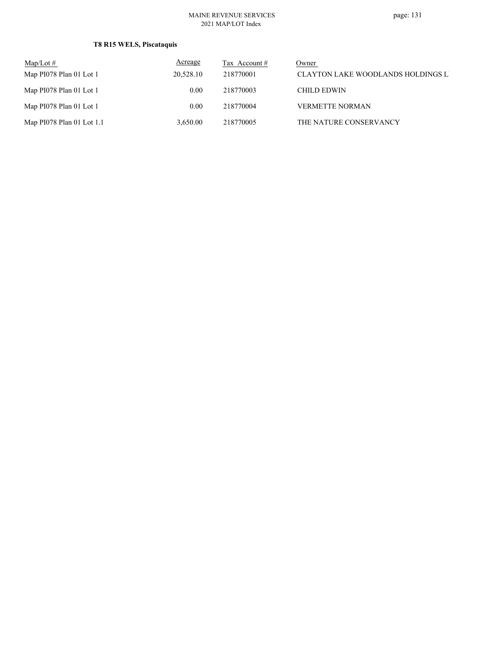# **T8 R15 WELS, Piscataquis**

| $\text{Map/Lot} \#$       | Acreage           | Tax Account $#$ | Owner                                     |
|---------------------------|-------------------|-----------------|-------------------------------------------|
| Map PI078 Plan 01 Lot 1   | 20,528.10         | 218770001       | <b>CLAYTON LAKE WOODLANDS HOLDINGS LI</b> |
| Map PI078 Plan 01 Lot 1   | 0.00              | 218770003       | CHILD EDWIN                               |
| Map PI078 Plan 01 Lot 1   | 0.00 <sub>1</sub> | 218770004       | <b>VERMETTE NORMAN</b>                    |
| Map PI078 Plan 01 Lot 1.1 | 3.650.00          | 218770005       | THE NATURE CONSERVANCY                    |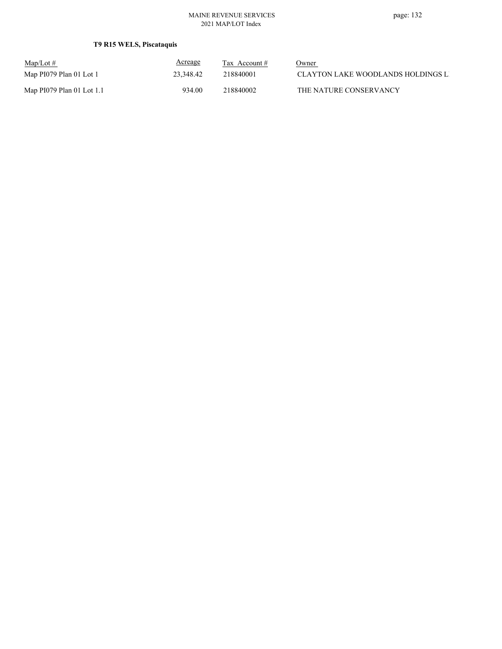# **T9 R15 WELS, Piscataquis**

| $\text{Map/Lot}\,\#$      | <u>Acreage</u> | Tax Account # | Owner                              |
|---------------------------|----------------|---------------|------------------------------------|
| Map PI079 Plan 01 Lot 1   | 23.348.42      | 218840001     | CLAYTON LAKE WOODLANDS HOLDINGS LI |
| Map PI079 Plan 01 Lot 1.1 | 934.00         | 218840002     | THE NATURE CONSERVANCY             |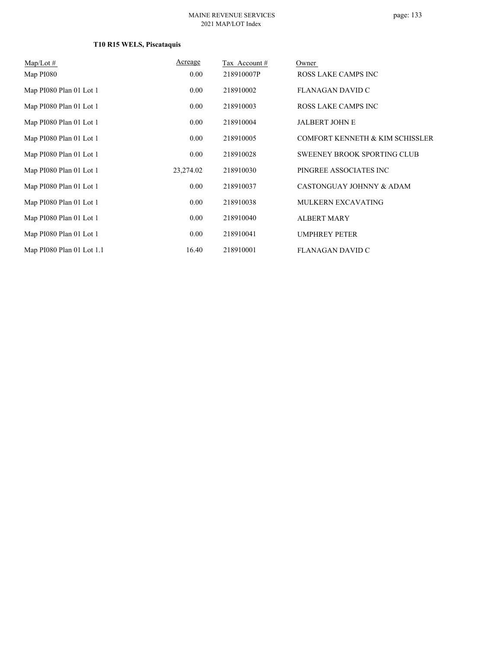# **T10 R15 WELS, Piscataquis**

| $Map/Lot \#$              | Acreage   | Tax Account# | Owner                              |
|---------------------------|-----------|--------------|------------------------------------|
| Map PI080                 | $0.00\,$  | 218910007P   | ROSS LAKE CAMPS INC                |
| Map PI080 Plan 01 Lot 1   | $0.00\,$  | 218910002    | FLANAGAN DAVID C                   |
| Map PI080 Plan 01 Lot 1   | $0.00\,$  | 218910003    | ROSS LAKE CAMPS INC                |
| Map PI080 Plan 01 Lot 1   | 0.00      | 218910004    | <b>JALBERT JOHN E</b>              |
| Map PI080 Plan 01 Lot 1   | $0.00\,$  | 218910005    | COMFORT KENNETH & KIM SCHISSLER    |
| Map PI080 Plan 01 Lot 1   | $0.00\,$  | 218910028    | <b>SWEENEY BROOK SPORTING CLUB</b> |
| Map PI080 Plan 01 Lot 1   | 23,274.02 | 218910030    | PINGREE ASSOCIATES INC             |
| Map PI080 Plan 01 Lot 1   | $0.00\,$  | 218910037    | CASTONGUAY JOHNNY & ADAM           |
| Map PI080 Plan 01 Lot 1   | $0.00\,$  | 218910038    | <b>MULKERN EXCAVATING</b>          |
| Map PI080 Plan 01 Lot 1   | $0.00\,$  | 218910040    | <b>ALBERT MARY</b>                 |
| Map PI080 Plan 01 Lot 1   | 0.00      | 218910041    | <b>UMPHREY PETER</b>               |
| Map PI080 Plan 01 Lot 1.1 | 16.40     | 218910001    | <b>FLANAGAN DAVID C</b>            |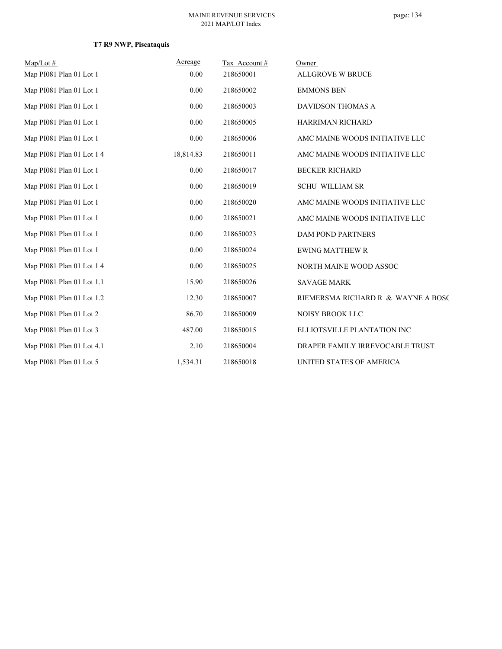# **T7 R9 NWP, Piscataquis**

| $Map/Lot \#$              | Acreage   | Tax Account# | Owner                              |
|---------------------------|-----------|--------------|------------------------------------|
| Map PI081 Plan 01 Lot 1   | 0.00      | 218650001    | <b>ALLGROVE W BRUCE</b>            |
| Map PI081 Plan 01 Lot 1   | 0.00      | 218650002    | <b>EMMONS BEN</b>                  |
| Map PI081 Plan 01 Lot 1   | 0.00      | 218650003    | <b>DAVIDSON THOMAS A</b>           |
| Map PI081 Plan 01 Lot 1   | 0.00      | 218650005    | HARRIMAN RICHARD                   |
| Map PI081 Plan 01 Lot 1   | 0.00      | 218650006    | AMC MAINE WOODS INITIATIVE LLC     |
| Map PI081 Plan 01 Lot 1 4 | 18,814.83 | 218650011    | AMC MAINE WOODS INITIATIVE LLC     |
| Map PI081 Plan 01 Lot 1   | 0.00      | 218650017    | <b>BECKER RICHARD</b>              |
| Map PI081 Plan 01 Lot 1   | 0.00      | 218650019    | <b>SCHU WILLIAM SR</b>             |
| Map PI081 Plan 01 Lot 1   | 0.00      | 218650020    | AMC MAINE WOODS INITIATIVE LLC     |
| Map PI081 Plan 01 Lot 1   | 0.00      | 218650021    | AMC MAINE WOODS INITIATIVE LLC     |
| Map PI081 Plan 01 Lot 1   | 0.00      | 218650023    | DAM POND PARTNERS                  |
| Map PI081 Plan 01 Lot 1   | 0.00      | 218650024    | <b>EWING MATTHEW R</b>             |
| Map PI081 Plan 01 Lot 1 4 | 0.00      | 218650025    | NORTH MAINE WOOD ASSOC             |
| Map PI081 Plan 01 Lot 1.1 | 15.90     | 218650026    | <b>SAVAGE MARK</b>                 |
| Map PI081 Plan 01 Lot 1.2 | 12.30     | 218650007    | RIEMERSMA RICHARD R & WAYNE A BOSC |
| Map PI081 Plan 01 Lot 2   | 86.70     | 218650009    | <b>NOISY BROOK LLC</b>             |
| Map PI081 Plan 01 Lot 3   | 487.00    | 218650015    | ELLIOTSVILLE PLANTATION INC        |
| Map PI081 Plan 01 Lot 4.1 | 2.10      | 218650004    | DRAPER FAMILY IRREVOCABLE TRUST    |
| Map PI081 Plan 01 Lot 5   | 1,534.31  | 218650018    | UNITED STATES OF AMERICA           |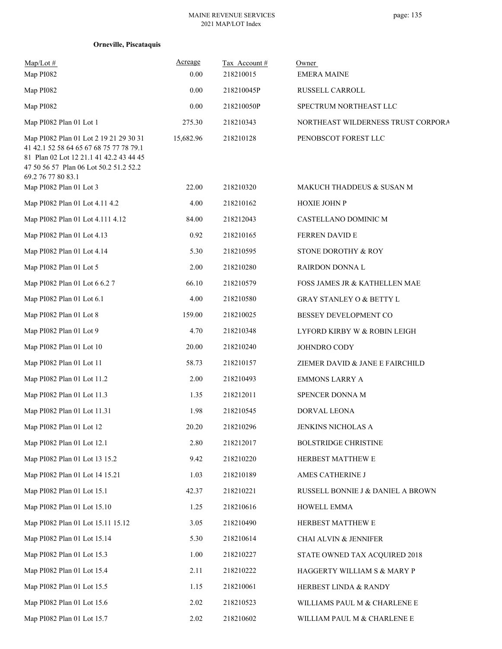| Orneville, Piscataquis |  |
|------------------------|--|
|------------------------|--|

| $Map/Lot \#$<br>Map PI082                                                                                                                                                                                               | Acreage<br>0.00    | Tax Account #<br>218210015 | Owner<br><b>EMERA MAINE</b>                       |
|-------------------------------------------------------------------------------------------------------------------------------------------------------------------------------------------------------------------------|--------------------|----------------------------|---------------------------------------------------|
| Map PI082                                                                                                                                                                                                               | 0.00               | 218210045P                 | RUSSELL CARROLL                                   |
| Map PI082                                                                                                                                                                                                               | 0.00               | 218210050P                 | SPECTRUM NORTHEAST LLC                            |
| Map PI082 Plan 01 Lot 1                                                                                                                                                                                                 | 275.30             | 218210343                  | NORTHEAST WILDERNESS TRUST CORPORA                |
| Map PI082 Plan 01 Lot 2 19 21 29 30 31<br>41 42.1 52 58 64 65 67 68 75 77 78 79.1<br>81 Plan 02 Lot 12 21.1 41 42.2 43 44 45<br>47 50 56 57 Plan 06 Lot 50.2 51.2 52.2<br>69.2 76 77 80 83.1<br>Map PI082 Plan 01 Lot 3 | 15,682.96<br>22.00 | 218210128<br>218210320     | PENOBSCOT FOREST LLC<br>MAKUCH THADDEUS & SUSAN M |
| Map PI082 Plan 01 Lot 4.11 4.2                                                                                                                                                                                          | 4.00               | 218210162                  | <b>HOXIE JOHN P</b>                               |
| Map PI082 Plan 01 Lot 4.111 4.12                                                                                                                                                                                        | 84.00              | 218212043                  | CASTELLANO DOMINIC M                              |
| Map PI082 Plan 01 Lot 4.13                                                                                                                                                                                              | 0.92               | 218210165                  | FERREN DAVID E                                    |
| Map PI082 Plan 01 Lot 4.14                                                                                                                                                                                              | 5.30               | 218210595                  | STONE DOROTHY & ROY                               |
| Map PI082 Plan 01 Lot 5                                                                                                                                                                                                 | 2.00               | 218210280                  | RAIRDON DONNA L                                   |
| Map PI082 Plan 01 Lot 6 6.2 7                                                                                                                                                                                           | 66.10              | 218210579                  | FOSS JAMES JR & KATHELLEN MAE                     |
| Map PI082 Plan 01 Lot 6.1                                                                                                                                                                                               | 4.00               | 218210580                  | <b>GRAY STANLEY O &amp; BETTY L</b>               |
| Map PI082 Plan 01 Lot 8                                                                                                                                                                                                 | 159.00             | 218210025                  | BESSEY DEVELOPMENT CO                             |
| Map PI082 Plan 01 Lot 9                                                                                                                                                                                                 | 4.70               | 218210348                  | LYFORD KIRBY W & ROBIN LEIGH                      |
| Map PI082 Plan 01 Lot 10                                                                                                                                                                                                | 20.00              | 218210240                  | JOHNDRO CODY                                      |
| Map PI082 Plan 01 Lot 11                                                                                                                                                                                                | 58.73              | 218210157                  | ZIEMER DAVID & JANE E FAIRCHILD                   |
| Map PI082 Plan 01 Lot 11.2                                                                                                                                                                                              | 2.00               | 218210493                  | <b>EMMONS LARRY A</b>                             |
| Map PI082 Plan 01 Lot 11.3                                                                                                                                                                                              | 1.35               | 218212011                  | SPENCER DONNA M                                   |
| Map PI082 Plan 01 Lot 11.31                                                                                                                                                                                             | 1.98               | 218210545                  | DORVAL LEONA                                      |
| Map PI082 Plan 01 Lot 12                                                                                                                                                                                                | 20.20              | 218210296                  | JENKINS NICHOLAS A                                |
| Map PI082 Plan 01 Lot 12.1                                                                                                                                                                                              | 2.80               | 218212017                  | BOLSTRIDGE CHRISTINE                              |
| Map PI082 Plan 01 Lot 13 15.2                                                                                                                                                                                           | 9.42               | 218210220                  | HERBEST MATTHEW E                                 |
| Map PI082 Plan 01 Lot 14 15.21                                                                                                                                                                                          | 1.03               | 218210189                  | AMES CATHERINE J                                  |
| Map PI082 Plan 01 Lot 15.1                                                                                                                                                                                              | 42.37              | 218210221                  | RUSSELL BONNIE J & DANIEL A BROWN                 |
| Map PI082 Plan 01 Lot 15.10                                                                                                                                                                                             | 1.25               | 218210616                  | HOWELL EMMA                                       |
| Map PI082 Plan 01 Lot 15.11 15.12                                                                                                                                                                                       | 3.05               | 218210490                  | HERBEST MATTHEW E                                 |
| Map PI082 Plan 01 Lot 15.14                                                                                                                                                                                             | 5.30               | 218210614                  | CHAI ALVIN & JENNIFER                             |
| Map PI082 Plan 01 Lot 15.3                                                                                                                                                                                              | 1.00               | 218210227                  | STATE OWNED TAX ACQUIRED 2018                     |
| Map PI082 Plan 01 Lot 15.4                                                                                                                                                                                              | 2.11               | 218210222                  | HAGGERTY WILLIAM S & MARY P                       |
| Map PI082 Plan 01 Lot 15.5                                                                                                                                                                                              | 1.15               | 218210061                  | HERBEST LINDA & RANDY                             |
| Map PI082 Plan 01 Lot 15.6                                                                                                                                                                                              | 2.02               | 218210523                  | WILLIAMS PAUL M & CHARLENE E                      |
| Map PI082 Plan 01 Lot 15.7                                                                                                                                                                                              | 2.02               | 218210602                  | WILLIAM PAUL M & CHARLENE E                       |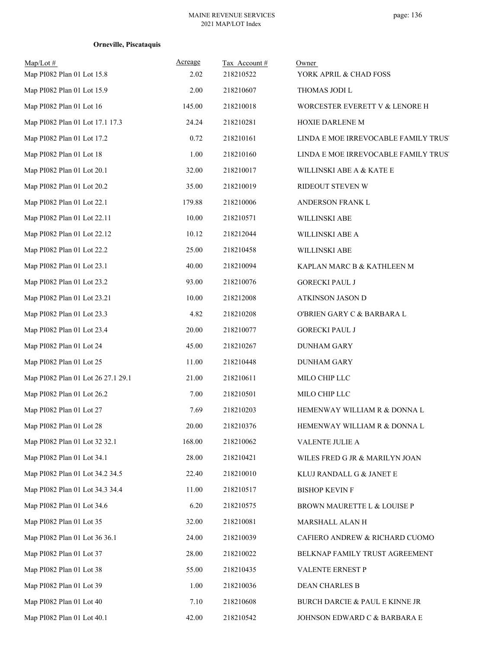| $Map/Lot \#$<br>Map PI082 Plan 01 Lot 15.8 | Acreage<br>2.02 | Tax Account#<br>218210522 | Owner<br>YORK APRIL & CHAD FOSS           |
|--------------------------------------------|-----------------|---------------------------|-------------------------------------------|
| Map PI082 Plan 01 Lot 15.9                 | 2.00            | 218210607                 | THOMAS JODI L                             |
| Map PI082 Plan 01 Lot 16                   | 145.00          | 218210018                 | WORCESTER EVERETT V & LENORE H            |
| Map PI082 Plan 01 Lot 17.1 17.3            | 24.24           | 218210281                 | HOXIE DARLENE M                           |
| Map PI082 Plan 01 Lot 17.2                 | 0.72            | 218210161                 | LINDA E MOE IRREVOCABLE FAMILY TRUS'      |
| Map PI082 Plan 01 Lot 18                   | 1.00            | 218210160                 | LINDA E MOE IRREVOCABLE FAMILY TRUS'      |
| Map PI082 Plan 01 Lot 20.1                 | 32.00           | 218210017                 | WILLINSKI ABE A & KATE E                  |
| Map PI082 Plan 01 Lot 20.2                 | 35.00           | 218210019                 | RIDEOUT STEVEN W                          |
| Map PI082 Plan 01 Lot 22.1                 | 179.88          | 218210006                 | ANDERSON FRANK L                          |
| Map PI082 Plan 01 Lot 22.11                | 10.00           | 218210571                 | WILLINSKI ABE                             |
| Map PI082 Plan 01 Lot 22.12                | 10.12           | 218212044                 | WILLINSKI ABE A                           |
| Map PI082 Plan 01 Lot 22.2                 | 25.00           | 218210458                 | WILLINSKI ABE                             |
| Map PI082 Plan 01 Lot 23.1                 | 40.00           | 218210094                 | KAPLAN MARC B & KATHLEEN M                |
| Map PI082 Plan 01 Lot 23.2                 | 93.00           | 218210076                 | <b>GORECKI PAUL J</b>                     |
| Map PI082 Plan 01 Lot 23.21                | 10.00           | 218212008                 | ATKINSON JASON D                          |
| Map PI082 Plan 01 Lot 23.3                 | 4.82            | 218210208                 | O'BRIEN GARY C & BARBARA L                |
| Map PI082 Plan 01 Lot 23.4                 | 20.00           | 218210077                 | <b>GORECKI PAUL J</b>                     |
| Map PI082 Plan 01 Lot 24                   | 45.00           | 218210267                 | <b>DUNHAM GARY</b>                        |
| Map PI082 Plan 01 Lot 25                   | 11.00           | 218210448                 | <b>DUNHAM GARY</b>                        |
| Map PI082 Plan 01 Lot 26 27.1 29.1         | 21.00           | 218210611                 | MILO CHIP LLC                             |
| Map PI082 Plan 01 Lot 26.2                 | 7.00            | 218210501                 | MILO CHIP LLC                             |
| Map PI082 Plan 01 Lot 27                   | 7.69            | 218210203                 | HEMENWAY WILLIAM R & DONNA L              |
| Map PI082 Plan 01 Lot 28                   | 20.00           | 218210376                 | HEMENWAY WILLIAM R & DONNA L              |
| Map PI082 Plan 01 Lot 32 32.1              | 168.00          | 218210062                 | VALENTE JULIE A                           |
| Map PI082 Plan 01 Lot 34.1                 | 28.00           | 218210421                 | WILES FRED G JR & MARILYN JOAN            |
| Map PI082 Plan 01 Lot 34.2 34.5            | 22.40           | 218210010                 | KLUJ RANDALL G & JANET E                  |
| Map PI082 Plan 01 Lot 34.3 34.4            | 11.00           | 218210517                 | <b>BISHOP KEVIN F</b>                     |
| Map PI082 Plan 01 Lot 34.6                 | 6.20            | 218210575                 | BROWN MAURETTE L & LOUISE P               |
| Map PI082 Plan 01 Lot 35                   | 32.00           | 218210081                 | MARSHALL ALAN H                           |
| Map PI082 Plan 01 Lot 36 36.1              | 24.00           | 218210039                 | CAFIERO ANDREW & RICHARD CUOMO            |
| Map PI082 Plan 01 Lot 37                   | 28.00           | 218210022                 | BELKNAP FAMILY TRUST AGREEMENT            |
| Map PI082 Plan 01 Lot 38                   | 55.00           | 218210435                 | VALENTE ERNEST P                          |
| Map PI082 Plan 01 Lot 39                   | 1.00            | 218210036                 | DEAN CHARLES B                            |
| Map PI082 Plan 01 Lot 40                   | 7.10            | 218210608                 | <b>BURCH DARCIE &amp; PAUL E KINNE JR</b> |
| Map PI082 Plan 01 Lot 40.1                 | 42.00           | 218210542                 | JOHNSON EDWARD C $\&$ BARBARA E           |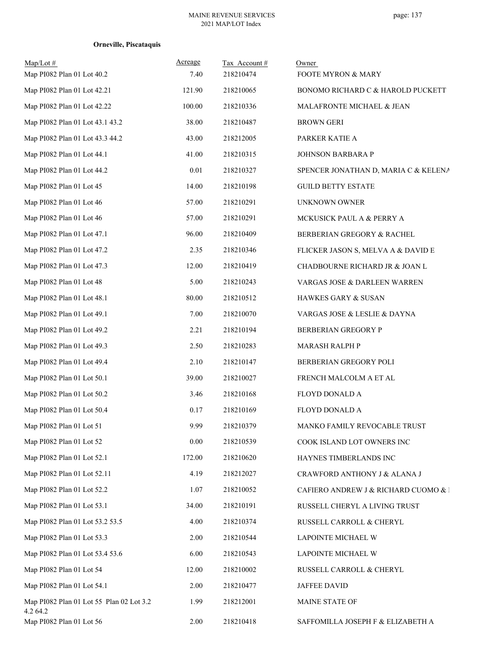| $Map/Lot \#$<br>Map PI082 Plan 01 Lot 40.2           | Acreage<br>7.40 | Tax Account#<br>218210474 | Owner<br>FOOTE MYRON & MARY          |
|------------------------------------------------------|-----------------|---------------------------|--------------------------------------|
| Map PI082 Plan 01 Lot 42.21                          | 121.90          | 218210065                 | BONOMO RICHARD C & HAROLD PUCKETT    |
| Map PI082 Plan 01 Lot 42.22                          | 100.00          | 218210336                 | MALAFRONTE MICHAEL & JEAN            |
| Map PI082 Plan 01 Lot 43.1 43.2                      | 38.00           | 218210487                 | <b>BROWN GERI</b>                    |
| Map PI082 Plan 01 Lot 43.3 44.2                      | 43.00           | 218212005                 | PARKER KATIE A                       |
| Map PI082 Plan 01 Lot 44.1                           | 41.00           | 218210315                 | JOHNSON BARBARA P                    |
| Map PI082 Plan 01 Lot 44.2                           | 0.01            | 218210327                 | SPENCER JONATHAN D, MARIA C & KELENA |
| Map PI082 Plan 01 Lot 45                             | 14.00           | 218210198                 | <b>GUILD BETTY ESTATE</b>            |
| Map PI082 Plan 01 Lot 46                             | 57.00           | 218210291                 | UNKNOWN OWNER                        |
| Map PI082 Plan 01 Lot 46                             | 57.00           | 218210291                 | MCKUSICK PAUL A & PERRY A            |
| Map PI082 Plan 01 Lot 47.1                           | 96.00           | 218210409                 | BERBERIAN GREGORY & RACHEL           |
| Map PI082 Plan 01 Lot 47.2                           | 2.35            | 218210346                 | FLICKER JASON S, MELVA A & DAVID E   |
| Map PI082 Plan 01 Lot 47.3                           | 12.00           | 218210419                 | CHADBOURNE RICHARD JR & JOAN L       |
| Map PI082 Plan 01 Lot 48                             | 5.00            | 218210243                 | VARGAS JOSE & DARLEEN WARREN         |
| Map PI082 Plan 01 Lot 48.1                           | 80.00           | 218210512                 | HAWKES GARY & SUSAN                  |
| Map PI082 Plan 01 Lot 49.1                           | 7.00            | 218210070                 | VARGAS JOSE & LESLIE & DAYNA         |
| Map PI082 Plan 01 Lot 49.2                           | 2.21            | 218210194                 | BERBERIAN GREGORY P                  |
| Map PI082 Plan 01 Lot 49.3                           | 2.50            | 218210283                 | MARASH RALPH P                       |
| Map PI082 Plan 01 Lot 49.4                           | 2.10            | 218210147                 | BERBERIAN GREGORY POLI               |
| Map PI082 Plan 01 Lot 50.1                           | 39.00           | 218210027                 | FRENCH MALCOLM A ET AL               |
| Map PI082 Plan 01 Lot 50.2                           | 3.46            | 218210168                 | FLOYD DONALD A                       |
| Map PI082 Plan 01 Lot 50.4                           | 0.17            | 218210169                 | FLOYD DONALD A                       |
| Map PI082 Plan 01 Lot 51                             | 9.99            | 218210379                 | MANKO FAMILY REVOCABLE TRUST         |
| Map PI082 Plan 01 Lot 52                             | $0.00\,$        | 218210539                 | COOK ISLAND LOT OWNERS INC           |
| Map PI082 Plan 01 Lot 52.1                           | 172.00          | 218210620                 | HAYNES TIMBERLANDS INC               |
| Map PI082 Plan 01 Lot 52.11                          | 4.19            | 218212027                 | CRAWFORD ANTHONY J & ALANA J         |
| Map PI082 Plan 01 Lot 52.2                           | 1.07            | 218210052                 | CAFIERO ANDREW J & RICHARD CUOMO & I |
| Map PI082 Plan 01 Lot 53.1                           | 34.00           | 218210191                 | RUSSELL CHERYL A LIVING TRUST        |
| Map PI082 Plan 01 Lot 53.2 53.5                      | 4.00            | 218210374                 | RUSSELL CARROLL & CHERYL             |
| Map PI082 Plan 01 Lot 53.3                           | 2.00            | 218210544                 | LAPOINTE MICHAEL W                   |
| Map PI082 Plan 01 Lot 53.4 53.6                      | 6.00            | 218210543                 | LAPOINTE MICHAEL W                   |
| Map PI082 Plan 01 Lot 54                             | 12.00           | 218210002                 | RUSSELL CARROLL & CHERYL             |
| Map PI082 Plan 01 Lot 54.1                           | 2.00            | 218210477                 | JAFFEE DAVID                         |
| Map PI082 Plan 01 Lot 55 Plan 02 Lot 3.2<br>4.2 64.2 | 1.99            | 218212001                 | MAINE STATE OF                       |
| Map PI082 Plan 01 Lot 56                             | 2.00            | 218210418                 | SAFFOMILLA JOSEPH F & ELIZABETH A    |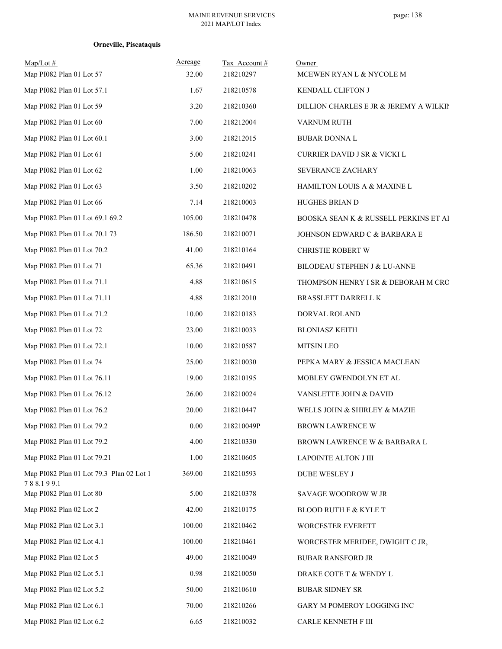| $Map/Lot \#$<br>Map PI082 Plan 01 Lot 57              | Acreage<br>32.00 | Tax Account#<br>218210297 | Owner<br>MCEWEN RYAN L & NYCOLE M                 |
|-------------------------------------------------------|------------------|---------------------------|---------------------------------------------------|
| Map PI082 Plan 01 Lot 57.1                            | 1.67             | 218210578                 | KENDALL CLIFTON J                                 |
| Map PI082 Plan 01 Lot 59                              | 3.20             | 218210360                 | DILLION CHARLES E JR & JEREMY A WILKIN            |
| Map PI082 Plan 01 Lot 60                              | 7.00             | 218212004                 |                                                   |
| Map PI082 Plan 01 Lot 60.1                            | 3.00             | 218212015                 | VARNUM RUTH                                       |
| Map PI082 Plan 01 Lot 61                              | 5.00             | 218210241                 | <b>BUBAR DONNA L</b>                              |
| Map PI082 Plan 01 Lot 62                              | 1.00             | 218210063                 | CURRIER DAVID J SR & VICKI L<br>SEVERANCE ZACHARY |
| Map PI082 Plan 01 Lot 63                              | 3.50             | 218210202                 |                                                   |
|                                                       | 7.14             |                           | HAMILTON LOUIS A & MAXINE L                       |
| Map PI082 Plan 01 Lot 66                              |                  | 218210003                 | HUGHES BRIAN D                                    |
| Map PI082 Plan 01 Lot 69.1 69.2                       | 105.00           | 218210478                 | BOOSKA SEAN K & RUSSELL PERKINS ET AI             |
| Map PI082 Plan 01 Lot 70.1 73                         | 186.50           | 218210071                 | JOHNSON EDWARD C & BARBARA E                      |
| Map PI082 Plan 01 Lot 70.2                            | 41.00            | 218210164                 | CHRISTIE ROBERT W                                 |
| Map PI082 Plan 01 Lot 71                              | 65.36            | 218210491                 | BILODEAU STEPHEN J & LU-ANNE                      |
| Map PI082 Plan 01 Lot 71.1                            | 4.88             | 218210615                 | THOMPSON HENRY I SR & DEBORAH M CRO               |
| Map PI082 Plan 01 Lot 71.11                           | 4.88             | 218212010                 | BRASSLETT DARRELL K                               |
| Map PI082 Plan 01 Lot 71.2                            | 10.00            | 218210183                 | DORVAL ROLAND                                     |
| Map PI082 Plan 01 Lot 72                              | 23.00            | 218210033                 | <b>BLONIASZ KEITH</b>                             |
| Map PI082 Plan 01 Lot 72.1                            | 10.00            | 218210587                 | <b>MITSIN LEO</b>                                 |
| Map PI082 Plan 01 Lot 74                              | 25.00            | 218210030                 | PEPKA MARY & JESSICA MACLEAN                      |
| Map PI082 Plan 01 Lot 76.11                           | 19.00            | 218210195                 | MOBLEY GWENDOLYN ET AL                            |
| Map PI082 Plan 01 Lot 76.12                           | 26.00            | 218210024                 | VANSLETTE JOHN & DAVID                            |
| Map PI082 Plan 01 Lot 76.2                            | 20.00            | 218210447                 | WELLS JOHN & SHIRLEY & MAZIE                      |
| Map PI082 Plan 01 Lot 79.2                            | 0.00             | 218210049P                | BROWN LAWRENCE W                                  |
| Map PI082 Plan 01 Lot 79.2                            | 4.00             | 218210330                 | BROWN LAWRENCE W & BARBARA L                      |
| Map PI082 Plan 01 Lot 79.21                           | 1.00             | 218210605                 | LAPOINTE ALTON J III                              |
| Map PI082 Plan 01 Lot 79.3 Plan 02 Lot 1<br>788.199.1 | 369.00           | 218210593                 | DUBE WESLEY J                                     |
| Map PI082 Plan 01 Lot 80                              | 5.00             | 218210378                 | SAVAGE WOODROW W JR                               |
| Map PI082 Plan 02 Lot 2                               | 42.00            | 218210175                 | <b>BLOOD RUTH F &amp; KYLE T</b>                  |
| Map PI082 Plan 02 Lot 3.1                             | 100.00           | 218210462                 | WORCESTER EVERETT                                 |
| Map PI082 Plan 02 Lot 4.1                             | 100.00           | 218210461                 | WORCESTER MERIDEE, DWIGHT C JR,                   |
| Map PI082 Plan 02 Lot 5                               | 49.00            | 218210049                 | <b>BUBAR RANSFORD JR</b>                          |
| Map PI082 Plan 02 Lot 5.1                             | 0.98             | 218210050                 | DRAKE COTE T & WENDY L                            |
| Map PI082 Plan 02 Lot 5.2                             | 50.00            | 218210610                 | <b>BUBAR SIDNEY SR</b>                            |
| Map PI082 Plan 02 Lot 6.1                             | 70.00            | 218210266                 | GARY M POMEROY LOGGING INC                        |
| Map PI082 Plan 02 Lot 6.2                             | 6.65             | 218210032                 | CARLE KENNETH F III                               |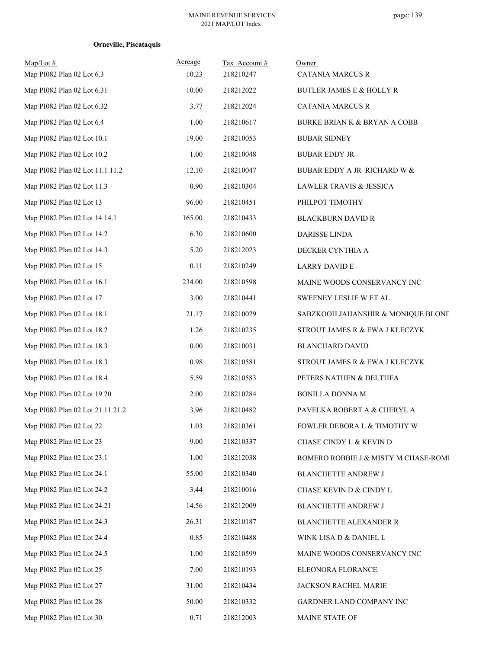| $Map/Lot \#$<br>Map PI082 Plan 02 Lot 6.3 | Acreage<br>10.23 | Tax Account #<br>218210247 | Owner<br><b>CATANIA MARCUS R</b>        |
|-------------------------------------------|------------------|----------------------------|-----------------------------------------|
| Map PI082 Plan 02 Lot 6.31                | 10.00            | 218212022                  | <b>BUTLER JAMES E &amp; HOLLY R</b>     |
| Map PI082 Plan 02 Lot 6.32                | 3.77             | 218212024                  | <b>CATANIA MARCUS R</b>                 |
| Map PI082 Plan 02 Lot 6.4                 | 1.00             | 218210617                  | <b>BURKE BRIAN K &amp; BRYAN A COBB</b> |
| Map PI082 Plan 02 Lot 10.1                | 19.00            | 218210053                  | <b>BUBAR SIDNEY</b>                     |
| Map PI082 Plan 02 Lot 10.2                | 1.00             | 218210048                  | <b>BUBAR EDDY JR</b>                    |
| Map PI082 Plan 02 Lot 11.1 11.2           | 12.10            | 218210047                  | BUBAR EDDY A JR RICHARD W &             |
| Map PI082 Plan 02 Lot 11.3                | 0.90             | 218210304                  | LAWLER TRAVIS & JESSICA                 |
| Map PI082 Plan 02 Lot 13                  | 96.00            | 218210451                  | PHILPOT TIMOTHY                         |
| Map PI082 Plan 02 Lot 14 14.1             | 165.00           | 218210433                  | <b>BLACKBURN DAVID R</b>                |
| Map PI082 Plan 02 Lot 14.2                | 6.30             | 218210600                  | DARISSE LINDA                           |
| Map PI082 Plan 02 Lot 14.3                | 5.20             | 218212023                  | DECKER CYNTHIA A                        |
| Map PI082 Plan 02 Lot 15                  | 0.11             | 218210249                  | LARRY DAVID E                           |
| Map PI082 Plan 02 Lot 16.1                | 234.00           | 218210598                  | MAINE WOODS CONSERVANCY INC             |
| Map PI082 Plan 02 Lot 17                  | 3.00             | 218210441                  | SWEENEY LESLIE W ET AL                  |
| Map PI082 Plan 02 Lot 18.1                | 21.17            | 218210029                  | SABZKOOH JAHANSHIR & MONIQUE BLONE      |
| Map PI082 Plan 02 Lot 18.2                | 1.26             | 218210235                  | STROUT JAMES R & EWA J KLECZYK          |
| Map PI082 Plan 02 Lot 18.3                | 0.00             | 218210031                  | <b>BLANCHARD DAVID</b>                  |
| Map PI082 Plan 02 Lot 18.3                | 0.98             | 218210581                  | STROUT JAMES R & EWA J KLECZYK          |
| Map PI082 Plan 02 Lot 18.4                | 5.59             | 218210583                  | PETERS NATHEN & DELTHEA                 |
| Map PI082 Plan 02 Lot 19 20               | 2.00             | 218210284                  | <b>BONILLA DONNA M</b>                  |
| Map PI082 Plan 02 Lot 21.11 21.2          | 3.96             | 218210482                  | PAVELKA ROBERT A & CHERYL A             |
| Map PI082 Plan 02 Lot 22                  | 1.03             | 218210361                  | FOWLER DEBORA L & TIMOTHY W             |
| Map PI082 Plan 02 Lot 23                  | 9.00             | 218210337                  | CHASE CINDY L & KEVIN D                 |
| Map PI082 Plan 02 Lot 23.1                | 1.00             | 218212038                  | ROMERO ROBBIE J & MISTY M CHASE-ROMI    |
| Map PI082 Plan 02 Lot 24.1                | 55.00            | 218210340                  | <b>BLANCHETTE ANDREW J</b>              |
| Map PI082 Plan 02 Lot 24.2                | 3.44             | 218210016                  | CHASE KEVIN D & CINDY L                 |
| Map PI082 Plan 02 Lot 24.21               | 14.56            | 218212009                  | <b>BLANCHETTE ANDREW J</b>              |
| Map PI082 Plan 02 Lot 24.3                | 26.31            | 218210187                  | <b>BLANCHETTE ALEXANDER R</b>           |
| Map PI082 Plan 02 Lot 24.4                | 0.85             | 218210488                  | WINK LISA D & DANIEL L                  |
| Map PI082 Plan 02 Lot 24.5                | 1.00             | 218210599                  | MAINE WOODS CONSERVANCY INC             |
| Map PI082 Plan 02 Lot 25                  | 7.00             | 218210193                  | ELEONORA FLORANCE                       |
| Map PI082 Plan 02 Lot 27                  | 31.00            | 218210434                  | JACKSON RACHEL MARIE                    |
| Map PI082 Plan 02 Lot 28                  | 50.00            | 218210332                  | GARDNER LAND COMPANY INC                |
| Map PI082 Plan 02 Lot 30                  | 0.71             | 218212003                  | MAINE STATE OF                          |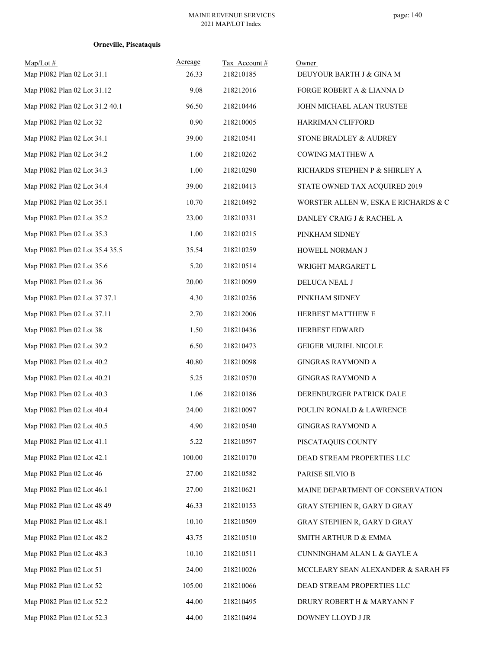| $Map/Lot \#$<br>Map PI082 Plan 02 Lot 31.1 | Acreage<br>26.33 | Tax Account#<br>218210185 | Owner<br>DEUYOUR BARTH J & GINA M    |
|--------------------------------------------|------------------|---------------------------|--------------------------------------|
| Map PI082 Plan 02 Lot 31.12                | 9.08             | 218212016                 | FORGE ROBERT A & LIANNA D            |
| Map PI082 Plan 02 Lot 31.2 40.1            | 96.50            | 218210446                 | JOHN MICHAEL ALAN TRUSTEE            |
| Map PI082 Plan 02 Lot 32                   | 0.90             | 218210005                 | HARRIMAN CLIFFORD                    |
| Map PI082 Plan 02 Lot 34.1                 | 39.00            | 218210541                 | STONE BRADLEY & AUDREY               |
| Map PI082 Plan 02 Lot 34.2                 | 1.00             | 218210262                 | COWING MATTHEW A                     |
| Map PI082 Plan 02 Lot 34.3                 | 1.00             | 218210290                 | RICHARDS STEPHEN P & SHIRLEY A       |
| Map PI082 Plan 02 Lot 34.4                 | 39.00            | 218210413                 | STATE OWNED TAX ACQUIRED 2019        |
| Map PI082 Plan 02 Lot 35.1                 | 10.70            | 218210492                 | WORSTER ALLEN W, ESKA E RICHARDS & C |
| Map PI082 Plan 02 Lot 35.2                 | 23.00            | 218210331                 | DANLEY CRAIG J & RACHEL A            |
| Map PI082 Plan 02 Lot 35.3                 | 1.00             | 218210215                 | PINKHAM SIDNEY                       |
| Map PI082 Plan 02 Lot 35.4 35.5            | 35.54            | 218210259                 | HOWELL NORMAN J                      |
| Map PI082 Plan 02 Lot 35.6                 | 5.20             | 218210514                 | WRIGHT MARGARET L                    |
| Map PI082 Plan 02 Lot 36                   | 20.00            | 218210099                 | DELUCA NEAL J                        |
| Map PI082 Plan 02 Lot 37 37.1              | 4.30             | 218210256                 | PINKHAM SIDNEY                       |
| Map PI082 Plan 02 Lot 37.11                | 2.70             | 218212006                 | HERBEST MATTHEW E                    |
| Map PI082 Plan 02 Lot 38                   | 1.50             | 218210436                 | HERBEST EDWARD                       |
| Map PI082 Plan 02 Lot 39.2                 | 6.50             | 218210473                 | <b>GEIGER MURIEL NICOLE</b>          |
| Map PI082 Plan 02 Lot 40.2                 | 40.80            | 218210098                 | <b>GINGRAS RAYMOND A</b>             |
| Map PI082 Plan 02 Lot 40.21                | 5.25             | 218210570                 | <b>GINGRAS RAYMOND A</b>             |
| Map PI082 Plan 02 Lot 40.3                 | 1.06             | 218210186                 | DERENBURGER PATRICK DALE             |
| Map PI082 Plan 02 Lot 40.4                 | 24.00            | 218210097                 | POULIN RONALD & LAWRENCE             |
| Map PI082 Plan 02 Lot 40.5                 | 4.90             | 218210540                 | <b>GINGRAS RAYMOND A</b>             |
| Map PI082 Plan 02 Lot 41.1                 | 5.22             | 218210597                 | PISCATAQUIS COUNTY                   |
| Map PI082 Plan 02 Lot 42.1                 | 100.00           | 218210170                 | DEAD STREAM PROPERTIES LLC           |
| Map PI082 Plan 02 Lot 46                   | 27.00            | 218210582                 | PARISE SILVIO B                      |
| Map PI082 Plan 02 Lot 46.1                 | 27.00            | 218210621                 | MAINE DEPARTMENT OF CONSERVATION     |
| Map PI082 Plan 02 Lot 48 49                | 46.33            | 218210153                 | GRAY STEPHEN R, GARY D GRAY          |
| Map PI082 Plan 02 Lot 48.1                 | 10.10            | 218210509                 | GRAY STEPHEN R, GARY D GRAY          |
| Map PI082 Plan 02 Lot 48.2                 | 43.75            | 218210510                 | SMITH ARTHUR D & EMMA                |
| Map PI082 Plan 02 Lot 48.3                 | 10.10            | 218210511                 | CUNNINGHAM ALAN L & GAYLE A          |
| Map PI082 Plan 02 Lot 51                   | 24.00            | 218210026                 | MCCLEARY SEAN ALEXANDER & SARAH FR   |
| Map PI082 Plan 02 Lot 52                   | 105.00           | 218210066                 | DEAD STREAM PROPERTIES LLC           |
| Map PI082 Plan 02 Lot 52.2                 | 44.00            | 218210495                 | DRURY ROBERT H & MARYANN F           |
| Map PI082 Plan 02 Lot 52.3                 | 44.00            | 218210494                 | DOWNEY LLOYD J JR                    |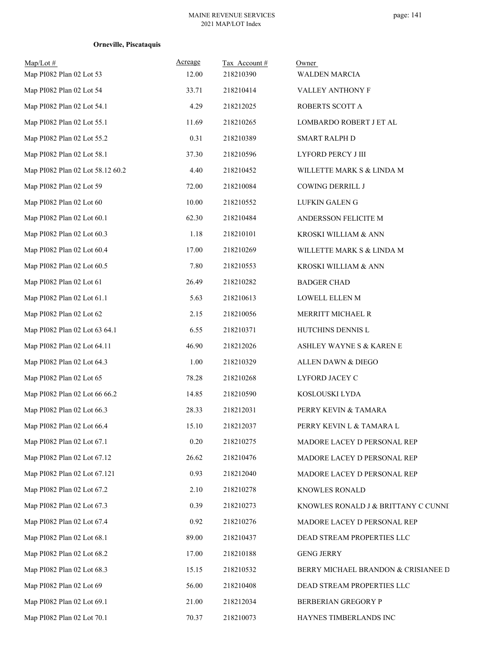| $Map/Lot \#$<br>Map PI082 Plan 02 Lot 53 | Acreage<br>12.00 | Tax Account#<br>218210390 | Owner<br><b>WALDEN MARCIA</b>       |
|------------------------------------------|------------------|---------------------------|-------------------------------------|
| Map PI082 Plan 02 Lot 54                 | 33.71            | 218210414                 | VALLEY ANTHONY F                    |
| Map PI082 Plan 02 Lot 54.1               | 4.29             | 218212025                 | ROBERTS SCOTT A                     |
| Map PI082 Plan 02 Lot 55.1               | 11.69            | 218210265                 | LOMBARDO ROBERT J ET AL             |
| Map PI082 Plan 02 Lot 55.2               | 0.31             | 218210389                 | <b>SMART RALPH D</b>                |
| Map PI082 Plan 02 Lot 58.1               | 37.30            | 218210596                 | LYFORD PERCY J III                  |
| Map PI082 Plan 02 Lot 58.12 60.2         | 4.40             | 218210452                 | WILLETTE MARK S & LINDA M           |
| Map PI082 Plan 02 Lot 59                 | 72.00            | 218210084                 | COWING DERRILL J                    |
| Map PI082 Plan 02 Lot 60                 | 10.00            | 218210552                 | LUFKIN GALEN G                      |
| Map PI082 Plan 02 Lot 60.1               | 62.30            | 218210484                 | ANDERSSON FELICITE M                |
| Map PI082 Plan 02 Lot 60.3               | 1.18             | 218210101                 | KROSKI WILLIAM & ANN                |
| Map PI082 Plan 02 Lot 60.4               | 17.00            | 218210269                 | WILLETTE MARK S & LINDA M           |
| Map PI082 Plan 02 Lot 60.5               | 7.80             | 218210553                 | KROSKI WILLIAM & ANN                |
| Map PI082 Plan 02 Lot 61                 | 26.49            | 218210282                 | <b>BADGER CHAD</b>                  |
| Map PI082 Plan 02 Lot 61.1               | 5.63             | 218210613                 | LOWELL ELLEN M                      |
| Map PI082 Plan 02 Lot 62                 | 2.15             | 218210056                 | MERRITT MICHAEL R                   |
| Map PI082 Plan 02 Lot 63 64.1            | 6.55             | 218210371                 | HUTCHINS DENNIS L                   |
| Map PI082 Plan 02 Lot 64.11              | 46.90            | 218212026                 | ASHLEY WAYNE S & KAREN E            |
| Map PI082 Plan 02 Lot 64.3               | 1.00             | 218210329                 | ALLEN DAWN $\&$ DIEGO               |
| Map PI082 Plan 02 Lot 65                 | 78.28            | 218210268                 | LYFORD JACEY C                      |
| Map PI082 Plan 02 Lot 66 66.2            | 14.85            | 218210590                 | KOSLOUSKI LYDA                      |
| Map PI082 Plan 02 Lot 66.3               | 28.33            | 218212031                 | PERRY KEVIN & TAMARA                |
| Map PI082 Plan 02 Lot 66.4               | 15.10            | 218212037                 | PERRY KEVIN L & TAMARA L            |
| Map PI082 Plan 02 Lot 67.1               | 0.20             | 218210275                 | MADORE LACEY D PERSONAL REP         |
| Map PI082 Plan 02 Lot 67.12              | 26.62            | 218210476                 | MADORE LACEY D PERSONAL REP         |
| Map PI082 Plan 02 Lot 67.121             | 0.93             | 218212040                 | MADORE LACEY D PERSONAL REP         |
| Map PI082 Plan 02 Lot 67.2               | 2.10             | 218210278                 | KNOWLES RONALD                      |
| Map PI082 Plan 02 Lot 67.3               | 0.39             | 218210273                 | KNOWLES RONALD J & BRITTANY C CUNNI |
| Map PI082 Plan 02 Lot 67.4               | 0.92             | 218210276                 | MADORE LACEY D PERSONAL REP         |
| Map PI082 Plan 02 Lot 68.1               | 89.00            | 218210437                 | DEAD STREAM PROPERTIES LLC          |
| Map PI082 Plan 02 Lot 68.2               | 17.00            | 218210188                 | <b>GENG JERRY</b>                   |
| Map PI082 Plan 02 Lot 68.3               | 15.15            | 218210532                 | BERRY MICHAEL BRANDON & CRISIANEE D |
| Map PI082 Plan 02 Lot 69                 | 56.00            | 218210408                 | DEAD STREAM PROPERTIES LLC          |
| Map PI082 Plan 02 Lot 69.1               | 21.00            | 218212034                 | <b>BERBERIAN GREGORY P</b>          |
| Map PI082 Plan 02 Lot 70.1               | 70.37            | 218210073                 | HAYNES TIMBERLANDS INC              |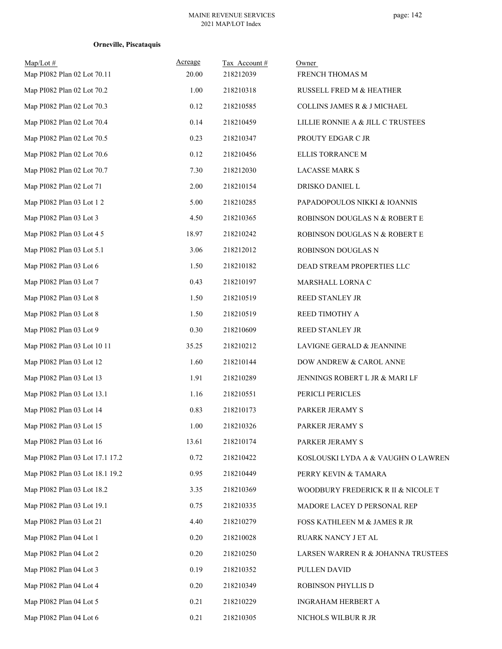| $Map/Lot \#$<br>Map PI082 Plan 02 Lot 70.11 | Acreage<br>20.00 | Tax Account#<br>218212039 | Owner<br>FRENCH THOMAS M           |
|---------------------------------------------|------------------|---------------------------|------------------------------------|
| Map PI082 Plan 02 Lot 70.2                  | 1.00             | 218210318                 | RUSSELL FRED M & HEATHER           |
| Map PI082 Plan 02 Lot 70.3                  | 0.12             | 218210585                 | COLLINS JAMES R & J MICHAEL        |
| Map PI082 Plan 02 Lot 70.4                  | 0.14             | 218210459                 | LILLIE RONNIE A & JILL C TRUSTEES  |
| Map PI082 Plan 02 Lot 70.5                  | 0.23             | 218210347                 | PROUTY EDGAR C JR                  |
| Map PI082 Plan 02 Lot 70.6                  | 0.12             | 218210456                 | ELLIS TORRANCE M                   |
| Map PI082 Plan 02 Lot 70.7                  | 7.30             | 218212030                 | <b>LACASSE MARK S</b>              |
| Map PI082 Plan 02 Lot 71                    | 2.00             | 218210154                 | DRISKO DANIEL L                    |
| Map PI082 Plan 03 Lot 1 2                   | 5.00             | 218210285                 | PAPADOPOULOS NIKKI & IOANNIS       |
| Map PI082 Plan 03 Lot 3                     | 4.50             | 218210365                 | ROBINSON DOUGLAS N & ROBERT E      |
| Map PI082 Plan 03 Lot 4 5                   | 18.97            | 218210242                 | ROBINSON DOUGLAS N & ROBERT E      |
| Map PI082 Plan 03 Lot 5.1                   | 3.06             | 218212012                 | ROBINSON DOUGLAS N                 |
| Map PI082 Plan 03 Lot 6                     | 1.50             | 218210182                 | DEAD STREAM PROPERTIES LLC         |
| Map PI082 Plan 03 Lot 7                     | 0.43             | 218210197                 | MARSHALL LORNA C                   |
| Map PI082 Plan 03 Lot 8                     | 1.50             | 218210519                 | REED STANLEY JR                    |
| Map PI082 Plan 03 Lot 8                     | 1.50             | 218210519                 | REED TIMOTHY A                     |
| Map PI082 Plan 03 Lot 9                     | 0.30             | 218210609                 | REED STANLEY JR                    |
| Map PI082 Plan 03 Lot 10 11                 | 35.25            | 218210212                 | LAVIGNE GERALD & JEANNINE          |
| Map PI082 Plan 03 Lot 12                    | 1.60             | 218210144                 | DOW ANDREW & CAROL ANNE            |
| Map PI082 Plan 03 Lot 13                    | 1.91             | 218210289                 | JENNINGS ROBERT L JR & MARI LF     |
| Map PI082 Plan 03 Lot 13.1                  | 1.16             | 218210551                 | PERICLI PERICLES                   |
| Map PI082 Plan 03 Lot 14                    | 0.83             | 218210173                 | PARKER JERAMY S                    |
| Map PI082 Plan 03 Lot 15                    | 1.00             | 218210326                 | PARKER JERAMY S                    |
| Map PI082 Plan 03 Lot 16                    | 13.61            | 218210174                 | PARKER JERAMY S                    |
| Map PI082 Plan 03 Lot 17.1 17.2             | 0.72             | 218210422                 | KOSLOUSKI LYDA A & VAUGHN O LAWREN |
| Map PI082 Plan 03 Lot 18.1 19.2             | 0.95             | 218210449                 | PERRY KEVIN & TAMARA               |
| Map PI082 Plan 03 Lot 18.2                  | 3.35             | 218210369                 | WOODBURY FREDERICK R II & NICOLE T |
| Map PI082 Plan 03 Lot 19.1                  | 0.75             | 218210335                 | MADORE LACEY D PERSONAL REP        |
| Map PI082 Plan 03 Lot 21                    | 4.40             | 218210279                 | FOSS KATHLEEN M & JAMES R JR       |
| Map PI082 Plan 04 Lot 1                     | 0.20             | 218210028                 | RUARK NANCY J ET AL                |
| Map PI082 Plan 04 Lot 2                     | 0.20             | 218210250                 | LARSEN WARREN R & JOHANNA TRUSTEES |
| Map PI082 Plan 04 Lot 3                     | 0.19             | 218210352                 | PULLEN DAVID                       |
| Map PI082 Plan 04 Lot 4                     | 0.20             | 218210349                 | ROBINSON PHYLLIS D                 |
| Map PI082 Plan 04 Lot 5                     | 0.21             | 218210229                 | INGRAHAM HERBERT A                 |
| Map PI082 Plan 04 Lot 6                     | 0.21             | 218210305                 | NICHOLS WILBUR R JR                |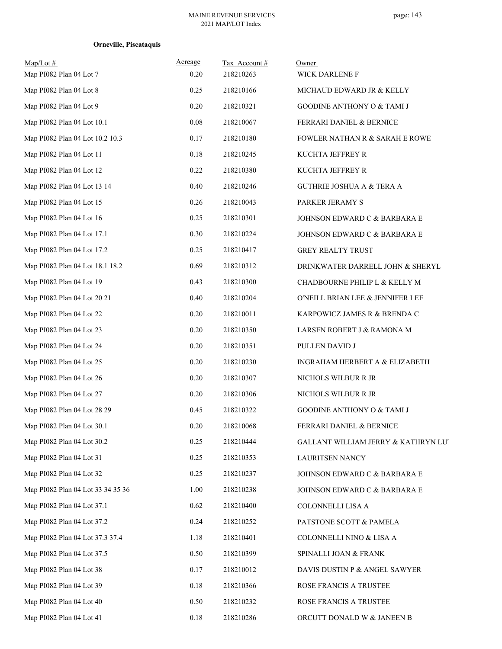| $Map/Lot \#$<br>Map PI082 Plan 04 Lot 7 | Acreage<br>0.20 | Tax Account#<br>218210263 | Owner<br>WICK DARLENE F                   |
|-----------------------------------------|-----------------|---------------------------|-------------------------------------------|
| Map PI082 Plan 04 Lot 8                 | 0.25            | 218210166                 | MICHAUD EDWARD JR & KELLY                 |
| Map PI082 Plan 04 Lot 9                 | 0.20            | 218210321                 | <b>GOODINE ANTHONY O &amp; TAMI J</b>     |
| Map PI082 Plan 04 Lot 10.1              | 0.08            | 218210067                 | FERRARI DANIEL & BERNICE                  |
| Map PI082 Plan 04 Lot 10.2 10.3         | 0.17            | 218210180                 | <b>FOWLER NATHAN R &amp; SARAH E ROWE</b> |
| Map PI082 Plan 04 Lot 11                | $0.18\,$        | 218210245                 | KUCHTA JEFFREY R                          |
| Map PI082 Plan 04 Lot 12                | 0.22            | 218210380                 | KUCHTA JEFFREY R                          |
| Map PI082 Plan 04 Lot 13 14             | 0.40            | 218210246                 | <b>GUTHRIE JOSHUA A &amp; TERA A</b>      |
| Map PI082 Plan 04 Lot 15                | 0.26            | 218210043                 | PARKER JERAMY S                           |
| Map PI082 Plan 04 Lot 16                | 0.25            | 218210301                 | JOHNSON EDWARD C & BARBARA E              |
| Map PI082 Plan 04 Lot 17.1              | 0.30            | 218210224                 | JOHNSON EDWARD C & BARBARA E              |
| Map PI082 Plan 04 Lot 17.2              | 0.25            | 218210417                 | <b>GREY REALTY TRUST</b>                  |
| Map PI082 Plan 04 Lot 18.1 18.2         | 0.69            | 218210312                 | DRINKWATER DARRELL JOHN & SHERYL          |
| Map PI082 Plan 04 Lot 19                | 0.43            | 218210300                 | CHADBOURNE PHILIP L & KELLY M             |
| Map PI082 Plan 04 Lot 20 21             | 0.40            | 218210204                 | O'NEILL BRIAN LEE & JENNIFER LEE          |
| Map PI082 Plan 04 Lot 22                | 0.20            | 218210011                 | KARPOWICZ JAMES R & BRENDA C              |
| Map PI082 Plan 04 Lot 23                | 0.20            | 218210350                 | LARSEN ROBERT J & RAMONA M                |
| Map PI082 Plan 04 Lot 24                | 0.20            | 218210351                 | PULLEN DAVID J                            |
| Map PI082 Plan 04 Lot 25                | 0.20            | 218210230                 | INGRAHAM HERBERT A & ELIZABETH            |
| Map PI082 Plan 04 Lot 26                | 0.20            | 218210307                 | NICHOLS WILBUR R JR                       |
| Map PI082 Plan 04 Lot 27                | 0.20            | 218210306                 | NICHOLS WILBUR R JR                       |
| Map PI082 Plan 04 Lot 28 29             | 0.45            | 218210322                 | GOODINE ANTHONY O & TAMI J                |
| Map PI082 Plan 04 Lot 30.1              | 0.20            | 218210068                 | FERRARI DANIEL & BERNICE                  |
| Map PI082 Plan 04 Lot 30.2              | 0.25            | 218210444                 | GALLANT WILLIAM JERRY & KATHRYN LUT       |
| Map PI082 Plan 04 Lot 31                | 0.25            | 218210353                 | LAURITSEN NANCY                           |
| Map PI082 Plan 04 Lot 32                | 0.25            | 218210237                 | JOHNSON EDWARD C & BARBARA E              |
| Map PI082 Plan 04 Lot 33 34 35 36       | 1.00            | 218210238                 | JOHNSON EDWARD C & BARBARA E              |
| Map PI082 Plan 04 Lot 37.1              | 0.62            | 218210400                 | COLONNELLI LISA A                         |
| Map PI082 Plan 04 Lot 37.2              | 0.24            | 218210252                 | PATSTONE SCOTT & PAMELA                   |
| Map PI082 Plan 04 Lot 37.3 37.4         | 1.18            | 218210401                 | COLONNELLI NINO & LISA A                  |
| Map PI082 Plan 04 Lot 37.5              | 0.50            | 218210399                 | SPINALLI JOAN & FRANK                     |
| Map PI082 Plan 04 Lot 38                | 0.17            | 218210012                 | DAVIS DUSTIN P & ANGEL SAWYER             |
| Map PI082 Plan 04 Lot 39                | $0.18\,$        | 218210366                 | ROSE FRANCIS A TRUSTEE                    |
| Map PI082 Plan 04 Lot 40                | 0.50            | 218210232                 | ROSE FRANCIS A TRUSTEE                    |
| Map PI082 Plan 04 Lot 41                | 0.18            | 218210286                 | ORCUTT DONALD W & JANEEN B                |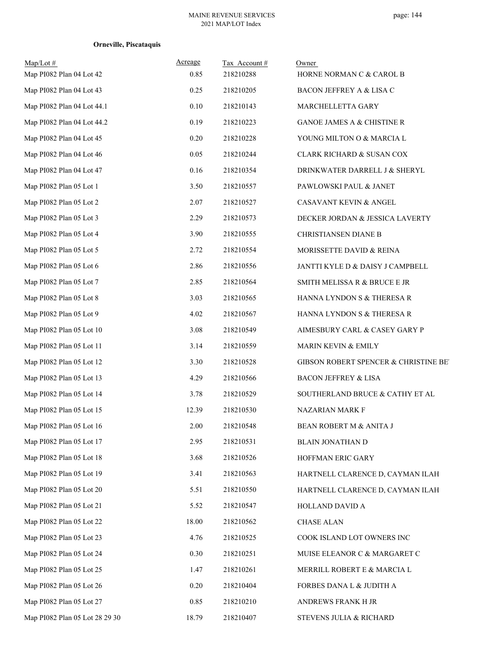| $Map/Lot \#$<br>Map PI082 Plan 04 Lot 42 | Acreage<br>0.85 | Tax Account#<br>218210288 | Owner<br>HORNE NORMAN C & CAROL B     |
|------------------------------------------|-----------------|---------------------------|---------------------------------------|
| Map PI082 Plan 04 Lot 43                 | 0.25            | 218210205                 | BACON JEFFREY A & LISA C              |
| Map PI082 Plan 04 Lot 44.1               | 0.10            | 218210143                 | MARCHELLETTA GARY                     |
| Map PI082 Plan 04 Lot 44.2               | 0.19            | 218210223                 | GANOE JAMES A & CHISTINE R            |
| Map PI082 Plan 04 Lot 45                 | 0.20            | 218210228                 | YOUNG MILTON O & MARCIA L             |
| Map PI082 Plan 04 Lot 46                 | 0.05            | 218210244                 | CLARK RICHARD & SUSAN COX             |
| Map PI082 Plan 04 Lot 47                 | 0.16            | 218210354                 | DRINKWATER DARRELL J & SHERYL         |
| Map PI082 Plan 05 Lot 1                  | 3.50            | 218210557                 | PAWLOWSKI PAUL & JANET                |
| Map PI082 Plan 05 Lot 2                  | 2.07            | 218210527                 | CASAVANT KEVIN & ANGEL                |
| Map PI082 Plan 05 Lot 3                  | 2.29            | 218210573                 | DECKER JORDAN & JESSICA LAVERTY       |
| Map PI082 Plan 05 Lot 4                  | 3.90            | 218210555                 | CHRISTIANSEN DIANE B                  |
| Map PI082 Plan 05 Lot 5                  | 2.72            | 218210554                 | MORISSETTE DAVID & REINA              |
| Map PI082 Plan 05 Lot 6                  | 2.86            | 218210556                 | JANTTI KYLE D & DAISY J CAMPBELL      |
| Map PI082 Plan 05 Lot 7                  | 2.85            | 218210564                 | SMITH MELISSA R & BRUCE E JR          |
| Map PI082 Plan 05 Lot 8                  | 3.03            | 218210565                 | HANNA LYNDON S & THERESA R            |
| Map PI082 Plan 05 Lot 9                  | 4.02            | 218210567                 | HANNA LYNDON S & THERESA R            |
| Map PI082 Plan 05 Lot 10                 | 3.08            | 218210549                 | AIMESBURY CARL & CASEY GARY P         |
| Map PI082 Plan 05 Lot 11                 | 3.14            | 218210559                 | <b>MARIN KEVIN &amp; EMILY</b>        |
| Map PI082 Plan 05 Lot 12                 | 3.30            | 218210528                 | GIBSON ROBERT SPENCER & CHRISTINE BET |
| Map PI082 Plan 05 Lot 13                 | 4.29            | 218210566                 | <b>BACON JEFFREY &amp; LISA</b>       |
| Map PI082 Plan 05 Lot 14                 | 3.78            | 218210529                 | SOUTHERLAND BRUCE & CATHY ET AL       |
| Map PI082 Plan 05 Lot 15                 | 12.39           | 218210530                 | NAZARIAN MARK F                       |
| Map PI082 Plan 05 Lot 16                 | 2.00            | 218210548                 | BEAN ROBERT M & ANITA J               |
| Map PI082 Plan 05 Lot 17                 | 2.95            | 218210531                 | <b>BLAIN JONATHAN D</b>               |
| Map PI082 Plan 05 Lot 18                 | 3.68            | 218210526                 | HOFFMAN ERIC GARY                     |
| Map PI082 Plan 05 Lot 19                 | 3.41            | 218210563                 | HARTNELL CLARENCE D, CAYMAN ILAH      |
| Map PI082 Plan 05 Lot 20                 | 5.51            | 218210550                 | HARTNELL CLARENCE D, CAYMAN ILAH      |
| Map PI082 Plan 05 Lot 21                 | 5.52            | 218210547                 | HOLLAND DAVID A                       |
| Map PI082 Plan 05 Lot 22                 | 18.00           | 218210562                 | <b>CHASE ALAN</b>                     |
| Map PI082 Plan 05 Lot 23                 | 4.76            | 218210525                 | COOK ISLAND LOT OWNERS INC            |
| Map PI082 Plan 05 Lot 24                 | 0.30            | 218210251                 | MUISE ELEANOR C & MARGARET C          |
| Map PI082 Plan 05 Lot 25                 | 1.47            | 218210261                 | MERRILL ROBERT E & MARCIA L           |
| Map PI082 Plan 05 Lot 26                 | 0.20            | 218210404                 | FORBES DANA L & JUDITH A              |
| Map PI082 Plan 05 Lot 27                 | 0.85            | 218210210                 | ANDREWS FRANK H JR                    |
| Map PI082 Plan 05 Lot 28 29 30           | 18.79           | 218210407                 | STEVENS JULIA & RICHARD               |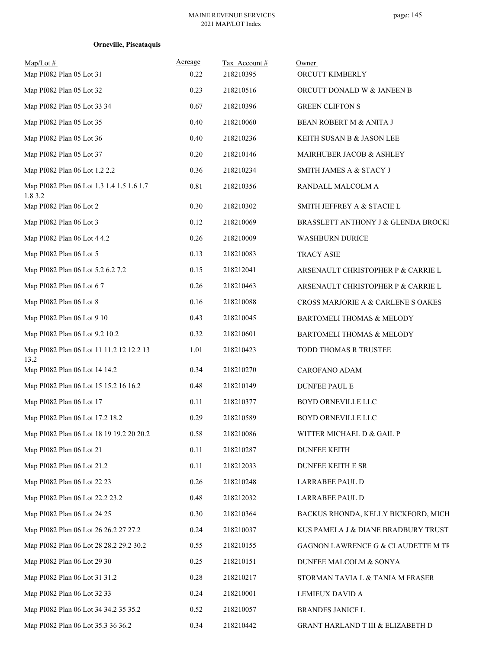| $Map/Lot$ #<br>Map PI082 Plan 05 Lot 31              | Acreage<br>0.22 | Tax Account#<br>218210395 | Owner<br>ORCUTT KIMBERLY            |
|------------------------------------------------------|-----------------|---------------------------|-------------------------------------|
| Map PI082 Plan 05 Lot 32                             | 0.23            | 218210516                 | ORCUTT DONALD W & JANEEN B          |
| Map PI082 Plan 05 Lot 33 34                          | 0.67            | 218210396                 | <b>GREEN CLIFTON S</b>              |
| Map PI082 Plan 05 Lot 35                             | 0.40            | 218210060                 | BEAN ROBERT M & ANITA J             |
| Map PI082 Plan 05 Lot 36                             | 0.40            | 218210236                 | KEITH SUSAN B & JASON LEE           |
| Map PI082 Plan 05 Lot 37                             | 0.20            | 218210146                 | MAIRHUBER JACOB & ASHLEY            |
| Map PI082 Plan 06 Lot 1.2 2.2                        | 0.36            | 218210234                 | SMITH JAMES A & STACY J             |
| Map PI082 Plan 06 Lot 1.3 1.4 1.5 1.6 1.7<br>1.8 3.2 | 0.81            | 218210356                 | RANDALL MALCOLM A                   |
| Map PI082 Plan 06 Lot 2                              | 0.30            | 218210302                 | SMITH JEFFREY A & STACIE L          |
| Map PI082 Plan 06 Lot 3                              | 0.12            | 218210069                 | BRASSLETT ANTHONY J & GLENDA BROCKI |
| Map PI082 Plan 06 Lot 4 4.2                          | 0.26            | 218210009                 | <b>WASHBURN DURICE</b>              |
| Map PI082 Plan 06 Lot 5                              | 0.13            | 218210083                 | <b>TRACY ASIE</b>                   |
| Map PI082 Plan 06 Lot 5.2 6.2 7.2                    | 0.15            | 218212041                 | ARSENAULT CHRISTOPHER P & CARRIE L  |
| Map PI082 Plan 06 Lot 6 7                            | 0.26            | 218210463                 | ARSENAULT CHRISTOPHER P & CARRIE L  |
| Map PI082 Plan 06 Lot 8                              | 0.16            | 218210088                 | CROSS MARJORIE A & CARLENE S OAKES  |
| Map PI082 Plan 06 Lot 9 10                           | 0.43            | 218210045                 | BARTOMELI THOMAS & MELODY           |
| Map PI082 Plan 06 Lot 9.2 10.2                       | 0.32            | 218210601                 | BARTOMELI THOMAS & MELODY           |
| Map PI082 Plan 06 Lot 11 11.2 12 12.2 13<br>13.2     | 1.01            | 218210423                 | TODD THOMAS R TRUSTEE               |
| Map PI082 Plan 06 Lot 14 14.2                        | 0.34            | 218210270                 | CAROFANO ADAM                       |
| Map PI082 Plan 06 Lot 15 15.2 16 16.2                | 0.48            | 218210149                 | <b>DUNFEE PAUL E</b>                |
| Map PI082 Plan 06 Lot 17                             | 0.11            | 218210377                 | BOYD ORNEVILLE LLC                  |
| Map PI082 Plan 06 Lot 17.2 18.2                      | 0.29            | 218210589                 | BOYD ORNEVILLE LLC                  |
| Map PI082 Plan 06 Lot 18 19 19.2 20 20.2             | 0.58            | 218210086                 | WITTER MICHAEL D & GAIL P           |
| Map PI082 Plan 06 Lot 21                             | 0.11            | 218210287                 | <b>DUNFEE KEITH</b>                 |
| Map PI082 Plan 06 Lot 21.2                           | 0.11            | 218212033                 | DUNFEE KEITH E SR                   |
| Map PI082 Plan 06 Lot 22 23                          | 0.26            | 218210248                 | LARRABEE PAUL D                     |
| Map PI082 Plan 06 Lot 22.2 23.2                      | 0.48            | 218212032                 | LARRABEE PAUL D                     |
| Map PI082 Plan 06 Lot 24 25                          | 0.30            | 218210364                 | BACKUS RHONDA, KELLY BICKFORD, MICH |
| Map PI082 Plan 06 Lot 26 26.2 27 27.2                | 0.24            | 218210037                 | KUS PAMELA J & DIANE BRADBURY TRUST |
| Map PI082 Plan 06 Lot 28 28.2 29.2 30.2              | 0.55            | 218210155                 | GAGNON LAWRENCE G & CLAUDETTE M TR  |
| Map PI082 Plan 06 Lot 29 30                          | 0.25            | 218210151                 | DUNFEE MALCOLM & SONYA              |
| Map PI082 Plan 06 Lot 31 31.2                        | 0.28            | 218210217                 | STORMAN TAVIA L & TANIA M FRASER    |
| Map PI082 Plan 06 Lot 32 33                          | 0.24            | 218210001                 | LEMIEUX DAVID A                     |
| Map PI082 Plan 06 Lot 34 34.2 35 35.2                | 0.52            | 218210057                 | BRANDES JANICE L                    |
| Map PI082 Plan 06 Lot 35.3 36 36.2                   | 0.34            | 218210442                 | GRANT HARLAND T III & ELIZABETH D   |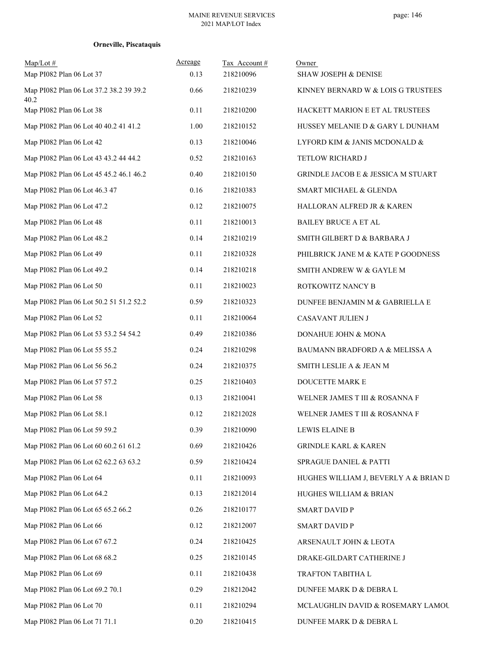| $Map/Lot$ #<br>Map PI082 Plan 06 Lot 37         | Acreage<br>0.13 | Tax Account#<br>218210096 | Owner<br><b>SHAW JOSEPH &amp; DENISE</b>      |
|-------------------------------------------------|-----------------|---------------------------|-----------------------------------------------|
| Map PI082 Plan 06 Lot 37.2 38.2 39 39.2<br>40.2 | 0.66            | 218210239                 | KINNEY BERNARD W & LOIS G TRUSTEES            |
| Map PI082 Plan 06 Lot 38                        | 0.11            | 218210200                 | HACKETT MARION E ET AL TRUSTEES               |
| Map PI082 Plan 06 Lot 40 40.2 41 41.2           | 1.00            | 218210152                 | HUSSEY MELANIE D & GARY L DUNHAM              |
| Map PI082 Plan 06 Lot 42                        | 0.13            | 218210046                 | LYFORD KIM & JANIS MCDONALD &                 |
| Map PI082 Plan 06 Lot 43 43.2 44 44.2           | 0.52            | 218210163                 | TETLOW RICHARD J                              |
| Map PI082 Plan 06 Lot 45 45.2 46.1 46.2         | 0.40            | 218210150                 | <b>GRINDLE JACOB E &amp; JESSICA M STUART</b> |
| Map PI082 Plan 06 Lot 46.3 47                   | 0.16            | 218210383                 | SMART MICHAEL & GLENDA                        |
| Map PI082 Plan 06 Lot 47.2                      | 0.12            | 218210075                 | HALLORAN ALFRED JR & KAREN                    |
| Map PI082 Plan 06 Lot 48                        | 0.11            | 218210013                 | <b>BAILEY BRUCE A ET AL</b>                   |
| Map PI082 Plan 06 Lot 48.2                      | 0.14            | 218210219                 | SMITH GILBERT D & BARBARA J                   |
| Map PI082 Plan 06 Lot 49                        | 0.11            | 218210328                 | PHILBRICK JANE M & KATE P GOODNESS            |
| Map PI082 Plan 06 Lot 49.2                      | 0.14            | 218210218                 | SMITH ANDREW W & GAYLE M                      |
| Map PI082 Plan 06 Lot 50                        | 0.11            | 218210023                 | ROTKOWITZ NANCY B                             |
| Map PI082 Plan 06 Lot 50.2 51 51.2 52.2         | 0.59            | 218210323                 | DUNFEE BENJAMIN M & GABRIELLA E               |
| Map PI082 Plan 06 Lot 52                        | 0.11            | 218210064                 | CASAVANT JULIEN J                             |
| Map PI082 Plan 06 Lot 53 53.2 54 54.2           | 0.49            | 218210386                 | DONAHUE JOHN & MONA                           |
| Map PI082 Plan 06 Lot 55 55.2                   | 0.24            | 218210298                 | BAUMANN BRADFORD A & MELISSA A                |
| Map PI082 Plan 06 Lot 56 56.2                   | 0.24            | 218210375                 | SMITH LESLIE A $\&$ JEAN M                    |
| Map PI082 Plan 06 Lot 57 57.2                   | 0.25            | 218210403                 | DOUCETTE MARK E                               |
| Map PI082 Plan 06 Lot 58                        | 0.13            | 218210041                 | WELNER JAMES T III & ROSANNA F                |
| Map PI082 Plan 06 Lot 58.1                      | 0.12            | 218212028                 | WELNER JAMES T III & ROSANNA F                |
| Map PI082 Plan 06 Lot 59 59.2                   | 0.39            | 218210090                 | LEWIS ELAINE B                                |
| Map PI082 Plan 06 Lot 60 60.2 61 61.2           | 0.69            | 218210426                 | <b>GRINDLE KARL &amp; KAREN</b>               |
| Map PI082 Plan 06 Lot 62 62.2 63 63.2           | 0.59            | 218210424                 | SPRAGUE DANIEL & PATTI                        |
| Map PI082 Plan 06 Lot 64                        | 0.11            | 218210093                 | HUGHES WILLIAM J, BEVERLY A & BRIAN D         |
| Map PI082 Plan 06 Lot 64.2                      | 0.13            | 218212014                 | HUGHES WILLIAM & BRIAN                        |
| Map PI082 Plan 06 Lot 65 65.2 66.2              | 0.26            | 218210177                 | <b>SMART DAVID P</b>                          |
| Map PI082 Plan 06 Lot 66                        | 0.12            | 218212007                 | <b>SMART DAVID P</b>                          |
| Map PI082 Plan 06 Lot 67 67.2                   | 0.24            | 218210425                 | ARSENAULT JOHN & LEOTA                        |
| Map PI082 Plan 06 Lot 68 68.2                   | 0.25            | 218210145                 | DRAKE-GILDART CATHERINE J                     |
| Map PI082 Plan 06 Lot 69                        | 0.11            | 218210438                 | TRAFTON TABITHA L                             |
| Map PI082 Plan 06 Lot 69.2 70.1                 | 0.29            | 218212042                 | DUNFEE MARK D & DEBRA L                       |
| Map PI082 Plan 06 Lot 70                        | 0.11            | 218210294                 | MCLAUGHLIN DAVID & ROSEMARY LAMOU             |
| Map PI082 Plan 06 Lot 71 71.1                   | 0.20            | 218210415                 | DUNFEE MARK D & DEBRA L                       |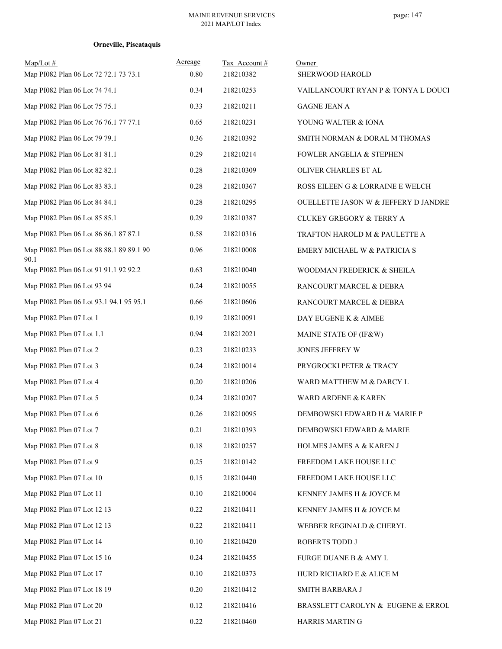| $Map/Lot \#$<br>Map PI082 Plan 06 Lot 72 72.1 73 73.1 | Acreage<br>0.80 | Tax Account#<br>218210382 | Owner<br>SHERWOOD HAROLD             |
|-------------------------------------------------------|-----------------|---------------------------|--------------------------------------|
| Map PI082 Plan 06 Lot 74 74.1                         | 0.34            | 218210253                 | VAILLANCOURT RYAN P & TONYA L DOUCH  |
| Map PI082 Plan 06 Lot 75 75.1                         | 0.33            | 218210211                 | <b>GAGNE JEAN A</b>                  |
| Map PI082 Plan 06 Lot 76 76.1 77 77.1                 | 0.65            | 218210231                 |                                      |
|                                                       | 0.36            |                           | YOUNG WALTER & IONA                  |
| Map PI082 Plan 06 Lot 79 79.1                         |                 | 218210392                 | SMITH NORMAN & DORAL M THOMAS        |
| Map PI082 Plan 06 Lot 81 81.1                         | 0.29            | 218210214                 | FOWLER ANGELIA & STEPHEN             |
| Map PI082 Plan 06 Lot 82 82.1                         | 0.28            | 218210309                 | OLIVER CHARLES ET AL                 |
| Map PI082 Plan 06 Lot 83 83.1                         | 0.28            | 218210367                 | ROSS EILEEN G & LORRAINE E WELCH     |
| Map PI082 Plan 06 Lot 84 84.1                         | 0.28            | 218210295                 | OUELLETTE JASON W & JEFFERY D JANDRE |
| Map PI082 Plan 06 Lot 85 85.1                         | 0.29            | 218210387                 | CLUKEY GREGORY & TERRY A             |
| Map PI082 Plan 06 Lot 86 86.1 87 87.1                 | 0.58            | 218210316                 | TRAFTON HAROLD M & PAULETTE A        |
| Map PI082 Plan 06 Lot 88 88.1 89 89.1 90<br>90.1      | 0.96            | 218210008                 | EMERY MICHAEL W & PATRICIA S         |
| Map PI082 Plan 06 Lot 91 91.1 92 92.2                 | 0.63            | 218210040                 | WOODMAN FREDERICK & SHEILA           |
| Map PI082 Plan 06 Lot 93 94                           | 0.24            | 218210055                 | RANCOURT MARCEL & DEBRA              |
| Map PI082 Plan 06 Lot 93.1 94.1 95 95.1               | 0.66            | 218210606                 | RANCOURT MARCEL & DEBRA              |
| Map PI082 Plan 07 Lot 1                               | 0.19            | 218210091                 | DAY EUGENE K & AIMEE                 |
| Map PI082 Plan 07 Lot 1.1                             | 0.94            | 218212021                 | MAINE STATE OF (IF&W)                |
| Map PI082 Plan 07 Lot 2                               | 0.23            | 218210233                 | JONES JEFFREY W                      |
| Map PI082 Plan 07 Lot 3                               | 0.24            | 218210014                 | PRYGROCKI PETER & TRACY              |
| Map PI082 Plan 07 Lot 4                               | 0.20            | 218210206                 | WARD MATTHEW M & DARCY L             |
| Map PI082 Plan 07 Lot 5                               | 0.24            | 218210207                 | WARD ARDENE & KAREN                  |
| Map PI082 Plan 07 Lot 6                               | 0.26            | 218210095                 | DEMBOWSKI EDWARD H & MARIE P         |
| Map PI082 Plan 07 Lot 7                               | 0.21            | 218210393                 | DEMBOWSKI EDWARD & MARIE             |
| Map PI082 Plan 07 Lot 8                               | 0.18            | 218210257                 | HOLMES JAMES A & KAREN J             |
| Map PI082 Plan 07 Lot 9                               | 0.25            | 218210142                 | FREEDOM LAKE HOUSE LLC               |
| Map PI082 Plan 07 Lot 10                              | 0.15            | 218210440                 | FREEDOM LAKE HOUSE LLC               |
| Map PI082 Plan 07 Lot 11                              | $0.10\,$        | 218210004                 | KENNEY JAMES H & JOYCE M             |
| Map PI082 Plan 07 Lot 12 13                           | 0.22            | 218210411                 | KENNEY JAMES H & JOYCE M             |
| Map PI082 Plan 07 Lot 12 13                           | 0.22            | 218210411                 | WEBBER REGINALD & CHERYL             |
| Map PI082 Plan 07 Lot 14                              | 0.10            | 218210420                 | ROBERTS TODD J                       |
| Map PI082 Plan 07 Lot 15 16                           | 0.24            | 218210455                 | FURGE DUANE B & AMY L                |
| Map PI082 Plan 07 Lot 17                              | 0.10            | 218210373                 | HURD RICHARD E & ALICE M             |
| Map PI082 Plan 07 Lot 18 19                           | 0.20            | 218210412                 | SMITH BARBARA J                      |
| Map PI082 Plan 07 Lot 20                              | 0.12            | 218210416                 | BRASSLETT CAROLYN & EUGENE & ERROL   |
| Map PI082 Plan 07 Lot 21                              | 0.22            | 218210460                 | HARRIS MARTIN G                      |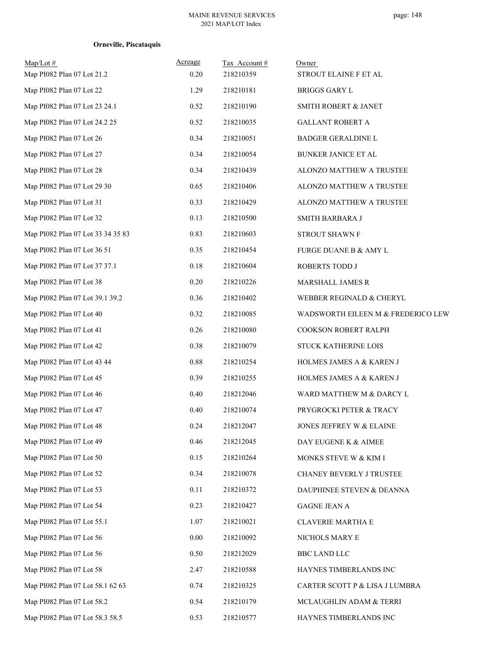| $Map/Lot \#$<br>Map PI082 Plan 07 Lot 21.2 | Acreage<br>0.20 | Tax Account #<br>218210359 | Owner<br>STROUT ELAINE F ET AL     |
|--------------------------------------------|-----------------|----------------------------|------------------------------------|
| Map PI082 Plan 07 Lot 22                   | 1.29            | 218210181                  | <b>BRIGGS GARY L</b>               |
| Map PI082 Plan 07 Lot 23 24.1              | 0.52            | 218210190                  | SMITH ROBERT & JANET               |
| Map PI082 Plan 07 Lot 24.2 25              | 0.52            | 218210035                  | <b>GALLANT ROBERT A</b>            |
| Map PI082 Plan 07 Lot 26                   | 0.34            | 218210051                  | BADGER GERALDINE L                 |
| Map PI082 Plan 07 Lot 27                   | 0.34            | 218210054                  | BUNKER JANICE ET AL                |
| Map PI082 Plan 07 Lot 28                   | 0.34            | 218210439                  | ALONZO MATTHEW A TRUSTEE           |
| Map PI082 Plan 07 Lot 29 30                | 0.65            | 218210406                  | ALONZO MATTHEW A TRUSTEE           |
| Map PI082 Plan 07 Lot 31                   | 0.33            | 218210429                  | ALONZO MATTHEW A TRUSTEE           |
| Map PI082 Plan 07 Lot 32                   | 0.13            | 218210500                  | SMITH BARBARA J                    |
| Map PI082 Plan 07 Lot 33 34 35 83          | 0.83            | 218210603                  | STROUT SHAWN F                     |
| Map PI082 Plan 07 Lot 36 51                | 0.35            | 218210454                  | FURGE DUANE B & AMY L              |
| Map PI082 Plan 07 Lot 37 37.1              | $0.18\,$        | 218210604                  | ROBERTS TODD J                     |
| Map PI082 Plan 07 Lot 38                   | 0.20            | 218210226                  | MARSHALL JAMES R                   |
| Map PI082 Plan 07 Lot 39.1 39.2            | 0.36            | 218210402                  | WEBBER REGINALD & CHERYL           |
| Map PI082 Plan 07 Lot 40                   | 0.32            | 218210085                  | WADSWORTH EILEEN M & FREDERICO LEW |
| Map PI082 Plan 07 Lot 41                   | 0.26            | 218210080                  | COOKSON ROBERT RALPH               |
| Map PI082 Plan 07 Lot 42                   | 0.38            | 218210079                  | STUCK KATHERINE LOIS               |
| Map PI082 Plan 07 Lot 43 44                | 0.88            | 218210254                  | HOLMES JAMES A & KAREN J           |
| Map PI082 Plan 07 Lot 45                   | 0.39            | 218210255                  | HOLMES JAMES A & KAREN J           |
| Map PI082 Plan 07 Lot 46                   | 0.40            | 218212046                  | WARD MATTHEW M & DARCY L           |
| Map PI082 Plan 07 Lot 47                   | 0.40            | 218210074                  | PRYGROCKI PETER & TRACY            |
| Map PI082 Plan 07 Lot 48                   | 0.24            | 218212047                  | JONES JEFFREY W & ELAINE           |
| Map PI082 Plan 07 Lot 49                   | 0.46            | 218212045                  | DAY EUGENE K & AIMEE               |
| Map PI082 Plan 07 Lot 50                   | 0.15            | 218210264                  | MONKS STEVE W & KIM I              |
| Map PI082 Plan 07 Lot 52                   | 0.34            | 218210078                  | CHANEY BEVERLY J TRUSTEE           |
| Map PI082 Plan 07 Lot 53                   | 0.11            | 218210372                  | DAUPHINEE STEVEN & DEANNA          |
| Map PI082 Plan 07 Lot 54                   | 0.23            | 218210427                  | <b>GAGNE JEAN A</b>                |
| Map PI082 Plan 07 Lot 55.1                 | 1.07            | 218210021                  | <b>CLAVERIE MARTHA E</b>           |
| Map PI082 Plan 07 Lot 56                   | 0.00            | 218210092                  | NICHOLS MARY E                     |
| Map PI082 Plan 07 Lot 56                   | 0.50            | 218212029                  | <b>BBC LAND LLC</b>                |
| Map PI082 Plan 07 Lot 58                   | 2.47            | 218210588                  | HAYNES TIMBERLANDS INC             |
| Map PI082 Plan 07 Lot 58.1 62 63           | 0.74            | 218210325                  | CARTER SCOTT P & LISA J LUMBRA     |
| Map PI082 Plan 07 Lot 58.2                 | 0.54            | 218210179                  | MCLAUGHLIN ADAM & TERRI            |
| Map PI082 Plan 07 Lot 58.3 58.5            | 0.53            | 218210577                  | HAYNES TIMBERLANDS INC             |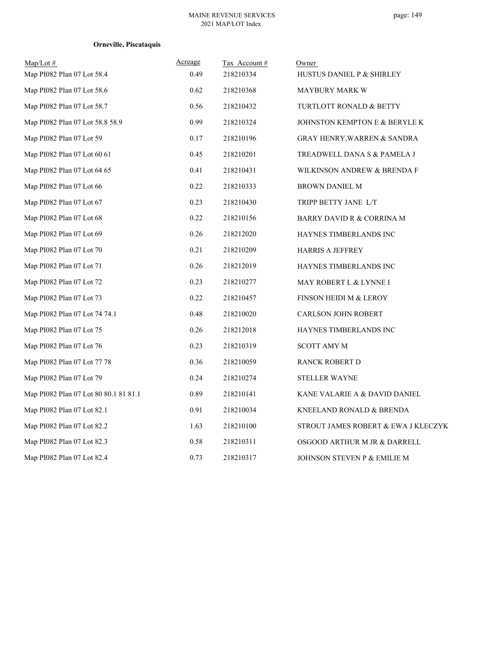| Map/Lot #<br>Map PI082 Plan 07 Lot 58.4 | Acreage<br>0.49 | Tax Account#<br>218210334 | Owner<br>HUSTUS DANIEL P & SHIRLEY     |
|-----------------------------------------|-----------------|---------------------------|----------------------------------------|
|                                         |                 |                           |                                        |
| Map PI082 Plan 07 Lot 58.6              | 0.62            | 218210368                 | <b>MAYBURY MARK W</b>                  |
| Map PI082 Plan 07 Lot 58.7              | 0.56            | 218210432                 | TURTLOTT RONALD & BETTY                |
| Map PI082 Plan 07 Lot 58.8 58.9         | 0.99            | 218210324                 | JOHNSTON KEMPTON E & BERYLE K          |
| Map PI082 Plan 07 Lot 59                | 0.17            | 218210196                 | <b>GRAY HENRY, WARREN &amp; SANDRA</b> |
| Map PI082 Plan 07 Lot 60 61             | 0.45            | 218210201                 | TREADWELL DANA S & PAMELA J            |
| Map PI082 Plan 07 Lot 64 65             | 0.41            | 218210431                 | WILKINSON ANDREW & BRENDA F            |
| Map PI082 Plan 07 Lot 66                | 0.22            | 218210333                 | <b>BROWN DANIEL M</b>                  |
| Map PI082 Plan 07 Lot 67                | 0.23            | 218210430                 | TRIPP BETTY JANE L/T                   |
| Map PI082 Plan 07 Lot 68                | 0.22            | 218210156                 | <b>BARRY DAVID R &amp; CORRINA M</b>   |
| Map PI082 Plan 07 Lot 69                | 0.26            | 218212020                 | HAYNES TIMBERLANDS INC                 |
| Map PI082 Plan 07 Lot 70                | 0.21            | 218210209                 | <b>HARRIS A JEFFREY</b>                |
| Map PI082 Plan 07 Lot 71                | 0.26            | 218212019                 | HAYNES TIMBERLANDS INC                 |
| Map PI082 Plan 07 Lot 72                | 0.23            | 218210277                 | MAY ROBERT L & LYNNE I                 |
| Map PI082 Plan 07 Lot 73                | 0.22            | 218210457                 | FINSON HEIDI M & LEROY                 |
| Map PI082 Plan 07 Lot 74 74.1           | 0.48            | 218210020                 | <b>CARLSON JOHN ROBERT</b>             |
| Map PI082 Plan 07 Lot 75                | 0.26            | 218212018                 | HAYNES TIMBERLANDS INC                 |
| Map PI082 Plan 07 Lot 76                | 0.23            | 218210319                 | <b>SCOTT AMY M</b>                     |
| Map PI082 Plan 07 Lot 77 78             | 0.36            | 218210059                 | <b>RANCK ROBERT D</b>                  |
| Map PI082 Plan 07 Lot 79                | 0.24            | 218210274                 | <b>STELLER WAYNE</b>                   |
| Map PI082 Plan 07 Lot 80 80.1 81 81.1   | 0.89            | 218210141                 | KANE VALARIE A & DAVID DANIEL          |
| Map PI082 Plan 07 Lot 82.1              | 0.91            | 218210034                 | KNEELAND RONALD & BRENDA               |
| Map PI082 Plan 07 Lot 82.2              | 1.63            | 218210100                 | STROUT JAMES ROBERT & EWA J KLECZYK    |
| Map PI082 Plan 07 Lot 82.3              | 0.58            | 218210311                 | OSGOOD ARTHUR M JR & DARRELL           |
| Map PI082 Plan 07 Lot 82.4              | 0.73            | 218210317                 | JOHNSON STEVEN P & EMILIE M            |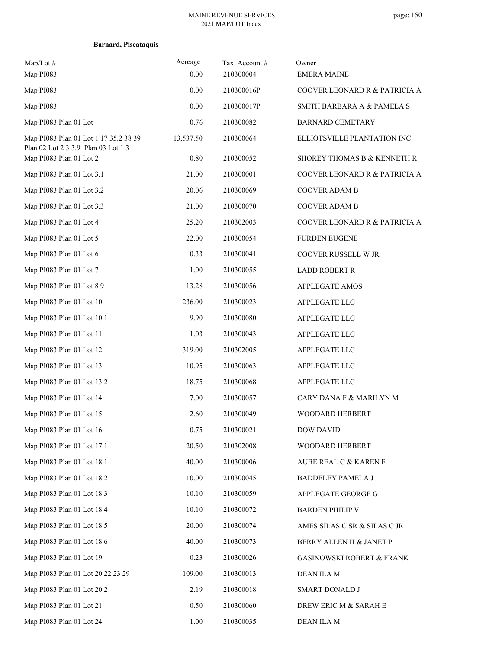| $Map/Lot \#$<br>Map PI083                                                    | Acreage<br>0.00 | Tax Account#<br>210300004 | Owner<br><b>EMERA MAINE</b>          |
|------------------------------------------------------------------------------|-----------------|---------------------------|--------------------------------------|
| Map PI083                                                                    | 0.00            | 210300016P                | COOVER LEONARD R & PATRICIA A        |
| Map PI083                                                                    | $0.00\,$        | 210300017P                | SMITH BARBARA A & PAMELA S           |
| Map PI083 Plan 01 Lot                                                        | 0.76            | 210300082                 | <b>BARNARD CEMETARY</b>              |
| Map PI083 Plan 01 Lot 1 17 35.2 38 39<br>Plan 02 Lot 2 3 3.9 Plan 03 Lot 1 3 | 13,537.50       | 210300064                 | ELLIOTSVILLE PLANTATION INC          |
| Map PI083 Plan 01 Lot 2                                                      | 0.80            | 210300052                 | SHOREY THOMAS B & KENNETH R          |
| Map PI083 Plan 01 Lot 3.1                                                    | 21.00           | 210300001                 | COOVER LEONARD R & PATRICIA A        |
| Map PI083 Plan 01 Lot 3.2                                                    | 20.06           | 210300069                 | COOVER ADAM B                        |
| Map PI083 Plan 01 Lot 3.3                                                    | 21.00           | 210300070                 | COOVER ADAM B                        |
| Map PI083 Plan 01 Lot 4                                                      | 25.20           | 210302003                 | COOVER LEONARD R & PATRICIA A        |
| Map PI083 Plan 01 Lot 5                                                      | 22.00           | 210300054                 | <b>FURDEN EUGENE</b>                 |
| Map PI083 Plan 01 Lot 6                                                      | 0.33            | 210300041                 | COOVER RUSSELL W JR                  |
| Map PI083 Plan 01 Lot 7                                                      | 1.00            | 210300055                 | <b>LADD ROBERT R</b>                 |
| Map PI083 Plan 01 Lot 8 9                                                    | 13.28           | 210300056                 | <b>APPLEGATE AMOS</b>                |
| Map PI083 Plan 01 Lot 10                                                     | 236.00          | 210300023                 | APPLEGATE LLC                        |
| Map PI083 Plan 01 Lot 10.1                                                   | 9.90            | 210300080                 | APPLEGATE LLC                        |
| Map PI083 Plan 01 Lot 11                                                     | 1.03            | 210300043                 | APPLEGATE LLC                        |
| Map PI083 Plan 01 Lot 12                                                     | 319.00          | 210302005                 | APPLEGATE LLC                        |
| Map PI083 Plan 01 Lot 13                                                     | 10.95           | 210300063                 | APPLEGATE LLC                        |
| Map PI083 Plan 01 Lot 13.2                                                   | 18.75           | 210300068                 | APPLEGATE LLC                        |
| Map PI083 Plan 01 Lot 14                                                     | 7.00            | 210300057                 | CARY DANA F & MARILYN M              |
| Map PI083 Plan 01 Lot 15                                                     | 2.60            | 210300049                 | WOODARD HERBERT                      |
| Map PI083 Plan 01 Lot 16                                                     | 0.75            | 210300021                 | <b>DOW DAVID</b>                     |
| Map PI083 Plan 01 Lot 17.1                                                   | 20.50           | 210302008                 | WOODARD HERBERT                      |
| Map PI083 Plan 01 Lot 18.1                                                   | 40.00           | 210300006                 | AUBE REAL C & KAREN F                |
| Map PI083 Plan 01 Lot 18.2                                                   | 10.00           | 210300045                 | <b>BADDELEY PAMELA J</b>             |
| Map PI083 Plan 01 Lot 18.3                                                   | 10.10           | 210300059                 | APPLEGATE GEORGE G                   |
| Map PI083 Plan 01 Lot 18.4                                                   | 10.10           | 210300072                 | <b>BARDEN PHILIP V</b>               |
| Map PI083 Plan 01 Lot 18.5                                                   | 20.00           | 210300074                 | AMES SILAS C SR & SILAS C JR         |
| Map PI083 Plan 01 Lot 18.6                                                   | 40.00           | 210300073                 | BERRY ALLEN H & JANET P              |
| Map PI083 Plan 01 Lot 19                                                     | 0.23            | 210300026                 | <b>GASINOWSKI ROBERT &amp; FRANK</b> |
| Map PI083 Plan 01 Lot 20 22 23 29                                            | 109.00          | 210300013                 | DEAN ILA M                           |
| Map PI083 Plan 01 Lot 20.2                                                   | 2.19            | 210300018                 | SMART DONALD J                       |
| Map PI083 Plan 01 Lot 21                                                     | 0.50            | 210300060                 | DREW ERIC M & SARAH E                |
| Map PI083 Plan 01 Lot 24                                                     | 1.00            | 210300035                 | DEAN ILA M                           |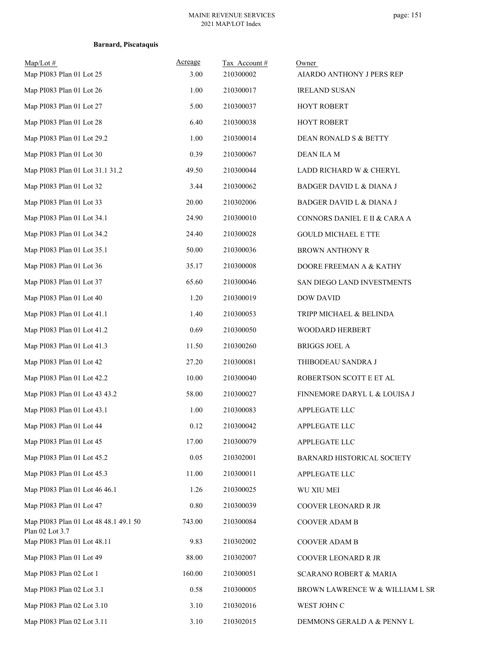| $Map/Lot \#$<br>Map PI083 Plan 01 Lot 25                 | Acreage<br>3.00 | Tax Account#<br>210300002 | Owner<br>AIARDO ANTHONY J PERS REP |
|----------------------------------------------------------|-----------------|---------------------------|------------------------------------|
| Map PI083 Plan 01 Lot 26                                 | 1.00            | 210300017                 | <b>IRELAND SUSAN</b>               |
| Map PI083 Plan 01 Lot 27                                 | 5.00            | 210300037                 | HOYT ROBERT                        |
| Map PI083 Plan 01 Lot 28                                 | 6.40            | 210300038                 | <b>HOYT ROBERT</b>                 |
| Map PI083 Plan 01 Lot 29.2                               | 1.00            | 210300014                 | DEAN RONALD S & BETTY              |
| Map PI083 Plan 01 Lot 30                                 | 0.39            | 210300067                 | <b>DEAN ILA M</b>                  |
| Map PI083 Plan 01 Lot 31.1 31.2                          | 49.50           | 210300044                 | LADD RICHARD W & CHERYL            |
| Map PI083 Plan 01 Lot 32                                 | 3.44            | 210300062                 | BADGER DAVID L & DIANA J           |
| Map PI083 Plan 01 Lot 33                                 | 20.00           | 210302006                 | BADGER DAVID L & DIANA J           |
| Map PI083 Plan 01 Lot 34.1                               | 24.90           | 210300010                 | CONNORS DANIEL E II & CARA A       |
| Map PI083 Plan 01 Lot 34.2                               | 24.40           | 210300028                 | <b>GOULD MICHAEL E TTE</b>         |
| Map PI083 Plan 01 Lot 35.1                               | 50.00           | 210300036                 | <b>BROWN ANTHONY R</b>             |
| Map PI083 Plan 01 Lot 36                                 | 35.17           | 210300008                 | DOORE FREEMAN A & KATHY            |
| Map PI083 Plan 01 Lot 37                                 | 65.60           | 210300046                 | SAN DIEGO LAND INVESTMENTS         |
| Map PI083 Plan 01 Lot 40                                 | 1.20            | 210300019                 | DOW DAVID                          |
| Map PI083 Plan 01 Lot 41.1                               | 1.40            | 210300053                 | TRIPP MICHAEL & BELINDA            |
| Map PI083 Plan 01 Lot 41.2                               | 0.69            | 210300050                 | WOODARD HERBERT                    |
| Map PI083 Plan 01 Lot 41.3                               | 11.50           | 210300260                 | <b>BRIGGS JOEL A</b>               |
| Map PI083 Plan 01 Lot 42                                 | 27.20           | 210300081                 | THIBODEAU SANDRA J                 |
| Map PI083 Plan 01 Lot 42.2                               | 10.00           | 210300040                 | ROBERTSON SCOTT E ET AL            |
| Map PI083 Plan 01 Lot 43 43.2                            | 58.00           | 210300027                 | FINNEMORE DARYL L & LOUISA J       |
| Map PI083 Plan 01 Lot 43.1                               | 1.00            | 210300083                 | APPLEGATE LLC                      |
| Map PI083 Plan 01 Lot 44                                 | 0.12            | 210300042                 | APPLEGATE LLC                      |
| Map PI083 Plan 01 Lot 45                                 | 17.00           | 210300079                 | APPLEGATE LLC                      |
| Map PI083 Plan 01 Lot 45.2                               | 0.05            | 210302001                 | BARNARD HISTORICAL SOCIETY         |
| Map PI083 Plan 01 Lot 45.3                               | 11.00           | 210300011                 | APPLEGATE LLC                      |
| Map PI083 Plan 01 Lot 46 46.1                            | 1.26            | 210300025                 | WU XIU MEI                         |
| Map PI083 Plan 01 Lot 47                                 | 0.80            | 210300039                 | COOVER LEONARD R JR                |
| Map PI083 Plan 01 Lot 48 48.1 49.1 50<br>Plan 02 Lot 3.7 | 743.00          | 210300084                 | COOVER ADAM B                      |
| Map PI083 Plan 01 Lot 48.11                              | 9.83            | 210302002                 | COOVER ADAM B                      |
| Map PI083 Plan 01 Lot 49                                 | 88.00           | 210302007                 | COOVER LEONARD R JR                |
| Map PI083 Plan 02 Lot 1                                  | 160.00          | 210300051                 | <b>SCARANO ROBERT &amp; MARIA</b>  |
| Map PI083 Plan 02 Lot 3.1                                | 0.58            | 210300005                 | BROWN LAWRENCE W & WILLIAM L SR    |
| Map PI083 Plan 02 Lot 3.10                               | 3.10            | 210302016                 | WEST JOHN C                        |
| Map PI083 Plan 02 Lot 3.11                               | 3.10            | 210302015                 | DEMMONS GERALD A & PENNY L         |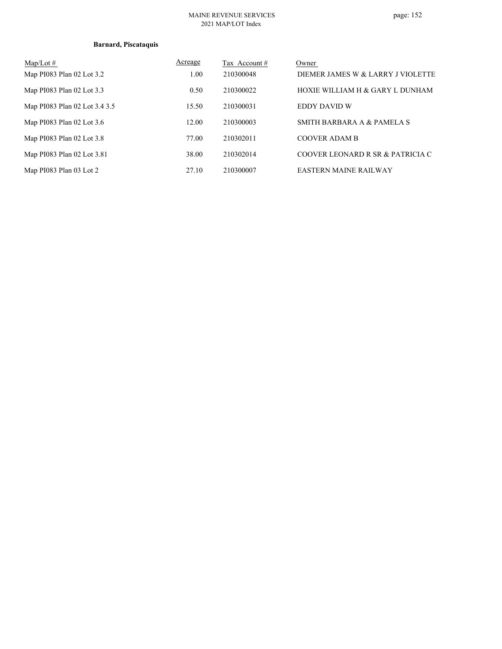### MAINE REVENUE SERVICES 2021 MAP/LOT Index

| $Map/Lot \#$                  | Acreage | Tax Account # | Owner                             |
|-------------------------------|---------|---------------|-----------------------------------|
| Map PI083 Plan 02 Lot 3.2     | 1.00    | 210300048     | DIEMER JAMES W & LARRY J VIOLETTE |
| Map PI083 Plan 02 Lot 3.3     | 0.50    | 210300022     | HOXIE WILLIAM H & GARY L DUNHAM   |
| Map PI083 Plan 02 Lot 3.4 3.5 | 15.50   | 210300031     | EDDY DAVID W                      |
| Map PI083 Plan 02 Lot 3.6     | 12.00   | 210300003     | SMITH BARBARA A & PAMELA S        |
| Map PI083 Plan 02 Lot 3.8     | 77.00   | 210302011     | <b>COOVER ADAM B</b>              |
| Map PI083 Plan 02 Lot 3.81    | 38.00   | 210302014     | COOVER LEONARD R SR & PATRICIA C  |
| Map PI083 Plan 03 Lot 2       | 27.10   | 210300007     | <b>EASTERN MAINE RAILWAY</b>      |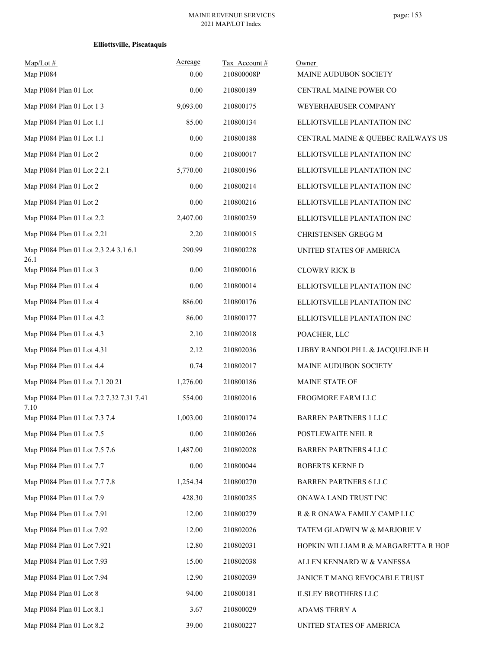| $Map/Lot$ #<br>Map PI084                         | Acreage<br>0.00 | Tax Account#<br>210800008P | Owner<br>MAINE AUDUBON SOCIETY      |
|--------------------------------------------------|-----------------|----------------------------|-------------------------------------|
| Map PI084 Plan 01 Lot                            | 0.00            | 210800189                  | CENTRAL MAINE POWER CO              |
| Map PI084 Plan 01 Lot 1 3                        | 9,093.00        | 210800175                  | WEYERHAEUSER COMPANY                |
| Map PI084 Plan 01 Lot 1.1                        | 85.00           | 210800134                  | ELLIOTSVILLE PLANTATION INC         |
| Map PI084 Plan 01 Lot 1.1                        | 0.00            | 210800188                  | CENTRAL MAINE & QUEBEC RAILWAYS US  |
| Map PI084 Plan 01 Lot 2                          | 0.00            | 210800017                  | ELLIOTSVILLE PLANTATION INC         |
| Map PI084 Plan 01 Lot 2 2.1                      | 5,770.00        | 210800196                  | ELLIOTSVILLE PLANTATION INC         |
| Map PI084 Plan 01 Lot 2                          | 0.00            | 210800214                  | ELLIOTSVILLE PLANTATION INC         |
| Map PI084 Plan 01 Lot 2                          | 0.00            | 210800216                  | ELLIOTSVILLE PLANTATION INC         |
| Map PI084 Plan 01 Lot 2.2                        | 2,407.00        | 210800259                  | ELLIOTSVILLE PLANTATION INC         |
| Map PI084 Plan 01 Lot 2.21                       | 2.20            | 210800015                  | CHRISTENSEN GREGG M                 |
| Map PI084 Plan 01 Lot 2.3 2.4 3.1 6.1<br>26.1    | 290.99          | 210800228                  | UNITED STATES OF AMERICA            |
| Map PI084 Plan 01 Lot 3                          | 0.00            | 210800016                  | <b>CLOWRY RICK B</b>                |
| Map PI084 Plan 01 Lot 4                          | 0.00            | 210800014                  | ELLIOTSVILLE PLANTATION INC         |
| Map PI084 Plan 01 Lot 4                          | 886.00          | 210800176                  | ELLIOTSVILLE PLANTATION INC         |
| Map PI084 Plan 01 Lot 4.2                        | 86.00           | 210800177                  | ELLIOTSVILLE PLANTATION INC         |
| Map PI084 Plan 01 Lot 4.3                        | 2.10            | 210802018                  | POACHER, LLC                        |
| Map PI084 Plan 01 Lot 4.31                       | 2.12            | 210802036                  | LIBBY RANDOLPH L & JACQUELINE H     |
| Map PI084 Plan 01 Lot 4.4                        | 0.74            | 210802017                  | MAINE AUDUBON SOCIETY               |
| Map PI084 Plan 01 Lot 7.1 20 21                  | 1,276.00        | 210800186                  | <b>MAINE STATE OF</b>               |
| Map PI084 Plan 01 Lot 7.2 7.32 7.31 7.41<br>7.10 | 554.00          | 210802016                  | FROGMORE FARM LLC                   |
| Map PI084 Plan 01 Lot 7.3 7.4                    | 1,003.00        | 210800174                  | <b>BARREN PARTNERS 1 LLC</b>        |
| Map PI084 Plan 01 Lot 7.5                        | $0.00\,$        | 210800266                  | POSTLEWAITE NEIL R                  |
| Map PI084 Plan 01 Lot 7.5 7.6                    | 1,487.00        | 210802028                  | <b>BARREN PARTNERS 4 LLC</b>        |
| Map PI084 Plan 01 Lot 7.7                        | 0.00            | 210800044                  | ROBERTS KERNE D                     |
| Map PI084 Plan 01 Lot 7.7 7.8                    | 1,254.34        | 210800270                  | <b>BARREN PARTNERS 6 LLC</b>        |
| Map PI084 Plan 01 Lot 7.9                        | 428.30          | 210800285                  | ONAWA LAND TRUST INC                |
| Map PI084 Plan 01 Lot 7.91                       | 12.00           | 210800279                  | R & R ONAWA FAMILY CAMP LLC         |
| Map PI084 Plan 01 Lot 7.92                       | 12.00           | 210802026                  | TATEM GLADWIN W & MARJORIE V        |
| Map PI084 Plan 01 Lot 7.921                      | 12.80           | 210802031                  | HOPKIN WILLIAM R & MARGARETTA R HOP |
| Map PI084 Plan 01 Lot 7.93                       | 15.00           | 210802038                  | ALLEN KENNARD W & VANESSA           |
| Map PI084 Plan 01 Lot 7.94                       | 12.90           | 210802039                  | JANICE T MANG REVOCABLE TRUST       |
| Map PI084 Plan 01 Lot 8                          | 94.00           | 210800181                  | <b>ILSLEY BROTHERS LLC</b>          |
| Map PI084 Plan 01 Lot 8.1                        | 3.67            | 210800029                  | ADAMS TERRY A                       |
| Map PI084 Plan 01 Lot 8.2                        | 39.00           | 210800227                  | UNITED STATES OF AMERICA            |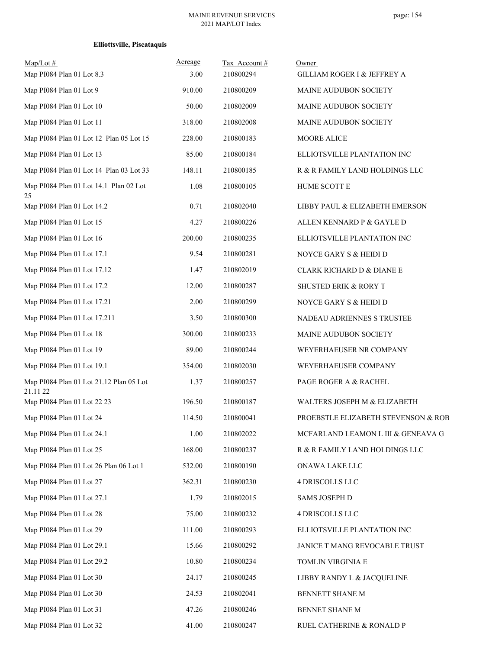| Map/Lot#<br>Map PI084 Plan 01 Lot 8.3               | Acreage<br>3.00 | Tax Account#<br>210800294 | Owner<br>GILLIAM ROGER I & JEFFREY A |
|-----------------------------------------------------|-----------------|---------------------------|--------------------------------------|
| Map PI084 Plan 01 Lot 9                             | 910.00          | 210800209                 | MAINE AUDUBON SOCIETY                |
| Map PI084 Plan 01 Lot 10                            | 50.00           | 210802009                 | MAINE AUDUBON SOCIETY                |
| Map PI084 Plan 01 Lot 11                            | 318.00          | 210802008                 | MAINE AUDUBON SOCIETY                |
| Map PI084 Plan 01 Lot 12 Plan 05 Lot 15             | 228.00          | 210800183                 | MOORE ALICE                          |
| Map PI084 Plan 01 Lot 13                            | 85.00           | 210800184                 | ELLIOTSVILLE PLANTATION INC          |
| Map PI084 Plan 01 Lot 14 Plan 03 Lot 33             | 148.11          | 210800185                 | R & R FAMILY LAND HOLDINGS LLC       |
| Map PI084 Plan 01 Lot 14.1 Plan 02 Lot<br>25        | 1.08            | 210800105                 | HUME SCOTT E                         |
| Map PI084 Plan 01 Lot 14.2                          | 0.71            | 210802040                 | LIBBY PAUL & ELIZABETH EMERSON       |
| Map PI084 Plan 01 Lot 15                            | 4.27            | 210800226                 | ALLEN KENNARD P & GAYLE D            |
| Map PI084 Plan 01 Lot 16                            | 200.00          | 210800235                 | ELLIOTSVILLE PLANTATION INC          |
| Map PI084 Plan 01 Lot 17.1                          | 9.54            | 210800281                 | NOYCE GARY S & HEIDI D               |
| Map PI084 Plan 01 Lot 17.12                         | 1.47            | 210802019                 | CLARK RICHARD D & DIANE E            |
| Map PI084 Plan 01 Lot 17.2                          | 12.00           | 210800287                 | SHUSTED ERIK & RORY T                |
| Map PI084 Plan 01 Lot 17.21                         | 2.00            | 210800299                 | NOYCE GARY S & HEIDI D               |
| Map PI084 Plan 01 Lot 17.211                        | 3.50            | 210800300                 | NADEAU ADRIENNES S TRUSTEE           |
| Map PI084 Plan 01 Lot 18                            | 300.00          | 210800233                 | MAINE AUDUBON SOCIETY                |
| Map PI084 Plan 01 Lot 19                            | 89.00           | 210800244                 | WEYERHAEUSER NR COMPANY              |
| Map PI084 Plan 01 Lot 19.1                          | 354.00          | 210802030                 | WEYERHAEUSER COMPANY                 |
| Map PI084 Plan 01 Lot 21.12 Plan 05 Lot<br>21.11 22 | 1.37            | 210800257                 | PAGE ROGER A & RACHEL                |
| Map PI084 Plan 01 Lot 22 23                         | 196.50          | 210800187                 | WALTERS JOSEPH M & ELIZABETH         |
| Map PI084 Plan 01 Lot 24                            | 114.50          | 210800041                 | PROEBSTLE ELIZABETH STEVENSON & ROB  |
| Map PI084 Plan 01 Lot 24.1                          | 1.00            | 210802022                 | MCFARLAND LEAMON L III & GENEAVA G   |
| Map PI084 Plan 01 Lot 25                            | 168.00          | 210800237                 | R & R FAMILY LAND HOLDINGS LLC       |
| Map PI084 Plan 01 Lot 26 Plan 06 Lot 1              | 532.00          | 210800190                 | ONAWA LAKE LLC                       |
| Map PI084 Plan 01 Lot 27                            | 362.31          | 210800230                 | 4 DRISCOLLS LLC                      |
| Map PI084 Plan 01 Lot 27.1                          | 1.79            | 210802015                 | SAMS JOSEPH D                        |
| Map PI084 Plan 01 Lot 28                            | 75.00           | 210800232                 | 4 DRISCOLLS LLC                      |
| Map PI084 Plan 01 Lot 29                            | 111.00          | 210800293                 | ELLIOTSVILLE PLANTATION INC          |
| Map PI084 Plan 01 Lot 29.1                          | 15.66           | 210800292                 | JANICE T MANG REVOCABLE TRUST        |
| Map PI084 Plan 01 Lot 29.2                          | 10.80           | 210800234                 | TOMLIN VIRGINIA E                    |
| Map PI084 Plan 01 Lot 30                            | 24.17           | 210800245                 | LIBBY RANDY L & JACQUELINE           |
| Map PI084 Plan 01 Lot 30                            | 24.53           | 210802041                 | BENNETT SHANE M                      |
| Map PI084 Plan 01 Lot 31                            | 47.26           | 210800246                 | BENNET SHANE M                       |
| Map PI084 Plan 01 Lot 32                            | 41.00           | 210800247                 | RUEL CATHERINE & RONALD P            |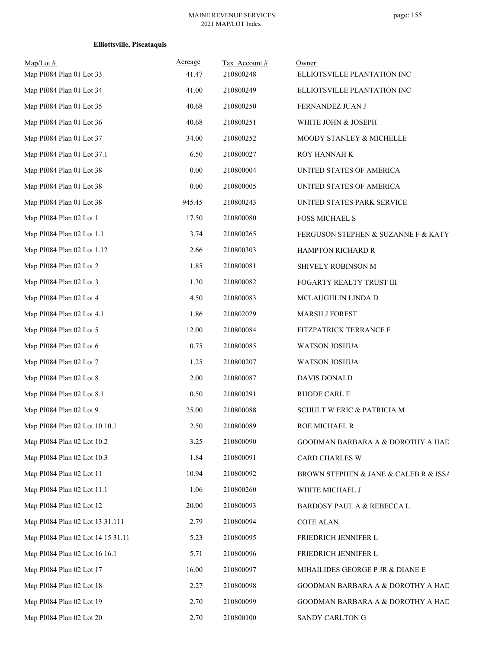| $Map/Lot \#$<br>Map PI084 Plan 01 Lot 33 | Acreage<br>41.47 | Tax Account#<br>210800248 | Owner<br>ELLIOTSVILLE PLANTATION INC  |
|------------------------------------------|------------------|---------------------------|---------------------------------------|
| Map PI084 Plan 01 Lot 34                 | 41.00            | 210800249                 | ELLIOTSVILLE PLANTATION INC           |
| Map PI084 Plan 01 Lot 35                 | 40.68            | 210800250                 | FERNANDEZ JUAN J                      |
| Map PI084 Plan 01 Lot 36                 | 40.68            | 210800251                 | WHITE JOHN & JOSEPH                   |
| Map PI084 Plan 01 Lot 37                 | 34.00            | 210800252                 | MOODY STANLEY & MICHELLE              |
| Map PI084 Plan 01 Lot 37.1               | 6.50             | 210800027                 | ROY HANNAH K                          |
| Map PI084 Plan 01 Lot 38                 | 0.00             | 210800004                 | UNITED STATES OF AMERICA              |
| Map PI084 Plan 01 Lot 38                 | 0.00             | 210800005                 | UNITED STATES OF AMERICA              |
| Map PI084 Plan 01 Lot 38                 | 945.45           | 210800243                 | UNITED STATES PARK SERVICE            |
| Map PI084 Plan 02 Lot 1                  | 17.50            | 210800080                 | <b>FOSS MICHAEL S</b>                 |
| Map PI084 Plan 02 Lot 1.1                | 3.74             | 210800265                 | FERGUSON STEPHEN & SUZANNE F & KATY   |
| Map PI084 Plan 02 Lot 1.12               | 2.66             | 210800303                 | HAMPTON RICHARD R                     |
| Map PI084 Plan 02 Lot 2                  | 1.85             | 210800081                 | SHIVELY ROBINSON M                    |
| Map PI084 Plan 02 Lot 3                  | 1.30             | 210800082                 | FOGARTY REALTY TRUST III              |
| Map PI084 Plan 02 Lot 4                  | 4.50             | 210800083                 | MCLAUGHLIN LINDA D                    |
| Map PI084 Plan 02 Lot 4.1                | 1.86             | 210802029                 | MARSH J FOREST                        |
| Map PI084 Plan 02 Lot 5                  | 12.00            | 210800084                 | FITZPATRICK TERRANCE F                |
| Map PI084 Plan 02 Lot 6                  | 0.75             | 210800085                 | WATSON JOSHUA                         |
| Map PI084 Plan 02 Lot 7                  | 1.25             | 210800207                 | WATSON JOSHUA                         |
| Map PI084 Plan 02 Lot 8                  | 2.00             | 210800087                 | <b>DAVIS DONALD</b>                   |
| Map PI084 Plan 02 Lot 8.1                | 0.50             | 210800291                 | RHODE CARL E                          |
| Map PI084 Plan 02 Lot 9                  | 25.00            | 210800088                 | SCHULT W ERIC & PATRICIA M            |
| Map PI084 Plan 02 Lot 10 10.1            | 2.50             | 210800089                 | ROE MICHAEL R                         |
| Map PI084 Plan 02 Lot 10.2               | 3.25             | 210800090                 | GOODMAN BARBARA A & DOROTHY A HAD     |
| Map PI084 Plan 02 Lot 10.3               | 1.84             | 210800091                 | <b>CARD CHARLES W</b>                 |
| Map PI084 Plan 02 Lot 11                 | 10.94            | 210800092                 | BROWN STEPHEN & JANE & CALEB R & ISSA |
| Map PI084 Plan 02 Lot 11.1               | 1.06             | 210800260                 | WHITE MICHAEL J                       |
| Map PI084 Plan 02 Lot 12                 | 20.00            | 210800093                 | BARDOSY PAUL A & REBECCA L            |
| Map PI084 Plan 02 Lot 13 31.111          | 2.79             | 210800094                 | <b>COTE ALAN</b>                      |
| Map PI084 Plan 02 Lot 14 15 31.11        | 5.23             | 210800095                 | FRIEDRICH JENNIFER L                  |
| Map PI084 Plan 02 Lot 16 16.1            | 5.71             | 210800096                 | FRIEDRICH JENNIFER L                  |
| Map PI084 Plan 02 Lot 17                 | 16.00            | 210800097                 | MIHAILIDES GEORGE P JR & DIANE E      |
| Map PI084 Plan 02 Lot 18                 | 2.27             | 210800098                 | GOODMAN BARBARA A & DOROTHY A HAD     |
| Map PI084 Plan 02 Lot 19                 | 2.70             | 210800099                 | GOODMAN BARBARA A & DOROTHY A HAD     |
| Map PI084 Plan 02 Lot 20                 | 2.70             | 210800100                 | SANDY CARLTON G                       |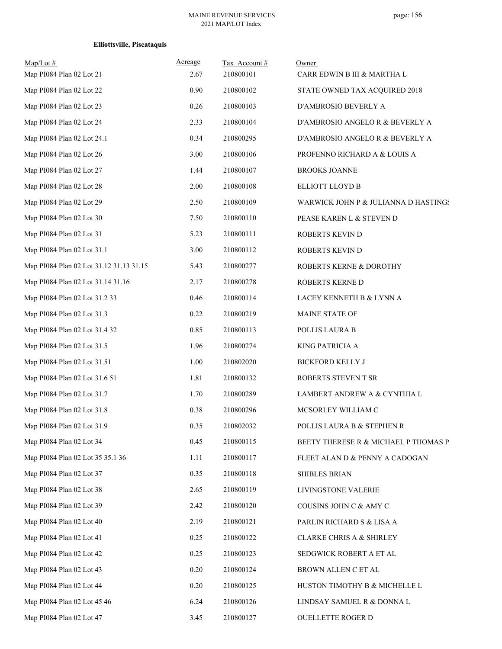| $Map/Lot$ #<br>Map PI084 Plan 02 Lot 21 | Acreage<br>2.67 | Tax Account#<br>210800101 | Owner<br>CARR EDWIN B III & MARTHA L |
|-----------------------------------------|-----------------|---------------------------|--------------------------------------|
| Map PI084 Plan 02 Lot 22                | 0.90            | 210800102                 | STATE OWNED TAX ACQUIRED 2018        |
| Map PI084 Plan 02 Lot 23                | 0.26            | 210800103                 | D'AMBROSIO BEVERLY A                 |
| Map PI084 Plan 02 Lot 24                | 2.33            | 210800104                 | D'AMBROSIO ANGELO R & BEVERLY A      |
| Map PI084 Plan 02 Lot 24.1              | 0.34            | 210800295                 | D'AMBROSIO ANGELO R & BEVERLY A      |
| Map PI084 Plan 02 Lot 26                | 3.00            | 210800106                 | PROFENNO RICHARD A & LOUIS A         |
| Map PI084 Plan 02 Lot 27                | 1.44            | 210800107                 | <b>BROOKS JOANNE</b>                 |
| Map PI084 Plan 02 Lot 28                | 2.00            | 210800108                 | ELLIOTT LLOYD B                      |
| Map PI084 Plan 02 Lot 29                | 2.50            | 210800109                 | WARWICK JOHN P & JULIANNA D HASTINGS |
| Map PI084 Plan 02 Lot 30                | 7.50            | 210800110                 | PEASE KAREN L & STEVEN D             |
| Map PI084 Plan 02 Lot 31                | 5.23            | 210800111                 | ROBERTS KEVIN D                      |
| Map PI084 Plan 02 Lot 31.1              | 3.00            | 210800112                 | ROBERTS KEVIN D                      |
| Map PI084 Plan 02 Lot 31.12 31.13 31.15 | 5.43            | 210800277                 | ROBERTS KERNE & DOROTHY              |
| Map PI084 Plan 02 Lot 31.14 31.16       | 2.17            | 210800278                 | ROBERTS KERNE D                      |
| Map PI084 Plan 02 Lot 31.2 33           | 0.46            | 210800114                 | LACEY KENNETH B & LYNN A             |
| Map PI084 Plan 02 Lot 31.3              | 0.22            | 210800219                 | MAINE STATE OF                       |
| Map PI084 Plan 02 Lot 31.4 32           | 0.85            | 210800113                 | POLLIS LAURA B                       |
| Map PI084 Plan 02 Lot 31.5              | 1.96            | 210800274                 | KING PATRICIA A                      |
| Map PI084 Plan 02 Lot 31.51             | 1.00            | 210802020                 | <b>BICKFORD KELLY J</b>              |
| Map PI084 Plan 02 Lot 31.6 51           | 1.81            | 210800132                 | ROBERTS STEVEN T SR                  |
| Map PI084 Plan 02 Lot 31.7              | 1.70            | 210800289                 | LAMBERT ANDREW A & CYNTHIA L         |
| Map PI084 Plan 02 Lot 31.8              | 0.38            | 210800296                 | MCSORLEY WILLIAM C                   |
| Map PI084 Plan 02 Lot 31.9              | 0.35            | 210802032                 | POLLIS LAURA B & STEPHEN R           |
| Map PI084 Plan 02 Lot 34                | 0.45            | 210800115                 | BEETY THERESE R & MICHAEL P THOMAS P |
| Map PI084 Plan 02 Lot 35 35.1 36        | 1.11            | 210800117                 | FLEET ALAN D & PENNY A CADOGAN       |
| Map PI084 Plan 02 Lot 37                | 0.35            | 210800118                 | <b>SHIBLES BRIAN</b>                 |
| Map PI084 Plan 02 Lot 38                | 2.65            | 210800119                 | LIVINGSTONE VALERIE                  |
| Map PI084 Plan 02 Lot 39                | 2.42            | 210800120                 | COUSINS JOHN C & AMY C               |
| Map PI084 Plan 02 Lot 40                | 2.19            | 210800121                 | PARLIN RICHARD S & LISA A            |
| Map PI084 Plan 02 Lot 41                | 0.25            | 210800122                 | <b>CLARKE CHRIS A &amp; SHIRLEY</b>  |
| Map PI084 Plan 02 Lot 42                | 0.25            | 210800123                 | SEDGWICK ROBERT A ET AL              |
| Map PI084 Plan 02 Lot 43                | 0.20            | 210800124                 | BROWN ALLEN C ET AL                  |
| Map PI084 Plan 02 Lot 44                | 0.20            | 210800125                 | HUSTON TIMOTHY B & MICHELLE L        |
| Map PI084 Plan 02 Lot 45 46             | 6.24            | 210800126                 | LINDSAY SAMUEL R & DONNA L           |
| Map PI084 Plan 02 Lot 47                | 3.45            | 210800127                 | OUELLETTE ROGER D                    |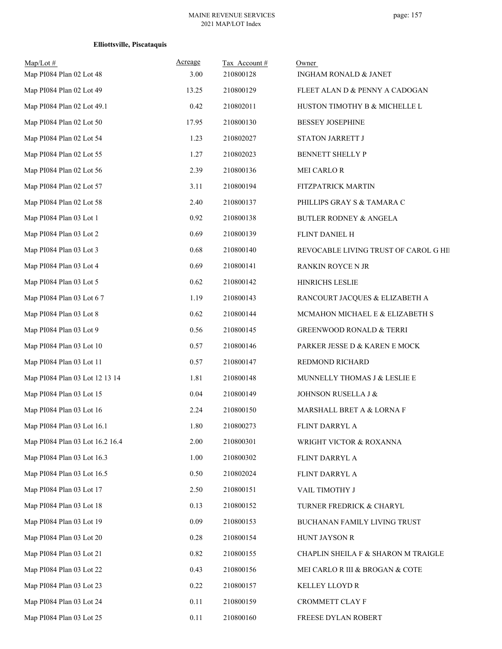| $Map/Lot \#$<br>Map PI084 Plan 02 Lot 48 | Acreage<br>3.00 | Tax Account#<br>210800128 | Owner<br>INGHAM RONALD & JANET        |
|------------------------------------------|-----------------|---------------------------|---------------------------------------|
| Map PI084 Plan 02 Lot 49                 | 13.25           | 210800129                 | FLEET ALAN D & PENNY A CADOGAN        |
| Map PI084 Plan 02 Lot 49.1               | 0.42            | 210802011                 | HUSTON TIMOTHY B & MICHELLE L         |
| Map PI084 Plan 02 Lot 50                 | 17.95           | 210800130                 | <b>BESSEY JOSEPHINE</b>               |
| Map PI084 Plan 02 Lot 54                 | 1.23            | 210802027                 | STATON JARRETT J                      |
| Map PI084 Plan 02 Lot 55                 | 1.27            | 210802023                 | BENNETT SHELLY P                      |
| Map PI084 Plan 02 Lot 56                 | 2.39            | 210800136                 | MEI CARLO R                           |
| Map PI084 Plan 02 Lot 57                 | 3.11            | 210800194                 | FITZPATRICK MARTIN                    |
| Map PI084 Plan 02 Lot 58                 | 2.40            | 210800137                 | PHILLIPS GRAY S & TAMARA C            |
| Map PI084 Plan 03 Lot 1                  | 0.92            |                           |                                       |
|                                          |                 | 210800138                 | BUTLER RODNEY & ANGELA                |
| Map PI084 Plan 03 Lot 2                  | 0.69            | 210800139                 | FLINT DANIEL H                        |
| Map PI084 Plan 03 Lot 3                  | 0.68            | 210800140                 | REVOCABLE LIVING TRUST OF CAROL G HII |
| Map PI084 Plan 03 Lot 4                  | 0.69            | 210800141                 | RANKIN ROYCE N JR                     |
| Map PI084 Plan 03 Lot 5                  | 0.62            | 210800142                 | HINRICHS LESLIE                       |
| Map PI084 Plan 03 Lot 67                 | 1.19            | 210800143                 | RANCOURT JACQUES & ELIZABETH A        |
| Map PI084 Plan 03 Lot 8                  | 0.62            | 210800144                 | MCMAHON MICHAEL E & ELIZABETH S       |
| Map PI084 Plan 03 Lot 9                  | 0.56            | 210800145                 | <b>GREENWOOD RONALD &amp; TERRI</b>   |
| Map PI084 Plan 03 Lot 10                 | 0.57            | 210800146                 | PARKER JESSE D & KAREN E MOCK         |
| Map PI084 Plan 03 Lot 11                 | 0.57            | 210800147                 | REDMOND RICHARD                       |
| Map PI084 Plan 03 Lot 12 13 14           | 1.81            | 210800148                 | MUNNELLY THOMAS J & LESLIE E          |
| Map PI084 Plan 03 Lot 15                 | 0.04            | 210800149                 | JOHNSON RUSELLA J &                   |
| Map PI084 Plan 03 Lot 16                 | 2.24            | 210800150                 | MARSHALL BRET A & LORNA F             |
| Map PI084 Plan 03 Lot 16.1               | 1.80            | 210800273                 | FLINT DARRYL A                        |
| Map PI084 Plan 03 Lot 16.2 16.4          | 2.00            | 210800301                 | WRIGHT VICTOR & ROXANNA               |
| Map PI084 Plan 03 Lot 16.3               | 1.00            | 210800302                 | FLINT DARRYL A                        |
| Map PI084 Plan 03 Lot 16.5               | 0.50            | 210802024                 | FLINT DARRYL A                        |
| Map PI084 Plan 03 Lot 17                 | 2.50            | 210800151                 | VAIL TIMOTHY J                        |
| Map PI084 Plan 03 Lot 18                 | 0.13            | 210800152                 | TURNER FREDRICK & CHARYL              |
| Map PI084 Plan 03 Lot 19                 | 0.09            | 210800153                 | BUCHANAN FAMILY LIVING TRUST          |
| Map PI084 Plan 03 Lot 20                 | 0.28            | 210800154                 | HUNT JAYSON R                         |
| Map PI084 Plan 03 Lot 21                 | 0.82            | 210800155                 | CHAPLIN SHEILA F & SHARON M TRAIGLE   |
| Map PI084 Plan 03 Lot 22                 | 0.43            | 210800156                 | MEI CARLO R III & BROGAN & COTE       |
| Map PI084 Plan 03 Lot 23                 | 0.22            | 210800157                 | KELLEY LLOYD R                        |
| Map PI084 Plan 03 Lot 24                 | 0.11            | 210800159                 | CROMMETT CLAY F                       |
| Map PI084 Plan 03 Lot 25                 | 0.11            | 210800160                 | FREESE DYLAN ROBERT                   |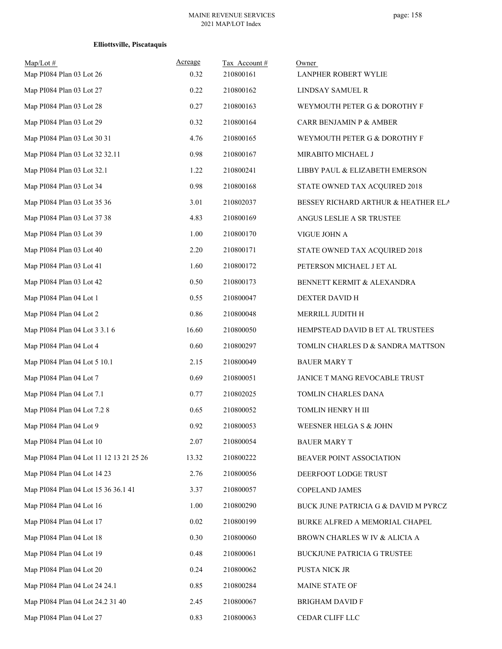| $Map/Lot$ #<br>Map PI084 Plan 03 Lot 26 | Acreage<br>0.32 | Tax Account#<br>210800161 | Owner<br>LANPHER ROBERT WYLIE        |
|-----------------------------------------|-----------------|---------------------------|--------------------------------------|
| Map PI084 Plan 03 Lot 27                | 0.22            | 210800162                 | LINDSAY SAMUEL R                     |
| Map PI084 Plan 03 Lot 28                | 0.27            | 210800163                 | WEYMOUTH PETER G & DOROTHY F         |
| Map PI084 Plan 03 Lot 29                | 0.32            | 210800164                 | CARR BENJAMIN P & AMBER              |
| Map PI084 Plan 03 Lot 30 31             | 4.76            | 210800165                 | WEYMOUTH PETER G & DOROTHY F         |
| Map PI084 Plan 03 Lot 32 32.11          | 0.98            | 210800167                 | MIRABITO MICHAEL J                   |
| Map PI084 Plan 03 Lot 32.1              | 1.22            | 210800241                 | LIBBY PAUL & ELIZABETH EMERSON       |
| Map PI084 Plan 03 Lot 34                | 0.98            | 210800168                 | STATE OWNED TAX ACQUIRED 2018        |
| Map PI084 Plan 03 Lot 35 36             | 3.01            | 210802037                 | BESSEY RICHARD ARTHUR & HEATHER ELA  |
| Map PI084 Plan 03 Lot 37 38             | 4.83            | 210800169                 | ANGUS LESLIE A SR TRUSTEE            |
| Map PI084 Plan 03 Lot 39                | 1.00            | 210800170                 | VIGUE JOHN A                         |
| Map PI084 Plan 03 Lot 40                | 2.20            | 210800171                 | STATE OWNED TAX ACQUIRED 2018        |
| Map PI084 Plan 03 Lot 41                | 1.60            | 210800172                 | PETERSON MICHAEL J ET AL             |
| Map PI084 Plan 03 Lot 42                | 0.50            | 210800173                 | BENNETT KERMIT & ALEXANDRA           |
| Map PI084 Plan 04 Lot 1                 | 0.55            | 210800047                 | DEXTER DAVID H                       |
| Map PI084 Plan 04 Lot 2                 | 0.86            | 210800048                 | MERRILL JUDITH H                     |
| Map PI084 Plan 04 Lot 3 3.1 6           | 16.60           | 210800050                 | HEMPSTEAD DAVID B ET AL TRUSTEES     |
| Map PI084 Plan 04 Lot 4                 | 0.60            | 210800297                 | TOMLIN CHARLES D & SANDRA MATTSON    |
| Map PI084 Plan 04 Lot 5 10.1            | 2.15            | 210800049                 | <b>BAUER MARY T</b>                  |
| Map PI084 Plan 04 Lot 7                 | 0.69            | 210800051                 | JANICE T MANG REVOCABLE TRUST        |
| Map PI084 Plan 04 Lot 7.1               | 0.77            | 210802025                 | TOMLIN CHARLES DANA                  |
| Map PI084 Plan 04 Lot 7.2 8             | 0.65            | 210800052                 | TOMLIN HENRY H III                   |
| Map PI084 Plan 04 Lot 9                 | 0.92            | 210800053                 | WEESNER HELGA S & JOHN               |
| Map PI084 Plan 04 Lot 10                | 2.07            | 210800054                 | <b>BAUER MARY T</b>                  |
| Map PI084 Plan 04 Lot 11 12 13 21 25 26 | 13.32           | 210800222                 | BEAVER POINT ASSOCIATION             |
| Map PI084 Plan 04 Lot 14 23             | 2.76            | 210800056                 | DEERFOOT LODGE TRUST                 |
| Map PI084 Plan 04 Lot 15 36 36.1 41     | 3.37            | 210800057                 | COPELAND JAMES                       |
| Map PI084 Plan 04 Lot 16                | 1.00            | 210800290                 | BUCK JUNE PATRICIA G & DAVID M PYRCZ |
| Map PI084 Plan 04 Lot 17                | 0.02            | 210800199                 | BURKE ALFRED A MEMORIAL CHAPEL       |
| Map PI084 Plan 04 Lot 18                | 0.30            | 210800060                 | BROWN CHARLES W IV $\&$ ALICIA A     |
| Map PI084 Plan 04 Lot 19                | 0.48            | 210800061                 | BUCKJUNE PATRICIA G TRUSTEE          |
| Map PI084 Plan 04 Lot 20                | 0.24            | 210800062                 | PUSTA NICK JR                        |
| Map PI084 Plan 04 Lot 24 24.1           | 0.85            | 210800284                 | MAINE STATE OF                       |
| Map PI084 Plan 04 Lot 24.2 31 40        | 2.45            | 210800067                 | <b>BRIGHAM DAVID F</b>               |
| Map PI084 Plan 04 Lot 27                | 0.83            | 210800063                 | CEDAR CLIFF LLC                      |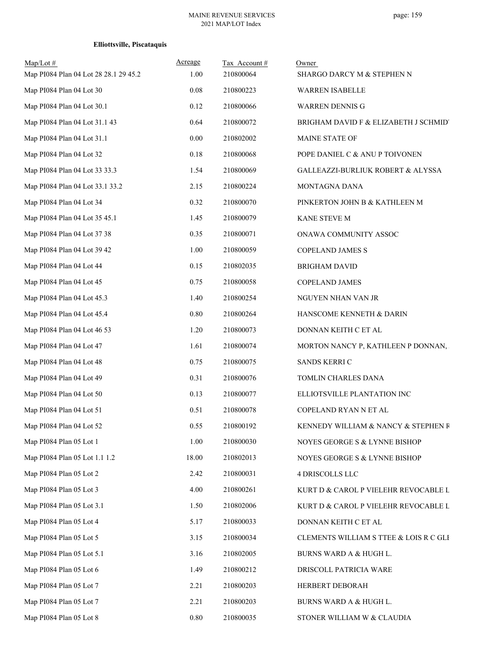| $Map/Lot$ #<br>Map PI084 Plan 04 Lot 28 28.1 29 45.2 | Acreage<br>1.00 | Tax Account#<br>210800064 | Owner<br>SHARGO DARCY M & STEPHEN N          |
|------------------------------------------------------|-----------------|---------------------------|----------------------------------------------|
| Map PI084 Plan 04 Lot 30                             | $0.08\,$        | 210800223                 | WARREN ISABELLE                              |
| Map PI084 Plan 04 Lot 30.1                           | 0.12            | 210800066                 | <b>WARREN DENNIS G</b>                       |
| Map PI084 Plan 04 Lot 31.1 43                        | 0.64            | 210800072                 | BRIGHAM DAVID F & ELIZABETH J SCHMIDT        |
| Map PI084 Plan 04 Lot 31.1                           | 0.00            | 210802002                 | MAINE STATE OF                               |
| Map PI084 Plan 04 Lot 32                             | $0.18\,$        | 210800068                 | POPE DANIEL C & ANU P TOIVONEN               |
| Map PI084 Plan 04 Lot 33 33.3                        | 1.54            | 210800069                 | <b>GALLEAZZI-BURLIUK ROBERT &amp; ALYSSA</b> |
| Map PI084 Plan 04 Lot 33.1 33.2                      | 2.15            | 210800224                 | MONTAGNA DANA                                |
| Map PI084 Plan 04 Lot 34                             | 0.32            | 210800070                 | PINKERTON JOHN B & KATHLEEN M                |
| Map PI084 Plan 04 Lot 35 45.1                        | 1.45            | 210800079                 | KANE STEVE M                                 |
| Map PI084 Plan 04 Lot 37 38                          | 0.35            | 210800071                 | ONAWA COMMUNITY ASSOC                        |
| Map PI084 Plan 04 Lot 39 42                          | 1.00            | 210800059                 | <b>COPELAND JAMES S</b>                      |
| Map PI084 Plan 04 Lot 44                             | 0.15            | 210802035                 | <b>BRIGHAM DAVID</b>                         |
| Map PI084 Plan 04 Lot 45                             | 0.75            | 210800058                 | COPELAND JAMES                               |
| Map PI084 Plan 04 Lot 45.3                           | 1.40            | 210800254                 | NGUYEN NHAN VAN JR                           |
| Map PI084 Plan 04 Lot 45.4                           | 0.80            | 210800264                 | HANSCOME KENNETH & DARIN                     |
| Map PI084 Plan 04 Lot 46 53                          | 1.20            | 210800073                 | DONNAN KEITH C ET AL                         |
| Map PI084 Plan 04 Lot 47                             | 1.61            | 210800074                 | MORTON NANCY P, KATHLEEN P DONNAN,           |
| Map PI084 Plan 04 Lot 48                             | 0.75            | 210800075                 | SANDS KERRI C                                |
| Map PI084 Plan 04 Lot 49                             | 0.31            | 210800076                 | TOMLIN CHARLES DANA                          |
| Map PI084 Plan 04 Lot 50                             | 0.13            | 210800077                 | ELLIOTSVILLE PLANTATION INC                  |
| Map PI084 Plan 04 Lot 51                             | 0.51            | 210800078                 | COPELAND RYAN N ET AL                        |
| Map PI084 Plan 04 Lot 52                             | 0.55            | 210800192                 | KENNEDY WILLIAM & NANCY & STEPHEN R          |
| Map PI084 Plan 05 Lot 1                              | 1.00            | 210800030                 | NOYES GEORGE S & LYNNE BISHOP                |
| Map PI084 Plan 05 Lot 1.1 1.2                        | 18.00           | 210802013                 | NOYES GEORGE S & LYNNE BISHOP                |
| Map PI084 Plan 05 Lot 2                              | 2.42            | 210800031                 | <b>4 DRISCOLLS LLC</b>                       |
| Map PI084 Plan 05 Lot 3                              | 4.00            | 210800261                 | KURT D & CAROL P VIELEHR REVOCABLE L         |
| Map PI084 Plan 05 Lot 3.1                            | 1.50            | 210802006                 | KURT D & CAROL P VIELEHR REVOCABLE L         |
| Map PI084 Plan 05 Lot 4                              | 5.17            | 210800033                 | DONNAN KEITH C ET AL                         |
| Map PI084 Plan 05 Lot 5                              | 3.15            | 210800034                 | CLEMENTS WILLIAM S TTEE & LOIS R C GLI       |
| Map PI084 Plan 05 Lot 5.1                            | 3.16            | 210802005                 | BURNS WARD A & HUGH L.                       |
| Map PI084 Plan 05 Lot 6                              | 1.49            | 210800212                 | DRISCOLL PATRICIA WARE                       |
| Map PI084 Plan 05 Lot 7                              | 2.21            | 210800203                 | HERBERT DEBORAH                              |
| Map PI084 Plan 05 Lot 7                              | 2.21            | 210800203                 | BURNS WARD A & HUGH L.                       |
| Map PI084 Plan 05 Lot 8                              | $0.80\,$        | 210800035                 | STONER WILLIAM W & CLAUDIA                   |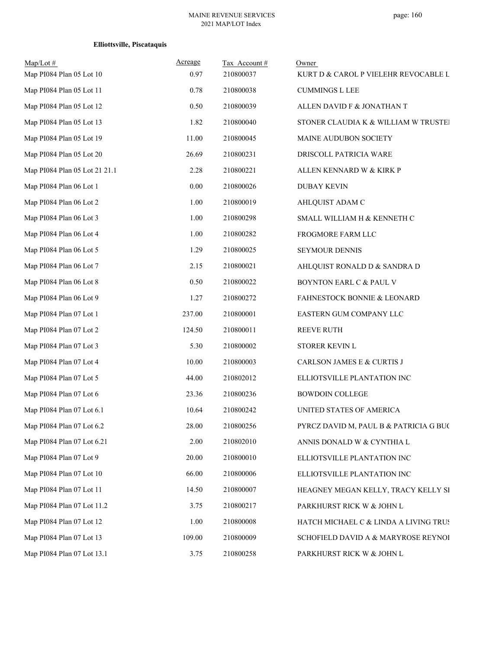| Map/Lot#<br>Map PI084 Plan 05 Lot 10 | Acreage<br>0.97 | Tax Account#<br>210800037 | Owner<br>KURT D & CAROL P VIELEHR REVOCABLE L |
|--------------------------------------|-----------------|---------------------------|-----------------------------------------------|
| Map PI084 Plan 05 Lot 11             | 0.78            | 210800038                 | <b>CUMMINGS L LEE</b>                         |
| Map PI084 Plan 05 Lot 12             | 0.50            | 210800039                 | ALLEN DAVID F & JONATHAN T                    |
| Map PI084 Plan 05 Lot 13             | 1.82            | 210800040                 | STONER CLAUDIA K & WILLIAM W TRUSTEI          |
| Map PI084 Plan 05 Lot 19             | 11.00           | 210800045                 | MAINE AUDUBON SOCIETY                         |
| Map PI084 Plan 05 Lot 20             | 26.69           | 210800231                 | DRISCOLL PATRICIA WARE                        |
| Map PI084 Plan 05 Lot 21 21.1        | 2.28            | 210800221                 | ALLEN KENNARD W & KIRK P                      |
| Map PI084 Plan 06 Lot 1              | $0.00\,$        | 210800026                 | <b>DUBAY KEVIN</b>                            |
| Map PI084 Plan 06 Lot 2              | 1.00            | 210800019                 | AHLQUIST ADAM C                               |
| Map PI084 Plan 06 Lot 3              | 1.00            | 210800298                 | SMALL WILLIAM H & KENNETH C                   |
| Map PI084 Plan 06 Lot 4              | 1.00            | 210800282                 | FROGMORE FARM LLC                             |
| Map PI084 Plan 06 Lot 5              | 1.29            | 210800025                 | SEYMOUR DENNIS                                |
| Map PI084 Plan 06 Lot 7              | 2.15            | 210800021                 | AHLQUIST RONALD D & SANDRA D                  |
| Map PI084 Plan 06 Lot 8              | 0.50            | 210800022                 | BOYNTON EARL C & PAUL V                       |
| Map PI084 Plan 06 Lot 9              | 1.27            | 210800272                 | <b>FAHNESTOCK BONNIE &amp; LEONARD</b>        |
| Map PI084 Plan 07 Lot 1              | 237.00          | 210800001                 | EASTERN GUM COMPANY LLC                       |
| Map PI084 Plan 07 Lot 2              | 124.50          | 210800011                 | <b>REEVE RUTH</b>                             |
| Map PI084 Plan 07 Lot 3              | 5.30            | 210800002                 | STORER KEVIN L                                |
| Map PI084 Plan 07 Lot 4              | 10.00           | 210800003                 | CARLSON JAMES E & CURTIS J                    |
| Map PI084 Plan 07 Lot 5              | 44.00           | 210802012                 | ELLIOTSVILLE PLANTATION INC                   |
| Map PI084 Plan 07 Lot 6              | 23.36           | 210800236                 | <b>BOWDOIN COLLEGE</b>                        |
| Map PI084 Plan 07 Lot 6.1            | 10.64           | 210800242                 | UNITED STATES OF AMERICA                      |
| Map PI084 Plan 07 Lot 6.2            | 28.00           | 210800256                 | PYRCZ DAVID M, PAUL B & PATRICIA G BUC        |
| Map PI084 Plan 07 Lot 6.21           | 2.00            | 210802010                 | ANNIS DONALD W & CYNTHIA L                    |
| Map PI084 Plan 07 Lot 9              | 20.00           | 210800010                 | ELLIOTSVILLE PLANTATION INC                   |
| Map PI084 Plan 07 Lot 10             | 66.00           | 210800006                 | ELLIOTSVILLE PLANTATION INC                   |
| Map PI084 Plan 07 Lot 11             | 14.50           | 210800007                 | HEAGNEY MEGAN KELLY, TRACY KELLY SI           |
| Map PI084 Plan 07 Lot 11.2           | 3.75            | 210800217                 | PARKHURST RICK W & JOHN L                     |
| Map PI084 Plan 07 Lot 12             | 1.00            | 210800008                 | HATCH MICHAEL C & LINDA A LIVING TRUS         |
| Map PI084 Plan 07 Lot 13             | 109.00          | 210800009                 | SCHOFIELD DAVID A & MARYROSE REYNOI           |
| Map PI084 Plan 07 Lot 13.1           | 3.75            | 210800258                 | PARKHURST RICK W & JOHN L                     |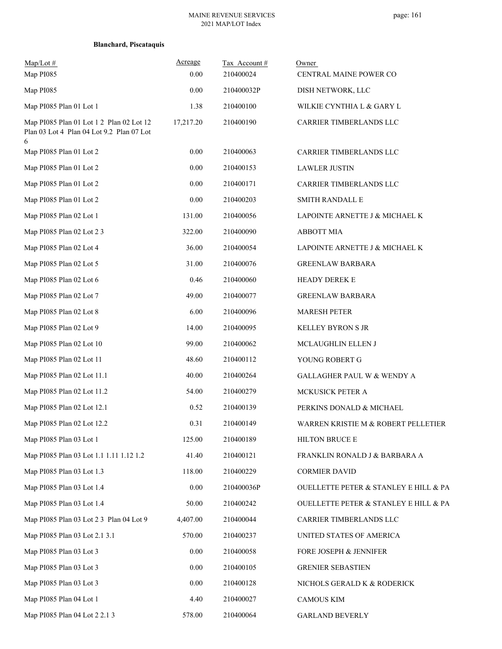| $Map/Lot \#$<br>Map PI085                 | Acreage<br>0.00 | Tax Account#<br>210400024 | Owner<br>CENTRAL MAINE POWER CO       |
|-------------------------------------------|-----------------|---------------------------|---------------------------------------|
| Map PI085                                 | 0.00            | 210400032P                | DISH NETWORK, LLC                     |
| Map PI085 Plan 01 Lot 1                   | 1.38            | 210400100                 | WILKIE CYNTHIA L & GARY L             |
| Map PI085 Plan 01 Lot 1 2 Plan 02 Lot 12  | 17,217.20       | 210400190                 | CARRIER TIMBERLANDS LLC               |
| Plan 03 Lot 4 Plan 04 Lot 9.2 Plan 07 Lot |                 |                           |                                       |
| 6<br>Map PI085 Plan 01 Lot 2              | 0.00            | 210400063                 | CARRIER TIMBERLANDS LLC               |
| Map PI085 Plan 01 Lot 2                   | 0.00            | 210400153                 | <b>LAWLER JUSTIN</b>                  |
| Map PI085 Plan 01 Lot 2                   | 0.00            | 210400171                 | CARRIER TIMBERLANDS LLC               |
| Map PI085 Plan 01 Lot 2                   | 0.00            | 210400203                 | <b>SMITH RANDALL E</b>                |
| Map PI085 Plan 02 Lot 1                   | 131.00          | 210400056                 | LAPOINTE ARNETTE J & MICHAEL K        |
| Map PI085 Plan 02 Lot 2 3                 | 322.00          | 210400090                 | <b>ABBOTT MIA</b>                     |
| Map PI085 Plan 02 Lot 4                   | 36.00           | 210400054                 | LAPOINTE ARNETTE J & MICHAEL K        |
| Map PI085 Plan 02 Lot 5                   | 31.00           | 210400076                 | <b>GREENLAW BARBARA</b>               |
| Map PI085 Plan 02 Lot 6                   | 0.46            | 210400060                 | <b>HEADY DEREK E</b>                  |
| Map PI085 Plan 02 Lot 7                   | 49.00           | 210400077                 | <b>GREENLAW BARBARA</b>               |
| Map PI085 Plan 02 Lot 8                   | 6.00            | 210400096                 | <b>MARESH PETER</b>                   |
| Map PI085 Plan 02 Lot 9                   | 14.00           | 210400095                 | <b>KELLEY BYRON S JR</b>              |
| Map PI085 Plan 02 Lot 10                  | 99.00           | 210400062                 | MCLAUGHLIN ELLEN J                    |
| Map PI085 Plan 02 Lot 11                  | 48.60           | 210400112                 | YOUNG ROBERT G                        |
| Map PI085 Plan 02 Lot 11.1                | 40.00           | 210400264                 | GALLAGHER PAUL W & WENDY A            |
| Map PI085 Plan 02 Lot 11.2                | 54.00           | 210400279                 | MCKUSICK PETER A                      |
| Map PI085 Plan 02 Lot 12.1                | 0.52            | 210400139                 | PERKINS DONALD & MICHAEL              |
| Map PI085 Plan 02 Lot 12.2                | 0.31            | 210400149                 | WARREN KRISTIE M & ROBERT PELLETIER   |
| Map PI085 Plan 03 Lot 1                   | 125.00          | 210400189                 | HILTON BRUCE E                        |
| Map PI085 Plan 03 Lot 1.1 1.11 1.12 1.2   | 41.40           | 210400121                 | FRANKLIN RONALD J & BARBARA A         |
| Map PI085 Plan 03 Lot 1.3                 | 118.00          | 210400229                 | <b>CORMIER DAVID</b>                  |
| Map PI085 Plan 03 Lot 1.4                 | 0.00            | 210400036P                | OUELLETTE PETER & STANLEY E HILL & PA |
| Map PI085 Plan 03 Lot 1.4                 | 50.00           | 210400242                 | OUELLETTE PETER & STANLEY E HILL & PA |
| Map PI085 Plan 03 Lot 2 3 Plan 04 Lot 9   | 4,407.00        | 210400044                 | CARRIER TIMBERLANDS LLC               |
| Map PI085 Plan 03 Lot 2.1 3.1             | 570.00          | 210400237                 | UNITED STATES OF AMERICA              |
| Map PI085 Plan 03 Lot 3                   | 0.00            | 210400058                 | FORE JOSEPH & JENNIFER                |
| Map PI085 Plan 03 Lot 3                   | 0.00            | 210400105                 | <b>GRENIER SEBASTIEN</b>              |
| Map PI085 Plan 03 Lot 3                   | 0.00            | 210400128                 | NICHOLS GERALD K & RODERICK           |
| Map PI085 Plan 04 Lot 1                   | 4.40            | 210400027                 | <b>CAMOUS KIM</b>                     |
| Map PI085 Plan 04 Lot 2 2.1 3             | 578.00          | 210400064                 | <b>GARLAND BEVERLY</b>                |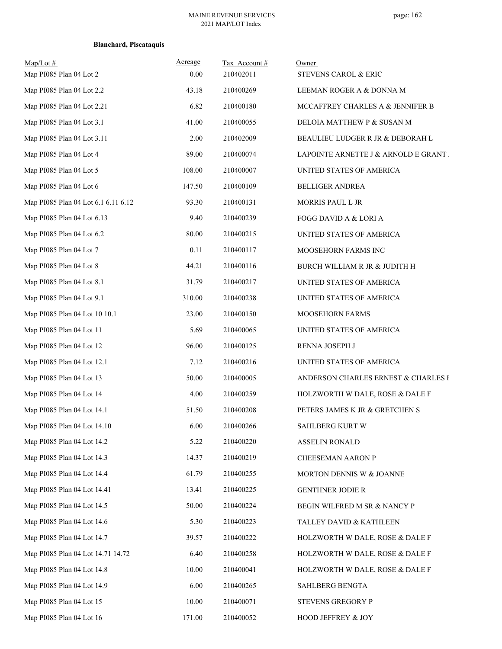| $Map/Lot \#$                        | Acreage | Tax Account# | Owner                                |
|-------------------------------------|---------|--------------|--------------------------------------|
| Map PI085 Plan 04 Lot 2             | 0.00    | 210402011    | STEVENS CAROL & ERIC                 |
| Map PI085 Plan 04 Lot 2.2           | 43.18   | 210400269    | LEEMAN ROGER A & DONNA M             |
| Map PI085 Plan 04 Lot 2.21          | 6.82    | 210400180    | MCCAFFREY CHARLES A & JENNIFER B     |
| Map PI085 Plan 04 Lot 3.1           | 41.00   | 210400055    | DELOIA MATTHEW P & SUSAN M           |
| Map PI085 Plan 04 Lot 3.11          | 2.00    | 210402009    | BEAULIEU LUDGER R JR & DEBORAH L     |
| Map PI085 Plan 04 Lot 4             | 89.00   | 210400074    | LAPOINTE ARNETTE J & ARNOLD E GRANT. |
| Map PI085 Plan 04 Lot 5             | 108.00  | 210400007    | UNITED STATES OF AMERICA             |
| Map PI085 Plan 04 Lot 6             | 147.50  | 210400109    | <b>BELLIGER ANDREA</b>               |
| Map PI085 Plan 04 Lot 6.1 6.11 6.12 | 93.30   | 210400131    | MORRIS PAUL L JR                     |
| Map PI085 Plan 04 Lot 6.13          | 9.40    | 210400239    | FOGG DAVID A & LORI A                |
| Map PI085 Plan 04 Lot 6.2           | 80.00   | 210400215    | UNITED STATES OF AMERICA             |
| Map PI085 Plan 04 Lot 7             | 0.11    | 210400117    | MOOSEHORN FARMS INC                  |
| Map PI085 Plan 04 Lot 8             | 44.21   | 210400116    | BURCH WILLIAM R JR & JUDITH H        |
| Map PI085 Plan 04 Lot 8.1           | 31.79   | 210400217    | UNITED STATES OF AMERICA             |
| Map PI085 Plan 04 Lot 9.1           | 310.00  | 210400238    | UNITED STATES OF AMERICA             |
| Map PI085 Plan 04 Lot 10 10.1       | 23.00   | 210400150    | MOOSEHORN FARMS                      |
| Map PI085 Plan 04 Lot 11            | 5.69    | 210400065    | UNITED STATES OF AMERICA             |
| Map PI085 Plan 04 Lot 12            | 96.00   | 210400125    | RENNA JOSEPH J                       |
| Map PI085 Plan 04 Lot 12.1          | 7.12    | 210400216    | UNITED STATES OF AMERICA             |
| Map PI085 Plan 04 Lot 13            | 50.00   | 210400005    | ANDERSON CHARLES ERNEST & CHARLES E  |
| Map PI085 Plan 04 Lot 14            | 4.00    | 210400259    | HOLZWORTH W DALE, ROSE & DALE F      |
| Map PI085 Plan 04 Lot 14.1          | 51.50   | 210400208    | PETERS JAMES K JR & GRETCHEN S       |
| Map PI085 Plan 04 Lot 14.10         | 6.00    | 210400266    | <b>SAHLBERG KURT W</b>               |
| Map PI085 Plan 04 Lot 14.2          | 5.22    | 210400220    | <b>ASSELIN RONALD</b>                |
| Map PI085 Plan 04 Lot 14.3          | 14.37   | 210400219    | CHEESEMAN AARON P                    |
| Map PI085 Plan 04 Lot 14.4          | 61.79   | 210400255    | MORTON DENNIS W & JOANNE             |
| Map PI085 Plan 04 Lot 14.41         | 13.41   | 210400225    | <b>GENTHNER JODIE R</b>              |
| Map PI085 Plan 04 Lot 14.5          | 50.00   | 210400224    | BEGIN WILFRED M SR & NANCY P         |
| Map PI085 Plan 04 Lot 14.6          | 5.30    | 210400223    | TALLEY DAVID & KATHLEEN              |
| Map PI085 Plan 04 Lot 14.7          | 39.57   | 210400222    | HOLZWORTH W DALE, ROSE & DALE F      |
| Map PI085 Plan 04 Lot 14.71 14.72   | 6.40    | 210400258    | HOLZWORTH W DALE, ROSE & DALE F      |
| Map PI085 Plan 04 Lot 14.8          | 10.00   | 210400041    | HOLZWORTH W DALE, ROSE & DALE F      |
| Map PI085 Plan 04 Lot 14.9          | 6.00    | 210400265    | SAHLBERG BENGTA                      |
| Map PI085 Plan 04 Lot 15            | 10.00   | 210400071    | STEVENS GREGORY P                    |
| Map PI085 Plan 04 Lot 16            | 171.00  | 210400052    | HOOD JEFFREY & JOY                   |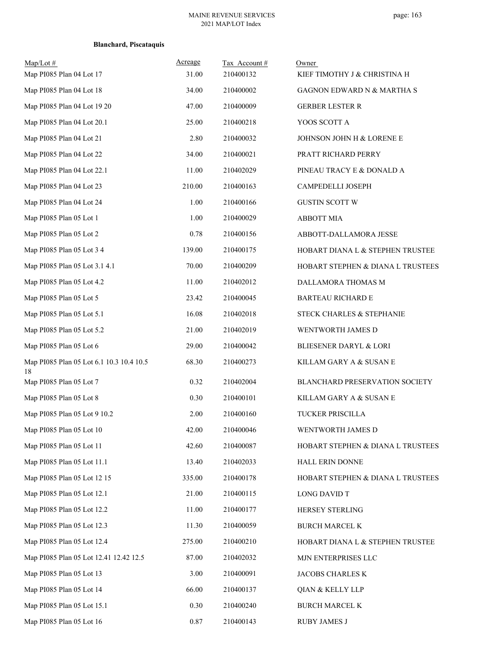| $Map/Lot \#$                                   | Acreage  | Tax Account# | Owner                             |
|------------------------------------------------|----------|--------------|-----------------------------------|
| Map PI085 Plan 04 Lot 17                       | 31.00    | 210400132    | KIEF TIMOTHY J & CHRISTINA H      |
| Map PI085 Plan 04 Lot 18                       | 34.00    | 210400002    | GAGNON EDWARD N & MARTHA S        |
| Map PI085 Plan 04 Lot 19 20                    | 47.00    | 210400009    | <b>GERBER LESTER R</b>            |
| Map PI085 Plan 04 Lot 20.1                     | 25.00    | 210400218    | YOOS SCOTT A                      |
| Map PI085 Plan 04 Lot 21                       | 2.80     | 210400032    | JOHNSON JOHN H & LORENE E         |
| Map PI085 Plan 04 Lot 22                       | 34.00    | 210400021    | PRATT RICHARD PERRY               |
| Map PI085 Plan 04 Lot 22.1                     | 11.00    | 210402029    | PINEAU TRACY E & DONALD A         |
| Map PI085 Plan 04 Lot 23                       | 210.00   | 210400163    | CAMPEDELLI JOSEPH                 |
| Map PI085 Plan 04 Lot 24                       | 1.00     | 210400166    | <b>GUSTIN SCOTT W</b>             |
| Map PI085 Plan 05 Lot 1                        | 1.00     | 210400029    | <b>ABBOTT MIA</b>                 |
| Map PI085 Plan 05 Lot 2                        | 0.78     | 210400156    | ABBOTT-DALLAMORA JESSE            |
| Map PI085 Plan 05 Lot 3 4                      | 139.00   | 210400175    | HOBART DIANA L & STEPHEN TRUSTEE  |
| Map PI085 Plan 05 Lot 3.1 4.1                  | 70.00    | 210400209    | HOBART STEPHEN & DIANA L TRUSTEES |
| Map PI085 Plan 05 Lot 4.2                      | 11.00    | 210402012    | DALLAMORA THOMAS M                |
| Map PI085 Plan 05 Lot 5                        | 23.42    | 210400045    | <b>BARTEAU RICHARD E</b>          |
| Map PI085 Plan 05 Lot 5.1                      | 16.08    | 210402018    | STECK CHARLES & STEPHANIE         |
| Map PI085 Plan 05 Lot 5.2                      | 21.00    | 210402019    | WENTWORTH JAMES D                 |
| Map PI085 Plan 05 Lot 6                        | 29.00    | 210400042    | <b>BLIESENER DARYL &amp; LORI</b> |
| Map PI085 Plan 05 Lot 6.1 10.3 10.4 10.5<br>18 | 68.30    | 210400273    | KILLAM GARY A & SUSAN E           |
| Map PI085 Plan 05 Lot 7                        | 0.32     | 210402004    | BLANCHARD PRESERVATION SOCIETY    |
| Map PI085 Plan 05 Lot 8                        | 0.30     | 210400101    | KILLAM GARY A & SUSAN E           |
| Map PI085 Plan 05 Lot 9 10.2                   | 2.00     | 210400160    | TUCKER PRISCILLA                  |
| Map PI085 Plan 05 Lot 10                       | 42.00    | 210400046    | WENTWORTH JAMES D                 |
| Map PI085 Plan 05 Lot 11                       | 42.60    | 210400087    | HOBART STEPHEN & DIANA L TRUSTEES |
| Map PI085 Plan 05 Lot 11.1                     | 13.40    | 210402033    | HALL ERIN DONNE                   |
| Map PI085 Plan 05 Lot 12 15                    | 335.00   | 210400178    | HOBART STEPHEN & DIANA L TRUSTEES |
| Map PI085 Plan 05 Lot 12.1                     | 21.00    | 210400115    | LONG DAVID T                      |
| Map PI085 Plan 05 Lot 12.2                     | 11.00    | 210400177    | HERSEY STERLING                   |
| Map PI085 Plan 05 Lot 12.3                     | 11.30    | 210400059    | <b>BURCH MARCEL K</b>             |
| Map PI085 Plan 05 Lot 12.4                     | 275.00   | 210400210    | HOBART DIANA L & STEPHEN TRUSTEE  |
| Map PI085 Plan 05 Lot 12.41 12.42 12.5         | 87.00    | 210402032    | MJN ENTERPRISES LLC               |
| Map PI085 Plan 05 Lot 13                       | 3.00     | 210400091    | JACOBS CHARLES K                  |
| Map PI085 Plan 05 Lot 14                       | 66.00    | 210400137    | QIAN & KELLY LLP                  |
| Map PI085 Plan 05 Lot 15.1                     | 0.30     | 210400240    | <b>BURCH MARCEL K</b>             |
| Map PI085 Plan 05 Lot 16                       | $0.87\,$ | 210400143    | <b>RUBY JAMES J</b>               |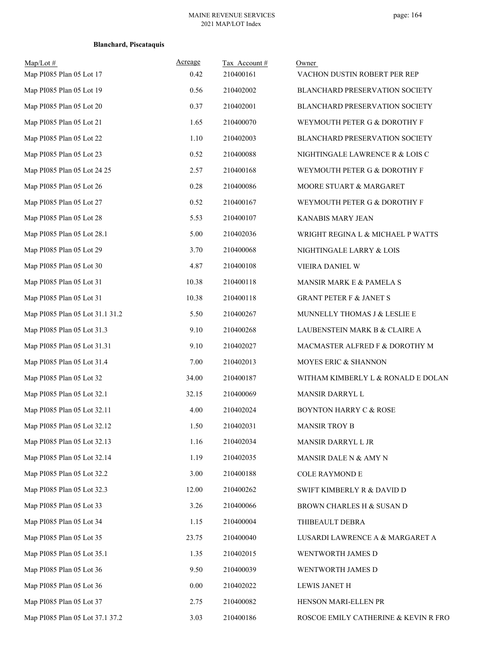| $Map/Lot \#$<br>Map PI085 Plan 05 Lot 17 | Acreage<br>0.42 | Tax Account#<br>210400161 | Owner<br>VACHON DUSTIN ROBERT PER REP |
|------------------------------------------|-----------------|---------------------------|---------------------------------------|
| Map PI085 Plan 05 Lot 19                 | 0.56            | 210402002                 | BLANCHARD PRESERVATION SOCIETY        |
| Map PI085 Plan 05 Lot 20                 | 0.37            | 210402001                 | BLANCHARD PRESERVATION SOCIETY        |
| Map PI085 Plan 05 Lot 21                 | 1.65            | 210400070                 | WEYMOUTH PETER G & DOROTHY F          |
| Map PI085 Plan 05 Lot 22                 | 1.10            | 210402003                 | BLANCHARD PRESERVATION SOCIETY        |
| Map PI085 Plan 05 Lot 23                 | 0.52            | 210400088                 | NIGHTINGALE LAWRENCE R & LOIS C       |
| Map PI085 Plan 05 Lot 24 25              | 2.57            | 210400168                 | WEYMOUTH PETER G & DOROTHY F          |
| Map PI085 Plan 05 Lot 26                 | 0.28            | 210400086                 | MOORE STUART & MARGARET               |
| Map PI085 Plan 05 Lot 27                 | 0.52            | 210400167                 | WEYMOUTH PETER G & DOROTHY F          |
| Map PI085 Plan 05 Lot 28                 | 5.53            | 210400107                 | KANABIS MARY JEAN                     |
| Map PI085 Plan 05 Lot 28.1               | 5.00            | 210402036                 | WRIGHT REGINA L & MICHAEL P WATTS     |
| Map PI085 Plan 05 Lot 29                 | 3.70            | 210400068                 | NIGHTINGALE LARRY & LOIS              |
| Map PI085 Plan 05 Lot 30                 | 4.87            | 210400108                 | VIEIRA DANIEL W                       |
| Map PI085 Plan 05 Lot 31                 | 10.38           | 210400118                 | MANSIR MARK E & PAMELA S              |
| Map PI085 Plan 05 Lot 31                 | 10.38           | 210400118                 | GRANT PETER F $\&$ JANET S            |
| Map PI085 Plan 05 Lot 31.1 31.2          | 5.50            | 210400267                 | MUNNELLY THOMAS J & LESLIE E          |
| Map PI085 Plan 05 Lot 31.3               | 9.10            | 210400268                 | LAUBENSTEIN MARK B & CLAIRE A         |
| Map PI085 Plan 05 Lot 31.31              | 9.10            | 210402027                 | MACMASTER ALFRED F & DOROTHY M        |
| Map PI085 Plan 05 Lot 31.4               | 7.00            | 210402013                 | MOYES ERIC & SHANNON                  |
| Map PI085 Plan 05 Lot 32                 | 34.00           | 210400187                 | WITHAM KIMBERLY L & RONALD E DOLAN    |
| Map PI085 Plan 05 Lot 32.1               | 32.15           | 210400069                 | MANSIR DARRYL L                       |
| Map PI085 Plan 05 Lot 32.11              | 4.00            | 210402024                 | <b>BOYNTON HARRY C &amp; ROSE</b>     |
| Map PI085 Plan 05 Lot 32.12              | 1.50            | 210402031                 | <b>MANSIR TROY B</b>                  |
| Map PI085 Plan 05 Lot 32.13              | 1.16            | 210402034                 | MANSIR DARRYL L JR                    |
| Map PI085 Plan 05 Lot 32.14              | 1.19            | 210402035                 | MANSIR DALE N & AMY N                 |
| Map PI085 Plan 05 Lot 32.2               | 3.00            | 210400188                 | COLE RAYMOND E                        |
| Map PI085 Plan 05 Lot 32.3               | 12.00           | 210400262                 | SWIFT KIMBERLY R & DAVID D            |
| Map PI085 Plan 05 Lot 33                 | 3.26            | 210400066                 | BROWN CHARLES H & SUSAN D             |
| Map PI085 Plan 05 Lot 34                 | 1.15            | 210400004                 | THIBEAULT DEBRA                       |
| Map PI085 Plan 05 Lot 35                 | 23.75           | 210400040                 | LUSARDI LAWRENCE A & MARGARET A       |
| Map PI085 Plan 05 Lot 35.1               | 1.35            | 210402015                 | WENTWORTH JAMES D                     |
| Map PI085 Plan 05 Lot 36                 | 9.50            | 210400039                 | WENTWORTH JAMES D                     |
| Map PI085 Plan 05 Lot 36                 | 0.00            | 210402022                 | <b>LEWIS JANET H</b>                  |
| Map PI085 Plan 05 Lot 37                 | 2.75            | 210400082                 | HENSON MARI-ELLEN PR                  |
| Map PI085 Plan 05 Lot 37.1 37.2          | 3.03            | 210400186                 | ROSCOE EMILY CATHERINE & KEVIN R FRO  |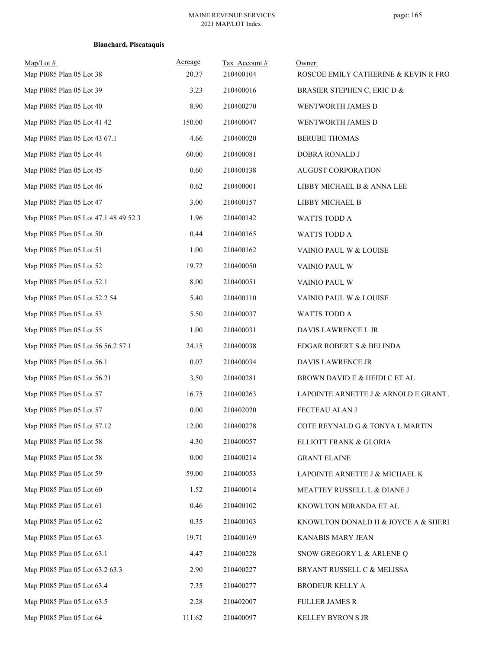| $Map/Lot \#$<br>Map PI085 Plan 05 Lot 38 | Acreage<br>20.37 | Tax Account #<br>210400104 | Owner<br>ROSCOE EMILY CATHERINE & KEVIN R FRO |
|------------------------------------------|------------------|----------------------------|-----------------------------------------------|
| Map PI085 Plan 05 Lot 39                 | 3.23             | 210400016                  | BRASIER STEPHEN C, ERIC D &                   |
| Map PI085 Plan 05 Lot 40                 | 8.90             | 210400270                  | WENTWORTH JAMES D                             |
| Map PI085 Plan 05 Lot 41 42              | 150.00           | 210400047                  | WENTWORTH JAMES D                             |
| Map PI085 Plan 05 Lot 43 67.1            | 4.66             | 210400020                  | <b>BERUBE THOMAS</b>                          |
| Map PI085 Plan 05 Lot 44                 | 60.00            | 210400081                  | DOBRA RONALD J                                |
| Map PI085 Plan 05 Lot 45                 | 0.60             | 210400138                  | <b>AUGUST CORPORATION</b>                     |
| Map PI085 Plan 05 Lot 46                 | 0.62             | 210400001                  | LIBBY MICHAEL B & ANNA LEE                    |
| Map PI085 Plan 05 Lot 47                 | 3.00             | 210400157                  | LIBBY MICHAEL B                               |
| Map PI085 Plan 05 Lot 47.1 48 49 52.3    | 1.96             | 210400142                  | WATTS TODD A                                  |
| Map PI085 Plan 05 Lot 50                 | 0.44             | 210400165                  | WATTS TODD A                                  |
| Map PI085 Plan 05 Lot 51                 | 1.00             | 210400162                  | VAINIO PAUL W & LOUISE                        |
| Map PI085 Plan 05 Lot 52                 | 19.72            | 210400050                  | VAINIO PAUL W                                 |
| Map PI085 Plan 05 Lot 52.1               | 8.00             | 210400051                  | VAINIO PAUL W                                 |
| Map PI085 Plan 05 Lot 52.2 54            | 5.40             | 210400110                  | VAINIO PAUL W & LOUISE                        |
| Map PI085 Plan 05 Lot 53                 | 5.50             | 210400037                  | WATTS TODD A                                  |
| Map PI085 Plan 05 Lot 55                 | 1.00             | 210400031                  | DAVIS LAWRENCE L JR                           |
| Map PI085 Plan 05 Lot 56 56.2 57.1       | 24.15            | 210400038                  | EDGAR ROBERT S & BELINDA                      |
| Map PI085 Plan 05 Lot 56.1               | 0.07             | 210400034                  | DAVIS LAWRENCE JR                             |
| Map PI085 Plan 05 Lot 56.21              | 3.50             | 210400281                  | BROWN DAVID E & HEIDI C ET AL                 |
| Map PI085 Plan 05 Lot 57                 | 16.75            | 210400263                  | LAPOINTE ARNETTE J & ARNOLD E GRANT.          |
| Map PI085 Plan 05 Lot 57                 | 0.00             | 210402020                  | FECTEAU ALAN J                                |
| Map PI085 Plan 05 Lot 57.12              | 12.00            | 210400278                  | COTE REYNALD G & TONYA L MARTIN               |
| Map PI085 Plan 05 Lot 58                 | 4.30             | 210400057                  | ELLIOTT FRANK & GLORIA                        |
| Map PI085 Plan 05 Lot 58                 | 0.00             | 210400214                  | <b>GRANT ELAINE</b>                           |
| Map PI085 Plan 05 Lot 59                 | 59.00            | 210400053                  | LAPOINTE ARNETTE J & MICHAEL K                |
| Map PI085 Plan 05 Lot 60                 | 1.52             | 210400014                  | MEATTEY RUSSELL L & DIANE J                   |
| Map PI085 Plan 05 Lot 61                 | 0.46             | 210400102                  | KNOWLTON MIRANDA ET AL                        |
| Map PI085 Plan 05 Lot 62                 | 0.35             | 210400103                  | KNOWLTON DONALD H & JOYCE A & SHERI           |
| Map PI085 Plan 05 Lot 63                 | 19.71            | 210400169                  | KANABIS MARY JEAN                             |
| Map PI085 Plan 05 Lot 63.1               | 4.47             | 210400228                  | SNOW GREGORY L & ARLENE Q                     |
| Map PI085 Plan 05 Lot 63.2 63.3          | 2.90             | 210400227                  | BRYANT RUSSELL C & MELISSA                    |
| Map PI085 Plan 05 Lot 63.4               | 7.35             | 210400277                  | BRODEUR KELLY A                               |
| Map PI085 Plan 05 Lot 63.5               | 2.28             | 210402007                  | <b>FULLER JAMES R</b>                         |
| Map PI085 Plan 05 Lot 64                 | 111.62           | 210400097                  | KELLEY BYRON S JR                             |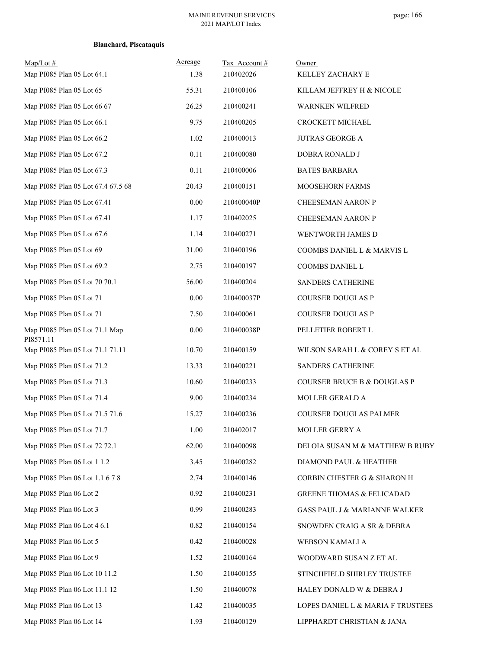| $Map/Lot \#$<br>Map PI085 Plan 05 Lot 64.1    | Acreage<br>1.38 | Tax Account#<br>210402026 | Owner<br>KELLEY ZACHARY E                |
|-----------------------------------------------|-----------------|---------------------------|------------------------------------------|
| Map PI085 Plan 05 Lot 65                      | 55.31           | 210400106                 | KILLAM JEFFREY H & NICOLE                |
| Map PI085 Plan 05 Lot 66 67                   | 26.25           | 210400241                 | WARNKEN WILFRED                          |
| Map PI085 Plan 05 Lot 66.1                    | 9.75            | 210400205                 | CROCKETT MICHAEL                         |
| Map PI085 Plan 05 Lot 66.2                    | 1.02            | 210400013                 | <b>JUTRAS GEORGE A</b>                   |
| Map PI085 Plan 05 Lot 67.2                    | 0.11            | 210400080                 | DOBRA RONALD J                           |
| Map PI085 Plan 05 Lot 67.3                    | 0.11            | 210400006                 | <b>BATES BARBARA</b>                     |
| Map PI085 Plan 05 Lot 67.4 67.5 68            | 20.43           | 210400151                 | MOOSEHORN FARMS                          |
| Map PI085 Plan 05 Lot 67.41                   | $0.00\,$        | 210400040P                | <b>CHEESEMAN AARON P</b>                 |
| Map PI085 Plan 05 Lot 67.41                   | 1.17            | 210402025                 | <b>CHEESEMAN AARON P</b>                 |
| Map PI085 Plan 05 Lot 67.6                    | 1.14            | 210400271                 | WENTWORTH JAMES D                        |
| Map PI085 Plan 05 Lot 69                      | 31.00           | 210400196                 | COOMBS DANIEL L & MARVIS L               |
| Map PI085 Plan 05 Lot 69.2                    | 2.75            | 210400197                 | COOMBS DANIEL L                          |
| Map PI085 Plan 05 Lot 70 70.1                 | 56.00           | 210400204                 | SANDERS CATHERINE                        |
| Map PI085 Plan 05 Lot 71                      | 0.00            | 210400037P                | COURSER DOUGLAS P                        |
| Map PI085 Plan 05 Lot 71                      | 7.50            | 210400061                 | COURSER DOUGLAS P                        |
| Map PI085 Plan 05 Lot 71.1 Map                | $0.00\,$        | 210400038P                | PELLETIER ROBERT L                       |
| PI8571.11<br>Map PI085 Plan 05 Lot 71.1 71.11 | 10.70           | 210400159                 | WILSON SARAH L & COREY S ET AL           |
| Map PI085 Plan 05 Lot 71.2                    | 13.33           | 210400221                 | SANDERS CATHERINE                        |
| Map PI085 Plan 05 Lot 71.3                    | 10.60           | 210400233                 | <b>COURSER BRUCE B &amp; DOUGLAS P</b>   |
| Map PI085 Plan 05 Lot 71.4                    | 9.00            | 210400234                 | MOLLER GERALD A                          |
| Map PI085 Plan 05 Lot 71.5 71.6               | 15.27           | 210400236                 | <b>COURSER DOUGLAS PALMER</b>            |
| Map PI085 Plan 05 Lot 71.7                    | 1.00            | 210402017                 | MOLLER GERRY A                           |
| Map PI085 Plan 05 Lot 72 72.1                 | 62.00           | 210400098                 | DELOIA SUSAN M & MATTHEW B RUBY          |
| Map PI085 Plan 06 Lot 1 1.2                   | 3.45            | 210400282                 | DIAMOND PAUL & HEATHER                   |
| Map PI085 Plan 06 Lot 1.1 6 7 8               | 2.74            | 210400146                 | CORBIN CHESTER G & SHARON H              |
| Map PI085 Plan 06 Lot 2                       | 0.92            | 210400231                 | <b>GREENE THOMAS &amp; FELICADAD</b>     |
| Map PI085 Plan 06 Lot 3                       | 0.99            | 210400283                 | <b>GASS PAUL J &amp; MARIANNE WALKER</b> |
| Map PI085 Plan 06 Lot 4 6.1                   | 0.82            | 210400154                 | SNOWDEN CRAIG A SR & DEBRA               |
| Map PI085 Plan 06 Lot 5                       | 0.42            | 210400028                 | WEBSON KAMALI A                          |
| Map PI085 Plan 06 Lot 9                       | 1.52            | 210400164                 | WOODWARD SUSAN Z ET AL                   |
| Map PI085 Plan 06 Lot 10 11.2                 | 1.50            | 210400155                 | STINCHFIELD SHIRLEY TRUSTEE              |
| Map PI085 Plan 06 Lot 11.1 12                 | 1.50            | 210400078                 | HALEY DONALD W & DEBRA J                 |
| Map PI085 Plan 06 Lot 13                      | 1.42            | 210400035                 | LOPES DANIEL L $\&$ MARIA F TRUSTEES     |
| Map PI085 Plan 06 Lot 14                      | 1.93            | 210400129                 | LIPPHARDT CHRISTIAN & JANA               |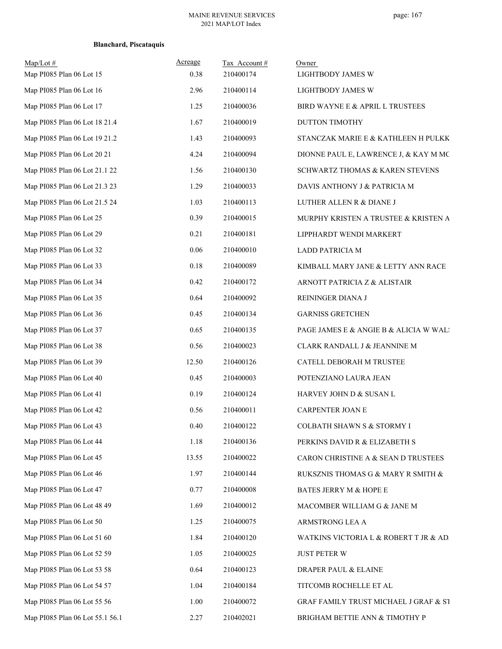| $Map/Lot \#$<br>Map PI085 Plan 06 Lot 15 | Acreage<br>0.38 | Tax Account#<br>210400174 | Owner<br>LIGHTBODY JAMES W             |
|------------------------------------------|-----------------|---------------------------|----------------------------------------|
| Map PI085 Plan 06 Lot 16                 | 2.96            | 210400114                 | LIGHTBODY JAMES W                      |
| Map PI085 Plan 06 Lot 17                 | 1.25            | 210400036                 | BIRD WAYNE E & APRIL L TRUSTEES        |
| Map PI085 Plan 06 Lot 18 21.4            | 1.67            | 210400019                 | DUTTON TIMOTHY                         |
| Map PI085 Plan 06 Lot 19 21.2            | 1.43            | 210400093                 | STANCZAK MARIE E & KATHLEEN H PULKK    |
| Map PI085 Plan 06 Lot 20 21              | 4.24            | 210400094                 | DIONNE PAUL E, LAWRENCE J, & KAY M MC  |
| Map PI085 Plan 06 Lot 21.1 22            | 1.56            | 210400130                 | SCHWARTZ THOMAS & KAREN STEVENS        |
| Map PI085 Plan 06 Lot 21.3 23            | 1.29            | 210400033                 | DAVIS ANTHONY J & PATRICIA M           |
| Map PI085 Plan 06 Lot 21.5 24            | 1.03            | 210400113                 | LUTHER ALLEN R & DIANE J               |
| Map PI085 Plan 06 Lot 25                 | 0.39            | 210400015                 | MURPHY KRISTEN A TRUSTEE & KRISTEN A   |
| Map PI085 Plan 06 Lot 29                 | 0.21            | 210400181                 | LIPPHARDT WENDI MARKERT                |
| Map PI085 Plan 06 Lot 32                 | 0.06            | 210400010                 | LADD PATRICIA M                        |
| Map PI085 Plan 06 Lot 33                 | 0.18            | 210400089                 | KIMBALL MARY JANE & LETTY ANN RACE     |
| Map PI085 Plan 06 Lot 34                 | 0.42            | 210400172                 | ARNOTT PATRICIA Z & ALISTAIR           |
| Map PI085 Plan 06 Lot 35                 | 0.64            | 210400092                 | REININGER DIANA J                      |
| Map PI085 Plan 06 Lot 36                 | 0.45            | 210400134                 | <b>GARNISS GRETCHEN</b>                |
| Map PI085 Plan 06 Lot 37                 | 0.65            | 210400135                 | PAGE JAMES E & ANGIE B & ALICIA W WAL! |
| Map PI085 Plan 06 Lot 38                 | 0.56            | 210400023                 | CLARK RANDALL J & JEANNINE M           |
| Map PI085 Plan 06 Lot 39                 | 12.50           | 210400126                 | CATELL DEBORAH M TRUSTEE               |
| Map PI085 Plan 06 Lot 40                 | 0.45            | 210400003                 | POTENZIANO LAURA JEAN                  |
| Map PI085 Plan 06 Lot 41                 | 0.19            | 210400124                 | HARVEY JOHN D & SUSAN L                |
| Map PI085 Plan 06 Lot 42                 | 0.56            | 210400011                 | CARPENTER JOAN E                       |
| Map PI085 Plan 06 Lot 43                 | 0.40            | 210400122                 | COLBATH SHAWN S & STORMY I             |
| Map PI085 Plan 06 Lot 44                 | 1.18            | 210400136                 | PERKINS DAVID R & ELIZABETH S          |
| Map PI085 Plan 06 Lot 45                 | 13.55           | 210400022                 | CARON CHRISTINE A & SEAN D TRUSTEES    |
| Map PI085 Plan 06 Lot 46                 | 1.97            | 210400144                 | RUKSZNIS THOMAS G & MARY R SMITH &     |
| Map PI085 Plan 06 Lot 47                 | 0.77            | 210400008                 | BATES JERRY M & HOPE E                 |
| Map PI085 Plan 06 Lot 48 49              | 1.69            | 210400012                 | MACOMBER WILLIAM G & JANE M            |
| Map PI085 Plan 06 Lot 50                 | 1.25            | 210400075                 | ARMSTRONG LEA A                        |
| Map PI085 Plan 06 Lot 51 60              | 1.84            | 210400120                 | WATKINS VICTORIA L & ROBERT T JR & AD. |
| Map PI085 Plan 06 Lot 52 59              | 1.05            | 210400025                 | <b>JUST PETER W</b>                    |
| Map PI085 Plan 06 Lot 53 58              | 0.64            | 210400123                 | DRAPER PAUL & ELAINE                   |
| Map PI085 Plan 06 Lot 54 57              | 1.04            | 210400184                 | TITCOMB ROCHELLE ET AL                 |
| Map PI085 Plan 06 Lot 55 56              | 1.00            | 210400072                 | GRAF FAMILY TRUST MICHAEL J GRAF & ST  |
| Map PI085 Plan 06 Lot 55.1 56.1          | 2.27            | 210402021                 | BRIGHAM BETTIE ANN & TIMOTHY P         |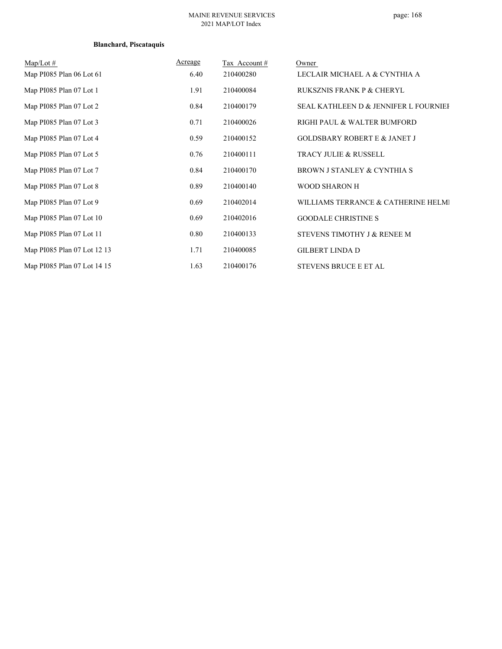### MAINE REVENUE SERVICES 2021 MAP/LOT Index

| $Map/Lot \#$                | Acreage | Tax Account# | Owner                                            |
|-----------------------------|---------|--------------|--------------------------------------------------|
| Map PI085 Plan 06 Lot 61    | 6.40    | 210400280    | LECLAIR MICHAEL A & CYNTHIA A                    |
| Map PI085 Plan 07 Lot 1     | 1.91    | 210400084    | <b>RUKSZNIS FRANK P &amp; CHERYL</b>             |
| Map PI085 Plan 07 Lot 2     | 0.84    | 210400179    | <b>SEAL KATHLEEN D &amp; JENNIFER L FOURNIEF</b> |
| Map PI085 Plan 07 Lot 3     | 0.71    | 210400026    | RIGHI PAUL & WALTER BUMFORD                      |
| Map PI085 Plan 07 Lot 4     | 0.59    | 210400152    | <b>GOLDSBARY ROBERT E &amp; JANET J</b>          |
| Map PI085 Plan 07 Lot 5     | 0.76    | 210400111    | <b>TRACY JULIE &amp; RUSSELL</b>                 |
| Map PI085 Plan 07 Lot 7     | 0.84    | 210400170    | BROWN J STANLEY & CYNTHIA S                      |
| Map PI085 Plan 07 Lot 8     | 0.89    | 210400140    | <b>WOOD SHARON H</b>                             |
| Map PI085 Plan 07 Lot 9     | 0.69    | 210402014    | WILLIAMS TERRANCE & CATHERINE HELMI              |
| Map PI085 Plan 07 Lot 10    | 0.69    | 210402016    | <b>GOODALE CHRISTINE S</b>                       |
| Map PI085 Plan 07 Lot 11    | 0.80    | 210400133    | STEVENS TIMOTHY J & RENEE M                      |
| Map PI085 Plan 07 Lot 12 13 | 1.71    | 210400085    | <b>GILBERT LINDA D</b>                           |
| Map PI085 Plan 07 Lot 14 15 | 1.63    | 210400176    | STEVENS BRUCE E ET AL                            |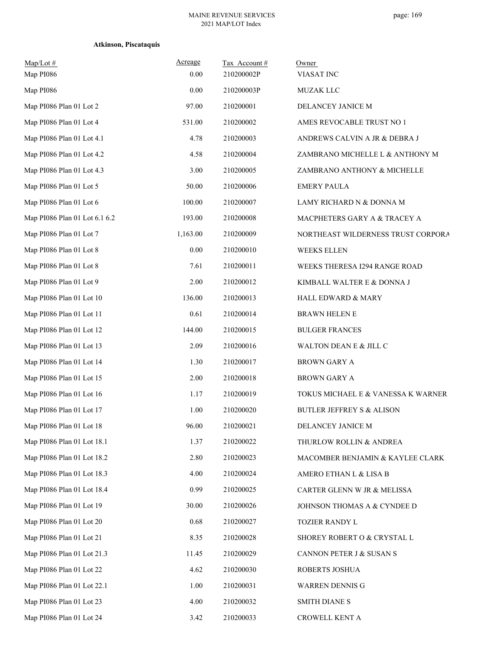| $Map/Lot \#$<br>Map PI086     | Acreage<br>0.00 | Tax Account#<br>210200002P | Owner<br>VIASAT INC                  |
|-------------------------------|-----------------|----------------------------|--------------------------------------|
| Map PI086                     | 0.00            | 210200003P                 | <b>MUZAK LLC</b>                     |
| Map PI086 Plan 01 Lot 2       | 97.00           | 210200001                  | DELANCEY JANICE M                    |
| Map PI086 Plan 01 Lot 4       | 531.00          | 210200002                  | AMES REVOCABLE TRUST NO 1            |
| Map PI086 Plan 01 Lot 4.1     | 4.78            | 210200003                  | ANDREWS CALVIN A JR & DEBRA J        |
| Map PI086 Plan 01 Lot 4.2     | 4.58            | 210200004                  | ZAMBRANO MICHELLE L & ANTHONY M      |
| Map PI086 Plan 01 Lot 4.3     | 3.00            | 210200005                  | ZAMBRANO ANTHONY & MICHELLE          |
| Map PI086 Plan 01 Lot 5       | 50.00           | 210200006                  | <b>EMERY PAULA</b>                   |
| Map PI086 Plan 01 Lot 6       | 100.00          | 210200007                  | LAMY RICHARD N & DONNA M             |
| Map PI086 Plan 01 Lot 6.1 6.2 | 193.00          | 210200008                  | MACPHETERS GARY A & TRACEY A         |
| Map PI086 Plan 01 Lot 7       | 1,163.00        | 210200009                  | NORTHEAST WILDERNESS TRUST CORPORA   |
| Map PI086 Plan 01 Lot 8       | 0.00            | 210200010                  | <b>WEEKS ELLEN</b>                   |
| Map PI086 Plan 01 Lot 8       | 7.61            | 210200011                  | WEEKS THERESA I294 RANGE ROAD        |
| Map PI086 Plan 01 Lot 9       | 2.00            | 210200012                  | KIMBALL WALTER E & DONNA J           |
| Map PI086 Plan 01 Lot 10      | 136.00          | 210200013                  | <b>HALL EDWARD &amp; MARY</b>        |
| Map PI086 Plan 01 Lot 11      | 0.61            | 210200014                  | <b>BRAWN HELEN E</b>                 |
| Map PI086 Plan 01 Lot 12      | 144.00          | 210200015                  | <b>BULGER FRANCES</b>                |
| Map PI086 Plan 01 Lot 13      | 2.09            | 210200016                  | WALTON DEAN E & JILL C               |
| Map PI086 Plan 01 Lot 14      | 1.30            | 210200017                  | <b>BROWN GARY A</b>                  |
| Map PI086 Plan 01 Lot 15      | 2.00            | 210200018                  | <b>BROWN GARY A</b>                  |
| Map PI086 Plan 01 Lot 16      | 1.17            | 210200019                  | TOKUS MICHAEL E & VANESSA K WARNER   |
| Map PI086 Plan 01 Lot 17      | 1.00            | 210200020                  | <b>BUTLER JEFFREY S &amp; ALISON</b> |
| Map PI086 Plan 01 Lot 18      | 96.00           | 210200021                  | DELANCEY JANICE M                    |
| Map PI086 Plan 01 Lot 18.1    | 1.37            | 210200022                  | THURLOW ROLLIN & ANDREA              |
| Map PI086 Plan 01 Lot 18.2    | 2.80            | 210200023                  | MACOMBER BENJAMIN & KAYLEE CLARK     |
| Map PI086 Plan 01 Lot 18.3    | 4.00            | 210200024                  | AMERO ETHAN L & LISA B               |
| Map PI086 Plan 01 Lot 18.4    | 0.99            | 210200025                  | CARTER GLENN W JR & MELISSA          |
| Map PI086 Plan 01 Lot 19      | 30.00           | 210200026                  | JOHNSON THOMAS A & CYNDEE D          |
| Map PI086 Plan 01 Lot 20      | 0.68            | 210200027                  | TOZIER RANDY L                       |
| Map PI086 Plan 01 Lot 21      | 8.35            | 210200028                  | SHOREY ROBERT O & CRYSTAL L          |
| Map PI086 Plan 01 Lot 21.3    | 11.45           | 210200029                  | CANNON PETER J & SUSAN S             |
| Map PI086 Plan 01 Lot 22      | 4.62            | 210200030                  | ROBERTS JOSHUA                       |
| Map PI086 Plan 01 Lot 22.1    | 1.00            | 210200031                  | WARREN DENNIS G                      |
| Map PI086 Plan 01 Lot 23      | 4.00            | 210200032                  | <b>SMITH DIANE S</b>                 |
| Map PI086 Plan 01 Lot 24      | 3.42            | 210200033                  | CROWELL KENT A                       |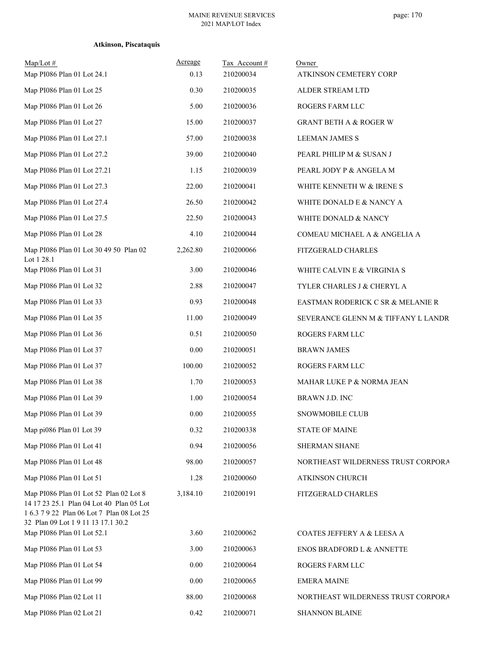| $Map/Lot \#$<br>Map PI086 Plan 01 Lot 24.1                                                                                                                            | Acreage<br>0.13 | Tax Account#<br>210200034 | Owner<br>ATKINSON CEMETERY CORP     |
|-----------------------------------------------------------------------------------------------------------------------------------------------------------------------|-----------------|---------------------------|-------------------------------------|
| Map PI086 Plan 01 Lot 25                                                                                                                                              | 0.30            | 210200035                 | ALDER STREAM LTD                    |
| Map PI086 Plan 01 Lot 26                                                                                                                                              | 5.00            | 210200036                 | ROGERS FARM LLC                     |
| Map PI086 Plan 01 Lot 27                                                                                                                                              | 15.00           | 210200037                 | <b>GRANT BETH A &amp; ROGER W</b>   |
| Map PI086 Plan 01 Lot 27.1                                                                                                                                            | 57.00           | 210200038                 | <b>LEEMAN JAMES S</b>               |
| Map PI086 Plan 01 Lot 27.2                                                                                                                                            | 39.00           | 210200040                 | PEARL PHILIP M & SUSAN J            |
| Map PI086 Plan 01 Lot 27.21                                                                                                                                           | 1.15            | 210200039                 | PEARL JODY P & ANGELA M             |
| Map PI086 Plan 01 Lot 27.3                                                                                                                                            | 22.00           | 210200041                 | WHITE KENNETH W & IRENE S           |
| Map PI086 Plan 01 Lot 27.4                                                                                                                                            | 26.50           | 210200042                 | WHITE DONALD E & NANCY A            |
| Map PI086 Plan 01 Lot 27.5                                                                                                                                            | 22.50           | 210200043                 | WHITE DONALD & NANCY                |
| Map PI086 Plan 01 Lot 28                                                                                                                                              | 4.10            | 210200044                 | COMEAU MICHAEL A & ANGELIA A        |
| Map PI086 Plan 01 Lot 30 49 50 Plan 02<br>Lot 1 28.1                                                                                                                  | 2,262.80        | 210200066                 | FITZGERALD CHARLES                  |
| Map PI086 Plan 01 Lot 31                                                                                                                                              | 3.00            | 210200046                 | WHITE CALVIN E & VIRGINIA S         |
| Map PI086 Plan 01 Lot 32                                                                                                                                              | 2.88            | 210200047                 | TYLER CHARLES J & CHERYL A          |
| Map PI086 Plan 01 Lot 33                                                                                                                                              | 0.93            | 210200048                 | EASTMAN RODERICK C SR & MELANIE R   |
| Map PI086 Plan 01 Lot 35                                                                                                                                              | 11.00           | 210200049                 | SEVERANCE GLENN M & TIFFANY L LANDR |
| Map PI086 Plan 01 Lot 36                                                                                                                                              | 0.51            | 210200050                 | ROGERS FARM LLC                     |
| Map PI086 Plan 01 Lot 37                                                                                                                                              | 0.00            | 210200051                 | <b>BRAWN JAMES</b>                  |
| Map PI086 Plan 01 Lot 37                                                                                                                                              | 100.00          | 210200052                 | ROGERS FARM LLC                     |
| Map PI086 Plan 01 Lot 38                                                                                                                                              | 1.70            | 210200053                 | MAHAR LUKE P & NORMA JEAN           |
| Map PI086 Plan 01 Lot 39                                                                                                                                              | 1.00            | 210200054                 | BRAWN J.D. INC                      |
| Map PI086 Plan 01 Lot 39                                                                                                                                              | 0.00            | 210200055                 | SNOWMOBILE CLUB                     |
| Map pi086 Plan 01 Lot 39                                                                                                                                              | 0.32            | 210200338                 | <b>STATE OF MAINE</b>               |
| Map PI086 Plan 01 Lot 41                                                                                                                                              | 0.94            | 210200056                 | SHERMAN SHANE                       |
| Map PI086 Plan 01 Lot 48                                                                                                                                              | 98.00           | 210200057                 | NORTHEAST WILDERNESS TRUST CORPORA  |
| Map PI086 Plan 01 Lot 51                                                                                                                                              | 1.28            | 210200060                 | <b>ATKINSON CHURCH</b>              |
| Map PI086 Plan 01 Lot 52 Plan 02 Lot 8<br>14 17 23 25.1 Plan 04 Lot 40 Plan 05 Lot<br>1 6.3 7 9 22 Plan 06 Lot 7 Plan 08 Lot 25<br>32 Plan 09 Lot 1 9 11 13 17.1 30.2 | 3,184.10        | 210200191                 | FITZGERALD CHARLES                  |
| Map PI086 Plan 01 Lot 52.1                                                                                                                                            | 3.60            | 210200062                 | COATES JEFFERY A & LEESA A          |
| Map PI086 Plan 01 Lot 53                                                                                                                                              | 3.00            | 210200063                 | ENOS BRADFORD L & ANNETTE           |
| Map PI086 Plan 01 Lot 54                                                                                                                                              | 0.00            | 210200064                 | ROGERS FARM LLC                     |
| Map PI086 Plan 01 Lot 99                                                                                                                                              | 0.00            | 210200065                 | <b>EMERA MAINE</b>                  |
| Map PI086 Plan 02 Lot 11                                                                                                                                              | 88.00           | 210200068                 | NORTHEAST WILDERNESS TRUST CORPORA  |
| Map PI086 Plan 02 Lot 21                                                                                                                                              | 0.42            | 210200071                 | SHANNON BLAINE                      |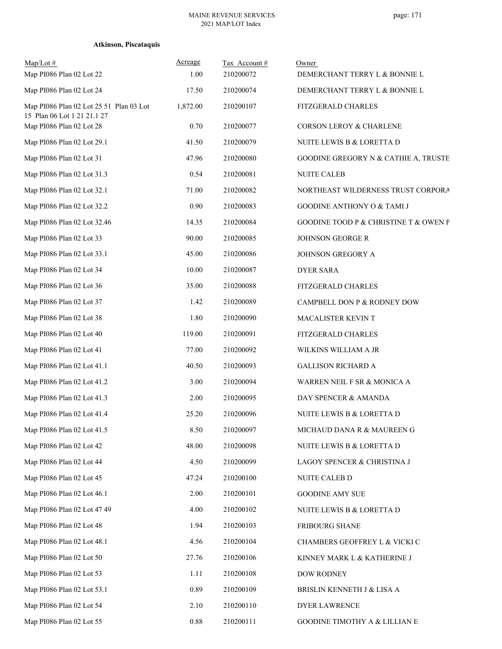| $Map/Lot \#$<br>Map PI086 Plan 02 Lot 22                               | Acreage<br>1.00 | Tax Account #<br>210200072 | Owner<br>DEMERCHANT TERRY L & BONNIE L |
|------------------------------------------------------------------------|-----------------|----------------------------|----------------------------------------|
| Map PI086 Plan 02 Lot 24                                               | 17.50           | 210200074                  | DEMERCHANT TERRY L & BONNIE L          |
| Map PI086 Plan 02 Lot 25 51 Plan 03 Lot<br>15 Plan 06 Lot 1 21 21.1 27 | 1,872.00        | 210200107                  | FITZGERALD CHARLES                     |
| Map PI086 Plan 02 Lot 28                                               | 0.70            | 210200077                  | CORSON LEROY & CHARLENE                |
| Map PI086 Plan 02 Lot 29.1                                             | 41.50           | 210200079                  | NUITE LEWIS B & LORETTA D              |
| Map PI086 Plan 02 Lot 31                                               | 47.96           | 210200080                  | GOODINE GREGORY N & CATHIE A, TRUSTE   |
| Map PI086 Plan 02 Lot 31.3                                             | 0.54            | 210200081                  | <b>NUITE CALEB</b>                     |
| Map PI086 Plan 02 Lot 32.1                                             | 71.00           | 210200082                  | NORTHEAST WILDERNESS TRUST CORPORA     |
| Map PI086 Plan 02 Lot 32.2                                             | 0.90            | 210200083                  | GOODINE ANTHONY O & TAMI J             |
| Map PI086 Plan 02 Lot 32.46                                            | 14.35           | 210200084                  | GOODINE TOOD P & CHRISTINE T & OWEN P  |
| Map PI086 Plan 02 Lot 33                                               | 90.00           | 210200085                  | <b>JOHNSON GEORGE R</b>                |
| Map PI086 Plan 02 Lot 33.1                                             | 45.00           | 210200086                  | JOHNSON GREGORY A                      |
| Map PI086 Plan 02 Lot 34                                               | 10.00           | 210200087                  | <b>DYER SARA</b>                       |
| Map PI086 Plan 02 Lot 36                                               | 35.00           | 210200088                  | FITZGERALD CHARLES                     |
| Map PI086 Plan 02 Lot 37                                               | 1.42            | 210200089                  | CAMPBELL DON P & RODNEY DOW            |
| Map PI086 Plan 02 Lot 38                                               | 1.80            | 210200090                  | MACALISTER KEVIN T                     |
| Map PI086 Plan 02 Lot 40                                               | 119.00          | 210200091                  | FITZGERALD CHARLES                     |
| Map PI086 Plan 02 Lot 41                                               | 77.00           | 210200092                  | WILKINS WILLIAM A JR                   |
| Map PI086 Plan 02 Lot 41.1                                             | 40.50           | 210200093                  | <b>GALLISON RICHARD A</b>              |
| Map PI086 Plan 02 Lot 41.2                                             | 3.00            | 210200094                  | WARREN NEIL F SR & MONICA A            |
| Map PI086 Plan 02 Lot 41.3                                             | 2.00            | 210200095                  | DAY SPENCER & AMANDA                   |
| Map PI086 Plan 02 Lot 41.4                                             | 25.20           | 210200096                  | NUITE LEWIS B & LORETTA D              |
| Map PI086 Plan 02 Lot 41.5                                             | 8.50            | 210200097                  | MICHAUD DANA R & MAUREEN G             |
| Map PI086 Plan 02 Lot 42                                               | 48.00           | 210200098                  | NUITE LEWIS B & LORETTA D              |
| Map PI086 Plan 02 Lot 44                                               | 4.50            | 210200099                  | LAGOY SPENCER & CHRISTINA J            |
| Map PI086 Plan 02 Lot 45                                               | 47.24           | 210200100                  | NUITE CALEB D                          |
| Map PI086 Plan 02 Lot 46.1                                             | 2.00            | 210200101                  | <b>GOODINE AMY SUE</b>                 |
| Map PI086 Plan 02 Lot 47 49                                            | 4.00            | 210200102                  | NUITE LEWIS B & LORETTA D              |
| Map PI086 Plan 02 Lot 48                                               | 1.94            | 210200103                  | FRIBOURG SHANE                         |
| Map PI086 Plan 02 Lot 48.1                                             | 4.56            | 210200104                  | CHAMBERS GEOFFREY L & VICKI C          |
| Map PI086 Plan 02 Lot 50                                               | 27.76           | 210200106                  | KINNEY MARK L & KATHERINE J            |
| Map PI086 Plan 02 Lot 53                                               | 1.11            | 210200108                  | DOW RODNEY                             |
| Map PI086 Plan 02 Lot 53.1                                             | 0.89            | 210200109                  | BRISLIN KENNETH J & LISA A             |
| Map PI086 Plan 02 Lot 54                                               | 2.10            | 210200110                  | <b>DYER LAWRENCE</b>                   |
| Map PI086 Plan 02 Lot 55                                               | 0.88            | 210200111                  | GOODINE TIMOTHY A & LILLIAN E          |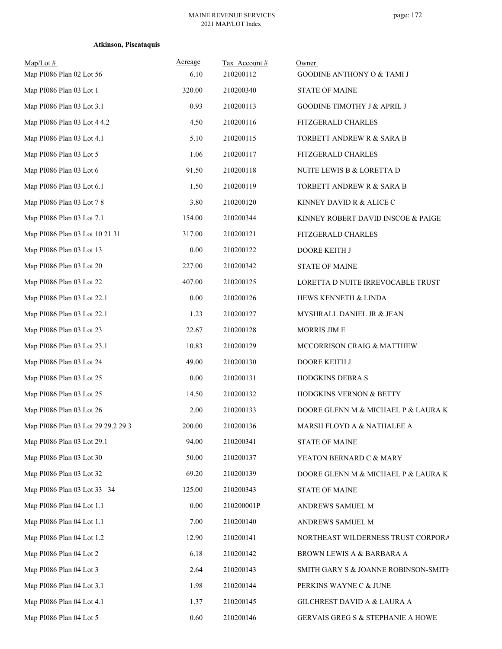| $Map/Lot \#$<br>Map PI086 Plan 02 Lot 56 | Acreage<br>6.10 | Tax Account#<br>210200112 | Owner<br><b>GOODINE ANTHONY O &amp; TAMI J</b> |
|------------------------------------------|-----------------|---------------------------|------------------------------------------------|
| Map PI086 Plan 03 Lot 1                  | 320.00          | 210200340                 | <b>STATE OF MAINE</b>                          |
| Map PI086 Plan 03 Lot 3.1                | 0.93            | 210200113                 | GOODINE TIMOTHY J & APRIL J                    |
| Map PI086 Plan 03 Lot 4 4.2              | 4.50            | 210200116                 | FITZGERALD CHARLES                             |
| Map PI086 Plan 03 Lot 4.1                | 5.10            | 210200115                 | TORBETT ANDREW R & SARA B                      |
| Map PI086 Plan 03 Lot 5                  | 1.06            | 210200117                 | FITZGERALD CHARLES                             |
| Map PI086 Plan 03 Lot 6                  | 91.50           | 210200118                 | NUITE LEWIS B & LORETTA D                      |
| Map PI086 Plan 03 Lot 6.1                | 1.50            | 210200119                 | TORBETT ANDREW R & SARA B                      |
| Map PI086 Plan 03 Lot 78                 | 3.80            | 210200120                 | KINNEY DAVID R & ALICE C                       |
| Map PI086 Plan 03 Lot 7.1                | 154.00          | 210200344                 | KINNEY ROBERT DAVID INSCOE & PAIGE             |
| Map PI086 Plan 03 Lot 10 21 31           | 317.00          | 210200121                 | FITZGERALD CHARLES                             |
| Map PI086 Plan 03 Lot 13                 | 0.00            | 210200122                 | DOORE KEITH J                                  |
| Map PI086 Plan 03 Lot 20                 | 227.00          | 210200342                 | <b>STATE OF MAINE</b>                          |
| Map PI086 Plan 03 Lot 22                 | 407.00          | 210200125                 | LORETTA D NUITE IRREVOCABLE TRUST              |
| Map PI086 Plan 03 Lot 22.1               | 0.00            | 210200126                 | HEWS KENNETH & LINDA                           |
| Map PI086 Plan 03 Lot 22.1               | 1.23            | 210200127                 | MYSHRALL DANIEL JR & JEAN                      |
| Map PI086 Plan 03 Lot 23                 | 22.67           | 210200128                 | MORRIS JIM E                                   |
| Map PI086 Plan 03 Lot 23.1               | 10.83           | 210200129                 | MCCORRISON CRAIG & MATTHEW                     |
| Map PI086 Plan 03 Lot 24                 | 49.00           | 210200130                 | DOORE KEITH J                                  |
| Map PI086 Plan 03 Lot 25                 | $0.00\,$        | 210200131                 | HODGKINS DEBRA S                               |
| Map PI086 Plan 03 Lot 25                 | 14.50           | 210200132                 | HODGKINS VERNON & BETTY                        |
| Map PI086 Plan 03 Lot 26                 | 2.00            | 210200133                 | DOORE GLENN M & MICHAEL P & LAURA K            |
| Map PI086 Plan 03 Lot 29 29.2 29.3       | 200.00          | 210200136                 | MARSH FLOYD A & NATHALEE A                     |
| Map PI086 Plan 03 Lot 29.1               | 94.00           | 210200341                 | <b>STATE OF MAINE</b>                          |
| Map PI086 Plan 03 Lot 30                 | 50.00           | 210200137                 | YEATON BERNARD C & MARY                        |
| Map PI086 Plan 03 Lot 32                 | 69.20           | 210200139                 | DOORE GLENN M & MICHAEL P & LAURA K            |
| Map PI086 Plan 03 Lot 33 34              | 125.00          | 210200343                 | <b>STATE OF MAINE</b>                          |
| Map PI086 Plan 04 Lot 1.1                | 0.00            | 210200001P                | ANDREWS SAMUEL M                               |
| Map PI086 Plan 04 Lot 1.1                | 7.00            | 210200140                 | ANDREWS SAMUEL M                               |
| Map PI086 Plan 04 Lot 1.2                | 12.90           | 210200141                 | NORTHEAST WILDERNESS TRUST CORPORA             |
| Map PI086 Plan 04 Lot 2                  | 6.18            | 210200142                 | BROWN LEWIS A & BARBARA A                      |
| Map PI086 Plan 04 Lot 3                  | 2.64            | 210200143                 | SMITH GARY S & JOANNE ROBINSON-SMITH           |
| Map PI086 Plan 04 Lot 3.1                | 1.98            | 210200144                 | PERKINS WAYNE C & JUNE                         |
| Map PI086 Plan 04 Lot 4.1                | 1.37            | 210200145                 | GILCHREST DAVID A & LAURA A                    |
| Map PI086 Plan 04 Lot 5                  | 0.60            | 210200146                 | GERVAIS GREG S & STEPHANIE A HOWE              |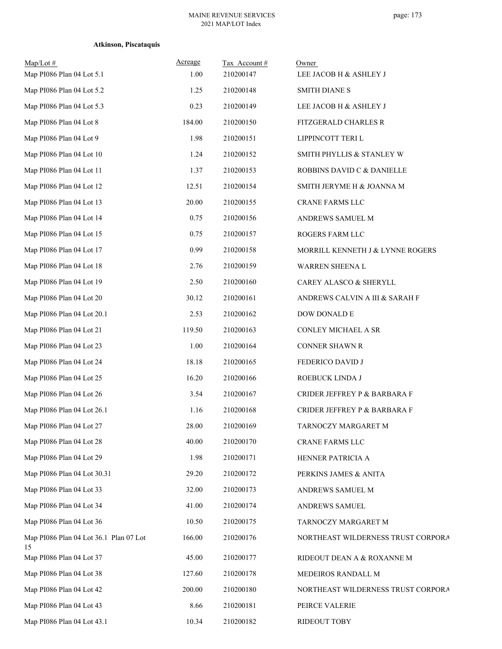| $Map/Lot \#$<br>Map PI086 Plan 04 Lot 5.1    | Acreage<br>1.00 | Tax Account#<br>210200147 | Owner<br>LEE JACOB H & ASHLEY J    |
|----------------------------------------------|-----------------|---------------------------|------------------------------------|
| Map PI086 Plan 04 Lot 5.2                    | 1.25            | 210200148                 | <b>SMITH DIANE S</b>               |
| Map PI086 Plan 04 Lot 5.3                    | 0.23            | 210200149                 | LEE JACOB H & ASHLEY J             |
| Map PI086 Plan 04 Lot 8                      | 184.00          | 210200150                 | FITZGERALD CHARLES R               |
| Map PI086 Plan 04 Lot 9                      | 1.98            | 210200151                 | LIPPINCOTT TERI L                  |
| Map PI086 Plan 04 Lot 10                     | 1.24            | 210200152                 | SMITH PHYLLIS & STANLEY W          |
| Map PI086 Plan 04 Lot 11                     | 1.37            | 210200153                 | ROBBINS DAVID C & DANIELLE         |
| Map PI086 Plan 04 Lot 12                     | 12.51           | 210200154                 | SMITH JERYME H & JOANNA M          |
| Map PI086 Plan 04 Lot 13                     | 20.00           | 210200155                 | CRANE FARMS LLC                    |
| Map PI086 Plan 04 Lot 14                     | 0.75            | 210200156                 | ANDREWS SAMUEL M                   |
| Map PI086 Plan 04 Lot 15                     | 0.75            | 210200157                 | ROGERS FARM LLC                    |
| Map PI086 Plan 04 Lot 17                     | 0.99            | 210200158                 | MORRILL KENNETH J & LYNNE ROGERS   |
| Map PI086 Plan 04 Lot 18                     | 2.76            | 210200159                 | WARREN SHEENA L                    |
| Map PI086 Plan 04 Lot 19                     | 2.50            | 210200160                 | CAREY ALASCO & SHERYLL             |
| Map PI086 Plan 04 Lot 20                     | 30.12           | 210200161                 | ANDREWS CALVIN A III & SARAH F     |
| Map PI086 Plan 04 Lot 20.1                   | 2.53            | 210200162                 | DOW DONALD E                       |
| Map PI086 Plan 04 Lot 21                     | 119.50          | 210200163                 | CONLEY MICHAEL A SR                |
| Map PI086 Plan 04 Lot 23                     | 1.00            | 210200164                 | CONNER SHAWN R                     |
| Map PI086 Plan 04 Lot 24                     | 18.18           | 210200165                 | FEDERICO DAVID J                   |
| Map PI086 Plan 04 Lot 25                     | 16.20           | 210200166                 | ROEBUCK LINDA J                    |
| Map PI086 Plan 04 Lot 26                     | 3.54            | 210200167                 | CRIDER JEFFREY P & BARBARA F       |
| Map PI086 Plan 04 Lot 26.1                   | 1.16            | 210200168                 | CRIDER JEFFREY P & BARBARA F       |
| Map PI086 Plan 04 Lot 27                     | 28.00           | 210200169                 | TARNOCZY MARGARET M                |
| Map PI086 Plan 04 Lot 28                     | 40.00           | 210200170                 | CRANE FARMS LLC                    |
| Map PI086 Plan 04 Lot 29                     | 1.98            | 210200171                 | HENNER PATRICIA A                  |
| Map PI086 Plan 04 Lot 30.31                  | 29.20           | 210200172                 | PERKINS JAMES & ANITA              |
| Map PI086 Plan 04 Lot 33                     | 32.00           | 210200173                 | ANDREWS SAMUEL M                   |
| Map PI086 Plan 04 Lot 34                     | 41.00           | 210200174                 | ANDREWS SAMUEL                     |
| Map PI086 Plan 04 Lot 36                     | 10.50           | 210200175                 | TARNOCZY MARGARET M                |
| Map PI086 Plan 04 Lot 36.1 Plan 07 Lot<br>15 | 166.00          | 210200176                 | NORTHEAST WILDERNESS TRUST CORPORA |
| Map PI086 Plan 04 Lot 37                     | 45.00           | 210200177                 | RIDEOUT DEAN A & ROXANNE M         |
| Map PI086 Plan 04 Lot 38                     | 127.60          | 210200178                 | MEDEIROS RANDALL M                 |
| Map PI086 Plan 04 Lot 42                     | 200.00          | 210200180                 | NORTHEAST WILDERNESS TRUST CORPORA |
| Map PI086 Plan 04 Lot 43                     | 8.66            | 210200181                 | PEIRCE VALERIE                     |
| Map PI086 Plan 04 Lot 43.1                   | 10.34           | 210200182                 | RIDEOUT TOBY                       |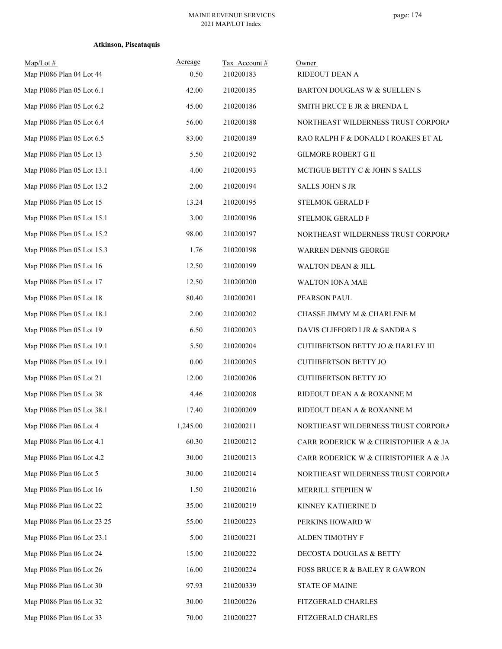| Map/Lot#<br>Map PI086 Plan 04 Lot 44 | Acreage<br>0.50 | Tax Account#<br>210200183 | Owner<br>RIDEOUT DEAN A              |
|--------------------------------------|-----------------|---------------------------|--------------------------------------|
| Map PI086 Plan 05 Lot 6.1            | 42.00           | 210200185                 | BARTON DOUGLAS W & SUELLEN S         |
| Map PI086 Plan 05 Lot 6.2            | 45.00           | 210200186                 | SMITH BRUCE E JR & BRENDA L          |
| Map PI086 Plan 05 Lot 6.4            | 56.00           | 210200188                 | NORTHEAST WILDERNESS TRUST CORPORA   |
| Map PI086 Plan 05 Lot 6.5            | 83.00           | 210200189                 | RAO RALPH F & DONALD I ROAKES ET AL  |
| Map PI086 Plan 05 Lot 13             | 5.50            | 210200192                 | <b>GILMORE ROBERT G II</b>           |
| Map PI086 Plan 05 Lot 13.1           | 4.00            | 210200193                 | MCTIGUE BETTY C & JOHN S SALLS       |
| Map PI086 Plan 05 Lot 13.2           | 2.00            | 210200194                 | <b>SALLS JOHN S JR</b>               |
| Map PI086 Plan 05 Lot 15             | 13.24           | 210200195                 | STELMOK GERALD F                     |
| Map PI086 Plan 05 Lot 15.1           | 3.00            | 210200196                 | STELMOK GERALD F                     |
| Map PI086 Plan 05 Lot 15.2           | 98.00           | 210200197                 | NORTHEAST WILDERNESS TRUST CORPORA   |
| Map PI086 Plan 05 Lot 15.3           | 1.76            | 210200198                 | WARREN DENNIS GEORGE                 |
| Map PI086 Plan 05 Lot 16             | 12.50           | 210200199                 | WALTON DEAN & JILL                   |
| Map PI086 Plan 05 Lot 17             | 12.50           | 210200200                 | WALTON IONA MAE                      |
| Map PI086 Plan 05 Lot 18             | 80.40           | 210200201                 | PEARSON PAUL                         |
| Map PI086 Plan 05 Lot 18.1           | 2.00            | 210200202                 | CHASSE JIMMY M & CHARLENE M          |
| Map PI086 Plan 05 Lot 19             | 6.50            | 210200203                 | DAVIS CLIFFORD I JR & SANDRA S       |
| Map PI086 Plan 05 Lot 19.1           | 5.50            | 210200204                 | CUTHBERTSON BETTY JO & HARLEY III    |
| Map PI086 Plan 05 Lot 19.1           | 0.00            | 210200205                 | <b>CUTHBERTSON BETTY JO</b>          |
| Map PI086 Plan 05 Lot 21             | 12.00           | 210200206                 | <b>CUTHBERTSON BETTY JO</b>          |
| Map PI086 Plan 05 Lot 38             | 4.46            | 210200208                 | RIDEOUT DEAN A & ROXANNE M           |
| Map PI086 Plan 05 Lot 38.1           | 17.40           | 210200209                 | RIDEOUT DEAN A & ROXANNE M           |
| Map PI086 Plan 06 Lot 4              | 1,245.00        | 210200211                 | NORTHEAST WILDERNESS TRUST CORPORA   |
| Map PI086 Plan 06 Lot 4.1            | 60.30           | 210200212                 | CARR RODERICK W & CHRISTOPHER A & JA |
| Map PI086 Plan 06 Lot 4.2            | 30.00           | 210200213                 | CARR RODERICK W & CHRISTOPHER A & JA |
| Map PI086 Plan 06 Lot 5              | 30.00           | 210200214                 | NORTHEAST WILDERNESS TRUST CORPORA   |
| Map PI086 Plan 06 Lot 16             | 1.50            | 210200216                 | MERRILL STEPHEN W                    |
| Map PI086 Plan 06 Lot 22             | 35.00           | 210200219                 | KINNEY KATHERINE D                   |
| Map PI086 Plan 06 Lot 23 25          | 55.00           | 210200223                 | PERKINS HOWARD W                     |
| Map PI086 Plan 06 Lot 23.1           | 5.00            | 210200221                 | ALDEN TIMOTHY F                      |
| Map PI086 Plan 06 Lot 24             | 15.00           | 210200222                 | DECOSTA DOUGLAS & BETTY              |
| Map PI086 Plan 06 Lot 26             | 16.00           | 210200224                 | FOSS BRUCE R & BAILEY R GAWRON       |
| Map PI086 Plan 06 Lot 30             | 97.93           | 210200339                 | <b>STATE OF MAINE</b>                |
| Map PI086 Plan 06 Lot 32             | 30.00           | 210200226                 | FITZGERALD CHARLES                   |
| Map PI086 Plan 06 Lot 33             | 70.00           | 210200227                 | FITZGERALD CHARLES                   |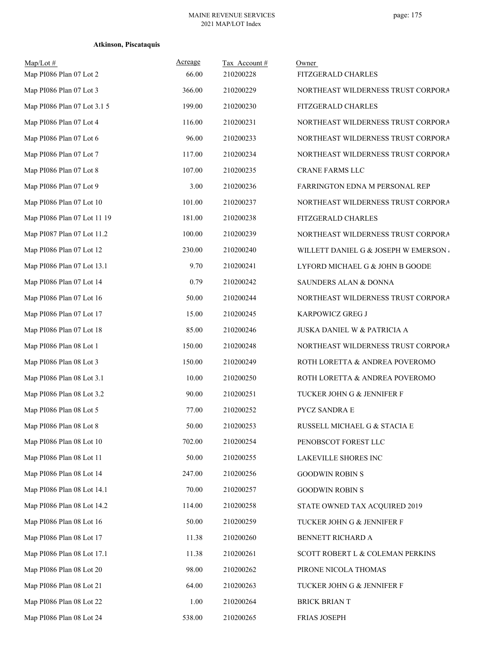| $Map/Lot \#$<br>Map PI086 Plan 07 Lot 2 | Acreage<br>66.00 | Tax Account#<br>210200228 | Owner<br>FITZGERALD CHARLES         |
|-----------------------------------------|------------------|---------------------------|-------------------------------------|
| Map PI086 Plan 07 Lot 3                 | 366.00           | 210200229                 | NORTHEAST WILDERNESS TRUST CORPORA  |
| Map PI086 Plan 07 Lot 3.1 5             | 199.00           | 210200230                 | FITZGERALD CHARLES                  |
| Map PI086 Plan 07 Lot 4                 | 116.00           | 210200231                 | NORTHEAST WILDERNESS TRUST CORPORA  |
| Map PI086 Plan 07 Lot 6                 | 96.00            | 210200233                 | NORTHEAST WILDERNESS TRUST CORPORA  |
| Map PI086 Plan 07 Lot 7                 | 117.00           | 210200234                 | NORTHEAST WILDERNESS TRUST CORPORA  |
| Map PI086 Plan 07 Lot 8                 | 107.00           | 210200235                 | CRANE FARMS LLC                     |
| Map PI086 Plan 07 Lot 9                 | 3.00             | 210200236                 | FARRINGTON EDNA M PERSONAL REP      |
| Map PI086 Plan 07 Lot 10                | 101.00           | 210200237                 | NORTHEAST WILDERNESS TRUST CORPORA  |
| Map PI086 Plan 07 Lot 11 19             | 181.00           | 210200238                 | FITZGERALD CHARLES                  |
| Map PI087 Plan 07 Lot 11.2              | 100.00           | 210200239                 | NORTHEAST WILDERNESS TRUST CORPORA  |
| Map PI086 Plan 07 Lot 12                | 230.00           | 210200240                 | WILLETT DANIEL G & JOSEPH W EMERSON |
| Map PI086 Plan 07 Lot 13.1              | 9.70             | 210200241                 | LYFORD MICHAEL G & JOHN B GOODE     |
| Map PI086 Plan 07 Lot 14                | 0.79             | 210200242                 | SAUNDERS ALAN & DONNA               |
| Map PI086 Plan 07 Lot 16                | 50.00            | 210200244                 | NORTHEAST WILDERNESS TRUST CORPORA  |
| Map PI086 Plan 07 Lot 17                | 15.00            | 210200245                 | KARPOWICZ GREG J                    |
| Map PI086 Plan 07 Lot 18                | 85.00            | 210200246                 | JUSKA DANIEL W & PATRICIA A         |
| Map PI086 Plan 08 Lot 1                 | 150.00           | 210200248                 | NORTHEAST WILDERNESS TRUST CORPORA  |
| Map PI086 Plan 08 Lot 3                 | 150.00           | 210200249                 | ROTH LORETTA & ANDREA POVEROMO      |
| Map PI086 Plan 08 Lot 3.1               | 10.00            | 210200250                 | ROTH LORETTA & ANDREA POVEROMO      |
| Map PI086 Plan 08 Lot 3.2               | 90.00            | 210200251                 | TUCKER JOHN G & JENNIFER F          |
| Map PI086 Plan 08 Lot 5                 | 77.00            | 210200252                 | PYCZ SANDRA E                       |
| Map PI086 Plan 08 Lot 8                 | 50.00            | 210200253                 | RUSSELL MICHAEL G & STACIA E        |
| Map PI086 Plan 08 Lot 10                | 702.00           | 210200254                 | PENOBSCOT FOREST LLC                |
| Map PI086 Plan 08 Lot 11                | 50.00            | 210200255                 | LAKEVILLE SHORES INC                |
| Map PI086 Plan 08 Lot 14                | 247.00           | 210200256                 | <b>GOODWIN ROBIN S</b>              |
| Map PI086 Plan 08 Lot 14.1              | 70.00            | 210200257                 | <b>GOODWIN ROBIN S</b>              |
| Map PI086 Plan 08 Lot 14.2              | 114.00           | 210200258                 | STATE OWNED TAX ACQUIRED 2019       |
| Map PI086 Plan 08 Lot 16                | 50.00            | 210200259                 | TUCKER JOHN G & JENNIFER F          |
| Map PI086 Plan 08 Lot 17                | 11.38            | 210200260                 | BENNETT RICHARD A                   |
| Map PI086 Plan 08 Lot 17.1              | 11.38            | 210200261                 | SCOTT ROBERT L & COLEMAN PERKINS    |
| Map PI086 Plan 08 Lot 20                | 98.00            | 210200262                 | PIRONE NICOLA THOMAS                |
| Map PI086 Plan 08 Lot 21                | 64.00            | 210200263                 | TUCKER JOHN G & JENNIFER F          |
| Map PI086 Plan 08 Lot 22                | 1.00             | 210200264                 | <b>BRICK BRIAN T</b>                |
| Map PI086 Plan 08 Lot 24                | 538.00           | 210200265                 | FRIAS JOSEPH                        |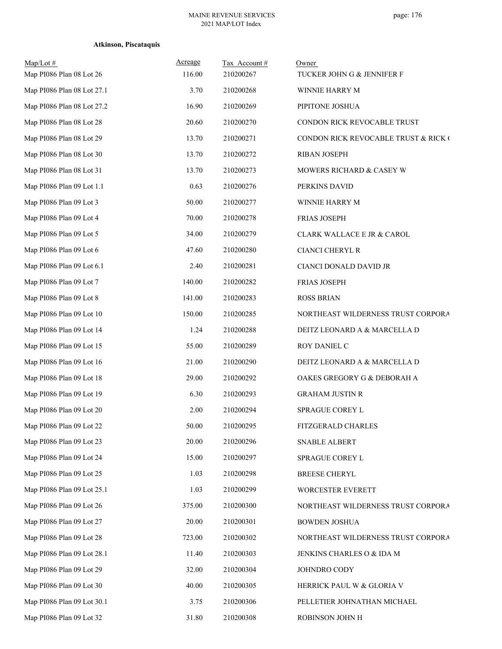| Map/Lot#<br>Map PI086 Plan 08 Lot 26 | Acreage<br>116.00 | Tax Account#<br>210200267 | Owner<br>TUCKER JOHN G & JENNIFER F  |
|--------------------------------------|-------------------|---------------------------|--------------------------------------|
| Map PI086 Plan 08 Lot 27.1           | 3.70              | 210200268                 | WINNIE HARRY M                       |
| Map PI086 Plan 08 Lot 27.2           | 16.90             | 210200269                 | PIPITONE JOSHUA                      |
| Map PI086 Plan 08 Lot 28             | 20.60             | 210200270                 | CONDON RICK REVOCABLE TRUST          |
| Map PI086 Plan 08 Lot 29             | 13.70             | 210200271                 | CONDON RICK REVOCABLE TRUST & RICK ( |
| Map PI086 Plan 08 Lot 30             | 13.70             | 210200272                 | <b>RIBAN JOSEPH</b>                  |
| Map PI086 Plan 08 Lot 31             | 13.70             | 210200273                 | MOWERS RICHARD & CASEY W             |
| Map PI086 Plan 09 Lot 1.1            | 0.63              | 210200276                 | PERKINS DAVID                        |
| Map PI086 Plan 09 Lot 3              | 50.00             | 210200277                 | WINNIE HARRY M                       |
| Map PI086 Plan 09 Lot 4              | 70.00             | 210200278                 | FRIAS JOSEPH                         |
| Map PI086 Plan 09 Lot 5              | 34.00             | 210200279                 | CLARK WALLACE E JR & CAROL           |
| Map PI086 Plan 09 Lot 6              | 47.60             | 210200280                 | <b>CIANCI CHERYL R</b>               |
| Map PI086 Plan 09 Lot 6.1            | 2.40              | 210200281                 | CIANCI DONALD DAVID JR               |
| Map PI086 Plan 09 Lot 7              | 140.00            | 210200282                 | FRIAS JOSEPH                         |
| Map PI086 Plan 09 Lot 8              | 141.00            | 210200283                 | <b>ROSS BRIAN</b>                    |
| Map PI086 Plan 09 Lot 10             | 150.00            | 210200285                 | NORTHEAST WILDERNESS TRUST CORPORA   |
| Map PI086 Plan 09 Lot 14             | 1.24              | 210200288                 | DEITZ LEONARD A & MARCELLA D         |
| Map PI086 Plan 09 Lot 15             | 55.00             | 210200289                 | ROY DANIEL C                         |
| Map PI086 Plan 09 Lot 16             | 21.00             | 210200290                 | DEITZ LEONARD A & MARCELLA D         |
| Map PI086 Plan 09 Lot 18             | 29.00             | 210200292                 | OAKES GREGORY G & DEBORAH A          |
| Map PI086 Plan 09 Lot 19             | 6.30              | 210200293                 | <b>GRAHAM JUSTIN R</b>               |
| Map PI086 Plan 09 Lot 20             | 2.00              | 210200294                 | SPRAGUE COREY L                      |
| Map PI086 Plan 09 Lot 22             | 50.00             | 210200295                 | FITZGERALD CHARLES                   |
| Map PI086 Plan 09 Lot 23             | 20.00             | 210200296                 | SNABLE ALBERT                        |
| Map PI086 Plan 09 Lot 24             | 15.00             | 210200297                 | SPRAGUE COREY L                      |
| Map PI086 Plan 09 Lot 25             | 1.03              | 210200298                 | <b>BREESE CHERYL</b>                 |
| Map PI086 Plan 09 Lot 25.1           | 1.03              | 210200299                 | WORCESTER EVERETT                    |
| Map PI086 Plan 09 Lot 26             | 375.00            | 210200300                 | NORTHEAST WILDERNESS TRUST CORPORA   |
| Map PI086 Plan 09 Lot 27             | 20.00             | 210200301                 | <b>BOWDEN JOSHUA</b>                 |
| Map PI086 Plan 09 Lot 28             | 723.00            | 210200302                 | NORTHEAST WILDERNESS TRUST CORPORA   |
| Map PI086 Plan 09 Lot 28.1           | 11.40             | 210200303                 | JENKINS CHARLES O & IDA M            |
| Map PI086 Plan 09 Lot 29             | 32.00             | 210200304                 | JOHNDRO CODY                         |
| Map PI086 Plan 09 Lot 30             | 40.00             | 210200305                 | HERRICK PAUL W & GLORIA V            |
| Map PI086 Plan 09 Lot 30.1           | 3.75              | 210200306                 | PELLETIER JOHNATHAN MICHAEL          |
| Map PI086 Plan 09 Lot 32             | 31.80             | 210200308                 | ROBINSON JOHN H                      |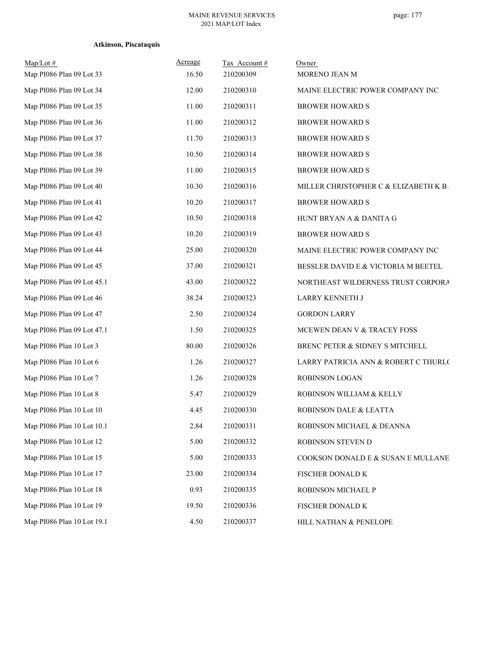| $Map/Lot \#$               | Acreage | Tax Account # | Owner                                |
|----------------------------|---------|---------------|--------------------------------------|
| Map PI086 Plan 09 Lot 33   | 16.50   | 210200309     | MORENO JEAN M                        |
| Map PI086 Plan 09 Lot 34   | 12.00   | 210200310     | MAINE ELECTRIC POWER COMPANY INC     |
| Map PI086 Plan 09 Lot 35   | 11.00   | 210200311     | <b>BROWER HOWARD S</b>               |
| Map PI086 Plan 09 Lot 36   | 11.00   | 210200312     | <b>BROWER HOWARD S</b>               |
| Map PI086 Plan 09 Lot 37   | 11.70   | 210200313     | <b>BROWER HOWARD S</b>               |
| Map PI086 Plan 09 Lot 38   | 10.50   | 210200314     | <b>BROWER HOWARD S</b>               |
| Map PI086 Plan 09 Lot 39   | 11.00   | 210200315     | <b>BROWER HOWARD S</b>               |
| Map PI086 Plan 09 Lot 40   | 10.30   | 210200316     | MILLER CHRISTOPHER C & ELIZABETH K B |
| Map PI086 Plan 09 Lot 41   | 10.20   | 210200317     | <b>BROWER HOWARD S</b>               |
| Map PI086 Plan 09 Lot 42   | 10.50   | 210200318     | HUNT BRYAN A & DANITA G              |
| Map PI086 Plan 09 Lot 43   | 10.20   | 210200319     | <b>BROWER HOWARD S</b>               |
| Map PI086 Plan 09 Lot 44   | 25.00   | 210200320     | MAINE ELECTRIC POWER COMPANY INC     |
| Map PI086 Plan 09 Lot 45   | 37.00   | 210200321     | BESSLER DAVID E & VICTORIA M BEETEL  |
| Map PI086 Plan 09 Lot 45.1 | 43.00   | 210200322     | NORTHEAST WILDERNESS TRUST CORPORA   |
| Map PI086 Plan 09 Lot 46   | 38.24   | 210200323     | LARRY KENNETH J                      |
| Map PI086 Plan 09 Lot 47   | 2.50    | 210200324     | <b>GORDON LARRY</b>                  |
| Map PI086 Plan 09 Lot 47.1 | 1.50    | 210200325     | MCEWEN DEAN V & TRACEY FOSS          |
| Map PI086 Plan 10 Lot 3    | 80.00   | 210200326     | BRENC PETER & SIDNEY S MITCHELL      |
| Map PI086 Plan 10 Lot 6    | 1.26    | 210200327     | LARRY PATRICIA ANN & ROBERT C THURLO |
| Map PI086 Plan 10 Lot 7    | 1.26    | 210200328     | ROBINSON LOGAN                       |
| Map PI086 Plan 10 Lot 8    | 5.47    | 210200329     | ROBINSON WILLIAM & KELLY             |
| Map PI086 Plan 10 Lot 10   | 4.45    | 210200330     | ROBINSON DALE & LEATTA               |
| Map PI086 Plan 10 Lot 10.1 | 2.84    | 210200331     | ROBINSON MICHAEL & DEANNA            |
| Map PI086 Plan 10 Lot 12   | 5.00    | 210200332     | ROBINSON STEVEN D                    |
| Map PI086 Plan 10 Lot 15   | 5.00    | 210200333     | COOKSON DONALD E & SUSAN E MULLANE   |
| Map PI086 Plan 10 Lot 17   | 23.00   | 210200334     | FISCHER DONALD K                     |
| Map PI086 Plan 10 Lot 18   | 0.93    | 210200335     | ROBINSON MICHAEL P                   |
| Map PI086 Plan 10 Lot 19   | 19.50   | 210200336     | FISCHER DONALD K                     |
| Map PI086 Plan 10 Lot 19.1 | 4.50    | 210200337     | HILL NATHAN & PENELOPE               |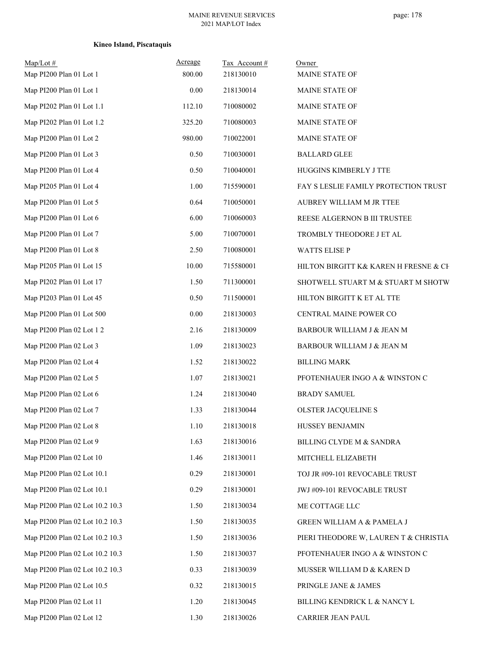# **Kineo Island, Piscataquis**

| $Map/Lot \#$<br>Map PI200 Plan 01 Lot 1 | Acreage<br>800.00 | Tax Account#<br>218130010 | Owner<br>MAINE STATE OF               |
|-----------------------------------------|-------------------|---------------------------|---------------------------------------|
| Map PI200 Plan 01 Lot 1                 | 0.00              | 218130014                 | MAINE STATE OF                        |
| Map PI202 Plan 01 Lot 1.1               | 112.10            | 710080002                 | MAINE STATE OF                        |
| Map PI202 Plan 01 Lot 1.2               | 325.20            | 710080003                 | MAINE STATE OF                        |
| Map PI200 Plan 01 Lot 2                 | 980.00            | 710022001                 | MAINE STATE OF                        |
| Map PI200 Plan 01 Lot 3                 | 0.50              | 710030001                 | <b>BALLARD GLEE</b>                   |
| Map PI200 Plan 01 Lot 4                 | 0.50              | 710040001                 | HUGGINS KIMBERLY J TTE                |
| Map PI205 Plan 01 Lot 4                 | 1.00              | 715590001                 | FAY S LESLIE FAMILY PROTECTION TRUST  |
| Map PI200 Plan 01 Lot 5                 | 0.64              | 710050001                 | AUBREY WILLIAM M JR TTEE              |
| Map PI200 Plan 01 Lot 6                 | 6.00              | 710060003                 | REESE ALGERNON B III TRUSTEE          |
| Map PI200 Plan 01 Lot 7                 | 5.00              | 710070001                 | TROMBLY THEODORE J ET AL              |
| Map PI200 Plan 01 Lot 8                 | 2.50              | 710080001                 | <b>WATTS ELISE P</b>                  |
| Map PI205 Plan 01 Lot 15                | 10.00             | 715580001                 | HILTON BIRGITT K& KAREN H FRESNE & CE |
| Map PI202 Plan 01 Lot 17                | 1.50              | 711300001                 | SHOTWELL STUART M & STUART M SHOTW    |
| Map PI203 Plan 01 Lot 45                | 0.50              | 711500001                 | HILTON BIRGITT K ET AL TTE            |
| Map PI200 Plan 01 Lot 500               | 0.00              | 218130003                 | CENTRAL MAINE POWER CO                |
| Map PI200 Plan 02 Lot 1 2               | 2.16              | 218130009                 | BARBOUR WILLIAM J & JEAN M            |
| Map PI200 Plan 02 Lot 3                 | 1.09              | 218130023                 | BARBOUR WILLIAM J & JEAN M            |
| Map PI200 Plan 02 Lot 4                 | 1.52              | 218130022                 | <b>BILLING MARK</b>                   |
| Map PI200 Plan 02 Lot 5                 | 1.07              | 218130021                 | PFOTENHAUER INGO A & WINSTON C        |
| Map PI200 Plan 02 Lot 6                 | 1.24              | 218130040                 | <b>BRADY SAMUEL</b>                   |
| Map PI200 Plan 02 Lot 7                 | 1.33              | 218130044                 | OLSTER JACQUELINE S                   |
| Map PI200 Plan 02 Lot 8                 | 1.10              | 218130018                 | HUSSEY BENJAMIN                       |
| Map PI200 Plan 02 Lot 9                 | 1.63              | 218130016                 | BILLING CLYDE M & SANDRA              |
| Map PI200 Plan 02 Lot 10                | 1.46              | 218130011                 | MITCHELL ELIZABETH                    |
| Map PI200 Plan 02 Lot 10.1              | 0.29              | 218130001                 | TOJ JR #09-101 REVOCABLE TRUST        |
| Map PI200 Plan 02 Lot 10.1              | 0.29              | 218130001                 | JWJ #09-101 REVOCABLE TRUST           |
| Map PI200 Plan 02 Lot 10.2 10.3         | 1.50              | 218130034                 | ME COTTAGE LLC                        |
| Map PI200 Plan 02 Lot 10.2 10.3         | 1.50              | 218130035                 | GREEN WILLIAM A & PAMELA J            |
| Map PI200 Plan 02 Lot 10.2 10.3         | 1.50              | 218130036                 | PIERI THEODORE W, LAUREN T & CHRISTIA |
| Map PI200 Plan 02 Lot 10.2 10.3         | 1.50              | 218130037                 | PFOTENHAUER INGO A & WINSTON C        |
| Map PI200 Plan 02 Lot 10.2 10.3         | 0.33              | 218130039                 | MUSSER WILLIAM D & KAREN D            |
| Map PI200 Plan 02 Lot 10.5              | 0.32              | 218130015                 | PRINGLE JANE & JAMES                  |
| Map PI200 Plan 02 Lot 11                | 1.20              | 218130045                 | BILLING KENDRICK L & NANCY L          |
| Map PI200 Plan 02 Lot 12                | 1.30              | 218130026                 | CARRIER JEAN PAUL                     |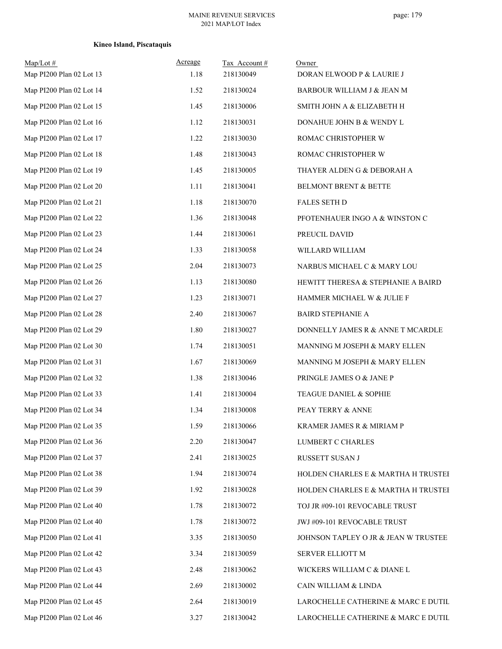# **Kineo Island, Piscataquis**

| $Map/Lot \#$<br>Map PI200 Plan 02 Lot 13 | Acreage<br>1.18 | Tax Account #<br>218130049 | Owner<br>DORAN ELWOOD P & LAURIE J   |
|------------------------------------------|-----------------|----------------------------|--------------------------------------|
| Map PI200 Plan 02 Lot 14                 | 1.52            | 218130024                  | BARBOUR WILLIAM J & JEAN M           |
| Map PI200 Plan 02 Lot 15                 | 1.45            | 218130006                  | SMITH JOHN A & ELIZABETH H           |
| Map PI200 Plan 02 Lot 16                 | 1.12            | 218130031                  | DONAHUE JOHN B & WENDY L             |
| Map PI200 Plan 02 Lot 17                 | 1.22            | 218130030                  | ROMAC CHRISTOPHER W                  |
| Map PI200 Plan 02 Lot 18                 | 1.48            | 218130043                  | ROMAC CHRISTOPHER W                  |
| Map PI200 Plan 02 Lot 19                 | 1.45            | 218130005                  | THAYER ALDEN G & DEBORAH A           |
| Map PI200 Plan 02 Lot 20                 | 1.11            | 218130041                  | BELMONT BRENT & BETTE                |
| Map PI200 Plan 02 Lot 21                 | 1.18            | 218130070                  | <b>FALES SETH D</b>                  |
| Map PI200 Plan 02 Lot 22                 | 1.36            | 218130048                  | PFOTENHAUER INGO A & WINSTON C       |
| Map PI200 Plan 02 Lot 23                 | 1.44            | 218130061                  | PREUCIL DAVID                        |
| Map PI200 Plan 02 Lot 24                 | 1.33            | 218130058                  | WILLARD WILLIAM                      |
| Map PI200 Plan 02 Lot 25                 | 2.04            | 218130073                  | NARBUS MICHAEL C & MARY LOU          |
| Map PI200 Plan 02 Lot 26                 | 1.13            | 218130080                  | HEWITT THERESA & STEPHANIE A BAIRD   |
| Map PI200 Plan 02 Lot 27                 | 1.23            | 218130071                  | HAMMER MICHAEL W & JULIE F           |
| Map PI200 Plan 02 Lot 28                 | 2.40            | 218130067                  | <b>BAIRD STEPHANIE A</b>             |
| Map PI200 Plan 02 Lot 29                 | 1.80            | 218130027                  | DONNELLY JAMES R & ANNE T MCARDLE    |
| Map PI200 Plan 02 Lot 30                 | 1.74            | 218130051                  | MANNING M JOSEPH & MARY ELLEN        |
| Map PI200 Plan 02 Lot 31                 | 1.67            | 218130069                  | MANNING M JOSEPH & MARY ELLEN        |
| Map PI200 Plan 02 Lot 32                 | 1.38            | 218130046                  | PRINGLE JAMES O & JANE P             |
| Map PI200 Plan 02 Lot 33                 | 1.41            | 218130004                  | TEAGUE DANIEL & SOPHIE               |
| Map PI200 Plan 02 Lot 34                 | 1.34            | 218130008                  | PEAY TERRY & ANNE                    |
| Map PI200 Plan 02 Lot 35                 | 1.59            | 218130066                  | KRAMER JAMES R & MIRIAM P            |
| Map PI200 Plan 02 Lot 36                 | 2.20            | 218130047                  | LUMBERT C CHARLES                    |
| Map PI200 Plan 02 Lot 37                 | 2.41            | 218130025                  | RUSSETT SUSAN J                      |
| Map PI200 Plan 02 Lot 38                 | 1.94            | 218130074                  | HOLDEN CHARLES E & MARTHA H TRUSTEI  |
| Map PI200 Plan 02 Lot 39                 | 1.92            | 218130028                  | HOLDEN CHARLES E & MARTHA H TRUSTEI  |
| Map PI200 Plan 02 Lot 40                 | 1.78            | 218130072                  | TOJ JR #09-101 REVOCABLE TRUST       |
| Map PI200 Plan 02 Lot 40                 | 1.78            | 218130072                  | JWJ #09-101 REVOCABLE TRUST          |
| Map PI200 Plan 02 Lot 41                 | 3.35            | 218130050                  | JOHNSON TAPLEY O JR & JEAN W TRUSTEE |
| Map PI200 Plan 02 Lot 42                 | 3.34            | 218130059                  | SERVER ELLIOTT M                     |
| Map PI200 Plan 02 Lot 43                 | 2.48            | 218130062                  | WICKERS WILLIAM C & DIANE L          |
| Map PI200 Plan 02 Lot 44                 | 2.69            | 218130002                  | CAIN WILLIAM & LINDA                 |
| Map PI200 Plan 02 Lot 45                 | 2.64            | 218130019                  | LAROCHELLE CATHERINE & MARC E DUTIL  |
| Map PI200 Plan 02 Lot 46                 | 3.27            | 218130042                  | LAROCHELLE CATHERINE & MARC E DUTIL  |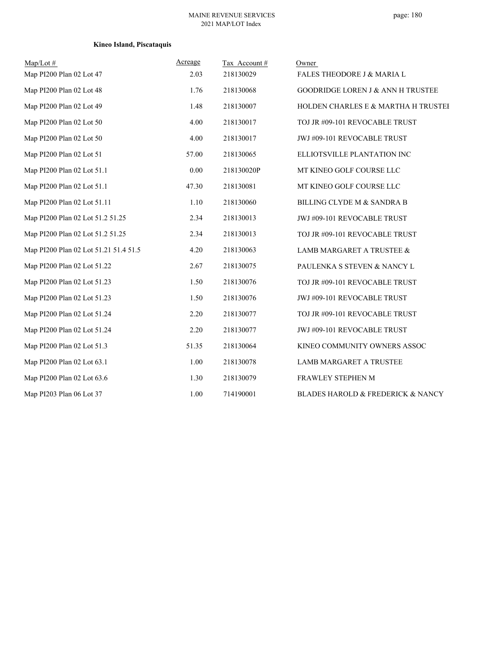# **Kineo Island, Piscataquis**

| Map/Lot #                             | Acreage  | Tax Account# | Owner                                        |
|---------------------------------------|----------|--------------|----------------------------------------------|
| Map PI200 Plan 02 Lot 47              | 2.03     | 218130029    | <b>FALES THEODORE J &amp; MARIA L</b>        |
| Map PI200 Plan 02 Lot 48              | 1.76     | 218130068    | <b>GOODRIDGE LOREN J &amp; ANN H TRUSTEE</b> |
| Map PI200 Plan 02 Lot 49              | 1.48     | 218130007    | HOLDEN CHARLES E & MARTHA H TRUSTEI          |
| Map PI200 Plan 02 Lot 50              | 4.00     | 218130017    | TOJ JR #09-101 REVOCABLE TRUST               |
| Map PI200 Plan 02 Lot 50              | 4.00     | 218130017    | JWJ #09-101 REVOCABLE TRUST                  |
| Map PI200 Plan 02 Lot 51              | 57.00    | 218130065    | ELLIOTSVILLE PLANTATION INC                  |
| Map PI200 Plan 02 Lot 51.1            | $0.00\,$ | 218130020P   | MT KINEO GOLF COURSE LLC                     |
| Map PI200 Plan 02 Lot 51.1            | 47.30    | 218130081    | MT KINEO GOLF COURSE LLC                     |
| Map PI200 Plan 02 Lot 51.11           | 1.10     | 218130060    | <b>BILLING CLYDE M &amp; SANDRA B</b>        |
| Map PI200 Plan 02 Lot 51.2 51.25      | 2.34     | 218130013    | JWJ #09-101 REVOCABLE TRUST                  |
| Map PI200 Plan 02 Lot 51.2 51.25      | 2.34     | 218130013    | TOJ JR #09-101 REVOCABLE TRUST               |
| Map PI200 Plan 02 Lot 51.21 51.4 51.5 | 4.20     | 218130063    | LAMB MARGARET A TRUSTEE &                    |
| Map PI200 Plan 02 Lot 51.22           | 2.67     | 218130075    | PAULENKA S STEVEN & NANCY L                  |
| Map PI200 Plan 02 Lot 51.23           | 1.50     | 218130076    | TOJ JR #09-101 REVOCABLE TRUST               |
| Map PI200 Plan 02 Lot 51.23           | 1.50     | 218130076    | JWJ #09-101 REVOCABLE TRUST                  |
| Map PI200 Plan 02 Lot 51.24           | 2.20     | 218130077    | TOJ JR #09-101 REVOCABLE TRUST               |
| Map PI200 Plan 02 Lot 51.24           | 2.20     | 218130077    | JWJ #09-101 REVOCABLE TRUST                  |
| Map PI200 Plan 02 Lot 51.3            | 51.35    | 218130064    | KINEO COMMUNITY OWNERS ASSOC                 |
| Map PI200 Plan 02 Lot 63.1            | 1.00     | 218130078    | LAMB MARGARET A TRUSTEE                      |
| Map PI200 Plan 02 Lot 63.6            | 1.30     | 218130079    | FRAWLEY STEPHEN M                            |
| Map PI203 Plan 06 Lot 37              | 1.00     | 714190001    | BLADES HAROLD & FREDERICK & NANCY            |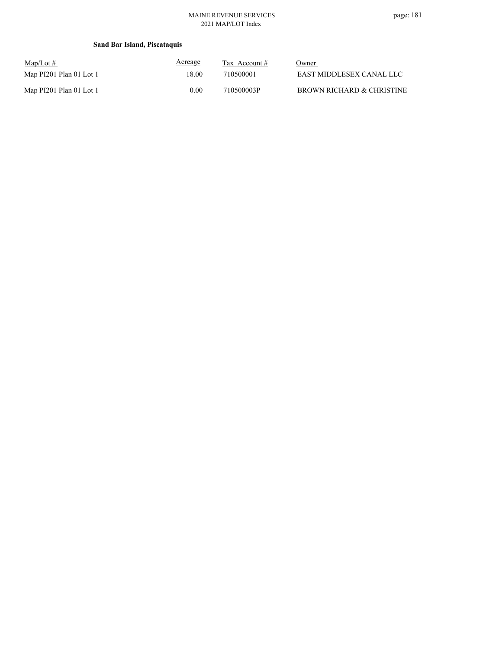# **Sand Bar Island, Piscataquis**

| $\text{Map/Lot} \#$     | <u>Acreage</u> | Tax Account $#$ | Owner                     |
|-------------------------|----------------|-----------------|---------------------------|
| Map PI201 Plan 01 Lot 1 | 18.00          | 710500001       | EAST MIDDLESEX CANAL LLC  |
| Map PI201 Plan 01 Lot 1 | 0.00           | 710500003P      | BROWN RICHARD & CHRISTINE |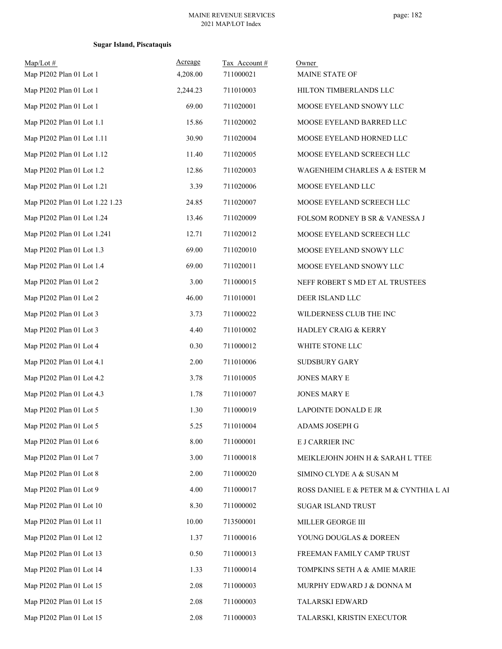# **Sugar Island, Piscataquis**

| $Map/Lot$ #                     | Acreage  | Tax Account# | Owner                                  |
|---------------------------------|----------|--------------|----------------------------------------|
| Map PI202 Plan 01 Lot 1         | 4,208.00 | 711000021    | MAINE STATE OF                         |
| Map PI202 Plan 01 Lot 1         | 2,244.23 | 711010003    | HILTON TIMBERLANDS LLC                 |
| Map PI202 Plan 01 Lot 1         | 69.00    | 711020001    | MOOSE EYELAND SNOWY LLC                |
| Map PI202 Plan 01 Lot 1.1       | 15.86    | 711020002    | MOOSE EYELAND BARRED LLC               |
| Map PI202 Plan 01 Lot 1.11      | 30.90    | 711020004    | MOOSE EYELAND HORNED LLC               |
| Map PI202 Plan 01 Lot 1.12      | 11.40    | 711020005    | MOOSE EYELAND SCREECH LLC              |
| Map PI202 Plan 01 Lot 1.2       | 12.86    | 711020003    | WAGENHEIM CHARLES A & ESTER M          |
| Map PI202 Plan 01 Lot 1.21      | 3.39     | 711020006    | MOOSE EYELAND LLC                      |
| Map PI202 Plan 01 Lot 1.22 1.23 | 24.85    | 711020007    | MOOSE EYELAND SCREECH LLC              |
| Map PI202 Plan 01 Lot 1.24      | 13.46    | 711020009    | FOLSOM RODNEY B SR & VANESSA J         |
| Map PI202 Plan 01 Lot 1.241     | 12.71    | 711020012    | MOOSE EYELAND SCREECH LLC              |
| Map PI202 Plan 01 Lot 1.3       | 69.00    | 711020010    | MOOSE EYELAND SNOWY LLC                |
| Map PI202 Plan 01 Lot 1.4       | 69.00    | 711020011    | MOOSE EYELAND SNOWY LLC                |
| Map PI202 Plan 01 Lot 2         | 3.00     | 711000015    | NEFF ROBERT S MD ET AL TRUSTEES        |
| Map PI202 Plan 01 Lot 2         | 46.00    | 711010001    | DEER ISLAND LLC                        |
| Map PI202 Plan 01 Lot 3         | 3.73     | 711000022    | WILDERNESS CLUB THE INC                |
| Map PI202 Plan 01 Lot 3         | 4.40     | 711010002    | HADLEY CRAIG & KERRY                   |
| Map PI202 Plan 01 Lot 4         | 0.30     | 711000012    | WHITE STONE LLC                        |
| Map PI202 Plan 01 Lot 4.1       | 2.00     | 711010006    | SUDSBURY GARY                          |
| Map PI202 Plan 01 Lot 4.2       | 3.78     | 711010005    | JONES MARY E                           |
| Map PI202 Plan 01 Lot 4.3       | 1.78     | 711010007    | JONES MARY E                           |
| Map PI202 Plan 01 Lot 5         | 1.30     | 711000019    | <b>LAPOINTE DONALD E JR</b>            |
| Map PI202 Plan 01 Lot 5         | 5.25     | 711010004    | ADAMS JOSEPH G                         |
| Map PI202 Plan 01 Lot 6         | 8.00     | 711000001    | E J CARRIER INC                        |
| Map PI202 Plan 01 Lot 7         | 3.00     | 711000018    | MEIKLEJOHN JOHN H & SARAH L TTEE       |
| Map PI202 Plan 01 Lot 8         | 2.00     | 711000020    | SIMINO CLYDE A & SUSAN M               |
| Map PI202 Plan 01 Lot 9         | 4.00     | 711000017    | ROSS DANIEL E & PETER M & CYNTHIA L AI |
| Map PI202 Plan 01 Lot 10        | 8.30     | 711000002    | SUGAR ISLAND TRUST                     |
| Map PI202 Plan 01 Lot 11        | 10.00    | 713500001    | MILLER GEORGE III                      |
| Map PI202 Plan 01 Lot 12        | 1.37     | 711000016    | YOUNG DOUGLAS & DOREEN                 |
| Map PI202 Plan 01 Lot 13        | 0.50     | 711000013    | FREEMAN FAMILY CAMP TRUST              |
| Map PI202 Plan 01 Lot 14        | 1.33     | 711000014    | TOMPKINS SETH A & AMIE MARIE           |
| Map PI202 Plan 01 Lot 15        | 2.08     | 711000003    | MURPHY EDWARD J & DONNA M              |
| Map PI202 Plan 01 Lot 15        | 2.08     | 711000003    | TALARSKI EDWARD                        |
| Map PI202 Plan 01 Lot 15        | 2.08     | 711000003    | TALARSKI, KRISTIN EXECUTOR             |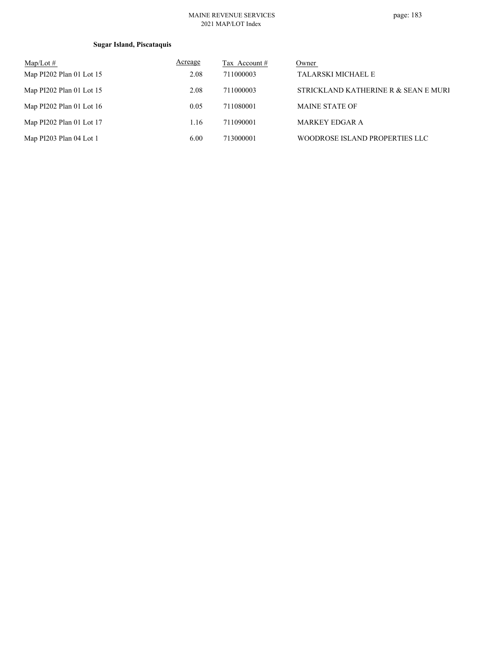# **Sugar Island, Piscataquis**

| $Map/Lot \#$               | Acreage | Tax Account # | Owner                                |
|----------------------------|---------|---------------|--------------------------------------|
| Map PI202 Plan 01 Lot 15   | 2.08    | 711000003     | <b>TALARSKI MICHAEL E</b>            |
| Map PI202 Plan 01 Lot 15   | 2.08    | 711000003     | STRICKLAND KATHERINE R & SEAN E MURI |
| Map $PI202$ Plan 01 Lot 16 | 0.05    | 711080001     | <b>MAINE STATE OF</b>                |
| Map PI202 Plan 01 Lot 17   | 1.16    | 711090001     | <b>MARKEY EDGAR A</b>                |
| Map PI203 Plan 04 Lot 1    | 6.00    | 713000001     | WOODROSE ISLAND PROPERTIES LLC       |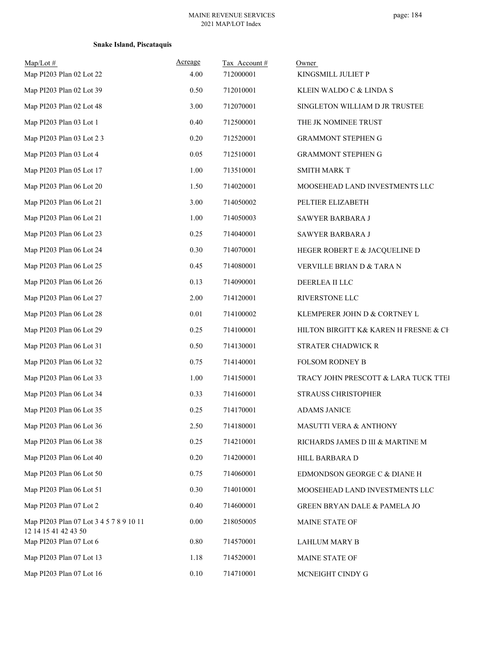# **Snake Island, Piscataquis**

| $Map/Lot \#$<br>Map PI203 Plan 02 Lot 22                        | Acreage<br>4.00 | Tax Account#<br>712000001 | Owner<br>KINGSMILL JULIET P             |
|-----------------------------------------------------------------|-----------------|---------------------------|-----------------------------------------|
| Map PI203 Plan 02 Lot 39                                        | 0.50            | 712010001                 | KLEIN WALDO C & LINDA S                 |
| Map PI203 Plan 02 Lot 48                                        | 3.00            | 712070001                 | SINGLETON WILLIAM D JR TRUSTEE          |
| Map PI203 Plan 03 Lot 1                                         | 0.40            | 712500001                 | THE JK NOMINEE TRUST                    |
| Map PI203 Plan 03 Lot 2 3                                       | $0.20\,$        | 712520001                 | <b>GRAMMONT STEPHEN G</b>               |
| Map PI203 Plan 03 Lot 4                                         | 0.05            | 712510001                 | <b>GRAMMONT STEPHEN G</b>               |
| Map PI203 Plan 05 Lot 17                                        | 1.00            | 713510001                 | <b>SMITH MARK T</b>                     |
| Map PI203 Plan 06 Lot 20                                        | 1.50            | 714020001                 | MOOSEHEAD LAND INVESTMENTS LLC          |
| Map PI203 Plan 06 Lot 21                                        | 3.00            | 714050002                 | PELTIER ELIZABETH                       |
| Map PI203 Plan 06 Lot 21                                        | 1.00            | 714050003                 | SAWYER BARBARA J                        |
| Map PI203 Plan 06 Lot 23                                        | 0.25            | 714040001                 | SAWYER BARBARA J                        |
| Map PI203 Plan 06 Lot 24                                        | 0.30            | 714070001                 | HEGER ROBERT E & JACQUELINE D           |
| Map PI203 Plan 06 Lot 25                                        | 0.45            | 714080001                 | VERVILLE BRIAN D & TARA N               |
| Map PI203 Plan 06 Lot 26                                        | 0.13            | 714090001                 | DEERLEA II LLC                          |
| Map PI203 Plan 06 Lot 27                                        | 2.00            | 714120001                 | RIVERSTONE LLC                          |
| Map PI203 Plan 06 Lot 28                                        | 0.01            | 714100002                 | KLEMPERER JOHN D & CORTNEY L            |
| Map PI203 Plan 06 Lot 29                                        | 0.25            | 714100001                 | HILTON BIRGITT K& KAREN H FRESNE & CE   |
| Map PI203 Plan 06 Lot 31                                        | 0.50            | 714130001                 | STRATER CHADWICK R                      |
| Map PI203 Plan 06 Lot 32                                        | 0.75            | 714140001                 | FOLSOM RODNEY B                         |
| Map PI203 Plan 06 Lot 33                                        | 1.00            | 714150001                 | TRACY JOHN PRESCOTT & LARA TUCK TTEI    |
| Map PI203 Plan 06 Lot 34                                        | 0.33            | 714160001                 | STRAUSS CHRISTOPHER                     |
| Map PI203 Plan 06 Lot 35                                        | 0.25            | 714170001                 | <b>ADAMS JANICE</b>                     |
| Map PI203 Plan 06 Lot 36                                        | 2.50            | 714180001                 | MASUTTI VERA & ANTHONY                  |
| Map PI203 Plan 06 Lot 38                                        | 0.25            | 714210001                 | RICHARDS JAMES D III & MARTINE M        |
| Map PI203 Plan 06 Lot 40                                        | $0.20\,$        | 714200001                 | HILL BARBARA D                          |
| Map PI203 Plan 06 Lot 50                                        | 0.75            | 714060001                 | EDMONDSON GEORGE C & DIANE H            |
| Map PI203 Plan 06 Lot 51                                        | 0.30            | 714010001                 | MOOSEHEAD LAND INVESTMENTS LLC          |
| Map PI203 Plan 07 Lot 2                                         | 0.40            | 714600001                 | <b>GREEN BRYAN DALE &amp; PAMELA JO</b> |
| Map PI203 Plan 07 Lot 3 4 5 7 8 9 10 11<br>12 14 15 41 42 43 50 | 0.00            | 218050005                 | MAINE STATE OF                          |
| Map PI203 Plan 07 Lot 6                                         | 0.80            | 714570001                 | <b>LAHLUM MARY B</b>                    |
| Map PI203 Plan 07 Lot 13                                        | 1.18            | 714520001                 | MAINE STATE OF                          |
| Map PI203 Plan 07 Lot 16                                        | 0.10            | 714710001                 | MCNEIGHT CINDY G                        |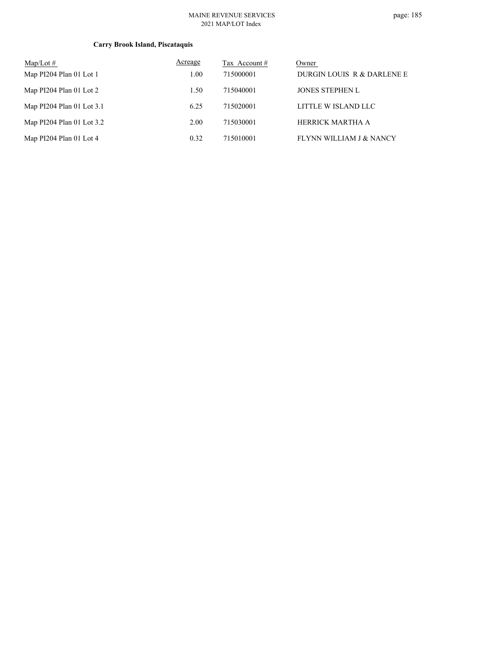# **Carry Brook Island, Piscataquis**

| Map/Lot $#$               | Acreage | Tax Account # | Owner                      |
|---------------------------|---------|---------------|----------------------------|
| Map PI204 Plan 01 Lot 1   | 1.00    | 715000001     | DURGIN LOUIS R & DARLENE E |
| Map PI204 Plan 01 Lot 2   | 1.50    | 715040001     | <b>JONES STEPHEN L</b>     |
| Map PI204 Plan 01 Lot 3.1 | 6.25    | 715020001     | LITTLE W ISLAND LLC        |
| Map PI204 Plan 01 Lot 3.2 | 2.00    | 715030001     | HERRICK MARTHA A           |
| Map PI204 Plan 01 Lot 4   | 0.32    | 715010001     | FLYNN WILLIAM J & NANCY    |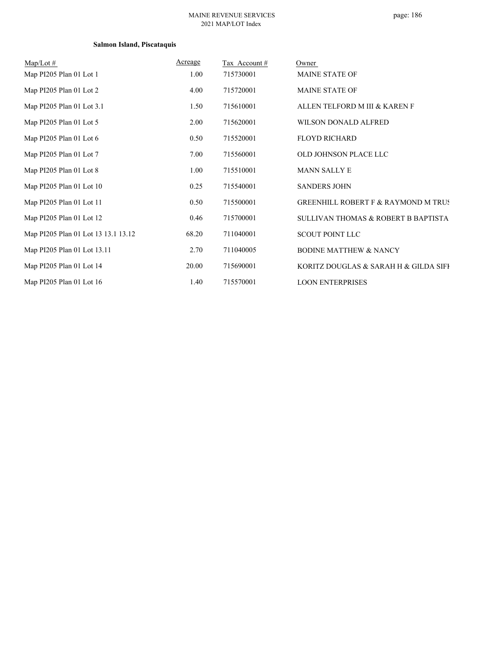# **Salmon Island, Piscataquis**

| $Map/Lot \#$                        | Acreage | Tax Account# | Owner                                          |
|-------------------------------------|---------|--------------|------------------------------------------------|
| Map PI205 Plan 01 Lot 1             | 1.00    | 715730001    | <b>MAINE STATE OF</b>                          |
| Map PI205 Plan 01 Lot 2             | 4.00    | 715720001    | <b>MAINE STATE OF</b>                          |
| Map PI205 Plan 01 Lot 3.1           | 1.50    | 715610001    | ALLEN TELFORD M III & KAREN F                  |
| Map PI205 Plan 01 Lot 5             | 2.00    | 715620001    | WILSON DONALD ALFRED                           |
| Map PI205 Plan 01 Lot 6             | 0.50    | 715520001    | <b>FLOYD RICHARD</b>                           |
| Map PI205 Plan 01 Lot 7             | 7.00    | 715560001    | OLD JOHNSON PLACE LLC                          |
| Map PI205 Plan 01 Lot 8             | 1.00    | 715510001    | <b>MANN SALLY E</b>                            |
| Map PI205 Plan 01 Lot 10            | 0.25    | 715540001    | <b>SANDERS JOHN</b>                            |
| Map PI205 Plan 01 Lot 11            | 0.50    | 715500001    | <b>GREENHILL ROBERT F &amp; RAYMOND M TRUS</b> |
| Map PI205 Plan 01 Lot 12            | 0.46    | 715700001    | SULLIVAN THOMAS & ROBERT B BAPTISTA            |
| Map PI205 Plan 01 Lot 13 13.1 13.12 | 68.20   | 711040001    | <b>SCOUT POINT LLC</b>                         |
| Map PI205 Plan 01 Lot 13.11         | 2.70    | 711040005    | <b>BODINE MATTHEW &amp; NANCY</b>              |
| Map PI205 Plan 01 Lot 14            | 20.00   | 715690001    | KORITZ DOUGLAS & SARAH H & GILDA SIFI          |
| Map PI205 Plan 01 Lot 16            | 1.40    | 715570001    | <b>LOON ENTERPRISES</b>                        |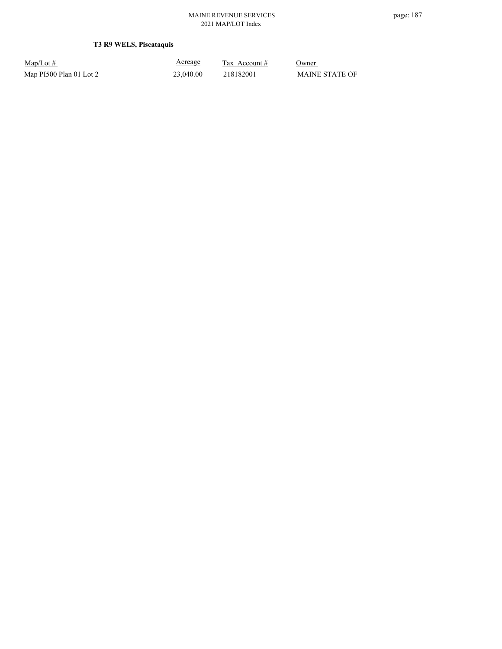# **T3 R9 WELS, Piscataquis**

| $Map/Lot \#$            |  |
|-------------------------|--|
| Map PI500 Plan 01 Lot 2 |  |

Acreage

 $\frac{\text{Tax} \text{ Account #}}{}$  Owner 23,040.00 218182001 MAINE STATE OF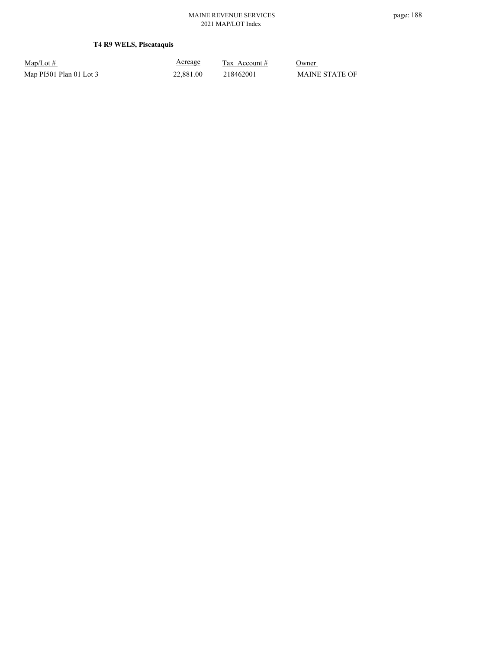# **T4 R9 WELS, Piscataquis**

Map/Lot #  $\frac{\text{Areage}}{\text{2x} + \text{Account}}$  0wner Map PI501 Plan 01 Lot 3 22,881.00 218462001 MAINE STATE OF

Acreage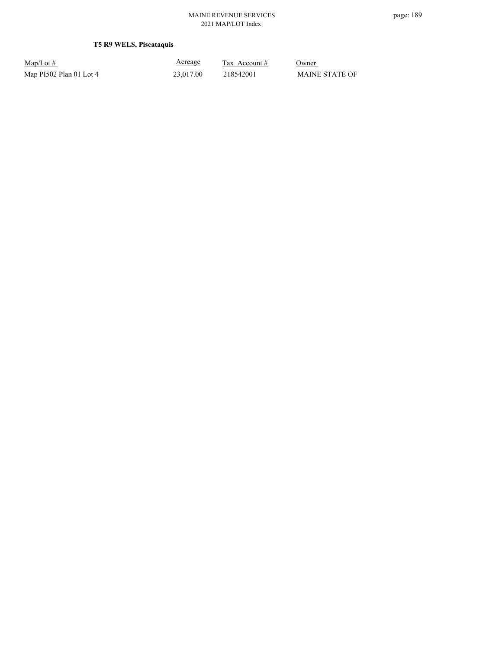# **T5 R9 WELS, Piscataquis**

| $Map/Lot \#$            |  |
|-------------------------|--|
| Map PI502 Plan 01 Lot 4 |  |

Acreage

 $\frac{\text{Tax} \text{ Account #}}{}$  Owner 23,017.00 218542001 MAINE STATE OF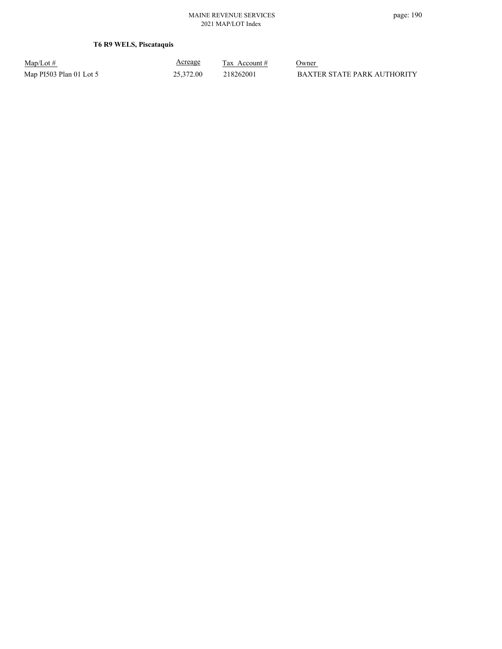# **T6 R9 WELS, Piscataquis**

| $Map/Lot \#$            |  |
|-------------------------|--|
| Map PI503 Plan 01 Lot 5 |  |

Acreage

 $\frac{\text{Tax} \text{ Account #}}{}$  Owner p PI503 Plan 01 Lot 5 25,372.00 218262001 BAXTER STATE PARK AUTHORITY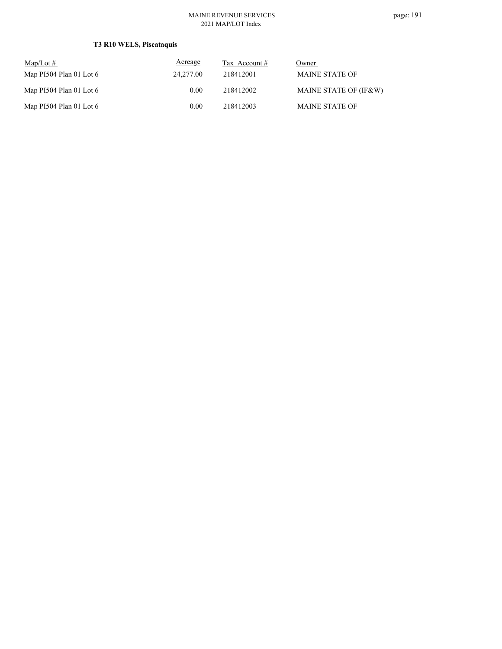# **T3 R10 WELS, Piscataquis**

| $\text{Map/Lot} \#$       | Acreage   | Tax Account # | Owner                 |
|---------------------------|-----------|---------------|-----------------------|
| Map PI504 Plan 01 Lot $6$ | 24,277.00 | 218412001     | <b>MAINE STATE OF</b> |
| Map PI504 Plan 01 Lot $6$ | 0.00      | 218412002     | MAINE STATE OF (IF&W) |
| Map PI504 Plan 01 Lot $6$ | 0.00      | 218412003     | <b>MAINE STATE OF</b> |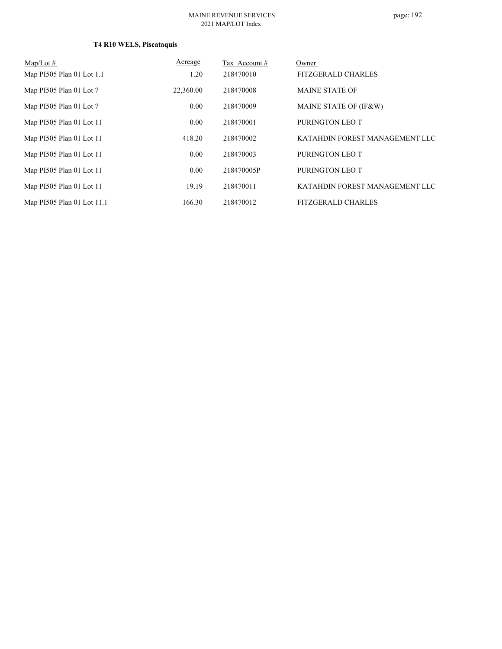# page: 192

# **T4 R10 WELS, Piscataquis**

| Map/Lot $#$                | Acreage   | Tax Account# | Owner                          |
|----------------------------|-----------|--------------|--------------------------------|
| Map PI505 Plan 01 Lot 1.1  | 1.20      | 218470010    | <b>FITZGERALD CHARLES</b>      |
| Map PI505 Plan 01 Lot 7    | 22,360.00 | 218470008    | <b>MAINE STATE OF</b>          |
| Map PI505 Plan 01 Lot 7    | 0.00      | 218470009    | MAINE STATE OF (IF&W)          |
| Map PI505 Plan 01 Lot 11   | 0.00      | 218470001    | PURINGTON LEO T                |
| Map PI505 Plan 01 Lot 11   | 418.20    | 218470002    | KATAHDIN FOREST MANAGEMENT LLC |
| Map PI505 Plan 01 Lot 11   | 0.00      | 218470003    | PURINGTON LEO T                |
| Map PI505 Plan 01 Lot 11   | 0.00      | 218470005P   | PURINGTON LEO T                |
| Map PI505 Plan 01 Lot 11   | 19.19     | 218470011    | KATAHDIN FOREST MANAGEMENT LLC |
| Map PI505 Plan 01 Lot 11.1 | 166.30    | 218470012    | <b>FITZGERALD CHARLES</b>      |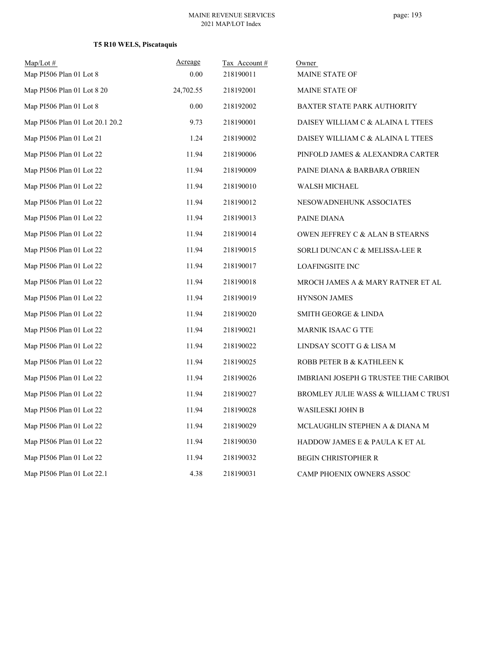# **T5 R10 WELS, Piscataquis**

| Map/Lot#                        | Acreage   | Tax Account# | Owner                                      |
|---------------------------------|-----------|--------------|--------------------------------------------|
| Map PI506 Plan 01 Lot 8         | 0.00      | 218190011    | MAINE STATE OF                             |
| Map PI506 Plan 01 Lot 8 20      | 24,702.55 | 218192001    | MAINE STATE OF                             |
| Map PI506 Plan 01 Lot 8         | 0.00      | 218192002    | BAXTER STATE PARK AUTHORITY                |
| Map PI506 Plan 01 Lot 20.1 20.2 | 9.73      | 218190001    | DAISEY WILLIAM C & ALAINA L TTEES          |
| Map PI506 Plan 01 Lot 21        | 1.24      | 218190002    | DAISEY WILLIAM C & ALAINA L TTEES          |
| Map PI506 Plan 01 Lot 22        | 11.94     | 218190006    | PINFOLD JAMES & ALEXANDRA CARTER           |
| Map PI506 Plan 01 Lot 22        | 11.94     | 218190009    | PAINE DIANA & BARBARA O'BRIEN              |
| Map PI506 Plan 01 Lot 22        | 11.94     | 218190010    | WALSH MICHAEL                              |
| Map PI506 Plan 01 Lot 22        | 11.94     | 218190012    | NESOWADNEHUNK ASSOCIATES                   |
| Map PI506 Plan 01 Lot 22        | 11.94     | 218190013    | PAINE DIANA                                |
| Map PI506 Plan 01 Lot 22        | 11.94     | 218190014    | <b>OWEN JEFFREY C &amp; ALAN B STEARNS</b> |
| Map PI506 Plan 01 Lot 22        | 11.94     | 218190015    | SORLI DUNCAN C & MELISSA-LEE R             |
| Map PI506 Plan 01 Lot 22        | 11.94     | 218190017    | <b>LOAFINGSITE INC</b>                     |
| Map PI506 Plan 01 Lot 22        | 11.94     | 218190018    | MROCH JAMES A & MARY RATNER ET AL          |
| Map PI506 Plan 01 Lot 22        | 11.94     | 218190019    | <b>HYNSON JAMES</b>                        |
| Map PI506 Plan 01 Lot 22        | 11.94     | 218190020    | SMITH GEORGE & LINDA                       |
| Map PI506 Plan 01 Lot 22        | 11.94     | 218190021    | <b>MARNIK ISAAC G TTE</b>                  |
| Map PI506 Plan 01 Lot 22        | 11.94     | 218190022    | LINDSAY SCOTT G & LISA M                   |
| Map PI506 Plan 01 Lot 22        | 11.94     | 218190025    | ROBB PETER B & KATHLEEN K                  |
| Map PI506 Plan 01 Lot 22        | 11.94     | 218190026    | IMBRIANI JOSEPH G TRUSTEE THE CARIBOU      |
| Map PI506 Plan 01 Lot 22        | 11.94     | 218190027    | BROMLEY JULIE WASS & WILLIAM C TRUST       |
| Map PI506 Plan 01 Lot 22        | 11.94     | 218190028    | WASILESKI JOHN B                           |
| Map PI506 Plan 01 Lot 22        | 11.94     | 218190029    | MCLAUGHLIN STEPHEN A & DIANA M             |
| Map PI506 Plan 01 Lot 22        | 11.94     | 218190030    | HADDOW JAMES E & PAULA K ET AL             |
| Map PI506 Plan 01 Lot 22        | 11.94     | 218190032    | <b>BEGIN CHRISTOPHER R</b>                 |
| Map PI506 Plan 01 Lot 22.1      | 4.38      | 218190031    | CAMP PHOENIX OWNERS ASSOC                  |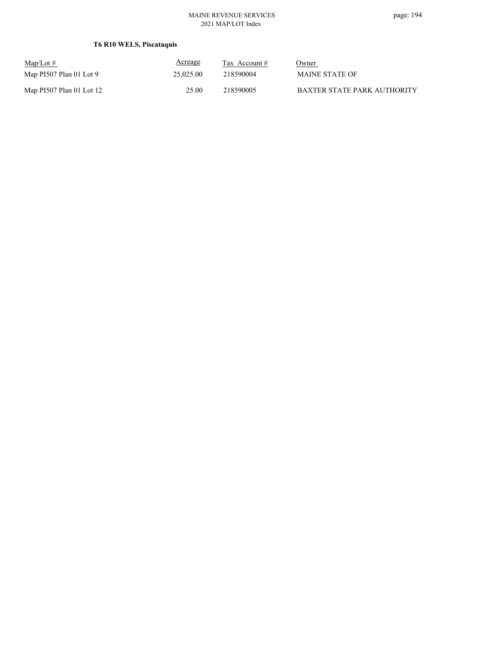# **T6 R10 WELS, Piscataquis**

| $\text{Map/Lot} \#$      | Acreage   | Tax Account # | Owner                       |
|--------------------------|-----------|---------------|-----------------------------|
| Map PI507 Plan 01 Lot 9  | 25,025.00 | 218590004     | <b>MAINE STATE OF</b>       |
| Map PI507 Plan 01 Lot 12 | 25.00     | 218590005     | BAXTER STATE PARK AUTHORITY |